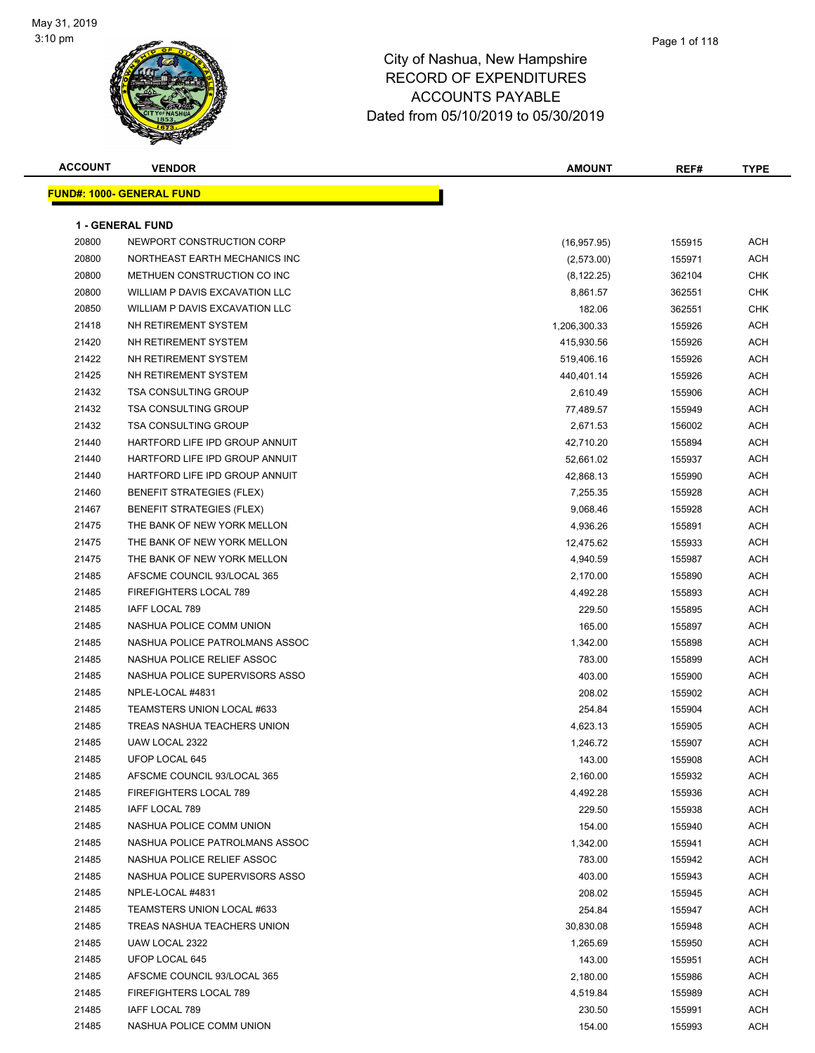#### Page 1 of 118

| <b>ACCOUNT</b> | <b>VENDOR</b>                    | <b>AMOUNT</b> | REF#   | TYPE       |
|----------------|----------------------------------|---------------|--------|------------|
|                | <b>FUND#: 1000- GENERAL FUND</b> |               |        |            |
|                |                                  |               |        |            |
|                | <b>1 - GENERAL FUND</b>          |               |        |            |
| 20800          | NEWPORT CONSTRUCTION CORP        | (16, 957.95)  | 155915 | ACH        |
| 20800          | NORTHEAST EARTH MECHANICS INC    | (2,573.00)    | 155971 | <b>ACH</b> |
| 20800          | METHUEN CONSTRUCTION CO INC      | (8, 122.25)   | 362104 | <b>CHK</b> |
| 20800          | WILLIAM P DAVIS EXCAVATION LLC   | 8,861.57      | 362551 | <b>CHK</b> |
| 20850          | WILLIAM P DAVIS EXCAVATION LLC   | 182.06        | 362551 | CHK        |
| 21418          | NH RETIREMENT SYSTEM             | 1,206,300.33  | 155926 | ACH        |
| 21420          | NH RETIREMENT SYSTEM             | 415,930.56    | 155926 | ACH        |
| 21422          | NH RETIREMENT SYSTEM             | 519,406.16    | 155926 | <b>ACH</b> |
| 21425          | NH RETIREMENT SYSTEM             | 440,401.14    | 155926 | ACH        |
| 21432          | <b>TSA CONSULTING GROUP</b>      | 2,610.49      | 155906 | ACH        |
| 21432          | <b>TSA CONSULTING GROUP</b>      | 77,489.57     | 155949 | ACH        |
| 21432          | <b>TSA CONSULTING GROUP</b>      | 2,671.53      | 156002 | ACH        |
| 21440          | HARTFORD LIFE IPD GROUP ANNUIT   | 42,710.20     | 155894 | ACH        |
| 21440          | HARTFORD LIFE IPD GROUP ANNUIT   | 52,661.02     | 155937 | ACH        |
| 21440          | HARTFORD LIFE IPD GROUP ANNUIT   | 42,868.13     | 155990 | ACH        |
| 21460          | <b>BENEFIT STRATEGIES (FLEX)</b> | 7,255.35      | 155928 | ACH        |
| 21467          | <b>BENEFIT STRATEGIES (FLEX)</b> | 9,068.46      | 155928 | ACH        |
| 21475          | THE BANK OF NEW YORK MELLON      | 4,936.26      | 155891 | ACH        |
| 21475          | THE BANK OF NEW YORK MELLON      | 12,475.62     | 155933 | ACH        |
| 21475          | THE BANK OF NEW YORK MELLON      | 4,940.59      | 155987 | ACH        |
| 21485          | AFSCME COUNCIL 93/LOCAL 365      | 2,170.00      | 155890 | ACH        |
| 21485          | <b>FIREFIGHTERS LOCAL 789</b>    | 4,492.28      | 155893 | ACH        |
| 21485          | IAFF LOCAL 789                   | 229.50        | 155895 | ACH        |
| 21485          | NASHUA POLICE COMM UNION         | 165.00        | 155897 | <b>ACH</b> |
| 21485          | NASHUA POLICE PATROLMANS ASSOC   | 1,342.00      | 155898 | ACH        |
| 21485          | NASHUA POLICE RELIEF ASSOC       | 783.00        | 155899 | ACH        |
| 21485          | NASHUA POLICE SUPERVISORS ASSO   | 403.00        | 155900 | ACH        |
| 21485          | NPLE-LOCAL #4831                 | 208.02        | 155902 | ACH        |
| 21485          | TEAMSTERS UNION LOCAL #633       | 254.84        | 155904 | ACH        |
| 21485          | TREAS NASHUA TEACHERS UNION      | 4,623.13      | 155905 | ACH        |
| 21485          | UAW LOCAL 2322                   | 1,246.72      | 155907 | <b>ACH</b> |
| 21485          | UFOP LOCAL 645                   | 143.00        | 155908 | ACH        |
| 21485          | AFSCME COUNCIL 93/LOCAL 365      | 2,160.00      | 155932 | ACH        |
| 21485          | FIREFIGHTERS LOCAL 789           | 4,492.28      | 155936 | ACH        |
| 21485          | IAFF LOCAL 789                   | 229.50        | 155938 | ACH        |
| 21485          | NASHUA POLICE COMM UNION         | 154.00        | 155940 | ACH        |
| 21485          | NASHUA POLICE PATROLMANS ASSOC   | 1,342.00      | 155941 | ACH        |
| 21485          | NASHUA POLICE RELIEF ASSOC       | 783.00        | 155942 | ACH        |
| 21485          | NASHUA POLICE SUPERVISORS ASSO   | 403.00        | 155943 | ACH        |
| 21485          | NPLE-LOCAL #4831                 | 208.02        | 155945 | ACH        |
| 21485          | TEAMSTERS UNION LOCAL #633       | 254.84        | 155947 | ACH        |
| 21485          | TREAS NASHUA TEACHERS UNION      | 30,830.08     | 155948 | ACH        |
| 21485          | UAW LOCAL 2322                   | 1,265.69      | 155950 | ACH        |
| 21485          | UFOP LOCAL 645                   | 143.00        | 155951 | ACH        |
| 21485          | AFSCME COUNCIL 93/LOCAL 365      | 2,180.00      | 155986 | ACH        |
| 21485          | FIREFIGHTERS LOCAL 789           | 4,519.84      | 155989 | ACH        |
| 21485          | IAFF LOCAL 789                   | 230.50        | 155991 | ACH        |
| 21485          | NASHUA POLICE COMM UNION         | 154.00        | 155993 | ACH        |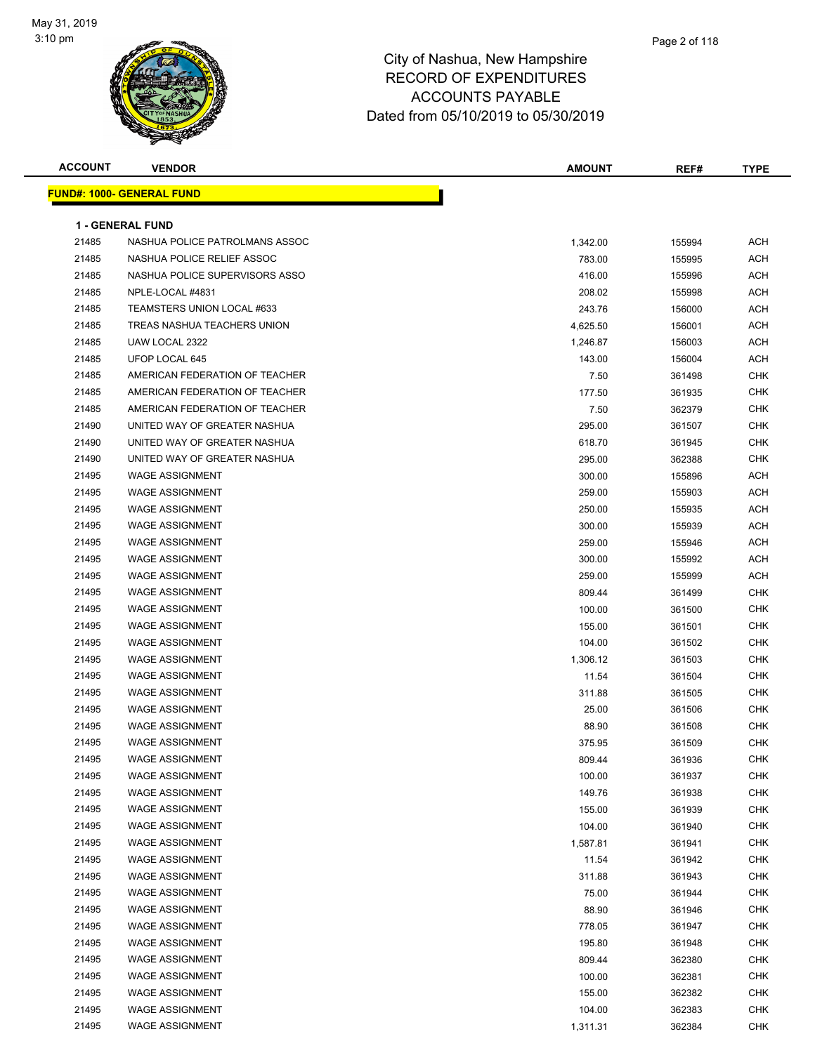

| <b>ACCOUNT</b> | <b>VENDOR</b>                    | <b>AMOUNT</b> | REF#   | <b>TYPE</b> |
|----------------|----------------------------------|---------------|--------|-------------|
|                | <b>FUND#: 1000- GENERAL FUND</b> |               |        |             |
|                |                                  |               |        |             |
|                | 1 - GENERAL FUND                 |               |        |             |
| 21485          | NASHUA POLICE PATROLMANS ASSOC   | 1,342.00      | 155994 | ACH         |
| 21485          | NASHUA POLICE RELIEF ASSOC       | 783.00        | 155995 | ACH         |
| 21485          | NASHUA POLICE SUPERVISORS ASSO   | 416.00        | 155996 | ACH         |
| 21485          | NPLE-LOCAL #4831                 | 208.02        | 155998 | ACH         |
| 21485          | TEAMSTERS UNION LOCAL #633       | 243.76        | 156000 | <b>ACH</b>  |
| 21485          | TREAS NASHUA TEACHERS UNION      | 4,625.50      | 156001 | <b>ACH</b>  |
| 21485          | UAW LOCAL 2322                   | 1,246.87      | 156003 | ACH         |
| 21485          | UFOP LOCAL 645                   | 143.00        | 156004 | ACH         |
| 21485          | AMERICAN FEDERATION OF TEACHER   | 7.50          | 361498 | CHK         |
| 21485          | AMERICAN FEDERATION OF TEACHER   | 177.50        | 361935 | CHK         |
| 21485          | AMERICAN FEDERATION OF TEACHER   | 7.50          | 362379 | CHK         |
| 21490          | UNITED WAY OF GREATER NASHUA     | 295.00        | 361507 | <b>CHK</b>  |
| 21490          | UNITED WAY OF GREATER NASHUA     | 618.70        | 361945 | CHK         |
| 21490          | UNITED WAY OF GREATER NASHUA     | 295.00        | 362388 | <b>CHK</b>  |
| 21495          | <b>WAGE ASSIGNMENT</b>           | 300.00        | 155896 | <b>ACH</b>  |
| 21495          | <b>WAGE ASSIGNMENT</b>           | 259.00        | 155903 | <b>ACH</b>  |
| 21495          | <b>WAGE ASSIGNMENT</b>           | 250.00        | 155935 | <b>ACH</b>  |
| 21495          | <b>WAGE ASSIGNMENT</b>           | 300.00        | 155939 | ACH         |
| 21495          | <b>WAGE ASSIGNMENT</b>           | 259.00        | 155946 | ACH         |
| 21495          | <b>WAGE ASSIGNMENT</b>           | 300.00        | 155992 | <b>ACH</b>  |
| 21495          | <b>WAGE ASSIGNMENT</b>           | 259.00        | 155999 | <b>ACH</b>  |
| 21495          | <b>WAGE ASSIGNMENT</b>           | 809.44        | 361499 | <b>CHK</b>  |
| 21495          | <b>WAGE ASSIGNMENT</b>           | 100.00        | 361500 | <b>CHK</b>  |
| 21495          | <b>WAGE ASSIGNMENT</b>           | 155.00        | 361501 | <b>CHK</b>  |
| 21495          | <b>WAGE ASSIGNMENT</b>           | 104.00        | 361502 | <b>CHK</b>  |
| 21495          | <b>WAGE ASSIGNMENT</b>           | 1,306.12      | 361503 | CHK         |
| 21495          | <b>WAGE ASSIGNMENT</b>           | 11.54         | 361504 | <b>CHK</b>  |
| 21495          | <b>WAGE ASSIGNMENT</b>           | 311.88        | 361505 | <b>CHK</b>  |
| 21495          | <b>WAGE ASSIGNMENT</b>           | 25.00         | 361506 | CHK         |
| 21495          | <b>WAGE ASSIGNMENT</b>           | 88.90         | 361508 | CHK         |
| 21495          | <b>WAGE ASSIGNMENT</b>           | 375.95        | 361509 | CHK         |
| 21495          | <b>WAGE ASSIGNMENT</b>           | 809.44        | 361936 | <b>CHK</b>  |
| 21495          | <b>WAGE ASSIGNMENT</b>           | 100.00        | 361937 | CHK         |
| 21495          | <b>WAGE ASSIGNMENT</b>           | 149.76        | 361938 | <b>CHK</b>  |
| 21495          | <b>WAGE ASSIGNMENT</b>           | 155.00        | 361939 | <b>CHK</b>  |
| 21495          | <b>WAGE ASSIGNMENT</b>           | 104.00        | 361940 | <b>CHK</b>  |
| 21495          | <b>WAGE ASSIGNMENT</b>           | 1,587.81      | 361941 | CHK         |
| 21495          | <b>WAGE ASSIGNMENT</b>           | 11.54         | 361942 | <b>CHK</b>  |
| 21495          | <b>WAGE ASSIGNMENT</b>           | 311.88        | 361943 | <b>CHK</b>  |
| 21495          | <b>WAGE ASSIGNMENT</b>           | 75.00         | 361944 | CHK         |
| 21495          | <b>WAGE ASSIGNMENT</b>           | 88.90         | 361946 | CHK         |
| 21495          | <b>WAGE ASSIGNMENT</b>           | 778.05        | 361947 | CHK         |
| 21495          | <b>WAGE ASSIGNMENT</b>           | 195.80        | 361948 | CHK         |
| 21495          | <b>WAGE ASSIGNMENT</b>           | 809.44        | 362380 | <b>CHK</b>  |
| 21495          | <b>WAGE ASSIGNMENT</b>           | 100.00        | 362381 | <b>CHK</b>  |
| 21495          | <b>WAGE ASSIGNMENT</b>           | 155.00        | 362382 | <b>CHK</b>  |
| 21495          | <b>WAGE ASSIGNMENT</b>           | 104.00        | 362383 | <b>CHK</b>  |
| 21495          | <b>WAGE ASSIGNMENT</b>           | 1,311.31      | 362384 | CHK         |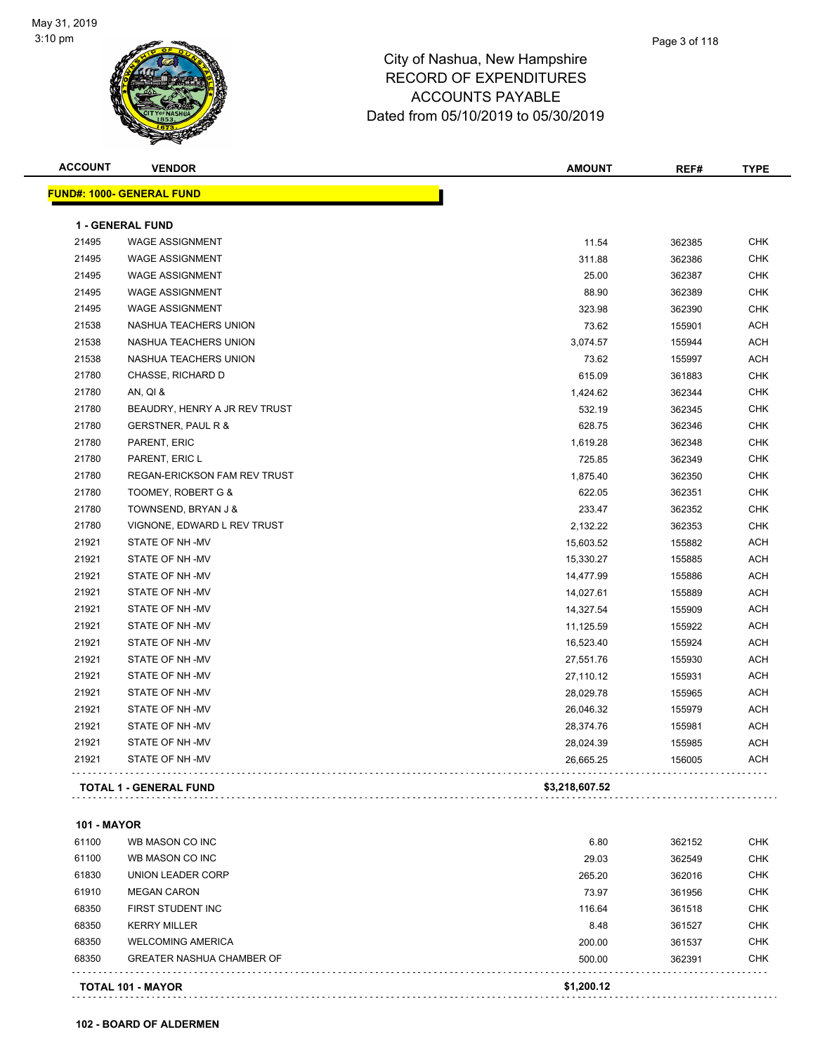

| <b>ACCOUNT</b>     | <b>VENDOR</b>                       | <b>AMOUNT</b>  | REF#   | <b>TYPE</b> |
|--------------------|-------------------------------------|----------------|--------|-------------|
|                    | <b>FUND#: 1000- GENERAL FUND</b>    |                |        |             |
|                    | <b>1 - GENERAL FUND</b>             |                |        |             |
| 21495              | <b>WAGE ASSIGNMENT</b>              | 11.54          | 362385 | <b>CHK</b>  |
| 21495              | <b>WAGE ASSIGNMENT</b>              | 311.88         | 362386 | <b>CHK</b>  |
| 21495              | <b>WAGE ASSIGNMENT</b>              | 25.00          | 362387 | <b>CHK</b>  |
| 21495              | <b>WAGE ASSIGNMENT</b>              | 88.90          | 362389 | <b>CHK</b>  |
| 21495              | <b>WAGE ASSIGNMENT</b>              | 323.98         | 362390 | <b>CHK</b>  |
| 21538              | NASHUA TEACHERS UNION               | 73.62          | 155901 | ACH         |
| 21538              | NASHUA TEACHERS UNION               | 3,074.57       | 155944 | ACH         |
| 21538              | NASHUA TEACHERS UNION               | 73.62          | 155997 | ACH         |
| 21780              | CHASSE, RICHARD D                   | 615.09         | 361883 | <b>CHK</b>  |
| 21780              | AN, QI &                            | 1,424.62       | 362344 | <b>CHK</b>  |
| 21780              | BEAUDRY, HENRY A JR REV TRUST       | 532.19         | 362345 | CHK         |
| 21780              | GERSTNER, PAUL R &                  | 628.75         | 362346 | <b>CHK</b>  |
| 21780              | PARENT, ERIC                        | 1,619.28       | 362348 | CHK         |
| 21780              | PARENT, ERIC L                      | 725.85         | 362349 | CHK         |
| 21780              | <b>REGAN-ERICKSON FAM REV TRUST</b> | 1,875.40       | 362350 | <b>CHK</b>  |
| 21780              | TOOMEY, ROBERT G &                  | 622.05         | 362351 | CHK         |
| 21780              | TOWNSEND, BRYAN J &                 | 233.47         | 362352 | CHK         |
| 21780              | VIGNONE, EDWARD L REV TRUST         | 2,132.22       | 362353 | CHK         |
| 21921              | STATE OF NH-MV                      | 15,603.52      | 155882 | ACH         |
| 21921              | STATE OF NH-MV                      | 15,330.27      | 155885 | ACH         |
| 21921              | STATE OF NH-MV                      | 14,477.99      | 155886 | ACH         |
| 21921              | STATE OF NH-MV                      | 14,027.61      | 155889 | <b>ACH</b>  |
| 21921              | STATE OF NH-MV                      | 14,327.54      | 155909 | ACH         |
| 21921              | STATE OF NH-MV                      | 11,125.59      | 155922 | ACH         |
| 21921              | STATE OF NH-MV                      | 16,523.40      | 155924 | ACH         |
| 21921              | STATE OF NH-MV                      | 27,551.76      | 155930 | ACH         |
| 21921              | STATE OF NH-MV                      | 27,110.12      | 155931 | ACH         |
| 21921              | STATE OF NH-MV                      | 28,029.78      | 155965 | ACH         |
| 21921              | STATE OF NH-MV                      | 26,046.32      | 155979 | ACH         |
| 21921              | STATE OF NH -MV                     | 28,374.76      | 155981 | ACH         |
| 21921              | STATE OF NH-MV                      | 28,024.39      | 155985 | ACH         |
| 21921              | STATE OF NH-MV                      | 26,665.25      | 156005 | ACH         |
|                    | <b>TOTAL 1 - GENERAL FUND</b>       | \$3,218,607.52 |        |             |
| <b>101 - MAYOR</b> |                                     |                |        |             |
| 61100              | WB MASON CO INC                     | 6.80           | 362152 | CHK         |
| 61100              | WB MASON CO INC                     | 29.03          | 362549 | <b>CHK</b>  |
| 61830              | UNION LEADER CORP                   | 265.20         | 362016 | <b>CHK</b>  |
| 61910              | <b>MEGAN CARON</b>                  | 73.97          | 361956 | CHK         |
| 68350              | FIRST STUDENT INC                   | 116.64         | 361518 | <b>CHK</b>  |
| 68350              | <b>KERRY MILLER</b>                 | 8.48           | 361527 | <b>CHK</b>  |
| 68350              | <b>WELCOMING AMERICA</b>            | 200.00         | 361537 | CHK         |
| 68350              | <b>GREATER NASHUA CHAMBER OF</b>    | 500.00         | 362391 | CHK         |
|                    | TOTAL 101 - MAYOR                   | \$1,200.12     |        |             |
|                    |                                     |                |        |             |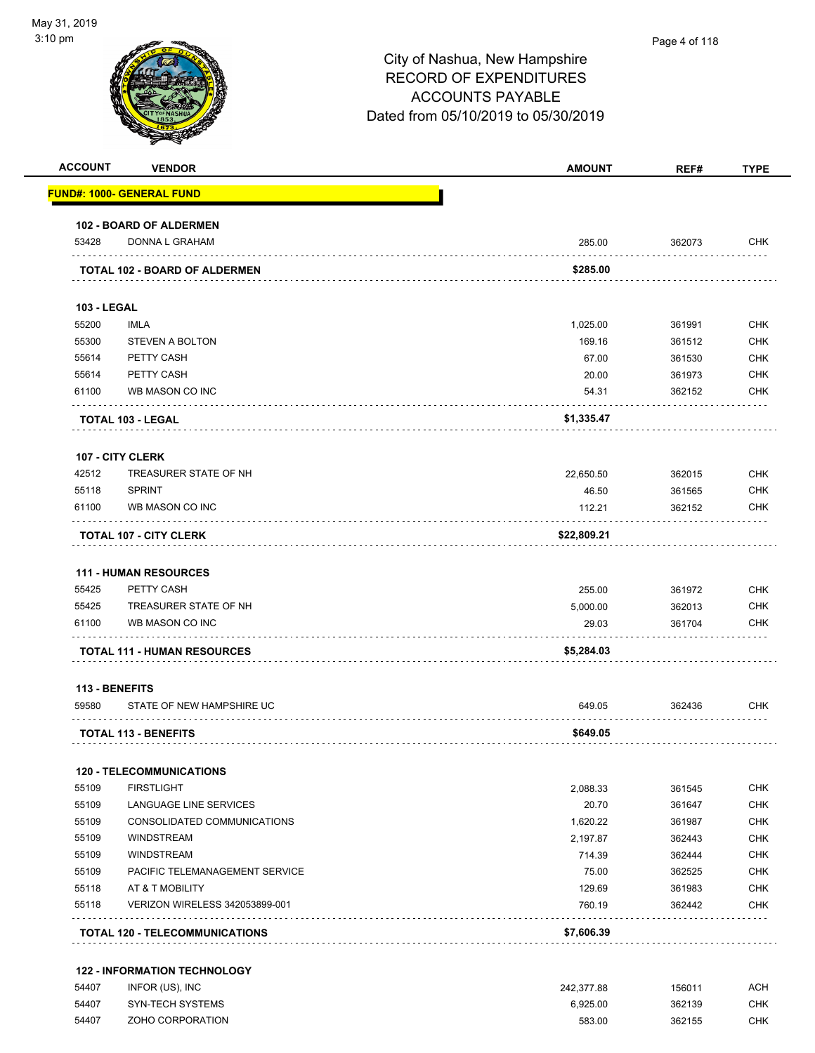| 0 pm               |                                      | City of Nashua, New Hampshire<br><b>RECORD OF EXPENDITURES</b><br><b>ACCOUNTS PAYABLE</b><br>Dated from 05/10/2019 to 05/30/2019 | Page 4 of 118 |             |
|--------------------|--------------------------------------|----------------------------------------------------------------------------------------------------------------------------------|---------------|-------------|
| <b>ACCOUNT</b>     | <b>VENDOR</b>                        | <b>AMOUNT</b>                                                                                                                    | REF#          | <b>TYPE</b> |
|                    | <b>FUND#: 1000- GENERAL FUND</b>     |                                                                                                                                  |               |             |
|                    | <b>102 - BOARD OF ALDERMEN</b>       |                                                                                                                                  |               |             |
| 53428              | DONNA L GRAHAM                       | 285.00                                                                                                                           | 362073        | <b>CHK</b>  |
|                    | <b>TOTAL 102 - BOARD OF ALDERMEN</b> | \$285.00                                                                                                                         |               |             |
| <b>103 - LEGAL</b> |                                      |                                                                                                                                  |               |             |
| 55200              | <b>IMLA</b>                          | 1,025.00                                                                                                                         | 361991        | <b>CHK</b>  |
| 55300              | <b>STEVEN A BOLTON</b>               | 169.16                                                                                                                           | 361512        | <b>CHK</b>  |
| 55614              | PETTY CASH                           | 67.00                                                                                                                            | 361530        | <b>CHK</b>  |
| 55614              | PETTY CASH                           | 20.00                                                                                                                            | 361973        | <b>CHK</b>  |
| 61100              | WB MASON CO INC                      | 54.31                                                                                                                            | 362152        | <b>CHK</b>  |
|                    | <b>TOTAL 103 - LEGAL</b>             | \$1,335.47                                                                                                                       |               |             |
|                    | 107 - CITY CLERK                     |                                                                                                                                  |               |             |
| 42512              | TREASURER STATE OF NH                | 22,650.50                                                                                                                        | 362015        | <b>CHK</b>  |
| 55118              | SPRINT                               | 46.50                                                                                                                            | 361565        | <b>CHK</b>  |
| 61100              | WB MASON CO INC                      | 112.21                                                                                                                           | 362152        | <b>CHK</b>  |

| TOTAL .<br>. 107 - CITY CLERK | \$22.809.21 |
|-------------------------------|-------------|
|                               |             |

#### **111 - HUMAN RESOURCES**

|       | <b>TOTAL 111 - HUMAN RESOURCES</b> | \$5,284.03 |        |            |
|-------|------------------------------------|------------|--------|------------|
| 61100 | WB MASON CO INC                    | 29.03      | 361704 | <b>CHK</b> |
| 55425 | TREASURER STATE OF NH              | 5.000.00   | 362013 | снк        |
| 55425 | PETTY CASH                         | 255.00     | 361972 | <b>CHK</b> |

#### **113 - BENEFITS**

| 59580 | STATE OF NEW HAMPSHIRE UC   | 649.05   | 362436 | снк |
|-------|-----------------------------|----------|--------|-----|
|       |                             |          |        |     |
|       | <b>TOTAL 113 - BENEFITS</b> | \$649.05 |        |     |

#### **120 - TELECOMMUNICATIONS**

|       | <b>TOTAL 120 - TELECOMMUNICATIONS</b> | \$7,606.39 |        |            |
|-------|---------------------------------------|------------|--------|------------|
| 55118 | VERIZON WIRELESS 342053899-001        | 760.19     | 362442 | <b>CHK</b> |
| 55118 | AT & T MOBILITY                       | 129.69     | 361983 | <b>CHK</b> |
| 55109 | PACIFIC TELEMANAGEMENT SERVICE        | 75.00      | 362525 | <b>CHK</b> |
| 55109 | <b>WINDSTREAM</b>                     | 714.39     | 362444 | <b>CHK</b> |
| 55109 | <b>WINDSTREAM</b>                     | 2.197.87   | 362443 | <b>CHK</b> |
| 55109 | CONSOLIDATED COMMUNICATIONS           | 1.620.22   | 361987 | <b>CHK</b> |
| 55109 | LANGUAGE LINE SERVICES                | 20.70      | 361647 | <b>CHK</b> |
| 55109 | <b>FIRSTLIGHT</b>                     | 2.088.33   | 361545 | <b>CHK</b> |

#### **122 - INFORMATION TECHNOLOGY**

| 54407 | INFOR (US), INC  | 242.377.88 | 156011 | ACH |
|-------|------------------|------------|--------|-----|
| 54407 | SYN-TECH SYSTEMS | 6.925.00   | 362139 | CHK |
| 54407 | ZOHO CORPORATION | 583.00     | 362155 | CHK |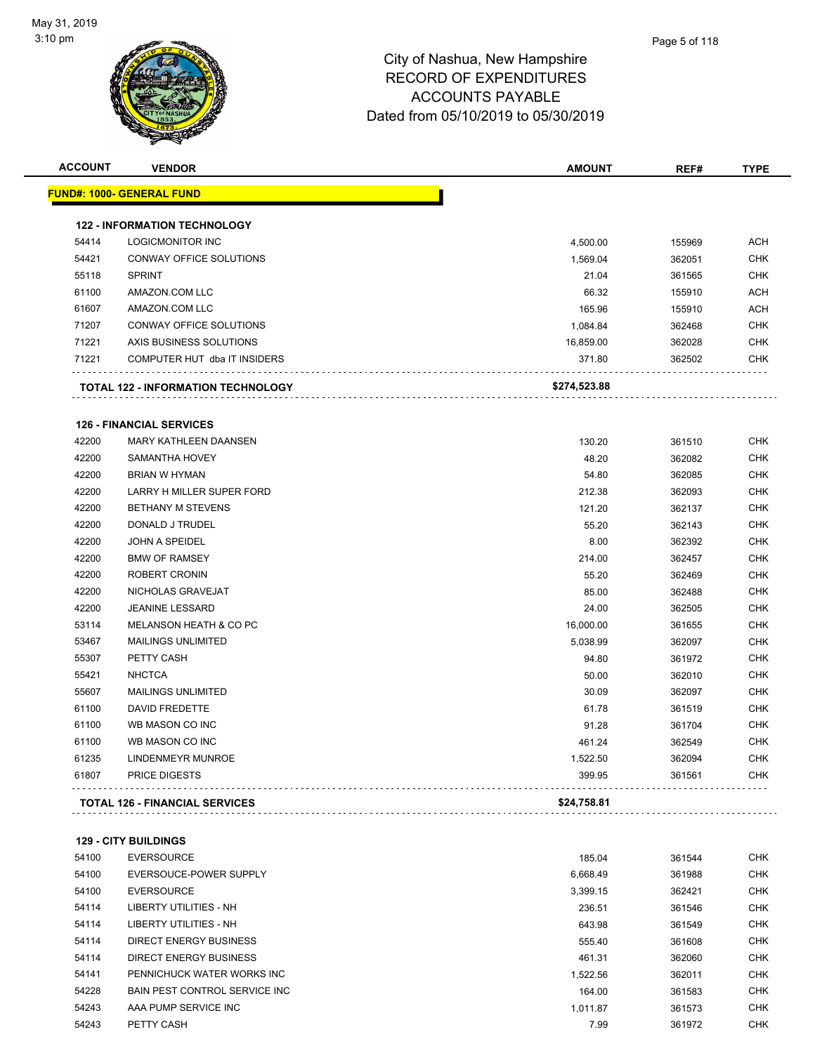

| <b>ACCOUNT</b> | <b>VENDOR</b>                             | <b>AMOUNT</b> | REF#   | <b>TYPE</b> |
|----------------|-------------------------------------------|---------------|--------|-------------|
|                | <u> FUND#: 1000- GENERAL FUND</u>         |               |        |             |
|                | <b>122 - INFORMATION TECHNOLOGY</b>       |               |        |             |
| 54414          | <b>LOGICMONITOR INC</b>                   | 4,500.00      | 155969 | <b>ACH</b>  |
| 54421          | CONWAY OFFICE SOLUTIONS                   | 1,569.04      | 362051 | <b>CHK</b>  |
| 55118          | <b>SPRINT</b>                             | 21.04         | 361565 | <b>CHK</b>  |
| 61100          | AMAZON.COM LLC                            | 66.32         | 155910 | <b>ACH</b>  |
| 61607          | AMAZON.COM LLC                            | 165.96        | 155910 | <b>ACH</b>  |
| 71207          | CONWAY OFFICE SOLUTIONS                   | 1,084.84      | 362468 | <b>CHK</b>  |
| 71221          | AXIS BUSINESS SOLUTIONS                   | 16,859.00     | 362028 | <b>CHK</b>  |
| 71221          | COMPUTER HUT dba IT INSIDERS              | 371.80        | 362502 | CHK         |
|                | <b>TOTAL 122 - INFORMATION TECHNOLOGY</b> | \$274,523.88  |        |             |
|                | <b>126 - FINANCIAL SERVICES</b>           |               |        |             |
| 42200          | <b>MARY KATHLEEN DAANSEN</b>              | 130.20        | 361510 | <b>CHK</b>  |
| 42200          | <b>SAMANTHA HOVEY</b>                     | 48.20         | 362082 | <b>CHK</b>  |
| 42200          | <b>BRIAN W HYMAN</b>                      | 54.80         | 362085 | CHK         |
| 42200          | LARRY H MILLER SUPER FORD                 | 212.38        | 362093 | <b>CHK</b>  |
| 42200          | <b>BETHANY M STEVENS</b>                  | 121.20        | 362137 | <b>CHK</b>  |
| 42200          | DONALD J TRUDEL                           | 55.20         | 362143 | <b>CHK</b>  |
| 42200          | JOHN A SPEIDEL                            | 8.00          | 362392 | <b>CHK</b>  |
| 42200          | <b>BMW OF RAMSEY</b>                      | 214.00        | 362457 | <b>CHK</b>  |
| 42200          | ROBERT CRONIN                             | 55.20         | 362469 | <b>CHK</b>  |
| 42200          | NICHOLAS GRAVEJAT                         | 85.00         | 362488 | <b>CHK</b>  |
| 42200          | <b>JEANINE LESSARD</b>                    | 24.00         | 362505 | <b>CHK</b>  |
| 53114          | <b>MELANSON HEATH &amp; CO PC</b>         | 16,000.00     | 361655 | <b>CHK</b>  |
| 53467          | <b>MAILINGS UNLIMITED</b>                 | 5,038.99      | 362097 | <b>CHK</b>  |
| 55307          | PETTY CASH                                | 94.80         | 361972 | <b>CHK</b>  |
| 55421          | <b>NHCTCA</b>                             | 50.00         | 362010 | <b>CHK</b>  |
| 55607          | <b>MAILINGS UNLIMITED</b>                 | 30.09         | 362097 | CHK         |
| 61100          | <b>DAVID FREDETTE</b>                     | 61.78         | 361519 | <b>CHK</b>  |
| 61100          | WB MASON CO INC                           | 91.28         | 361704 | <b>CHK</b>  |
| 61100          | WB MASON CO INC                           | 461.24        | 362549 | <b>CHK</b>  |
| 61235          | LINDENMEYR MUNROE                         | 1,522.50      | 362094 | CHK         |
| 61807          | <b>PRICE DIGESTS</b>                      | 399.95        | 361561 | <b>CHK</b>  |
|                | <b>TOTAL 126 - FINANCIAL SERVICES</b>     | \$24,758.81   |        |             |
|                | <b>129 - CITY BUILDINGS</b>               |               |        |             |
| 54100          | <b>EVERSOURCE</b>                         | 185.04        | 361544 | <b>CHK</b>  |
| 54100          | EVERSOUCE-POWER SUPPLY                    | 6,668.49      | 361988 | <b>CHK</b>  |
| 54100          | <b>EVERSOURCE</b>                         | 3,399.15      | 362421 | <b>CHK</b>  |
| 54114          | <b>LIBERTY UTILITIES - NH</b>             | 236.51        | 361546 | <b>CHK</b>  |
| 54114          | LIBERTY UTILITIES - NH                    | 643.98        | 361549 | <b>CHK</b>  |
| 54114          | <b>DIRECT ENERGY BUSINESS</b>             | 555.40        | 361608 | CHK         |
| 54114          | <b>DIRECT ENERGY BUSINESS</b>             | 461.31        | 362060 | <b>CHK</b>  |
| 54141          | PENNICHUCK WATER WORKS INC                | 1,522.56      | 362011 | CHK         |

BAIN PEST CONTROL SERVICE INC 164.00 361583 CHK

54243 AAA PUMP SERVICE INC 2002 AND 1,011.87 361573 CHK PETTY CASH 7.99 361972 CHK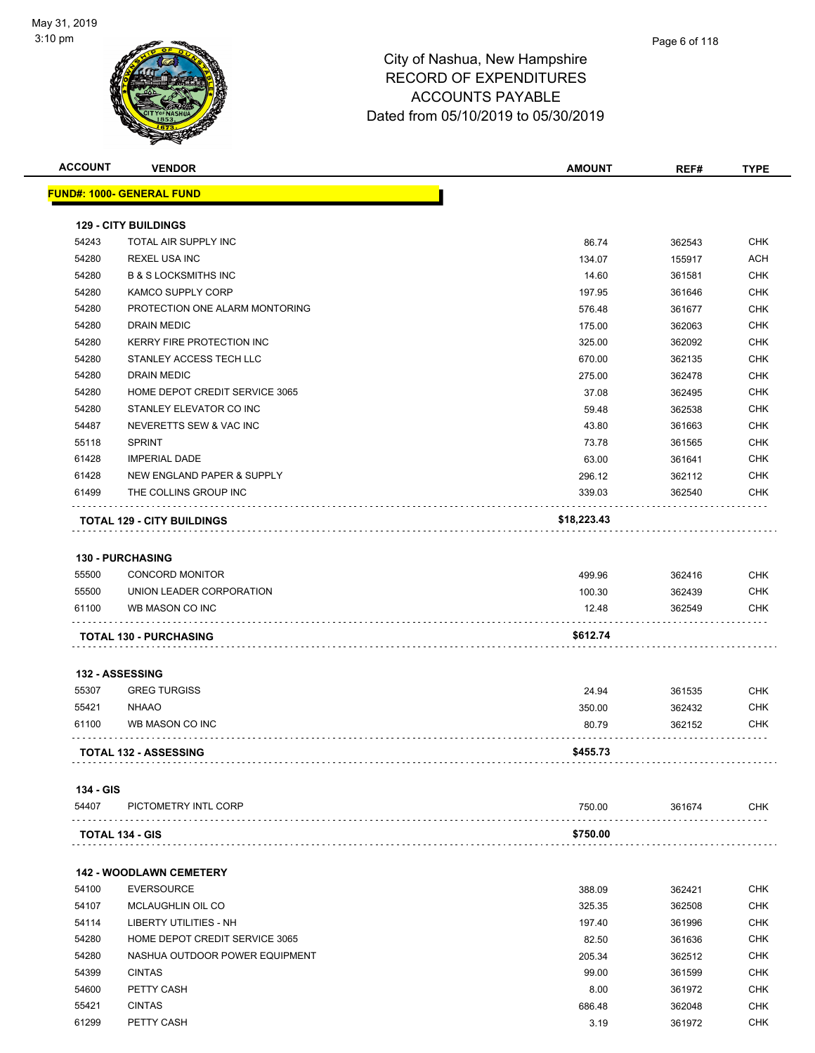

| <b>ACCOUNT</b> | <b>VENDOR</b>                     | <b>AMOUNT</b> | REF#   | <b>TYPE</b> |
|----------------|-----------------------------------|---------------|--------|-------------|
|                | <u> FUND#: 1000- GENERAL FUND</u> |               |        |             |
|                |                                   |               |        |             |
|                | <b>129 - CITY BUILDINGS</b>       |               |        |             |
| 54243          | TOTAL AIR SUPPLY INC              | 86.74         | 362543 | <b>CHK</b>  |
| 54280          | <b>REXEL USA INC</b>              | 134.07        | 155917 | <b>ACH</b>  |
| 54280          | <b>B &amp; S LOCKSMITHS INC</b>   | 14.60         | 361581 | <b>CHK</b>  |
| 54280          | <b>KAMCO SUPPLY CORP</b>          | 197.95        | 361646 | <b>CHK</b>  |
| 54280          | PROTECTION ONE ALARM MONTORING    | 576.48        | 361677 | <b>CHK</b>  |
| 54280          | DRAIN MEDIC                       | 175.00        | 362063 | <b>CHK</b>  |
| 54280          | KERRY FIRE PROTECTION INC         | 325.00        | 362092 | <b>CHK</b>  |
| 54280          | STANLEY ACCESS TECH LLC           | 670.00        | 362135 | <b>CHK</b>  |
| 54280          | DRAIN MEDIC                       | 275.00        | 362478 | <b>CHK</b>  |
| 54280          | HOME DEPOT CREDIT SERVICE 3065    | 37.08         | 362495 | <b>CHK</b>  |
| 54280          | STANLEY ELEVATOR CO INC           | 59.48         | 362538 | <b>CHK</b>  |
| 54487          | NEVERETTS SEW & VAC INC           | 43.80         | 361663 | <b>CHK</b>  |
| 55118          | <b>SPRINT</b>                     | 73.78         | 361565 | <b>CHK</b>  |
| 61428          | <b>IMPERIAL DADE</b>              | 63.00         | 361641 | <b>CHK</b>  |
| 61428          | NEW ENGLAND PAPER & SUPPLY        | 296.12        | 362112 | <b>CHK</b>  |
| 61499          | THE COLLINS GROUP INC             | 339.03        | 362540 | <b>CHK</b>  |
|                | <b>TOTAL 129 - CITY BUILDINGS</b> | \$18,223.43   |        |             |
|                |                                   |               |        |             |
|                | 130 - PURCHASING                  |               |        |             |
|                |                                   |               |        |             |
| 55500          | <b>CONCORD MONITOR</b>            | 499.96        | 362416 | CHK         |
| 55500          | UNION LEADER CORPORATION          | 100.30        | 362439 | CHK         |
| 61100          | WB MASON CO INC                   | 12.48         | 362549 | <b>CHK</b>  |
|                | <b>TOTAL 130 - PURCHASING</b>     | \$612.74      |        |             |
|                |                                   |               |        |             |
|                | <b>132 - ASSESSING</b>            |               |        |             |
| 55307          | <b>GREG TURGISS</b>               | 24.94         | 361535 | <b>CHK</b>  |
| 55421          | <b>NHAAO</b>                      | 350.00        | 362432 | CHK         |
| 61100          | WB MASON CO INC                   | 80.79         | 362152 | <b>CHK</b>  |
|                |                                   |               |        |             |
|                | <b>TOTAL 132 - ASSESSING</b>      | \$455.73      |        |             |
|                |                                   |               |        |             |
| 134 - GIS      |                                   |               |        |             |
| 54407          | PICTOMETRY INTL CORP              | 750.00        | 361674 | CHK         |
|                | TOTAL 134 - GIS                   | \$750.00      |        |             |
|                |                                   |               |        |             |
|                | <b>142 - WOODLAWN CEMETERY</b>    |               |        |             |
| 54100          | <b>EVERSOURCE</b>                 | 388.09        | 362421 | <b>CHK</b>  |
| 54107          | <b>MCLAUGHLIN OIL CO</b>          | 325.35        | 362508 | CHK         |
| 54114          | LIBERTY UTILITIES - NH            | 197.40        | 361996 | <b>CHK</b>  |
| 54280          | HOME DEPOT CREDIT SERVICE 3065    | 82.50         | 361636 | <b>CHK</b>  |
| 54280          | NASHUA OUTDOOR POWER EQUIPMENT    | 205.34        | 362512 | <b>CHK</b>  |
| 54399          | <b>CINTAS</b>                     | 99.00         | 361599 | <b>CHK</b>  |
| 54600          | PETTY CASH                        | 8.00          | 361972 | <b>CHK</b>  |
| 55421          | <b>CINTAS</b>                     | 686.48        | 362048 | <b>CHK</b>  |

PETTY CASH 3.19 361972 CHK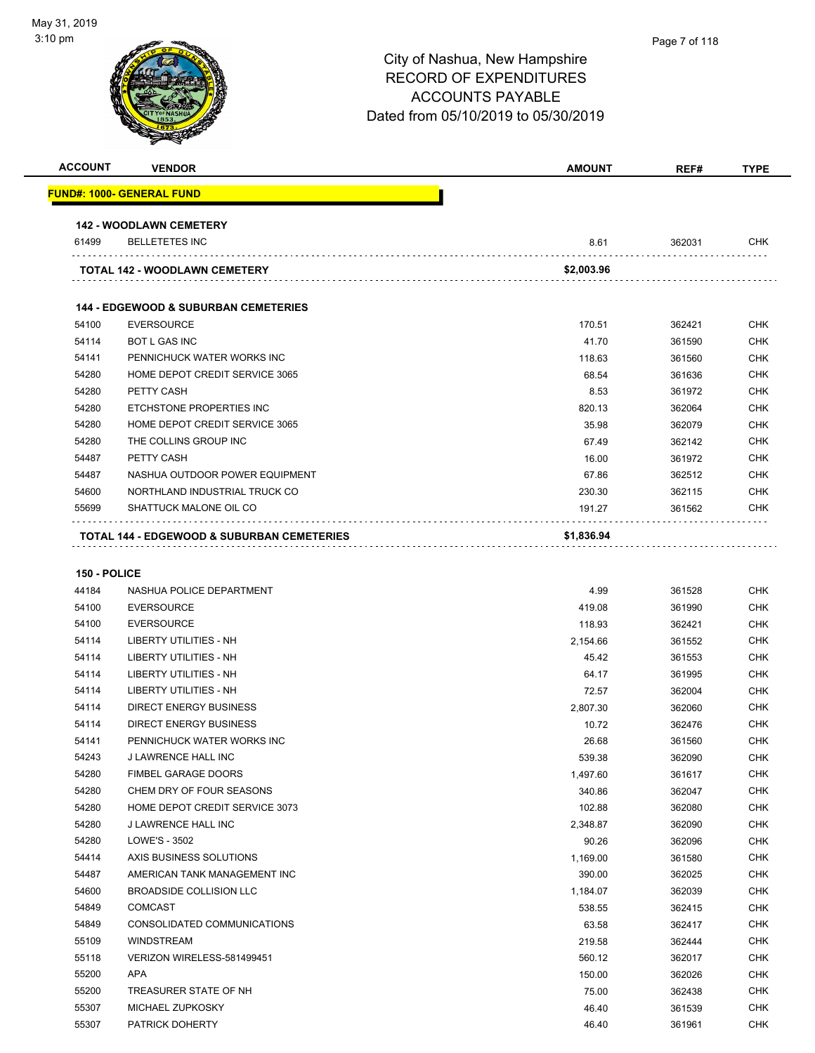| <b>ACCOUNT</b> | <b>VENDOR</b>                                         | <b>AMOUNT</b> | REF#   | <b>TYPE</b> |
|----------------|-------------------------------------------------------|---------------|--------|-------------|
|                | <b>FUND#: 1000- GENERAL FUND</b>                      |               |        |             |
|                | <b>142 - WOODLAWN CEMETERY</b>                        |               |        |             |
| 61499          | <b>BELLETETES INC</b>                                 | 8.61          | 362031 | <b>CHK</b>  |
|                | <b>TOTAL 142 - WOODLAWN CEMETERY</b>                  | \$2,003.96    |        |             |
|                | <b>144 - EDGEWOOD &amp; SUBURBAN CEMETERIES</b>       |               |        |             |
| 54100          | <b>EVERSOURCE</b>                                     | 170.51        | 362421 | <b>CHK</b>  |
| 54114          | <b>BOT L GAS INC</b>                                  | 41.70         | 361590 | <b>CHK</b>  |
| 54141          | PENNICHUCK WATER WORKS INC                            | 118.63        | 361560 | <b>CHK</b>  |
| 54280          | HOME DEPOT CREDIT SERVICE 3065                        | 68.54         | 361636 | <b>CHK</b>  |
| 54280          | PETTY CASH                                            | 8.53          | 361972 | <b>CHK</b>  |
| 54280          | ETCHSTONE PROPERTIES INC                              | 820.13        | 362064 | <b>CHK</b>  |
| 54280          | HOME DEPOT CREDIT SERVICE 3065                        | 35.98         | 362079 | <b>CHK</b>  |
| 54280          | THE COLLINS GROUP INC                                 | 67.49         | 362142 | <b>CHK</b>  |
| 54487          | PETTY CASH                                            | 16.00         | 361972 | <b>CHK</b>  |
| 54487          | NASHUA OUTDOOR POWER EQUIPMENT                        | 67.86         | 362512 | <b>CHK</b>  |
| 54600          | NORTHLAND INDUSTRIAL TRUCK CO                         | 230.30        | 362115 | <b>CHK</b>  |
| 55699          | SHATTUCK MALONE OIL CO                                | 191.27        | 361562 | <b>CHK</b>  |
|                | <b>TOTAL 144 - EDGEWOOD &amp; SUBURBAN CEMETERIES</b> | \$1,836.94    |        |             |

eration of the MASHUA POLICE DEPARTMENT and the control of the control of the control of the control of the control of the control of the control of the control of the control of the control of the control of the control o

 MICHAEL ZUPKOSKY 46.40 361539 CHK PATRICK DOHERTY 46.40 361961 CHK

| 54100 | <b>EVERSOURCE</b>              | 419.08   | 361990 | CHK        |
|-------|--------------------------------|----------|--------|------------|
| 54100 | <b>EVERSOURCE</b>              | 118.93   | 362421 | <b>CHK</b> |
| 54114 | LIBERTY UTILITIES - NH         | 2,154.66 | 361552 | <b>CHK</b> |
| 54114 | LIBERTY UTILITIES - NH         | 45.42    | 361553 | <b>CHK</b> |
| 54114 | LIBERTY UTILITIES - NH         | 64.17    | 361995 | <b>CHK</b> |
| 54114 | LIBERTY UTILITIES - NH         | 72.57    | 362004 | <b>CHK</b> |
| 54114 | <b>DIRECT ENERGY BUSINESS</b>  | 2,807.30 | 362060 | <b>CHK</b> |
| 54114 | <b>DIRECT ENERGY BUSINESS</b>  | 10.72    | 362476 | <b>CHK</b> |
| 54141 | PENNICHUCK WATER WORKS INC     | 26.68    | 361560 | <b>CHK</b> |
| 54243 | J LAWRENCE HALL INC            | 539.38   | 362090 | <b>CHK</b> |
| 54280 | <b>FIMBEL GARAGE DOORS</b>     | 1,497.60 | 361617 | <b>CHK</b> |
| 54280 | CHEM DRY OF FOUR SEASONS       | 340.86   | 362047 | <b>CHK</b> |
| 54280 | HOME DEPOT CREDIT SERVICE 3073 | 102.88   | 362080 | <b>CHK</b> |
| 54280 | <b>J LAWRENCE HALL INC</b>     | 2,348.87 | 362090 | <b>CHK</b> |

 LOWE'S - 3502 90.26 362096 CHK AXIS BUSINESS SOLUTIONS 1,169.00 361580 CHK AMERICAN TANK MANAGEMENT INC 390.00 362025 CHK BROADSIDE COLLISION LLC 1,184.07 362039 CHK COMCAST 538.55 362415 CHK CONSOLIDATED COMMUNICATIONS 63.58 362417 CHK WINDSTREAM 219.58 362444 CHK VERIZON WIRELESS-581499451 560.12 362017 CHK APA 150.00 362026 CHK TREASURER STATE OF NH 75.00 362438 CHK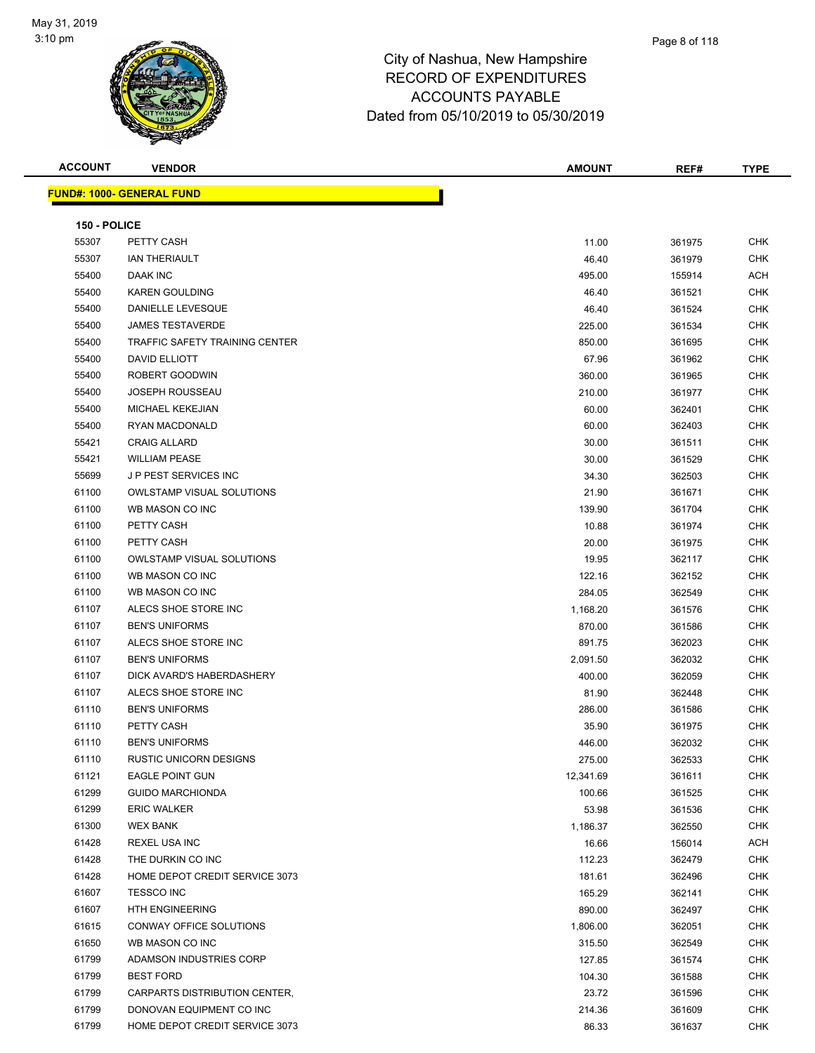

| <b>ACCOUNT</b> | <b>VENDOR</b>                         | <b>AMOUNT</b> | REF#   | <b>TYPE</b> |
|----------------|---------------------------------------|---------------|--------|-------------|
|                | <u> FUND#: 1000- GENERAL FUND</u>     |               |        |             |
|                |                                       |               |        |             |
| 150 - POLICE   | PETTY CASH                            |               |        |             |
| 55307          |                                       | 11.00         | 361975 | CHK         |
| 55307          | <b>IAN THERIAULT</b>                  | 46.40         | 361979 | <b>CHK</b>  |
| 55400          | DAAK INC                              | 495.00        | 155914 | ACH         |
| 55400          | <b>KAREN GOULDING</b>                 | 46.40         | 361521 | CHK         |
| 55400          | DANIELLE LEVESQUE                     | 46.40         | 361524 | <b>CHK</b>  |
| 55400          | <b>JAMES TESTAVERDE</b>               | 225.00        | 361534 | <b>CHK</b>  |
| 55400          | <b>TRAFFIC SAFETY TRAINING CENTER</b> | 850.00        | 361695 | <b>CHK</b>  |
| 55400          | DAVID ELLIOTT                         | 67.96         | 361962 | <b>CHK</b>  |
| 55400          | ROBERT GOODWIN                        | 360.00        | 361965 | CHK         |
| 55400          | JOSEPH ROUSSEAU                       | 210.00        | 361977 | CHK         |
| 55400          | <b>MICHAEL KEKEJIAN</b>               | 60.00         | 362401 | <b>CHK</b>  |
| 55400          | <b>RYAN MACDONALD</b>                 | 60.00         | 362403 | CHK         |
| 55421          | <b>CRAIG ALLARD</b>                   | 30.00         | 361511 | <b>CHK</b>  |
| 55421          | <b>WILLIAM PEASE</b>                  | 30.00         | 361529 | <b>CHK</b>  |
| 55699          | <b>JP PEST SERVICES INC</b>           | 34.30         | 362503 | <b>CHK</b>  |
| 61100          | <b>OWLSTAMP VISUAL SOLUTIONS</b>      | 21.90         | 361671 | <b>CHK</b>  |
| 61100          | WB MASON CO INC                       | 139.90        | 361704 | <b>CHK</b>  |
| 61100          | PETTY CASH                            | 10.88         | 361974 | <b>CHK</b>  |
| 61100          | PETTY CASH                            | 20.00         | 361975 | <b>CHK</b>  |
| 61100          | <b>OWLSTAMP VISUAL SOLUTIONS</b>      | 19.95         | 362117 | CHK         |
| 61100          | WB MASON CO INC                       | 122.16        | 362152 | CHK         |
| 61100          | WB MASON CO INC                       | 284.05        | 362549 | <b>CHK</b>  |
| 61107          | ALECS SHOE STORE INC                  | 1,168.20      | 361576 | CHK         |
| 61107          | <b>BEN'S UNIFORMS</b>                 | 870.00        | 361586 | <b>CHK</b>  |
| 61107          | ALECS SHOE STORE INC                  | 891.75        | 362023 | <b>CHK</b>  |
| 61107          | <b>BEN'S UNIFORMS</b>                 | 2,091.50      | 362032 | CHK         |
| 61107          | DICK AVARD'S HABERDASHERY             | 400.00        | 362059 | <b>CHK</b>  |
| 61107          | ALECS SHOE STORE INC                  | 81.90         | 362448 | <b>CHK</b>  |
| 61110          | <b>BEN'S UNIFORMS</b>                 | 286.00        | 361586 | <b>CHK</b>  |
| 61110          | PETTY CASH                            | 35.90         | 361975 | <b>CHK</b>  |
| 61110          | <b>BEN'S UNIFORMS</b>                 | 446.00        | 362032 | CHK         |
| 61110          | RUSTIC UNICORN DESIGNS                | 275.00        | 362533 | <b>CHK</b>  |
| 61121          | <b>EAGLE POINT GUN</b>                | 12,341.69     | 361611 | CHK         |
| 61299          | <b>GUIDO MARCHIONDA</b>               | 100.66        | 361525 | CHK         |
| 61299          | <b>ERIC WALKER</b>                    | 53.98         | 361536 | <b>CHK</b>  |
| 61300          | <b>WEX BANK</b>                       | 1,186.37      |        | <b>CHK</b>  |
|                | <b>REXEL USA INC</b>                  |               | 362550 |             |
| 61428          |                                       | 16.66         | 156014 | ACH         |
| 61428          | THE DURKIN CO INC                     | 112.23        | 362479 | <b>CHK</b>  |
| 61428          | HOME DEPOT CREDIT SERVICE 3073        | 181.61        | 362496 | <b>CHK</b>  |
| 61607          | <b>TESSCO INC</b>                     | 165.29        | 362141 | <b>CHK</b>  |
| 61607          | <b>HTH ENGINEERING</b>                | 890.00        | 362497 | <b>CHK</b>  |
| 61615          | CONWAY OFFICE SOLUTIONS               | 1,806.00      | 362051 | <b>CHK</b>  |
| 61650          | WB MASON CO INC                       | 315.50        | 362549 | <b>CHK</b>  |
| 61799          | ADAMSON INDUSTRIES CORP               | 127.85        | 361574 | <b>CHK</b>  |
| 61799          | <b>BEST FORD</b>                      | 104.30        | 361588 | CHK         |
| 61799          | CARPARTS DISTRIBUTION CENTER,         | 23.72         | 361596 | <b>CHK</b>  |
| 61799          | DONOVAN EQUIPMENT CO INC              | 214.36        | 361609 | <b>CHK</b>  |
| 61799          | HOME DEPOT CREDIT SERVICE 3073        | 86.33         | 361637 | <b>CHK</b>  |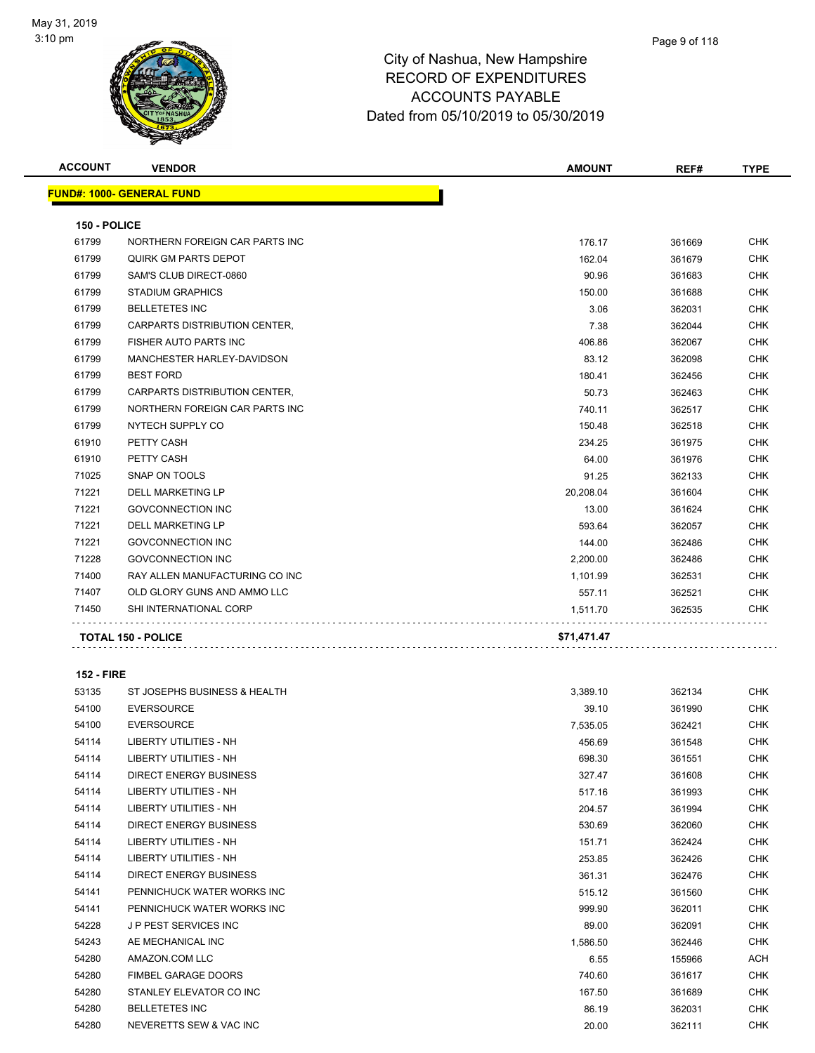

| <b>ACCOUNT</b>    | <b>VENDOR</b>                    | <b>AMOUNT</b> | REF#   | <b>TYPE</b> |
|-------------------|----------------------------------|---------------|--------|-------------|
|                   | <b>FUND#: 1000- GENERAL FUND</b> |               |        |             |
| 150 - POLICE      |                                  |               |        |             |
| 61799             | NORTHERN FOREIGN CAR PARTS INC   | 176.17        | 361669 | <b>CHK</b>  |
| 61799             | QUIRK GM PARTS DEPOT             | 162.04        | 361679 | CHK         |
| 61799             | SAM'S CLUB DIRECT-0860           | 90.96         | 361683 | <b>CHK</b>  |
| 61799             | <b>STADIUM GRAPHICS</b>          | 150.00        | 361688 | <b>CHK</b>  |
| 61799             | <b>BELLETETES INC</b>            | 3.06          | 362031 | <b>CHK</b>  |
| 61799             | CARPARTS DISTRIBUTION CENTER,    | 7.38          | 362044 | <b>CHK</b>  |
| 61799             | FISHER AUTO PARTS INC            | 406.86        | 362067 | <b>CHK</b>  |
| 61799             | MANCHESTER HARLEY-DAVIDSON       | 83.12         | 362098 | <b>CHK</b>  |
| 61799             | <b>BEST FORD</b>                 | 180.41        | 362456 | <b>CHK</b>  |
| 61799             | CARPARTS DISTRIBUTION CENTER,    | 50.73         | 362463 | <b>CHK</b>  |
| 61799             | NORTHERN FOREIGN CAR PARTS INC   | 740.11        | 362517 | CHK         |
| 61799             | NYTECH SUPPLY CO                 | 150.48        | 362518 | CHK         |
| 61910             | PETTY CASH                       | 234.25        | 361975 | CHK         |
| 61910             | PETTY CASH                       | 64.00         | 361976 | <b>CHK</b>  |
| 71025             | SNAP ON TOOLS                    | 91.25         | 362133 | <b>CHK</b>  |
| 71221             | <b>DELL MARKETING LP</b>         | 20,208.04     | 361604 | CHK         |
| 71221             | <b>GOVCONNECTION INC</b>         | 13.00         | 361624 | <b>CHK</b>  |
| 71221             | <b>DELL MARKETING LP</b>         | 593.64        | 362057 | <b>CHK</b>  |
| 71221             | <b>GOVCONNECTION INC</b>         | 144.00        | 362486 | CHK         |
| 71228             | <b>GOVCONNECTION INC</b>         | 2,200.00      | 362486 | CHK         |
| 71400             | RAY ALLEN MANUFACTURING CO INC   | 1,101.99      | 362531 | CHK         |
| 71407             | OLD GLORY GUNS AND AMMO LLC      | 557.11        | 362521 | <b>CHK</b>  |
| 71450             | SHI INTERNATIONAL CORP           | 1,511.70      | 362535 | CHK         |
|                   | <b>TOTAL 150 - POLICE</b>        | \$71,471.47   |        |             |
|                   |                                  |               |        |             |
| <b>152 - FIRE</b> |                                  |               |        |             |

| 53135 | ST JOSEPHS BUSINESS & HEALTH  | 3,389.10 | 362134 | CHK        |
|-------|-------------------------------|----------|--------|------------|
| 54100 | <b>EVERSOURCE</b>             | 39.10    | 361990 | <b>CHK</b> |
| 54100 | <b>EVERSOURCE</b>             | 7,535.05 | 362421 | <b>CHK</b> |
| 54114 | <b>LIBERTY UTILITIES - NH</b> | 456.69   | 361548 | <b>CHK</b> |
| 54114 | LIBERTY UTILITIES - NH        | 698.30   | 361551 | <b>CHK</b> |
| 54114 | <b>DIRECT ENERGY BUSINESS</b> | 327.47   | 361608 | <b>CHK</b> |
| 54114 | <b>LIBERTY UTILITIES - NH</b> | 517.16   | 361993 | <b>CHK</b> |
| 54114 | <b>LIBERTY UTILITIES - NH</b> | 204.57   | 361994 | <b>CHK</b> |
| 54114 | DIRECT ENERGY BUSINESS        | 530.69   | 362060 | <b>CHK</b> |
| 54114 | LIBERTY UTILITIES - NH        | 151.71   | 362424 | CHK        |
| 54114 | <b>LIBERTY UTILITIES - NH</b> | 253.85   | 362426 | CHK        |
| 54114 | <b>DIRECT ENERGY BUSINESS</b> | 361.31   | 362476 | <b>CHK</b> |
| 54141 | PENNICHUCK WATER WORKS INC    | 515.12   | 361560 | <b>CHK</b> |
| 54141 | PENNICHUCK WATER WORKS INC    | 999.90   | 362011 | <b>CHK</b> |
| 54228 | <b>JP PEST SERVICES INC</b>   | 89.00    | 362091 | <b>CHK</b> |
| 54243 | AE MECHANICAL INC             | 1,586.50 | 362446 | <b>CHK</b> |
| 54280 | AMAZON.COM LLC                | 6.55     | 155966 | ACH        |
| 54280 | FIMBEL GARAGE DOORS           | 740.60   | 361617 | <b>CHK</b> |
| 54280 | STANLEY ELEVATOR CO INC       | 167.50   | 361689 | <b>CHK</b> |
| 54280 | <b>BELLETETES INC</b>         | 86.19    | 362031 | <b>CHK</b> |
| 54280 | NEVERETTS SEW & VAC INC       | 20.00    | 362111 | <b>CHK</b> |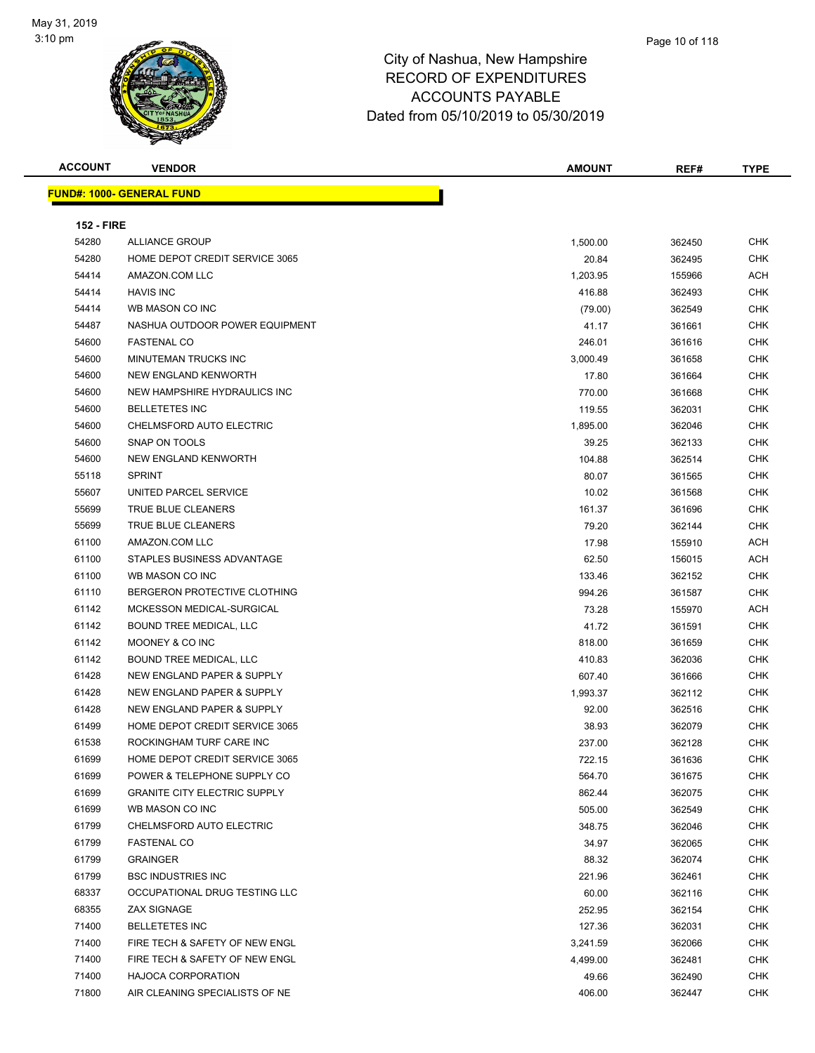

| w                                | <b>ACCOUNTS PAYABLE</b><br>Dated from 05/10/2019 to 05/30/2019 |        |             |
|----------------------------------|----------------------------------------------------------------|--------|-------------|
| <b>ACCOUNT</b><br><b>VENDOR</b>  | <b>AMOUNT</b>                                                  | REF#   | <b>TYPE</b> |
| <u> JND#: 1000- GENERAL FUND</u> |                                                                |        |             |
| <b>152 - FIRE</b>                |                                                                |        |             |
| <b>54280</b><br>ALLIANCE CROID   | <b>500.00</b>                                                  | 362450 | <b>CHK</b>  |

**FUND#: 1000- GENERAL FUND**

| 54280 | <b>ALLIANCE GROUP</b>               | 1,500.00 | 362450 | <b>CHK</b> |
|-------|-------------------------------------|----------|--------|------------|
| 54280 | HOME DEPOT CREDIT SERVICE 3065      | 20.84    | 362495 | <b>CHK</b> |
| 54414 | AMAZON.COM LLC                      | 1,203.95 | 155966 | <b>ACH</b> |
| 54414 | <b>HAVIS INC</b>                    | 416.88   | 362493 | <b>CHK</b> |
| 54414 | WB MASON CO INC                     | (79.00)  | 362549 | <b>CHK</b> |
| 54487 | NASHUA OUTDOOR POWER EQUIPMENT      | 41.17    | 361661 | <b>CHK</b> |
| 54600 | <b>FASTENAL CO</b>                  | 246.01   | 361616 | <b>CHK</b> |
| 54600 | <b>MINUTEMAN TRUCKS INC</b>         | 3,000.49 | 361658 | <b>CHK</b> |
| 54600 | <b>NEW ENGLAND KENWORTH</b>         | 17.80    | 361664 | <b>CHK</b> |
| 54600 | NEW HAMPSHIRE HYDRAULICS INC        | 770.00   | 361668 | <b>CHK</b> |
| 54600 | <b>BELLETETES INC</b>               | 119.55   | 362031 | <b>CHK</b> |
| 54600 | CHELMSFORD AUTO ELECTRIC            | 1,895.00 | 362046 | <b>CHK</b> |
| 54600 | SNAP ON TOOLS                       | 39.25    | 362133 | <b>CHK</b> |
| 54600 | NEW ENGLAND KENWORTH                | 104.88   | 362514 | <b>CHK</b> |
| 55118 | <b>SPRINT</b>                       | 80.07    | 361565 | <b>CHK</b> |
| 55607 | UNITED PARCEL SERVICE               | 10.02    | 361568 | <b>CHK</b> |
| 55699 | TRUE BLUE CLEANERS                  | 161.37   | 361696 | <b>CHK</b> |
| 55699 | TRUE BLUE CLEANERS                  | 79.20    | 362144 | <b>CHK</b> |
| 61100 | AMAZON.COM LLC                      | 17.98    | 155910 | <b>ACH</b> |
| 61100 | STAPLES BUSINESS ADVANTAGE          | 62.50    | 156015 | <b>ACH</b> |
| 61100 | WB MASON CO INC                     | 133.46   | 362152 | <b>CHK</b> |
| 61110 | BERGERON PROTECTIVE CLOTHING        | 994.26   | 361587 | <b>CHK</b> |
| 61142 | MCKESSON MEDICAL-SURGICAL           | 73.28    | 155970 | <b>ACH</b> |
| 61142 | <b>BOUND TREE MEDICAL, LLC</b>      | 41.72    | 361591 | <b>CHK</b> |
| 61142 | MOONEY & CO INC                     | 818.00   | 361659 | <b>CHK</b> |
| 61142 | BOUND TREE MEDICAL, LLC             | 410.83   | 362036 | <b>CHK</b> |
| 61428 | NEW ENGLAND PAPER & SUPPLY          | 607.40   | 361666 | <b>CHK</b> |
| 61428 | NEW ENGLAND PAPER & SUPPLY          | 1,993.37 | 362112 | <b>CHK</b> |
| 61428 | NEW ENGLAND PAPER & SUPPLY          | 92.00    | 362516 | <b>CHK</b> |
| 61499 | HOME DEPOT CREDIT SERVICE 3065      | 38.93    | 362079 | <b>CHK</b> |
| 61538 | ROCKINGHAM TURF CARE INC            | 237.00   | 362128 | <b>CHK</b> |
| 61699 | HOME DEPOT CREDIT SERVICE 3065      | 722.15   | 361636 | <b>CHK</b> |
| 61699 | POWER & TELEPHONE SUPPLY CO         | 564.70   | 361675 | CHK        |
| 61699 | <b>GRANITE CITY ELECTRIC SUPPLY</b> | 862.44   | 362075 | <b>CHK</b> |
| 61699 | WB MASON CO INC                     | 505.00   | 362549 | <b>CHK</b> |
| 61799 | CHELMSFORD AUTO ELECTRIC            | 348.75   | 362046 | <b>CHK</b> |
| 61799 | <b>FASTENAL CO</b>                  | 34.97    | 362065 | <b>CHK</b> |
| 61799 | <b>GRAINGER</b>                     | 88.32    | 362074 | <b>CHK</b> |
| 61799 | <b>BSC INDUSTRIES INC</b>           | 221.96   | 362461 | <b>CHK</b> |
| 68337 | OCCUPATIONAL DRUG TESTING LLC       | 60.00    | 362116 | <b>CHK</b> |
| 68355 | <b>ZAX SIGNAGE</b>                  | 252.95   | 362154 | <b>CHK</b> |
| 71400 | <b>BELLETETES INC</b>               | 127.36   | 362031 | <b>CHK</b> |
| 71400 | FIRE TECH & SAFETY OF NEW ENGL      | 3,241.59 | 362066 | <b>CHK</b> |
| 71400 | FIRE TECH & SAFETY OF NEW ENGL      | 4,499.00 | 362481 | CHK        |
| 71400 | HAJOCA CORPORATION                  | 49.66    | 362490 | CHK        |
| 71800 | AIR CLEANING SPECIALISTS OF NE      | 406.00   | 362447 | <b>CHK</b> |
|       |                                     |          |        |            |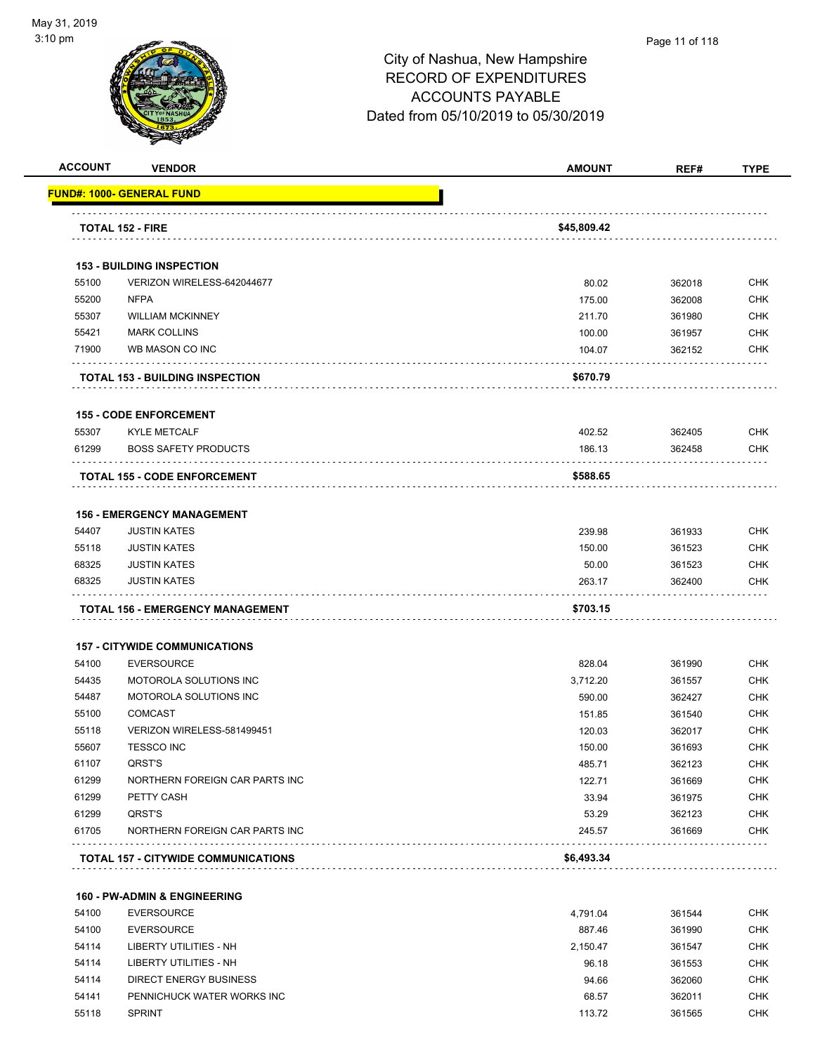

#### Page 11 of 118

## City of Nashua, New Hampshire RECORD OF EXPENDITURES ACCOUNTS PAYABLE Dated from 05/10/2019 to 05/30/2019

| <b>ACCOUNT</b> | <b>VENDOR</b>                           | <b>AMOUNT</b> | REF#   | <b>TYPE</b> |
|----------------|-----------------------------------------|---------------|--------|-------------|
|                | <u> FUND#: 1000- GENERAL FUND</u>       |               |        |             |
|                | <b>TOTAL 152 - FIRE</b>                 | \$45,809.42   |        |             |
|                |                                         |               |        |             |
|                | <b>153 - BUILDING INSPECTION</b>        |               |        |             |
| 55100          | VERIZON WIRELESS-642044677              | 80.02         | 362018 | <b>CHK</b>  |
| 55200          | <b>NFPA</b>                             | 175.00        | 362008 | <b>CHK</b>  |
| 55307          | <b>WILLIAM MCKINNEY</b>                 | 211.70        | 361980 | <b>CHK</b>  |
| 55421          | <b>MARK COLLINS</b>                     | 100.00        | 361957 | <b>CHK</b>  |
| 71900          | WB MASON CO INC                         | 104.07        | 362152 | <b>CHK</b>  |
|                | <b>TOTAL 153 - BUILDING INSPECTION</b>  | \$670.79      |        |             |
|                | <b>155 - CODE ENFORCEMENT</b>           |               |        |             |
| 55307          | <b>KYLE METCALF</b>                     | 402.52        | 362405 | <b>CHK</b>  |
| 61299          | <b>BOSS SAFETY PRODUCTS</b>             | 186.13        | 362458 | CHK         |
|                | <b>TOTAL 155 - CODE ENFORCEMENT</b>     | \$588.65      |        |             |
|                |                                         |               |        |             |
|                | <b>156 - EMERGENCY MANAGEMENT</b>       |               |        |             |
| 54407          | <b>JUSTIN KATES</b>                     | 239.98        | 361933 | <b>CHK</b>  |
| 55118          | <b>JUSTIN KATES</b>                     | 150.00        | 361523 | <b>CHK</b>  |
| 68325          | <b>JUSTIN KATES</b>                     | 50.00         | 361523 | <b>CHK</b>  |
| 68325          | <b>JUSTIN KATES</b>                     | 263.17        | 362400 | CHK         |
|                | <b>TOTAL 156 - EMERGENCY MANAGEMENT</b> | \$703.15      |        |             |
|                | <b>157 - CITYWIDE COMMUNICATIONS</b>    |               |        |             |
| 54100          | <b>EVERSOURCE</b>                       | 828.04        | 361990 | <b>CHK</b>  |
| 54435          | MOTOROLA SOLUTIONS INC                  | 3,712.20      | 361557 | <b>CHK</b>  |
| 54487          | MOTOROLA SOLUTIONS INC                  | 590.00        | 362427 | <b>CHK</b>  |
| 55100          | <b>COMCAST</b>                          | 151.85        | 361540 | <b>CHK</b>  |
| 55118          | VERIZON WIRELESS-581499451              | 120.03        | 362017 | <b>CHK</b>  |
| 55607          | <b>TESSCO INC</b>                       | 150.00        | 361693 | <b>CHK</b>  |
| 61107          | QRST'S                                  | 485.71        | 362123 | <b>CHK</b>  |
| 61299          | NORTHERN FOREIGN CAR PARTS INC          | 122.71        | 361669 | <b>CHK</b>  |
| 61299          | PETTY CASH                              | 33.94         | 361975 | <b>CHK</b>  |
| 61299          | QRST'S                                  | 53.29         | 362123 | <b>CHK</b>  |
| 61705          | NORTHERN FOREIGN CAR PARTS INC          | 245.57        | 361669 | <b>CHK</b>  |
|                | TOTAL 157 - CITYWIDE COMMUNICATIONS     | \$6,493.34    |        |             |
|                | 160 - PW-ADMIN & ENGINEERING            |               |        |             |
| 54100          | <b>EVERSOURCE</b>                       |               |        | <b>CHK</b>  |
| 54100          | <b>EVERSOURCE</b>                       | 4,791.04      | 361544 | <b>CHK</b>  |
|                |                                         | 887.46        | 361990 | <b>CHK</b>  |
| 54114          | <b>LIBERTY UTILITIES - NH</b>           | 2,150.47      | 361547 |             |

 LIBERTY UTILITIES - NH 96.18 361553 CHK DIRECT ENERGY BUSINESS 94.66 362060 CHK PENNICHUCK WATER WORKS INC 68.57 362011 CHK SPRINT 113.72 361565 CHK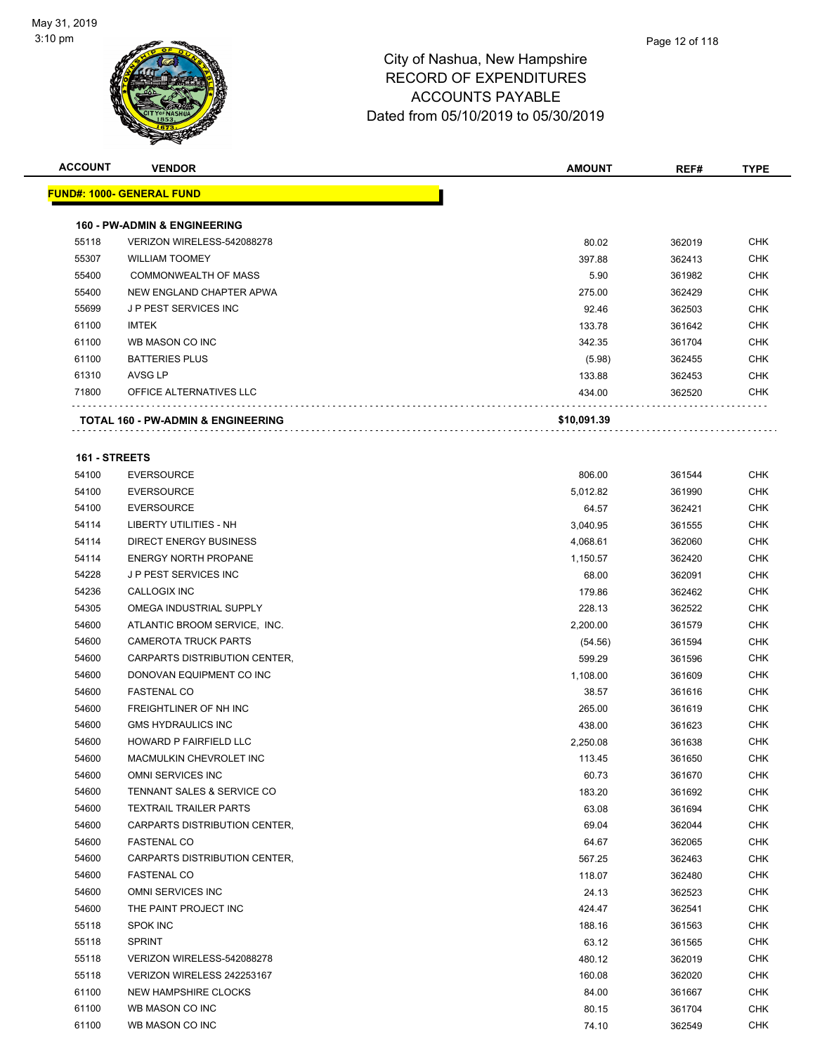

| <b>ACCOUNT</b> | <b>VENDOR</b>                                 | <b>AMOUNT</b> | REF#   | <b>TYPE</b> |
|----------------|-----------------------------------------------|---------------|--------|-------------|
|                | <u> FUND#: 1000- GENERAL FUND</u>             |               |        |             |
|                |                                               |               |        |             |
|                | <b>160 - PW-ADMIN &amp; ENGINEERING</b>       |               |        |             |
| 55118          | VERIZON WIRELESS-542088278                    | 80.02         | 362019 | <b>CHK</b>  |
| 55307          | <b>WILLIAM TOOMEY</b>                         | 397.88        | 362413 | <b>CHK</b>  |
| 55400          | <b>COMMONWEALTH OF MASS</b>                   | 5.90          | 361982 | <b>CHK</b>  |
| 55400          | NEW ENGLAND CHAPTER APWA                      | 275.00        | 362429 | <b>CHK</b>  |
| 55699          | <b>JP PEST SERVICES INC</b>                   | 92.46         | 362503 | <b>CHK</b>  |
| 61100          | <b>IMTEK</b>                                  | 133.78        | 361642 | <b>CHK</b>  |
| 61100          | WB MASON CO INC                               | 342.35        | 361704 | <b>CHK</b>  |
| 61100          | <b>BATTERIES PLUS</b>                         | (5.98)        | 362455 | <b>CHK</b>  |
| 61310          | AVSG LP                                       | 133.88        | 362453 | <b>CHK</b>  |
| 71800          | OFFICE ALTERNATIVES LLC                       | 434.00        | 362520 | <b>CHK</b>  |
|                | <b>TOTAL 160 - PW-ADMIN &amp; ENGINEERING</b> | \$10,091.39   |        |             |
|                |                                               |               |        |             |
| 161 - STREETS  |                                               |               |        |             |
| 54100          | <b>EVERSOURCE</b>                             | 806.00        | 361544 | <b>CHK</b>  |
| 54100          | <b>EVERSOURCE</b>                             | 5,012.82      | 361990 | <b>CHK</b>  |
| 54100          | <b>EVERSOURCE</b>                             | 64.57         | 362421 | <b>CHK</b>  |
| 54114          | <b>LIBERTY UTILITIES - NH</b>                 | 3,040.95      | 361555 | CHK         |
| 54114          | <b>DIRECT ENERGY BUSINESS</b>                 | 4,068.61      | 362060 | <b>CHK</b>  |
| 54114          | <b>ENERGY NORTH PROPANE</b>                   | 1,150.57      | 362420 | <b>CHK</b>  |
| 54228          | <b>JP PEST SERVICES INC</b>                   | 68.00         | 362091 | <b>CHK</b>  |
| 54236          | CALLOGIX INC                                  | 179.86        | 362462 | <b>CHK</b>  |
| 54305          | OMEGA INDUSTRIAL SUPPLY                       | 228.13        | 362522 | CHK         |
| 54600          | ATLANTIC BROOM SERVICE, INC.                  | 2,200.00      | 361579 | CHK         |
| 54600          | <b>CAMEROTA TRUCK PARTS</b>                   | (54.56)       | 361594 | <b>CHK</b>  |
| 54600          | CARPARTS DISTRIBUTION CENTER,                 | 599.29        | 361596 | <b>CHK</b>  |
| 54600          | DONOVAN EQUIPMENT CO INC                      | 1,108.00      | 361609 | <b>CHK</b>  |
| 54600          | <b>FASTENAL CO</b>                            | 38.57         | 361616 | <b>CHK</b>  |
| 54600          | FREIGHTLINER OF NH INC                        | 265.00        | 361619 | <b>CHK</b>  |
| 54600          | <b>GMS HYDRAULICS INC</b>                     | 438.00        | 361623 | <b>CHK</b>  |
| 54600          | HOWARD P FAIRFIELD LLC                        | 2,250.08      | 361638 | <b>CHK</b>  |
| 54600          | MACMULKIN CHEVROLET INC                       | 113.45        | 361650 | <b>CHK</b>  |
| 54600          | OMNI SERVICES INC                             | 60.73         | 361670 | CHK         |
| 54600          | TENNANT SALES & SERVICE CO                    | 183.20        | 361692 | <b>CHK</b>  |
| 54600          | <b>TEXTRAIL TRAILER PARTS</b>                 | 63.08         | 361694 | <b>CHK</b>  |
| 54600          | CARPARTS DISTRIBUTION CENTER,                 | 69.04         | 362044 | <b>CHK</b>  |
| 54600          | <b>FASTENAL CO</b>                            | 64.67         | 362065 | <b>CHK</b>  |
| 54600          | CARPARTS DISTRIBUTION CENTER,                 | 567.25        | 362463 | <b>CHK</b>  |
| 54600          | <b>FASTENAL CO</b>                            | 118.07        | 362480 | <b>CHK</b>  |
| 54600          | OMNI SERVICES INC                             | 24.13         | 362523 | <b>CHK</b>  |
| 54600          | THE PAINT PROJECT INC                         | 424.47        | 362541 | <b>CHK</b>  |
| 55118          | <b>SPOK INC</b>                               | 188.16        | 361563 | <b>CHK</b>  |
| 55118          | <b>SPRINT</b>                                 | 63.12         | 361565 | <b>CHK</b>  |
| 55118          | VERIZON WIRELESS-542088278                    | 480.12        | 362019 | <b>CHK</b>  |
| 55118          | VERIZON WIRELESS 242253167                    | 160.08        | 362020 | <b>CHK</b>  |
| 61100          | NEW HAMPSHIRE CLOCKS                          | 84.00         | 361667 | <b>CHK</b>  |
| 61100          | WB MASON CO INC                               | 80.15         | 361704 | <b>CHK</b>  |
| 61100          | WB MASON CO INC                               | 74.10         | 362549 | <b>CHK</b>  |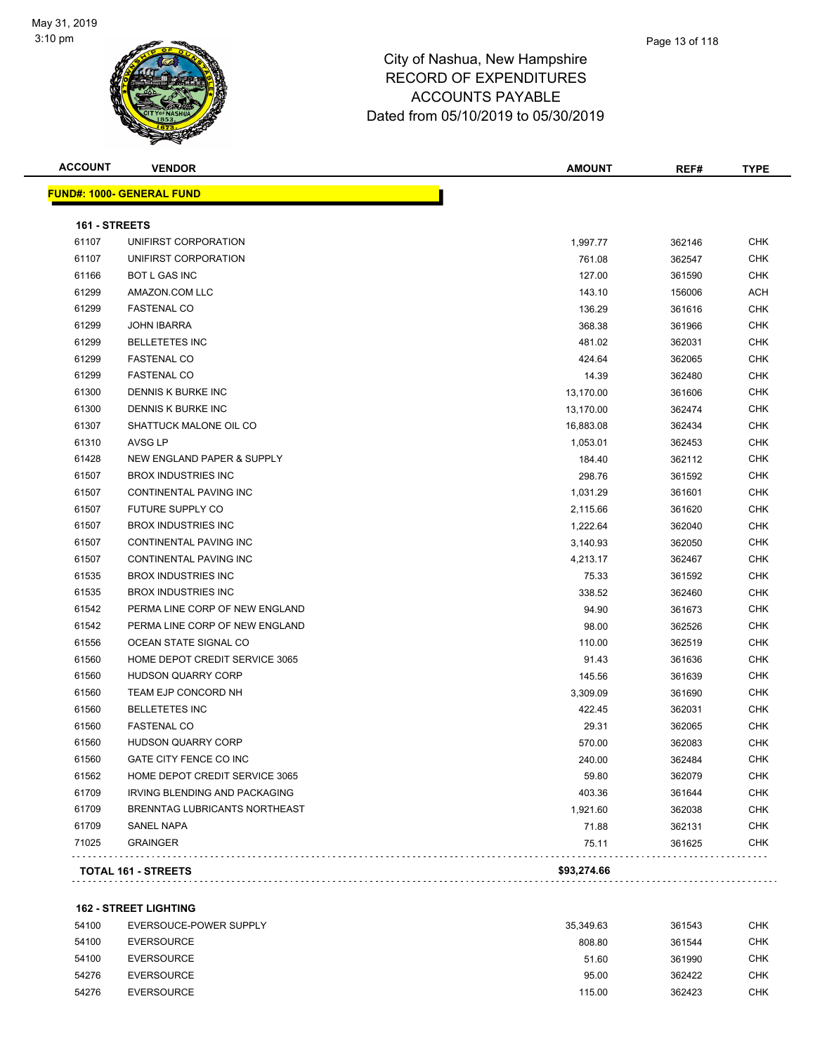

#### Page 13 of 118

## City of Nashua, New Hampshire RECORD OF EXPENDITURES ACCOUNTS PAYABLE Dated from 05/10/2019 to 05/30/2019

| <b>ACCOUNT</b> | <b>VENDOR</b>                        | <b>AMOUNT</b> | REF#   | <b>TYPE</b> |
|----------------|--------------------------------------|---------------|--------|-------------|
|                | <b>FUND#: 1000- GENERAL FUND</b>     |               |        |             |
| 161 - STREETS  |                                      |               |        |             |
| 61107          | UNIFIRST CORPORATION                 | 1,997.77      | 362146 | <b>CHK</b>  |
| 61107          | UNIFIRST CORPORATION                 | 761.08        | 362547 | <b>CHK</b>  |
| 61166          | BOT L GAS INC                        | 127.00        | 361590 | <b>CHK</b>  |
| 61299          | AMAZON.COM LLC                       | 143.10        | 156006 | ACH         |
| 61299          | <b>FASTENAL CO</b>                   | 136.29        | 361616 | <b>CHK</b>  |
| 61299          | <b>JOHN IBARRA</b>                   | 368.38        | 361966 | <b>CHK</b>  |
| 61299          | <b>BELLETETES INC</b>                | 481.02        | 362031 | <b>CHK</b>  |
| 61299          | <b>FASTENAL CO</b>                   | 424.64        | 362065 | <b>CHK</b>  |
| 61299          | <b>FASTENAL CO</b>                   | 14.39         | 362480 | <b>CHK</b>  |
| 61300          | DENNIS K BURKE INC                   | 13,170.00     | 361606 | <b>CHK</b>  |
| 61300          | DENNIS K BURKE INC                   | 13,170.00     | 362474 | <b>CHK</b>  |
| 61307          | SHATTUCK MALONE OIL CO               | 16,883.08     | 362434 | <b>CHK</b>  |
| 61310          | AVSG LP                              | 1,053.01      | 362453 | <b>CHK</b>  |
| 61428          | NEW ENGLAND PAPER & SUPPLY           | 184.40        | 362112 | <b>CHK</b>  |
| 61507          | <b>BROX INDUSTRIES INC</b>           | 298.76        | 361592 | CHK         |
| 61507          | CONTINENTAL PAVING INC               | 1,031.29      | 361601 | CHK         |
| 61507          | FUTURE SUPPLY CO                     | 2,115.66      | 361620 | <b>CHK</b>  |
| 61507          | <b>BROX INDUSTRIES INC</b>           | 1,222.64      | 362040 | CHK         |
| 61507          | CONTINENTAL PAVING INC               | 3,140.93      | 362050 | <b>CHK</b>  |
| 61507          | CONTINENTAL PAVING INC               | 4,213.17      | 362467 | CHK         |
| 61535          | <b>BROX INDUSTRIES INC</b>           | 75.33         | 361592 | <b>CHK</b>  |
| 61535          | <b>BROX INDUSTRIES INC</b>           | 338.52        | 362460 | <b>CHK</b>  |
| 61542          | PERMA LINE CORP OF NEW ENGLAND       | 94.90         | 361673 | <b>CHK</b>  |
| 61542          | PERMA LINE CORP OF NEW ENGLAND       | 98.00         | 362526 | <b>CHK</b>  |
| 61556          | OCEAN STATE SIGNAL CO                | 110.00        | 362519 | <b>CHK</b>  |
| 61560          | HOME DEPOT CREDIT SERVICE 3065       | 91.43         | 361636 | <b>CHK</b>  |
| 61560          | <b>HUDSON QUARRY CORP</b>            | 145.56        | 361639 | <b>CHK</b>  |
| 61560          | TEAM EJP CONCORD NH                  | 3,309.09      | 361690 | <b>CHK</b>  |
| 61560          | <b>BELLETETES INC</b>                | 422.45        | 362031 | <b>CHK</b>  |
| 61560          | <b>FASTENAL CO</b>                   | 29.31         | 362065 | <b>CHK</b>  |
| 61560          | <b>HUDSON QUARRY CORP</b>            | 570.00        | 362083 | <b>CHK</b>  |
| 61560          | GATE CITY FENCE CO INC               | 240.00        | 362484 | <b>CHK</b>  |
| 61562          | HOME DEPOT CREDIT SERVICE 3065       | 59.80         | 362079 | <b>CHK</b>  |
| 61709          | <b>IRVING BLENDING AND PACKAGING</b> | 403.36        | 361644 | <b>CHK</b>  |
| 61709          | BRENNTAG LUBRICANTS NORTHEAST        | 1,921.60      | 362038 | <b>CHK</b>  |
| 61709          | SANEL NAPA                           | 71.88         | 362131 | <b>CHK</b>  |
| 71025          | <b>GRAINGER</b>                      | 75.11         | 361625 | <b>CHK</b>  |
|                | TOTAL 161 - STREETS                  | \$93,274.66   |        |             |
|                |                                      |               |        |             |

**162 - STREET LIGHTING**

| 54100 | EVERSOUCE-POWER SUPPLY | 35.349.63 | 361543 | СНК |
|-------|------------------------|-----------|--------|-----|
| 54100 | EVERSOURCE             | 808.80    | 361544 | снк |
| 54100 | <b>EVERSOURCE</b>      | 51.60     | 361990 | снк |
| 54276 | <b>EVERSOURCE</b>      | 95.00     | 362422 | снк |
| 54276 | <b>EVERSOURCE</b>      | 115.00    | 362423 | снк |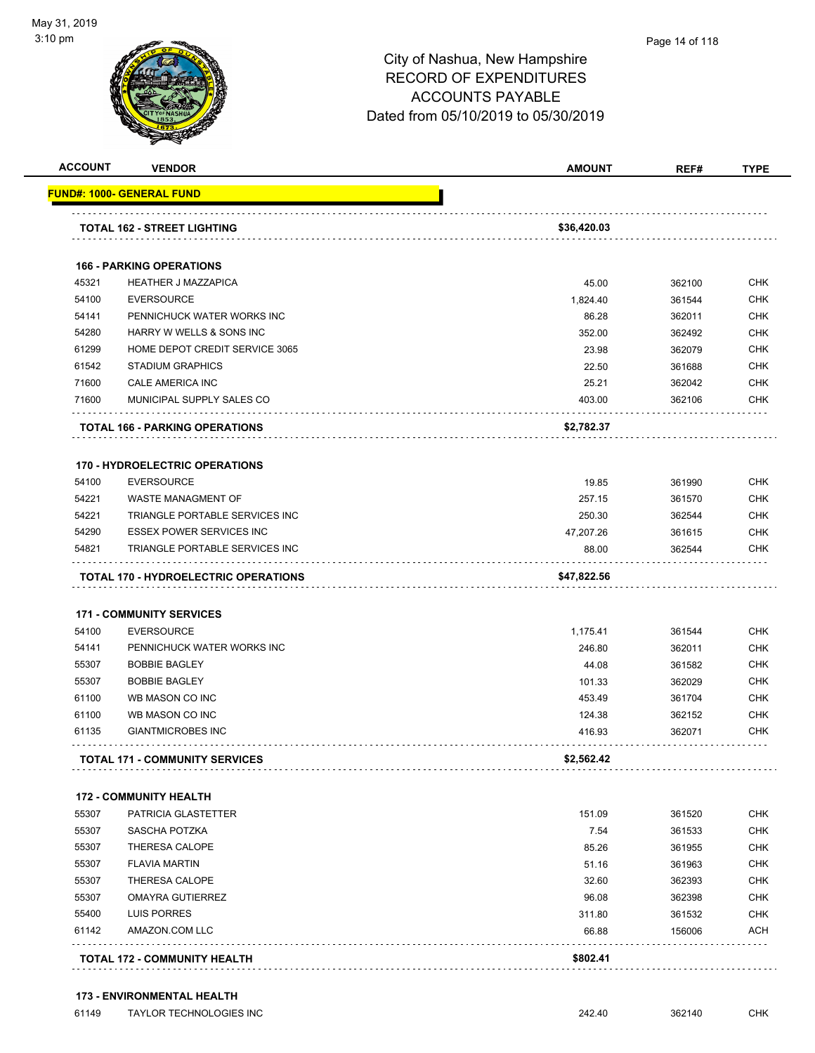

| <b>ACCOUNT</b> | <b>VENDOR</b>                                        | <b>AMOUNT</b>  | REF#             | TYPE                     |
|----------------|------------------------------------------------------|----------------|------------------|--------------------------|
|                | <u> FUND#: 1000- GENERAL FUND</u>                    |                |                  |                          |
|                | <b>TOTAL 162 - STREET LIGHTING</b>                   | \$36,420.03    |                  |                          |
|                | <b>166 - PARKING OPERATIONS</b>                      |                |                  |                          |
| 45321          | <b>HEATHER J MAZZAPICA</b>                           | 45.00          | 362100           | <b>CHK</b>               |
| 54100          | <b>EVERSOURCE</b>                                    | 1,824.40       | 361544           | <b>CHK</b>               |
| 54141          | PENNICHUCK WATER WORKS INC                           | 86.28          | 362011           | <b>CHK</b>               |
| 54280          | HARRY W WELLS & SONS INC                             | 352.00         | 362492           | <b>CHK</b>               |
| 61299          | HOME DEPOT CREDIT SERVICE 3065                       | 23.98          | 362079           | <b>CHK</b>               |
| 61542          | <b>STADIUM GRAPHICS</b>                              | 22.50          | 361688           | <b>CHK</b>               |
| 71600          | CALE AMERICA INC                                     | 25.21          | 362042           | <b>CHK</b>               |
| 71600          | MUNICIPAL SUPPLY SALES CO                            | 403.00         | 362106           | <b>CHK</b>               |
|                | <b>TOTAL 166 - PARKING OPERATIONS</b>                | \$2,782.37     |                  |                          |
|                | <b>170 - HYDROELECTRIC OPERATIONS</b>                |                |                  |                          |
| 54100          | <b>EVERSOURCE</b>                                    | 19.85          | 361990           | <b>CHK</b>               |
| 54221          | WASTE MANAGMENT OF                                   | 257.15         | 361570           | <b>CHK</b>               |
| 54221          | TRIANGLE PORTABLE SERVICES INC                       | 250.30         | 362544           | <b>CHK</b>               |
| 54290          | ESSEX POWER SERVICES INC                             | 47,207.26      | 361615           | <b>CHK</b>               |
| 54821          | <b>TRIANGLE PORTABLE SERVICES INC</b>                | 88.00          | 362544           | <b>CHK</b>               |
|                | <b>TOTAL 170 - HYDROELECTRIC OPERATIONS</b>          | \$47,822.56    |                  |                          |
|                | <b>171 - COMMUNITY SERVICES</b>                      |                |                  |                          |
| 54100          | <b>EVERSOURCE</b>                                    | 1,175.41       | 361544           | <b>CHK</b>               |
| 54141          | PENNICHUCK WATER WORKS INC                           | 246.80         | 362011           | <b>CHK</b>               |
| 55307          | <b>BOBBIE BAGLEY</b>                                 | 44.08          | 361582           | <b>CHK</b>               |
| 55307          | <b>BOBBIE BAGLEY</b>                                 | 101.33         | 362029           | <b>CHK</b>               |
| 61100          | WB MASON CO INC                                      | 453.49         | 361704           | <b>CHK</b>               |
| 61100          | WB MASON CO INC                                      | 124.38         | 362152           | <b>CHK</b>               |
| 61135          | <b>GIANTMICROBES INC</b>                             | 416.93         | 362071           | <b>CHK</b>               |
|                | <b>TOTAL 171 - COMMUNITY SERVICES</b>                | \$2,562.42     |                  |                          |
|                |                                                      |                |                  |                          |
| 55307          | <b>172 - COMMUNITY HEALTH</b><br>PATRICIA GLASTETTER | 151.09         |                  | CHK                      |
|                |                                                      |                | 361520           |                          |
| 55307          | SASCHA POTZKA<br>THERESA CALOPE                      | 7.54           | 361533           | <b>CHK</b>               |
| 55307          | <b>FLAVIA MARTIN</b>                                 | 85.26          | 361955           | <b>CHK</b>               |
| 55307<br>55307 | THERESA CALOPE                                       | 51.16<br>32.60 | 361963<br>362393 | <b>CHK</b><br><b>CHK</b> |

 55307 OMAYRA GUTIERREZ 96.08 362398 CHK 55400 LUIS PORRES 311.80 361532 CHK 61142 AMAZON.COM LLC 66.88 156006 ACH . . . . . . . . . . . . . . . . . . . . . . . . . . . . . . . . . . . . **TOTAL 172 - COMMUNITY HEALTH** \$802.41<br> **SAULARY SAULTER AND SAULTER SAULTER SAULTER SAULTER SAULTER SAULTER SAULTER SAULTER SAULTER SAULTER SAULTER S** 

#### **173 - ENVIRONMENTAL HEALTH**

| 61149 | LOR TECHNOLOGIES INC<br>TAYI | 242.40 | 362140 | СНК |
|-------|------------------------------|--------|--------|-----|
|-------|------------------------------|--------|--------|-----|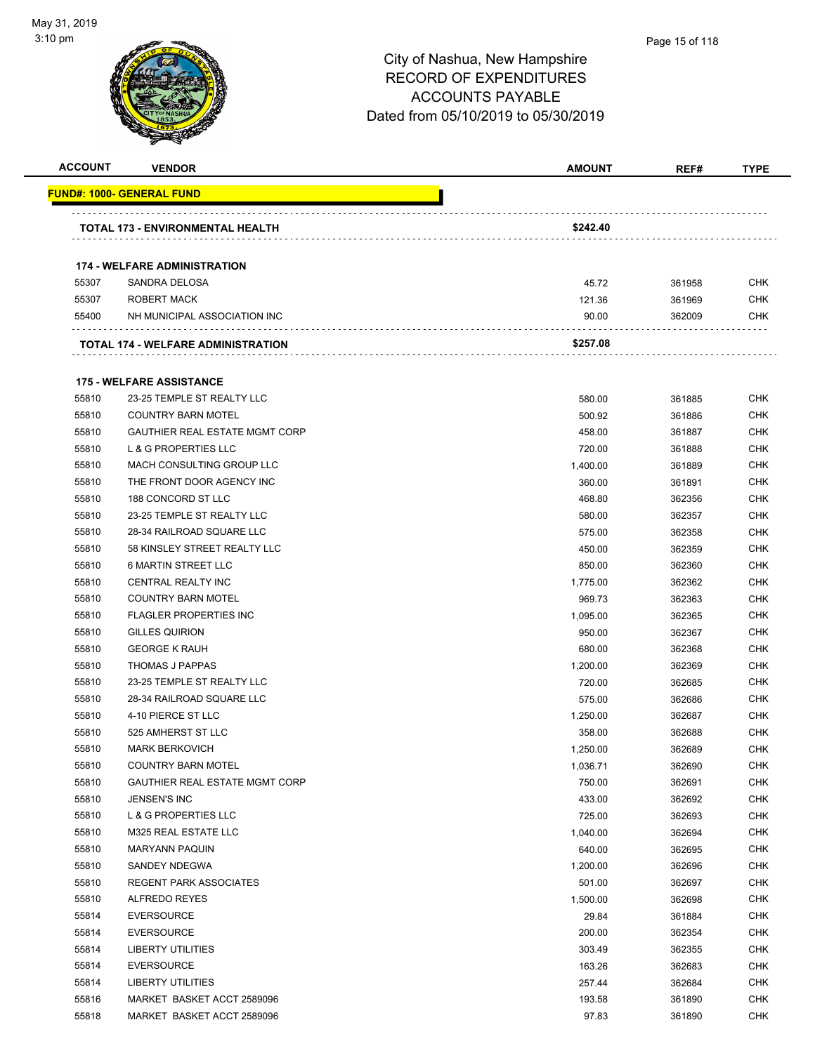

#### Page 15 of 118

| <b>ACCOUNT</b> | <b>VENDOR</b>                             | <b>AMOUNT</b> | REF#   | <b>TYPE</b> |
|----------------|-------------------------------------------|---------------|--------|-------------|
|                | <b>FUND#: 1000- GENERAL FUND</b>          |               |        |             |
|                | <b>TOTAL 173 - ENVIRONMENTAL HEALTH</b>   | \$242.40      |        |             |
|                | <b>174 - WELFARE ADMINISTRATION</b>       |               |        |             |
| 55307          | SANDRA DELOSA                             | 45.72         | 361958 | CHK         |
| 55307          | ROBERT MACK                               | 121.36        | 361969 | <b>CHK</b>  |
| 55400          | NH MUNICIPAL ASSOCIATION INC              | 90.00         | 362009 | <b>CHK</b>  |
|                | <b>TOTAL 174 - WELFARE ADMINISTRATION</b> | \$257.08      |        |             |
|                |                                           |               |        |             |
|                | <b>175 - WELFARE ASSISTANCE</b>           |               |        |             |
| 55810          | 23-25 TEMPLE ST REALTY LLC                | 580.00        | 361885 | <b>CHK</b>  |
| 55810          | <b>COUNTRY BARN MOTEL</b>                 | 500.92        | 361886 | <b>CHK</b>  |
| 55810          | <b>GAUTHIER REAL ESTATE MGMT CORP</b>     | 458.00        | 361887 | <b>CHK</b>  |
| 55810          | <b>L &amp; G PROPERTIES LLC</b>           | 720.00        | 361888 | <b>CHK</b>  |
| 55810          | MACH CONSULTING GROUP LLC                 | 1,400.00      | 361889 | <b>CHK</b>  |
| 55810          | THE FRONT DOOR AGENCY INC                 | 360.00        | 361891 | <b>CHK</b>  |
| 55810          | 188 CONCORD ST LLC                        | 468.80        | 362356 | <b>CHK</b>  |
| 55810          | 23-25 TEMPLE ST REALTY LLC                | 580.00        | 362357 | <b>CHK</b>  |
| 55810          | 28-34 RAILROAD SQUARE LLC                 | 575.00        | 362358 | <b>CHK</b>  |
| 55810          | 58 KINSLEY STREET REALTY LLC              | 450.00        | 362359 | <b>CHK</b>  |
| 55810          | <b>6 MARTIN STREET LLC</b>                | 850.00        | 362360 | <b>CHK</b>  |
| 55810          | CENTRAL REALTY INC                        | 1,775.00      | 362362 | <b>CHK</b>  |
| 55810          | <b>COUNTRY BARN MOTEL</b>                 | 969.73        | 362363 | <b>CHK</b>  |
| 55810          | <b>FLAGLER PROPERTIES INC</b>             | 1,095.00      | 362365 | <b>CHK</b>  |
| 55810          | <b>GILLES QUIRION</b>                     | 950.00        | 362367 | <b>CHK</b>  |
| 55810          | <b>GEORGE K RAUH</b>                      | 680.00        | 362368 | <b>CHK</b>  |
| 55810          | <b>THOMAS J PAPPAS</b>                    | 1,200.00      | 362369 | <b>CHK</b>  |
| 55810          | 23-25 TEMPLE ST REALTY LLC                | 720.00        | 362685 | <b>CHK</b>  |
| 55810          | 28-34 RAILROAD SQUARE LLC                 | 575.00        | 362686 | <b>CHK</b>  |
| 55810          | 4-10 PIERCE ST LLC                        | 1,250.00      | 362687 | <b>CHK</b>  |
| 55810          | 525 AMHERST ST LLC                        | 358.00        | 362688 | <b>CHK</b>  |
| 55810          | <b>MARK BERKOVICH</b>                     | 1,250.00      | 362689 | <b>CHK</b>  |
| 55810          | <b>COUNTRY BARN MOTEL</b>                 | 1,036.71      | 362690 | <b>CHK</b>  |
| 55810          | GAUTHIER REAL ESTATE MGMT CORP            | 750.00        | 362691 | <b>CHK</b>  |
| 55810          | JENSEN'S INC                              | 433.00        | 362692 | <b>CHK</b>  |
| 55810          | L & G PROPERTIES LLC                      | 725.00        | 362693 | <b>CHK</b>  |
| 55810          | M325 REAL ESTATE LLC                      | 1,040.00      | 362694 | <b>CHK</b>  |
| 55810          | <b>MARYANN PAQUIN</b>                     | 640.00        | 362695 | <b>CHK</b>  |
| 55810          | SANDEY NDEGWA                             | 1,200.00      | 362696 | <b>CHK</b>  |
| 55810          | <b>REGENT PARK ASSOCIATES</b>             | 501.00        | 362697 | <b>CHK</b>  |
| 55810          | ALFREDO REYES                             | 1,500.00      | 362698 | <b>CHK</b>  |
| 55814          | <b>EVERSOURCE</b>                         | 29.84         | 361884 | <b>CHK</b>  |
| 55814          | <b>EVERSOURCE</b>                         | 200.00        | 362354 | <b>CHK</b>  |
| 55814          | <b>LIBERTY UTILITIES</b>                  | 303.49        | 362355 | <b>CHK</b>  |
| 55814          | <b>EVERSOURCE</b>                         | 163.26        | 362683 | <b>CHK</b>  |
| 55814          | <b>LIBERTY UTILITIES</b>                  | 257.44        | 362684 | <b>CHK</b>  |
| 55816          | MARKET BASKET ACCT 2589096                | 193.58        | 361890 | <b>CHK</b>  |
| 55818          | MARKET BASKET ACCT 2589096                | 97.83         | 361890 | <b>CHK</b>  |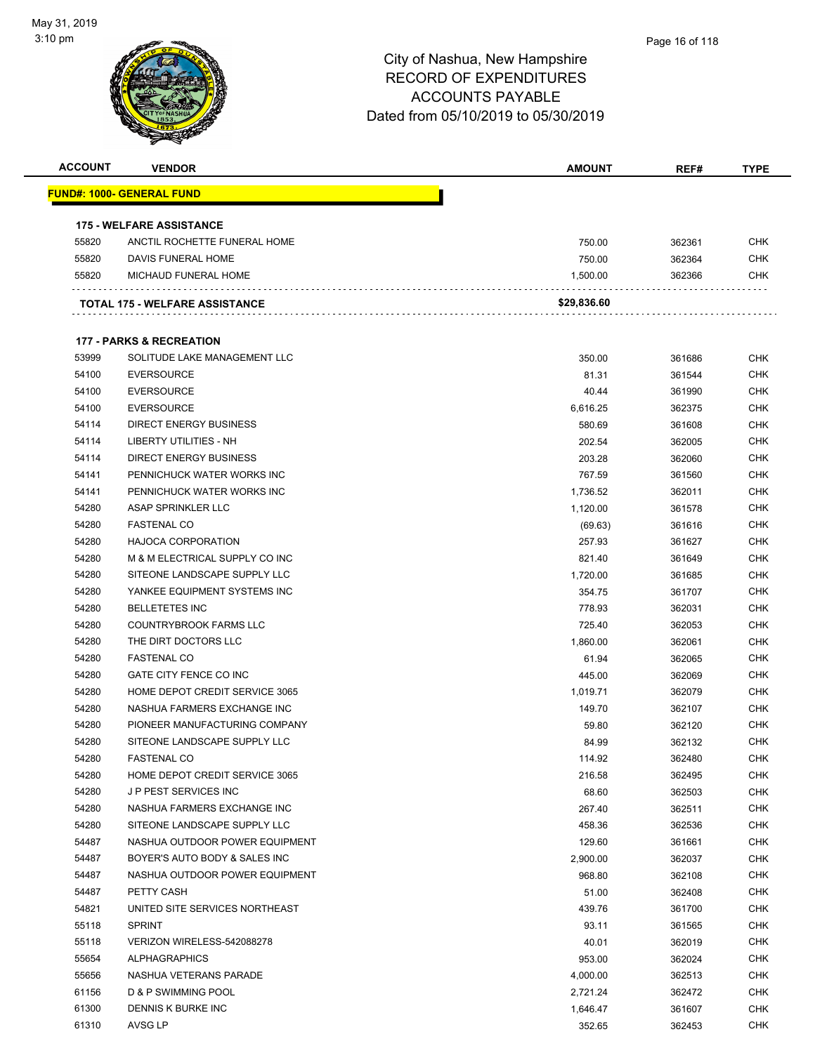

| <b>ACCOUNT</b> | <b>VENDOR</b>                       | <b>AMOUNT</b> | REF#   | <b>TYPE</b> |
|----------------|-------------------------------------|---------------|--------|-------------|
|                | FUND#: 1000- GENERAL FUND           |               |        |             |
|                |                                     |               |        |             |
|                | <b>175 - WELFARE ASSISTANCE</b>     |               |        |             |
| 55820          | ANCTIL ROCHETTE FUNERAL HOME        | 750.00        | 362361 | <b>CHK</b>  |
| 55820          | DAVIS FUNERAL HOME                  | 750.00        | 362364 | <b>CHK</b>  |
| 55820          | MICHAUD FUNERAL HOME                | 1,500.00      | 362366 | CHK         |
|                | TOTAL 175 - WELFARE ASSISTANCE      | \$29,836.60   |        |             |
|                |                                     |               |        |             |
|                | <b>177 - PARKS &amp; RECREATION</b> |               |        |             |
| 53999          | SOLITUDE LAKE MANAGEMENT LLC        | 350.00        | 361686 | CHK         |
| 54100          | <b>EVERSOURCE</b>                   | 81.31         | 361544 | <b>CHK</b>  |
| 54100          | <b>EVERSOURCE</b>                   | 40.44         | 361990 | <b>CHK</b>  |
| 54100          | <b>EVERSOURCE</b>                   | 6,616.25      | 362375 | CHK         |
| 54114          | <b>DIRECT ENERGY BUSINESS</b>       | 580.69        | 361608 | <b>CHK</b>  |
| 54114          | LIBERTY UTILITIES - NH              | 202.54        | 362005 | <b>CHK</b>  |
| 54114          | <b>DIRECT ENERGY BUSINESS</b>       | 203.28        | 362060 | <b>CHK</b>  |
| 54141          | PENNICHUCK WATER WORKS INC          | 767.59        | 361560 | CHK         |
| 54141          | PENNICHUCK WATER WORKS INC          | 1,736.52      | 362011 | CHK         |
| 54280          | ASAP SPRINKLER LLC                  | 1,120.00      | 361578 | CHK         |
| 54280          | <b>FASTENAL CO</b>                  | (69.63)       | 361616 | CHK         |
| 54280          | <b>HAJOCA CORPORATION</b>           | 257.93        | 361627 | CHK         |
| 54280          | M & M ELECTRICAL SUPPLY CO INC      | 821.40        | 361649 | <b>CHK</b>  |
| 54280          | SITEONE LANDSCAPE SUPPLY LLC        | 1,720.00      | 361685 | CHK         |
| 54280          | YANKEE EQUIPMENT SYSTEMS INC        | 354.75        | 361707 | <b>CHK</b>  |
| 54280          | <b>BELLETETES INC</b>               | 778.93        | 362031 | <b>CHK</b>  |
| 54280          | <b>COUNTRYBROOK FARMS LLC</b>       | 725.40        | 362053 | <b>CHK</b>  |
| 54280          | THE DIRT DOCTORS LLC                | 1,860.00      | 362061 | <b>CHK</b>  |
| 54280          | <b>FASTENAL CO</b>                  | 61.94         | 362065 | CHK         |
| 54280          | GATE CITY FENCE CO INC              | 445.00        | 362069 | CHK         |
| 54280          | HOME DEPOT CREDIT SERVICE 3065      | 1,019.71      | 362079 | <b>CHK</b>  |
| 54280          | NASHUA FARMERS EXCHANGE INC         | 149.70        | 362107 | CHK         |
| 54280          | PIONEER MANUFACTURING COMPANY       | 59.80         | 362120 | CHK         |
| 54280          | SITEONE LANDSCAPE SUPPLY LLC        | 84.99         | 362132 | <b>CHK</b>  |
| 54280          | <b>FASTENAL CO</b>                  | 114.92        | 362480 | <b>CHK</b>  |
| 54280          | HOME DEPOT CREDIT SERVICE 3065      | 216.58        | 362495 | <b>CHK</b>  |
| 54280          | <b>JP PEST SERVICES INC</b>         | 68.60         | 362503 | <b>CHK</b>  |
| 54280          | NASHUA FARMERS EXCHANGE INC         | 267.40        | 362511 | <b>CHK</b>  |
| 54280          | SITEONE LANDSCAPE SUPPLY LLC        | 458.36        | 362536 | <b>CHK</b>  |
| 54487          | NASHUA OUTDOOR POWER EQUIPMENT      | 129.60        | 361661 | <b>CHK</b>  |
| 54487          | BOYER'S AUTO BODY & SALES INC       | 2,900.00      | 362037 | <b>CHK</b>  |
| 54487          | NASHUA OUTDOOR POWER EQUIPMENT      | 968.80        | 362108 | <b>CHK</b>  |
| 54487          | PETTY CASH                          | 51.00         | 362408 | <b>CHK</b>  |
| 54821          | UNITED SITE SERVICES NORTHEAST      | 439.76        | 361700 | <b>CHK</b>  |
| 55118          | <b>SPRINT</b>                       | 93.11         | 361565 | <b>CHK</b>  |
| 55118          | VERIZON WIRELESS-542088278          | 40.01         | 362019 | <b>CHK</b>  |
| 55654          | <b>ALPHAGRAPHICS</b>                | 953.00        | 362024 | <b>CHK</b>  |
| 55656          | NASHUA VETERANS PARADE              | 4,000.00      | 362513 | <b>CHK</b>  |
| 61156          | D & P SWIMMING POOL                 | 2,721.24      | 362472 | <b>CHK</b>  |
| 61300          | DENNIS K BURKE INC                  |               | 361607 | <b>CHK</b>  |
|                |                                     | 1,646.47      |        |             |
| 61310          | AVSG LP                             | 352.65        | 362453 | <b>CHK</b>  |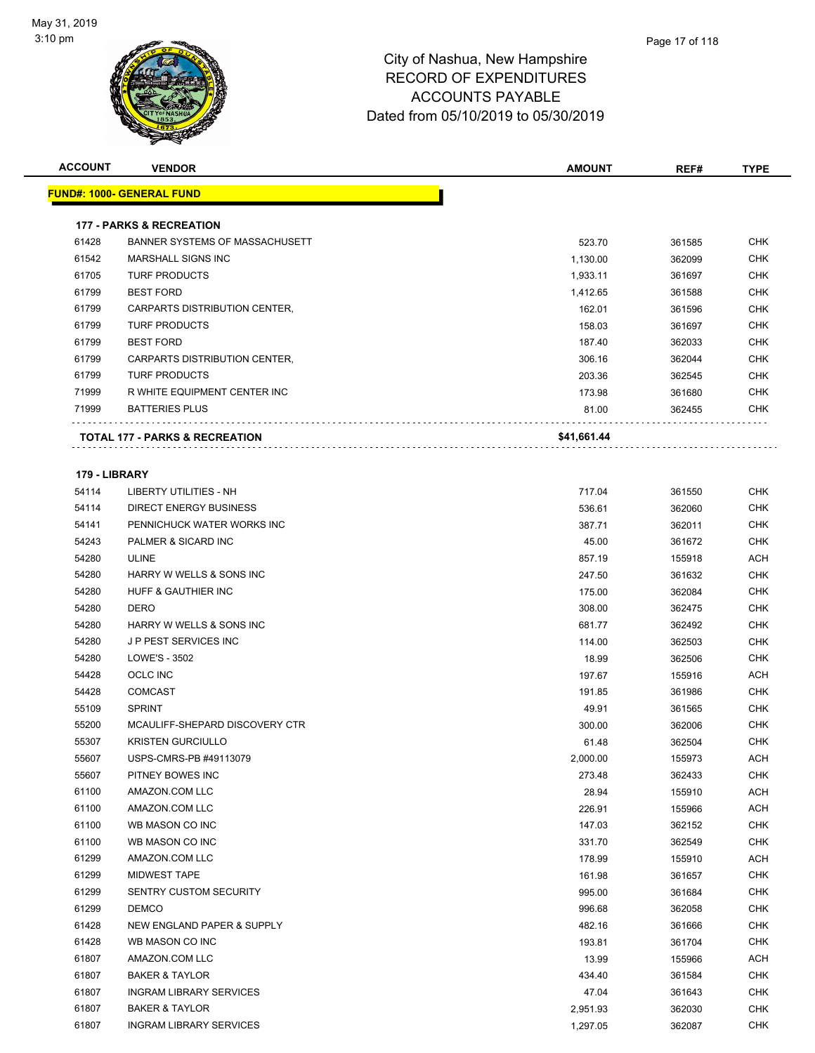

| <b>ACCOUNT</b> | <b>VENDOR</b>                       | <b>AMOUNT</b> | REF#   | <b>TYPE</b> |
|----------------|-------------------------------------|---------------|--------|-------------|
|                | <u> FUND#: 1000- GENERAL FUND</u>   |               |        |             |
|                |                                     |               |        |             |
|                | <b>177 - PARKS &amp; RECREATION</b> |               |        |             |
| 61428          | BANNER SYSTEMS OF MASSACHUSETT      | 523.70        | 361585 | CHK         |
| 61542          | <b>MARSHALL SIGNS INC</b>           | 1,130.00      | 362099 | <b>CHK</b>  |
| 61705          | <b>TURF PRODUCTS</b>                | 1,933.11      | 361697 | <b>CHK</b>  |
| 61799          | <b>BEST FORD</b>                    | 1,412.65      | 361588 | CHK         |
| 61799          | CARPARTS DISTRIBUTION CENTER,       | 162.01        | 361596 | <b>CHK</b>  |
| 61799          | <b>TURF PRODUCTS</b>                | 158.03        | 361697 | <b>CHK</b>  |
| 61799          | <b>BEST FORD</b>                    | 187.40        | 362033 | <b>CHK</b>  |
| 61799          | CARPARTS DISTRIBUTION CENTER,       | 306.16        | 362044 | <b>CHK</b>  |
| 61799          | <b>TURF PRODUCTS</b>                | 203.36        | 362545 | CHK         |
| 71999          | R WHITE EQUIPMENT CENTER INC        | 173.98        | 361680 | <b>CHK</b>  |
| 71999          | <b>BATTERIES PLUS</b>               | 81.00         | 362455 | <b>CHK</b>  |
|                | TOTAL 177 - PARKS & RECREATION      | \$41,661.44   |        |             |
|                |                                     |               |        |             |
| 179 - LIBRARY  |                                     |               |        |             |
| 54114          | <b>LIBERTY UTILITIES - NH</b>       | 717.04        | 361550 | CHK         |
| 54114          | <b>DIRECT ENERGY BUSINESS</b>       | 536.61        | 362060 | <b>CHK</b>  |
| 54141          | PENNICHUCK WATER WORKS INC          | 387.71        | 362011 | CHK         |
| 54243          | PALMER & SICARD INC                 | 45.00         | 361672 | CHK         |
| 54280          | <b>ULINE</b>                        | 857.19        | 155918 | ACH         |
| 54280          | HARRY W WELLS & SONS INC            | 247.50        | 361632 | CHK         |
| 54280          | HUFF & GAUTHIER INC                 | 175.00        | 362084 | <b>CHK</b>  |
| 54280          | <b>DERO</b>                         | 308.00        | 362475 | <b>CHK</b>  |
| 54280          | HARRY W WELLS & SONS INC            | 681.77        | 362492 | CHK         |
| 54280          | <b>JP PEST SERVICES INC</b>         | 114.00        | 362503 | CHK         |
| 54280          | LOWE'S - 3502                       | 18.99         | 362506 | <b>CHK</b>  |
| 54428          | <b>OCLC INC</b>                     | 197.67        | 155916 | ACH         |
| 54428          | <b>COMCAST</b>                      | 191.85        | 361986 | <b>CHK</b>  |
| 55109          | <b>SPRINT</b>                       | 49.91         | 361565 | <b>CHK</b>  |
| 55200          | MCAULIFF-SHEPARD DISCOVERY CTR      | 300.00        | 362006 | CHK         |
| 55307          | <b>KRISTEN GURCIULLO</b>            | 61.48         | 362504 | <b>CHK</b>  |
| 55607          | USPS-CMRS-PB #49113079              | 2,000.00      | 155973 | <b>ACH</b>  |
| 55607          | PITNEY BOWES INC                    | 273.48        | 362433 | <b>CHK</b>  |
| 61100          | AMAZON.COM LLC                      | 28.94         | 155910 | <b>ACH</b>  |
| 61100          | AMAZON.COM LLC                      | 226.91        | 155966 | <b>ACH</b>  |
| 61100          | WB MASON CO INC                     | 147.03        | 362152 | CHK         |
| 61100          | WB MASON CO INC                     | 331.70        | 362549 | <b>CHK</b>  |
| 61299          | AMAZON.COM LLC                      | 178.99        | 155910 | <b>ACH</b>  |
| 61299          | MIDWEST TAPE                        | 161.98        | 361657 | <b>CHK</b>  |
| 61299          | SENTRY CUSTOM SECURITY              | 995.00        | 361684 | <b>CHK</b>  |
| 61299          | <b>DEMCO</b>                        | 996.68        | 362058 | <b>CHK</b>  |
| 61428          | NEW ENGLAND PAPER & SUPPLY          | 482.16        | 361666 | <b>CHK</b>  |
| 61428          | WB MASON CO INC                     | 193.81        | 361704 | <b>CHK</b>  |
| 61807          | AMAZON.COM LLC                      | 13.99         | 155966 | <b>ACH</b>  |
| 61807          | <b>BAKER &amp; TAYLOR</b>           | 434.40        | 361584 | CHK         |
| 61807          | <b>INGRAM LIBRARY SERVICES</b>      | 47.04         | 361643 | <b>CHK</b>  |
| 61807          | <b>BAKER &amp; TAYLOR</b>           | 2,951.93      | 362030 | <b>CHK</b>  |
| 61807          | <b>INGRAM LIBRARY SERVICES</b>      | 1,297.05      | 362087 | <b>CHK</b>  |
|                |                                     |               |        |             |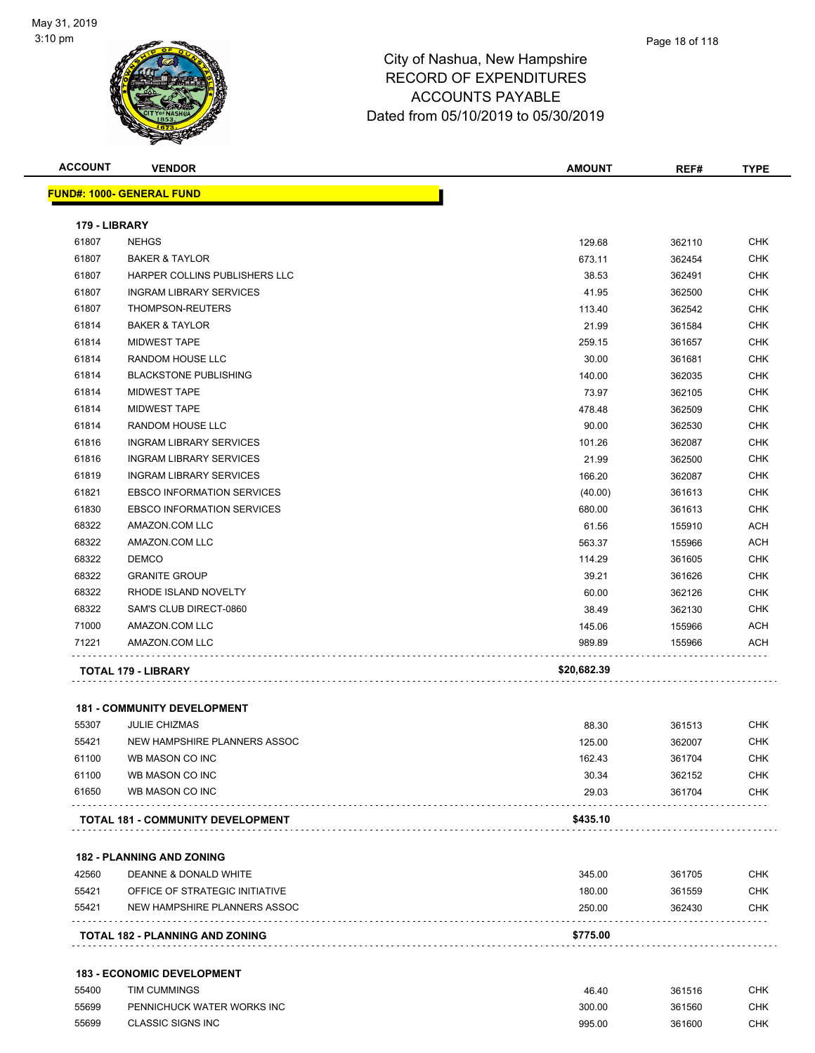

| <b>ACCOUNT</b> | <b>VENDOR</b>                      | <b>AMOUNT</b> | REF#   | <b>TYPE</b> |
|----------------|------------------------------------|---------------|--------|-------------|
|                | <b>FUND#: 1000- GENERAL FUND</b>   |               |        |             |
| 179 - LIBRARY  |                                    |               |        |             |
| 61807          | <b>NEHGS</b>                       | 129.68        | 362110 | <b>CHK</b>  |
| 61807          | <b>BAKER &amp; TAYLOR</b>          | 673.11        | 362454 | <b>CHK</b>  |
| 61807          | HARPER COLLINS PUBLISHERS LLC      | 38.53         | 362491 | <b>CHK</b>  |
| 61807          | <b>INGRAM LIBRARY SERVICES</b>     | 41.95         | 362500 | <b>CHK</b>  |
| 61807          | THOMPSON-REUTERS                   | 113.40        | 362542 | <b>CHK</b>  |
| 61814          | <b>BAKER &amp; TAYLOR</b>          | 21.99         | 361584 | <b>CHK</b>  |
| 61814          | <b>MIDWEST TAPE</b>                | 259.15        | 361657 | <b>CHK</b>  |
| 61814          | RANDOM HOUSE LLC                   | 30.00         | 361681 | <b>CHK</b>  |
| 61814          | <b>BLACKSTONE PUBLISHING</b>       | 140.00        | 362035 | <b>CHK</b>  |
| 61814          | <b>MIDWEST TAPE</b>                | 73.97         | 362105 | <b>CHK</b>  |
| 61814          | <b>MIDWEST TAPE</b>                | 478.48        | 362509 | <b>CHK</b>  |
| 61814          | <b>RANDOM HOUSE LLC</b>            | 90.00         | 362530 | <b>CHK</b>  |
| 61816          | <b>INGRAM LIBRARY SERVICES</b>     | 101.26        | 362087 | <b>CHK</b>  |
| 61816          | <b>INGRAM LIBRARY SERVICES</b>     | 21.99         | 362500 | <b>CHK</b>  |
| 61819          | <b>INGRAM LIBRARY SERVICES</b>     | 166.20        | 362087 | <b>CHK</b>  |
| 61821          | <b>EBSCO INFORMATION SERVICES</b>  | (40.00)       | 361613 | <b>CHK</b>  |
| 61830          | <b>EBSCO INFORMATION SERVICES</b>  | 680.00        | 361613 | <b>CHK</b>  |
| 68322          | AMAZON.COM LLC                     | 61.56         | 155910 | <b>ACH</b>  |
| 68322          | AMAZON.COM LLC                     | 563.37        | 155966 | <b>ACH</b>  |
| 68322          | <b>DEMCO</b>                       | 114.29        | 361605 | <b>CHK</b>  |
| 68322          | <b>GRANITE GROUP</b>               | 39.21         | 361626 | <b>CHK</b>  |
| 68322          | RHODE ISLAND NOVELTY               | 60.00         | 362126 | <b>CHK</b>  |
| 68322          | SAM'S CLUB DIRECT-0860             | 38.49         | 362130 | <b>CHK</b>  |
| 71000          | AMAZON.COM LLC                     | 145.06        | 155966 | ACH         |
| 71221          | AMAZON.COM LLC                     | 989.89        | 155966 | ACH         |
|                | <b>TOTAL 179 - LIBRARY</b>         | \$20,682.39   |        |             |
|                | <b>181 - COMMUNITY DEVELOPMENT</b> |               |        |             |
| 55307          | <b>JULIE CHIZMAS</b>               | 88.30         | 361513 | <b>CHK</b>  |
| 55421          | NEW HAMPSHIRE PLANNERS ASSOC       | 125.00        | 362007 | <b>CHK</b>  |
| 61100          | WB MASON CO INC                    | 162.43        | 361704 | CHK         |
| 61100          | WB MASON CO INC                    | 30.34         | 362152 | <b>CHK</b>  |
| 61650          | WB MASON CO INC                    | 29.03         | 361704 | <b>CHK</b>  |
|                | TOTAL 181 - COMMUNITY DEVELOPMENT  | \$435.10      |        |             |

|       | <b>TOTAL 182 - PLANNING AND ZONING</b> | \$775.00 |        |            |
|-------|----------------------------------------|----------|--------|------------|
| 55421 | NEW HAMPSHIRE PLANNERS ASSOC           | 250.00   | 362430 | <b>CHK</b> |
| 55421 | OFFICE OF STRATEGIC INITIATIVE         | 180.00   | 361559 | CHK        |
| 42560 | DEANNE & DONALD WHITE                  | 345.00   | 361705 | <b>CHK</b> |

| 55400 | TIM CUMMINGS               | 46.40  | 361516 | СНК |
|-------|----------------------------|--------|--------|-----|
| 55699 | PENNICHUCK WATER WORKS INC | 300.00 | 361560 | CHK |
| 55699 | <b>CLASSIC SIGNS INC</b>   | 995.00 | 361600 | СНК |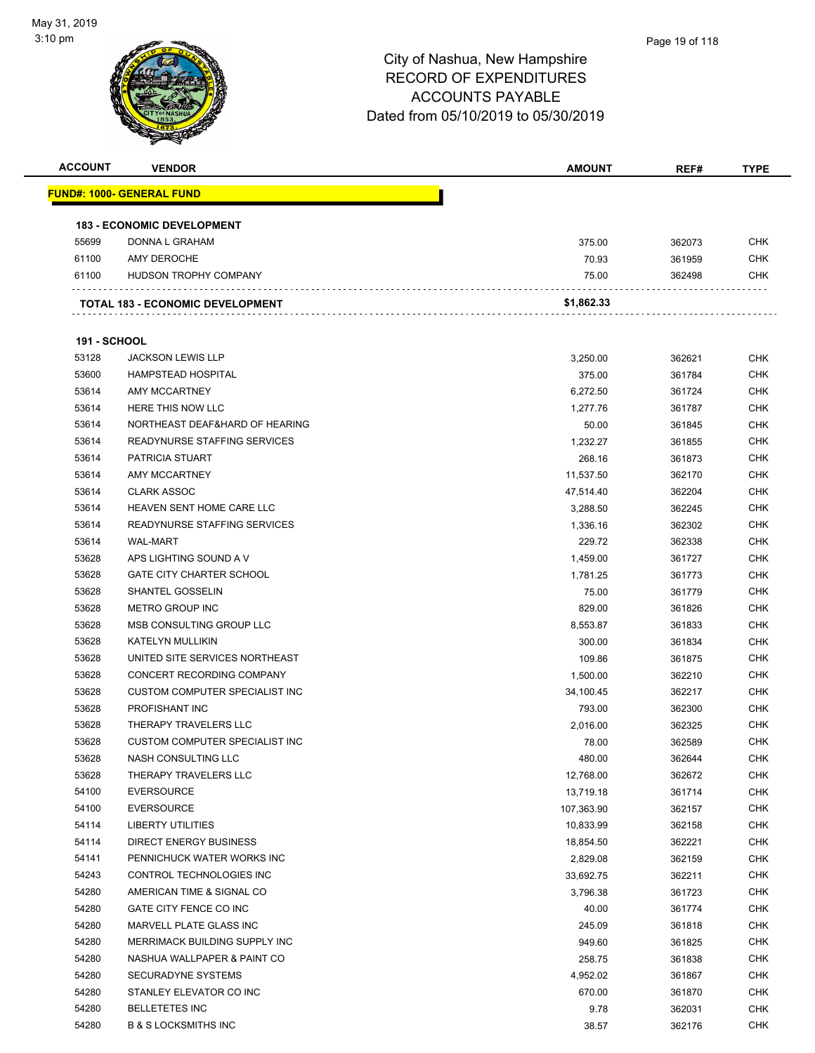

| <b>ACCOUNT</b>      | <b>VENDOR</b>                           | <b>AMOUNT</b>    | REF#             | <b>TYPE</b> |
|---------------------|-----------------------------------------|------------------|------------------|-------------|
|                     | <u> FUND#: 1000- GENERAL FUND</u>       |                  |                  |             |
|                     |                                         |                  |                  |             |
|                     | <b>183 - ECONOMIC DEVELOPMENT</b>       |                  |                  |             |
| 55699               | DONNA L GRAHAM                          | 375.00           | 362073           | <b>CHK</b>  |
| 61100               | AMY DEROCHE                             | 70.93            | 361959           | <b>CHK</b>  |
| 61100               | HUDSON TROPHY COMPANY                   | 75.00            | 362498           | <b>CHK</b>  |
|                     |                                         |                  |                  |             |
|                     | <b>TOTAL 183 - ECONOMIC DEVELOPMENT</b> | \$1,862.33       |                  |             |
|                     |                                         |                  |                  |             |
| <b>191 - SCHOOL</b> |                                         |                  |                  |             |
| 53128               | <b>JACKSON LEWIS LLP</b>                | 3,250.00         | 362621           | <b>CHK</b>  |
| 53600               | <b>HAMPSTEAD HOSPITAL</b>               | 375.00           | 361784           | <b>CHK</b>  |
| 53614               | AMY MCCARTNEY                           | 6,272.50         | 361724           | <b>CHK</b>  |
| 53614               | HERE THIS NOW LLC                       | 1,277.76         | 361787           | <b>CHK</b>  |
| 53614               | NORTHEAST DEAF&HARD OF HEARING          | 50.00            | 361845           | <b>CHK</b>  |
| 53614               | <b>READYNURSE STAFFING SERVICES</b>     | 1,232.27         | 361855           | <b>CHK</b>  |
| 53614               | PATRICIA STUART                         | 268.16           | 361873           | <b>CHK</b>  |
| 53614               | AMY MCCARTNEY                           | 11,537.50        | 362170           | <b>CHK</b>  |
| 53614               | <b>CLARK ASSOC</b>                      | 47,514.40        | 362204           | <b>CHK</b>  |
| 53614               | HEAVEN SENT HOME CARE LLC               | 3,288.50         | 362245           | <b>CHK</b>  |
| 53614               | READYNURSE STAFFING SERVICES            | 1,336.16         | 362302           | <b>CHK</b>  |
| 53614               | <b>WAL-MART</b>                         | 229.72           | 362338           | <b>CHK</b>  |
| 53628               | APS LIGHTING SOUND A V                  | 1,459.00         | 361727           | <b>CHK</b>  |
| 53628               | <b>GATE CITY CHARTER SCHOOL</b>         | 1,781.25         | 361773           | <b>CHK</b>  |
| 53628               | <b>SHANTEL GOSSELIN</b>                 | 75.00            | 361779           | <b>CHK</b>  |
| 53628               | METRO GROUP INC                         | 829.00           | 361826           | <b>CHK</b>  |
| 53628               | MSB CONSULTING GROUP LLC                | 8,553.87         | 361833           | <b>CHK</b>  |
| 53628               | <b>KATELYN MULLIKIN</b>                 | 300.00           | 361834           | <b>CHK</b>  |
| 53628               | UNITED SITE SERVICES NORTHEAST          | 109.86           | 361875           | <b>CHK</b>  |
| 53628               | CONCERT RECORDING COMPANY               | 1,500.00         | 362210           | <b>CHK</b>  |
| 53628               | <b>CUSTOM COMPUTER SPECIALIST INC</b>   | 34,100.45        | 362217           | <b>CHK</b>  |
| 53628               | PROFISHANT INC                          | 793.00           | 362300           | <b>CHK</b>  |
| 53628               | THERAPY TRAVELERS LLC                   | 2,016.00         | 362325           | <b>CHK</b>  |
| 53628               | CUSTOM COMPUTER SPECIALIST INC          | 78.00            | 362589           | <b>CHK</b>  |
| 53628               | NASH CONSULTING LLC                     | 480.00           | 362644           | <b>CHK</b>  |
| 53628               | THERAPY TRAVELERS LLC                   | 12,768.00        | 362672           | <b>CHK</b>  |
| 54100               | <b>EVERSOURCE</b>                       | 13,719.18        | 361714           | <b>CHK</b>  |
| 54100               | <b>EVERSOURCE</b>                       | 107,363.90       | 362157           | <b>CHK</b>  |
| 54114               | <b>LIBERTY UTILITIES</b>                | 10,833.99        | 362158           | <b>CHK</b>  |
| 54114               | <b>DIRECT ENERGY BUSINESS</b>           | 18,854.50        | 362221           | <b>CHK</b>  |
| 54141               | PENNICHUCK WATER WORKS INC              | 2,829.08         | 362159           | <b>CHK</b>  |
| 54243               | CONTROL TECHNOLOGIES INC                | 33,692.75        | 362211           | <b>CHK</b>  |
| 54280               | AMERICAN TIME & SIGNAL CO               | 3,796.38         | 361723           | <b>CHK</b>  |
| 54280               | GATE CITY FENCE CO INC                  | 40.00            | 361774           | <b>CHK</b>  |
| 54280               | MARVELL PLATE GLASS INC                 |                  |                  | CHK         |
| 54280               | MERRIMACK BUILDING SUPPLY INC           | 245.09<br>949.60 | 361818<br>361825 | <b>CHK</b>  |
| 54280               | NASHUA WALLPAPER & PAINT CO             |                  |                  | <b>CHK</b>  |
|                     |                                         | 258.75           | 361838           |             |
| 54280               | SECURADYNE SYSTEMS                      | 4,952.02         | 361867           | <b>CHK</b>  |
| 54280               | STANLEY ELEVATOR CO INC                 | 670.00           | 361870           | <b>CHK</b>  |
| 54280               | <b>BELLETETES INC</b>                   | 9.78             | 362031           | <b>CHK</b>  |
| 54280               | <b>B &amp; S LOCKSMITHS INC</b>         | 38.57            | 362176           | <b>CHK</b>  |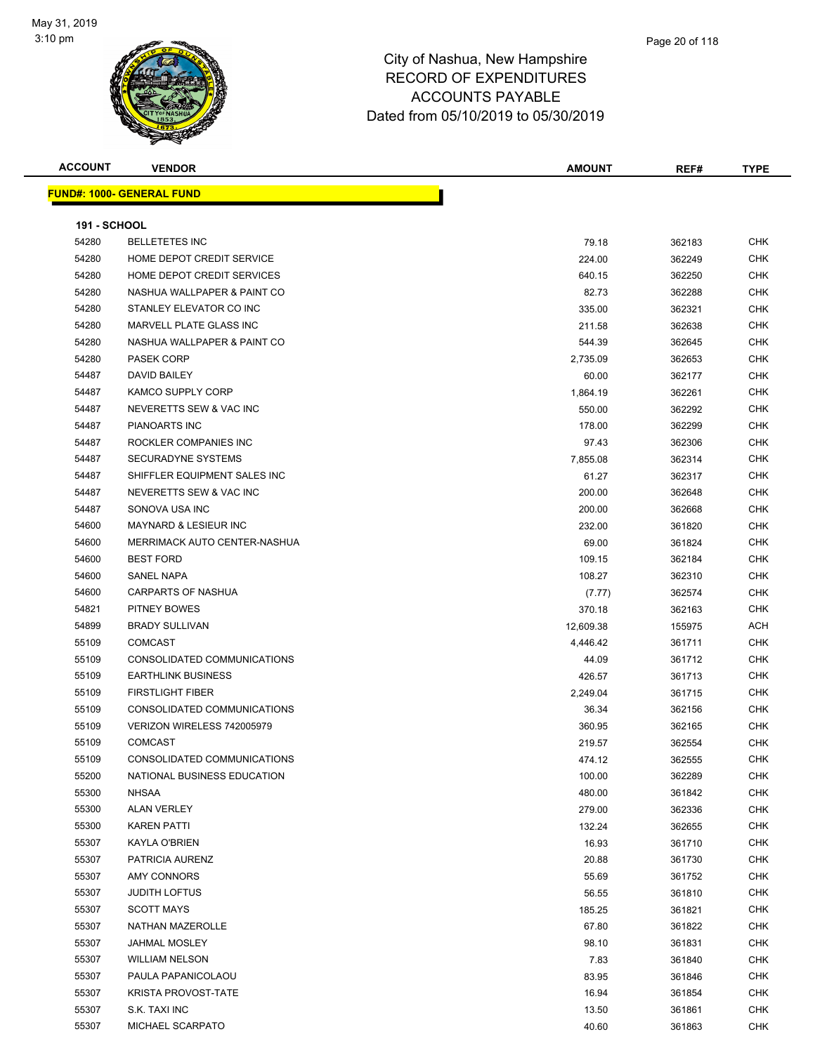

**FUND#: 1000- GENERAL FUND**

# City of Nashua, New Hampshire RECORD OF EXPENDITURES ACCOUNTS PAYABLE

|                     |                                  | <b>ACCOUNTS PAYABLE</b><br>Dated from 05/10/2019 to 05/30/2019 |        |             |  |
|---------------------|----------------------------------|----------------------------------------------------------------|--------|-------------|--|
| <b>ACCOUNT</b>      | <b>VENDOR</b>                    | <b>AMOUNT</b>                                                  | REF#   | <b>TYPE</b> |  |
|                     | <u> IND#: 1000- GENERAL FUND</u> |                                                                |        |             |  |
| <b>191 - SCHOOL</b> |                                  |                                                                |        |             |  |
| 54280               | <b>BELLETETES INC</b>            | 79.18                                                          | 362183 | <b>CHK</b>  |  |
| 54280               | HOME DEPOT CREDIT SERVICE        | 224.00                                                         | 362249 | <b>CHK</b>  |  |
| 54280               | HOME DEPOT CREDIT SERVICES       | 640.15                                                         | 362250 | <b>CHK</b>  |  |
| 54280               | NASHUA WALLPAPER & PAINT CO      | 82.73                                                          | 362288 | <b>CHK</b>  |  |
| 54280               | STANLEY ELEVATOR CO INC          | 335.00                                                         | 362321 | <b>CHK</b>  |  |
| 54280               | <b>MARVELL PLATE GLASS INC</b>   | 211.58                                                         | 362638 | <b>CHK</b>  |  |
| 54280               | NASHUA WALLPAPER & PAINT CO      | 544.39                                                         | 362645 | <b>CHK</b>  |  |
| 54280               | PASEK CORP                       | 2 735 09                                                       | 362653 | CHK         |  |

| 54280 | STANLEY ELEVATOR CO INC             | 335.00    | 362321 | <b>CHK</b> |
|-------|-------------------------------------|-----------|--------|------------|
| 54280 | <b>MARVELL PLATE GLASS INC</b>      | 211.58    | 362638 | <b>CHK</b> |
| 54280 | NASHUA WALLPAPER & PAINT CO         | 544.39    | 362645 | <b>CHK</b> |
| 54280 | <b>PASEK CORP</b>                   | 2,735.09  | 362653 | <b>CHK</b> |
| 54487 | <b>DAVID BAILEY</b>                 | 60.00     | 362177 | <b>CHK</b> |
| 54487 | <b>KAMCO SUPPLY CORP</b>            | 1,864.19  | 362261 | <b>CHK</b> |
| 54487 | NEVERETTS SEW & VAC INC             | 550.00    | 362292 | <b>CHK</b> |
| 54487 | PIANOARTS INC                       | 178.00    | 362299 | <b>CHK</b> |
| 54487 | ROCKLER COMPANIES INC               | 97.43     | 362306 | <b>CHK</b> |
| 54487 | <b>SECURADYNE SYSTEMS</b>           | 7,855.08  | 362314 | <b>CHK</b> |
| 54487 | SHIFFLER EQUIPMENT SALES INC        | 61.27     | 362317 | <b>CHK</b> |
| 54487 | NEVERETTS SEW & VAC INC             | 200.00    | 362648 | <b>CHK</b> |
| 54487 | SONOVA USA INC                      | 200.00    | 362668 | CHK        |
| 54600 | <b>MAYNARD &amp; LESIEUR INC</b>    | 232.00    | 361820 | <b>CHK</b> |
| 54600 | <b>MERRIMACK AUTO CENTER-NASHUA</b> | 69.00     | 361824 | <b>CHK</b> |
| 54600 | <b>BEST FORD</b>                    | 109.15    | 362184 | <b>CHK</b> |
| 54600 | <b>SANEL NAPA</b>                   | 108.27    | 362310 | <b>CHK</b> |
| 54600 | <b>CARPARTS OF NASHUA</b>           | (7.77)    | 362574 | <b>CHK</b> |
| 54821 | PITNEY BOWES                        | 370.18    | 362163 | <b>CHK</b> |
| 54899 | <b>BRADY SULLIVAN</b>               | 12,609.38 | 155975 | ACH        |
| 55109 | <b>COMCAST</b>                      | 4,446.42  | 361711 | <b>CHK</b> |
| 55109 | CONSOLIDATED COMMUNICATIONS         | 44.09     | 361712 | <b>CHK</b> |
| 55109 | <b>EARTHLINK BUSINESS</b>           | 426.57    | 361713 | <b>CHK</b> |
| 55109 | <b>FIRSTLIGHT FIBER</b>             | 2,249.04  | 361715 | CHK        |
| 55109 | CONSOLIDATED COMMUNICATIONS         | 36.34     | 362156 | <b>CHK</b> |
| 55109 | VERIZON WIRELESS 742005979          | 360.95    | 362165 | <b>CHK</b> |
| 55109 | <b>COMCAST</b>                      | 219.57    | 362554 | <b>CHK</b> |
| 55109 | CONSOLIDATED COMMUNICATIONS         | 474.12    | 362555 | <b>CHK</b> |
| 55200 | NATIONAL BUSINESS EDUCATION         | 100.00    | 362289 | <b>CHK</b> |
| 55300 | NHSAA                               | 480.00    | 361842 | <b>CHK</b> |
| 55300 | <b>ALAN VERLEY</b>                  | 279.00    | 362336 | <b>CHK</b> |
| 55300 | <b>KAREN PATTI</b>                  | 132.24    | 362655 | <b>CHK</b> |
| 55307 | KAYLA O'BRIEN                       | 16.93     | 361710 | <b>CHK</b> |
| 55307 | PATRICIA AURENZ                     | 20.88     | 361730 | <b>CHK</b> |
| 55307 | AMY CONNORS                         | 55.69     | 361752 | <b>CHK</b> |
| 55307 | <b>JUDITH LOFTUS</b>                | 56.55     | 361810 | <b>CHK</b> |
| 55307 | <b>SCOTT MAYS</b>                   | 185.25    | 361821 | <b>CHK</b> |
| 55307 | <b>NATHAN MAZEROLLE</b>             | 67.80     | 361822 | <b>CHK</b> |
| 55307 | JAHMAL MOSLEY                       | 98.10     | 361831 | <b>CHK</b> |
| 55307 | <b>WILLIAM NELSON</b>               | 7.83      | 361840 | <b>CHK</b> |
| 55307 | PAULA PAPANICOLAOU                  | 83.95     | 361846 | <b>CHK</b> |
| 55307 | <b>KRISTA PROVOST-TATE</b>          | 16.94     | 361854 | <b>CHK</b> |
| 55307 | S.K. TAXI INC                       | 13.50     | 361861 | CHK        |
| 55307 | MICHAEL SCARPATO                    | 40.60     | 361863 | CHK        |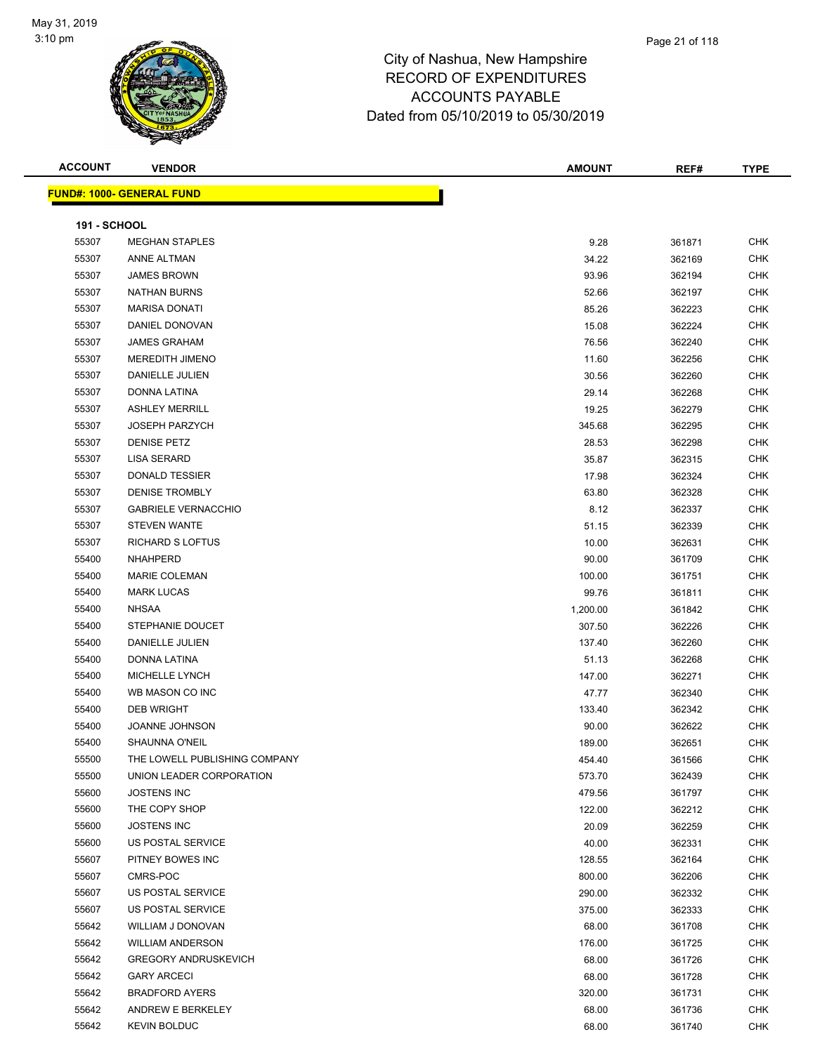

| <b>ACCOUNT</b>      | <b>VENDOR</b>                    | <b>AMOUNT</b> | REF#   | <b>TYPE</b> |
|---------------------|----------------------------------|---------------|--------|-------------|
|                     | <b>FUND#: 1000- GENERAL FUND</b> |               |        |             |
|                     |                                  |               |        |             |
| <b>191 - SCHOOL</b> |                                  |               |        |             |
| 55307               | <b>MEGHAN STAPLES</b>            | 9.28          | 361871 | <b>CHK</b>  |
| 55307               | ANNE ALTMAN                      | 34.22         | 362169 | <b>CHK</b>  |
| 55307               | <b>JAMES BROWN</b>               | 93.96         | 362194 | CHK         |
| 55307               | <b>NATHAN BURNS</b>              | 52.66         | 362197 | CHK         |
| 55307               | <b>MARISA DONATI</b>             | 85.26         | 362223 | CHK         |
| 55307               | DANIEL DONOVAN                   | 15.08         | 362224 | CHK         |
| 55307               | <b>JAMES GRAHAM</b>              | 76.56         | 362240 | <b>CHK</b>  |
| 55307               | MEREDITH JIMENO                  | 11.60         | 362256 | CHK         |
| 55307               | DANIELLE JULIEN                  | 30.56         | 362260 | CHK         |
| 55307               | DONNA LATINA                     | 29.14         | 362268 | CHK         |
| 55307               | <b>ASHLEY MERRILL</b>            | 19.25         | 362279 | CHK         |
| 55307               | <b>JOSEPH PARZYCH</b>            | 345.68        | 362295 | <b>CHK</b>  |
| 55307               | <b>DENISE PETZ</b>               | 28.53         | 362298 | <b>CHK</b>  |
| 55307               | LISA SERARD                      | 35.87         | 362315 | CHK         |
| 55307               | <b>DONALD TESSIER</b>            | 17.98         | 362324 | CHK         |
| 55307               | <b>DENISE TROMBLY</b>            | 63.80         | 362328 | CHK         |
| 55307               | <b>GABRIELE VERNACCHIO</b>       | 8.12          | 362337 | CHK         |
| 55307               | <b>STEVEN WANTE</b>              | 51.15         | 362339 | CHK         |
| 55307               | RICHARD S LOFTUS                 | 10.00         | 362631 | CHK         |
| 55400               | <b>NHAHPERD</b>                  | 90.00         | 361709 | CHK         |
| 55400               | <b>MARIE COLEMAN</b>             | 100.00        | 361751 | CHK         |
| 55400               | <b>MARK LUCAS</b>                | 99.76         | 361811 | CHK         |
| 55400               | <b>NHSAA</b>                     | 1,200.00      | 361842 | <b>CHK</b>  |
| 55400               | STEPHANIE DOUCET                 | 307.50        | 362226 | CHK         |
| 55400               | DANIELLE JULIEN                  | 137.40        | 362260 | CHK         |
| 55400               | DONNA LATINA                     | 51.13         | 362268 | CHK         |
| 55400               | MICHELLE LYNCH                   | 147.00        | 362271 | CHK         |
| 55400               | WB MASON CO INC                  | 47.77         | 362340 | CHK         |
| 55400               | <b>DEB WRIGHT</b>                | 133.40        | 362342 | CHK         |
| 55400               | <b>JOANNE JOHNSON</b>            | 90.00         | 362622 | CHK         |
| 55400               | <b>SHAUNNA O'NEIL</b>            | 189.00        | 362651 | CHK         |
| 55500               | THE LOWELL PUBLISHING COMPANY    | 454.40        | 361566 | CHK         |
| 55500               | UNION LEADER CORPORATION         | 573.70        | 362439 | CHK         |
| 55600               | <b>JOSTENS INC</b>               | 479.56        | 361797 | <b>CHK</b>  |
| 55600               | THE COPY SHOP                    | 122.00        | 362212 | <b>CHK</b>  |
| 55600               | <b>JOSTENS INC</b>               | 20.09         | 362259 | CHK         |
| 55600               | US POSTAL SERVICE                | 40.00         | 362331 | <b>CHK</b>  |
| 55607               | PITNEY BOWES INC                 | 128.55        | 362164 | <b>CHK</b>  |
| 55607               | CMRS-POC                         | 800.00        | 362206 | <b>CHK</b>  |
| 55607               | US POSTAL SERVICE                | 290.00        | 362332 | CHK         |
| 55607               | US POSTAL SERVICE                | 375.00        | 362333 | CHK         |
| 55642               | WILLIAM J DONOVAN                | 68.00         | 361708 | CHK         |
| 55642               | <b>WILLIAM ANDERSON</b>          | 176.00        | 361725 | CHK         |
| 55642               | <b>GREGORY ANDRUSKEVICH</b>      | 68.00         | 361726 | CHK         |
| 55642               | <b>GARY ARCECI</b>               | 68.00         | 361728 | <b>CHK</b>  |
| 55642               | <b>BRADFORD AYERS</b>            | 320.00        | 361731 | <b>CHK</b>  |
| 55642               | ANDREW E BERKELEY                | 68.00         | 361736 | CHK         |
| 55642               | <b>KEVIN BOLDUC</b>              | 68.00         | 361740 | <b>CHK</b>  |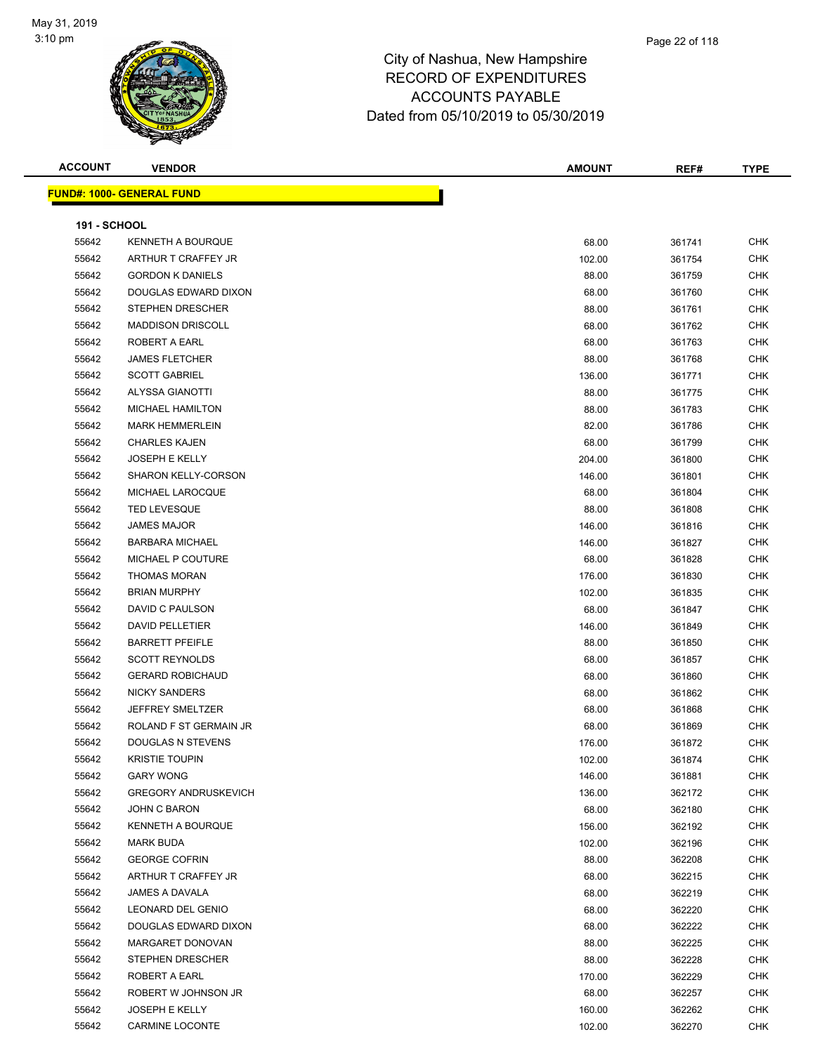

| <b>ACCOUNT</b>      | <b>VENDOR</b>                    | <b>AMOUNT</b> | REF#   | <b>TYPE</b> |
|---------------------|----------------------------------|---------------|--------|-------------|
|                     | <b>FUND#: 1000- GENERAL FUND</b> |               |        |             |
|                     |                                  |               |        |             |
| <b>191 - SCHOOL</b> |                                  |               |        |             |
| 55642               | KENNETH A BOURQUE                | 68.00         | 361741 | <b>CHK</b>  |
| 55642               | ARTHUR T CRAFFEY JR              | 102.00        | 361754 | <b>CHK</b>  |
| 55642               | <b>GORDON K DANIELS</b>          | 88.00         | 361759 | <b>CHK</b>  |
| 55642               | DOUGLAS EDWARD DIXON             | 68.00         | 361760 | <b>CHK</b>  |
| 55642               | <b>STEPHEN DRESCHER</b>          | 88.00         | 361761 | <b>CHK</b>  |
| 55642               | <b>MADDISON DRISCOLL</b>         | 68.00         | 361762 | <b>CHK</b>  |
| 55642               | ROBERT A EARL                    | 68.00         | 361763 | <b>CHK</b>  |
| 55642               | <b>JAMES FLETCHER</b>            | 88.00         | 361768 | <b>CHK</b>  |
| 55642               | <b>SCOTT GABRIEL</b>             | 136.00        | 361771 | <b>CHK</b>  |
| 55642               | ALYSSA GIANOTTI                  | 88.00         | 361775 | <b>CHK</b>  |
| 55642               | <b>MICHAEL HAMILTON</b>          | 88.00         | 361783 | <b>CHK</b>  |
| 55642               | <b>MARK HEMMERLEIN</b>           | 82.00         | 361786 | <b>CHK</b>  |
| 55642               | <b>CHARLES KAJEN</b>             | 68.00         | 361799 | <b>CHK</b>  |
| 55642               | <b>JOSEPH E KELLY</b>            | 204.00        | 361800 | <b>CHK</b>  |
| 55642               | SHARON KELLY-CORSON              | 146.00        | 361801 | <b>CHK</b>  |
| 55642               | MICHAEL LAROCQUE                 | 68.00         | 361804 | <b>CHK</b>  |
| 55642               | <b>TED LEVESQUE</b>              | 88.00         | 361808 | <b>CHK</b>  |
| 55642               | <b>JAMES MAJOR</b>               | 146.00        | 361816 | <b>CHK</b>  |
| 55642               | <b>BARBARA MICHAEL</b>           | 146.00        | 361827 | <b>CHK</b>  |
| 55642               | MICHAEL P COUTURE                | 68.00         | 361828 | <b>CHK</b>  |
| 55642               | <b>THOMAS MORAN</b>              | 176.00        | 361830 | <b>CHK</b>  |
| 55642               | <b>BRIAN MURPHY</b>              | 102.00        | 361835 | <b>CHK</b>  |
| 55642               | DAVID C PAULSON                  | 68.00         | 361847 | <b>CHK</b>  |
| 55642               | DAVID PELLETIER                  | 146.00        | 361849 | <b>CHK</b>  |
| 55642               | <b>BARRETT PFEIFLE</b>           | 88.00         | 361850 | <b>CHK</b>  |
| 55642               | <b>SCOTT REYNOLDS</b>            | 68.00         | 361857 | <b>CHK</b>  |
| 55642               | <b>GERARD ROBICHAUD</b>          | 68.00         | 361860 | <b>CHK</b>  |
| 55642               | <b>NICKY SANDERS</b>             | 68.00         | 361862 | <b>CHK</b>  |
| 55642               | <b>JEFFREY SMELTZER</b>          | 68.00         | 361868 | <b>CHK</b>  |
| 55642               | ROLAND F ST GERMAIN JR           | 68.00         | 361869 | <b>CHK</b>  |
| 55642               | <b>DOUGLAS N STEVENS</b>         | 176.00        | 361872 | CHK         |
| 55642               | <b>KRISTIE TOUPIN</b>            | 102.00        | 361874 | <b>CHK</b>  |
| 55642               | <b>GARY WONG</b>                 | 146.00        | 361881 | <b>CHK</b>  |
| 55642               | <b>GREGORY ANDRUSKEVICH</b>      | 136.00        | 362172 | <b>CHK</b>  |
| 55642               | <b>JOHN C BARON</b>              | 68.00         | 362180 | <b>CHK</b>  |
| 55642               | <b>KENNETH A BOURQUE</b>         | 156.00        | 362192 | <b>CHK</b>  |
| 55642               | <b>MARK BUDA</b>                 | 102.00        | 362196 | <b>CHK</b>  |
| 55642               | <b>GEORGE COFRIN</b>             | 88.00         | 362208 | <b>CHK</b>  |
| 55642               | ARTHUR T CRAFFEY JR              | 68.00         | 362215 | <b>CHK</b>  |
| 55642               | JAMES A DAVALA                   | 68.00         | 362219 | <b>CHK</b>  |
| 55642               | LEONARD DEL GENIO                | 68.00         | 362220 | <b>CHK</b>  |
| 55642               | DOUGLAS EDWARD DIXON             | 68.00         | 362222 | <b>CHK</b>  |
| 55642               | MARGARET DONOVAN                 | 88.00         | 362225 | <b>CHK</b>  |
| 55642               | <b>STEPHEN DRESCHER</b>          | 88.00         | 362228 | <b>CHK</b>  |
| 55642               | ROBERT A EARL                    | 170.00        | 362229 | <b>CHK</b>  |
| 55642               | ROBERT W JOHNSON JR              | 68.00         | 362257 | <b>CHK</b>  |
| 55642               | <b>JOSEPH E KELLY</b>            | 160.00        | 362262 | <b>CHK</b>  |
| 55642               | CARMINE LOCONTE                  | 102.00        | 362270 | <b>CHK</b>  |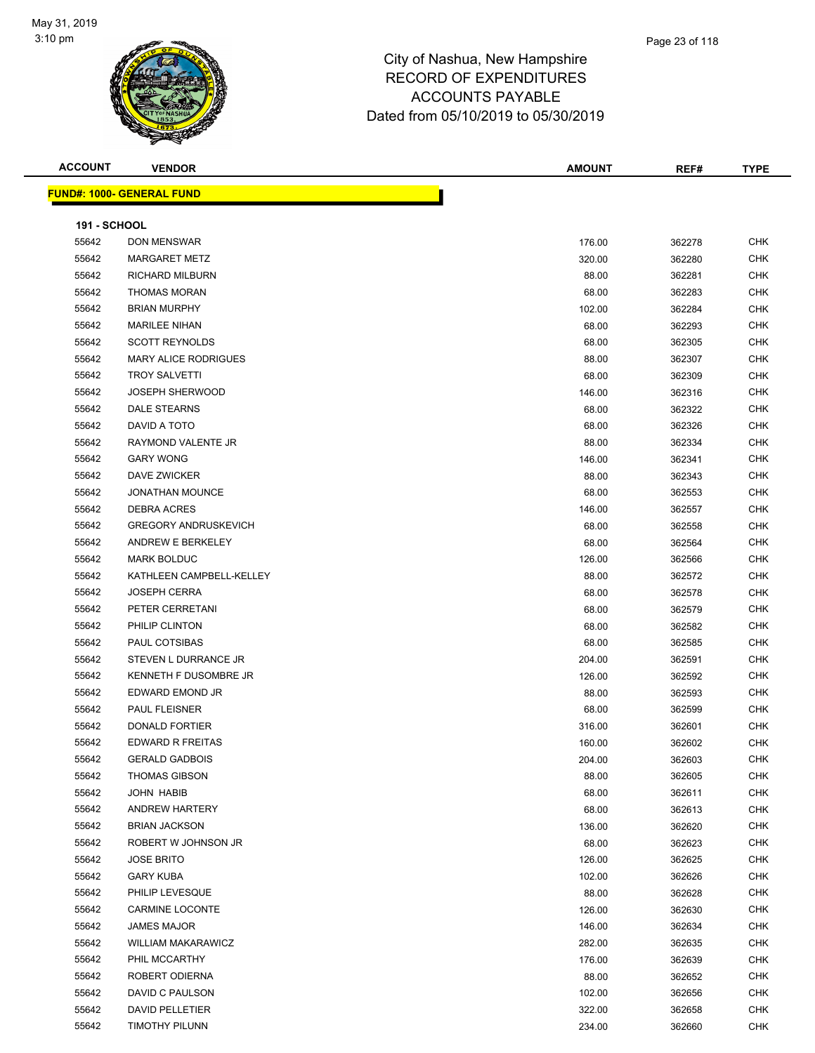

| <b>ACCOUNT</b>      | <b>VENDOR</b>                    | <b>AMOUNT</b> | REF#   | <b>TYPE</b> |
|---------------------|----------------------------------|---------------|--------|-------------|
|                     | <b>FUND#: 1000- GENERAL FUND</b> |               |        |             |
|                     |                                  |               |        |             |
| <b>191 - SCHOOL</b> |                                  |               |        |             |
| 55642               | DON MENSWAR                      | 176.00        | 362278 | <b>CHK</b>  |
| 55642               | <b>MARGARET METZ</b>             | 320.00        | 362280 | <b>CHK</b>  |
| 55642               | <b>RICHARD MILBURN</b>           | 88.00         | 362281 | <b>CHK</b>  |
| 55642               | <b>THOMAS MORAN</b>              | 68.00         | 362283 | <b>CHK</b>  |
| 55642               | <b>BRIAN MURPHY</b>              | 102.00        | 362284 | <b>CHK</b>  |
| 55642               | <b>MARILEE NIHAN</b>             | 68.00         | 362293 | <b>CHK</b>  |
| 55642               | <b>SCOTT REYNOLDS</b>            | 68.00         | 362305 | <b>CHK</b>  |
| 55642               | <b>MARY ALICE RODRIGUES</b>      | 88.00         | 362307 | <b>CHK</b>  |
| 55642               | <b>TROY SALVETTI</b>             | 68.00         | 362309 | <b>CHK</b>  |
| 55642               | <b>JOSEPH SHERWOOD</b>           | 146.00        | 362316 | <b>CHK</b>  |
| 55642               | DALE STEARNS                     | 68.00         | 362322 | <b>CHK</b>  |
| 55642               | DAVID A TOTO                     | 68.00         | 362326 | <b>CHK</b>  |
| 55642               | RAYMOND VALENTE JR               | 88.00         | 362334 | <b>CHK</b>  |
| 55642               | <b>GARY WONG</b>                 | 146.00        | 362341 | <b>CHK</b>  |
| 55642               | <b>DAVE ZWICKER</b>              | 88.00         | 362343 | <b>CHK</b>  |
| 55642               | <b>JONATHAN MOUNCE</b>           | 68.00         | 362553 | <b>CHK</b>  |
| 55642               | <b>DEBRA ACRES</b>               | 146.00        | 362557 | <b>CHK</b>  |
| 55642               | <b>GREGORY ANDRUSKEVICH</b>      | 68.00         | 362558 | <b>CHK</b>  |
| 55642               | ANDREW E BERKELEY                | 68.00         | 362564 | <b>CHK</b>  |
| 55642               | <b>MARK BOLDUC</b>               | 126.00        | 362566 | <b>CHK</b>  |
| 55642               | KATHLEEN CAMPBELL-KELLEY         | 88.00         | 362572 | CHK         |
| 55642               | <b>JOSEPH CERRA</b>              | 68.00         | 362578 | <b>CHK</b>  |
| 55642               | PETER CERRETANI                  | 68.00         | 362579 | <b>CHK</b>  |
| 55642               | PHILIP CLINTON                   | 68.00         | 362582 | <b>CHK</b>  |
| 55642               | PAUL COTSIBAS                    | 68.00         | 362585 | <b>CHK</b>  |
| 55642               | STEVEN L DURRANCE JR             | 204.00        | 362591 | <b>CHK</b>  |
| 55642               | KENNETH F DUSOMBRE JR            | 126.00        | 362592 | <b>CHK</b>  |
| 55642               | EDWARD EMOND JR                  | 88.00         | 362593 | <b>CHK</b>  |
| 55642               | <b>PAUL FLEISNER</b>             | 68.00         | 362599 | <b>CHK</b>  |
| 55642               | <b>DONALD FORTIER</b>            | 316.00        | 362601 | <b>CHK</b>  |
| 55642               | EDWARD R FREITAS                 | 160.00        | 362602 | <b>CHK</b>  |
| 55642               | <b>GERALD GADBOIS</b>            | 204.00        | 362603 | <b>CHK</b>  |
| 55642               | <b>THOMAS GIBSON</b>             | 88.00         | 362605 | <b>CHK</b>  |
| 55642               | JOHN HABIB                       | 68.00         | 362611 | <b>CHK</b>  |
| 55642               | <b>ANDREW HARTERY</b>            | 68.00         | 362613 | <b>CHK</b>  |
| 55642               | <b>BRIAN JACKSON</b>             | 136.00        | 362620 | <b>CHK</b>  |
| 55642               | ROBERT W JOHNSON JR              | 68.00         | 362623 | <b>CHK</b>  |
| 55642               | <b>JOSE BRITO</b>                | 126.00        | 362625 | <b>CHK</b>  |
| 55642               | <b>GARY KUBA</b>                 | 102.00        | 362626 | <b>CHK</b>  |
| 55642               | PHILIP LEVESQUE                  | 88.00         | 362628 | <b>CHK</b>  |
| 55642               | <b>CARMINE LOCONTE</b>           | 126.00        | 362630 | <b>CHK</b>  |
| 55642               | <b>JAMES MAJOR</b>               | 146.00        | 362634 | <b>CHK</b>  |
| 55642               | <b>WILLIAM MAKARAWICZ</b>        | 282.00        | 362635 | <b>CHK</b>  |
| 55642               | PHIL MCCARTHY                    | 176.00        | 362639 | <b>CHK</b>  |
| 55642               | ROBERT ODIERNA                   | 88.00         | 362652 | <b>CHK</b>  |
| 55642               | DAVID C PAULSON                  | 102.00        | 362656 | <b>CHK</b>  |
| 55642               | DAVID PELLETIER                  | 322.00        | 362658 | <b>CHK</b>  |
| 55642               | TIMOTHY PILUNN                   | 234.00        | 362660 | <b>CHK</b>  |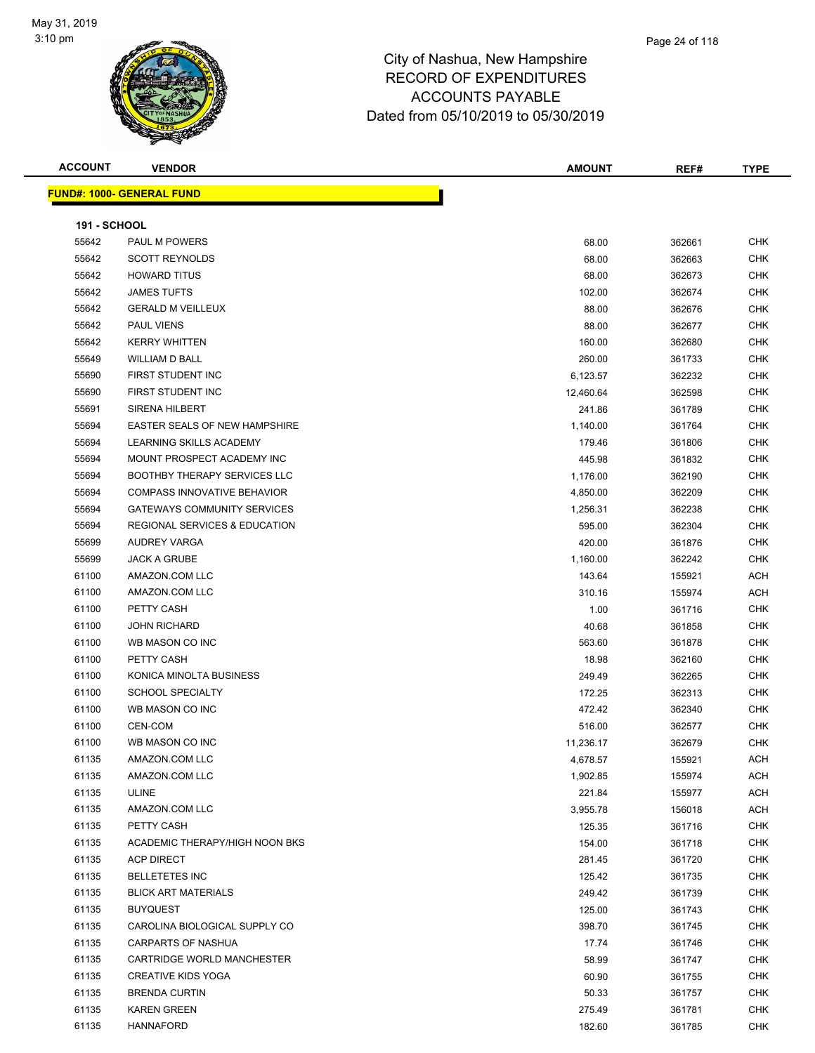

**FUND#: 1000- GENERAL FUND**

| <b>ACCOUNT</b>      | <b>VENDOR</b>                     | <b>AMOUNT</b> | REF#   | <b>TYPE</b> |
|---------------------|-----------------------------------|---------------|--------|-------------|
|                     | <u> IND#: 1000- GENERAL FUND </u> |               |        |             |
| <b>191 - SCHOOL</b> |                                   |               |        |             |
| 55642               | <b>PAUL M POWERS</b>              | 68.00         | 362661 | <b>CHK</b>  |
| 55642               | <b>SCOTT REYNOLDS</b>             | 68.00         | 362663 | <b>CHK</b>  |

| 55642 | <b>SCOTT REYNOLDS</b>               | 68.00     | 362663 | CHK        |
|-------|-------------------------------------|-----------|--------|------------|
| 55642 | <b>HOWARD TITUS</b>                 | 68.00     | 362673 | <b>CHK</b> |
| 55642 | <b>JAMES TUFTS</b>                  | 102.00    | 362674 | <b>CHK</b> |
| 55642 | <b>GERALD M VEILLEUX</b>            | 88.00     | 362676 | CHK        |
| 55642 | <b>PAUL VIENS</b>                   | 88.00     | 362677 | <b>CHK</b> |
| 55642 | <b>KERRY WHITTEN</b>                | 160.00    | 362680 | CHK        |
| 55649 | WILLIAM D BALL                      | 260.00    | 361733 | CHK        |
| 55690 | FIRST STUDENT INC                   | 6,123.57  | 362232 | CHK        |
| 55690 | FIRST STUDENT INC                   | 12,460.64 | 362598 | CHK        |
| 55691 | <b>SIRENA HILBERT</b>               | 241.86    | 361789 | CHK        |
| 55694 | EASTER SEALS OF NEW HAMPSHIRE       | 1,140.00  | 361764 | <b>CHK</b> |
| 55694 | LEARNING SKILLS ACADEMY             | 179.46    | 361806 | CHK        |
| 55694 | MOUNT PROSPECT ACADEMY INC          | 445.98    | 361832 | <b>CHK</b> |
| 55694 | <b>BOOTHBY THERAPY SERVICES LLC</b> | 1,176.00  | 362190 | CHK        |
| 55694 | <b>COMPASS INNOVATIVE BEHAVIOR</b>  | 4,850.00  | 362209 | <b>CHK</b> |
| 55694 | <b>GATEWAYS COMMUNITY SERVICES</b>  | 1,256.31  | 362238 | <b>CHK</b> |
| 55694 | REGIONAL SERVICES & EDUCATION       | 595.00    | 362304 | CHK        |
| 55699 | AUDREY VARGA                        | 420.00    | 361876 | <b>CHK</b> |
| 55699 | <b>JACK A GRUBE</b>                 | 1,160.00  | 362242 | <b>CHK</b> |
| 61100 | AMAZON.COM LLC                      | 143.64    | 155921 | ACH        |
| 61100 | AMAZON.COM LLC                      | 310.16    | 155974 | <b>ACH</b> |
| 61100 | PETTY CASH                          | 1.00      | 361716 | <b>CHK</b> |
| 61100 | <b>JOHN RICHARD</b>                 | 40.68     | 361858 | CHK        |
| 61100 | WB MASON CO INC                     | 563.60    | 361878 | <b>CHK</b> |
| 61100 | PETTY CASH                          | 18.98     | 362160 | CHK        |
| 61100 | KONICA MINOLTA BUSINESS             | 249.49    | 362265 | CHK        |
| 61100 | <b>SCHOOL SPECIALTY</b>             | 172.25    | 362313 | <b>CHK</b> |
| 61100 | WB MASON CO INC                     | 472.42    | 362340 | CHK        |
| 61100 | CEN-COM                             | 516.00    | 362577 | CHK        |
| 61100 | WB MASON CO INC                     | 11,236.17 | 362679 | <b>CHK</b> |
| 61135 | AMAZON.COM LLC                      | 4,678.57  | 155921 | ACH        |
| 61135 | AMAZON.COM LLC                      | 1,902.85  | 155974 | ACH        |
| 61135 | ULINE                               | 221.84    | 155977 | ACH        |
| 61135 | AMAZON.COM LLC                      | 3,955.78  | 156018 | ACH        |
| 61135 | PETTY CASH                          | 125.35    | 361716 | CHK        |
| 61135 | ACADEMIC THERAPY/HIGH NOON BKS      | 154.00    | 361718 | CHK        |
| 61135 | <b>ACP DIRECT</b>                   | 281.45    | 361720 | <b>CHK</b> |
| 61135 | <b>BELLETETES INC</b>               | 125.42    | 361735 | <b>CHK</b> |
| 61135 | <b>BLICK ART MATERIALS</b>          | 249.42    | 361739 | CHK        |
| 61135 | <b>BUYQUEST</b>                     | 125.00    | 361743 | CHK        |
| 61135 | CAROLINA BIOLOGICAL SUPPLY CO       | 398.70    | 361745 | CHK        |
| 61135 | <b>CARPARTS OF NASHUA</b>           | 17.74     | 361746 | <b>CHK</b> |
| 61135 | CARTRIDGE WORLD MANCHESTER          | 58.99     | 361747 | CHK        |
| 61135 | <b>CREATIVE KIDS YOGA</b>           | 60.90     | 361755 | CHK        |
| 61135 | <b>BRENDA CURTIN</b>                | 50.33     | 361757 | CHK        |
| 61135 | <b>KAREN GREEN</b>                  | 275.49    | 361781 | <b>CHK</b> |
| 61135 | <b>HANNAFORD</b>                    | 182.60    | 361785 | CHK        |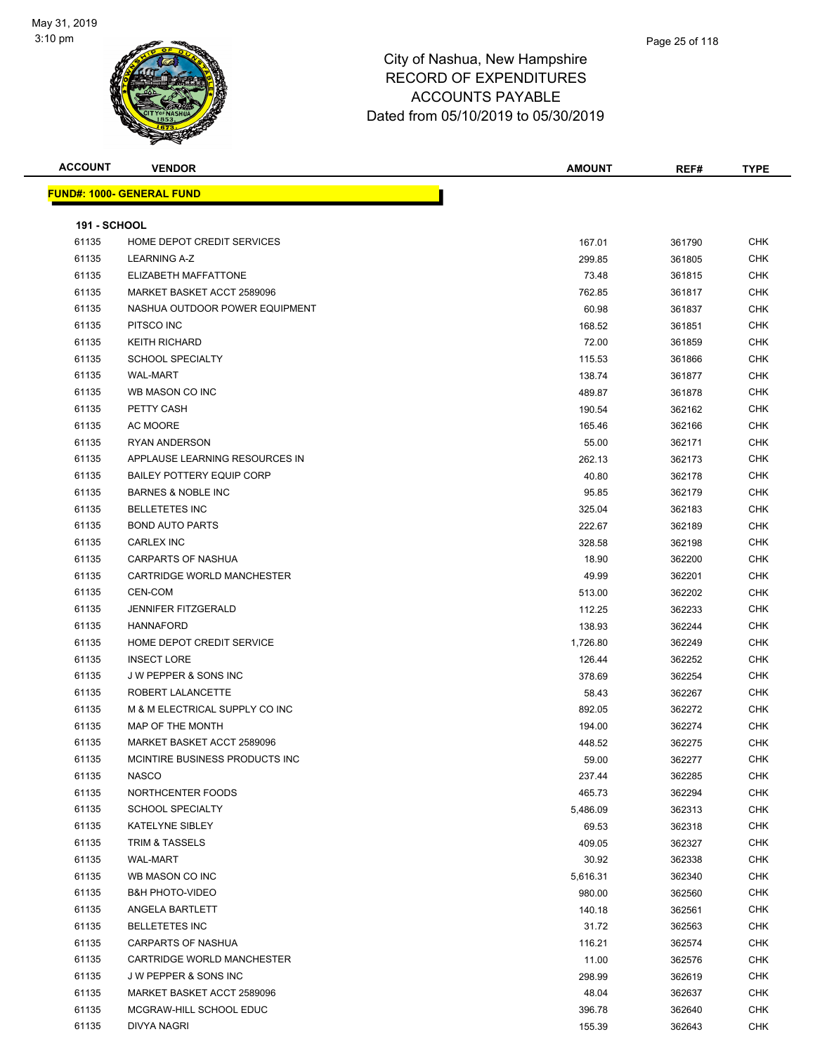

| <b>ACCOUNT</b>      | <b>VENDOR</b>                     | <b>AMOUNT</b> | REF#   | <b>TYPE</b> |
|---------------------|-----------------------------------|---------------|--------|-------------|
|                     | <u> FUND#: 1000- GENERAL FUND</u> |               |        |             |
|                     |                                   |               |        |             |
| <b>191 - SCHOOL</b> |                                   |               |        |             |
| 61135               | HOME DEPOT CREDIT SERVICES        | 167.01        | 361790 | <b>CHK</b>  |
| 61135               | LEARNING A-Z                      | 299.85        | 361805 | <b>CHK</b>  |
| 61135               | ELIZABETH MAFFATTONE              | 73.48         | 361815 | <b>CHK</b>  |
| 61135               | MARKET BASKET ACCT 2589096        | 762.85        | 361817 | <b>CHK</b>  |
| 61135               | NASHUA OUTDOOR POWER EQUIPMENT    | 60.98         | 361837 | <b>CHK</b>  |
| 61135               | PITSCO INC                        | 168.52        | 361851 | <b>CHK</b>  |
| 61135               | <b>KEITH RICHARD</b>              | 72.00         | 361859 | <b>CHK</b>  |
| 61135               | <b>SCHOOL SPECIALTY</b>           | 115.53        | 361866 | <b>CHK</b>  |
| 61135               | <b>WAL-MART</b>                   | 138.74        | 361877 | <b>CHK</b>  |
| 61135               | WB MASON CO INC                   | 489.87        | 361878 | <b>CHK</b>  |
| 61135               | PETTY CASH                        | 190.54        | 362162 | <b>CHK</b>  |
| 61135               | AC MOORE                          | 165.46        | 362166 | <b>CHK</b>  |
| 61135               | <b>RYAN ANDERSON</b>              | 55.00         | 362171 | <b>CHK</b>  |
| 61135               | APPLAUSE LEARNING RESOURCES IN    | 262.13        | 362173 | <b>CHK</b>  |
| 61135               | <b>BAILEY POTTERY EQUIP CORP</b>  | 40.80         | 362178 | <b>CHK</b>  |
| 61135               | <b>BARNES &amp; NOBLE INC</b>     | 95.85         | 362179 | <b>CHK</b>  |
| 61135               | <b>BELLETETES INC</b>             | 325.04        | 362183 | <b>CHK</b>  |
| 61135               | <b>BOND AUTO PARTS</b>            | 222.67        | 362189 | <b>CHK</b>  |
| 61135               | <b>CARLEX INC</b>                 | 328.58        | 362198 | <b>CHK</b>  |
| 61135               | <b>CARPARTS OF NASHUA</b>         | 18.90         | 362200 | <b>CHK</b>  |
| 61135               | CARTRIDGE WORLD MANCHESTER        | 49.99         | 362201 | <b>CHK</b>  |
| 61135               | CEN-COM                           | 513.00        | 362202 | <b>CHK</b>  |
| 61135               | <b>JENNIFER FITZGERALD</b>        | 112.25        | 362233 | <b>CHK</b>  |
| 61135               | <b>HANNAFORD</b>                  | 138.93        | 362244 | <b>CHK</b>  |
| 61135               | HOME DEPOT CREDIT SERVICE         | 1,726.80      | 362249 | <b>CHK</b>  |
| 61135               | <b>INSECT LORE</b>                | 126.44        | 362252 | <b>CHK</b>  |
| 61135               | <b>JW PEPPER &amp; SONS INC</b>   | 378.69        | 362254 | <b>CHK</b>  |
| 61135               | ROBERT LALANCETTE                 | 58.43         | 362267 | <b>CHK</b>  |
| 61135               | M & M ELECTRICAL SUPPLY CO INC    | 892.05        | 362272 | <b>CHK</b>  |
| 61135               | MAP OF THE MONTH                  | 194.00        | 362274 | <b>CHK</b>  |
| 61135               | MARKET BASKET ACCT 2589096        | 448.52        | 362275 | <b>CHK</b>  |
| 61135               | MCINTIRE BUSINESS PRODUCTS INC    | 59.00         | 362277 | <b>CHK</b>  |
| 61135               | <b>NASCO</b>                      | 237.44        | 362285 | CHK         |
| 61135               | NORTHCENTER FOODS                 | 465.73        | 362294 | <b>CHK</b>  |
| 61135               | <b>SCHOOL SPECIALTY</b>           | 5,486.09      | 362313 | <b>CHK</b>  |
| 61135               | <b>KATELYNE SIBLEY</b>            | 69.53         | 362318 | <b>CHK</b>  |
| 61135               | <b>TRIM &amp; TASSELS</b>         | 409.05        | 362327 | <b>CHK</b>  |
| 61135               | WAL-MART                          | 30.92         | 362338 | <b>CHK</b>  |
| 61135               | WB MASON CO INC                   | 5,616.31      | 362340 | <b>CHK</b>  |
| 61135               | <b>B&amp;H PHOTO-VIDEO</b>        | 980.00        | 362560 | <b>CHK</b>  |
| 61135               | ANGELA BARTLETT                   | 140.18        | 362561 | <b>CHK</b>  |
| 61135               | <b>BELLETETES INC</b>             | 31.72         | 362563 | <b>CHK</b>  |
| 61135               | <b>CARPARTS OF NASHUA</b>         | 116.21        | 362574 | <b>CHK</b>  |
| 61135               | CARTRIDGE WORLD MANCHESTER        | 11.00         | 362576 | <b>CHK</b>  |
| 61135               | J W PEPPER & SONS INC             | 298.99        | 362619 | <b>CHK</b>  |
| 61135               | MARKET BASKET ACCT 2589096        | 48.04         | 362637 | <b>CHK</b>  |
| 61135               | MCGRAW-HILL SCHOOL EDUC           | 396.78        | 362640 | <b>CHK</b>  |
| 61135               | DIVYA NAGRI                       | 155.39        | 362643 | <b>CHK</b>  |
|                     |                                   |               |        |             |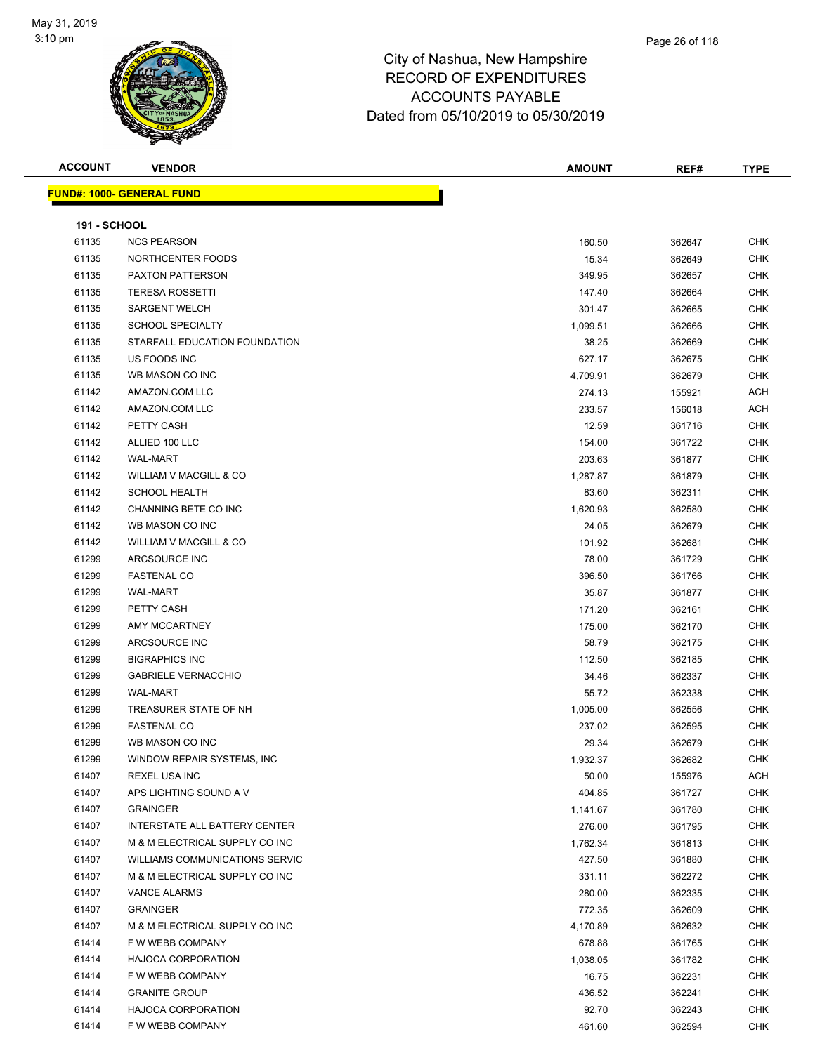

| <b>ACCOUNT</b>      | <b>VENDOR</b>                         | <b>AMOUNT</b> | REF#   | <b>TYPE</b> |
|---------------------|---------------------------------------|---------------|--------|-------------|
|                     | <b>FUND#: 1000- GENERAL FUND</b>      |               |        |             |
|                     |                                       |               |        |             |
| <b>191 - SCHOOL</b> |                                       |               |        |             |
| 61135               | <b>NCS PEARSON</b>                    | 160.50        | 362647 | <b>CHK</b>  |
| 61135               | NORTHCENTER FOODS                     | 15.34         | 362649 | <b>CHK</b>  |
| 61135               | PAXTON PATTERSON                      | 349.95        | 362657 | <b>CHK</b>  |
| 61135               | <b>TERESA ROSSETTI</b>                | 147.40        | 362664 | <b>CHK</b>  |
| 61135               | <b>SARGENT WELCH</b>                  | 301.47        | 362665 | <b>CHK</b>  |
| 61135               | <b>SCHOOL SPECIALTY</b>               | 1,099.51      | 362666 | <b>CHK</b>  |
| 61135               | STARFALL EDUCATION FOUNDATION         | 38.25         | 362669 | <b>CHK</b>  |
| 61135               | US FOODS INC                          | 627.17        | 362675 | <b>CHK</b>  |
| 61135               | WB MASON CO INC                       | 4,709.91      | 362679 | <b>CHK</b>  |
| 61142               | AMAZON.COM LLC                        | 274.13        | 155921 | <b>ACH</b>  |
| 61142               | AMAZON.COM LLC                        | 233.57        | 156018 | <b>ACH</b>  |
| 61142               | PETTY CASH                            | 12.59         | 361716 | <b>CHK</b>  |
| 61142               | ALLIED 100 LLC                        | 154.00        | 361722 | <b>CHK</b>  |
| 61142               | <b>WAL-MART</b>                       | 203.63        | 361877 | <b>CHK</b>  |
| 61142               | WILLIAM V MACGILL & CO                | 1,287.87      | 361879 | <b>CHK</b>  |
| 61142               | <b>SCHOOL HEALTH</b>                  | 83.60         | 362311 | <b>CHK</b>  |
| 61142               | CHANNING BETE CO INC                  | 1,620.93      | 362580 | <b>CHK</b>  |
| 61142               | WB MASON CO INC                       | 24.05         | 362679 | <b>CHK</b>  |
| 61142               | WILLIAM V MACGILL & CO                | 101.92        | 362681 | <b>CHK</b>  |
| 61299               | ARCSOURCE INC                         | 78.00         | 361729 | <b>CHK</b>  |
| 61299               | <b>FASTENAL CO</b>                    | 396.50        | 361766 | <b>CHK</b>  |
| 61299               | <b>WAL-MART</b>                       | 35.87         | 361877 | <b>CHK</b>  |
| 61299               | PETTY CASH                            | 171.20        | 362161 | <b>CHK</b>  |
| 61299               | AMY MCCARTNEY                         | 175.00        | 362170 | <b>CHK</b>  |
| 61299               | ARCSOURCE INC                         | 58.79         | 362175 | <b>CHK</b>  |
| 61299               | <b>BIGRAPHICS INC</b>                 | 112.50        | 362185 | <b>CHK</b>  |
| 61299               | <b>GABRIELE VERNACCHIO</b>            | 34.46         | 362337 | <b>CHK</b>  |
| 61299               | <b>WAL-MART</b>                       | 55.72         | 362338 | <b>CHK</b>  |
| 61299               | TREASURER STATE OF NH                 | 1,005.00      | 362556 | <b>CHK</b>  |
| 61299               | <b>FASTENAL CO</b>                    | 237.02        | 362595 | <b>CHK</b>  |
| 61299               | WB MASON CO INC                       | 29.34         | 362679 | <b>CHK</b>  |
| 61299               | WINDOW REPAIR SYSTEMS, INC            | 1,932.37      | 362682 | <b>CHK</b>  |
| 61407               | REXEL USA INC                         | 50.00         | 155976 | ACH         |
| 61407               | APS LIGHTING SOUND A V                | 404.85        | 361727 | <b>CHK</b>  |
| 61407               | <b>GRAINGER</b>                       | 1,141.67      | 361780 | <b>CHK</b>  |
| 61407               | <b>INTERSTATE ALL BATTERY CENTER</b>  | 276.00        | 361795 | <b>CHK</b>  |
| 61407               | M & M ELECTRICAL SUPPLY CO INC        | 1,762.34      | 361813 | <b>CHK</b>  |
| 61407               | <b>WILLIAMS COMMUNICATIONS SERVIC</b> | 427.50        | 361880 | <b>CHK</b>  |
| 61407               | M & M ELECTRICAL SUPPLY CO INC        | 331.11        | 362272 | <b>CHK</b>  |
| 61407               | <b>VANCE ALARMS</b>                   | 280.00        | 362335 | <b>CHK</b>  |
| 61407               | <b>GRAINGER</b>                       | 772.35        | 362609 | <b>CHK</b>  |
| 61407               | M & M ELECTRICAL SUPPLY CO INC        | 4,170.89      | 362632 | <b>CHK</b>  |
| 61414               | F W WEBB COMPANY                      | 678.88        | 361765 | <b>CHK</b>  |
| 61414               | <b>HAJOCA CORPORATION</b>             | 1,038.05      | 361782 | <b>CHK</b>  |
| 61414               | F W WEBB COMPANY                      | 16.75         | 362231 | <b>CHK</b>  |
| 61414               | <b>GRANITE GROUP</b>                  | 436.52        | 362241 | <b>CHK</b>  |
| 61414               | <b>HAJOCA CORPORATION</b>             | 92.70         | 362243 | <b>CHK</b>  |
| 61414               | F W WEBB COMPANY                      | 461.60        | 362594 | <b>CHK</b>  |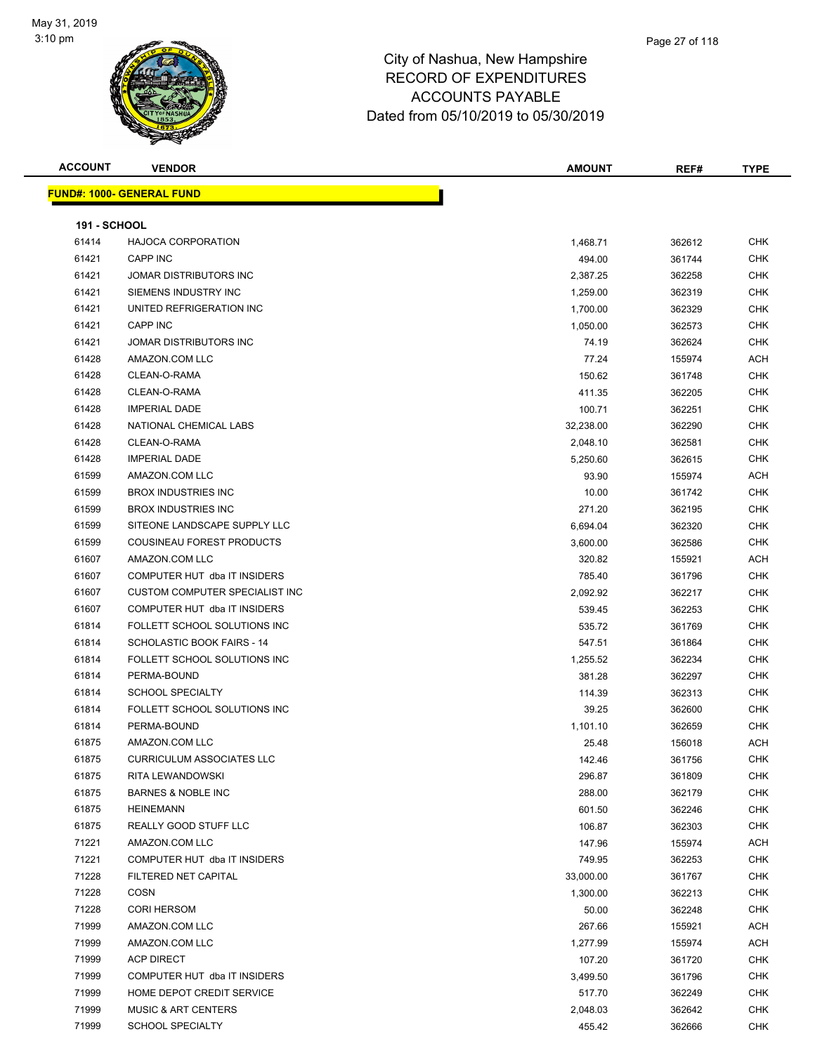

| <b>ACCOUNT</b>      | <b>VENDOR</b>                     | <b>AMOUNT</b> | REF#   | <b>TYPE</b> |
|---------------------|-----------------------------------|---------------|--------|-------------|
|                     | <b>FUND#: 1000- GENERAL FUND</b>  |               |        |             |
|                     |                                   |               |        |             |
| <b>191 - SCHOOL</b> |                                   |               |        |             |
| 61414               | <b>HAJOCA CORPORATION</b>         | 1,468.71      | 362612 | <b>CHK</b>  |
| 61421               | CAPP INC                          | 494.00        | 361744 | <b>CHK</b>  |
| 61421               | JOMAR DISTRIBUTORS INC            | 2,387.25      | 362258 | <b>CHK</b>  |
| 61421               | SIEMENS INDUSTRY INC              | 1,259.00      | 362319 | <b>CHK</b>  |
| 61421               | UNITED REFRIGERATION INC          | 1,700.00      | 362329 | <b>CHK</b>  |
| 61421               | <b>CAPP INC</b>                   | 1,050.00      | 362573 | <b>CHK</b>  |
| 61421               | JOMAR DISTRIBUTORS INC            | 74.19         | 362624 | <b>CHK</b>  |
| 61428               | AMAZON.COM LLC                    | 77.24         | 155974 | ACH         |
| 61428               | CLEAN-O-RAMA                      | 150.62        | 361748 | <b>CHK</b>  |
| 61428               | CLEAN-O-RAMA                      | 411.35        | 362205 | <b>CHK</b>  |
| 61428               | <b>IMPERIAL DADE</b>              | 100.71        | 362251 | <b>CHK</b>  |
| 61428               | NATIONAL CHEMICAL LABS            | 32,238.00     | 362290 | <b>CHK</b>  |
| 61428               | CLEAN-O-RAMA                      | 2,048.10      | 362581 | CHK         |
| 61428               | <b>IMPERIAL DADE</b>              | 5,250.60      | 362615 | <b>CHK</b>  |
| 61599               | AMAZON.COM LLC                    | 93.90         | 155974 | ACH         |
| 61599               | <b>BROX INDUSTRIES INC</b>        | 10.00         | 361742 | CHK         |
| 61599               | <b>BROX INDUSTRIES INC</b>        | 271.20        | 362195 | <b>CHK</b>  |
| 61599               | SITEONE LANDSCAPE SUPPLY LLC      | 6,694.04      | 362320 | <b>CHK</b>  |
| 61599               | COUSINEAU FOREST PRODUCTS         | 3,600.00      | 362586 | <b>CHK</b>  |
| 61607               | AMAZON.COM LLC                    | 320.82        | 155921 | ACH         |
| 61607               | COMPUTER HUT dba IT INSIDERS      | 785.40        | 361796 | <b>CHK</b>  |
| 61607               | CUSTOM COMPUTER SPECIALIST INC    | 2,092.92      | 362217 | <b>CHK</b>  |
| 61607               | COMPUTER HUT dba IT INSIDERS      | 539.45        | 362253 | <b>CHK</b>  |
| 61814               | FOLLETT SCHOOL SOLUTIONS INC      | 535.72        | 361769 | <b>CHK</b>  |
| 61814               | <b>SCHOLASTIC BOOK FAIRS - 14</b> | 547.51        | 361864 | <b>CHK</b>  |
| 61814               | FOLLETT SCHOOL SOLUTIONS INC      | 1,255.52      | 362234 | <b>CHK</b>  |
| 61814               | PERMA-BOUND                       | 381.28        | 362297 | CHK         |
| 61814               | <b>SCHOOL SPECIALTY</b>           | 114.39        | 362313 | <b>CHK</b>  |
| 61814               | FOLLETT SCHOOL SOLUTIONS INC      | 39.25         | 362600 | <b>CHK</b>  |
| 61814               | PERMA-BOUND                       | 1,101.10      | 362659 | <b>CHK</b>  |
| 61875               | AMAZON.COM LLC                    | 25.48         | 156018 | ACH         |
| 61875               | <b>CURRICULUM ASSOCIATES LLC</b>  | 142.46        | 361756 | CHK         |
| 61875               | RITA LEWANDOWSKI                  | 296.87        | 361809 | <b>CHK</b>  |
| 61875               | <b>BARNES &amp; NOBLE INC</b>     | 288.00        | 362179 | <b>CHK</b>  |
| 61875               | HEINEMANN                         | 601.50        | 362246 | <b>CHK</b>  |
| 61875               | <b>REALLY GOOD STUFF LLC</b>      | 106.87        | 362303 | <b>CHK</b>  |
| 71221               | AMAZON.COM LLC                    | 147.96        | 155974 | ACH         |
| 71221               | COMPUTER HUT dba IT INSIDERS      | 749.95        | 362253 | <b>CHK</b>  |
| 71228               | FILTERED NET CAPITAL              | 33,000.00     | 361767 | <b>CHK</b>  |
| 71228               | COSN                              | 1,300.00      | 362213 | <b>CHK</b>  |
| 71228               | <b>CORI HERSOM</b>                | 50.00         | 362248 | <b>CHK</b>  |
| 71999               | AMAZON.COM LLC                    | 267.66        | 155921 | <b>ACH</b>  |
| 71999               | AMAZON.COM LLC                    | 1,277.99      | 155974 | ACH         |
| 71999               | <b>ACP DIRECT</b>                 | 107.20        | 361720 | <b>CHK</b>  |
| 71999               | COMPUTER HUT dba IT INSIDERS      | 3,499.50      | 361796 | <b>CHK</b>  |
| 71999               | HOME DEPOT CREDIT SERVICE         | 517.70        | 362249 | <b>CHK</b>  |
| 71999               | <b>MUSIC &amp; ART CENTERS</b>    | 2,048.03      | 362642 | <b>CHK</b>  |
| 71999               | SCHOOL SPECIALTY                  | 455.42        | 362666 | <b>CHK</b>  |
|                     |                                   |               |        |             |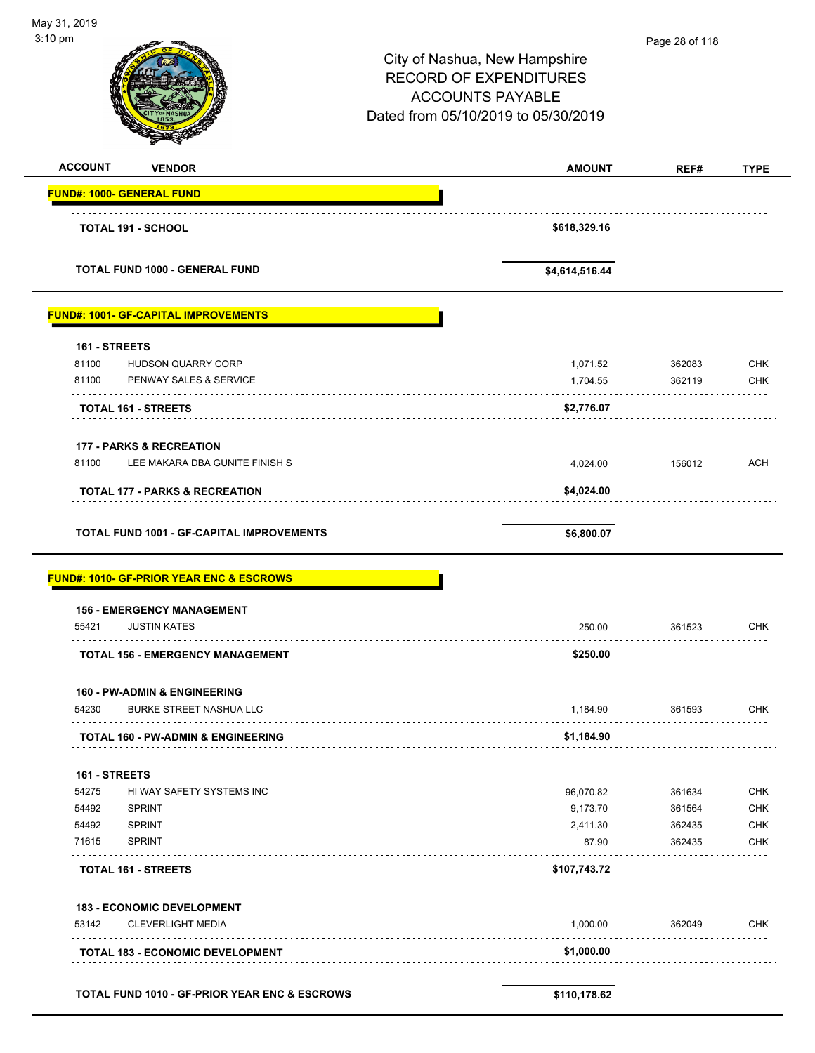| May 31, 2019                                             |                                     |                |             |
|----------------------------------------------------------|-------------------------------------|----------------|-------------|
| 3:10 pm                                                  |                                     | Page 28 of 118 |             |
|                                                          | City of Nashua, New Hampshire       |                |             |
|                                                          | <b>RECORD OF EXPENDITURES</b>       |                |             |
|                                                          | <b>ACCOUNTS PAYABLE</b>             |                |             |
|                                                          | Dated from 05/10/2019 to 05/30/2019 |                |             |
|                                                          |                                     |                |             |
| <b>ACCOUNT</b><br><b>VENDOR</b>                          | <b>AMOUNT</b>                       | REF#           | <b>TYPE</b> |
| <b>FUND#: 1000- GENERAL FUND</b>                         |                                     |                |             |
| <b>TOTAL 191 - SCHOOL</b>                                | \$618,329.16                        |                |             |
|                                                          |                                     |                |             |
| TOTAL FUND 1000 - GENERAL FUND                           | \$4,614,516.44                      |                |             |
| <b>FUND#: 1001- GF-CAPITAL IMPROVEMENTS</b>              |                                     |                |             |
| 161 - STREETS                                            |                                     |                |             |
| 81100<br>HUDSON QUARRY CORP                              | 1,071.52                            | 362083         | <b>CHK</b>  |
| 81100<br>PENWAY SALES & SERVICE                          | 1,704.55                            | 362119         | <b>CHK</b>  |
| <b>TOTAL 161 - STREETS</b>                               | \$2,776.07                          |                |             |
| <b>177 - PARKS &amp; RECREATION</b>                      |                                     |                |             |
| LEE MAKARA DBA GUNITE FINISH S<br>81100                  | 4,024.00                            | 156012         | <b>ACH</b>  |
| TOTAL 177 - PARKS & RECREATION                           | \$4,024.00                          |                |             |
| <b>TOTAL FUND 1001 - GF-CAPITAL IMPROVEMENTS</b>         | \$6,800.07                          |                |             |
|                                                          |                                     |                |             |
| <b>FUND#: 1010- GF-PRIOR YEAR ENC &amp; ESCROWS</b>      |                                     |                |             |
| <b>156 - EMERGENCY MANAGEMENT</b>                        |                                     |                |             |
| <b>JUSTIN KATES</b><br>55421                             | 250.00                              | 361523         | <b>CHK</b>  |
| <b>TOTAL 156 - EMERGENCY MANAGEMENT</b>                  | \$250.00                            |                |             |
| <b>160 - PW-ADMIN &amp; ENGINEERING</b>                  |                                     |                |             |
| 54230<br><b>BURKE STREET NASHUA LLC</b>                  | 1,184.90                            | 361593         | CHK         |
| <b>TOTAL 160 - PW-ADMIN &amp; ENGINEERING</b>            | \$1,184.90                          |                |             |
| 161 - STREETS                                            |                                     |                |             |
| 54275<br>HI WAY SAFETY SYSTEMS INC                       | 96,070.82                           | 361634         | <b>CHK</b>  |
| 54492<br><b>SPRINT</b>                                   | 9,173.70                            | 361564         | <b>CHK</b>  |
| <b>SPRINT</b><br>54492                                   | 2,411.30                            | 362435         | <b>CHK</b>  |
| <b>SPRINT</b><br>71615                                   | 87.90                               | 362435         | <b>CHK</b>  |
| <b>TOTAL 161 - STREETS</b>                               | \$107,743.72                        |                |             |
| <b>183 - ECONOMIC DEVELOPMENT</b>                        |                                     |                |             |
| 53142<br><b>CLEVERLIGHT MEDIA</b>                        | 1,000.00                            | 362049         | CHK         |
| <b>TOTAL 183 - ECONOMIC DEVELOPMENT</b>                  | \$1,000.00                          |                |             |
|                                                          |                                     |                |             |
| <b>TOTAL FUND 1010 - GF-PRIOR YEAR ENC &amp; ESCROWS</b> | \$110,178.62                        |                |             |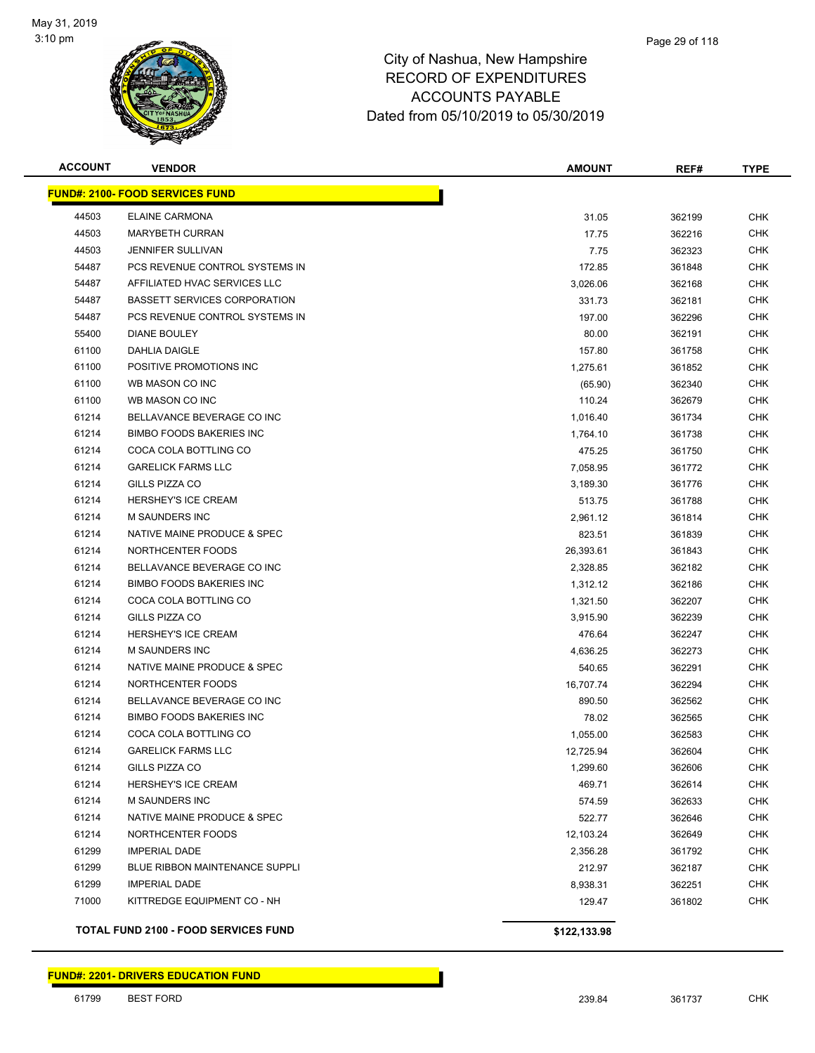

| <b>ACCOUNT</b> | <b>VENDOR</b>                               | <b>AMOUNT</b> | REF#   | <b>TYPE</b> |
|----------------|---------------------------------------------|---------------|--------|-------------|
|                | <b>FUND#: 2100- FOOD SERVICES FUND</b>      |               |        |             |
| 44503          | <b>ELAINE CARMONA</b>                       | 31.05         | 362199 | <b>CHK</b>  |
| 44503          | <b>MARYBETH CURRAN</b>                      | 17.75         | 362216 | <b>CHK</b>  |
| 44503          | <b>JENNIFER SULLIVAN</b>                    | 7.75          | 362323 | <b>CHK</b>  |
| 54487          | PCS REVENUE CONTROL SYSTEMS IN              | 172.85        | 361848 | <b>CHK</b>  |
| 54487          | AFFILIATED HVAC SERVICES LLC                | 3,026.06      | 362168 | <b>CHK</b>  |
| 54487          | <b>BASSETT SERVICES CORPORATION</b>         | 331.73        | 362181 | <b>CHK</b>  |
| 54487          | PCS REVENUE CONTROL SYSTEMS IN              | 197.00        | 362296 | <b>CHK</b>  |
| 55400          | <b>DIANE BOULEY</b>                         | 80.00         | 362191 | <b>CHK</b>  |
| 61100          | DAHLIA DAIGLE                               | 157.80        | 361758 | CHK         |
| 61100          | POSITIVE PROMOTIONS INC                     | 1,275.61      | 361852 | CHK         |
| 61100          | WB MASON CO INC                             | (65.90)       | 362340 | CHK         |
| 61100          | WB MASON CO INC                             | 110.24        | 362679 | CHK         |
| 61214          | BELLAVANCE BEVERAGE CO INC                  | 1,016.40      | 361734 | <b>CHK</b>  |
| 61214          | <b>BIMBO FOODS BAKERIES INC</b>             | 1,764.10      | 361738 | <b>CHK</b>  |
| 61214          | COCA COLA BOTTLING CO                       | 475.25        | 361750 | CHK         |
| 61214          | <b>GARELICK FARMS LLC</b>                   | 7,058.95      | 361772 | <b>CHK</b>  |
| 61214          | GILLS PIZZA CO                              | 3,189.30      | 361776 | <b>CHK</b>  |
| 61214          | <b>HERSHEY'S ICE CREAM</b>                  | 513.75        | 361788 | <b>CHK</b>  |
| 61214          | <b>M SAUNDERS INC</b>                       | 2,961.12      | 361814 | <b>CHK</b>  |
| 61214          | NATIVE MAINE PRODUCE & SPEC                 | 823.51        | 361839 | <b>CHK</b>  |
| 61214          | NORTHCENTER FOODS                           | 26,393.61     | 361843 | <b>CHK</b>  |
| 61214          | BELLAVANCE BEVERAGE CO INC                  | 2,328.85      | 362182 | <b>CHK</b>  |
| 61214          | <b>BIMBO FOODS BAKERIES INC</b>             | 1,312.12      | 362186 | <b>CHK</b>  |
| 61214          | COCA COLA BOTTLING CO                       | 1,321.50      | 362207 | <b>CHK</b>  |
| 61214          | GILLS PIZZA CO                              | 3,915.90      | 362239 | <b>CHK</b>  |
| 61214          | <b>HERSHEY'S ICE CREAM</b>                  | 476.64        | 362247 | CHK         |
| 61214          | M SAUNDERS INC                              | 4,636.25      | 362273 | <b>CHK</b>  |
| 61214          | NATIVE MAINE PRODUCE & SPEC                 | 540.65        | 362291 | <b>CHK</b>  |
| 61214          | NORTHCENTER FOODS                           | 16,707.74     | 362294 | <b>CHK</b>  |
| 61214          | BELLAVANCE BEVERAGE CO INC                  | 890.50        | 362562 | <b>CHK</b>  |
| 61214          | <b>BIMBO FOODS BAKERIES INC</b>             | 78.02         | 362565 | <b>CHK</b>  |
| 61214          | COCA COLA BOTTLING CO                       | 1,055.00      | 362583 | <b>CHK</b>  |
| 61214          | <b>GARELICK FARMS LLC</b>                   | 12,725.94     | 362604 | <b>CHK</b>  |
| 61214          | GILLS PIZZA CO                              | 1,299.60      | 362606 | <b>CHK</b>  |
| 61214          | <b>HERSHEY'S ICE CREAM</b>                  | 469.71        | 362614 | <b>CHK</b>  |
| 61214          | <b>M SAUNDERS INC</b>                       | 574.59        | 362633 | <b>CHK</b>  |
| 61214          | NATIVE MAINE PRODUCE & SPEC                 | 522.77        | 362646 | <b>CHK</b>  |
| 61214          | NORTHCENTER FOODS                           | 12,103.24     | 362649 | <b>CHK</b>  |
| 61299          | <b>IMPERIAL DADE</b>                        | 2,356.28      | 361792 | <b>CHK</b>  |
| 61299          | <b>BLUE RIBBON MAINTENANCE SUPPLI</b>       | 212.97        | 362187 | <b>CHK</b>  |
| 61299          | <b>IMPERIAL DADE</b>                        | 8,938.31      | 362251 | <b>CHK</b>  |
| 71000          | KITTREDGE EQUIPMENT CO - NH                 | 129.47        | 361802 | <b>CHK</b>  |
|                | <b>TOTAL FUND 2100 - FOOD SERVICES FUND</b> | \$122,133.98  |        |             |

**FUND#: 2201- DRIVERS EDUCATION FUND**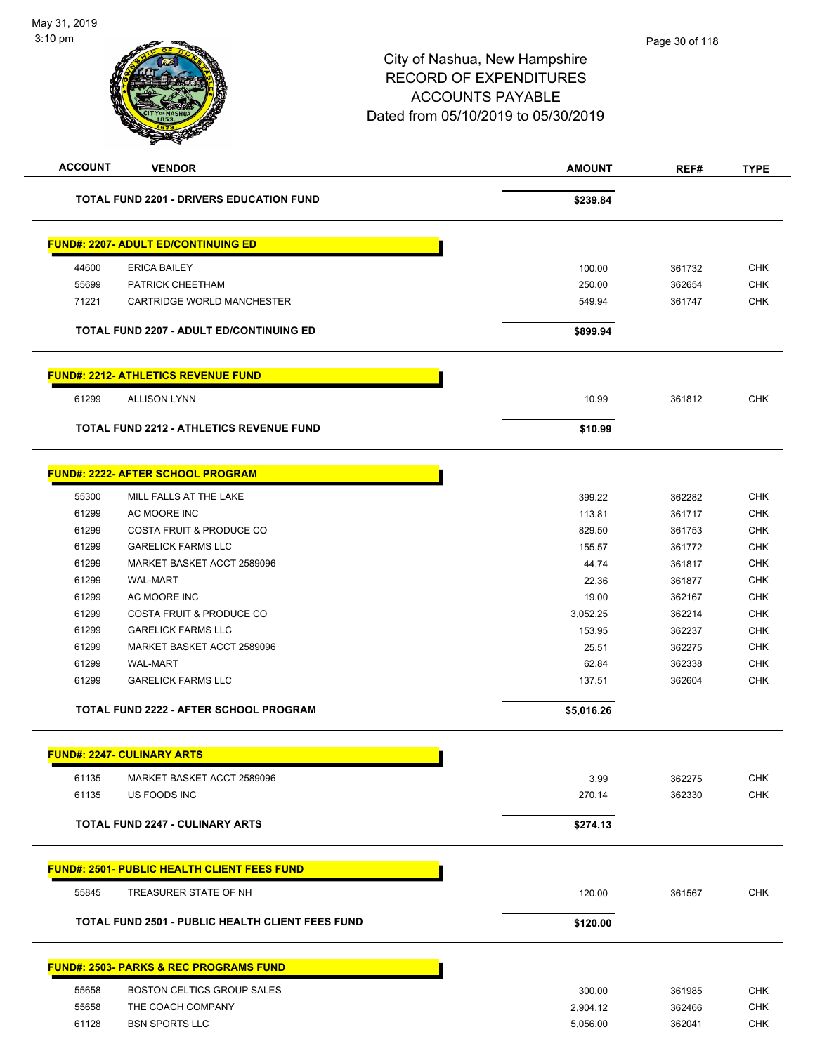| <b>ACCOUNT</b> | <b>VENDOR</b>                                           | <b>AMOUNT</b>        | REF#             | <b>TYPE</b> |
|----------------|---------------------------------------------------------|----------------------|------------------|-------------|
|                | <b>TOTAL FUND 2201 - DRIVERS EDUCATION FUND</b>         | \$239.84             |                  |             |
|                | <b>FUND#: 2207- ADULT ED/CONTINUING ED</b>              |                      |                  |             |
| 44600          | <b>ERICA BAILEY</b>                                     | 100.00               | 361732           | <b>CHK</b>  |
| 55699          | PATRICK CHEETHAM                                        | 250.00               | 362654           | <b>CHK</b>  |
| 71221          | CARTRIDGE WORLD MANCHESTER                              | 549.94               | 361747           | <b>CHK</b>  |
|                | <b>TOTAL FUND 2207 - ADULT ED/CONTINUING ED</b>         | \$899.94             |                  |             |
|                | <b>FUND#: 2212- ATHLETICS REVENUE FUND</b>              |                      |                  |             |
| 61299          | <b>ALLISON LYNN</b>                                     | 10.99                | 361812           | <b>CHK</b>  |
|                | <b>TOTAL FUND 2212 - ATHLETICS REVENUE FUND</b>         | \$10.99              |                  |             |
|                | <b>FUND#: 2222- AFTER SCHOOL PROGRAM</b>                |                      |                  |             |
| 55300          | MILL FALLS AT THE LAKE                                  | 399.22               | 362282           | <b>CHK</b>  |
| 61299          | AC MOORE INC                                            | 113.81               | 361717           | <b>CHK</b>  |
| 61299          | <b>COSTA FRUIT &amp; PRODUCE CO</b>                     | 829.50               | 361753           | <b>CHK</b>  |
| 61299          | <b>GARELICK FARMS LLC</b>                               | 155.57               | 361772           | <b>CHK</b>  |
| 61299          | MARKET BASKET ACCT 2589096                              | 44.74                | 361817           | <b>CHK</b>  |
| 61299          | <b>WAL-MART</b>                                         | 22.36                | 361877           | <b>CHK</b>  |
| 61299          | AC MOORE INC                                            | 19.00                | 362167           | <b>CHK</b>  |
| 61299          | <b>COSTA FRUIT &amp; PRODUCE CO</b>                     | 3,052.25             | 362214           | <b>CHK</b>  |
| 61299          | <b>GARELICK FARMS LLC</b>                               | 153.95               | 362237           | <b>CHK</b>  |
| 61299          | MARKET BASKET ACCT 2589096                              | 25.51                | 362275           | <b>CHK</b>  |
| 61299          | WAL-MART                                                | 62.84                | 362338           | <b>CHK</b>  |
| 61299          | <b>GARELICK FARMS LLC</b>                               | 137.51               | 362604           | <b>CHK</b>  |
|                | <b>TOTAL FUND 2222 - AFTER SCHOOL PROGRAM</b>           | \$5,016.26           |                  |             |
|                | <b>FUND#: 2247- CULINARY ARTS</b>                       |                      |                  |             |
| 61135          | MARKET BASKET ACCT 2589096                              | 3.99                 | 362275           | <b>CHK</b>  |
| 61135          | US FOODS INC                                            | 270.14               | 362330           | <b>CHK</b>  |
|                | <b>TOTAL FUND 2247 - CULINARY ARTS</b>                  | \$274.13             |                  |             |
|                | <b>FUND#: 2501- PUBLIC HEALTH CLIENT FEES FUND</b>      |                      |                  |             |
| 55845          | TREASURER STATE OF NH                                   | 120.00               | 361567           | <b>CHK</b>  |
|                | <b>TOTAL FUND 2501 - PUBLIC HEALTH CLIENT FEES FUND</b> | \$120.00             |                  |             |
|                | <u> FUND#: 2503- PARKS &amp; REC PROGRAMS FUND</u>      |                      |                  |             |
| 55658          | BOSTON CELTICS GROUP SALES                              | 300.00               |                  | <b>CHK</b>  |
| 55658          | THE COACH COMPANY                                       |                      | 361985           | <b>CHK</b>  |
| 61128          | <b>BSN SPORTS LLC</b>                                   | 2,904.12<br>5,056.00 | 362466<br>362041 | <b>CHK</b>  |
|                |                                                         |                      |                  |             |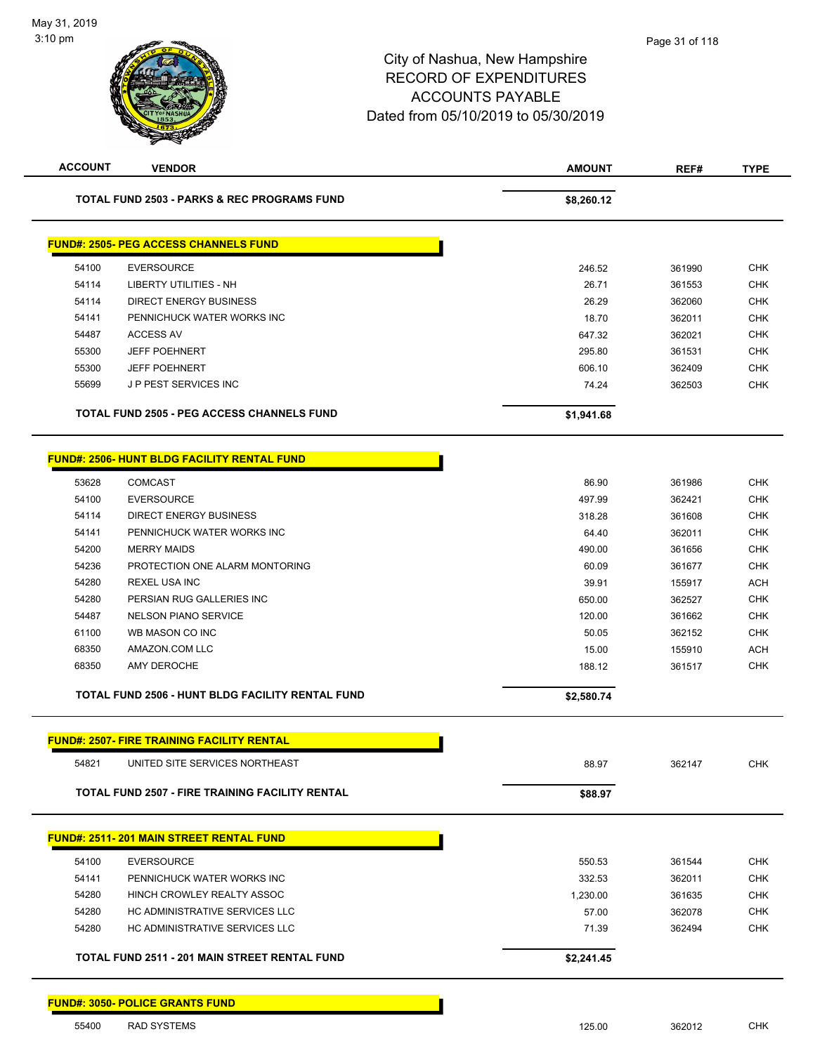| <b>ACCOUNT</b> | <b>VENDOR</b>                                          | <b>AMOUNT</b> | REF#   | <b>TYPE</b> |
|----------------|--------------------------------------------------------|---------------|--------|-------------|
|                | <b>TOTAL FUND 2503 - PARKS &amp; REC PROGRAMS FUND</b> | \$8,260.12    |        |             |
|                | <b>FUND#: 2505- PEG ACCESS CHANNELS FUND</b>           |               |        |             |
| 54100          | <b>EVERSOURCE</b>                                      | 246.52        | 361990 | <b>CHK</b>  |
| 54114          | LIBERTY UTILITIES - NH                                 | 26.71         | 361553 | <b>CHK</b>  |
| 54114          | <b>DIRECT ENERGY BUSINESS</b>                          | 26.29         | 362060 | <b>CHK</b>  |
| 54141          | PENNICHUCK WATER WORKS INC                             | 18.70         | 362011 | <b>CHK</b>  |
| 54487          | ACCESS AV                                              | 647.32        | 362021 | <b>CHK</b>  |
| 55300          | <b>JEFF POEHNERT</b>                                   | 295.80        | 361531 | <b>CHK</b>  |
| 55300          | <b>JEFF POEHNERT</b>                                   | 606.10        | 362409 | <b>CHK</b>  |
| 55699          | J P PEST SERVICES INC                                  | 74.24         | 362503 | <b>CHK</b>  |
|                | <b>TOTAL FUND 2505 - PEG ACCESS CHANNELS FUND</b>      | \$1,941.68    |        |             |
|                | <b>FUND#: 2506- HUNT BLDG FACILITY RENTAL FUND</b>     |               |        |             |
| 53628          | <b>COMCAST</b>                                         | 86.90         | 361986 | <b>CHK</b>  |
| 54100          | <b>EVERSOURCE</b>                                      | 497.99        | 362421 | <b>CHK</b>  |
| 54114          | <b>DIRECT ENERGY BUSINESS</b>                          | 318.28        | 361608 | <b>CHK</b>  |
| 54141          | PENNICHUCK WATER WORKS INC                             | 64.40         | 362011 | <b>CHK</b>  |
| 54200          | <b>MERRY MAIDS</b>                                     | 490.00        | 361656 | <b>CHK</b>  |
| 54236          | PROTECTION ONE ALARM MONTORING                         | 60.09         | 361677 | <b>CHK</b>  |
| 54280          | <b>REXEL USA INC</b>                                   | 39.91         | 155917 | ACH         |
| 54280          | PERSIAN RUG GALLERIES INC                              | 650.00        | 362527 | <b>CHK</b>  |
| 54487          | <b>NELSON PIANO SERVICE</b>                            | 120.00        | 361662 | <b>CHK</b>  |
| 61100          | WB MASON CO INC                                        | 50.05         | 362152 | <b>CHK</b>  |
| 68350          | AMAZON.COM LLC                                         | 15.00         | 155910 | <b>ACH</b>  |
| 68350          | <b>AMY DEROCHE</b>                                     | 188.12        | 361517 | <b>CHK</b>  |
|                | TOTAL FUND 2506 - HUNT BLDG FACILITY RENTAL FUND       | \$2,580.74    |        |             |
|                | <b>FUND#: 2507- FIRE TRAINING FACILITY RENTAL</b>      |               |        |             |
| 54821          | UNITED SITE SERVICES NORTHEAST                         | 88.97         | 362147 | <b>CHK</b>  |
|                | TOTAL FUND 2507 - FIRE TRAINING FACILITY RENTAL        | \$88.97       |        |             |
|                | <b>FUND#: 2511-201 MAIN STREET RENTAL FUND</b>         |               |        |             |
| 54100          | <b>EVERSOURCE</b>                                      | 550.53        | 361544 | <b>CHK</b>  |
| 54141          | PENNICHUCK WATER WORKS INC                             | 332.53        | 362011 | <b>CHK</b>  |
| 54280          | HINCH CROWLEY REALTY ASSOC                             | 1,230.00      | 361635 | <b>CHK</b>  |
| 54280          | HC ADMINISTRATIVE SERVICES LLC                         | 57.00         | 362078 | <b>CHK</b>  |
| 54280          | HC ADMINISTRATIVE SERVICES LLC                         | 71.39         | 362494 | <b>CHK</b>  |
|                | TOTAL FUND 2511 - 201 MAIN STREET RENTAL FUND          | \$2,241.45    |        |             |
|                |                                                        |               |        |             |

#### **FUND#: 3050- POLICE GRANTS FUND**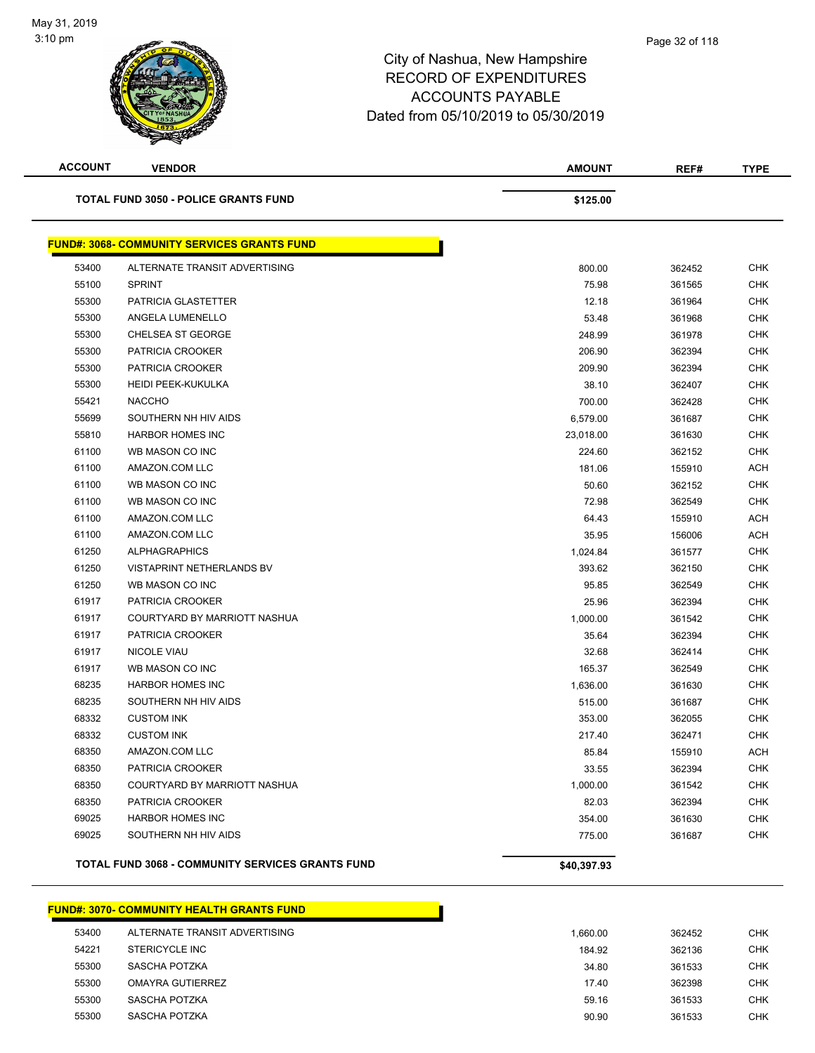| ۸À                                          | <b>ACCOUNTS PAYABLE</b><br>Dated from 05/10/2019 to 05/30/2019 |      |             |
|---------------------------------------------|----------------------------------------------------------------|------|-------------|
| <b>ACCOUNT</b><br><b>VENDOR</b>             | <b>AMOUNT</b>                                                  | REF# | <b>TYPE</b> |
| <b>TOTAL FUND 3050 - POLICE GRANTS FUND</b> | \$125.00                                                       |      |             |

| 53400 | ALTERNATE TRANSIT ADVERTISING    | 800.00    | 362452 | <b>CHK</b> |
|-------|----------------------------------|-----------|--------|------------|
| 55100 | <b>SPRINT</b>                    | 75.98     | 361565 | <b>CHK</b> |
| 55300 | PATRICIA GLASTETTER              | 12.18     | 361964 | CHK        |
| 55300 | ANGELA LUMENELLO                 | 53.48     | 361968 | <b>CHK</b> |
| 55300 | <b>CHELSEA ST GEORGE</b>         | 248.99    | 361978 | <b>CHK</b> |
| 55300 | PATRICIA CROOKER                 | 206.90    | 362394 | <b>CHK</b> |
| 55300 | <b>PATRICIA CROOKER</b>          | 209.90    | 362394 | <b>CHK</b> |
| 55300 | <b>HEIDI PEEK-KUKULKA</b>        | 38.10     | 362407 | <b>CHK</b> |
| 55421 | <b>NACCHO</b>                    | 700.00    | 362428 | <b>CHK</b> |
| 55699 | SOUTHERN NH HIV AIDS             | 6,579.00  | 361687 | <b>CHK</b> |
| 55810 | <b>HARBOR HOMES INC</b>          | 23,018.00 | 361630 | <b>CHK</b> |
| 61100 | WB MASON CO INC                  | 224.60    | 362152 | <b>CHK</b> |
| 61100 | AMAZON.COM LLC                   | 181.06    | 155910 | <b>ACH</b> |
| 61100 | WB MASON CO INC                  | 50.60     | 362152 | <b>CHK</b> |
| 61100 | WB MASON CO INC                  | 72.98     | 362549 | <b>CHK</b> |
| 61100 | AMAZON.COM LLC                   | 64.43     | 155910 | <b>ACH</b> |
| 61100 | AMAZON.COM LLC                   | 35.95     | 156006 | ACH        |
| 61250 | <b>ALPHAGRAPHICS</b>             | 1,024.84  | 361577 | <b>CHK</b> |
| 61250 | <b>VISTAPRINT NETHERLANDS BV</b> | 393.62    | 362150 | <b>CHK</b> |
| 61250 | WB MASON CO INC                  | 95.85     | 362549 | <b>CHK</b> |
| 61917 | PATRICIA CROOKER                 | 25.96     | 362394 | <b>CHK</b> |
| 61917 | COURTYARD BY MARRIOTT NASHUA     | 1,000.00  | 361542 | <b>CHK</b> |
| 61917 | PATRICIA CROOKER                 | 35.64     | 362394 | <b>CHK</b> |
| 61917 | <b>NICOLE VIAU</b>               | 32.68     | 362414 | <b>CHK</b> |
| 61917 | WB MASON CO INC                  | 165.37    | 362549 | <b>CHK</b> |
| 68235 | <b>HARBOR HOMES INC</b>          | 1,636.00  | 361630 | <b>CHK</b> |
| 68235 | SOUTHERN NH HIV AIDS             | 515.00    | 361687 | <b>CHK</b> |
| 68332 | <b>CUSTOM INK</b>                | 353.00    | 362055 | <b>CHK</b> |
| 68332 | <b>CUSTOM INK</b>                | 217.40    | 362471 | <b>CHK</b> |
| 68350 | AMAZON.COM LLC                   | 85.84     | 155910 | <b>ACH</b> |
| 68350 | <b>PATRICIA CROOKER</b>          | 33.55     | 362394 | <b>CHK</b> |
| 68350 | COURTYARD BY MARRIOTT NASHUA     | 1,000.00  | 361542 | <b>CHK</b> |
| 68350 | PATRICIA CROOKER                 | 82.03     | 362394 | <b>CHK</b> |
| 69025 | <b>HARBOR HOMES INC</b>          | 354.00    | 361630 | <b>CHK</b> |
| 69025 | SOUTHERN NH HIV AIDS             | 775.00    | 361687 | <b>CHK</b> |

#### **FUND#: 3070- COMMUNITY HEALTH GRANTS FUND**

| 53400 | ALTERNATE TRANSIT ADVERTISING | 1.660.00 | 362452 | <b>CHK</b> |
|-------|-------------------------------|----------|--------|------------|
| 54221 | STERICYCLE INC                | 184.92   | 362136 | <b>CHK</b> |
| 55300 | SASCHA POTZKA                 | 34.80    | 361533 | <b>CHK</b> |
| 55300 | OMAYRA GUTIERREZ              | 17.40    | 362398 | <b>CHK</b> |
| 55300 | SASCHA POTZKA                 | 59.16    | 361533 | <b>CHK</b> |
| 55300 | SASCHA POTZKA                 | 90.90    | 361533 | CHK        |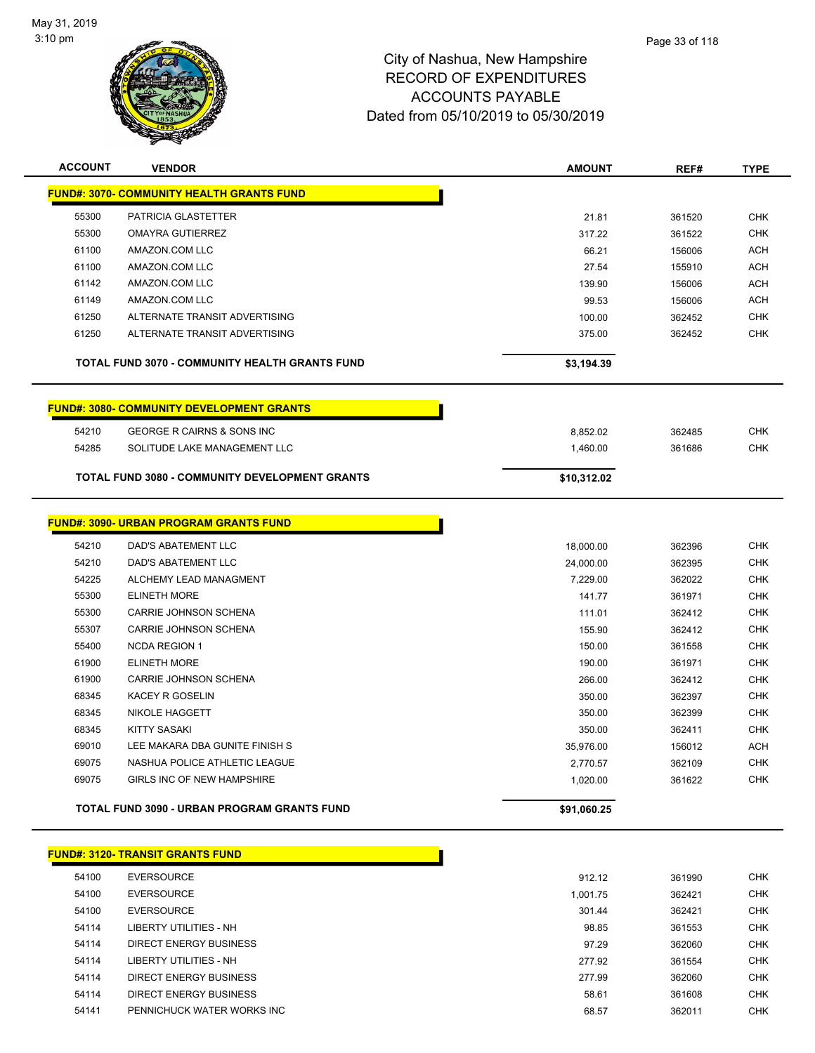

| <b>ACCOUNT</b> | <b>VENDOR</b>                                    | <b>AMOUNT</b> | REF#   | <b>TYPE</b> |
|----------------|--------------------------------------------------|---------------|--------|-------------|
|                | <b>FUND#: 3070- COMMUNITY HEALTH GRANTS FUND</b> |               |        |             |
| 55300          | PATRICIA GLASTETTER                              | 21.81         | 361520 | <b>CHK</b>  |
| 55300          | <b>OMAYRA GUTIERREZ</b>                          | 317.22        | 361522 | <b>CHK</b>  |
| 61100          | AMAZON.COM LLC                                   | 66.21         | 156006 | <b>ACH</b>  |
| 61100          | AMAZON.COM LLC                                   | 27.54         | 155910 | ACH         |
| 61142          | AMAZON.COM LLC                                   | 139.90        | 156006 | <b>ACH</b>  |
| 61149          | AMAZON.COM LLC                                   | 99.53         | 156006 | <b>ACH</b>  |
| 61250          | ALTERNATE TRANSIT ADVERTISING                    | 100.00        | 362452 | <b>CHK</b>  |
| 61250          | ALTERNATE TRANSIT ADVERTISING                    | 375.00        | 362452 | <b>CHK</b>  |
|                | TOTAL FUND 3070 - COMMUNITY HEALTH GRANTS FUND   | \$3,194.39    |        |             |
|                | <b>FUND#: 3080- COMMUNITY DEVELOPMENT GRANTS</b> |               |        |             |
| 54210          | <b>GEORGE R CAIRNS &amp; SONS INC</b>            | 8,852.02      | 362485 | <b>CHK</b>  |
| 54285          | SOLITUDE LAKE MANAGEMENT LLC                     | 1,460.00      | 361686 | <b>CHK</b>  |
|                | TOTAL FUND 3080 - COMMUNITY DEVELOPMENT GRANTS   | \$10,312.02   |        |             |
|                | <b>FUND#: 3090- URBAN PROGRAM GRANTS FUND</b>    |               |        |             |
| 54210          | DAD'S ABATEMENT LLC                              | 18,000.00     | 362396 | <b>CHK</b>  |
| 54210          | DAD'S ABATEMENT LLC                              | 24,000.00     | 362395 | <b>CHK</b>  |
| 54225          | ALCHEMY LEAD MANAGMENT                           | 7,229.00      | 362022 | <b>CHK</b>  |
| 55300          | <b>ELINETH MORE</b>                              | 141.77        | 361971 | <b>CHK</b>  |
| 55300          | CARRIE JOHNSON SCHENA                            | 111.01        | 362412 | <b>CHK</b>  |
| 55307          | <b>CARRIE JOHNSON SCHENA</b>                     | 155.90        | 362412 | <b>CHK</b>  |
| 55400          | <b>NCDA REGION 1</b>                             | 150.00        | 361558 | CHK         |
| 61900          | <b>ELINETH MORE</b>                              | 190.00        | 361971 | <b>CHK</b>  |
| 61900          | <b>CARRIE JOHNSON SCHENA</b>                     | 266.00        | 362412 | <b>CHK</b>  |
| 68345          | KACEY R GOSELIN                                  | 350.00        | 362397 | <b>CHK</b>  |
| 68345          | <b>NIKOLE HAGGETT</b>                            | 350.00        | 362399 | <b>CHK</b>  |
| 68345          | <b>KITTY SASAKI</b>                              | 350.00        | 362411 | <b>CHK</b>  |
| 69010          | LEE MAKARA DBA GUNITE FINISH S                   | 35,976.00     | 156012 | <b>ACH</b>  |
| 69075          | NASHUA POLICE ATHLETIC LEAGUE                    | 2,770.57      | 362109 | <b>CHK</b>  |
| 69075          | GIRLS INC OF NEW HAMPSHIRE                       | 1,020.00      | 361622 | <b>CHK</b>  |
|                | TOTAL FUND 3090 - URBAN PROGRAM GRANTS FUND      | \$91,060.25   |        |             |
|                | <b>FUND#: 3120- TRANSIT GRANTS FUND</b>          |               |        |             |
| 54100          | <b>FVERSOURCE</b>                                | 912 12        | 361990 | <b>CHK</b>  |

| 54100 | <b>EVERSOURCE</b>             | 912.12   | 361990 | <b>CHK</b> |
|-------|-------------------------------|----------|--------|------------|
| 54100 | <b>EVERSOURCE</b>             | 1.001.75 | 362421 | <b>CHK</b> |
| 54100 | <b>EVERSOURCE</b>             | 301.44   | 362421 | <b>CHK</b> |
| 54114 | LIBERTY UTILITIES - NH        | 98.85    | 361553 | <b>CHK</b> |
| 54114 | DIRECT ENERGY BUSINESS        | 97.29    | 362060 | <b>CHK</b> |
| 54114 | LIBERTY UTILITIES - NH        | 277.92   | 361554 | <b>CHK</b> |
| 54114 | <b>DIRECT ENERGY BUSINESS</b> | 277.99   | 362060 | <b>CHK</b> |
| 54114 | DIRECT ENERGY BUSINESS        | 58.61    | 361608 | <b>CHK</b> |
| 54141 | PENNICHUCK WATER WORKS INC    | 68.57    | 362011 | <b>CHK</b> |
|       |                               |          |        |            |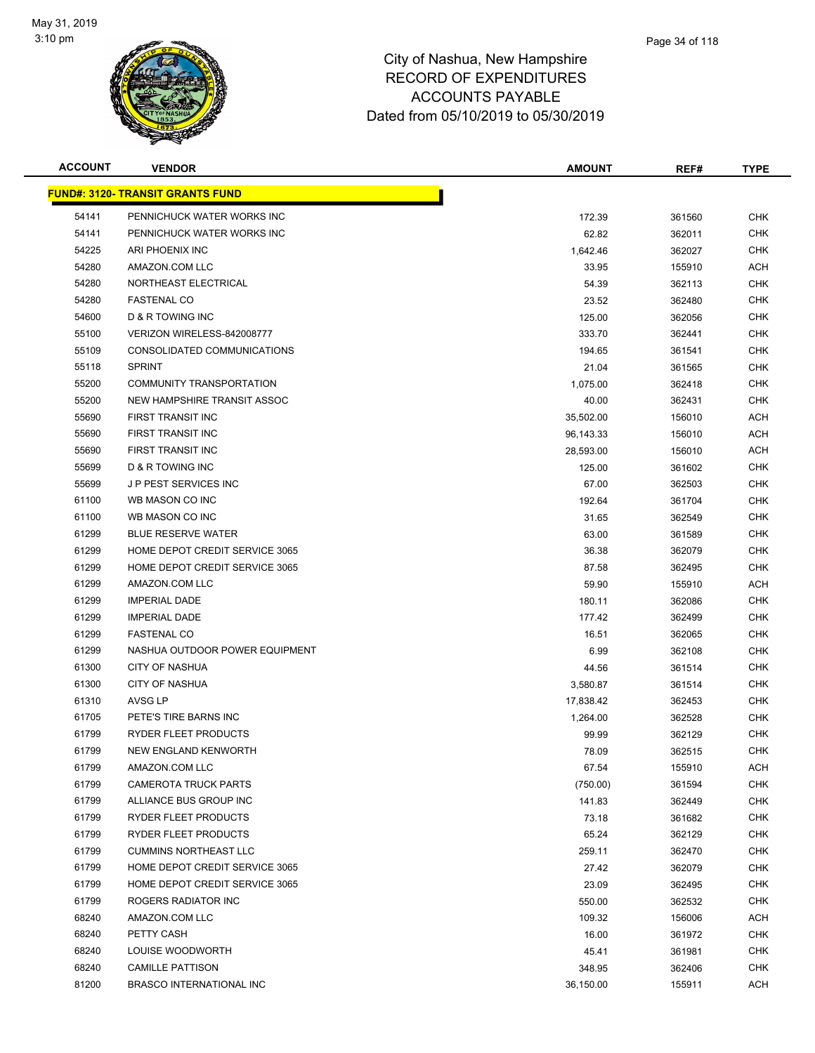

| <b>ACCOUNT</b> | <b>VENDOR</b>                           | <b>AMOUNT</b> | REF#   | <b>TYPE</b> |
|----------------|-----------------------------------------|---------------|--------|-------------|
|                | <b>FUND#: 3120- TRANSIT GRANTS FUND</b> |               |        |             |
| 54141          | PENNICHUCK WATER WORKS INC              | 172.39        | 361560 | <b>CHK</b>  |
| 54141          | PENNICHUCK WATER WORKS INC              | 62.82         | 362011 | <b>CHK</b>  |
| 54225          | ARI PHOENIX INC                         | 1,642.46      | 362027 | <b>CHK</b>  |
| 54280          | AMAZON.COM LLC                          | 33.95         | 155910 | <b>ACH</b>  |
| 54280          | NORTHEAST ELECTRICAL                    | 54.39         | 362113 | <b>CHK</b>  |
| 54280          | <b>FASTENAL CO</b>                      | 23.52         | 362480 | <b>CHK</b>  |
| 54600          | D & R TOWING INC                        | 125.00        | 362056 | <b>CHK</b>  |
| 55100          | VERIZON WIRELESS-842008777              | 333.70        | 362441 | <b>CHK</b>  |
| 55109          | CONSOLIDATED COMMUNICATIONS             | 194.65        | 361541 | <b>CHK</b>  |
| 55118          | <b>SPRINT</b>                           | 21.04         | 361565 | <b>CHK</b>  |
| 55200          | COMMUNITY TRANSPORTATION                | 1,075.00      | 362418 | <b>CHK</b>  |
| 55200          | NEW HAMPSHIRE TRANSIT ASSOC             | 40.00         | 362431 | CHK         |
| 55690          | FIRST TRANSIT INC                       | 35,502.00     | 156010 | <b>ACH</b>  |
| 55690          | FIRST TRANSIT INC                       | 96,143.33     | 156010 | <b>ACH</b>  |
| 55690          | FIRST TRANSIT INC                       | 28,593.00     | 156010 | <b>ACH</b>  |
| 55699          | D & R TOWING INC                        | 125.00        | 361602 | <b>CHK</b>  |
| 55699          | <b>JP PEST SERVICES INC</b>             | 67.00         | 362503 | <b>CHK</b>  |
| 61100          | WB MASON CO INC                         | 192.64        | 361704 | <b>CHK</b>  |
| 61100          | WB MASON CO INC                         | 31.65         | 362549 | <b>CHK</b>  |
| 61299          | <b>BLUE RESERVE WATER</b>               | 63.00         | 361589 | <b>CHK</b>  |
| 61299          | HOME DEPOT CREDIT SERVICE 3065          | 36.38         | 362079 | <b>CHK</b>  |
| 61299          | HOME DEPOT CREDIT SERVICE 3065          | 87.58         | 362495 | <b>CHK</b>  |
| 61299          | AMAZON.COM LLC                          | 59.90         | 155910 | <b>ACH</b>  |
| 61299          | <b>IMPERIAL DADE</b>                    | 180.11        | 362086 | <b>CHK</b>  |
| 61299          | <b>IMPERIAL DADE</b>                    | 177.42        | 362499 | <b>CHK</b>  |
| 61299          | <b>FASTENAL CO</b>                      | 16.51         | 362065 | <b>CHK</b>  |
| 61299          | NASHUA OUTDOOR POWER EQUIPMENT          | 6.99          | 362108 | <b>CHK</b>  |
| 61300          | <b>CITY OF NASHUA</b>                   | 44.56         | 361514 | <b>CHK</b>  |
| 61300          | <b>CITY OF NASHUA</b>                   | 3,580.87      | 361514 | <b>CHK</b>  |
| 61310          | AVSG LP                                 | 17,838.42     | 362453 | <b>CHK</b>  |
| 61705          | PETE'S TIRE BARNS INC                   | 1,264.00      | 362528 | <b>CHK</b>  |
| 61799          | RYDER FLEET PRODUCTS                    | 99.99         | 362129 | <b>CHK</b>  |
| 61799          | <b>NEW ENGLAND KENWORTH</b>             | 78.09         | 362515 | <b>CHK</b>  |
| 61799          | AMAZON.COM LLC                          | 67.54         | 155910 | <b>ACH</b>  |
| 61799          | <b>CAMEROTA TRUCK PARTS</b>             | (750.00)      | 361594 | <b>CHK</b>  |
| 61799          | ALLIANCE BUS GROUP INC                  | 141.83        | 362449 | <b>CHK</b>  |
| 61799          | RYDER FLEET PRODUCTS                    | 73.18         | 361682 | <b>CHK</b>  |
| 61799          | RYDER FLEET PRODUCTS                    | 65.24         | 362129 | <b>CHK</b>  |
| 61799          | <b>CUMMINS NORTHEAST LLC</b>            | 259.11        | 362470 | <b>CHK</b>  |
| 61799          | HOME DEPOT CREDIT SERVICE 3065          | 27.42         | 362079 | <b>CHK</b>  |
| 61799          | HOME DEPOT CREDIT SERVICE 3065          | 23.09         | 362495 | <b>CHK</b>  |
| 61799          | ROGERS RADIATOR INC                     | 550.00        | 362532 | <b>CHK</b>  |
| 68240          | AMAZON.COM LLC                          | 109.32        | 156006 | <b>ACH</b>  |
| 68240          | PETTY CASH                              | 16.00         | 361972 | CHK         |
| 68240          | LOUISE WOODWORTH                        | 45.41         | 361981 | <b>CHK</b>  |
| 68240          | <b>CAMILLE PATTISON</b>                 | 348.95        | 362406 | <b>CHK</b>  |
| 81200          | BRASCO INTERNATIONAL INC                | 36,150.00     | 155911 | <b>ACH</b>  |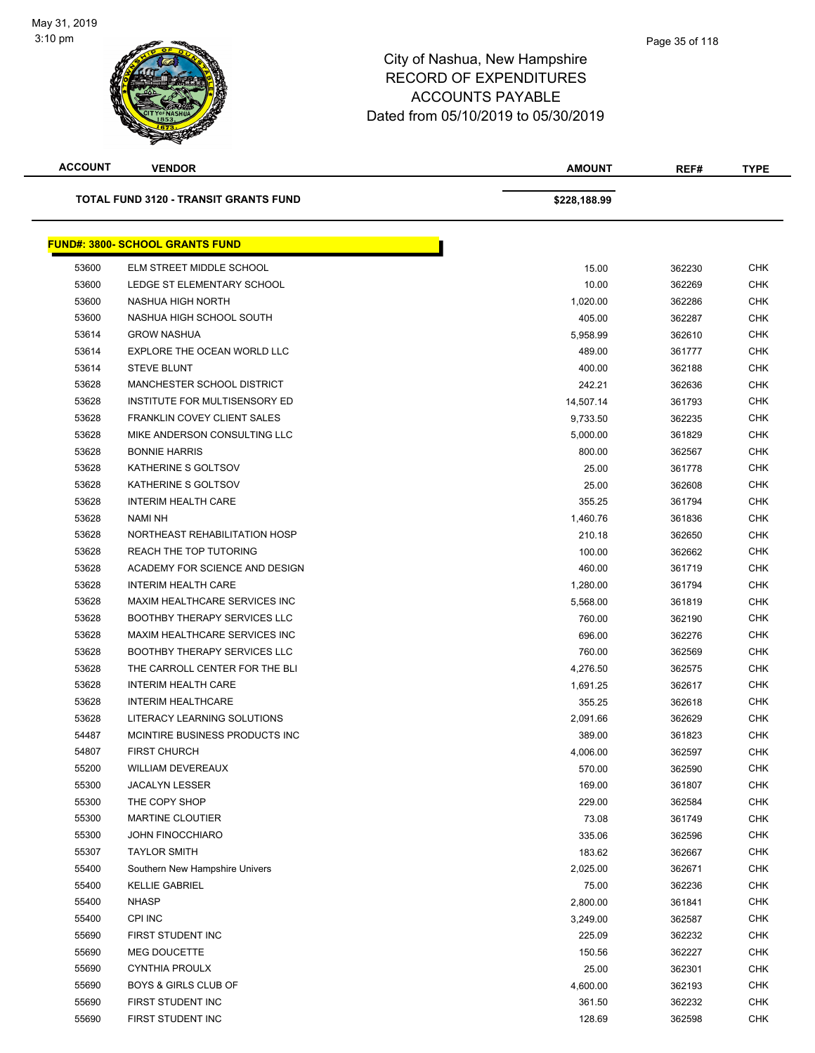

| <b>ACCOUNT</b> | <b>VENDOR</b>                          | <b>AMOUNT</b> | REF#   | TYPE       |
|----------------|----------------------------------------|---------------|--------|------------|
|                | TOTAL FUND 3120 - TRANSIT GRANTS FUND  | \$228,188.99  |        |            |
|                | <b>FUND#: 3800- SCHOOL GRANTS FUND</b> |               |        |            |
| 53600          | ELM STREET MIDDLE SCHOOL               | 15.00         | 362230 | <b>CHK</b> |
| 53600          | LEDGE ST ELEMENTARY SCHOOL             | 10.00         | 362269 | <b>CHK</b> |
| 53600          | NASHUA HIGH NORTH                      | 1,020.00      | 362286 | <b>CHK</b> |
| 53600          | NASHUA HIGH SCHOOL SOUTH               | 405.00        | 362287 | <b>CHK</b> |
| 53614          | <b>GROW NASHUA</b>                     | 5.958.99      | 362610 | <b>CHK</b> |
| 53614          | EXPLORE THE OCEAN WORLD LLC            | 489.00        | 361777 | <b>CHK</b> |
| 53614          | <b>STEVE BLUNT</b>                     | 400.00        | 362188 | <b>CHK</b> |
| 53628          | MANCHESTER SCHOOL DISTRICT             | 242.21        | 362636 | <b>CHK</b> |
| 53628          | INSTITUTE FOR MULTISENSORY ED          | 14,507.14     | 361793 | <b>CHK</b> |
| 53628          | <b>FRANKLIN COVEY CLIENT SALES</b>     | 9,733.50      | 362235 | <b>CHK</b> |
| 53628          | MIKE ANDERSON CONSULTING LLC           | 5,000.00      | 361829 | <b>CHK</b> |
| 53628          | <b>BONNIE HARRIS</b>                   | 800.00        | 362567 | <b>CHK</b> |
| 53628          | KATHERINE S GOLTSOV                    | 25.00         | 361778 | <b>CHK</b> |
| 53628          | KATHERINE S GOLTSOV                    | 25.00         | 362608 | <b>CHK</b> |
| 53628          | <b>INTERIM HEALTH CARE</b>             | 355.25        | 361794 | <b>CHK</b> |
| 53628          | <b>NAMI NH</b>                         | 1,460.76      | 361836 | <b>CHK</b> |
| 53628          | NORTHEAST REHABILITATION HOSP          | 210.18        | 362650 | <b>CHK</b> |
| 53628          | REACH THE TOP TUTORING                 | 100.00        | 362662 | <b>CHK</b> |
| 53628          | ACADEMY FOR SCIENCE AND DESIGN         | 460.00        | 361719 | <b>CHK</b> |
| 53628          | <b>INTERIM HEALTH CARE</b>             | 1,280.00      | 361794 | <b>CHK</b> |
| 53628          | MAXIM HEALTHCARE SERVICES INC          | 5,568.00      | 361819 | <b>CHK</b> |
| 53628          | <b>BOOTHBY THERAPY SERVICES LLC</b>    | 760.00        | 362190 | <b>CHK</b> |
| 53628          | MAXIM HEALTHCARE SERVICES INC          | 696.00        | 362276 | <b>CHK</b> |
| 53628          | <b>BOOTHBY THERAPY SERVICES LLC</b>    | 760.00        | 362569 | <b>CHK</b> |
| 53628          | THE CARROLL CENTER FOR THE BLI         | 4,276.50      | 362575 | <b>CHK</b> |
| 53628          | <b>INTERIM HEALTH CARE</b>             | 1,691.25      | 362617 | <b>CHK</b> |
| 53628          | <b>INTERIM HEALTHCARE</b>              | 355.25        | 362618 | <b>CHK</b> |
| 53628          | LITERACY LEARNING SOLUTIONS            | 2,091.66      | 362629 | <b>CHK</b> |
| 54487          | MCINTIRE BUSINESS PRODUCTS INC         | 389.00        | 361823 | <b>CHK</b> |
| 54807          | <b>FIRST CHURCH</b>                    | 4,006.00      | 362597 | <b>CHK</b> |
| 55200          | <b>WILLIAM DEVEREAUX</b>               | 570.00        | 362590 | <b>CHK</b> |
| 55300          | <b>JACALYN LESSER</b>                  | 169.00        | 361807 | <b>CHK</b> |
| 55300          | THE COPY SHOP                          | 229.00        | 362584 | <b>CHK</b> |
| 55300          | <b>MARTINE CLOUTIER</b>                | 73.08         | 361749 | <b>CHK</b> |
| 55300          | <b>JOHN FINOCCHIARO</b>                | 335.06        | 362596 | <b>CHK</b> |
| 55307          | <b>TAYLOR SMITH</b>                    | 183.62        | 362667 | <b>CHK</b> |
| 55400          | Southern New Hampshire Univers         | 2,025.00      | 362671 | <b>CHK</b> |
| 55400          | <b>KELLIE GABRIEL</b>                  | 75.00         | 362236 | <b>CHK</b> |
| 55400          | <b>NHASP</b>                           | 2,800.00      | 361841 | <b>CHK</b> |
| 55400          | CPI INC                                | 3,249.00      | 362587 | <b>CHK</b> |
| 55690          | FIRST STUDENT INC                      | 225.09        | 362232 | <b>CHK</b> |
| 55690          | <b>MEG DOUCETTE</b>                    | 150.56        | 362227 | <b>CHK</b> |
| 55690          | <b>CYNTHIA PROULX</b>                  | 25.00         | 362301 | <b>CHK</b> |
| 55690          | <b>BOYS &amp; GIRLS CLUB OF</b>        | 4,600.00      | 362193 | <b>CHK</b> |
| 55690          | FIRST STUDENT INC                      | 361.50        | 362232 | <b>CHK</b> |
| 55690          | FIRST STUDENT INC                      | 128.69        | 362598 | <b>CHK</b> |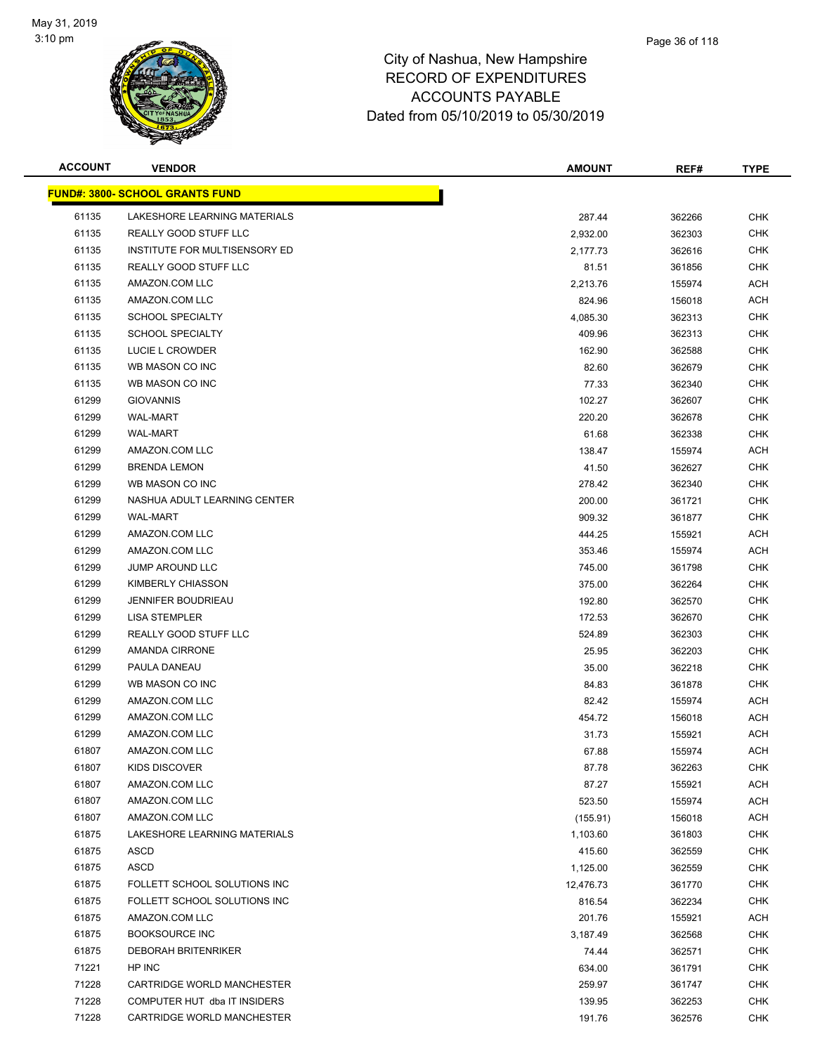

| <b>ACCOUNT</b> | <b>VENDOR</b>                          | <b>AMOUNT</b> | REF#   | <b>TYPE</b> |
|----------------|----------------------------------------|---------------|--------|-------------|
|                | <b>FUND#: 3800- SCHOOL GRANTS FUND</b> |               |        |             |
| 61135          | LAKESHORE LEARNING MATERIALS           | 287.44        | 362266 | <b>CHK</b>  |
| 61135          | REALLY GOOD STUFF LLC                  | 2,932.00      | 362303 | <b>CHK</b>  |
| 61135          | INSTITUTE FOR MULTISENSORY ED          | 2,177.73      | 362616 | <b>CHK</b>  |
| 61135          | REALLY GOOD STUFF LLC                  | 81.51         | 361856 | <b>CHK</b>  |
| 61135          | AMAZON.COM LLC                         | 2,213.76      | 155974 | <b>ACH</b>  |
| 61135          | AMAZON.COM LLC                         | 824.96        | 156018 | <b>ACH</b>  |
| 61135          | <b>SCHOOL SPECIALTY</b>                | 4,085.30      | 362313 | <b>CHK</b>  |
| 61135          | <b>SCHOOL SPECIALTY</b>                | 409.96        | 362313 | <b>CHK</b>  |
| 61135          | LUCIE L CROWDER                        | 162.90        | 362588 | <b>CHK</b>  |
| 61135          | WB MASON CO INC                        | 82.60         | 362679 | CHK         |
| 61135          | WB MASON CO INC                        | 77.33         | 362340 | <b>CHK</b>  |
| 61299          | <b>GIOVANNIS</b>                       | 102.27        | 362607 | <b>CHK</b>  |
| 61299          | WAL-MART                               | 220.20        | 362678 | <b>CHK</b>  |
| 61299          | WAL-MART                               | 61.68         | 362338 | <b>CHK</b>  |
| 61299          | AMAZON.COM LLC                         | 138.47        | 155974 | <b>ACH</b>  |
| 61299          | <b>BRENDA LEMON</b>                    | 41.50         | 362627 | <b>CHK</b>  |
| 61299          | WB MASON CO INC                        | 278.42        | 362340 | <b>CHK</b>  |
| 61299          | NASHUA ADULT LEARNING CENTER           | 200.00        | 361721 | <b>CHK</b>  |
| 61299          | <b>WAL-MART</b>                        | 909.32        | 361877 | <b>CHK</b>  |
| 61299          | AMAZON.COM LLC                         | 444.25        | 155921 | <b>ACH</b>  |
| 61299          | AMAZON.COM LLC                         | 353.46        | 155974 | <b>ACH</b>  |
| 61299          | <b>JUMP AROUND LLC</b>                 | 745.00        | 361798 | <b>CHK</b>  |
| 61299          | KIMBERLY CHIASSON                      | 375.00        | 362264 | <b>CHK</b>  |
| 61299          | <b>JENNIFER BOUDRIEAU</b>              | 192.80        | 362570 | <b>CHK</b>  |
| 61299          | <b>LISA STEMPLER</b>                   | 172.53        | 362670 | <b>CHK</b>  |
| 61299          | REALLY GOOD STUFF LLC                  | 524.89        | 362303 | <b>CHK</b>  |
| 61299          | AMANDA CIRRONE                         | 25.95         | 362203 | <b>CHK</b>  |
| 61299          | PAULA DANEAU                           | 35.00         | 362218 | <b>CHK</b>  |
| 61299          | WB MASON CO INC                        | 84.83         | 361878 | <b>CHK</b>  |
| 61299          | AMAZON.COM LLC                         | 82.42         | 155974 | <b>ACH</b>  |
| 61299          | AMAZON.COM LLC                         | 454.72        | 156018 | <b>ACH</b>  |
| 61299          | AMAZON.COM LLC                         | 31.73         | 155921 | <b>ACH</b>  |
| 61807          | AMAZON.COM LLC                         | 67.88         | 155974 | <b>ACH</b>  |
| 61807          | KIDS DISCOVER                          | 87.78         | 362263 | <b>CHK</b>  |
| 61807          | AMAZON.COM LLC                         | 87.27         | 155921 | <b>ACH</b>  |
| 61807          | AMAZON.COM LLC                         | 523.50        | 155974 | <b>ACH</b>  |
| 61807          | AMAZON.COM LLC                         | (155.91)      | 156018 | <b>ACH</b>  |
| 61875          | LAKESHORE LEARNING MATERIALS           | 1,103.60      | 361803 | <b>CHK</b>  |
| 61875          | ASCD                                   | 415.60        | 362559 | <b>CHK</b>  |
| 61875          | <b>ASCD</b>                            | 1,125.00      | 362559 | <b>CHK</b>  |
| 61875          | FOLLETT SCHOOL SOLUTIONS INC           | 12,476.73     | 361770 | <b>CHK</b>  |
| 61875          | FOLLETT SCHOOL SOLUTIONS INC           | 816.54        | 362234 | <b>CHK</b>  |
| 61875          | AMAZON.COM LLC                         | 201.76        | 155921 | <b>ACH</b>  |
| 61875          | <b>BOOKSOURCE INC</b>                  | 3,187.49      | 362568 | <b>CHK</b>  |
| 61875          | <b>DEBORAH BRITENRIKER</b>             | 74.44         | 362571 | <b>CHK</b>  |
| 71221          | HP INC                                 | 634.00        | 361791 | <b>CHK</b>  |
| 71228          | CARTRIDGE WORLD MANCHESTER             | 259.97        | 361747 | <b>CHK</b>  |
| 71228          | COMPUTER HUT dba IT INSIDERS           | 139.95        | 362253 | <b>CHK</b>  |
| 71228          | CARTRIDGE WORLD MANCHESTER             | 191.76        | 362576 | <b>CHK</b>  |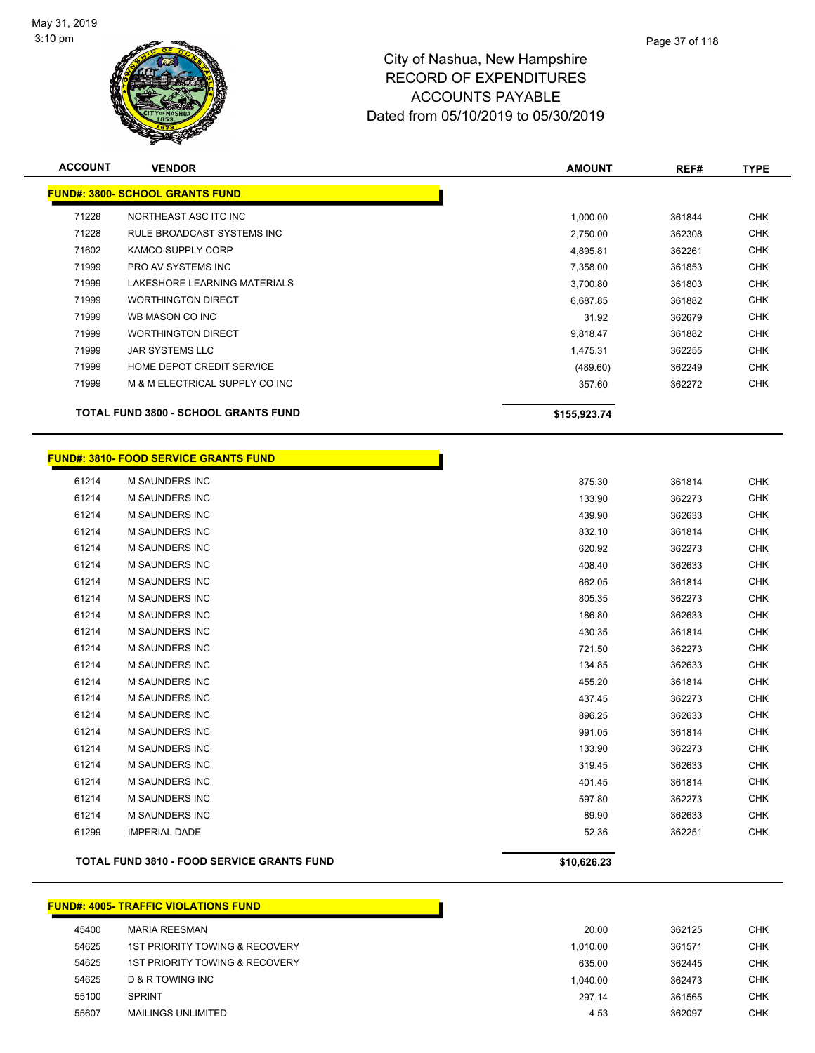

| <b>ACCOUNT</b> | <b>VENDOR</b>                                     | <b>AMOUNT</b> | REF#   | <b>TYPE</b> |
|----------------|---------------------------------------------------|---------------|--------|-------------|
|                | <b>FUND#: 3800- SCHOOL GRANTS FUND</b>            |               |        |             |
| 71228          | NORTHEAST ASC ITC INC                             | 1,000.00      | 361844 | <b>CHK</b>  |
| 71228          | RULE BROADCAST SYSTEMS INC                        | 2,750.00      | 362308 | <b>CHK</b>  |
| 71602          | <b>KAMCO SUPPLY CORP</b>                          | 4,895.81      | 362261 | <b>CHK</b>  |
| 71999          | PRO AV SYSTEMS INC                                | 7,358.00      | 361853 | <b>CHK</b>  |
| 71999          | LAKESHORE LEARNING MATERIALS                      | 3,700.80      | 361803 | <b>CHK</b>  |
| 71999          | <b>WORTHINGTON DIRECT</b>                         | 6,687.85      | 361882 | <b>CHK</b>  |
| 71999          | WB MASON CO INC                                   | 31.92         | 362679 | <b>CHK</b>  |
| 71999          | <b>WORTHINGTON DIRECT</b>                         | 9,818.47      | 361882 | <b>CHK</b>  |
| 71999          | <b>JAR SYSTEMS LLC</b>                            | 1,475.31      | 362255 | <b>CHK</b>  |
| 71999          | HOME DEPOT CREDIT SERVICE                         | (489.60)      | 362249 | <b>CHK</b>  |
| 71999          | M & M ELECTRICAL SUPPLY CO INC                    | 357.60        | 362272 | <b>CHK</b>  |
|                | <b>TOTAL FUND 3800 - SCHOOL GRANTS FUND</b>       | \$155,923.74  |        |             |
|                | <b>FUND#: 3810- FOOD SERVICE GRANTS FUND</b>      |               |        |             |
|                |                                                   |               |        |             |
| 61214          | M SAUNDERS INC                                    | 875.30        | 361814 | <b>CHK</b>  |
| 61214          | M SAUNDERS INC                                    | 133.90        | 362273 | <b>CHK</b>  |
| 61214          | <b>M SAUNDERS INC</b>                             | 439.90        | 362633 | <b>CHK</b>  |
| 61214          | M SAUNDERS INC                                    | 832.10        | 361814 | <b>CHK</b>  |
| 61214          | <b>M SAUNDERS INC</b>                             | 620.92        | 362273 | <b>CHK</b>  |
| 61214          | <b>M SAUNDERS INC</b>                             | 408.40        | 362633 | <b>CHK</b>  |
| 61214          | <b>M SAUNDERS INC</b>                             | 662.05        | 361814 | <b>CHK</b>  |
| 61214          | <b>M SAUNDERS INC</b>                             | 805.35        | 362273 | <b>CHK</b>  |
| 61214          | M SAUNDERS INC                                    | 186.80        | 362633 | <b>CHK</b>  |
| 61214          | <b>M SAUNDERS INC</b>                             | 430.35        | 361814 | <b>CHK</b>  |
| 61214          | M SAUNDERS INC                                    | 721.50        | 362273 | <b>CHK</b>  |
| 61214          | <b>M SAUNDERS INC</b>                             | 134.85        | 362633 | <b>CHK</b>  |
| 61214          | <b>M SAUNDERS INC</b>                             | 455.20        | 361814 | <b>CHK</b>  |
| 61214          | <b>M SAUNDERS INC</b>                             | 437.45        | 362273 | <b>CHK</b>  |
| 61214          | <b>M SAUNDERS INC</b>                             | 896.25        | 362633 | <b>CHK</b>  |
| 61214          | M SAUNDERS INC                                    | 991.05        | 361814 | <b>CHK</b>  |
| 61214          | <b>M SAUNDERS INC</b>                             | 133.90        | 362273 | <b>CHK</b>  |
| 61214          | M SAUNDERS INC                                    | 319.45        | 362633 | <b>CHK</b>  |
| 61214          | M SAUNDERS INC                                    | 401.45        | 361814 | <b>CHK</b>  |
| 61214          | M SAUNDERS INC                                    | 597.80        | 362273 | <b>CHK</b>  |
| 61214          | <b>M SAUNDERS INC</b>                             | 89.90         | 362633 | <b>CHK</b>  |
| 61299          | <b>IMPERIAL DADE</b>                              | 52.36         | 362251 | <b>CHK</b>  |
|                | <b>TOTAL FUND 3810 - FOOD SERVICE GRANTS FUND</b> | \$10,626.23   |        |             |

|       | <b>FUND#: 4005- TRAFFIC VIOLATIONS FUND</b> |          |        |            |
|-------|---------------------------------------------|----------|--------|------------|
| 45400 | MARIA REESMAN                               | 20.00    | 362125 | CHK        |
| 54625 | 1ST PRIORITY TOWING & RECOVERY              | 1.010.00 | 361571 | <b>CHK</b> |
| 54625 | 1ST PRIORITY TOWING & RECOVERY              | 635.00   | 362445 | CHK        |
| 54625 | D & R TOWING INC                            | 1.040.00 | 362473 | CHK        |
| 55100 | <b>SPRINT</b>                               | 297.14   | 361565 | <b>CHK</b> |
| 55607 | <b>MAILINGS UNLIMITED</b>                   | 4.53     | 362097 | <b>CHK</b> |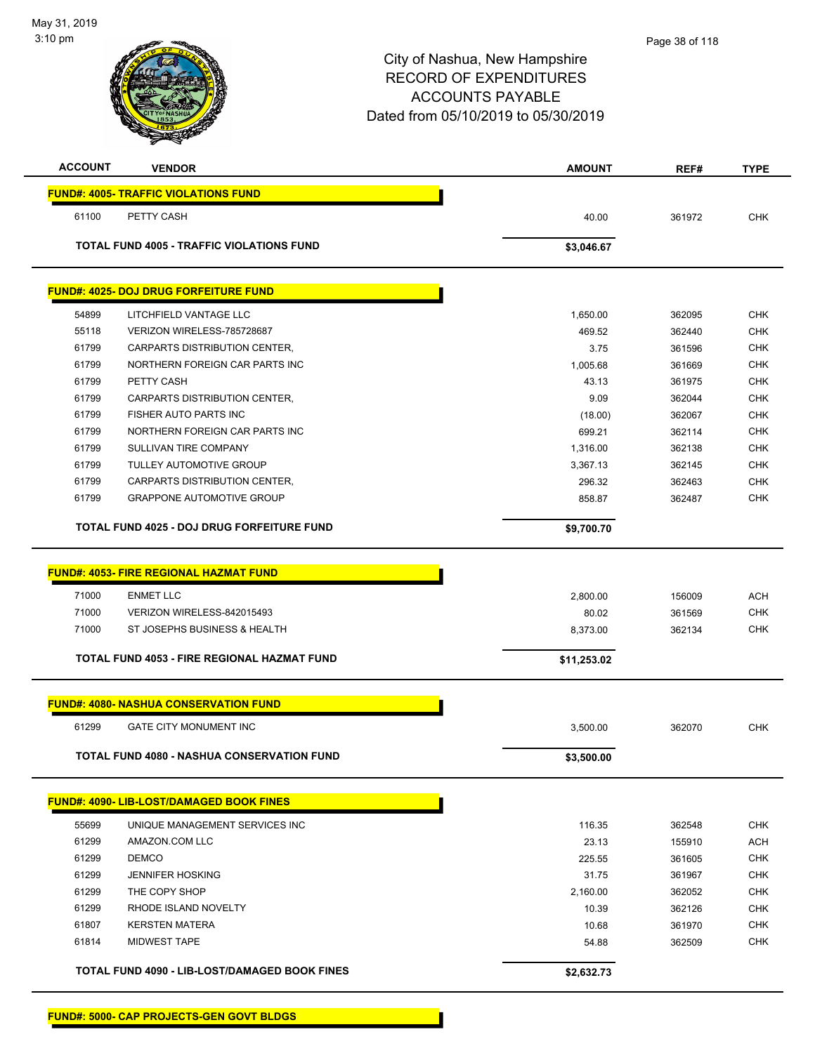| <b>ACCOUNT</b> | <b>VENDOR</b>                                      | <b>AMOUNT</b> | REF#   | <b>TYPE</b> |
|----------------|----------------------------------------------------|---------------|--------|-------------|
|                | <b>FUND#: 4005- TRAFFIC VIOLATIONS FUND</b>        |               |        |             |
| 61100          | PETTY CASH                                         | 40.00         | 361972 | <b>CHK</b>  |
|                | <b>TOTAL FUND 4005 - TRAFFIC VIOLATIONS FUND</b>   | \$3,046.67    |        |             |
|                |                                                    |               |        |             |
|                | <b>FUND#: 4025- DOJ DRUG FORFEITURE FUND</b>       |               |        |             |
| 54899          | LITCHFIELD VANTAGE LLC                             | 1,650.00      | 362095 | <b>CHK</b>  |
| 55118          | VERIZON WIRELESS-785728687                         | 469.52        | 362440 | <b>CHK</b>  |
| 61799          | CARPARTS DISTRIBUTION CENTER,                      | 3.75          | 361596 | <b>CHK</b>  |
| 61799          | NORTHERN FOREIGN CAR PARTS INC                     | 1,005.68      | 361669 | <b>CHK</b>  |
| 61799          | PETTY CASH                                         | 43.13         | 361975 | <b>CHK</b>  |
| 61799          | CARPARTS DISTRIBUTION CENTER,                      | 9.09          | 362044 | <b>CHK</b>  |
| 61799          | FISHER AUTO PARTS INC                              | (18.00)       | 362067 | <b>CHK</b>  |
| 61799          | NORTHERN FOREIGN CAR PARTS INC                     | 699.21        | 362114 | <b>CHK</b>  |
| 61799          | SULLIVAN TIRE COMPANY                              | 1,316.00      | 362138 | <b>CHK</b>  |
| 61799          | <b>TULLEY AUTOMOTIVE GROUP</b>                     | 3,367.13      | 362145 | <b>CHK</b>  |
| 61799          | <b>CARPARTS DISTRIBUTION CENTER.</b>               | 296.32        | 362463 | <b>CHK</b>  |
| 61799          | <b>GRAPPONE AUTOMOTIVE GROUP</b>                   | 858.87        | 362487 | <b>CHK</b>  |
|                | <b>TOTAL FUND 4025 - DOJ DRUG FORFEITURE FUND</b>  | \$9,700.70    |        |             |
|                |                                                    |               |        |             |
|                | <b>FUND#: 4053- FIRE REGIONAL HAZMAT FUND</b>      |               |        |             |
| 71000          | <b>ENMET LLC</b>                                   | 2,800.00      | 156009 | <b>ACH</b>  |
| 71000          | VERIZON WIRELESS-842015493                         | 80.02         | 361569 | <b>CHK</b>  |
| 71000          | ST JOSEPHS BUSINESS & HEALTH                       | 8,373.00      | 362134 | <b>CHK</b>  |
|                | <b>TOTAL FUND 4053 - FIRE REGIONAL HAZMAT FUND</b> | \$11,253.02   |        |             |
|                | <b>FUND#: 4080- NASHUA CONSERVATION FUND</b>       |               |        |             |
|                |                                                    |               |        |             |
| 61299          | <b>GATE CITY MONUMENT INC</b>                      | 3,500.00      | 362070 | <b>CHK</b>  |
|                | <b>TOTAL FUND 4080 - NASHUA CONSERVATION FUND</b>  | \$3,500.00    |        |             |
|                | FUND#: 4090- LIB-LOST/DAMAGED BOOK FINES           |               |        |             |
| 55699          | UNIQUE MANAGEMENT SERVICES INC                     | 116.35        | 362548 | CHK         |
| 61299          | AMAZON.COM LLC                                     | 23.13         | 155910 | <b>ACH</b>  |
| 61299          | <b>DEMCO</b>                                       | 225.55        | 361605 | <b>CHK</b>  |
| 61299          | <b>JENNIFER HOSKING</b>                            | 31.75         | 361967 | <b>CHK</b>  |
| 61299          | THE COPY SHOP                                      | 2,160.00      | 362052 | <b>CHK</b>  |
| 61299          | RHODE ISLAND NOVELTY                               | 10.39         | 362126 | <b>CHK</b>  |
| 61807          | <b>KERSTEN MATERA</b>                              | 10.68         | 361970 | <b>CHK</b>  |
| 61814          | <b>MIDWEST TAPE</b>                                | 54.88         | 362509 | <b>CHK</b>  |
|                | TOTAL FUND 4090 - LIB-LOST/DAMAGED BOOK FINES      | \$2,632.73    |        |             |
|                |                                                    |               |        |             |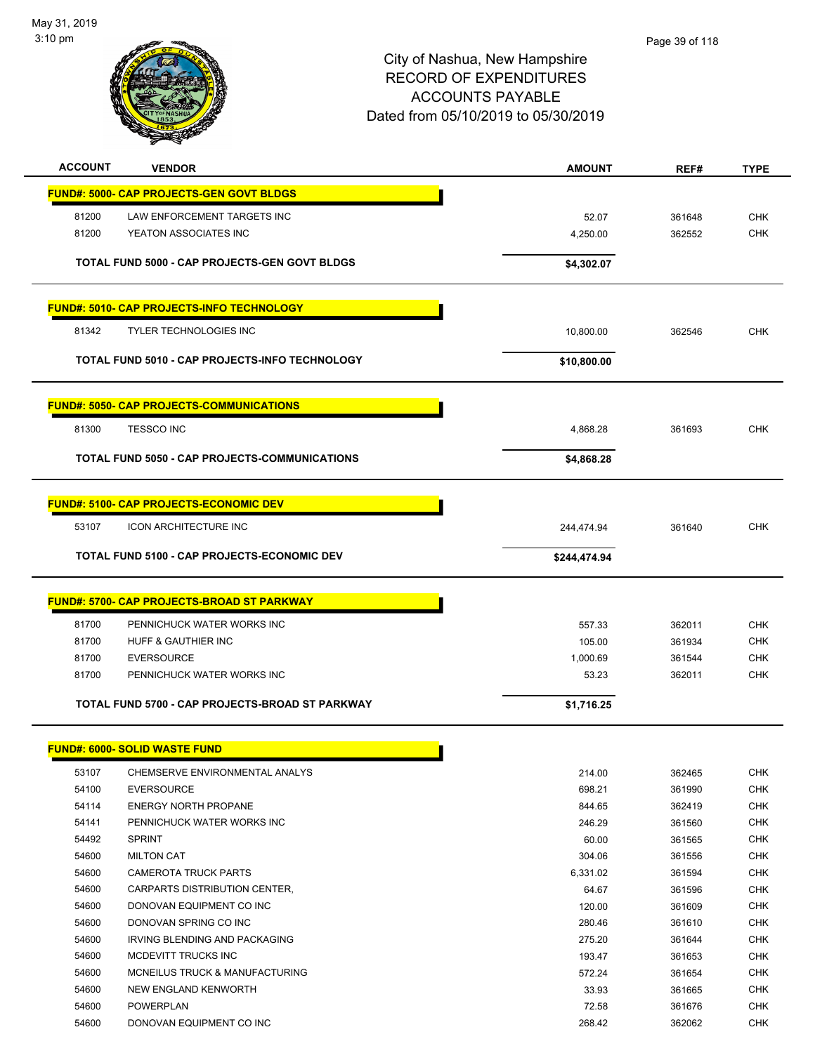

| <b>ACCOUNT</b> | <b>VENDOR</b>                                        | <b>AMOUNT</b> | REF#   | <b>TYPE</b> |
|----------------|------------------------------------------------------|---------------|--------|-------------|
|                | <b>FUND#: 5000- CAP PROJECTS-GEN GOVT BLDGS</b>      |               |        |             |
|                |                                                      |               |        |             |
| 81200          | LAW ENFORCEMENT TARGETS INC                          | 52.07         | 361648 | <b>CHK</b>  |
| 81200          | YEATON ASSOCIATES INC                                | 4,250.00      | 362552 | <b>CHK</b>  |
|                | <b>TOTAL FUND 5000 - CAP PROJECTS-GEN GOVT BLDGS</b> | \$4,302.07    |        |             |
|                |                                                      |               |        |             |
|                | <b>FUND#: 5010- CAP PROJECTS-INFO TECHNOLOGY</b>     |               |        |             |
| 81342          | <b>TYLER TECHNOLOGIES INC</b>                        | 10,800.00     | 362546 | <b>CHK</b>  |
|                |                                                      |               |        |             |
|                | TOTAL FUND 5010 - CAP PROJECTS-INFO TECHNOLOGY       | \$10,800.00   |        |             |
|                | <b>FUND#: 5050- CAP PROJECTS-COMMUNICATIONS</b>      |               |        |             |
| 81300          | <b>TESSCO INC</b>                                    | 4,868.28      | 361693 | <b>CHK</b>  |
|                |                                                      |               |        |             |
|                | TOTAL FUND 5050 - CAP PROJECTS-COMMUNICATIONS        | \$4,868.28    |        |             |
|                | <b>FUND#: 5100- CAP PROJECTS-ECONOMIC DEV</b>        |               |        |             |
|                |                                                      |               |        |             |
| 53107          | <b>ICON ARCHITECTURE INC</b>                         | 244,474.94    | 361640 | <b>CHK</b>  |
|                | <b>TOTAL FUND 5100 - CAP PROJECTS-ECONOMIC DEV</b>   | \$244,474.94  |        |             |
|                |                                                      |               |        |             |
|                | <b>FUND#: 5700- CAP PROJECTS-BROAD ST PARKWAY</b>    |               |        |             |
| 81700          | PENNICHUCK WATER WORKS INC                           | 557.33        | 362011 | <b>CHK</b>  |
| 81700          | HUFF & GAUTHIER INC                                  | 105.00        | 361934 | <b>CHK</b>  |
| 81700          | <b>EVERSOURCE</b>                                    | 1,000.69      | 361544 | <b>CHK</b>  |
| 81700          | PENNICHUCK WATER WORKS INC                           | 53.23         | 362011 | <b>CHK</b>  |
|                | TOTAL FUND 5700 - CAP PROJECTS-BROAD ST PARKWAY      | \$1,716.25    |        |             |
|                |                                                      |               |        |             |
|                | <b>FUND#: 6000- SOLID WASTE FUND</b>                 |               |        |             |
| 53107          | CHEMSERVE ENVIRONMENTAL ANALYS                       | 214.00        | 362465 | <b>CHK</b>  |
| 54100          | <b>EVERSOURCE</b>                                    | 698.21        | 361990 | <b>CHK</b>  |
| 54114          | <b>ENERGY NORTH PROPANE</b>                          | 844.65        | 362419 | <b>CHK</b>  |
| 54141          | PENNICHUCK WATER WORKS INC                           | 246.29        | 361560 | <b>CHK</b>  |
| 54492          | <b>SPRINT</b>                                        | 60.00         | 361565 | <b>CHK</b>  |
| 54600          | <b>MILTON CAT</b>                                    | 304.06        | 361556 | <b>CHK</b>  |
| 54600          | <b>CAMEROTA TRUCK PARTS</b>                          | 6,331.02      | 361594 | <b>CHK</b>  |
| 54600          | CARPARTS DISTRIBUTION CENTER,                        | 64.67         | 361596 | <b>CHK</b>  |
| 54600          | DONOVAN EQUIPMENT CO INC                             | 120.00        | 361609 | <b>CHK</b>  |
| 54600          | DONOVAN SPRING CO INC                                | 280.46        | 361610 | <b>CHK</b>  |
| 54600          | IRVING BLENDING AND PACKAGING                        | 275.20        | 361644 | <b>CHK</b>  |
| 54600          | MCDEVITT TRUCKS INC                                  | 193.47        | 361653 | <b>CHK</b>  |
| 54600          | MCNEILUS TRUCK & MANUFACTURING                       | 572.24        | 361654 | <b>CHK</b>  |
| 54600          | NEW ENGLAND KENWORTH                                 | 33.93         | 361665 | <b>CHK</b>  |
| 54600          | POWERPLAN                                            | 72.58         | 361676 | <b>CHK</b>  |
| 54600          | DONOVAN EQUIPMENT CO INC                             | 268.42        | 362062 | <b>CHK</b>  |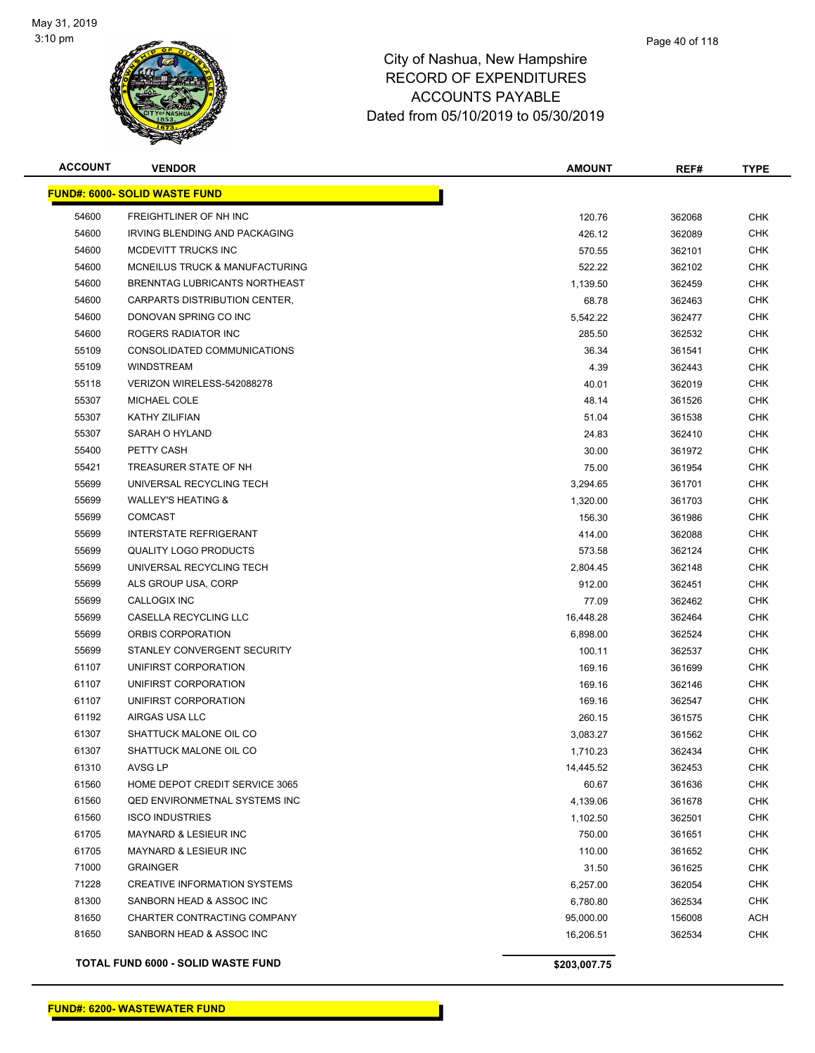

| <b>ACCOUNT</b> | <b>VENDOR</b>                        | <b>AMOUNT</b> | REF#   | <b>TYPE</b> |
|----------------|--------------------------------------|---------------|--------|-------------|
|                | <b>FUND#: 6000- SOLID WASTE FUND</b> |               |        |             |
| 54600          | FREIGHTLINER OF NH INC               | 120.76        | 362068 | <b>CHK</b>  |
| 54600          | IRVING BLENDING AND PACKAGING        | 426.12        | 362089 | <b>CHK</b>  |
| 54600          | MCDEVITT TRUCKS INC                  | 570.55        | 362101 | <b>CHK</b>  |
| 54600          | MCNEILUS TRUCK & MANUFACTURING       | 522.22        | 362102 | <b>CHK</b>  |
| 54600          | BRENNTAG LUBRICANTS NORTHEAST        | 1,139.50      | 362459 | <b>CHK</b>  |
| 54600          | CARPARTS DISTRIBUTION CENTER,        | 68.78         | 362463 | <b>CHK</b>  |
| 54600          | DONOVAN SPRING CO INC                | 5,542.22      | 362477 | <b>CHK</b>  |
| 54600          | ROGERS RADIATOR INC                  | 285.50        | 362532 | <b>CHK</b>  |
| 55109          | CONSOLIDATED COMMUNICATIONS          | 36.34         | 361541 | <b>CHK</b>  |
| 55109          | <b>WINDSTREAM</b>                    | 4.39          | 362443 | <b>CHK</b>  |
| 55118          | VERIZON WIRELESS-542088278           | 40.01         | 362019 | CHK         |
| 55307          | MICHAEL COLE                         | 48.14         | 361526 | CHK         |
| 55307          | <b>KATHY ZILIFIAN</b>                | 51.04         | 361538 | <b>CHK</b>  |
| 55307          | SARAH O HYLAND                       | 24.83         | 362410 | <b>CHK</b>  |
| 55400          | PETTY CASH                           | 30.00         | 361972 | <b>CHK</b>  |
| 55421          | TREASURER STATE OF NH                | 75.00         | 361954 | <b>CHK</b>  |
| 55699          | UNIVERSAL RECYCLING TECH             | 3,294.65      | 361701 | <b>CHK</b>  |
| 55699          | <b>WALLEY'S HEATING &amp;</b>        | 1,320.00      | 361703 | <b>CHK</b>  |
| 55699          | <b>COMCAST</b>                       | 156.30        | 361986 | <b>CHK</b>  |
| 55699          | <b>INTERSTATE REFRIGERANT</b>        | 414.00        | 362088 | <b>CHK</b>  |
| 55699          | <b>QUALITY LOGO PRODUCTS</b>         | 573.58        | 362124 | <b>CHK</b>  |
| 55699          | UNIVERSAL RECYCLING TECH             | 2,804.45      | 362148 | <b>CHK</b>  |
| 55699          | ALS GROUP USA, CORP                  | 912.00        | 362451 | <b>CHK</b>  |
| 55699          | CALLOGIX INC                         | 77.09         | 362462 | <b>CHK</b>  |
| 55699          | CASELLA RECYCLING LLC                | 16,448.28     | 362464 | <b>CHK</b>  |
| 55699          | ORBIS CORPORATION                    | 6,898.00      | 362524 | <b>CHK</b>  |
| 55699          | STANLEY CONVERGENT SECURITY          | 100.11        | 362537 | <b>CHK</b>  |
| 61107          | UNIFIRST CORPORATION                 | 169.16        | 361699 | <b>CHK</b>  |
| 61107          | UNIFIRST CORPORATION                 | 169.16        | 362146 | <b>CHK</b>  |
| 61107          | UNIFIRST CORPORATION                 | 169.16        | 362547 | <b>CHK</b>  |
| 61192          | AIRGAS USA LLC                       | 260.15        | 361575 | CHK         |
| 61307          | SHATTUCK MALONE OIL CO               | 3,083.27      | 361562 | <b>CHK</b>  |
| 61307          | SHATTUCK MALONE OIL CO               | 1,710.23      | 362434 | <b>CHK</b>  |
| 61310          | AVSG LP                              | 14,445.52     | 362453 | <b>CHK</b>  |
| 61560          | HOME DEPOT CREDIT SERVICE 3065       | 60.67         | 361636 | <b>CHK</b>  |
| 61560          | QED ENVIRONMETNAL SYSTEMS INC        | 4,139.06      | 361678 | <b>CHK</b>  |
| 61560          | <b>ISCO INDUSTRIES</b>               | 1,102.50      | 362501 | <b>CHK</b>  |
| 61705          | MAYNARD & LESIEUR INC                | 750.00        | 361651 | <b>CHK</b>  |
| 61705          | MAYNARD & LESIEUR INC                | 110.00        | 361652 | <b>CHK</b>  |
| 71000          | <b>GRAINGER</b>                      | 31.50         | 361625 | <b>CHK</b>  |
| 71228          | <b>CREATIVE INFORMATION SYSTEMS</b>  | 6,257.00      | 362054 | <b>CHK</b>  |
| 81300          | SANBORN HEAD & ASSOC INC             | 6,780.80      | 362534 | <b>CHK</b>  |
| 81650          | CHARTER CONTRACTING COMPANY          | 95,000.00     | 156008 | <b>ACH</b>  |
| 81650          | SANBORN HEAD & ASSOC INC             | 16,206.51     | 362534 | <b>CHK</b>  |
|                |                                      |               |        |             |

**TOTAL FUND 6000 - SOLID WASTE FUND \$203,007.75**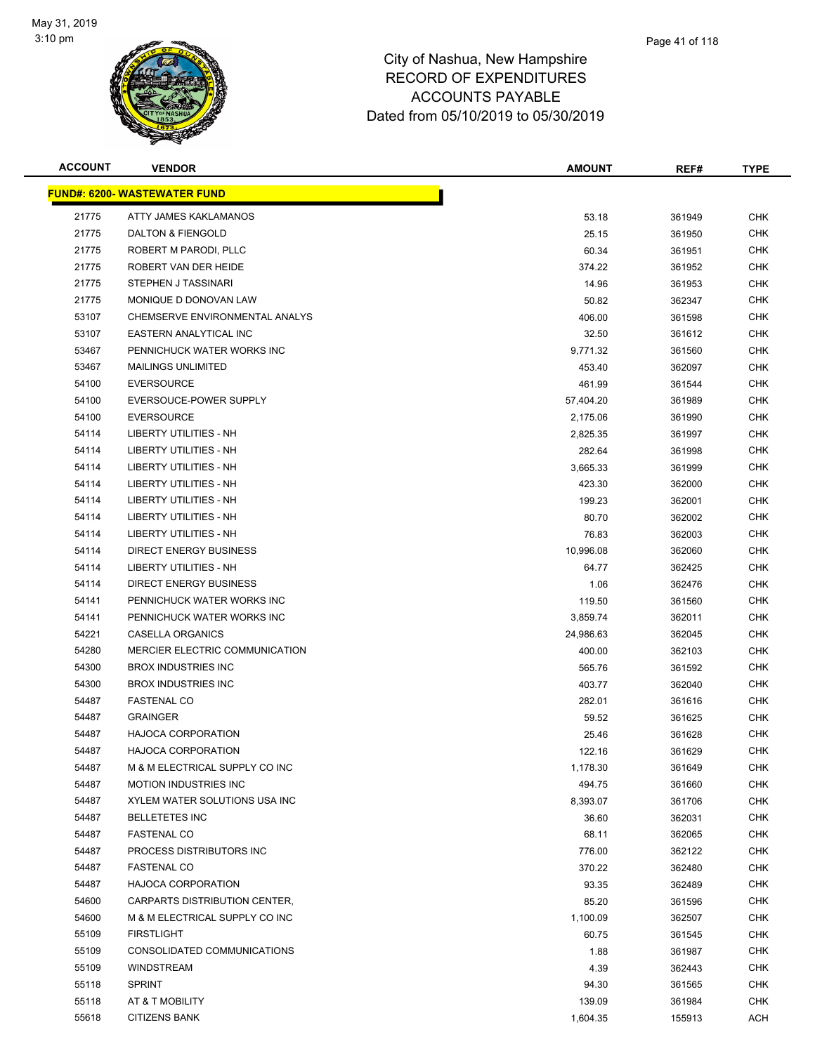

| <b>ACCOUNT</b> | <b>VENDOR</b>                       | <b>AMOUNT</b> | REF#   | <b>TYPE</b> |
|----------------|-------------------------------------|---------------|--------|-------------|
|                | <u>FUND#: 6200- WASTEWATER FUND</u> |               |        |             |
| 21775          | ATTY JAMES KAKLAMANOS               | 53.18         | 361949 | <b>CHK</b>  |
| 21775          | DALTON & FIENGOLD                   | 25.15         | 361950 | <b>CHK</b>  |
| 21775          | ROBERT M PARODI, PLLC               | 60.34         | 361951 | <b>CHK</b>  |
| 21775          | ROBERT VAN DER HEIDE                | 374.22        | 361952 | <b>CHK</b>  |
| 21775          | <b>STEPHEN J TASSINARI</b>          | 14.96         | 361953 | <b>CHK</b>  |
| 21775          | MONIQUE D DONOVAN LAW               | 50.82         | 362347 | <b>CHK</b>  |
| 53107          | CHEMSERVE ENVIRONMENTAL ANALYS      | 406.00        | 361598 | <b>CHK</b>  |
| 53107          | <b>EASTERN ANALYTICAL INC</b>       | 32.50         | 361612 | <b>CHK</b>  |
| 53467          | PENNICHUCK WATER WORKS INC          | 9,771.32      | 361560 | <b>CHK</b>  |
| 53467          | <b>MAILINGS UNLIMITED</b>           | 453.40        | 362097 | <b>CHK</b>  |
| 54100          | <b>EVERSOURCE</b>                   | 461.99        | 361544 | <b>CHK</b>  |
| 54100          | EVERSOUCE-POWER SUPPLY              | 57,404.20     | 361989 | CHK         |
| 54100          | <b>EVERSOURCE</b>                   | 2,175.06      | 361990 | <b>CHK</b>  |
| 54114          | <b>LIBERTY UTILITIES - NH</b>       | 2,825.35      | 361997 | <b>CHK</b>  |
| 54114          | LIBERTY UTILITIES - NH              | 282.64        | 361998 | <b>CHK</b>  |
| 54114          | <b>LIBERTY UTILITIES - NH</b>       | 3,665.33      | 361999 | <b>CHK</b>  |
| 54114          | LIBERTY UTILITIES - NH              | 423.30        | 362000 | <b>CHK</b>  |
| 54114          | LIBERTY UTILITIES - NH              | 199.23        | 362001 | <b>CHK</b>  |
| 54114          | LIBERTY UTILITIES - NH              | 80.70         | 362002 | <b>CHK</b>  |
| 54114          | <b>LIBERTY UTILITIES - NH</b>       | 76.83         | 362003 | <b>CHK</b>  |
| 54114          | <b>DIRECT ENERGY BUSINESS</b>       | 10,996.08     | 362060 | <b>CHK</b>  |
| 54114          | LIBERTY UTILITIES - NH              | 64.77         | 362425 | <b>CHK</b>  |
| 54114          | <b>DIRECT ENERGY BUSINESS</b>       | 1.06          | 362476 | <b>CHK</b>  |
| 54141          | PENNICHUCK WATER WORKS INC          | 119.50        | 361560 | <b>CHK</b>  |
| 54141          | PENNICHUCK WATER WORKS INC          | 3,859.74      | 362011 | <b>CHK</b>  |
| 54221          | CASELLA ORGANICS                    | 24,986.63     | 362045 | <b>CHK</b>  |
| 54280          | MERCIER ELECTRIC COMMUNICATION      | 400.00        | 362103 | <b>CHK</b>  |
| 54300          | <b>BROX INDUSTRIES INC</b>          | 565.76        | 361592 | <b>CHK</b>  |
| 54300          | <b>BROX INDUSTRIES INC</b>          | 403.77        | 362040 | <b>CHK</b>  |
| 54487          | <b>FASTENAL CO</b>                  | 282.01        | 361616 | <b>CHK</b>  |
| 54487          | <b>GRAINGER</b>                     | 59.52         | 361625 | CHK         |
| 54487          | <b>HAJOCA CORPORATION</b>           | 25.46         | 361628 | <b>CHK</b>  |
| 54487          | <b>HAJOCA CORPORATION</b>           | 122.16        | 361629 | <b>CHK</b>  |
| 54487          | M & M ELECTRICAL SUPPLY CO INC      | 1,178.30      | 361649 | <b>CHK</b>  |
| 54487          | <b>MOTION INDUSTRIES INC</b>        | 494.75        | 361660 | <b>CHK</b>  |
| 54487          | XYLEM WATER SOLUTIONS USA INC       | 8,393.07      | 361706 | <b>CHK</b>  |
| 54487          | <b>BELLETETES INC</b>               | 36.60         | 362031 | <b>CHK</b>  |
| 54487          | <b>FASTENAL CO</b>                  | 68.11         | 362065 | <b>CHK</b>  |
| 54487          | PROCESS DISTRIBUTORS INC            | 776.00        | 362122 | <b>CHK</b>  |
| 54487          | <b>FASTENAL CO</b>                  | 370.22        | 362480 | <b>CHK</b>  |
| 54487          | HAJOCA CORPORATION                  | 93.35         | 362489 | CHK         |
| 54600          | CARPARTS DISTRIBUTION CENTER,       | 85.20         | 361596 | <b>CHK</b>  |
| 54600          | M & M ELECTRICAL SUPPLY CO INC      | 1,100.09      | 362507 | CHK         |
| 55109          | <b>FIRSTLIGHT</b>                   | 60.75         | 361545 | <b>CHK</b>  |
| 55109          | CONSOLIDATED COMMUNICATIONS         | 1.88          | 361987 | <b>CHK</b>  |
| 55109          | <b>WINDSTREAM</b>                   | 4.39          | 362443 | CHK         |
| 55118          | <b>SPRINT</b>                       | 94.30         | 361565 | <b>CHK</b>  |
| 55118          | AT & T MOBILITY                     | 139.09        | 361984 | <b>CHK</b>  |
| 55618          | <b>CITIZENS BANK</b>                | 1,604.35      | 155913 | ACH         |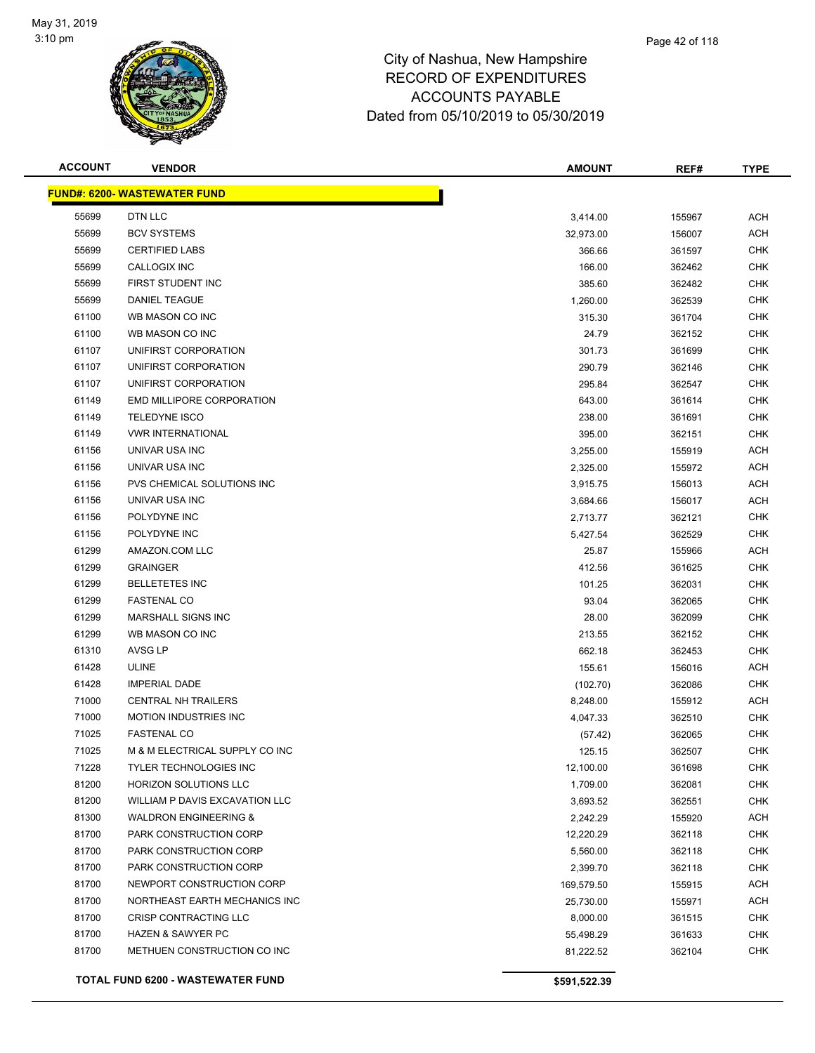

# Page 42 of 118

| <b>ACCOUNT</b> | <b>VENDOR</b>                       | <b>AMOUNT</b> | REF#   | <b>TYPE</b> |
|----------------|-------------------------------------|---------------|--------|-------------|
|                | <b>FUND#: 6200- WASTEWATER FUND</b> |               |        |             |
| 55699          | DTN LLC                             | 3,414.00      | 155967 | <b>ACH</b>  |
| 55699          | <b>BCV SYSTEMS</b>                  | 32,973.00     | 156007 | <b>ACH</b>  |
| 55699          | <b>CERTIFIED LABS</b>               | 366.66        | 361597 | <b>CHK</b>  |
| 55699          | CALLOGIX INC                        | 166.00        | 362462 | <b>CHK</b>  |
| 55699          | FIRST STUDENT INC                   | 385.60        | 362482 | <b>CHK</b>  |
| 55699          | <b>DANIEL TEAGUE</b>                | 1,260.00      | 362539 | <b>CHK</b>  |
| 61100          | WB MASON CO INC                     | 315.30        | 361704 | <b>CHK</b>  |
| 61100          | WB MASON CO INC                     | 24.79         | 362152 | <b>CHK</b>  |
| 61107          | UNIFIRST CORPORATION                | 301.73        | 361699 | <b>CHK</b>  |
| 61107          | UNIFIRST CORPORATION                | 290.79        | 362146 | <b>CHK</b>  |
| 61107          | UNIFIRST CORPORATION                | 295.84        | 362547 | <b>CHK</b>  |
| 61149          | EMD MILLIPORE CORPORATION           | 643.00        | 361614 | <b>CHK</b>  |
| 61149          | <b>TELEDYNE ISCO</b>                | 238.00        | 361691 | <b>CHK</b>  |
| 61149          | <b>VWR INTERNATIONAL</b>            | 395.00        | 362151 | <b>CHK</b>  |
| 61156          | UNIVAR USA INC                      | 3,255.00      | 155919 | <b>ACH</b>  |
| 61156          | UNIVAR USA INC                      | 2,325.00      | 155972 | <b>ACH</b>  |
| 61156          | PVS CHEMICAL SOLUTIONS INC          | 3,915.75      | 156013 | <b>ACH</b>  |
| 61156          | UNIVAR USA INC                      | 3,684.66      | 156017 | <b>ACH</b>  |
| 61156          | POLYDYNE INC                        | 2,713.77      | 362121 | <b>CHK</b>  |
| 61156          | POLYDYNE INC                        | 5,427.54      | 362529 | <b>CHK</b>  |
| 61299          | AMAZON.COM LLC                      | 25.87         | 155966 | <b>ACH</b>  |
| 61299          | <b>GRAINGER</b>                     | 412.56        | 361625 | <b>CHK</b>  |
| 61299          | <b>BELLETETES INC</b>               | 101.25        | 362031 | <b>CHK</b>  |
| 61299          | <b>FASTENAL CO</b>                  | 93.04         | 362065 | <b>CHK</b>  |
| 61299          | <b>MARSHALL SIGNS INC</b>           | 28.00         | 362099 | <b>CHK</b>  |
| 61299          | WB MASON CO INC                     | 213.55        | 362152 | <b>CHK</b>  |
| 61310          | AVSG LP                             | 662.18        | 362453 | <b>CHK</b>  |
| 61428          | <b>ULINE</b>                        | 155.61        | 156016 | <b>ACH</b>  |
| 61428          | <b>IMPERIAL DADE</b>                | (102.70)      | 362086 | <b>CHK</b>  |
| 71000          | <b>CENTRAL NH TRAILERS</b>          | 8,248.00      | 155912 | <b>ACH</b>  |
| 71000          | <b>MOTION INDUSTRIES INC</b>        | 4,047.33      | 362510 | <b>CHK</b>  |
| 71025          | <b>FASTENAL CO</b>                  | (57.42)       | 362065 | <b>CHK</b>  |
| 71025          | M & M ELECTRICAL SUPPLY CO INC      | 125.15        | 362507 | <b>CHK</b>  |
| 71228          | <b>TYLER TECHNOLOGIES INC</b>       | 12,100.00     | 361698 | <b>CHK</b>  |
| 81200          | HORIZON SOLUTIONS LLC               | 1,709.00      | 362081 | <b>CHK</b>  |
| 81200          | WILLIAM P DAVIS EXCAVATION LLC      | 3,693.52      | 362551 | <b>CHK</b>  |
| 81300          | <b>WALDRON ENGINEERING &amp;</b>    | 2,242.29      | 155920 | <b>ACH</b>  |
| 81700          | PARK CONSTRUCTION CORP              | 12,220.29     | 362118 | <b>CHK</b>  |
| 81700          | PARK CONSTRUCTION CORP              | 5,560.00      | 362118 | <b>CHK</b>  |
| 81700          | PARK CONSTRUCTION CORP              | 2,399.70      | 362118 | <b>CHK</b>  |
| 81700          | NEWPORT CONSTRUCTION CORP           | 169,579.50    | 155915 | <b>ACH</b>  |
| 81700          | NORTHEAST EARTH MECHANICS INC       | 25,730.00     | 155971 | <b>ACH</b>  |
| 81700          | CRISP CONTRACTING LLC               | 8,000.00      | 361515 | <b>CHK</b>  |
| 81700          | <b>HAZEN &amp; SAWYER PC</b>        | 55,498.29     | 361633 | <b>CHK</b>  |
| 81700          | METHUEN CONSTRUCTION CO INC         | 81,222.52     | 362104 | <b>CHK</b>  |
|                | TOTAL FUND 6200 - WASTEWATER FUND   | \$591,522.39  |        |             |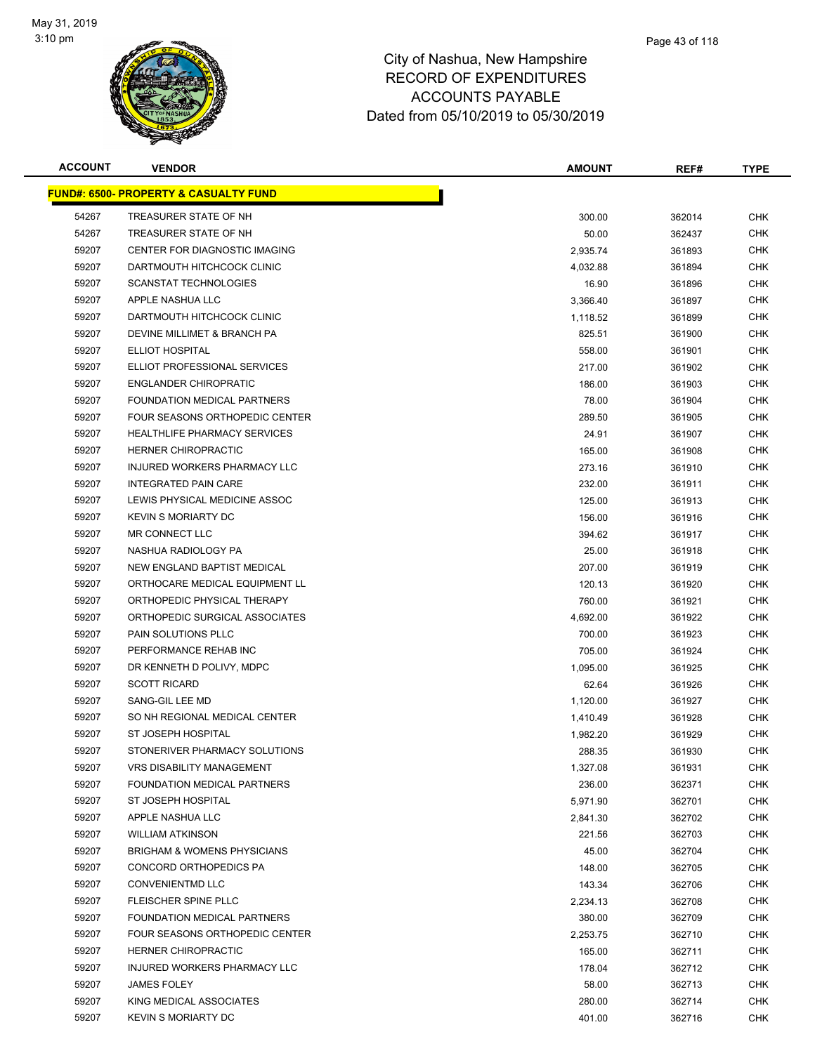

| <b>ACCOUNT</b> | <b>VENDOR</b>                                    | <b>AMOUNT</b> | REF#   | <b>TYPE</b> |
|----------------|--------------------------------------------------|---------------|--------|-------------|
|                | <b>FUND#: 6500- PROPERTY &amp; CASUALTY FUND</b> |               |        |             |
| 54267          | TREASURER STATE OF NH                            | 300.00        | 362014 | <b>CHK</b>  |
| 54267          | TREASURER STATE OF NH                            | 50.00         | 362437 | <b>CHK</b>  |
| 59207          | CENTER FOR DIAGNOSTIC IMAGING                    | 2,935.74      | 361893 | <b>CHK</b>  |
| 59207          | DARTMOUTH HITCHCOCK CLINIC                       | 4,032.88      | 361894 | CHK         |
| 59207          | <b>SCANSTAT TECHNOLOGIES</b>                     | 16.90         | 361896 | <b>CHK</b>  |
| 59207          | APPLE NASHUA LLC                                 | 3,366.40      | 361897 | <b>CHK</b>  |
| 59207          | DARTMOUTH HITCHCOCK CLINIC                       | 1,118.52      | 361899 | <b>CHK</b>  |
| 59207          | DEVINE MILLIMET & BRANCH PA                      | 825.51        | 361900 | <b>CHK</b>  |
| 59207          | ELLIOT HOSPITAL                                  | 558.00        | 361901 | <b>CHK</b>  |
| 59207          | ELLIOT PROFESSIONAL SERVICES                     | 217.00        | 361902 | CHK         |
| 59207          | <b>ENGLANDER CHIROPRATIC</b>                     | 186.00        | 361903 | CHK         |
| 59207          | FOUNDATION MEDICAL PARTNERS                      | 78.00         | 361904 | CHK         |
| 59207          | FOUR SEASONS ORTHOPEDIC CENTER                   | 289.50        | 361905 | <b>CHK</b>  |
| 59207          | <b>HEALTHLIFE PHARMACY SERVICES</b>              | 24.91         | 361907 | <b>CHK</b>  |
| 59207          | HERNER CHIROPRACTIC                              | 165.00        | 361908 | CHK         |
| 59207          | INJURED WORKERS PHARMACY LLC                     | 273.16        | 361910 | <b>CHK</b>  |
| 59207          | <b>INTEGRATED PAIN CARE</b>                      | 232.00        | 361911 | <b>CHK</b>  |
| 59207          | LEWIS PHYSICAL MEDICINE ASSOC                    | 125.00        | 361913 | <b>CHK</b>  |
| 59207          | <b>KEVIN S MORIARTY DC</b>                       | 156.00        | 361916 | <b>CHK</b>  |
| 59207          | MR CONNECT LLC                                   | 394.62        | 361917 | <b>CHK</b>  |
| 59207          | NASHUA RADIOLOGY PA                              | 25.00         | 361918 | <b>CHK</b>  |
| 59207          | NEW ENGLAND BAPTIST MEDICAL                      | 207.00        | 361919 | CHK         |
| 59207          | ORTHOCARE MEDICAL EQUIPMENT LL                   | 120.13        | 361920 | <b>CHK</b>  |
| 59207          | ORTHOPEDIC PHYSICAL THERAPY                      | 760.00        | 361921 | <b>CHK</b>  |
| 59207          | ORTHOPEDIC SURGICAL ASSOCIATES                   | 4,692.00      | 361922 | <b>CHK</b>  |
| 59207          | PAIN SOLUTIONS PLLC                              | 700.00        | 361923 | CHK         |
| 59207          | PERFORMANCE REHAB INC                            | 705.00        | 361924 | <b>CHK</b>  |
| 59207          | DR KENNETH D POLIVY, MDPC                        | 1,095.00      | 361925 | CHK         |
| 59207          | <b>SCOTT RICARD</b>                              | 62.64         | 361926 | <b>CHK</b>  |
| 59207          | SANG-GIL LEE MD                                  | 1,120.00      | 361927 | <b>CHK</b>  |
| 59207          | SO NH REGIONAL MEDICAL CENTER                    | 1,410.49      | 361928 | <b>CHK</b>  |
| 59207          | ST JOSEPH HOSPITAL                               | 1,982.20      | 361929 | <b>CHK</b>  |
| 59207          | STONERIVER PHARMACY SOLUTIONS                    | 288.35        | 361930 | <b>CHK</b>  |
| 59207          | VRS DISABILITY MANAGEMENT                        | 1,327.08      | 361931 | <b>CHK</b>  |
| 59207          | FOUNDATION MEDICAL PARTNERS                      | 236.00        | 362371 | <b>CHK</b>  |
| 59207          | ST JOSEPH HOSPITAL                               | 5,971.90      | 362701 | <b>CHK</b>  |
| 59207          | APPLE NASHUA LLC                                 | 2,841.30      | 362702 | CHK         |
| 59207          | <b>WILLIAM ATKINSON</b>                          | 221.56        | 362703 | <b>CHK</b>  |
| 59207          | <b>BRIGHAM &amp; WOMENS PHYSICIANS</b>           | 45.00         | 362704 | CHK         |
| 59207          | CONCORD ORTHOPEDICS PA                           | 148.00        | 362705 | <b>CHK</b>  |
| 59207          | <b>CONVENIENTMD LLC</b>                          | 143.34        | 362706 | <b>CHK</b>  |
| 59207          | FLEISCHER SPINE PLLC                             | 2,234.13      | 362708 | CHK         |
| 59207          | FOUNDATION MEDICAL PARTNERS                      | 380.00        | 362709 | <b>CHK</b>  |
| 59207          | FOUR SEASONS ORTHOPEDIC CENTER                   | 2,253.75      | 362710 | CHK         |
| 59207          | HERNER CHIROPRACTIC                              | 165.00        | 362711 | CHK         |
| 59207          | INJURED WORKERS PHARMACY LLC                     | 178.04        | 362712 | CHK         |
| 59207          | <b>JAMES FOLEY</b>                               | 58.00         | 362713 | CHK         |
| 59207          | KING MEDICAL ASSOCIATES                          | 280.00        | 362714 | CHK         |
| 59207          | <b>KEVIN S MORIARTY DC</b>                       | 401.00        | 362716 | <b>CHK</b>  |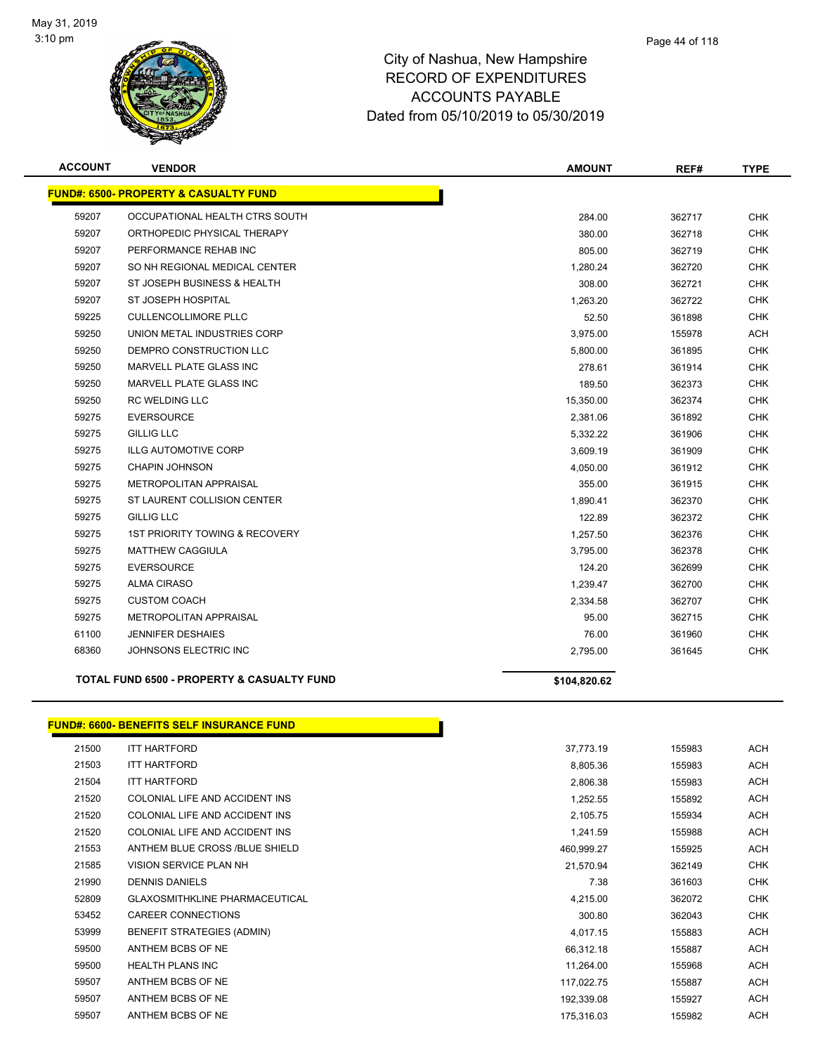

| <b>ACCOUNT</b> | <b>VENDOR</b>                                         | <b>AMOUNT</b> | REF#   | <b>TYPE</b> |
|----------------|-------------------------------------------------------|---------------|--------|-------------|
|                | <b>FUND#: 6500- PROPERTY &amp; CASUALTY FUND</b>      |               |        |             |
| 59207          | OCCUPATIONAL HEALTH CTRS SOUTH                        | 284.00        | 362717 | <b>CHK</b>  |
| 59207          | ORTHOPEDIC PHYSICAL THERAPY                           | 380.00        | 362718 | <b>CHK</b>  |
| 59207          | PERFORMANCE REHAB INC                                 | 805.00        | 362719 | <b>CHK</b>  |
| 59207          | SO NH REGIONAL MEDICAL CENTER                         | 1,280.24      | 362720 | <b>CHK</b>  |
| 59207          | ST JOSEPH BUSINESS & HEALTH                           | 308.00        | 362721 | <b>CHK</b>  |
| 59207          | ST JOSEPH HOSPITAL                                    | 1.263.20      | 362722 | <b>CHK</b>  |
| 59225          | <b>CULLENCOLLIMORE PLLC</b>                           | 52.50         | 361898 | <b>CHK</b>  |
| 59250          | UNION METAL INDUSTRIES CORP                           | 3,975.00      | 155978 | <b>ACH</b>  |
| 59250          | DEMPRO CONSTRUCTION LLC                               | 5,800.00      | 361895 | <b>CHK</b>  |
| 59250          | MARVELL PLATE GLASS INC                               | 278.61        | 361914 | <b>CHK</b>  |
| 59250          | <b>MARVELL PLATE GLASS INC</b>                        | 189.50        | 362373 | <b>CHK</b>  |
| 59250          | <b>RC WELDING LLC</b>                                 | 15,350.00     | 362374 | <b>CHK</b>  |
| 59275          | <b>EVERSOURCE</b>                                     | 2,381.06      | 361892 | <b>CHK</b>  |
| 59275          | <b>GILLIG LLC</b>                                     | 5,332.22      | 361906 | <b>CHK</b>  |
| 59275          | <b>ILLG AUTOMOTIVE CORP</b>                           | 3,609.19      | 361909 | <b>CHK</b>  |
| 59275          | <b>CHAPIN JOHNSON</b>                                 | 4,050.00      | 361912 | <b>CHK</b>  |
| 59275          | METROPOLITAN APPRAISAL                                | 355.00        | 361915 | <b>CHK</b>  |
| 59275          | ST LAURENT COLLISION CENTER                           | 1,890.41      | 362370 | <b>CHK</b>  |
| 59275          | <b>GILLIG LLC</b>                                     | 122.89        | 362372 | <b>CHK</b>  |
| 59275          | <b>1ST PRIORITY TOWING &amp; RECOVERY</b>             | 1,257.50      | 362376 | <b>CHK</b>  |
| 59275          | <b>MATTHEW CAGGIULA</b>                               | 3,795.00      | 362378 | <b>CHK</b>  |
| 59275          | <b>EVERSOURCE</b>                                     | 124.20        | 362699 | <b>CHK</b>  |
| 59275          | <b>ALMA CIRASO</b>                                    | 1,239.47      | 362700 | <b>CHK</b>  |
| 59275          | <b>CUSTOM COACH</b>                                   | 2,334.58      | 362707 | <b>CHK</b>  |
| 59275          | <b>METROPOLITAN APPRAISAL</b>                         | 95.00         | 362715 | <b>CHK</b>  |
| 61100          | <b>JENNIFER DESHAIES</b>                              | 76.00         | 361960 | <b>CHK</b>  |
| 68360          | JOHNSONS ELECTRIC INC                                 | 2,795.00      | 361645 | <b>CHK</b>  |
|                | <b>TOTAL FUND 6500 - PROPERTY &amp; CASUALTY FUND</b> | \$104,820.62  |        |             |

|       | <u> FUND#: 6600- BENEFITS SELF INSURANCE FUND</u> |            |        |
|-------|---------------------------------------------------|------------|--------|
| 21500 | <b>ITT HARTFORD</b>                               | 37,773.19  | 155983 |
| 21503 | <b>ITT HARTFORD</b>                               | 8,805.36   | 155983 |
| 21504 | <b>ITT HARTFORD</b>                               | 2,806.38   | 155983 |
| 21520 | COLONIAL LIFE AND ACCIDENT INS                    | 1,252.55   | 155892 |
| 21520 | COLONIAL LIFE AND ACCIDENT INS                    | 2,105.75   | 155934 |
| 21520 | COLONIAL LIFE AND ACCIDENT INS                    | 1,241.59   | 155988 |
| 21553 | ANTHEM BLUE CROSS /BLUE SHIELD                    | 460,999.27 | 155925 |
| 21585 | <b>VISION SERVICE PLAN NH</b>                     | 21,570.94  | 362149 |
| 21990 | <b>DENNIS DANIELS</b>                             | 7.38       | 361603 |
| 52809 | <b>GLAXOSMITHKLINE PHARMACEUTICAL</b>             | 4,215.00   | 362072 |
| 53452 | <b>CAREER CONNECTIONS</b>                         | 300.80     | 362043 |
| 53999 | <b>BENEFIT STRATEGIES (ADMIN)</b>                 | 4,017.15   | 155883 |
| 59500 | ANTHEM BCBS OF NE                                 | 66,312.18  | 155887 |
| 59500 | <b>HEALTH PLANS INC</b>                           | 11,264.00  | 155968 |
| 59507 | ANTHEM BCBS OF NE                                 | 117,022.75 | 155887 |
| 59507 | ANTHEM BCBS OF NE                                 | 192,339.08 | 155927 |
| 59507 | ANTHEM BCBS OF NE                                 | 175,316.03 | 155982 |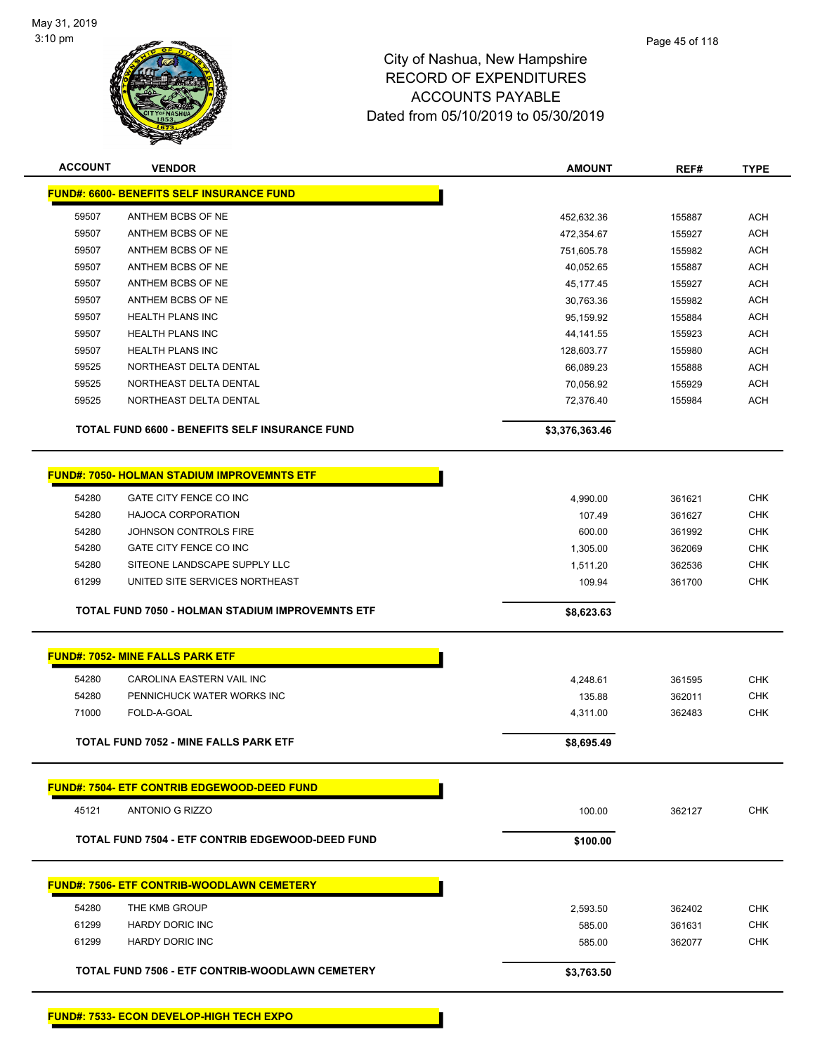

| <b>ACCOUNT</b> | <b>VENDOR</b>                                      | <b>AMOUNT</b>      | REF#             | <b>TYPE</b>       |
|----------------|----------------------------------------------------|--------------------|------------------|-------------------|
|                | <b>FUND#: 6600- BENEFITS SELF INSURANCE FUND</b>   |                    |                  |                   |
| 59507          | ANTHEM BCBS OF NE                                  | 452,632.36         | 155887           | <b>ACH</b>        |
| 59507          | ANTHEM BCBS OF NE                                  | 472,354.67         | 155927           | <b>ACH</b>        |
| 59507          | ANTHEM BCBS OF NE                                  | 751,605.78         | 155982           | <b>ACH</b>        |
| 59507          | ANTHEM BCBS OF NE                                  | 40,052.65          | 155887           | <b>ACH</b>        |
| 59507          | ANTHEM BCBS OF NE                                  | 45, 177. 45        | 155927           | <b>ACH</b>        |
| 59507          | ANTHEM BCBS OF NE                                  | 30,763.36          | 155982           | <b>ACH</b>        |
| 59507          | <b>HEALTH PLANS INC</b>                            | 95,159.92          | 155884           | <b>ACH</b>        |
| 59507          | <b>HEALTH PLANS INC</b>                            | 44, 141. 55        | 155923           | <b>ACH</b>        |
| 59507          | <b>HEALTH PLANS INC</b>                            | 128,603.77         | 155980           | <b>ACH</b>        |
| 59525          | NORTHEAST DELTA DENTAL                             | 66,089.23          | 155888           | <b>ACH</b>        |
| 59525          | NORTHEAST DELTA DENTAL                             | 70,056.92          | 155929           | <b>ACH</b>        |
| 59525          | NORTHEAST DELTA DENTAL                             | 72,376.40          | 155984           | <b>ACH</b>        |
|                | TOTAL FUND 6600 - BENEFITS SELF INSURANCE FUND     | \$3,376,363.46     |                  |                   |
|                | <b>FUND#: 7050- HOLMAN STADIUM IMPROVEMNTS ETF</b> |                    |                  |                   |
| 54280          | GATE CITY FENCE CO INC                             | 4,990.00           | 361621           | <b>CHK</b>        |
| 54280          | HAJOCA CORPORATION                                 | 107.49             | 361627           | <b>CHK</b>        |
| 54280          | JOHNSON CONTROLS FIRE                              | 600.00             | 361992           | <b>CHK</b>        |
| 54280          | GATE CITY FENCE CO INC                             | 1,305.00           | 362069           | <b>CHK</b>        |
| 54280          | SITEONE LANDSCAPE SUPPLY LLC                       | 1,511.20           | 362536           | <b>CHK</b>        |
| 61299          | UNITED SITE SERVICES NORTHEAST                     | 109.94             | 361700           | <b>CHK</b>        |
|                | TOTAL FUND 7050 - HOLMAN STADIUM IMPROVEMNTS ETF   | \$8,623.63         |                  |                   |
|                | FUND#: 7052- MINE FALLS PARK ETF                   |                    |                  |                   |
| 54280          | CAROLINA EASTERN VAIL INC                          | 4,248.61           | 361595           | <b>CHK</b>        |
| 54280          | PENNICHUCK WATER WORKS INC                         | 135.88             | 362011           | <b>CHK</b>        |
| 71000          | FOLD-A-GOAL                                        | 4,311.00           | 362483           | <b>CHK</b>        |
|                | <b>TOTAL FUND 7052 - MINE FALLS PARK ETF</b>       |                    |                  |                   |
|                |                                                    | \$8,695.49         |                  |                   |
|                | <b>FUND#: 7504- ETF CONTRIB EDGEWOOD-DEED FUND</b> |                    |                  |                   |
| 45121          | <b>ANTONIO G RIZZO</b>                             | 100.00             | 362127           | CHK               |
|                | TOTAL FUND 7504 - ETF CONTRIB EDGEWOOD-DEED FUND   | \$100.00           |                  |                   |
|                | <b>FUND#: 7506- ETF CONTRIB-WOODLAWN CEMETERY</b>  |                    |                  |                   |
|                |                                                    |                    |                  |                   |
| 54280<br>61299 | THE KMB GROUP<br><b>HARDY DORIC INC</b>            | 2,593.50<br>585.00 | 362402           | CHK<br><b>CHK</b> |
| 61299          | HARDY DORIC INC                                    | 585.00             | 361631<br>362077 | <b>CHK</b>        |
|                |                                                    |                    |                  |                   |
|                | TOTAL FUND 7506 - ETF CONTRIB-WOODLAWN CEMETERY    | \$3,763.50         |                  |                   |
|                |                                                    |                    |                  |                   |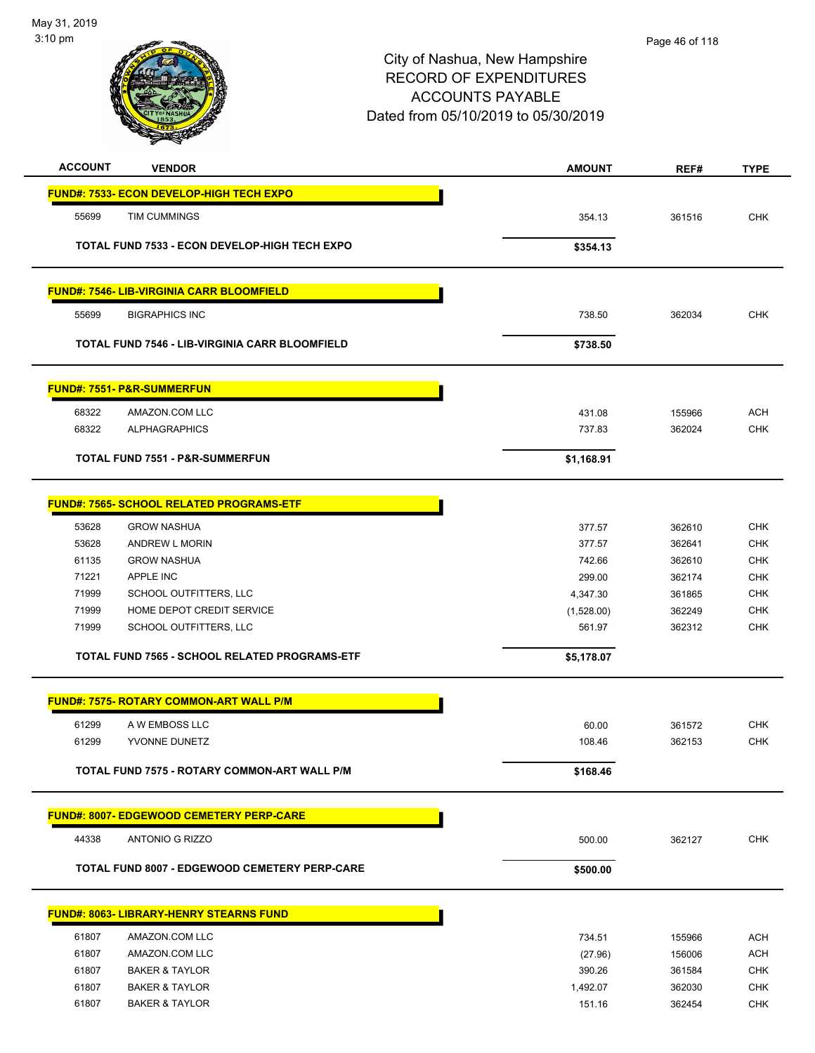

| <b>ACCOUNT</b> | <b>VENDOR</b>                                         | <b>AMOUNT</b> | REF#   | <b>TYPE</b>              |
|----------------|-------------------------------------------------------|---------------|--------|--------------------------|
|                | FUND#: 7533- ECON DEVELOP-HIGH TECH EXPO              |               |        |                          |
|                |                                                       |               |        |                          |
| 55699          | TIM CUMMINGS                                          | 354.13        | 361516 | <b>CHK</b>               |
|                | TOTAL FUND 7533 - ECON DEVELOP-HIGH TECH EXPO         | \$354.13      |        |                          |
|                |                                                       |               |        |                          |
|                |                                                       |               |        |                          |
|                | <b>FUND#: 7546- LIB-VIRGINIA CARR BLOOMFIELD</b>      |               |        |                          |
| 55699          | <b>BIGRAPHICS INC</b>                                 | 738.50        | 362034 | <b>CHK</b>               |
|                | <b>TOTAL FUND 7546 - LIB-VIRGINIA CARR BLOOMFIELD</b> | \$738.50      |        |                          |
|                |                                                       |               |        |                          |
|                | <b>FUND#: 7551- P&amp;R-SUMMERFUN</b>                 |               |        |                          |
|                |                                                       |               |        |                          |
| 68322<br>68322 | AMAZON.COM LLC<br><b>ALPHAGRAPHICS</b>                | 431.08        | 155966 | <b>ACH</b><br><b>CHK</b> |
|                |                                                       | 737.83        | 362024 |                          |
|                | TOTAL FUND 7551 - P&R-SUMMERFUN                       | \$1,168.91    |        |                          |
|                |                                                       |               |        |                          |
|                | <b>FUND#: 7565- SCHOOL RELATED PROGRAMS-ETF</b>       |               |        |                          |
| 53628          | <b>GROW NASHUA</b>                                    | 377.57        | 362610 | <b>CHK</b>               |
| 53628          | <b>ANDREW L MORIN</b>                                 | 377.57        | 362641 | <b>CHK</b>               |
| 61135          | <b>GROW NASHUA</b>                                    | 742.66        | 362610 | <b>CHK</b>               |
| 71221          | APPLE INC                                             | 299.00        | 362174 | <b>CHK</b>               |
| 71999          | SCHOOL OUTFITTERS, LLC                                | 4,347.30      | 361865 | <b>CHK</b>               |
| 71999          | HOME DEPOT CREDIT SERVICE                             | (1,528.00)    | 362249 | <b>CHK</b>               |
| 71999          | SCHOOL OUTFITTERS, LLC                                | 561.97        | 362312 | <b>CHK</b>               |
|                | TOTAL FUND 7565 - SCHOOL RELATED PROGRAMS-ETF         | \$5,178.07    |        |                          |
|                |                                                       |               |        |                          |
|                | <b>FUND#: 7575- ROTARY COMMON-ART WALL P/M</b>        |               |        |                          |
| 61299          | A W EMBOSS LLC                                        | 60.00         | 361572 | <b>CHK</b>               |
| 61299          | YVONNE DUNETZ                                         | 108.46        | 362153 | <b>CHK</b>               |
|                | TOTAL FUND 7575 - ROTARY COMMON-ART WALL P/M          | \$168.46      |        |                          |
|                |                                                       |               |        |                          |
|                | <b>FUND#: 8007- EDGEWOOD CEMETERY PERP-CARE</b>       |               |        |                          |
| 44338          | <b>ANTONIO G RIZZO</b>                                | 500.00        | 362127 | <b>CHK</b>               |
|                |                                                       |               |        |                          |
|                | TOTAL FUND 8007 - EDGEWOOD CEMETERY PERP-CARE         | \$500.00      |        |                          |
|                |                                                       |               |        |                          |
|                | <b>FUND#: 8063- LIBRARY-HENRY STEARNS FUND</b>        |               |        |                          |
| 61807          | AMAZON.COM LLC                                        | 734.51        | 155966 | <b>ACH</b>               |
| 61807          | AMAZON.COM LLC                                        | (27.96)       | 156006 | <b>ACH</b>               |
| 61807          | <b>BAKER &amp; TAYLOR</b>                             | 390.26        | 361584 | <b>CHK</b>               |
| 61807          | <b>BAKER &amp; TAYLOR</b>                             | 1,492.07      | 362030 | <b>CHK</b>               |
| 61807          | <b>BAKER &amp; TAYLOR</b>                             | 151.16        | 362454 | <b>CHK</b>               |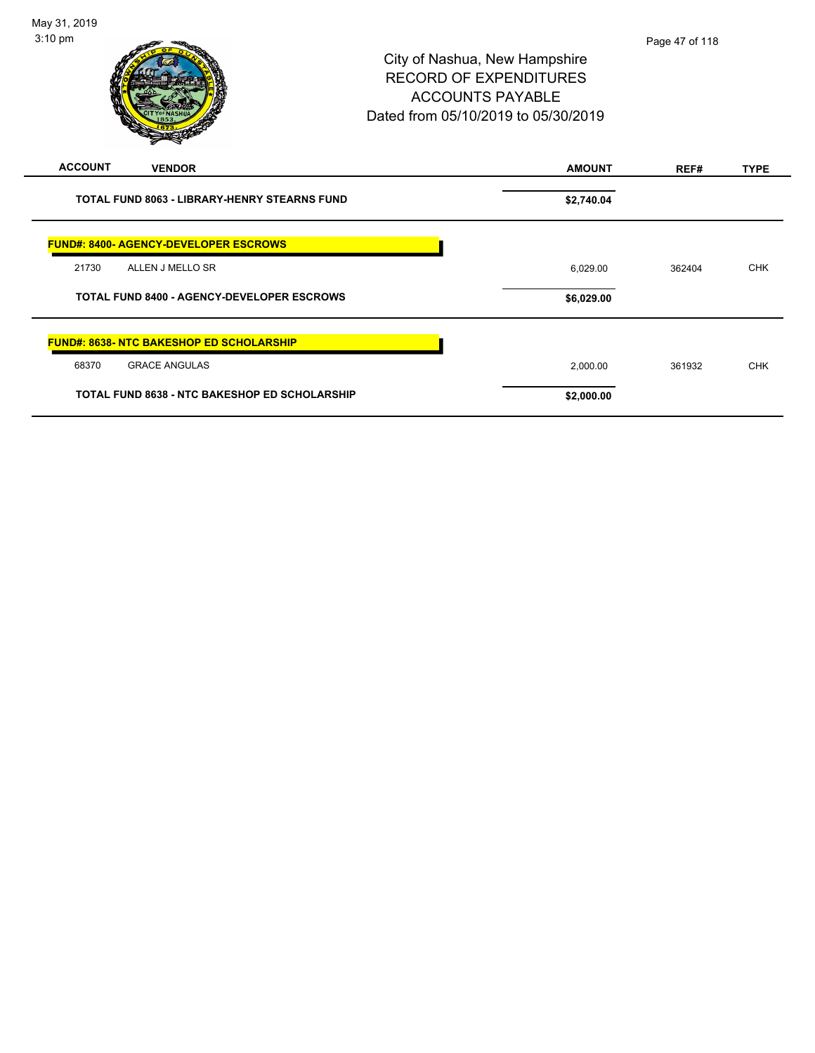| $\,$<br>-                                            |               |        |             |
|------------------------------------------------------|---------------|--------|-------------|
| <b>ACCOUNT</b><br><b>VENDOR</b>                      | <b>AMOUNT</b> | REF#   | <b>TYPE</b> |
| <b>TOTAL FUND 8063 - LIBRARY-HENRY STEARNS FUND</b>  | \$2,740.04    |        |             |
| <b>FUND#: 8400- AGENCY-DEVELOPER ESCROWS</b>         |               |        |             |
| 21730<br>ALLEN J MELLO SR                            | 6,029.00      | 362404 | <b>CHK</b>  |
| <b>TOTAL FUND 8400 - AGENCY-DEVELOPER ESCROWS</b>    | \$6,029.00    |        |             |
| <b>FUND#: 8638- NTC BAKESHOP ED SCHOLARSHIP</b>      |               |        |             |
| 68370<br><b>GRACE ANGULAS</b>                        | 2,000.00      | 361932 | <b>CHK</b>  |
| <b>TOTAL FUND 8638 - NTC BAKESHOP ED SCHOLARSHIP</b> | \$2,000.00    |        |             |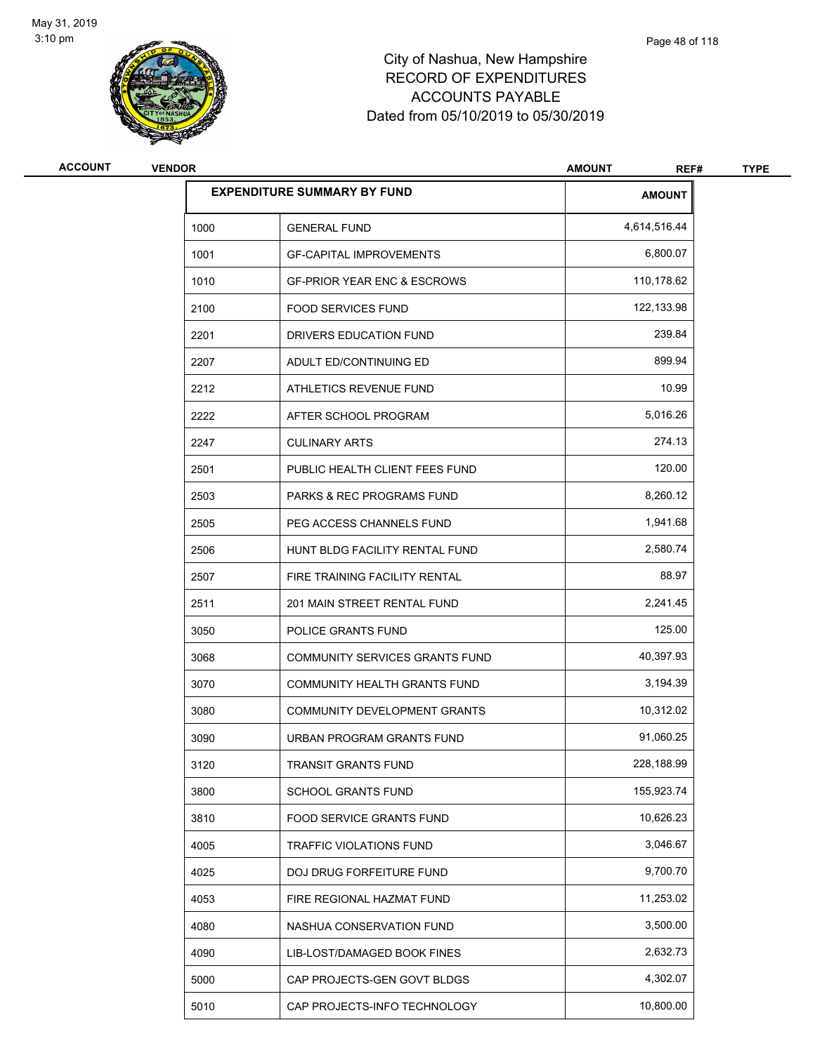

| <b>ACCOUNT</b> | <b>VENDOR</b> |                                        | <b>AMOUNT</b><br>REF# | <b>TYPE</b> |
|----------------|---------------|----------------------------------------|-----------------------|-------------|
|                |               | <b>EXPENDITURE SUMMARY BY FUND</b>     | <b>AMOUNT</b>         |             |
|                | 1000          | <b>GENERAL FUND</b>                    | 4,614,516.44          |             |
|                | 1001          | <b>GF-CAPITAL IMPROVEMENTS</b>         | 6,800.07              |             |
|                | 1010          | <b>GF-PRIOR YEAR ENC &amp; ESCROWS</b> | 110,178.62            |             |
|                | 2100          | <b>FOOD SERVICES FUND</b>              | 122,133.98            |             |
|                | 2201          | DRIVERS EDUCATION FUND                 | 239.84                |             |
|                | 2207          | ADULT ED/CONTINUING ED                 | 899.94                |             |
|                | 2212          | ATHLETICS REVENUE FUND                 | 10.99                 |             |
|                | 2222          | AFTER SCHOOL PROGRAM                   | 5,016.26              |             |
|                | 2247          | <b>CULINARY ARTS</b>                   | 274.13                |             |
|                | 2501          | PUBLIC HEALTH CLIENT FEES FUND         | 120.00                |             |
|                | 2503          | <b>PARKS &amp; REC PROGRAMS FUND</b>   | 8,260.12              |             |
|                | 2505          | PEG ACCESS CHANNELS FUND               | 1,941.68              |             |
|                | 2506          | HUNT BLDG FACILITY RENTAL FUND         | 2,580.74              |             |
|                | 2507          | FIRE TRAINING FACILITY RENTAL          | 88.97                 |             |
|                | 2511          | 201 MAIN STREET RENTAL FUND            | 2,241.45              |             |
|                | 3050          | POLICE GRANTS FUND                     | 125.00                |             |
|                | 3068          | COMMUNITY SERVICES GRANTS FUND         | 40,397.93             |             |
|                | 3070          | <b>COMMUNITY HEALTH GRANTS FUND</b>    | 3,194.39              |             |
|                | 3080          | COMMUNITY DEVELOPMENT GRANTS           | 10,312.02             |             |
|                | 3090          | URBAN PROGRAM GRANTS FUND              | 91,060.25             |             |
|                | 3120          | TRANSIT GRANTS FUND                    | 228,188.99            |             |
|                | 3800          | SCHOOL GRANTS FUND                     | 155,923.74            |             |
|                | 3810          | FOOD SERVICE GRANTS FUND               | 10,626.23             |             |
|                | 4005          | TRAFFIC VIOLATIONS FUND                | 3,046.67              |             |
|                | 4025          | DOJ DRUG FORFEITURE FUND               | 9,700.70              |             |
|                | 4053          | FIRE REGIONAL HAZMAT FUND              | 11,253.02             |             |
|                | 4080          | NASHUA CONSERVATION FUND               | 3,500.00              |             |
|                | 4090          | LIB-LOST/DAMAGED BOOK FINES            | 2,632.73              |             |
|                | 5000          | CAP PROJECTS-GEN GOVT BLDGS            | 4,302.07              |             |
|                | 5010          | CAP PROJECTS-INFO TECHNOLOGY           | 10,800.00             |             |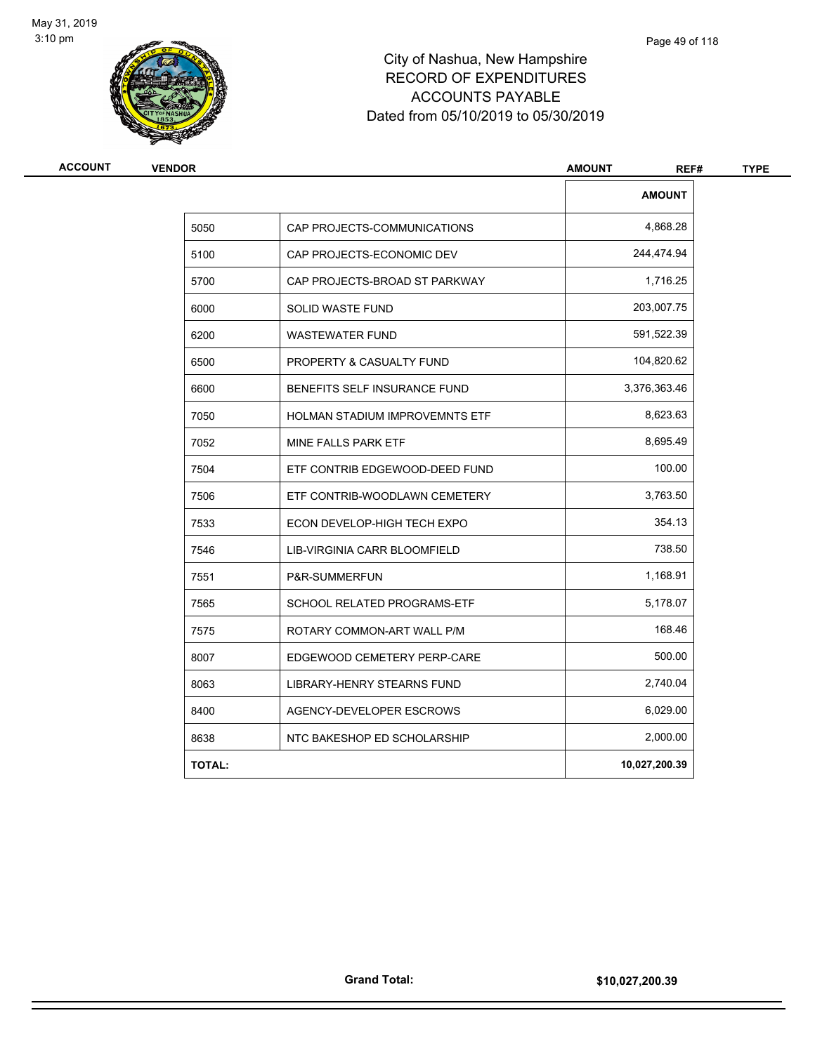

| <b>VENDOR</b> |                                       | <b>AMOUNT</b><br>REF# |
|---------------|---------------------------------------|-----------------------|
|               |                                       | <b>AMOUNT</b>         |
| 5050          | CAP PROJECTS-COMMUNICATIONS           | 4,868.28              |
| 5100          | CAP PROJECTS-ECONOMIC DEV             | 244,474.94            |
| 5700          | CAP PROJECTS-BROAD ST PARKWAY         | 1,716.25              |
| 6000          | SOLID WASTE FUND                      | 203,007.75            |
| 6200          | <b>WASTEWATER FUND</b>                | 591,522.39            |
| 6500          | PROPERTY & CASUALTY FUND              | 104,820.62            |
| 6600          | BENEFITS SELF INSURANCE FUND          | 3,376,363.46          |
| 7050          | <b>HOLMAN STADIUM IMPROVEMNTS ETF</b> | 8,623.63              |
| 7052          | MINE FALLS PARK ETF                   | 8,695.49              |
| 7504          | ETF CONTRIB EDGEWOOD-DEED FUND        | 100.00                |
| 7506          | ETF CONTRIB-WOODLAWN CEMETERY         | 3,763.50              |
| 7533          | ECON DEVELOP-HIGH TECH EXPO           | 354.13                |
| 7546          | LIB-VIRGINIA CARR BLOOMFIELD          | 738.50                |
| 7551          | P&R-SUMMERFUN                         | 1,168.91              |
| 7565          | SCHOOL RELATED PROGRAMS-ETF           | 5,178.07              |
| 7575          | ROTARY COMMON-ART WALL P/M            | 168.46                |
| 8007          | EDGEWOOD CEMETERY PERP-CARE           | 500.00                |
| 8063          | LIBRARY-HENRY STEARNS FUND            | 2,740.04              |
| 8400          | AGENCY-DEVELOPER ESCROWS              | 6,029.00              |
| 8638          | NTC BAKESHOP ED SCHOLARSHIP           | 2,000.00              |
| <b>TOTAL:</b> |                                       | 10,027,200.39         |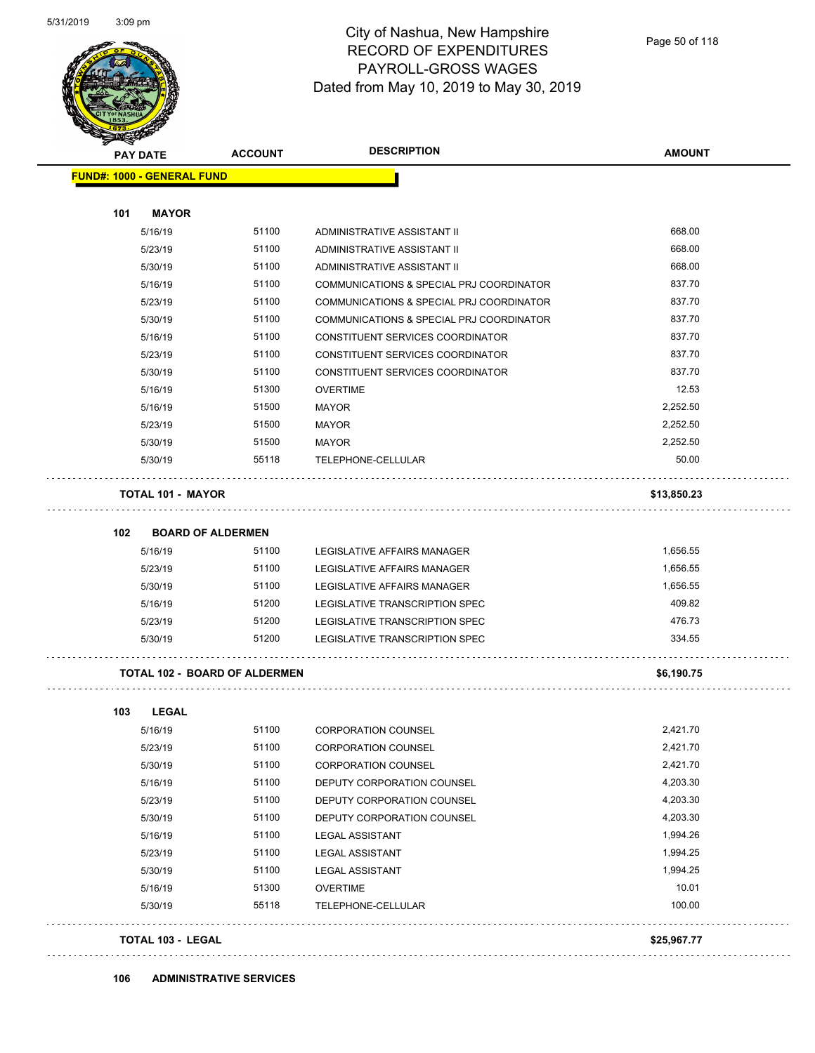

| <b>SANGRA</b> | <b>PAY DATE</b>                   | <b>ACCOUNT</b>                       | <b>DESCRIPTION</b>                       | <b>AMOUNT</b> |
|---------------|-----------------------------------|--------------------------------------|------------------------------------------|---------------|
|               | <b>FUND#: 1000 - GENERAL FUND</b> |                                      |                                          |               |
| 101           | <b>MAYOR</b>                      |                                      |                                          |               |
|               | 5/16/19                           | 51100                                | ADMINISTRATIVE ASSISTANT II              | 668.00        |
|               | 5/23/19                           | 51100                                | ADMINISTRATIVE ASSISTANT II              | 668.00        |
|               | 5/30/19                           | 51100                                | ADMINISTRATIVE ASSISTANT II              | 668.00        |
|               | 5/16/19                           | 51100                                | COMMUNICATIONS & SPECIAL PRJ COORDINATOR | 837.70        |
|               | 5/23/19                           | 51100                                | COMMUNICATIONS & SPECIAL PRJ COORDINATOR | 837.70        |
|               | 5/30/19                           | 51100                                | COMMUNICATIONS & SPECIAL PRJ COORDINATOR | 837.70        |
|               | 5/16/19                           | 51100                                | CONSTITUENT SERVICES COORDINATOR         | 837.70        |
|               | 5/23/19                           | 51100                                | CONSTITUENT SERVICES COORDINATOR         | 837.70        |
|               | 5/30/19                           | 51100                                | CONSTITUENT SERVICES COORDINATOR         | 837.70        |
|               | 5/16/19                           | 51300                                | <b>OVERTIME</b>                          | 12.53         |
|               | 5/16/19                           | 51500                                | <b>MAYOR</b>                             | 2,252.50      |
|               | 5/23/19                           | 51500                                | <b>MAYOR</b>                             | 2,252.50      |
|               | 5/30/19                           | 51500                                | MAYOR                                    | 2,252.50      |
|               | 5/30/19                           | 55118                                | TELEPHONE-CELLULAR                       | 50.00         |
|               | <b>TOTAL 101 - MAYOR</b>          |                                      |                                          | \$13,850.23   |
| 102           | <b>BOARD OF ALDERMEN</b>          |                                      |                                          |               |
|               | 5/16/19                           | 51100                                | LEGISLATIVE AFFAIRS MANAGER              | 1,656.55      |
|               | 5/23/19                           | 51100                                | LEGISLATIVE AFFAIRS MANAGER              | 1,656.55      |
|               | 5/30/19                           | 51100                                | LEGISLATIVE AFFAIRS MANAGER              | 1,656.55      |
|               | 5/16/19                           | 51200                                | LEGISLATIVE TRANSCRIPTION SPEC           | 409.82        |
|               | 5/23/19                           | 51200                                | LEGISLATIVE TRANSCRIPTION SPEC           | 476.73        |
|               | 5/30/19                           | 51200                                | LEGISLATIVE TRANSCRIPTION SPEC           | 334.55        |
|               |                                   | <b>TOTAL 102 - BOARD OF ALDERMEN</b> |                                          | \$6,190.75    |
| 103           | <b>LEGAL</b>                      |                                      |                                          |               |
|               | 5/16/19                           | 51100                                | <b>CORPORATION COUNSEL</b>               | 2,421.70      |
|               | 5/23/19                           | 51100                                | <b>CORPORATION COUNSEL</b>               | 2,421.70      |
|               | 5/30/19                           | 51100                                | <b>CORPORATION COUNSEL</b>               | 2,421.70      |
|               | 5/16/19                           | 51100                                | DEPUTY CORPORATION COUNSEL               | 4,203.30      |
|               | 5/23/19                           | 51100                                | DEPUTY CORPORATION COUNSEL               | 4,203.30      |
|               | 5/30/19                           | 51100                                | DEPUTY CORPORATION COUNSEL               | 4,203.30      |
|               | 5/16/19                           | 51100                                | <b>LEGAL ASSISTANT</b>                   | 1,994.26      |
|               | 5/23/19                           | 51100                                | <b>LEGAL ASSISTANT</b>                   | 1,994.25      |
|               | 5/30/19                           | 51100                                | <b>LEGAL ASSISTANT</b>                   | 1,994.25      |
|               | 5/16/19                           | 51300                                | <b>OVERTIME</b>                          | 10.01         |
|               | 5/30/19                           | 55118                                | TELEPHONE-CELLULAR                       | 100.00        |
|               | <b>TOTAL 103 - LEGAL</b>          |                                      |                                          | \$25,967.77   |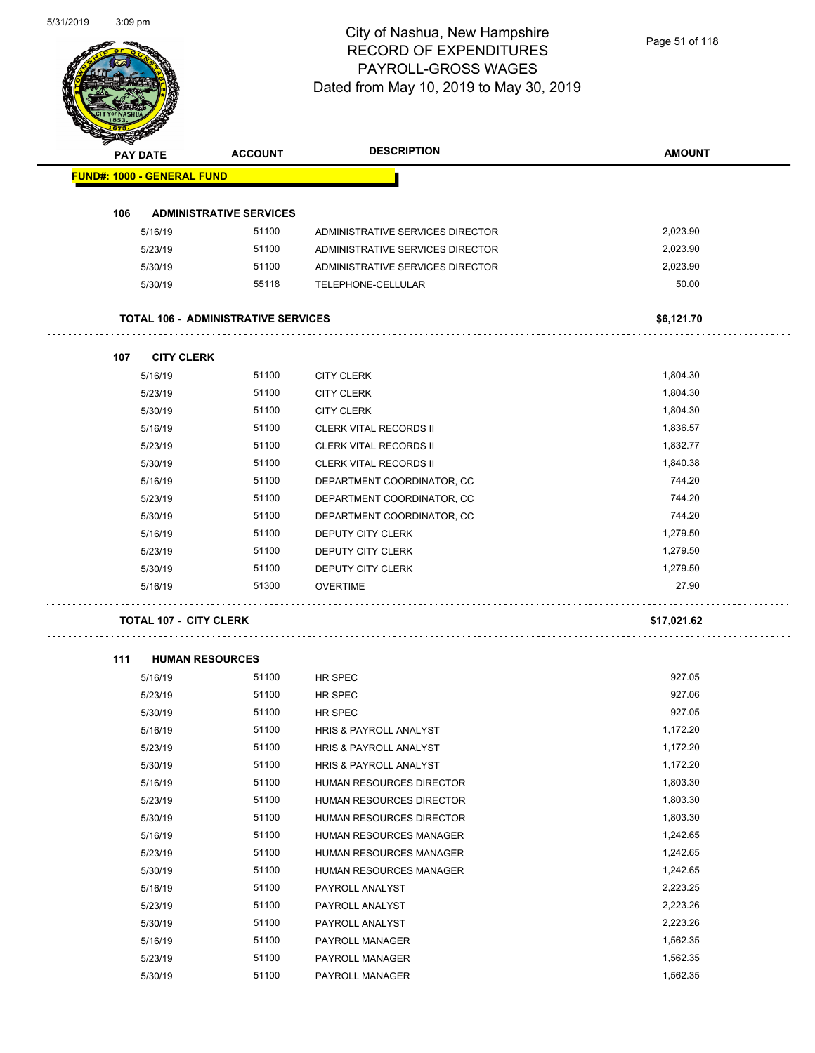Page 51 of 118

| <b>PAY DATE</b>                   |                               | <b>ACCOUNT</b>                             | <b>DESCRIPTION</b>               | <b>AMOUNT</b> |
|-----------------------------------|-------------------------------|--------------------------------------------|----------------------------------|---------------|
| <b>FUND#: 1000 - GENERAL FUND</b> |                               |                                            |                                  |               |
| 106                               |                               | <b>ADMINISTRATIVE SERVICES</b>             |                                  |               |
|                                   | 5/16/19                       | 51100                                      | ADMINISTRATIVE SERVICES DIRECTOR | 2,023.90      |
|                                   | 5/23/19                       | 51100                                      | ADMINISTRATIVE SERVICES DIRECTOR | 2,023.90      |
|                                   | 5/30/19                       | 51100                                      | ADMINISTRATIVE SERVICES DIRECTOR | 2,023.90      |
|                                   | 5/30/19                       | 55118                                      | TELEPHONE-CELLULAR               | 50.00         |
|                                   |                               | <b>TOTAL 106 - ADMINISTRATIVE SERVICES</b> |                                  | \$6,121.70    |
|                                   |                               |                                            |                                  |               |
| 107                               | <b>CITY CLERK</b>             |                                            |                                  |               |
|                                   | 5/16/19                       | 51100                                      | <b>CITY CLERK</b>                | 1,804.30      |
|                                   | 5/23/19                       | 51100                                      | <b>CITY CLERK</b>                | 1,804.30      |
|                                   | 5/30/19                       | 51100                                      | <b>CITY CLERK</b>                | 1,804.30      |
|                                   | 5/16/19                       | 51100                                      | <b>CLERK VITAL RECORDS II</b>    | 1,836.57      |
|                                   | 5/23/19                       | 51100                                      | <b>CLERK VITAL RECORDS II</b>    | 1,832.77      |
|                                   | 5/30/19                       | 51100                                      | <b>CLERK VITAL RECORDS II</b>    | 1,840.38      |
|                                   | 5/16/19                       | 51100                                      | DEPARTMENT COORDINATOR, CC       | 744.20        |
|                                   | 5/23/19                       | 51100                                      | DEPARTMENT COORDINATOR, CC       | 744.20        |
|                                   | 5/30/19                       | 51100                                      | DEPARTMENT COORDINATOR, CC       | 744.20        |
|                                   | 5/16/19                       | 51100                                      | DEPUTY CITY CLERK                | 1,279.50      |
|                                   | 5/23/19                       | 51100                                      | DEPUTY CITY CLERK                | 1,279.50      |
|                                   | 5/30/19                       | 51100                                      | DEPUTY CITY CLERK                | 1,279.50      |
|                                   | 5/16/19                       | 51300                                      | <b>OVERTIME</b>                  | 27.90         |
|                                   | <b>TOTAL 107 - CITY CLERK</b> |                                            |                                  | \$17,021.62   |
|                                   |                               |                                            |                                  |               |
| 111                               | <b>HUMAN RESOURCES</b>        |                                            |                                  |               |
|                                   | 5/16/19                       | 51100                                      | HR SPEC                          | 927.05        |
|                                   | 5/23/19                       | 51100                                      | HR SPEC                          | 927.06        |
|                                   | 5/30/19                       | 51100                                      | HR SPEC                          | 927.05        |
|                                   | 5/16/19                       | 51100                                      | HRIS & PAYROLL ANALYST           | 1,172.20      |
|                                   | 5/23/19                       | 51100                                      | HRIS & PAYROLL ANALYST           | 1,172.20      |
|                                   | 5/30/19                       | 51100                                      | HRIS & PAYROLL ANALYST           | 1,172.20      |
|                                   | 5/16/19                       | 51100                                      | HUMAN RESOURCES DIRECTOR         | 1,803.30      |
|                                   | 5/23/19                       | 51100                                      | HUMAN RESOURCES DIRECTOR         | 1,803.30      |
|                                   | 5/30/19                       | 51100                                      | HUMAN RESOURCES DIRECTOR         | 1,803.30      |
|                                   | 5/16/19                       | 51100                                      | HUMAN RESOURCES MANAGER          | 1,242.65      |
|                                   | 5/23/19                       | 51100                                      | HUMAN RESOURCES MANAGER          | 1,242.65      |
|                                   | 5/30/19                       | 51100                                      | HUMAN RESOURCES MANAGER          | 1,242.65      |
|                                   | 5/16/19                       | 51100                                      | PAYROLL ANALYST                  | 2,223.25      |
|                                   | 5/23/19                       | 51100                                      | PAYROLL ANALYST                  | 2,223.26      |
|                                   | 5/30/19                       | 51100                                      | PAYROLL ANALYST                  | 2,223.26      |
|                                   | 5/16/19                       | 51100                                      | PAYROLL MANAGER                  | 1,562.35      |
|                                   | 5/23/19                       | 51100                                      | PAYROLL MANAGER                  | 1,562.35      |
|                                   | 5/30/19                       | 51100                                      | PAYROLL MANAGER                  | 1,562.35      |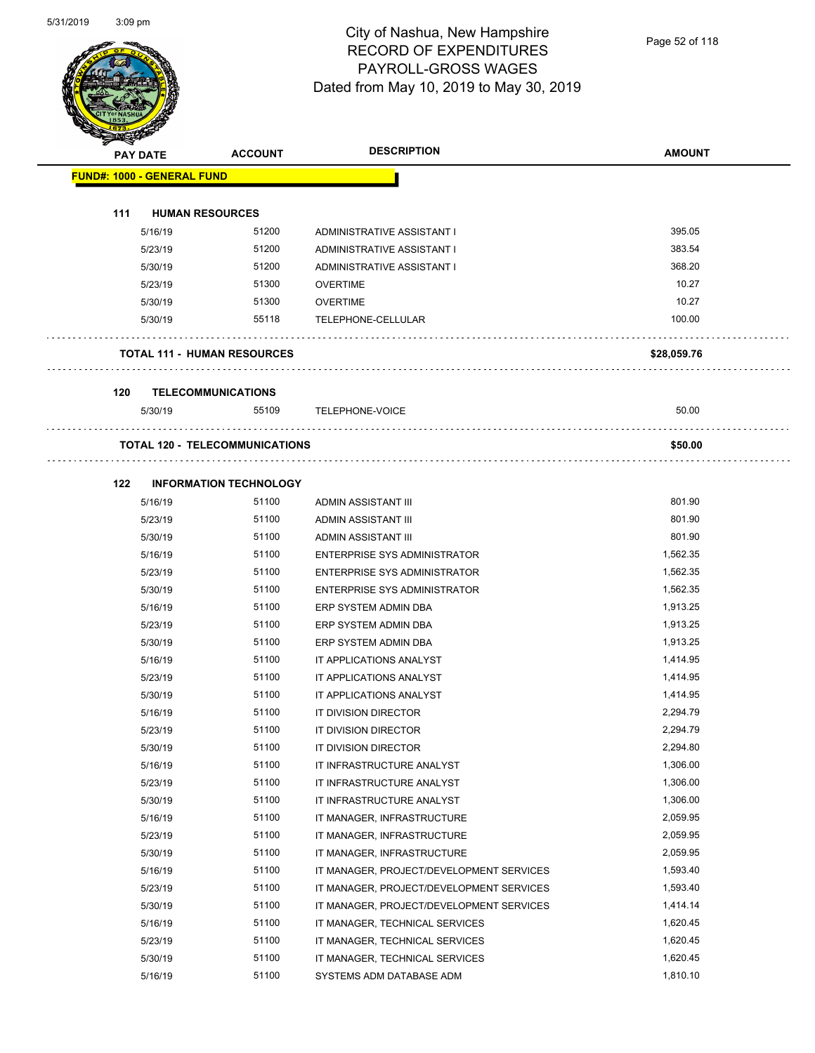

Page 52 of 118

|     | <b>PAY DATE</b>                   | <b>ACCOUNT</b>                        | <b>DESCRIPTION</b>                       | <b>AMOUNT</b> |
|-----|-----------------------------------|---------------------------------------|------------------------------------------|---------------|
|     | <b>FUND#: 1000 - GENERAL FUND</b> |                                       |                                          |               |
| 111 |                                   | <b>HUMAN RESOURCES</b>                |                                          |               |
|     | 5/16/19                           | 51200                                 | ADMINISTRATIVE ASSISTANT I               | 395.05        |
|     | 5/23/19                           | 51200                                 | ADMINISTRATIVE ASSISTANT I               | 383.54        |
|     | 5/30/19                           | 51200                                 | ADMINISTRATIVE ASSISTANT I               | 368.20        |
|     | 5/23/19                           | 51300                                 | <b>OVERTIME</b>                          | 10.27         |
|     |                                   | 51300                                 |                                          | 10.27         |
|     | 5/30/19<br>5/30/19                | 55118                                 | <b>OVERTIME</b><br>TELEPHONE-CELLULAR    | 100.00        |
|     |                                   |                                       |                                          |               |
|     |                                   | <b>TOTAL 111 - HUMAN RESOURCES</b>    |                                          | \$28,059.76   |
| 120 |                                   | <b>TELECOMMUNICATIONS</b>             |                                          |               |
|     | 5/30/19                           | 55109                                 | TELEPHONE-VOICE                          | 50.00         |
|     |                                   |                                       |                                          |               |
|     |                                   | <b>TOTAL 120 - TELECOMMUNICATIONS</b> |                                          | \$50.00       |
|     |                                   |                                       |                                          |               |
| 122 |                                   | <b>INFORMATION TECHNOLOGY</b>         |                                          |               |
|     | 5/16/19                           | 51100                                 | ADMIN ASSISTANT III                      | 801.90        |
|     | 5/23/19                           | 51100                                 | ADMIN ASSISTANT III                      | 801.90        |
|     | 5/30/19                           | 51100                                 | ADMIN ASSISTANT III                      | 801.90        |
|     | 5/16/19                           | 51100                                 | <b>ENTERPRISE SYS ADMINISTRATOR</b>      | 1,562.35      |
|     | 5/23/19                           | 51100                                 | <b>ENTERPRISE SYS ADMINISTRATOR</b>      | 1,562.35      |
|     | 5/30/19                           | 51100                                 | ENTERPRISE SYS ADMINISTRATOR             | 1,562.35      |
|     | 5/16/19                           | 51100                                 | ERP SYSTEM ADMIN DBA                     | 1,913.25      |
|     | 5/23/19                           | 51100                                 | ERP SYSTEM ADMIN DBA                     | 1,913.25      |
|     | 5/30/19                           | 51100                                 | ERP SYSTEM ADMIN DBA                     | 1,913.25      |
|     | 5/16/19                           | 51100                                 | IT APPLICATIONS ANALYST                  | 1,414.95      |
|     | 5/23/19                           | 51100                                 | IT APPLICATIONS ANALYST                  | 1,414.95      |
|     | 5/30/19                           | 51100                                 | IT APPLICATIONS ANALYST                  | 1,414.95      |
|     | 5/16/19                           | 51100                                 | IT DIVISION DIRECTOR                     | 2,294.79      |
|     | 5/23/19                           | 51100                                 | IT DIVISION DIRECTOR                     | 2,294.79      |
|     | 5/30/19                           | 51100                                 | IT DIVISION DIRECTOR                     | 2,294.80      |
|     | 5/16/19                           | 51100                                 | IT INFRASTRUCTURE ANALYST                | 1,306.00      |
|     | 5/23/19                           | 51100                                 | IT INFRASTRUCTURE ANALYST                | 1,306.00      |
|     | 5/30/19                           | 51100                                 | IT INFRASTRUCTURE ANALYST                | 1,306.00      |
|     | 5/16/19                           | 51100                                 | IT MANAGER, INFRASTRUCTURE               | 2,059.95      |
|     | 5/23/19                           | 51100                                 | IT MANAGER, INFRASTRUCTURE               | 2,059.95      |
|     | 5/30/19                           | 51100                                 | IT MANAGER, INFRASTRUCTURE               | 2,059.95      |
|     | 5/16/19                           | 51100                                 | IT MANAGER, PROJECT/DEVELOPMENT SERVICES | 1,593.40      |
|     | 5/23/19                           | 51100                                 | IT MANAGER, PROJECT/DEVELOPMENT SERVICES | 1,593.40      |
|     | 5/30/19                           | 51100                                 | IT MANAGER, PROJECT/DEVELOPMENT SERVICES | 1,414.14      |
|     | 5/16/19                           | 51100                                 | IT MANAGER, TECHNICAL SERVICES           | 1,620.45      |
|     | 5/23/19                           | 51100                                 | IT MANAGER, TECHNICAL SERVICES           | 1,620.45      |
|     | 5/30/19                           | 51100                                 | IT MANAGER, TECHNICAL SERVICES           | 1,620.45      |
|     | 5/16/19                           | 51100                                 | SYSTEMS ADM DATABASE ADM                 | 1,810.10      |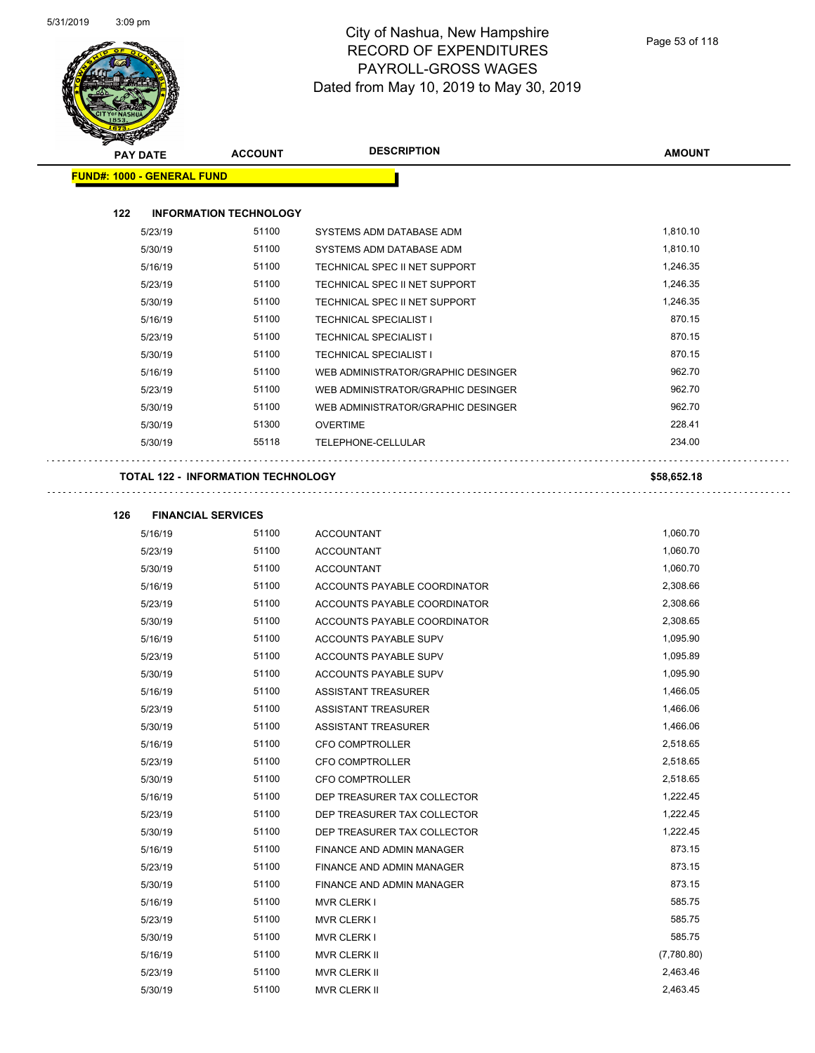$\hat{\mathcal{L}}$  .



### City of Nashua, New Hampshire RECORD OF EXPENDITURES PAYROLL-GROSS WAGES Dated from May 10, 2019 to May 30, 2019

|                                   |         |                                           | <b>DESCRIPTION</b>                 |               |
|-----------------------------------|---------|-------------------------------------------|------------------------------------|---------------|
| <b>PAY DATE</b>                   |         | <b>ACCOUNT</b>                            |                                    | <b>AMOUNT</b> |
| <b>FUND#: 1000 - GENERAL FUND</b> |         |                                           |                                    |               |
|                                   |         |                                           |                                    |               |
| 122                               |         | <b>INFORMATION TECHNOLOGY</b>             |                                    |               |
|                                   | 5/23/19 | 51100                                     | SYSTEMS ADM DATABASE ADM           | 1,810.10      |
|                                   | 5/30/19 | 51100                                     | SYSTEMS ADM DATABASE ADM           | 1,810.10      |
|                                   | 5/16/19 | 51100                                     | TECHNICAL SPEC II NET SUPPORT      | 1,246.35      |
|                                   | 5/23/19 | 51100                                     | TECHNICAL SPEC II NET SUPPORT      | 1,246.35      |
|                                   | 5/30/19 | 51100                                     | TECHNICAL SPEC II NET SUPPORT      | 1,246.35      |
|                                   | 5/16/19 | 51100                                     | <b>TECHNICAL SPECIALIST I</b>      | 870.15        |
|                                   | 5/23/19 | 51100                                     | <b>TECHNICAL SPECIALIST I</b>      | 870.15        |
|                                   | 5/30/19 | 51100                                     | <b>TECHNICAL SPECIALIST I</b>      | 870.15        |
|                                   | 5/16/19 | 51100                                     | WEB ADMINISTRATOR/GRAPHIC DESINGER | 962.70        |
|                                   | 5/23/19 | 51100                                     | WEB ADMINISTRATOR/GRAPHIC DESINGER | 962.70        |
|                                   | 5/30/19 | 51100                                     | WEB ADMINISTRATOR/GRAPHIC DESINGER | 962.70        |
|                                   | 5/30/19 | 51300                                     | <b>OVERTIME</b>                    | 228.41        |
|                                   | 5/30/19 | 55118                                     | TELEPHONE-CELLULAR                 | 234.00        |
|                                   |         | <b>TOTAL 122 - INFORMATION TECHNOLOGY</b> |                                    | \$58,652.18   |

| 126 | <b>FINANCIAL SERVICES</b> |       |                              |            |
|-----|---------------------------|-------|------------------------------|------------|
|     | 5/16/19                   | 51100 | <b>ACCOUNTANT</b>            | 1,060.70   |
|     | 5/23/19                   | 51100 | <b>ACCOUNTANT</b>            | 1,060.70   |
|     | 5/30/19                   | 51100 | <b>ACCOUNTANT</b>            | 1,060.70   |
|     | 5/16/19                   | 51100 | ACCOUNTS PAYABLE COORDINATOR | 2,308.66   |
|     | 5/23/19                   | 51100 | ACCOUNTS PAYABLE COORDINATOR | 2,308.66   |
|     | 5/30/19                   | 51100 | ACCOUNTS PAYABLE COORDINATOR | 2,308.65   |
|     | 5/16/19                   | 51100 | <b>ACCOUNTS PAYABLE SUPV</b> | 1,095.90   |
|     | 5/23/19                   | 51100 | <b>ACCOUNTS PAYABLE SUPV</b> | 1,095.89   |
|     | 5/30/19                   | 51100 | ACCOUNTS PAYABLE SUPV        | 1,095.90   |
|     | 5/16/19                   | 51100 | <b>ASSISTANT TREASURER</b>   | 1,466.05   |
|     | 5/23/19                   | 51100 | <b>ASSISTANT TREASURER</b>   | 1,466.06   |
|     | 5/30/19                   | 51100 | <b>ASSISTANT TREASURER</b>   | 1,466.06   |
|     | 5/16/19                   | 51100 | <b>CFO COMPTROLLER</b>       | 2,518.65   |
|     | 5/23/19                   | 51100 | <b>CFO COMPTROLLER</b>       | 2,518.65   |
|     | 5/30/19                   | 51100 | <b>CFO COMPTROLLER</b>       | 2,518.65   |
|     | 5/16/19                   | 51100 | DEP TREASURER TAX COLLECTOR  | 1,222.45   |
|     | 5/23/19                   | 51100 | DEP TREASURER TAX COLLECTOR  | 1,222.45   |
|     | 5/30/19                   | 51100 | DEP TREASURER TAX COLLECTOR  | 1,222.45   |
|     | 5/16/19                   | 51100 | FINANCE AND ADMIN MANAGER    | 873.15     |
|     | 5/23/19                   | 51100 | FINANCE AND ADMIN MANAGER    | 873.15     |
|     | 5/30/19                   | 51100 | FINANCE AND ADMIN MANAGER    | 873.15     |
|     | 5/16/19                   | 51100 | <b>MVR CLERK I</b>           | 585.75     |
|     | 5/23/19                   | 51100 | <b>MVR CLERK I</b>           | 585.75     |
|     | 5/30/19                   | 51100 | <b>MVR CLERK I</b>           | 585.75     |
|     | 5/16/19                   | 51100 | <b>MVR CLERK II</b>          | (7,780.80) |
|     | 5/23/19                   | 51100 | <b>MVR CLERK II</b>          | 2,463.46   |

5/30/19 51100 MVR CLERK II 2,463.45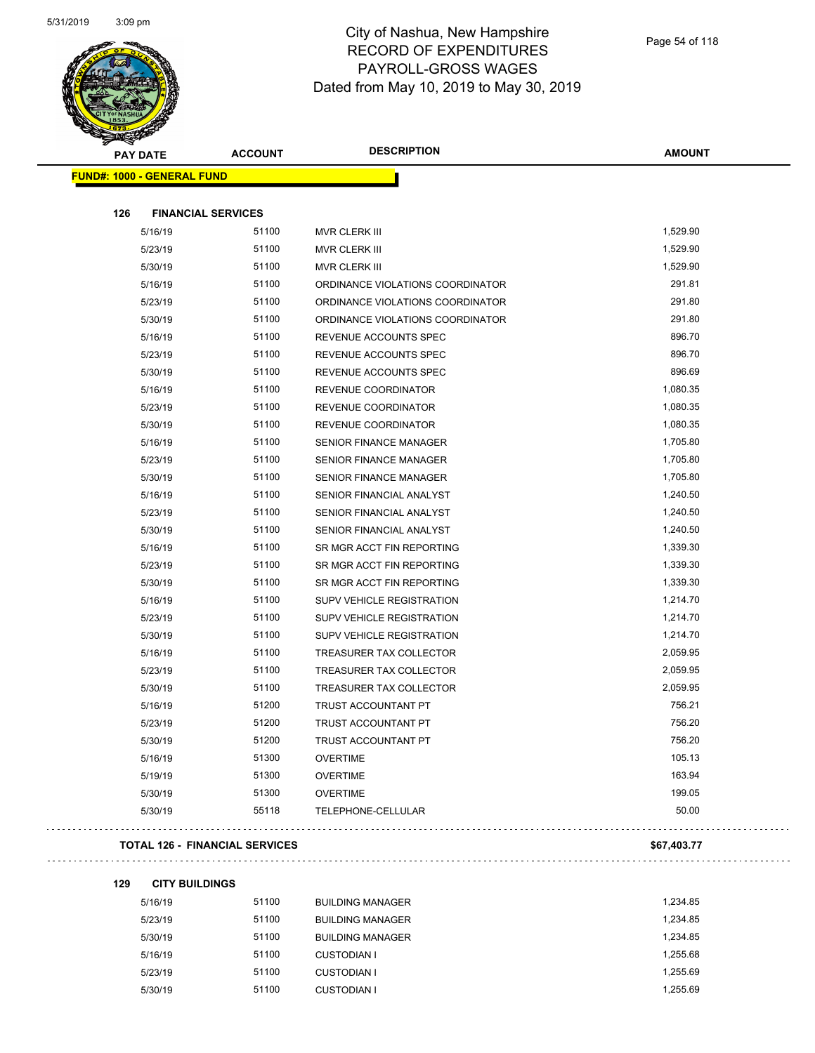

| <b>PAY DATE</b>                   | <b>ACCOUNT</b>            | <b>DESCRIPTION</b>               | <b>AMOUNT</b> |
|-----------------------------------|---------------------------|----------------------------------|---------------|
| <b>FUND#: 1000 - GENERAL FUND</b> |                           |                                  |               |
|                                   |                           |                                  |               |
| 126                               | <b>FINANCIAL SERVICES</b> |                                  |               |
| 5/16/19                           | 51100                     | MVR CLERK III                    | 1,529.90      |
| 5/23/19                           | 51100                     | MVR CLERK III                    | 1,529.90      |
| 5/30/19                           | 51100                     | MVR CLERK III                    | 1,529.90      |
| 5/16/19                           | 51100                     | ORDINANCE VIOLATIONS COORDINATOR | 291.81        |
| 5/23/19                           | 51100                     | ORDINANCE VIOLATIONS COORDINATOR | 291.80        |
| 5/30/19                           | 51100                     | ORDINANCE VIOLATIONS COORDINATOR | 291.80        |
| 5/16/19                           | 51100                     | REVENUE ACCOUNTS SPEC            | 896.70        |
| 5/23/19                           | 51100                     | REVENUE ACCOUNTS SPEC            | 896.70        |
| 5/30/19                           | 51100                     | REVENUE ACCOUNTS SPEC            | 896.69        |
| 5/16/19                           | 51100                     | <b>REVENUE COORDINATOR</b>       | 1,080.35      |
| 5/23/19                           | 51100                     | <b>REVENUE COORDINATOR</b>       | 1,080.35      |
| 5/30/19                           | 51100                     | REVENUE COORDINATOR              | 1,080.35      |
| 5/16/19                           | 51100                     | <b>SENIOR FINANCE MANAGER</b>    | 1,705.80      |
| 5/23/19                           | 51100                     | <b>SENIOR FINANCE MANAGER</b>    | 1,705.80      |
| 5/30/19                           | 51100                     | <b>SENIOR FINANCE MANAGER</b>    | 1,705.80      |
| 5/16/19                           | 51100                     | SENIOR FINANCIAL ANALYST         | 1,240.50      |
| 5/23/19                           | 51100                     | SENIOR FINANCIAL ANALYST         | 1,240.50      |
| 5/30/19                           | 51100                     | SENIOR FINANCIAL ANALYST         | 1,240.50      |
| 5/16/19                           | 51100                     | SR MGR ACCT FIN REPORTING        | 1,339.30      |
| 5/23/19                           | 51100                     | SR MGR ACCT FIN REPORTING        | 1,339.30      |
| 5/30/19                           | 51100                     | SR MGR ACCT FIN REPORTING        | 1,339.30      |
| 5/16/19                           | 51100                     | SUPV VEHICLE REGISTRATION        | 1,214.70      |
| 5/23/19                           | 51100                     | <b>SUPV VEHICLE REGISTRATION</b> | 1,214.70      |
| 5/30/19                           | 51100                     | <b>SUPV VEHICLE REGISTRATION</b> | 1,214.70      |
| 5/16/19                           | 51100                     | TREASURER TAX COLLECTOR          | 2,059.95      |
| 5/23/19                           | 51100                     | TREASURER TAX COLLECTOR          | 2,059.95      |
| 5/30/19                           | 51100                     | <b>TREASURER TAX COLLECTOR</b>   | 2,059.95      |
| 5/16/19                           | 51200                     | TRUST ACCOUNTANT PT              | 756.21        |
| 5/23/19                           | 51200                     | TRUST ACCOUNTANT PT              | 756.20        |
| 5/30/19                           | 51200                     | TRUST ACCOUNTANT PT              | 756.20        |
| 5/16/19                           | 51300                     | <b>OVERTIME</b>                  | 105.13        |
| 5/19/19                           | 51300                     | <b>OVERTIME</b>                  | 163.94        |
| 5/30/19                           | 51300                     | <b>OVERTIME</b>                  | 199.05        |
| 5/30/19                           | 55118                     | TELEPHONE-CELLULAR               | 50.00         |

### **TOTAL 126 - FINANCIAL SERVICES \$67,403.77**

| 129 | <b>CITY BUILDINGS</b> |       |                         |          |
|-----|-----------------------|-------|-------------------------|----------|
|     | 5/16/19               | 51100 | <b>BUILDING MANAGER</b> | 1,234.85 |
|     | 5/23/19               | 51100 | <b>BUILDING MANAGER</b> | 1.234.85 |
|     | 5/30/19               | 51100 | <b>BUILDING MANAGER</b> | 1.234.85 |
|     | 5/16/19               | 51100 | CUSTODIAN I             | 1,255.68 |
|     | 5/23/19               | 51100 | <b>CUSTODIAN I</b>      | 1.255.69 |
|     | 5/30/19               | 51100 | <b>CUSTODIAN I</b>      | 1.255.69 |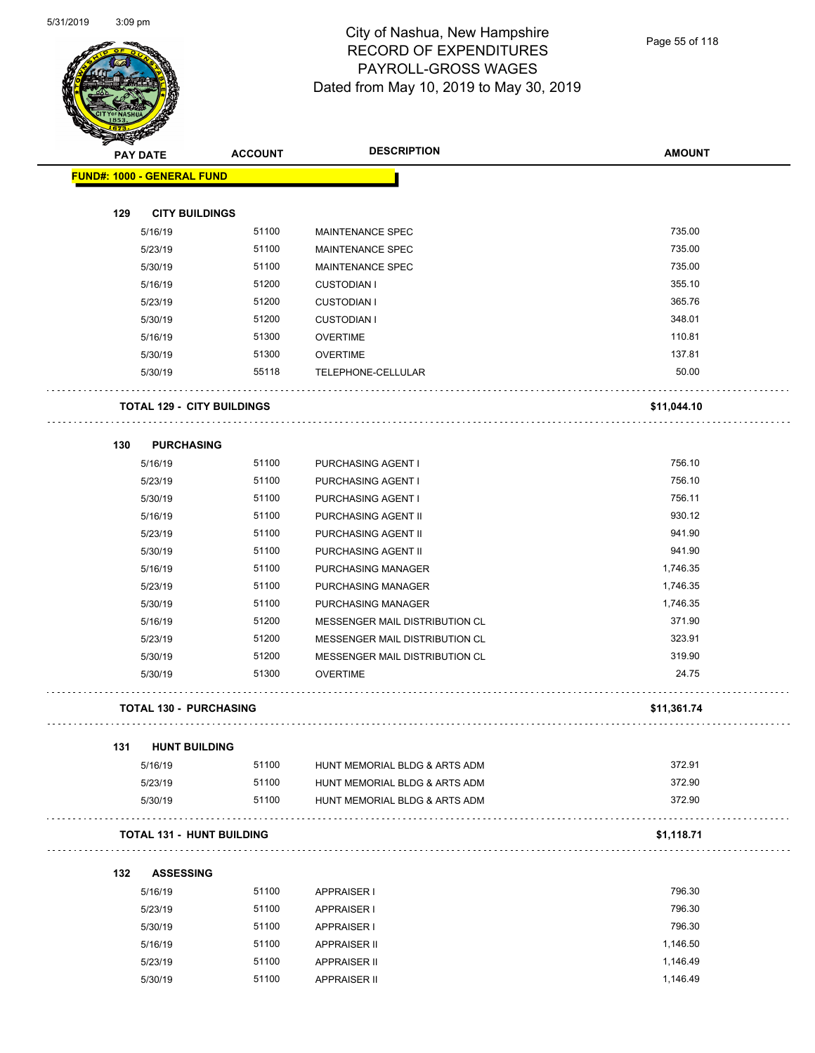

Page 55 of 118

| <b>THE CARD</b> |                                   |                | <b>DESCRIPTION</b>             |                  |
|-----------------|-----------------------------------|----------------|--------------------------------|------------------|
|                 | <b>PAY DATE</b>                   | <b>ACCOUNT</b> |                                | <b>AMOUNT</b>    |
|                 | FUND#: 1000 - GENERAL FUND        |                |                                |                  |
|                 |                                   |                |                                |                  |
| 129             | <b>CITY BUILDINGS</b>             |                |                                |                  |
|                 | 5/16/19                           | 51100          | <b>MAINTENANCE SPEC</b>        | 735.00<br>735.00 |
|                 | 5/23/19                           | 51100          | MAINTENANCE SPEC               |                  |
|                 | 5/30/19                           | 51100          | MAINTENANCE SPEC               | 735.00           |
|                 | 5/16/19                           | 51200          | <b>CUSTODIAN I</b>             | 355.10           |
|                 | 5/23/19                           | 51200          | <b>CUSTODIAN I</b>             | 365.76           |
|                 | 5/30/19                           | 51200          | <b>CUSTODIAN I</b>             | 348.01           |
|                 | 5/16/19                           | 51300          | <b>OVERTIME</b>                | 110.81           |
|                 | 5/30/19                           | 51300          | <b>OVERTIME</b>                | 137.81           |
|                 | 5/30/19                           | 55118          | TELEPHONE-CELLULAR             | 50.00            |
|                 | <b>TOTAL 129 - CITY BUILDINGS</b> |                |                                | \$11,044.10      |
| 130             | <b>PURCHASING</b>                 |                |                                |                  |
|                 | 5/16/19                           | 51100          | PURCHASING AGENT I             | 756.10           |
|                 | 5/23/19                           | 51100          | PURCHASING AGENT I             | 756.10           |
|                 | 5/30/19                           | 51100          | PURCHASING AGENT I             | 756.11           |
|                 | 5/16/19                           | 51100          | PURCHASING AGENT II            | 930.12           |
|                 | 5/23/19                           | 51100          | PURCHASING AGENT II            | 941.90           |
|                 | 5/30/19                           | 51100          | PURCHASING AGENT II            | 941.90           |
|                 | 5/16/19                           | 51100          | PURCHASING MANAGER             | 1,746.35         |
|                 | 5/23/19                           | 51100          | PURCHASING MANAGER             | 1,746.35         |
|                 | 5/30/19                           | 51100          | PURCHASING MANAGER             | 1,746.35         |
|                 | 5/16/19                           | 51200          | MESSENGER MAIL DISTRIBUTION CL | 371.90           |
|                 | 5/23/19                           | 51200          | MESSENGER MAIL DISTRIBUTION CL | 323.91           |
|                 | 5/30/19                           | 51200          | MESSENGER MAIL DISTRIBUTION CL | 319.90           |
|                 | 5/30/19                           | 51300          | <b>OVERTIME</b>                | 24.75            |
|                 | <b>TOTAL 130 - PURCHASING</b>     |                |                                | \$11,361.74      |
|                 |                                   |                |                                |                  |
| 131             | <b>HUNT BUILDING</b>              |                |                                |                  |
|                 | 5/16/19                           | 51100          | HUNT MEMORIAL BLDG & ARTS ADM  | 372.91           |
|                 | 5/23/19                           | 51100          | HUNT MEMORIAL BLDG & ARTS ADM  | 372.90           |
|                 | 5/30/19                           | 51100          | HUNT MEMORIAL BLDG & ARTS ADM  | 372.90           |
|                 | <b>TOTAL 131 - HUNT BUILDING</b>  |                |                                | \$1,118.71       |
| 132             | <b>ASSESSING</b>                  |                |                                |                  |
|                 | 5/16/19                           | 51100          | <b>APPRAISER I</b>             | 796.30           |
|                 | 5/23/19                           | 51100          | <b>APPRAISER I</b>             | 796.30           |
|                 | 5/30/19                           | 51100          | <b>APPRAISER I</b>             | 796.30           |
|                 | 5/16/19                           | 51100          | <b>APPRAISER II</b>            | 1,146.50         |
|                 | 5/23/19                           | 51100          | <b>APPRAISER II</b>            | 1,146.49         |

5/30/19 51100 APPRAISER II 1,146.49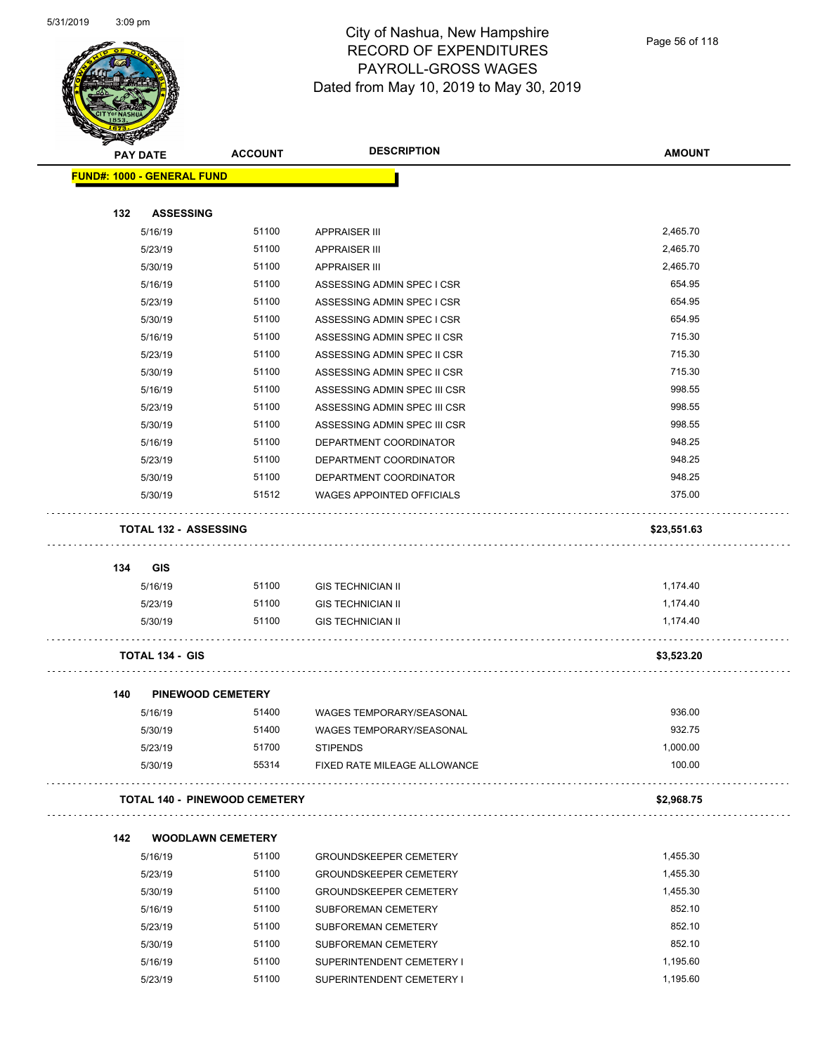

Page 56 of 118

|                                   | <b>PAY DATE</b>              | <b>ACCOUNT</b>                       | <b>DESCRIPTION</b>               | <b>AMOUNT</b> |
|-----------------------------------|------------------------------|--------------------------------------|----------------------------------|---------------|
| <b>FUND#: 1000 - GENERAL FUND</b> |                              |                                      |                                  |               |
| 132                               | <b>ASSESSING</b>             |                                      |                                  |               |
|                                   | 5/16/19                      | 51100                                | <b>APPRAISER III</b>             | 2,465.70      |
|                                   | 5/23/19                      | 51100                                | <b>APPRAISER III</b>             | 2,465.70      |
|                                   | 5/30/19                      | 51100                                | <b>APPRAISER III</b>             | 2,465.70      |
|                                   | 5/16/19                      | 51100                                | ASSESSING ADMIN SPEC I CSR       | 654.95        |
|                                   | 5/23/19                      | 51100                                | ASSESSING ADMIN SPEC I CSR       | 654.95        |
|                                   | 5/30/19                      | 51100                                | ASSESSING ADMIN SPEC I CSR       | 654.95        |
|                                   | 5/16/19                      | 51100                                | ASSESSING ADMIN SPEC II CSR      | 715.30        |
|                                   | 5/23/19                      | 51100                                | ASSESSING ADMIN SPEC II CSR      | 715.30        |
|                                   | 5/30/19                      | 51100                                | ASSESSING ADMIN SPEC II CSR      | 715.30        |
|                                   | 5/16/19                      | 51100                                | ASSESSING ADMIN SPEC III CSR     | 998.55        |
|                                   | 5/23/19                      | 51100                                | ASSESSING ADMIN SPEC III CSR     | 998.55        |
|                                   | 5/30/19                      | 51100                                | ASSESSING ADMIN SPEC III CSR     | 998.55        |
|                                   | 5/16/19                      | 51100                                | DEPARTMENT COORDINATOR           | 948.25        |
|                                   | 5/23/19                      | 51100                                | DEPARTMENT COORDINATOR           | 948.25        |
|                                   | 5/30/19                      | 51100                                | DEPARTMENT COORDINATOR           | 948.25        |
|                                   | 5/30/19                      | 51512                                | <b>WAGES APPOINTED OFFICIALS</b> | 375.00        |
|                                   | <b>TOTAL 132 - ASSESSING</b> |                                      |                                  | \$23,551.63   |
|                                   |                              |                                      |                                  |               |
| 134                               | <b>GIS</b>                   |                                      |                                  |               |
|                                   | 5/16/19                      | 51100                                | <b>GIS TECHNICIAN II</b>         | 1,174.40      |
|                                   | 5/23/19                      | 51100                                | <b>GIS TECHNICIAN II</b>         | 1,174.40      |
|                                   | 5/30/19                      | 51100                                | <b>GIS TECHNICIAN II</b>         | 1,174.40      |
|                                   | <b>TOTAL 134 - GIS</b>       |                                      |                                  | \$3,523.20    |
| 140                               |                              | <b>PINEWOOD CEMETERY</b>             |                                  |               |
|                                   | 5/16/19                      | 51400                                | <b>WAGES TEMPORARY/SEASONAL</b>  | 936.00        |
|                                   | 5/30/19                      | 51400                                | WAGES TEMPORARY/SEASONAL         | 932.75        |
|                                   | 5/23/19                      | 51700                                | <b>STIPENDS</b>                  | 1,000.00      |
|                                   | 5/30/19                      | 55314                                | FIXED RATE MILEAGE ALLOWANCE     | 100.00        |
|                                   |                              | <b>TOTAL 140 - PINEWOOD CEMETERY</b> |                                  | \$2,968.75    |
| 142                               |                              | <b>WOODLAWN CEMETERY</b>             |                                  |               |
|                                   | 5/16/19                      | 51100                                | <b>GROUNDSKEEPER CEMETERY</b>    | 1,455.30      |
|                                   | 5/23/19                      | 51100                                | <b>GROUNDSKEEPER CEMETERY</b>    | 1,455.30      |
|                                   | 5/30/19                      | 51100                                | <b>GROUNDSKEEPER CEMETERY</b>    | 1,455.30      |
|                                   | 5/16/19                      | 51100                                | SUBFOREMAN CEMETERY              | 852.10        |
|                                   | 5/23/19                      | 51100                                | SUBFOREMAN CEMETERY              | 852.10        |
|                                   | 5/30/19                      | 51100                                | SUBFOREMAN CEMETERY              | 852.10        |
|                                   | 5/16/19                      | 51100                                | SUPERINTENDENT CEMETERY I        | 1,195.60      |
|                                   | 5/23/19                      | 51100                                | SUPERINTENDENT CEMETERY I        | 1,195.60      |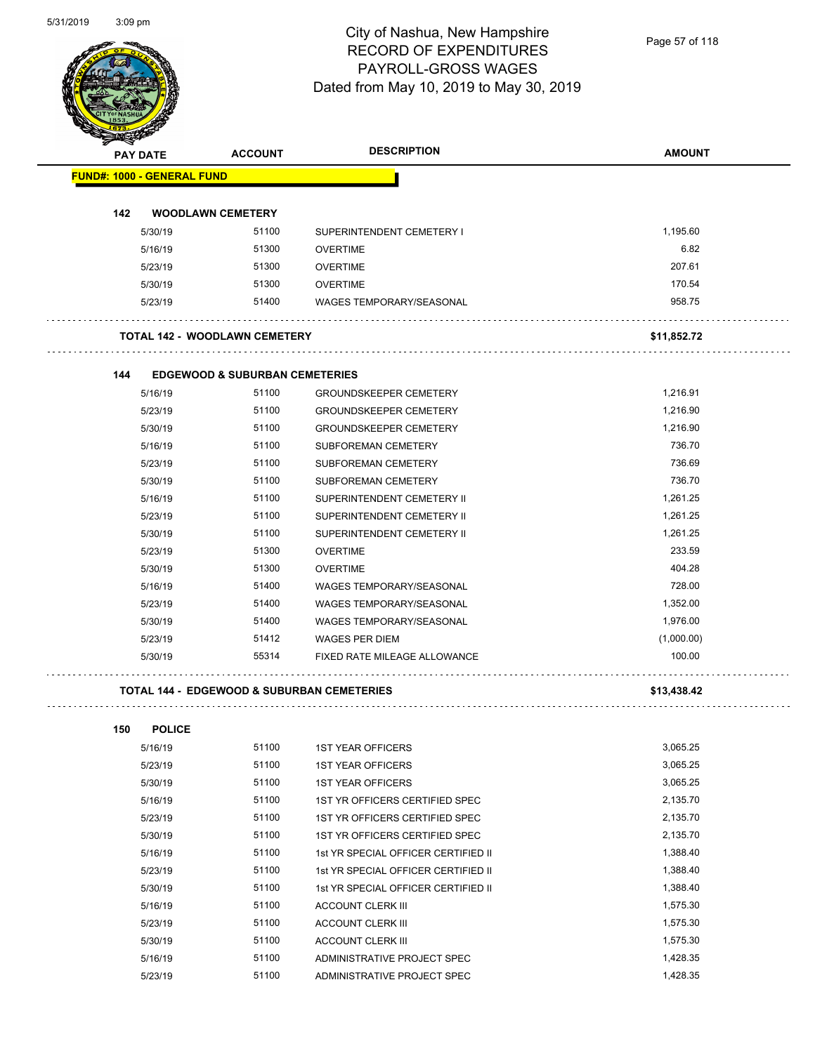Page 57 of 118

| <b>PAY DATE</b>                   |                          | <b>ACCOUNT</b>                                        | <b>DESCRIPTION</b>                     | <b>AMOUNT</b>        |
|-----------------------------------|--------------------------|-------------------------------------------------------|----------------------------------------|----------------------|
| <b>FUND#: 1000 - GENERAL FUND</b> |                          |                                                       |                                        |                      |
|                                   |                          |                                                       |                                        |                      |
| 142                               |                          | <b>WOODLAWN CEMETERY</b><br>51100                     |                                        | 1,195.60             |
|                                   | 5/30/19                  | 51300                                                 | SUPERINTENDENT CEMETERY I              | 6.82                 |
|                                   | 5/16/19                  | 51300                                                 | <b>OVERTIME</b><br><b>OVERTIME</b>     | 207.61               |
|                                   | 5/23/19                  | 51300                                                 | <b>OVERTIME</b>                        | 170.54               |
|                                   | 5/30/19                  | 51400                                                 |                                        | 958.75               |
|                                   | 5/23/19                  |                                                       | <b>WAGES TEMPORARY/SEASONAL</b>        |                      |
|                                   |                          | <b>TOTAL 142 - WOODLAWN CEMETERY</b>                  |                                        | \$11,852.72          |
| 144                               |                          | <b>EDGEWOOD &amp; SUBURBAN CEMETERIES</b>             |                                        |                      |
|                                   | 5/16/19                  | 51100                                                 | <b>GROUNDSKEEPER CEMETERY</b>          | 1,216.91             |
|                                   | 5/23/19                  | 51100                                                 | <b>GROUNDSKEEPER CEMETERY</b>          | 1,216.90             |
|                                   | 5/30/19                  | 51100                                                 | <b>GROUNDSKEEPER CEMETERY</b>          | 1,216.90             |
|                                   | 5/16/19                  | 51100                                                 | <b>SUBFOREMAN CEMETERY</b>             | 736.70               |
|                                   | 5/23/19                  | 51100                                                 | SUBFOREMAN CEMETERY                    | 736.69               |
|                                   | 5/30/19                  | 51100                                                 | <b>SUBFOREMAN CEMETERY</b>             | 736.70               |
|                                   | 5/16/19                  | 51100                                                 | SUPERINTENDENT CEMETERY II             | 1,261.25             |
|                                   | 5/23/19                  | 51100                                                 | SUPERINTENDENT CEMETERY II             | 1,261.25             |
|                                   | 5/30/19                  | 51100                                                 | SUPERINTENDENT CEMETERY II             | 1,261.25             |
|                                   | 5/23/19                  | 51300                                                 | <b>OVERTIME</b>                        | 233.59               |
|                                   | 5/30/19                  | 51300                                                 | <b>OVERTIME</b>                        | 404.28               |
|                                   | 5/16/19                  | 51400                                                 | <b>WAGES TEMPORARY/SEASONAL</b>        | 728.00               |
|                                   | 5/23/19                  | 51400                                                 | <b>WAGES TEMPORARY/SEASONAL</b>        | 1,352.00             |
|                                   | 5/30/19                  | 51400                                                 | <b>WAGES TEMPORARY/SEASONAL</b>        | 1,976.00             |
|                                   | 5/23/19                  | 51412                                                 | <b>WAGES PER DIEM</b>                  | (1,000.00)           |
|                                   | 5/30/19                  | 55314                                                 | FIXED RATE MILEAGE ALLOWANCE           | 100.00               |
|                                   |                          | <b>TOTAL 144 - EDGEWOOD &amp; SUBURBAN CEMETERIES</b> |                                        | \$13,438.42          |
|                                   |                          |                                                       |                                        |                      |
| 150                               | <b>POLICE</b><br>5/16/19 | 51100                                                 | <b>1ST YEAR OFFICERS</b>               | 3,065.25             |
|                                   | 5/23/19                  | 51100                                                 | <b>1ST YEAR OFFICERS</b>               | 3,065.25             |
|                                   | 5/30/19                  | 51100                                                 | <b>1ST YEAR OFFICERS</b>               | 3,065.25             |
|                                   | 5/16/19                  | 51100                                                 | 1ST YR OFFICERS CERTIFIED SPEC         | 2,135.70             |
|                                   | 5/23/19                  | 51100                                                 | 1ST YR OFFICERS CERTIFIED SPEC         | 2,135.70             |
|                                   | 5/30/19                  | 51100                                                 | 1ST YR OFFICERS CERTIFIED SPEC         | 2,135.70             |
|                                   | 5/16/19                  | 51100                                                 | 1st YR SPECIAL OFFICER CERTIFIED II    | 1,388.40             |
|                                   | 5/23/19                  | 51100                                                 | 1st YR SPECIAL OFFICER CERTIFIED II    | 1,388.40             |
|                                   |                          | 51100                                                 | 1st YR SPECIAL OFFICER CERTIFIED II    | 1,388.40             |
|                                   |                          |                                                       |                                        |                      |
|                                   | 5/30/19                  |                                                       |                                        |                      |
|                                   | 5/16/19                  | 51100                                                 | <b>ACCOUNT CLERK III</b>               | 1,575.30             |
|                                   | 5/23/19<br>5/30/19       | 51100<br>51100                                        | ACCOUNT CLERK III<br>ACCOUNT CLERK III | 1,575.30<br>1,575.30 |

5/23/19 51100 ADMINISTRATIVE PROJECT SPEC 1,428.35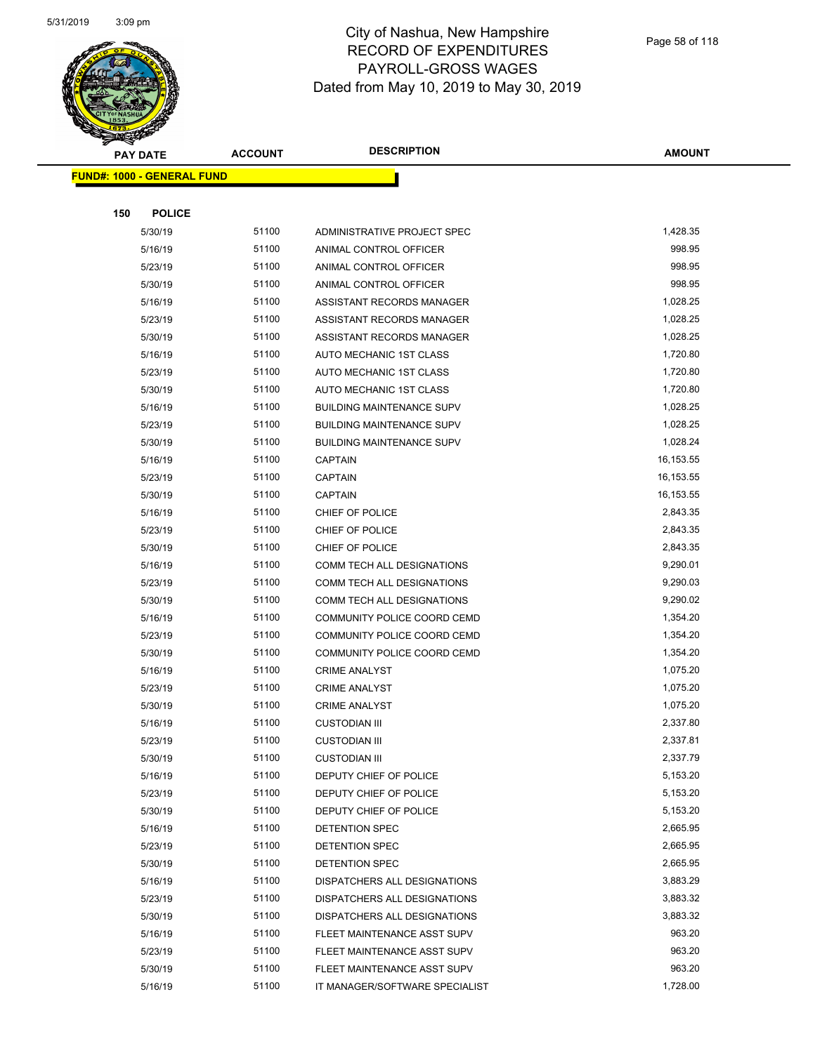

| <u>a ba</u> | <b>PAY DATE</b>                   | <b>ACCOUNT</b> | <b>DESCRIPTION</b>               | <b>AMOUNT</b> |
|-------------|-----------------------------------|----------------|----------------------------------|---------------|
|             | <b>FUND#: 1000 - GENERAL FUND</b> |                |                                  |               |
|             |                                   |                |                                  |               |
| 150         | <b>POLICE</b>                     |                |                                  |               |
|             | 5/30/19                           | 51100          | ADMINISTRATIVE PROJECT SPEC      | 1,428.35      |
|             | 5/16/19                           | 51100          | ANIMAL CONTROL OFFICER           | 998.95        |
|             | 5/23/19                           | 51100          | ANIMAL CONTROL OFFICER           | 998.95        |
|             | 5/30/19                           | 51100          | ANIMAL CONTROL OFFICER           | 998.95        |
|             | 5/16/19                           | 51100          | ASSISTANT RECORDS MANAGER        | 1,028.25      |
|             | 5/23/19                           | 51100          | ASSISTANT RECORDS MANAGER        | 1,028.25      |
|             | 5/30/19                           | 51100          | ASSISTANT RECORDS MANAGER        | 1,028.25      |
|             | 5/16/19                           | 51100          | AUTO MECHANIC 1ST CLASS          | 1,720.80      |
|             | 5/23/19                           | 51100          | AUTO MECHANIC 1ST CLASS          | 1,720.80      |
|             | 5/30/19                           | 51100          | AUTO MECHANIC 1ST CLASS          | 1,720.80      |
|             | 5/16/19                           | 51100          | <b>BUILDING MAINTENANCE SUPV</b> | 1,028.25      |
|             | 5/23/19                           | 51100          | <b>BUILDING MAINTENANCE SUPV</b> | 1,028.25      |
|             | 5/30/19                           | 51100          | <b>BUILDING MAINTENANCE SUPV</b> | 1,028.24      |
|             | 5/16/19                           | 51100          | <b>CAPTAIN</b>                   | 16,153.55     |
|             | 5/23/19                           | 51100          | <b>CAPTAIN</b>                   | 16,153.55     |
|             | 5/30/19                           | 51100          | <b>CAPTAIN</b>                   | 16,153.55     |
|             | 5/16/19                           | 51100          | CHIEF OF POLICE                  | 2,843.35      |
|             | 5/23/19                           | 51100          | CHIEF OF POLICE                  | 2,843.35      |
|             | 5/30/19                           | 51100          | CHIEF OF POLICE                  | 2,843.35      |
|             | 5/16/19                           | 51100          | COMM TECH ALL DESIGNATIONS       | 9,290.01      |
|             | 5/23/19                           | 51100          | COMM TECH ALL DESIGNATIONS       | 9,290.03      |
|             | 5/30/19                           | 51100          | COMM TECH ALL DESIGNATIONS       | 9,290.02      |
|             | 5/16/19                           | 51100          | COMMUNITY POLICE COORD CEMD      | 1,354.20      |
|             | 5/23/19                           | 51100          | COMMUNITY POLICE COORD CEMD      | 1,354.20      |
|             | 5/30/19                           | 51100          | COMMUNITY POLICE COORD CEMD      | 1,354.20      |
|             | 5/16/19                           | 51100          | <b>CRIME ANALYST</b>             | 1,075.20      |
|             | 5/23/19                           | 51100          | <b>CRIME ANALYST</b>             | 1,075.20      |
|             | 5/30/19                           | 51100          | <b>CRIME ANALYST</b>             | 1,075.20      |
|             | 5/16/19                           | 51100          | <b>CUSTODIAN III</b>             | 2,337.80      |
|             | 5/23/19                           | 51100          | <b>CUSTODIAN III</b>             | 2,337.81      |
|             | 5/30/19                           | 51100          | <b>CUSTODIAN III</b>             | 2,337.79      |
|             | 5/16/19                           | 51100          | DEPUTY CHIEF OF POLICE           | 5,153.20      |
|             | 5/23/19                           | 51100          | DEPUTY CHIEF OF POLICE           | 5,153.20      |
|             | 5/30/19                           | 51100          | DEPUTY CHIEF OF POLICE           | 5,153.20      |
|             | 5/16/19                           | 51100          | <b>DETENTION SPEC</b>            | 2,665.95      |
|             | 5/23/19                           | 51100          | DETENTION SPEC                   | 2,665.95      |
|             | 5/30/19                           | 51100          | DETENTION SPEC                   | 2,665.95      |
|             | 5/16/19                           | 51100          | DISPATCHERS ALL DESIGNATIONS     | 3,883.29      |
|             | 5/23/19                           | 51100          | DISPATCHERS ALL DESIGNATIONS     | 3,883.32      |
|             | 5/30/19                           | 51100          | DISPATCHERS ALL DESIGNATIONS     | 3,883.32      |
|             | 5/16/19                           | 51100          | FLEET MAINTENANCE ASST SUPV      | 963.20        |
|             | 5/23/19                           | 51100          | FLEET MAINTENANCE ASST SUPV      | 963.20        |
|             | 5/30/19                           | 51100          | FLEET MAINTENANCE ASST SUPV      | 963.20        |
|             | 5/16/19                           | 51100          | IT MANAGER/SOFTWARE SPECIALIST   | 1,728.00      |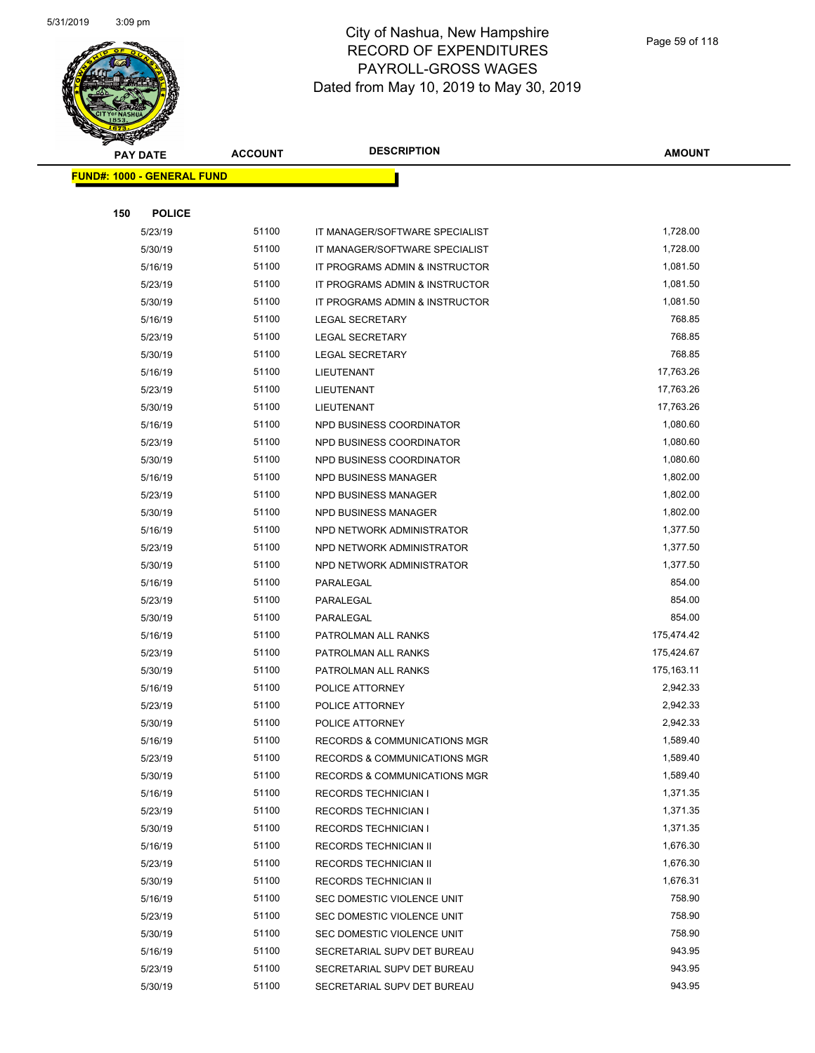

| $\sim$ | <b>PAY DATE</b>                   | <b>ACCOUNT</b> | <b>DESCRIPTION</b>                      | <b>AMOUNT</b> |
|--------|-----------------------------------|----------------|-----------------------------------------|---------------|
|        |                                   |                |                                         |               |
|        | <b>FUND#: 1000 - GENERAL FUND</b> |                |                                         |               |
| 150    | <b>POLICE</b>                     |                |                                         |               |
|        | 5/23/19                           | 51100          | IT MANAGER/SOFTWARE SPECIALIST          | 1,728.00      |
|        | 5/30/19                           | 51100          | IT MANAGER/SOFTWARE SPECIALIST          | 1,728.00      |
|        | 5/16/19                           | 51100          | IT PROGRAMS ADMIN & INSTRUCTOR          | 1,081.50      |
|        | 5/23/19                           | 51100          | IT PROGRAMS ADMIN & INSTRUCTOR          | 1,081.50      |
|        | 5/30/19                           | 51100          | IT PROGRAMS ADMIN & INSTRUCTOR          | 1,081.50      |
|        | 5/16/19                           | 51100          | LEGAL SECRETARY                         | 768.85        |
|        | 5/23/19                           | 51100          | LEGAL SECRETARY                         | 768.85        |
|        | 5/30/19                           | 51100          | <b>LEGAL SECRETARY</b>                  | 768.85        |
|        | 5/16/19                           | 51100          | LIEUTENANT                              | 17,763.26     |
|        | 5/23/19                           | 51100          | LIEUTENANT                              | 17,763.26     |
|        | 5/30/19                           | 51100          | LIEUTENANT                              | 17,763.26     |
|        | 5/16/19                           | 51100          | NPD BUSINESS COORDINATOR                | 1,080.60      |
|        | 5/23/19                           | 51100          | NPD BUSINESS COORDINATOR                | 1,080.60      |
|        | 5/30/19                           | 51100          | NPD BUSINESS COORDINATOR                | 1,080.60      |
|        | 5/16/19                           | 51100          | NPD BUSINESS MANAGER                    | 1,802.00      |
|        | 5/23/19                           | 51100          | <b>NPD BUSINESS MANAGER</b>             | 1,802.00      |
|        | 5/30/19                           | 51100          | <b>NPD BUSINESS MANAGER</b>             | 1,802.00      |
|        | 5/16/19                           | 51100          | NPD NETWORK ADMINISTRATOR               | 1,377.50      |
|        | 5/23/19                           | 51100          | NPD NETWORK ADMINISTRATOR               | 1,377.50      |
|        | 5/30/19                           | 51100          | NPD NETWORK ADMINISTRATOR               | 1,377.50      |
|        | 5/16/19                           | 51100          | PARALEGAL                               | 854.00        |
|        | 5/23/19                           | 51100          | PARALEGAL                               | 854.00        |
|        | 5/30/19                           | 51100          | PARALEGAL                               | 854.00        |
|        | 5/16/19                           | 51100          | PATROLMAN ALL RANKS                     | 175,474.42    |
|        | 5/23/19                           | 51100          | PATROLMAN ALL RANKS                     | 175,424.67    |
|        | 5/30/19                           | 51100          | PATROLMAN ALL RANKS                     | 175,163.11    |
|        | 5/16/19                           | 51100          | POLICE ATTORNEY                         | 2,942.33      |
|        | 5/23/19                           | 51100          | POLICE ATTORNEY                         | 2,942.33      |
|        | 5/30/19                           | 51100          | POLICE ATTORNEY                         | 2,942.33      |
|        | 5/16/19                           | 51100          | RECORDS & COMMUNICATIONS MGR            | 1,589.40      |
|        | 5/23/19                           | 51100          | <b>RECORDS &amp; COMMUNICATIONS MGR</b> | 1,589.40      |
|        | 5/30/19                           | 51100          | <b>RECORDS &amp; COMMUNICATIONS MGR</b> | 1,589.40      |
|        | 5/16/19                           | 51100          | <b>RECORDS TECHNICIAN I</b>             | 1,371.35      |
|        | 5/23/19                           | 51100          | <b>RECORDS TECHNICIAN I</b>             | 1,371.35      |
|        | 5/30/19                           | 51100          | <b>RECORDS TECHNICIAN I</b>             | 1,371.35      |
|        | 5/16/19                           | 51100          | RECORDS TECHNICIAN II                   | 1,676.30      |
|        | 5/23/19                           | 51100          | RECORDS TECHNICIAN II                   | 1,676.30      |
|        | 5/30/19                           | 51100          | RECORDS TECHNICIAN II                   | 1,676.31      |
|        | 5/16/19                           | 51100          | SEC DOMESTIC VIOLENCE UNIT              | 758.90        |
|        | 5/23/19                           | 51100          | SEC DOMESTIC VIOLENCE UNIT              | 758.90        |
|        | 5/30/19                           | 51100          | SEC DOMESTIC VIOLENCE UNIT              | 758.90        |
|        | 5/16/19                           | 51100          | SECRETARIAL SUPV DET BUREAU             | 943.95        |
|        | 5/23/19                           | 51100          | SECRETARIAL SUPV DET BUREAU             | 943.95        |
|        | 5/30/19                           | 51100          | SECRETARIAL SUPV DET BUREAU             | 943.95        |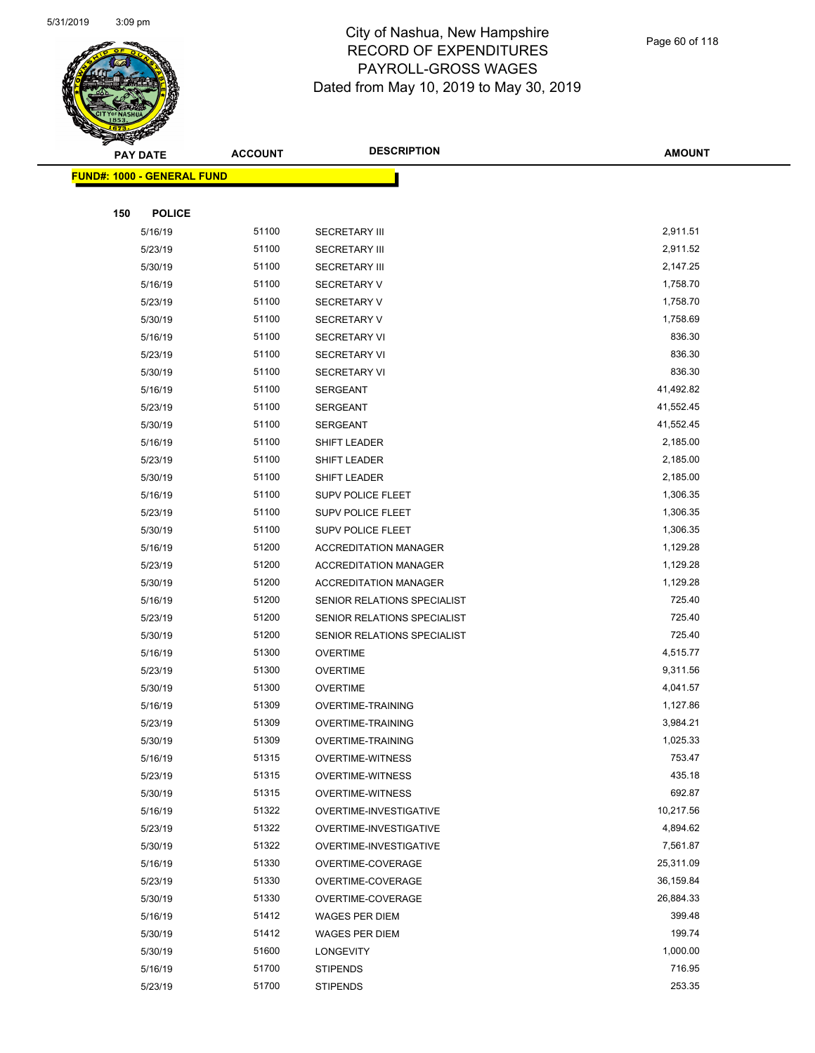

Page 60 of 118

|     | <b>PAY DATE</b>                    | <b>ACCOUNT</b> | <b>DESCRIPTION</b>           | <b>AMOUNT</b> |
|-----|------------------------------------|----------------|------------------------------|---------------|
|     | <u> FUND#: 1000 - GENERAL FUND</u> |                |                              |               |
|     |                                    |                |                              |               |
| 150 | <b>POLICE</b>                      |                |                              |               |
|     | 5/16/19                            | 51100          | <b>SECRETARY III</b>         | 2,911.51      |
|     | 5/23/19                            | 51100          | <b>SECRETARY III</b>         | 2,911.52      |
|     | 5/30/19                            | 51100          | <b>SECRETARY III</b>         | 2,147.25      |
|     | 5/16/19                            | 51100          | <b>SECRETARY V</b>           | 1,758.70      |
|     | 5/23/19                            | 51100          | SECRETARY V                  | 1,758.70      |
|     | 5/30/19                            | 51100          | SECRETARY V                  | 1,758.69      |
|     | 5/16/19                            | 51100          | <b>SECRETARY VI</b>          | 836.30        |
|     | 5/23/19                            | 51100          | <b>SECRETARY VI</b>          | 836.30        |
|     | 5/30/19                            | 51100          | <b>SECRETARY VI</b>          | 836.30        |
|     | 5/16/19                            | 51100          | <b>SERGEANT</b>              | 41,492.82     |
|     | 5/23/19                            | 51100          | <b>SERGEANT</b>              | 41,552.45     |
|     | 5/30/19                            | 51100          | <b>SERGEANT</b>              | 41,552.45     |
|     | 5/16/19                            | 51100          | SHIFT LEADER                 | 2,185.00      |
|     | 5/23/19                            | 51100          | <b>SHIFT LEADER</b>          | 2,185.00      |
|     | 5/30/19                            | 51100          | <b>SHIFT LEADER</b>          | 2,185.00      |
|     | 5/16/19                            | 51100          | SUPV POLICE FLEET            | 1,306.35      |
|     | 5/23/19                            | 51100          | <b>SUPV POLICE FLEET</b>     | 1,306.35      |
|     | 5/30/19                            | 51100          | <b>SUPV POLICE FLEET</b>     | 1,306.35      |
|     | 5/16/19                            | 51200          | <b>ACCREDITATION MANAGER</b> | 1,129.28      |
|     | 5/23/19                            | 51200          | <b>ACCREDITATION MANAGER</b> | 1,129.28      |
|     | 5/30/19                            | 51200          | <b>ACCREDITATION MANAGER</b> | 1,129.28      |
|     | 5/16/19                            | 51200          | SENIOR RELATIONS SPECIALIST  | 725.40        |
|     | 5/23/19                            | 51200          | SENIOR RELATIONS SPECIALIST  | 725.40        |
|     | 5/30/19                            | 51200          | SENIOR RELATIONS SPECIALIST  | 725.40        |
|     | 5/16/19                            | 51300          | <b>OVERTIME</b>              | 4,515.77      |
|     | 5/23/19                            | 51300          | <b>OVERTIME</b>              | 9,311.56      |
|     | 5/30/19                            | 51300          | <b>OVERTIME</b>              | 4,041.57      |
|     | 5/16/19                            | 51309          | <b>OVERTIME-TRAINING</b>     | 1,127.86      |
|     | 5/23/19                            | 51309          | <b>OVERTIME-TRAINING</b>     | 3,984.21      |
|     | 5/30/19                            | 51309          | OVERTIME-TRAINING            | 1,025.33      |
|     | 5/16/19                            | 51315          | OVERTIME-WITNESS             | 753.47        |
|     | 5/23/19                            | 51315          | <b>OVERTIME-WITNESS</b>      | 435.18        |
|     | 5/30/19                            | 51315          | <b>OVERTIME-WITNESS</b>      | 692.87        |
|     | 5/16/19                            | 51322          | OVERTIME-INVESTIGATIVE       | 10,217.56     |
|     | 5/23/19                            | 51322          | OVERTIME-INVESTIGATIVE       | 4,894.62      |
|     | 5/30/19                            | 51322          | OVERTIME-INVESTIGATIVE       | 7,561.87      |
|     | 5/16/19                            | 51330          | OVERTIME-COVERAGE            | 25,311.09     |
|     | 5/23/19                            | 51330          | OVERTIME-COVERAGE            | 36,159.84     |
|     | 5/30/19                            | 51330          | OVERTIME-COVERAGE            | 26,884.33     |
|     | 5/16/19                            | 51412          | <b>WAGES PER DIEM</b>        | 399.48        |
|     | 5/30/19                            | 51412          | WAGES PER DIEM               | 199.74        |
|     | 5/30/19                            | 51600          | <b>LONGEVITY</b>             | 1,000.00      |
|     | 5/16/19                            | 51700          | <b>STIPENDS</b>              | 716.95        |
|     | 5/23/19                            | 51700          | <b>STIPENDS</b>              | 253.35        |
|     |                                    |                |                              |               |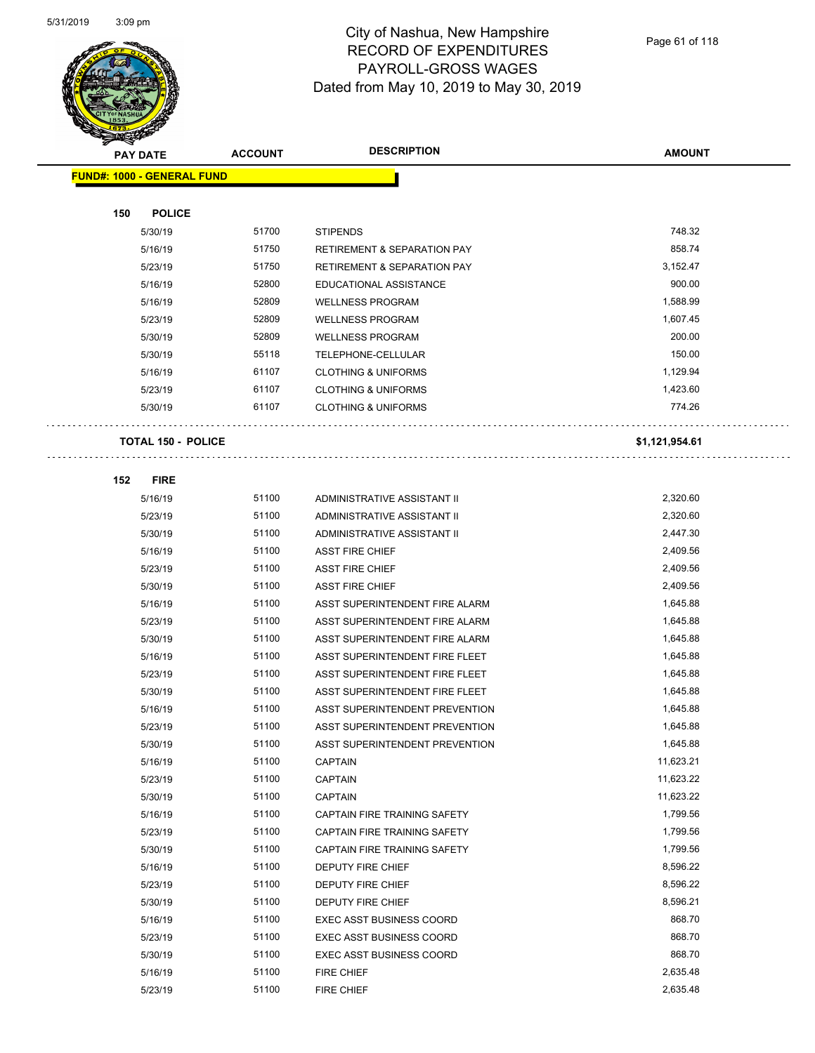

Page 61 of 118

| <b>PAY DATE</b>                   | <b>ACCOUNT</b> | <b>DESCRIPTION</b>                     | <b>AMOUNT</b>  |
|-----------------------------------|----------------|----------------------------------------|----------------|
| <b>FUND#: 1000 - GENERAL FUND</b> |                |                                        |                |
|                                   |                |                                        |                |
| 150<br><b>POLICE</b>              |                |                                        |                |
| 5/30/19                           | 51700          | <b>STIPENDS</b>                        | 748.32         |
| 5/16/19                           | 51750          | <b>RETIREMENT &amp; SEPARATION PAY</b> | 858.74         |
| 5/23/19                           | 51750          | <b>RETIREMENT &amp; SEPARATION PAY</b> | 3,152.47       |
| 5/16/19                           | 52800          | EDUCATIONAL ASSISTANCE                 | 900.00         |
| 5/16/19                           | 52809          | <b>WELLNESS PROGRAM</b>                | 1,588.99       |
| 5/23/19                           | 52809          | <b>WELLNESS PROGRAM</b>                | 1,607.45       |
| 5/30/19                           | 52809          | <b>WELLNESS PROGRAM</b>                | 200.00         |
| 5/30/19                           | 55118          | TELEPHONE-CELLULAR                     | 150.00         |
| 5/16/19                           | 61107          | <b>CLOTHING &amp; UNIFORMS</b>         | 1,129.94       |
| 5/23/19                           | 61107          | <b>CLOTHING &amp; UNIFORMS</b>         | 1,423.60       |
| 5/30/19                           | 61107          | <b>CLOTHING &amp; UNIFORMS</b>         | 774.26         |
|                                   |                |                                        |                |
| <b>TOTAL 150 - POLICE</b>         |                |                                        | \$1,121,954.61 |
| 152<br><b>FIRE</b>                |                |                                        |                |
| 5/16/19                           | 51100          | ADMINISTRATIVE ASSISTANT II            | 2,320.60       |
| 5/23/19                           | 51100          | ADMINISTRATIVE ASSISTANT II            | 2,320.60       |
| 5/30/19                           | 51100          | ADMINISTRATIVE ASSISTANT II            | 2,447.30       |
| 5/16/19                           | 51100          | <b>ASST FIRE CHIEF</b>                 | 2,409.56       |
| 5/23/19                           | 51100          | <b>ASST FIRE CHIEF</b>                 | 2,409.56       |
| 5/30/19                           | 51100          | <b>ASST FIRE CHIEF</b>                 | 2,409.56       |
| 5/16/19                           | 51100          | ASST SUPERINTENDENT FIRE ALARM         | 1,645.88       |
| 5/23/19                           | 51100          | ASST SUPERINTENDENT FIRE ALARM         | 1,645.88       |
| 5/30/19                           | 51100          | ASST SUPERINTENDENT FIRE ALARM         | 1,645.88       |
| 5/16/19                           | 51100          | ASST SUPERINTENDENT FIRE FLEET         | 1,645.88       |
| 5/23/19                           | 51100          | ASST SUPERINTENDENT FIRE FLEET         | 1,645.88       |
| 5/30/19                           | 51100          | ASST SUPERINTENDENT FIRE FLEET         | 1,645.88       |
| 5/16/19                           | 51100          | ASST SUPERINTENDENT PREVENTION         | 1,645.88       |
| 5/23/19                           | 51100          | ASST SUPERINTENDENT PREVENTION         | 1,645.88       |
| 5/30/19                           | 51100          | ASST SUPERINTENDENT PREVENTION         | 1,645.88       |
| 5/16/19                           | 51100          | <b>CAPTAIN</b>                         | 11,623.21      |
| 5/23/19                           | 51100          | <b>CAPTAIN</b>                         | 11,623.22      |
| 5/30/19                           | 51100          | <b>CAPTAIN</b>                         | 11,623.22      |
| 5/16/19                           | 51100          | CAPTAIN FIRE TRAINING SAFETY           | 1,799.56       |
| 5/23/19                           | 51100          | CAPTAIN FIRE TRAINING SAFETY           | 1,799.56       |
| 5/30/19                           | 51100          | CAPTAIN FIRE TRAINING SAFETY           | 1,799.56       |
| 5/16/19                           | 51100          | DEPUTY FIRE CHIEF                      | 8,596.22       |
| 5/23/19                           | 51100          | DEPUTY FIRE CHIEF                      | 8,596.22       |
| 5/30/19                           | 51100          | DEPUTY FIRE CHIEF                      | 8,596.21       |
| 5/16/19                           | 51100          | <b>EXEC ASST BUSINESS COORD</b>        | 868.70         |
| 5/23/19                           | 51100          | <b>EXEC ASST BUSINESS COORD</b>        | 868.70         |
| 5/30/19                           | 51100          | <b>EXEC ASST BUSINESS COORD</b>        | 868.70         |
| 5/16/19                           | 51100          | FIRE CHIEF                             | 2,635.48       |
| 5/23/19                           | 51100          | FIRE CHIEF                             | 2,635.48       |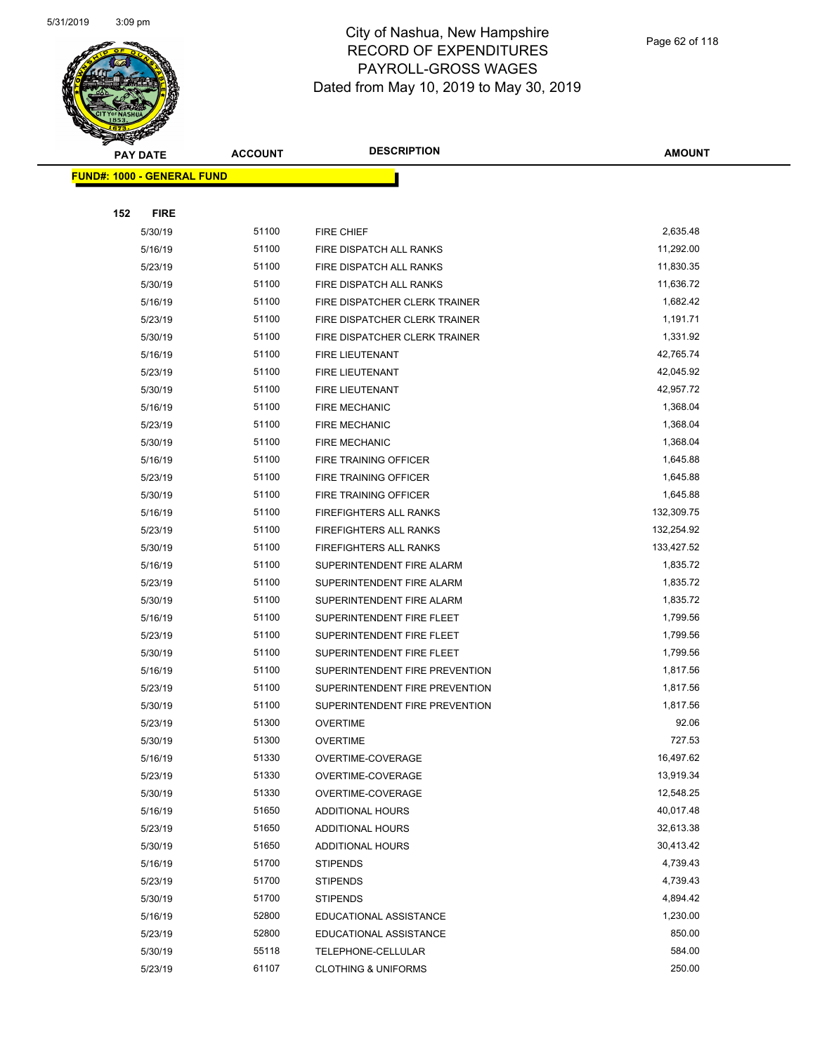

| $\sim$<br><b>PAY DATE</b>         | <b>ACCOUNT</b> | <b>DESCRIPTION</b>             | <b>AMOUNT</b> |
|-----------------------------------|----------------|--------------------------------|---------------|
| <b>FUND#: 1000 - GENERAL FUND</b> |                |                                |               |
|                                   |                |                                |               |
| 152<br><b>FIRE</b>                |                |                                |               |
| 5/30/19                           | 51100          | FIRE CHIEF                     | 2,635.48      |
| 5/16/19                           | 51100          | FIRE DISPATCH ALL RANKS        | 11,292.00     |
| 5/23/19                           | 51100          | FIRE DISPATCH ALL RANKS        | 11,830.35     |
| 5/30/19                           | 51100          | FIRE DISPATCH ALL RANKS        | 11,636.72     |
| 5/16/19                           | 51100          | FIRE DISPATCHER CLERK TRAINER  | 1,682.42      |
| 5/23/19                           | 51100          | FIRE DISPATCHER CLERK TRAINER  | 1,191.71      |
| 5/30/19                           | 51100          | FIRE DISPATCHER CLERK TRAINER  | 1,331.92      |
| 5/16/19                           | 51100          | FIRE LIEUTENANT                | 42,765.74     |
| 5/23/19                           | 51100          | FIRE LIEUTENANT                | 42,045.92     |
| 5/30/19                           | 51100          | FIRE LIEUTENANT                | 42,957.72     |
| 5/16/19                           | 51100          | <b>FIRE MECHANIC</b>           | 1,368.04      |
| 5/23/19                           | 51100          | <b>FIRE MECHANIC</b>           | 1,368.04      |
| 5/30/19                           | 51100          | <b>FIRE MECHANIC</b>           | 1,368.04      |
| 5/16/19                           | 51100          | FIRE TRAINING OFFICER          | 1,645.88      |
| 5/23/19                           | 51100          | <b>FIRE TRAINING OFFICER</b>   | 1,645.88      |
| 5/30/19                           | 51100          | FIRE TRAINING OFFICER          | 1,645.88      |
| 5/16/19                           | 51100          | <b>FIREFIGHTERS ALL RANKS</b>  | 132,309.75    |
| 5/23/19                           | 51100          | <b>FIREFIGHTERS ALL RANKS</b>  | 132,254.92    |
| 5/30/19                           | 51100          | <b>FIREFIGHTERS ALL RANKS</b>  | 133,427.52    |
| 5/16/19                           | 51100          | SUPERINTENDENT FIRE ALARM      | 1,835.72      |
| 5/23/19                           | 51100          | SUPERINTENDENT FIRE ALARM      | 1,835.72      |
| 5/30/19                           | 51100          | SUPERINTENDENT FIRE ALARM      | 1,835.72      |
| 5/16/19                           | 51100          | SUPERINTENDENT FIRE FLEET      | 1,799.56      |
| 5/23/19                           | 51100          | SUPERINTENDENT FIRE FLEET      | 1,799.56      |
| 5/30/19                           | 51100          | SUPERINTENDENT FIRE FLEET      | 1,799.56      |
| 5/16/19                           | 51100          | SUPERINTENDENT FIRE PREVENTION | 1,817.56      |
| 5/23/19                           | 51100          | SUPERINTENDENT FIRE PREVENTION | 1,817.56      |
| 5/30/19                           | 51100          | SUPERINTENDENT FIRE PREVENTION | 1,817.56      |
| 5/23/19                           | 51300          | <b>OVERTIME</b>                | 92.06         |
| 5/30/19                           | 51300          | <b>OVERTIME</b>                | 727.53        |
| 5/16/19                           | 51330          | OVERTIME-COVERAGE              | 16,497.62     |
| 5/23/19                           | 51330          | OVERTIME-COVERAGE              | 13,919.34     |
| 5/30/19                           | 51330          | OVERTIME-COVERAGE              | 12,548.25     |
| 5/16/19                           | 51650          | <b>ADDITIONAL HOURS</b>        | 40,017.48     |
| 5/23/19                           | 51650          | <b>ADDITIONAL HOURS</b>        | 32,613.38     |
| 5/30/19                           | 51650          | ADDITIONAL HOURS               | 30,413.42     |
| 5/16/19                           | 51700          | <b>STIPENDS</b>                | 4,739.43      |
| 5/23/19                           | 51700          | <b>STIPENDS</b>                | 4,739.43      |
| 5/30/19                           | 51700          | <b>STIPENDS</b>                | 4,894.42      |
| 5/16/19                           | 52800          | EDUCATIONAL ASSISTANCE         | 1,230.00      |
| 5/23/19                           | 52800          | EDUCATIONAL ASSISTANCE         | 850.00        |
| 5/30/19                           | 55118          | TELEPHONE-CELLULAR             | 584.00        |
| 5/23/19                           | 61107          | <b>CLOTHING &amp; UNIFORMS</b> | 250.00        |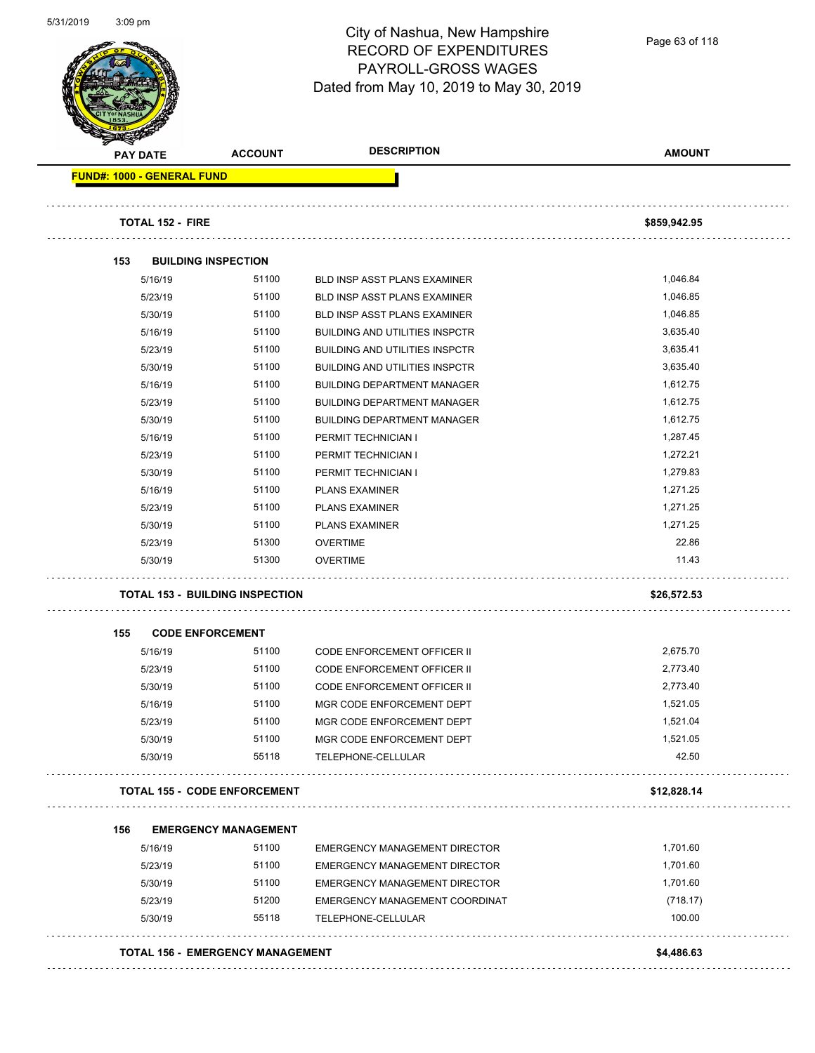

Page 63 of 118

| <b>PAY DATE</b>                   | <b>ACCOUNT</b>                         | <b>DESCRIPTION</b>                    | <b>AMOUNT</b> |
|-----------------------------------|----------------------------------------|---------------------------------------|---------------|
| <b>FUND#: 1000 - GENERAL FUND</b> |                                        |                                       |               |
| <b>TOTAL 152 - FIRE</b>           |                                        |                                       | \$859,942.95  |
| 153                               | <b>BUILDING INSPECTION</b>             |                                       |               |
| 5/16/19                           | 51100                                  | <b>BLD INSP ASST PLANS EXAMINER</b>   | 1,046.84      |
| 5/23/19                           | 51100                                  | <b>BLD INSP ASST PLANS EXAMINER</b>   | 1,046.85      |
| 5/30/19                           | 51100                                  | <b>BLD INSP ASST PLANS EXAMINER</b>   | 1,046.85      |
| 5/16/19                           | 51100                                  | <b>BUILDING AND UTILITIES INSPCTR</b> | 3,635.40      |
| 5/23/19                           | 51100                                  | <b>BUILDING AND UTILITIES INSPCTR</b> | 3,635.41      |
| 5/30/19                           | 51100                                  | <b>BUILDING AND UTILITIES INSPCTR</b> | 3,635.40      |
| 5/16/19                           | 51100                                  | <b>BUILDING DEPARTMENT MANAGER</b>    | 1,612.75      |
| 5/23/19                           | 51100                                  | <b>BUILDING DEPARTMENT MANAGER</b>    | 1,612.75      |
| 5/30/19                           | 51100                                  | <b>BUILDING DEPARTMENT MANAGER</b>    | 1,612.75      |
| 5/16/19                           | 51100                                  | PERMIT TECHNICIAN I                   | 1,287.45      |
| 5/23/19                           | 51100                                  | PERMIT TECHNICIAN I                   | 1,272.21      |
| 5/30/19                           | 51100                                  | PERMIT TECHNICIAN I                   | 1,279.83      |
| 5/16/19                           | 51100                                  | <b>PLANS EXAMINER</b>                 | 1,271.25      |
| 5/23/19                           | 51100                                  | <b>PLANS EXAMINER</b>                 | 1,271.25      |
| 5/30/19                           | 51100                                  | <b>PLANS EXAMINER</b>                 | 1,271.25      |
| 5/23/19                           | 51300                                  | <b>OVERTIME</b>                       | 22.86         |
| 5/30/19                           | 51300                                  | <b>OVERTIME</b>                       | 11.43         |
|                                   | <b>TOTAL 153 - BUILDING INSPECTION</b> |                                       | \$26,572.53   |
| 155                               | <b>CODE ENFORCEMENT</b>                |                                       |               |
| 5/16/19                           | 51100                                  | CODE ENFORCEMENT OFFICER II           | 2,675.70      |
| 5/23/19                           | 51100                                  | <b>CODE ENFORCEMENT OFFICER II</b>    | 2,773.40      |
| 5/30/19                           | 51100                                  | CODE ENFORCEMENT OFFICER II           | 2,773.40      |
| 5/16/19                           | 51100                                  | MGR CODE ENFORCEMENT DEPT             | 1,521.05      |
| 5/23/19                           | 51100                                  | MGR CODE ENFORCEMENT DEPT             | 1,521.04      |
| 5/30/19                           | 51100                                  | MGR CODE ENFORCEMENT DEPT             | 1,521.05      |
| 5/30/19                           | 55118                                  | TELEPHONE-CELLULAR                    | 42.50         |
|                                   | <b>TOTAL 155 - CODE ENFORCEMENT</b>    |                                       | \$12,828.14   |
| 156                               | <b>EMERGENCY MANAGEMENT</b>            |                                       |               |
| 5/16/19                           | 51100                                  | <b>EMERGENCY MANAGEMENT DIRECTOR</b>  | 1,701.60      |
| 5/23/19                           | 51100                                  | EMERGENCY MANAGEMENT DIRECTOR         | 1,701.60      |
| 5/30/19                           | 51100                                  | EMERGENCY MANAGEMENT DIRECTOR         | 1,701.60      |
| 5/23/19                           | 51200                                  | EMERGENCY MANAGEMENT COORDINAT        | (718.17)      |
| 5/30/19                           | 55118                                  | TELEPHONE-CELLULAR                    | 100.00        |
|                                   |                                        |                                       |               |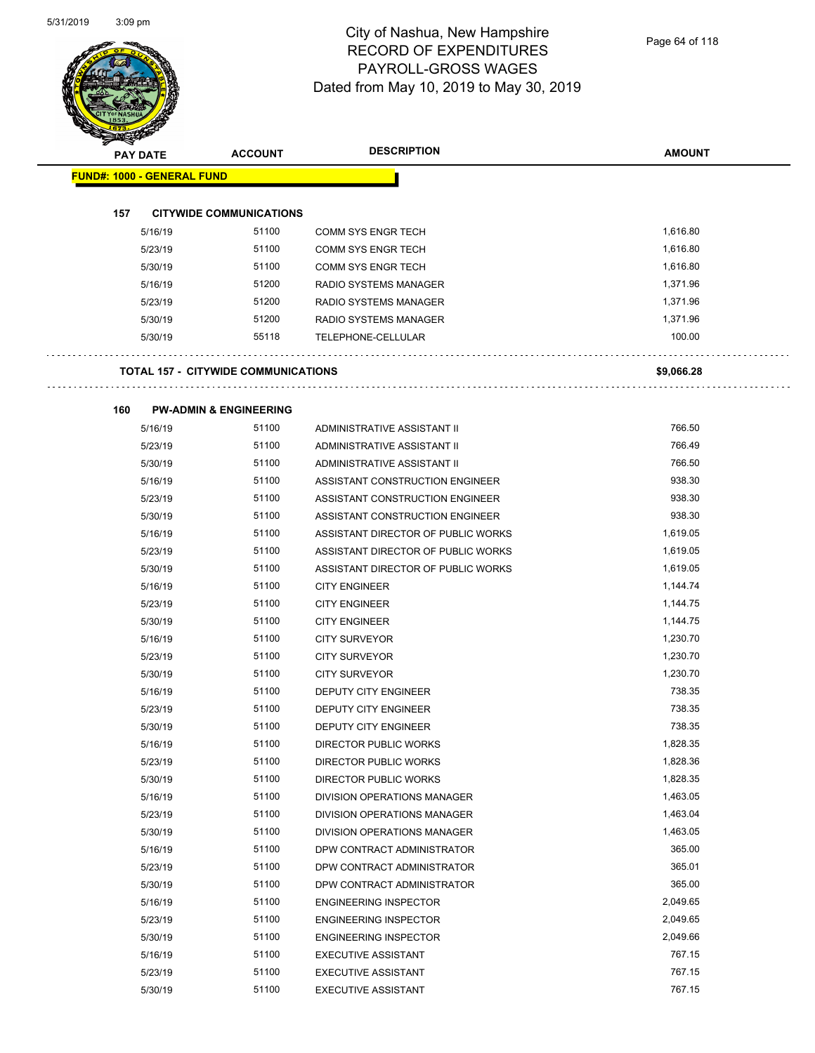

Page 64 of 118

| <b>PAY DATE</b>                   | <b>ACCOUNT</b>                             | <b>DESCRIPTION</b>                                                    | <b>AMOUNT</b>    |
|-----------------------------------|--------------------------------------------|-----------------------------------------------------------------------|------------------|
| <b>FUND#: 1000 - GENERAL FUND</b> |                                            |                                                                       |                  |
|                                   |                                            |                                                                       |                  |
| 157                               | <b>CITYWIDE COMMUNICATIONS</b>             |                                                                       |                  |
| 5/16/19                           | 51100                                      | <b>COMM SYS ENGR TECH</b>                                             | 1,616.80         |
| 5/23/19                           | 51100                                      | <b>COMM SYS ENGR TECH</b>                                             | 1,616.80         |
| 5/30/19                           | 51100                                      | <b>COMM SYS ENGR TECH</b>                                             | 1,616.80         |
| 5/16/19                           | 51200                                      | RADIO SYSTEMS MANAGER                                                 | 1,371.96         |
| 5/23/19                           | 51200                                      | RADIO SYSTEMS MANAGER                                                 | 1,371.96         |
| 5/30/19                           | 51200                                      | <b>RADIO SYSTEMS MANAGER</b>                                          | 1,371.96         |
| 5/30/19                           | 55118                                      | TELEPHONE-CELLULAR                                                    | 100.00           |
|                                   |                                            |                                                                       |                  |
|                                   | <b>TOTAL 157 - CITYWIDE COMMUNICATIONS</b> |                                                                       | \$9,066.28       |
|                                   |                                            |                                                                       |                  |
| 160                               | <b>PW-ADMIN &amp; ENGINEERING</b>          |                                                                       |                  |
| 5/16/19                           | 51100                                      | ADMINISTRATIVE ASSISTANT II                                           | 766.50           |
| 5/23/19                           | 51100                                      | ADMINISTRATIVE ASSISTANT II                                           | 766.49           |
| 5/30/19                           | 51100                                      | ADMINISTRATIVE ASSISTANT II                                           | 766.50           |
| 5/16/19                           | 51100<br>51100                             | ASSISTANT CONSTRUCTION ENGINEER                                       | 938.30<br>938.30 |
| 5/23/19                           | 51100                                      | ASSISTANT CONSTRUCTION ENGINEER                                       | 938.30           |
| 5/30/19<br>5/16/19                | 51100                                      | ASSISTANT CONSTRUCTION ENGINEER<br>ASSISTANT DIRECTOR OF PUBLIC WORKS | 1,619.05         |
| 5/23/19                           | 51100                                      | ASSISTANT DIRECTOR OF PUBLIC WORKS                                    | 1,619.05         |
| 5/30/19                           | 51100                                      | ASSISTANT DIRECTOR OF PUBLIC WORKS                                    | 1,619.05         |
| 5/16/19                           | 51100                                      | <b>CITY ENGINEER</b>                                                  | 1,144.74         |
| 5/23/19                           | 51100                                      | <b>CITY ENGINEER</b>                                                  | 1,144.75         |
| 5/30/19                           | 51100                                      | <b>CITY ENGINEER</b>                                                  | 1,144.75         |
| 5/16/19                           | 51100                                      | <b>CITY SURVEYOR</b>                                                  | 1,230.70         |
| 5/23/19                           | 51100                                      | <b>CITY SURVEYOR</b>                                                  | 1,230.70         |
| 5/30/19                           | 51100                                      | <b>CITY SURVEYOR</b>                                                  | 1,230.70         |
| 5/16/19                           | 51100                                      | <b>DEPUTY CITY ENGINEER</b>                                           | 738.35           |
| 5/23/19                           | 51100                                      | DEPUTY CITY ENGINEER                                                  | 738.35           |
| 5/30/19                           | 51100                                      | DEPUTY CITY ENGINEER                                                  | 738.35           |
| 5/16/19                           | 51100                                      | <b>DIRECTOR PUBLIC WORKS</b>                                          | 1,828.35         |
| 5/23/19                           | 51100                                      | <b>DIRECTOR PUBLIC WORKS</b>                                          | 1,828.36         |
| 5/30/19                           | 51100                                      | DIRECTOR PUBLIC WORKS                                                 | 1,828.35         |
| 5/16/19                           | 51100                                      | DIVISION OPERATIONS MANAGER                                           | 1,463.05         |
| 5/23/19                           | 51100                                      | DIVISION OPERATIONS MANAGER                                           | 1,463.04         |
| 5/30/19                           | 51100                                      | DIVISION OPERATIONS MANAGER                                           | 1,463.05         |
| 5/16/19                           | 51100                                      | DPW CONTRACT ADMINISTRATOR                                            | 365.00           |
| 5/23/19                           | 51100                                      | DPW CONTRACT ADMINISTRATOR                                            | 365.01           |
| 5/30/19                           | 51100                                      | DPW CONTRACT ADMINISTRATOR                                            | 365.00           |
| 5/16/19                           | 51100                                      | <b>ENGINEERING INSPECTOR</b>                                          | 2,049.65         |
| 5/23/19                           | 51100                                      | <b>ENGINEERING INSPECTOR</b>                                          | 2,049.65         |
| 5/30/19                           | 51100                                      | <b>ENGINEERING INSPECTOR</b>                                          | 2,049.66         |
| 5/16/19                           | 51100                                      | <b>EXECUTIVE ASSISTANT</b>                                            | 767.15           |

5/23/19 51100 EXECUTIVE ASSISTANT 5123/19 767.15 5/30/19 51100 EXECUTIVE ASSISTANT 767.15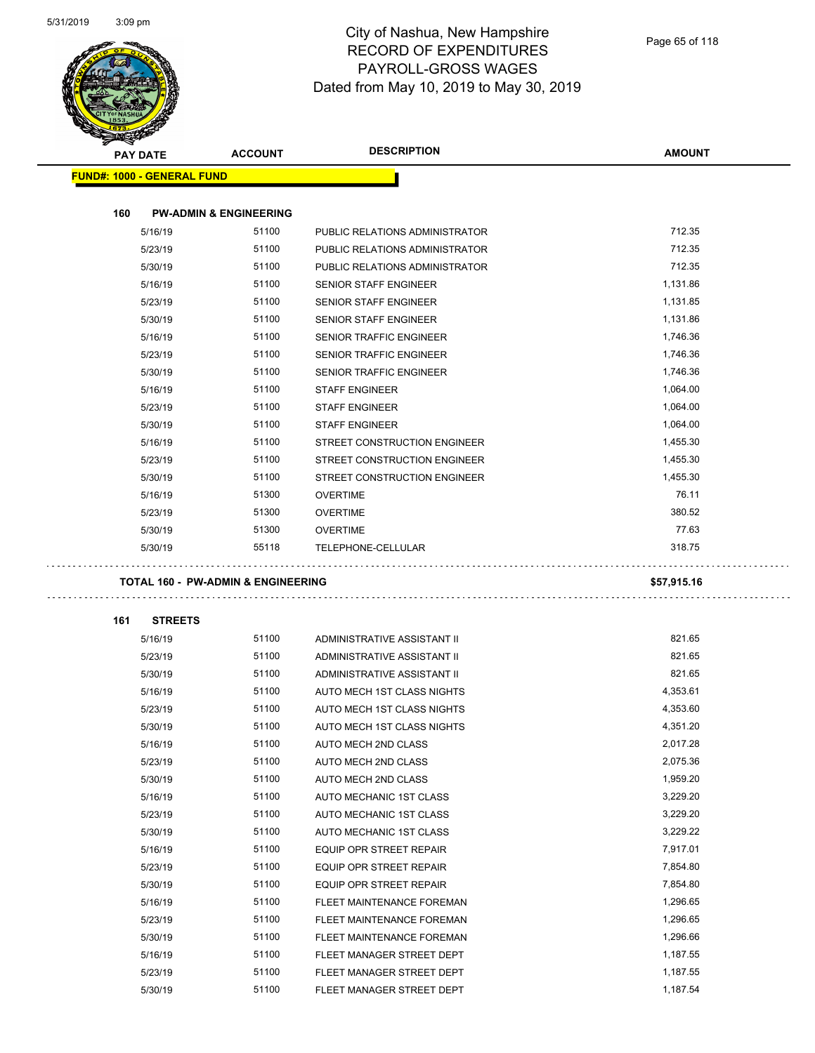

| <b>PAY DATE</b>                               | <b>ACCOUNT</b>                    | <b>DESCRIPTION</b>             | <b>AMOUNT</b> |
|-----------------------------------------------|-----------------------------------|--------------------------------|---------------|
| <b>FUND#: 1000 - GENERAL FUND</b>             |                                   |                                |               |
|                                               |                                   |                                |               |
| 160                                           | <b>PW-ADMIN &amp; ENGINEERING</b> |                                |               |
| 5/16/19                                       | 51100                             | PUBLIC RELATIONS ADMINISTRATOR | 712.35        |
| 5/23/19                                       | 51100                             | PUBLIC RELATIONS ADMINISTRATOR | 712.35        |
| 5/30/19                                       | 51100                             | PUBLIC RELATIONS ADMINISTRATOR | 712.35        |
| 5/16/19                                       | 51100                             | <b>SENIOR STAFF ENGINEER</b>   | 1,131.86      |
| 5/23/19                                       | 51100                             | SENIOR STAFF ENGINEER          | 1,131.85      |
| 5/30/19                                       | 51100                             | <b>SENIOR STAFF ENGINEER</b>   | 1,131.86      |
| 5/16/19                                       | 51100                             | SENIOR TRAFFIC ENGINEER        | 1,746.36      |
| 5/23/19                                       | 51100                             | SENIOR TRAFFIC ENGINEER        | 1,746.36      |
| 5/30/19                                       | 51100                             | SENIOR TRAFFIC ENGINEER        | 1,746.36      |
| 5/16/19                                       | 51100                             | <b>STAFF ENGINEER</b>          | 1,064.00      |
| 5/23/19                                       | 51100                             | <b>STAFF ENGINEER</b>          | 1,064.00      |
| 5/30/19                                       | 51100                             | <b>STAFF ENGINEER</b>          | 1,064.00      |
| 5/16/19                                       | 51100                             | STREET CONSTRUCTION ENGINEER   | 1,455.30      |
| 5/23/19                                       | 51100                             | STREET CONSTRUCTION ENGINEER   | 1,455.30      |
| 5/30/19                                       | 51100                             | STREET CONSTRUCTION ENGINEER   | 1,455.30      |
| 5/16/19                                       | 51300                             | <b>OVERTIME</b>                | 76.11         |
| 5/23/19                                       | 51300                             | <b>OVERTIME</b>                | 380.52        |
| 5/30/19                                       | 51300                             | <b>OVERTIME</b>                | 77.63         |
| 5/30/19                                       | 55118                             | TELEPHONE-CELLULAR             | 318.75        |
|                                               |                                   |                                |               |
| <b>TOTAL 160 - PW-ADMIN &amp; ENGINEERING</b> |                                   |                                | \$57,915.16   |
|                                               |                                   |                                |               |
| 161<br><b>STREETS</b>                         |                                   |                                |               |
| 5/16/19                                       | 51100                             | ADMINISTRATIVE ASSISTANT II    | 821.65        |
| 5/23/19                                       | 51100                             | ADMINISTRATIVE ASSISTANT II    | 821.65        |
| 5/30/19                                       | 51100                             | ADMINISTRATIVE ASSISTANT II    | 821.65        |
| 5/16/19                                       | 51100                             | AUTO MECH 1ST CLASS NIGHTS     | 4,353.61      |
| 5/23/19                                       | 51100                             | AUTO MECH 1ST CLASS NIGHTS     | 4,353.60      |
| 5/30/19                                       | 51100                             | AUTO MECH 1ST CLASS NIGHTS     | 4,351.20      |
| 5/16/19                                       | 51100                             | AUTO MECH 2ND CLASS            | 2,017.28      |
| 5/23/19                                       | 51100                             | AUTO MECH 2ND CLASS            | 2,075.36      |
| 5/30/19                                       | 51100                             | AUTO MECH 2ND CLASS            | 1,959.20      |
| 5/16/19                                       | 51100                             | AUTO MECHANIC 1ST CLASS        | 3,229.20      |
| 5/23/19                                       | 51100                             | AUTO MECHANIC 1ST CLASS        | 3,229.20      |
| 5/30/19                                       | 51100                             | AUTO MECHANIC 1ST CLASS        | 3,229.22      |
| 5/16/19                                       | 51100                             | EQUIP OPR STREET REPAIR        | 7,917.01      |
| 5/23/19                                       | 51100                             | EQUIP OPR STREET REPAIR        | 7,854.80      |
| 5/30/19                                       | 51100                             | <b>EQUIP OPR STREET REPAIR</b> | 7,854.80      |
| 5/16/19                                       | 51100                             | FLEET MAINTENANCE FOREMAN      | 1,296.65      |
| 5/23/19                                       | 51100                             | FLEET MAINTENANCE FOREMAN      | 1,296.65      |
| 5/30/19                                       | 51100                             | FLEET MAINTENANCE FOREMAN      | 1,296.66      |
| 5/16/19                                       | 51100                             | FLEET MANAGER STREET DEPT      | 1,187.55      |
| 5/23/19                                       | 51100                             | FLEET MANAGER STREET DEPT      | 1,187.55      |
| 5/30/19                                       | 51100                             | FLEET MANAGER STREET DEPT      | 1,187.54      |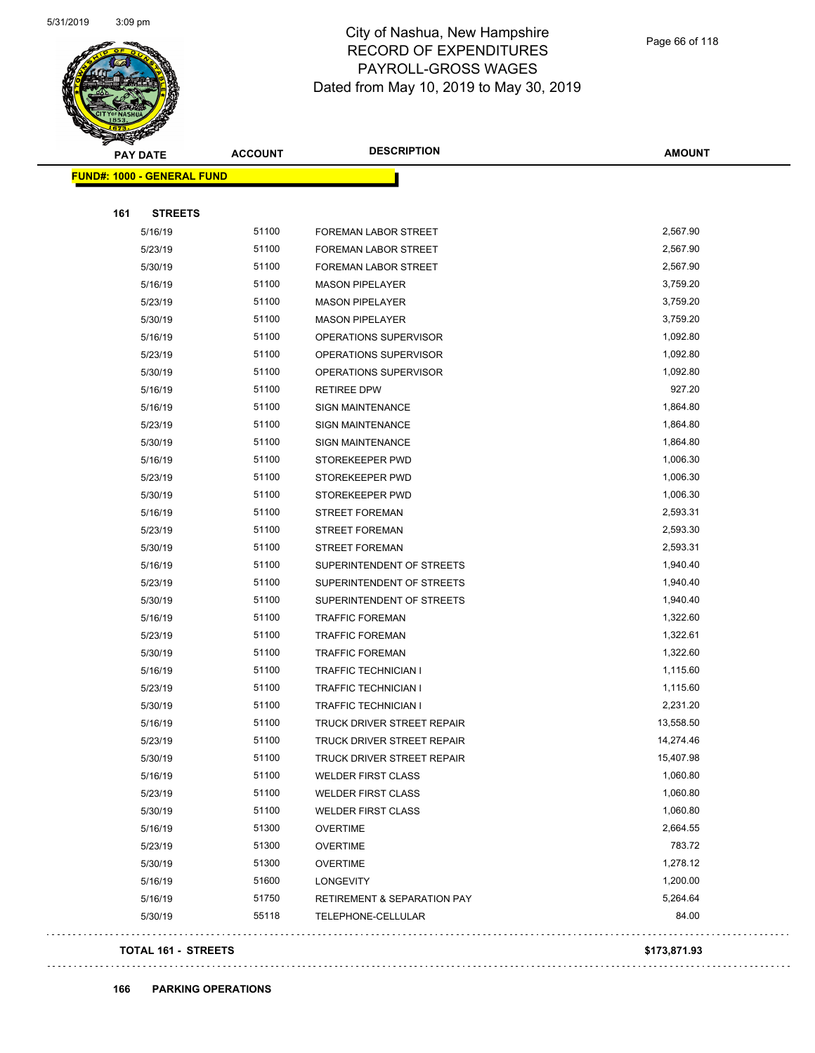

Page 66 of 118

| B.  | <b>PAY DATE</b>                   | <b>ACCOUNT</b> | <b>DESCRIPTION</b>                     | <b>AMOUNT</b> |
|-----|-----------------------------------|----------------|----------------------------------------|---------------|
|     | <b>FUND#: 1000 - GENERAL FUND</b> |                |                                        |               |
|     |                                   |                |                                        |               |
| 161 | <b>STREETS</b>                    |                |                                        |               |
|     | 5/16/19                           | 51100          | <b>FOREMAN LABOR STREET</b>            | 2,567.90      |
|     | 5/23/19                           | 51100          | FOREMAN LABOR STREET                   | 2,567.90      |
|     | 5/30/19                           | 51100          | <b>FOREMAN LABOR STREET</b>            | 2,567.90      |
|     | 5/16/19                           | 51100          | <b>MASON PIPELAYER</b>                 | 3,759.20      |
|     | 5/23/19                           | 51100          | <b>MASON PIPELAYER</b>                 | 3,759.20      |
|     | 5/30/19                           | 51100          | <b>MASON PIPELAYER</b>                 | 3,759.20      |
|     | 5/16/19                           | 51100          | OPERATIONS SUPERVISOR                  | 1,092.80      |
|     | 5/23/19                           | 51100          | OPERATIONS SUPERVISOR                  | 1,092.80      |
|     | 5/30/19                           | 51100          | OPERATIONS SUPERVISOR                  | 1,092.80      |
|     | 5/16/19                           | 51100          | <b>RETIREE DPW</b>                     | 927.20        |
|     | 5/16/19                           | 51100          | <b>SIGN MAINTENANCE</b>                | 1,864.80      |
|     | 5/23/19                           | 51100          | <b>SIGN MAINTENANCE</b>                | 1,864.80      |
|     | 5/30/19                           | 51100          | <b>SIGN MAINTENANCE</b>                | 1,864.80      |
|     | 5/16/19                           | 51100          | STOREKEEPER PWD                        | 1,006.30      |
|     | 5/23/19                           | 51100          | STOREKEEPER PWD                        | 1,006.30      |
|     | 5/30/19                           | 51100          | STOREKEEPER PWD                        | 1,006.30      |
|     | 5/16/19                           | 51100          | <b>STREET FOREMAN</b>                  | 2,593.31      |
|     | 5/23/19                           | 51100          | <b>STREET FOREMAN</b>                  | 2,593.30      |
|     | 5/30/19                           | 51100          | <b>STREET FOREMAN</b>                  | 2,593.31      |
|     | 5/16/19                           | 51100          | SUPERINTENDENT OF STREETS              | 1,940.40      |
|     | 5/23/19                           | 51100          | SUPERINTENDENT OF STREETS              | 1,940.40      |
|     | 5/30/19                           | 51100          | SUPERINTENDENT OF STREETS              | 1,940.40      |
|     | 5/16/19                           | 51100          | <b>TRAFFIC FOREMAN</b>                 | 1,322.60      |
|     | 5/23/19                           | 51100          | <b>TRAFFIC FOREMAN</b>                 | 1,322.61      |
|     | 5/30/19                           | 51100          | <b>TRAFFIC FOREMAN</b>                 | 1,322.60      |
|     | 5/16/19                           | 51100          | <b>TRAFFIC TECHNICIAN I</b>            | 1,115.60      |
|     | 5/23/19                           | 51100          | TRAFFIC TECHNICIAN I                   | 1,115.60      |
|     | 5/30/19                           | 51100          | <b>TRAFFIC TECHNICIAN I</b>            | 2,231.20      |
|     | 5/16/19                           | 51100          | TRUCK DRIVER STREET REPAIR             | 13,558.50     |
|     | 5/23/19                           | 51100          | TRUCK DRIVER STREET REPAIR             | 14,274.46     |
|     | 5/30/19                           | 51100          | TRUCK DRIVER STREET REPAIR             | 15,407.98     |
|     | 5/16/19                           | 51100          | <b>WELDER FIRST CLASS</b>              | 1,060.80      |
|     | 5/23/19                           | 51100          | <b>WELDER FIRST CLASS</b>              | 1,060.80      |
|     | 5/30/19                           | 51100          | <b>WELDER FIRST CLASS</b>              | 1,060.80      |
|     | 5/16/19                           | 51300          | <b>OVERTIME</b>                        | 2,664.55      |
|     | 5/23/19                           | 51300          | <b>OVERTIME</b>                        | 783.72        |
|     | 5/30/19                           | 51300          | <b>OVERTIME</b>                        | 1,278.12      |
|     | 5/16/19                           | 51600          | LONGEVITY                              | 1,200.00      |
|     | 5/16/19                           | 51750          | <b>RETIREMENT &amp; SEPARATION PAY</b> | 5,264.64      |
|     | 5/30/19                           | 55118          | TELEPHONE-CELLULAR                     | 84.00         |
|     |                                   |                |                                        |               |

### **TOTAL 161 - STREETS \$173,871.93**

 $\bar{z}$  ,  $\bar{z}$  ,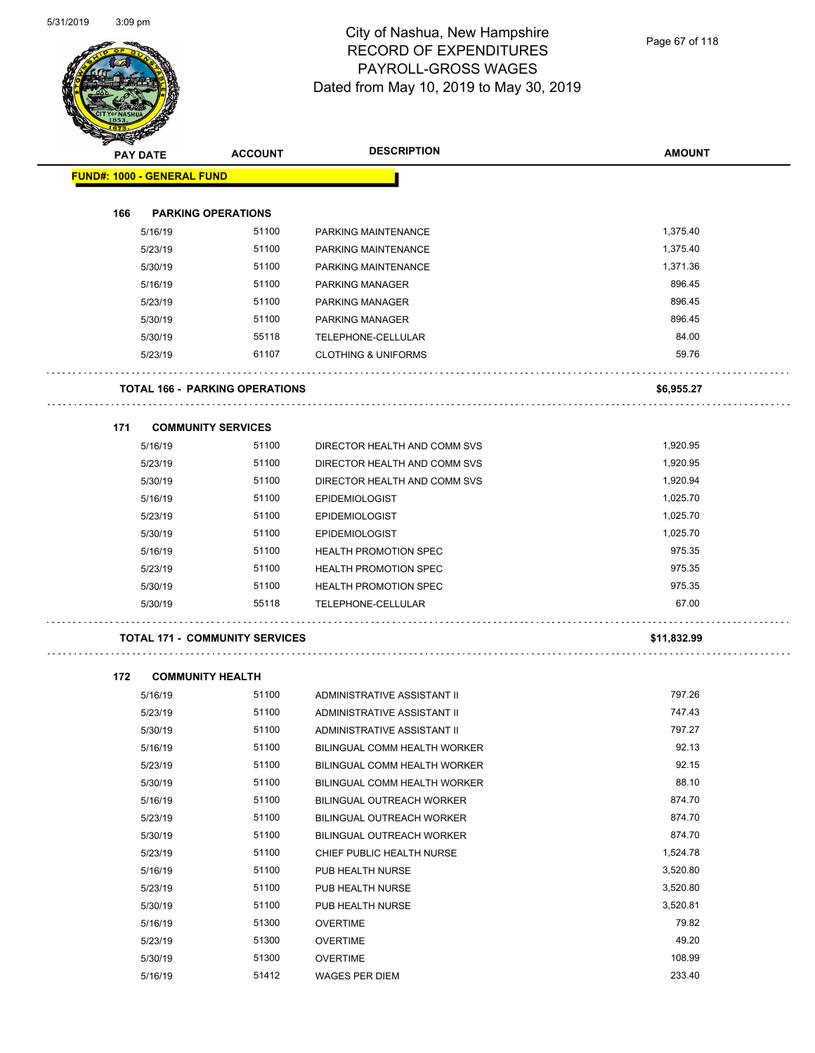

Page 67 of 118

|     |                                   | <b>ACCOUNT</b>                        | <b>DESCRIPTION</b>             | <b>AMOUNT</b> |
|-----|-----------------------------------|---------------------------------------|--------------------------------|---------------|
|     | <b>PAY DATE</b>                   |                                       |                                |               |
|     | <b>FUND#: 1000 - GENERAL FUND</b> |                                       |                                |               |
| 166 |                                   | <b>PARKING OPERATIONS</b>             |                                |               |
|     | 5/16/19                           | 51100                                 | PARKING MAINTENANCE            | 1,375.40      |
|     | 5/23/19                           | 51100                                 | PARKING MAINTENANCE            | 1,375.40      |
|     | 5/30/19                           | 51100                                 | PARKING MAINTENANCE            | 1,371.36      |
|     | 5/16/19                           | 51100                                 | PARKING MANAGER                | 896.45        |
|     | 5/23/19                           | 51100                                 | PARKING MANAGER                | 896.45        |
|     | 5/30/19                           | 51100                                 | PARKING MANAGER                | 896.45        |
|     | 5/30/19                           | 55118                                 | TELEPHONE-CELLULAR             | 84.00         |
|     | 5/23/19                           | 61107                                 | <b>CLOTHING &amp; UNIFORMS</b> | 59.76         |
|     |                                   | <b>TOTAL 166 - PARKING OPERATIONS</b> |                                | \$6,955.27    |
|     |                                   |                                       |                                |               |
| 171 |                                   | <b>COMMUNITY SERVICES</b>             |                                |               |
|     | 5/16/19                           | 51100                                 | DIRECTOR HEALTH AND COMM SVS   | 1,920.95      |
|     | 5/23/19                           | 51100                                 | DIRECTOR HEALTH AND COMM SVS   | 1,920.95      |
|     | 5/30/19                           | 51100                                 | DIRECTOR HEALTH AND COMM SVS   | 1,920.94      |
|     | 5/16/19                           | 51100                                 | <b>EPIDEMIOLOGIST</b>          | 1,025.70      |
|     | 5/23/19                           | 51100                                 | <b>EPIDEMIOLOGIST</b>          | 1,025.70      |
|     | 5/30/19                           | 51100                                 | <b>EPIDEMIOLOGIST</b>          | 1,025.70      |
|     | 5/16/19                           | 51100                                 | <b>HEALTH PROMOTION SPEC</b>   | 975.35        |
|     | 5/23/19                           | 51100                                 | <b>HEALTH PROMOTION SPEC</b>   | 975.35        |
|     | 5/30/19                           | 51100                                 | <b>HEALTH PROMOTION SPEC</b>   | 975.35        |
|     | 5/30/19                           | 55118                                 | TELEPHONE-CELLULAR             | 67.00         |
|     |                                   | <b>TOTAL 171 - COMMUNITY SERVICES</b> |                                | \$11,832.99   |
| 172 |                                   | <b>COMMUNITY HEALTH</b>               |                                |               |
|     | 5/16/19                           | 51100                                 | ADMINISTRATIVE ASSISTANT II    | 797.26        |
|     | 5/23/19                           | 51100                                 | ADMINISTRATIVE ASSISTANT II    | 747.43        |
|     | 5/30/19                           | 51100                                 | ADMINISTRATIVE ASSISTANT II    | 797.27        |
|     | 5/16/19                           | 51100                                 | BILINGUAL COMM HEALTH WORKER   | 92.13         |
|     | 5/23/19                           | 51100                                 | BILINGUAL COMM HEALTH WORKER   | 92.15         |
|     | 5/30/19                           | 51100                                 | BILINGUAL COMM HEALTH WORKER   | 88.10         |

| 5/16/19 | 51100 | BILINGUAL COMM HEALTH WORKER     | 92.13    |
|---------|-------|----------------------------------|----------|
| 5/23/19 | 51100 | BILINGUAL COMM HEALTH WORKER     | 92.15    |
| 5/30/19 | 51100 | BILINGUAL COMM HEALTH WORKER     | 88.10    |
| 5/16/19 | 51100 | <b>BILINGUAL OUTREACH WORKER</b> | 874.70   |
| 5/23/19 | 51100 | <b>BILINGUAL OUTREACH WORKER</b> | 874.70   |
| 5/30/19 | 51100 | <b>BILINGUAL OUTREACH WORKER</b> | 874.70   |
| 5/23/19 | 51100 | CHIEF PUBLIC HEALTH NURSE        | 1,524.78 |
| 5/16/19 | 51100 | PUB HEALTH NURSE                 | 3,520.80 |
| 5/23/19 | 51100 | PUB HEALTH NURSE                 | 3,520.80 |
| 5/30/19 | 51100 | PUB HEALTH NURSE                 | 3,520.81 |
| 5/16/19 | 51300 | <b>OVERTIME</b>                  | 79.82    |
| 5/23/19 | 51300 | <b>OVERTIME</b>                  | 49.20    |
| 5/30/19 | 51300 | <b>OVERTIME</b>                  | 108.99   |

5/16/19 51412 WAGES PER DIEM 233.40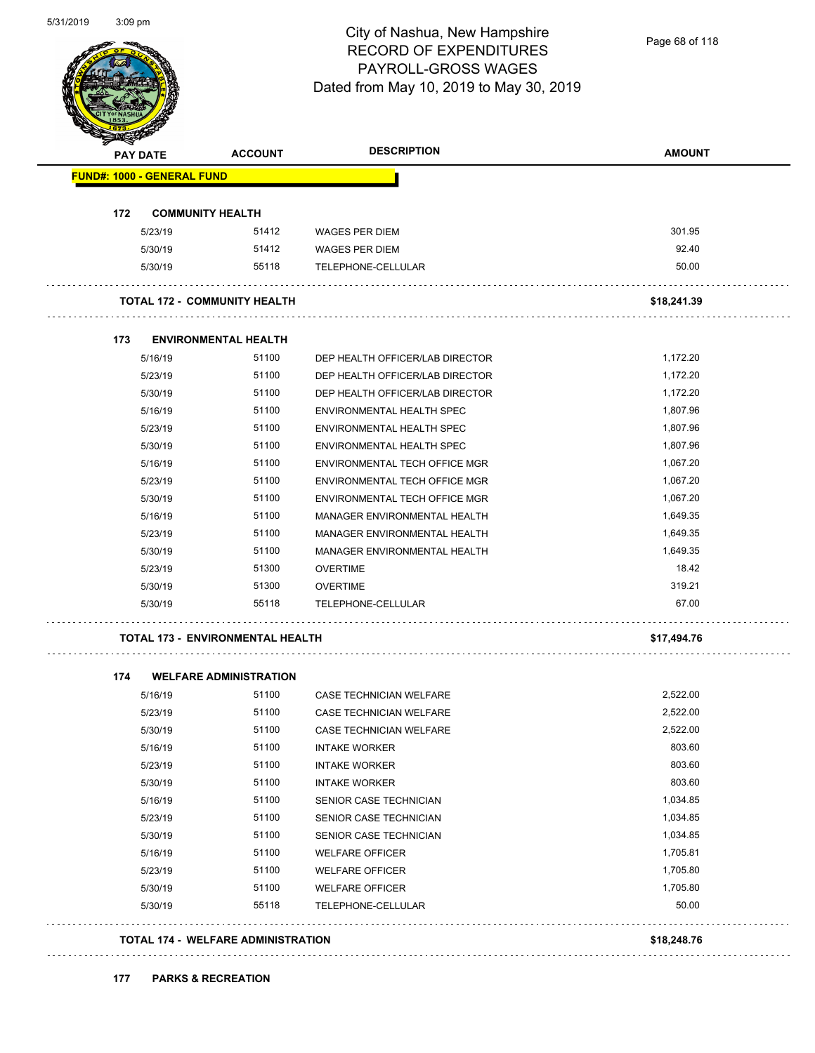

Page 68 of 118

| <b>PAY DATE</b>                   | <b>ACCOUNT</b>                          | <b>DESCRIPTION</b>                                                 | <b>AMOUNT</b>        |
|-----------------------------------|-----------------------------------------|--------------------------------------------------------------------|----------------------|
| <b>FUND#: 1000 - GENERAL FUND</b> |                                         |                                                                    |                      |
| 172                               | <b>COMMUNITY HEALTH</b>                 |                                                                    |                      |
| 5/23/19                           | 51412                                   | <b>WAGES PER DIEM</b>                                              | 301.95               |
| 5/30/19                           | 51412                                   | <b>WAGES PER DIEM</b>                                              | 92.40                |
| 5/30/19                           | 55118                                   | TELEPHONE-CELLULAR                                                 | 50.00                |
|                                   | <b>TOTAL 172 - COMMUNITY HEALTH</b>     |                                                                    | \$18,241.39          |
|                                   |                                         |                                                                    |                      |
| 173                               | <b>ENVIRONMENTAL HEALTH</b>             |                                                                    |                      |
| 5/16/19<br>5/23/19                | 51100<br>51100                          | DEP HEALTH OFFICER/LAB DIRECTOR<br>DEP HEALTH OFFICER/LAB DIRECTOR | 1,172.20             |
| 5/30/19                           | 51100                                   | DEP HEALTH OFFICER/LAB DIRECTOR                                    | 1,172.20<br>1,172.20 |
| 5/16/19                           | 51100                                   | ENVIRONMENTAL HEALTH SPEC                                          | 1,807.96             |
| 5/23/19                           | 51100                                   | ENVIRONMENTAL HEALTH SPEC                                          | 1,807.96             |
| 5/30/19                           | 51100                                   | ENVIRONMENTAL HEALTH SPEC                                          | 1,807.96             |
| 5/16/19                           | 51100                                   | ENVIRONMENTAL TECH OFFICE MGR                                      | 1,067.20             |
| 5/23/19                           | 51100                                   | ENVIRONMENTAL TECH OFFICE MGR                                      | 1,067.20             |
| 5/30/19                           | 51100                                   | ENVIRONMENTAL TECH OFFICE MGR                                      | 1,067.20             |
| 5/16/19                           | 51100                                   | MANAGER ENVIRONMENTAL HEALTH                                       | 1,649.35             |
| 5/23/19                           | 51100                                   | MANAGER ENVIRONMENTAL HEALTH                                       | 1,649.35             |
| 5/30/19                           | 51100                                   | MANAGER ENVIRONMENTAL HEALTH                                       | 1,649.35             |
| 5/23/19                           | 51300                                   | <b>OVERTIME</b>                                                    | 18.42                |
| 5/30/19                           | 51300                                   | <b>OVERTIME</b>                                                    | 319.21               |
| 5/30/19                           | 55118                                   | TELEPHONE-CELLULAR                                                 | 67.00                |
|                                   | <b>TOTAL 173 - ENVIRONMENTAL HEALTH</b> |                                                                    | \$17,494.76          |
| 174                               | <b>WELFARE ADMINISTRATION</b>           |                                                                    |                      |
| 5/16/19                           | 51100                                   | CASE TECHNICIAN WELFARE                                            | 2,522.00             |
| 5/23/19                           | 51100                                   | CASE TECHNICIAN WELFARE                                            | 2,522.00             |
| 5/30/19                           | 51100                                   | CASE TECHNICIAN WELFARE                                            | 2,522.00             |
| 5/16/19                           | 51100                                   | <b>INTAKE WORKER</b>                                               | 803.60               |
| 5/23/19                           | 51100                                   | <b>INTAKE WORKER</b>                                               | 803.60               |
| 5/30/19                           | 51100                                   | <b>INTAKE WORKER</b>                                               | 803.60               |
| 5/16/19                           | 51100                                   | SENIOR CASE TECHNICIAN                                             | 1,034.85             |
| 5/23/19                           | 51100                                   | SENIOR CASE TECHNICIAN                                             | 1,034.85             |
| 5/30/19                           | 51100                                   | SENIOR CASE TECHNICIAN                                             | 1,034.85             |
| 5/16/19                           | 51100                                   | <b>WELFARE OFFICER</b>                                             | 1,705.81             |
| 5/23/19                           | 51100                                   | <b>WELFARE OFFICER</b>                                             | 1,705.80             |
| 5/30/19                           | 51100                                   | <b>WELFARE OFFICER</b>                                             | 1,705.80             |
| 5/30/19                           | 55118                                   | TELEPHONE-CELLULAR                                                 | 50.00                |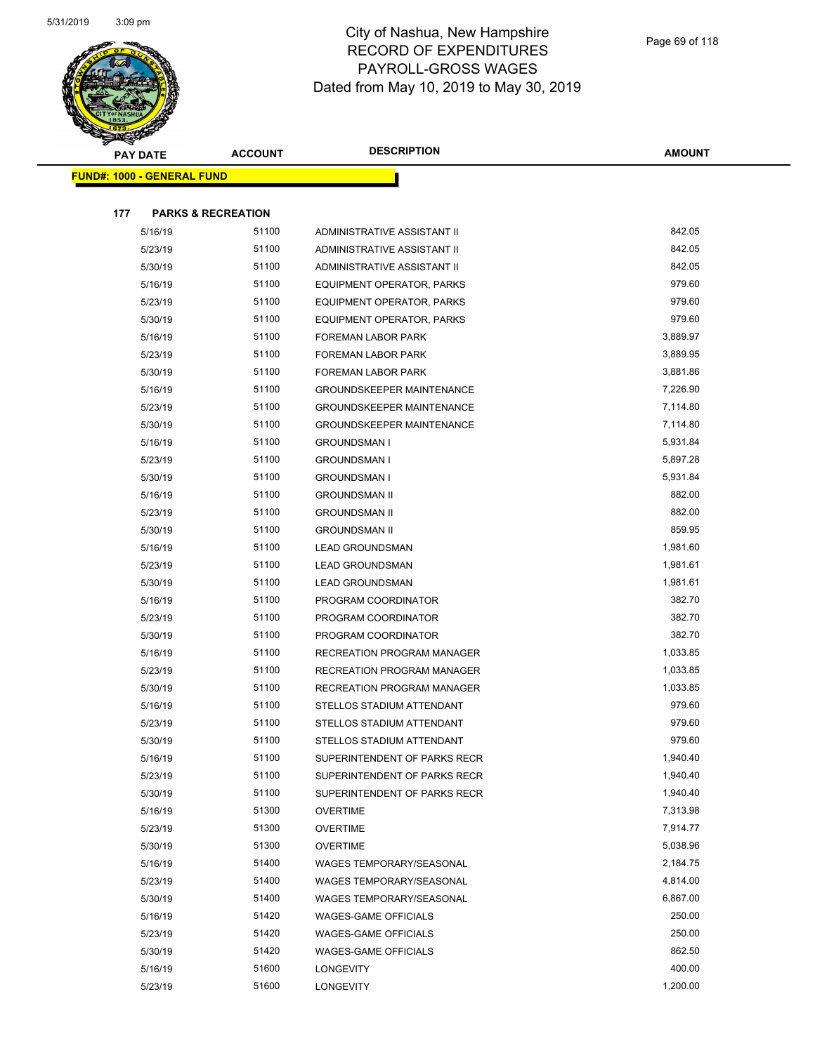

| <b>PARTIES</b> |                                   |                |                                   |               |
|----------------|-----------------------------------|----------------|-----------------------------------|---------------|
|                | <b>PAY DATE</b>                   | <b>ACCOUNT</b> | <b>DESCRIPTION</b>                | <b>AMOUNT</b> |
|                | <b>FUND#: 1000 - GENERAL FUND</b> |                |                                   |               |
|                |                                   |                |                                   |               |
| 177            | <b>PARKS &amp; RECREATION</b>     |                |                                   |               |
|                | 5/16/19                           | 51100          | ADMINISTRATIVE ASSISTANT II       | 842.05        |
|                | 5/23/19                           | 51100          | ADMINISTRATIVE ASSISTANT II       | 842.05        |
|                | 5/30/19                           | 51100          | ADMINISTRATIVE ASSISTANT II       | 842.05        |
|                | 5/16/19                           | 51100          | EQUIPMENT OPERATOR, PARKS         | 979.60        |
|                | 5/23/19                           | 51100          | EQUIPMENT OPERATOR, PARKS         | 979.60        |
|                | 5/30/19                           | 51100          | EQUIPMENT OPERATOR, PARKS         | 979.60        |
|                | 5/16/19                           | 51100          | FOREMAN LABOR PARK                | 3,889.97      |
|                | 5/23/19                           | 51100          | FOREMAN LABOR PARK                | 3,889.95      |
|                | 5/30/19                           | 51100          | FOREMAN LABOR PARK                | 3,881.86      |
|                | 5/16/19                           | 51100          | <b>GROUNDSKEEPER MAINTENANCE</b>  | 7,226.90      |
|                | 5/23/19                           | 51100          | <b>GROUNDSKEEPER MAINTENANCE</b>  | 7,114.80      |
|                | 5/30/19                           | 51100          | <b>GROUNDSKEEPER MAINTENANCE</b>  | 7,114.80      |
|                | 5/16/19                           | 51100          | <b>GROUNDSMAN I</b>               | 5,931.84      |
|                | 5/23/19                           | 51100          | <b>GROUNDSMAN I</b>               | 5,897.28      |
|                | 5/30/19                           | 51100          | <b>GROUNDSMAN I</b>               | 5,931.84      |
|                | 5/16/19                           | 51100          | <b>GROUNDSMAN II</b>              | 882.00        |
|                | 5/23/19                           | 51100          | <b>GROUNDSMAN II</b>              | 882.00        |
|                | 5/30/19                           | 51100          | <b>GROUNDSMAN II</b>              | 859.95        |
|                | 5/16/19                           | 51100          | <b>LEAD GROUNDSMAN</b>            | 1,981.60      |
|                | 5/23/19                           | 51100          | <b>LEAD GROUNDSMAN</b>            | 1,981.61      |
|                | 5/30/19                           | 51100          | <b>LEAD GROUNDSMAN</b>            | 1,981.61      |
|                | 5/16/19                           | 51100          | PROGRAM COORDINATOR               | 382.70        |
|                | 5/23/19                           | 51100          | PROGRAM COORDINATOR               | 382.70        |
|                | 5/30/19                           | 51100          | PROGRAM COORDINATOR               | 382.70        |
|                | 5/16/19                           | 51100          | <b>RECREATION PROGRAM MANAGER</b> | 1,033.85      |
|                | 5/23/19                           | 51100          | <b>RECREATION PROGRAM MANAGER</b> | 1,033.85      |
|                | 5/30/19                           | 51100          | <b>RECREATION PROGRAM MANAGER</b> | 1,033.85      |
|                | 5/16/19                           | 51100          | STELLOS STADIUM ATTENDANT         | 979.60        |
|                | 5/23/19                           | 51100          | STELLOS STADIUM ATTENDANT         | 979.60        |
|                | 5/30/19                           | 51100          | STELLOS STADIUM ATTENDANT         | 979.60        |
|                | 5/16/19                           | 51100          | SUPERINTENDENT OF PARKS RECR      | 1,940.40      |
|                | 5/23/19                           | 51100          | SUPERINTENDENT OF PARKS RECR      | 1,940.40      |
|                | 5/30/19                           | 51100          | SUPERINTENDENT OF PARKS RECR      | 1,940.40      |
|                | 5/16/19                           | 51300          | <b>OVERTIME</b>                   | 7,313.98      |
|                | 5/23/19                           | 51300          | <b>OVERTIME</b>                   | 7,914.77      |
|                | 5/30/19                           | 51300          | OVERTIME                          | 5,038.96      |
|                | 5/16/19                           | 51400          | <b>WAGES TEMPORARY/SEASONAL</b>   | 2,184.75      |
|                | 5/23/19                           | 51400          | WAGES TEMPORARY/SEASONAL          | 4,814.00      |
|                | 5/30/19                           | 51400          | WAGES TEMPORARY/SEASONAL          | 6,867.00      |
|                | 5/16/19                           | 51420          | <b>WAGES-GAME OFFICIALS</b>       | 250.00        |
|                | 5/23/19                           | 51420          | <b>WAGES-GAME OFFICIALS</b>       | 250.00        |
|                | 5/30/19                           | 51420          | <b>WAGES-GAME OFFICIALS</b>       | 862.50        |
|                | 5/16/19                           | 51600          | <b>LONGEVITY</b>                  | 400.00        |
|                | 5/23/19                           | 51600          | <b>LONGEVITY</b>                  | 1,200.00      |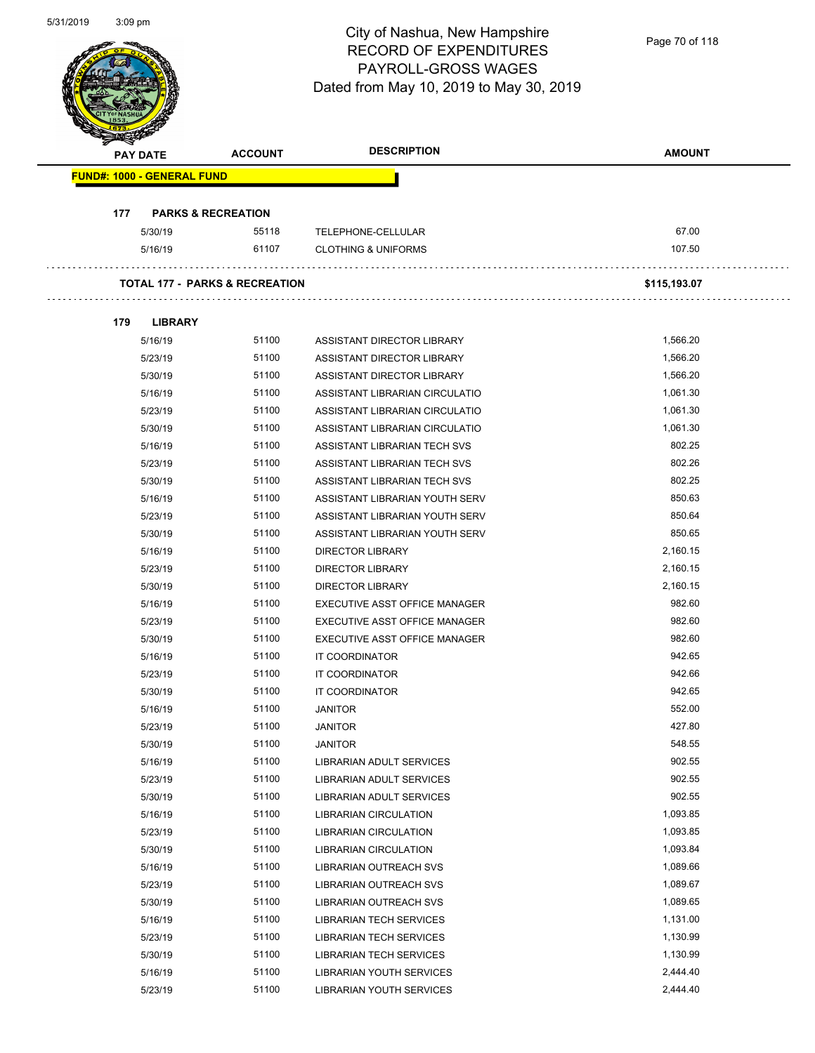Page 70 of 118

| <b>PAY DATE</b><br><b>FUND#: 1000 - GENERAL FUND</b><br><b>PARKS &amp; RECREATION</b><br>177<br>5/30/19<br>5/16/19<br><b>TOTAL 177 - PARKS &amp; RECREATION</b><br>179<br><b>LIBRARY</b><br>5/16/19<br>5/23/19<br>5/30/19<br>5/16/19<br>5/23/19<br>5/30/19<br>5/16/19<br>5/23/19 | <b>ACCOUNT</b><br>55118<br>61107<br>51100<br>51100<br>51100<br>51100<br>51100<br>51100<br>51100 | TELEPHONE-CELLULAR<br><b>CLOTHING &amp; UNIFORMS</b><br>ASSISTANT DIRECTOR LIBRARY<br>ASSISTANT DIRECTOR LIBRARY<br>ASSISTANT DIRECTOR LIBRARY<br>ASSISTANT LIBRARIAN CIRCULATIO | 67.00<br>107.50<br>\$115,193.07<br>1,566.20<br>1,566.20<br>1,566.20 |
|----------------------------------------------------------------------------------------------------------------------------------------------------------------------------------------------------------------------------------------------------------------------------------|-------------------------------------------------------------------------------------------------|----------------------------------------------------------------------------------------------------------------------------------------------------------------------------------|---------------------------------------------------------------------|
|                                                                                                                                                                                                                                                                                  |                                                                                                 |                                                                                                                                                                                  |                                                                     |
|                                                                                                                                                                                                                                                                                  |                                                                                                 |                                                                                                                                                                                  |                                                                     |
|                                                                                                                                                                                                                                                                                  |                                                                                                 |                                                                                                                                                                                  |                                                                     |
|                                                                                                                                                                                                                                                                                  |                                                                                                 |                                                                                                                                                                                  |                                                                     |
|                                                                                                                                                                                                                                                                                  |                                                                                                 |                                                                                                                                                                                  |                                                                     |
|                                                                                                                                                                                                                                                                                  |                                                                                                 |                                                                                                                                                                                  |                                                                     |
|                                                                                                                                                                                                                                                                                  |                                                                                                 |                                                                                                                                                                                  |                                                                     |
|                                                                                                                                                                                                                                                                                  |                                                                                                 |                                                                                                                                                                                  |                                                                     |
|                                                                                                                                                                                                                                                                                  |                                                                                                 |                                                                                                                                                                                  |                                                                     |
|                                                                                                                                                                                                                                                                                  |                                                                                                 |                                                                                                                                                                                  |                                                                     |
|                                                                                                                                                                                                                                                                                  |                                                                                                 |                                                                                                                                                                                  | 1,061.30                                                            |
|                                                                                                                                                                                                                                                                                  |                                                                                                 | ASSISTANT LIBRARIAN CIRCULATIO                                                                                                                                                   | 1,061.30                                                            |
|                                                                                                                                                                                                                                                                                  |                                                                                                 | ASSISTANT LIBRARIAN CIRCULATIO                                                                                                                                                   | 1,061.30                                                            |
|                                                                                                                                                                                                                                                                                  |                                                                                                 | ASSISTANT LIBRARIAN TECH SVS                                                                                                                                                     | 802.25                                                              |
|                                                                                                                                                                                                                                                                                  | 51100                                                                                           | ASSISTANT LIBRARIAN TECH SVS                                                                                                                                                     | 802.26                                                              |
| 5/30/19                                                                                                                                                                                                                                                                          | 51100                                                                                           | ASSISTANT LIBRARIAN TECH SVS                                                                                                                                                     | 802.25                                                              |
| 5/16/19                                                                                                                                                                                                                                                                          | 51100                                                                                           | ASSISTANT LIBRARIAN YOUTH SERV                                                                                                                                                   | 850.63                                                              |
| 5/23/19                                                                                                                                                                                                                                                                          | 51100                                                                                           | ASSISTANT LIBRARIAN YOUTH SERV                                                                                                                                                   | 850.64                                                              |
| 5/30/19                                                                                                                                                                                                                                                                          | 51100                                                                                           | ASSISTANT LIBRARIAN YOUTH SERV                                                                                                                                                   | 850.65                                                              |
| 5/16/19                                                                                                                                                                                                                                                                          | 51100                                                                                           | <b>DIRECTOR LIBRARY</b>                                                                                                                                                          | 2,160.15                                                            |
| 5/23/19                                                                                                                                                                                                                                                                          | 51100                                                                                           | <b>DIRECTOR LIBRARY</b>                                                                                                                                                          | 2,160.15                                                            |
| 5/30/19                                                                                                                                                                                                                                                                          | 51100                                                                                           | <b>DIRECTOR LIBRARY</b>                                                                                                                                                          | 2,160.15                                                            |
| 5/16/19                                                                                                                                                                                                                                                                          | 51100                                                                                           | EXECUTIVE ASST OFFICE MANAGER                                                                                                                                                    | 982.60                                                              |
| 5/23/19                                                                                                                                                                                                                                                                          | 51100                                                                                           | EXECUTIVE ASST OFFICE MANAGER                                                                                                                                                    | 982.60                                                              |
| 5/30/19                                                                                                                                                                                                                                                                          | 51100                                                                                           | EXECUTIVE ASST OFFICE MANAGER                                                                                                                                                    | 982.60                                                              |
| 5/16/19                                                                                                                                                                                                                                                                          | 51100                                                                                           | IT COORDINATOR                                                                                                                                                                   | 942.65                                                              |
| 5/23/19                                                                                                                                                                                                                                                                          | 51100                                                                                           | IT COORDINATOR                                                                                                                                                                   | 942.66                                                              |
| 5/30/19                                                                                                                                                                                                                                                                          | 51100                                                                                           | IT COORDINATOR                                                                                                                                                                   | 942.65                                                              |
| 5/16/19                                                                                                                                                                                                                                                                          | 51100                                                                                           | <b>JANITOR</b>                                                                                                                                                                   | 552.00                                                              |
| 5/23/19                                                                                                                                                                                                                                                                          | 51100                                                                                           | <b>JANITOR</b>                                                                                                                                                                   | 427.80                                                              |
| 5/30/19                                                                                                                                                                                                                                                                          | 51100                                                                                           | <b>JANITOR</b>                                                                                                                                                                   | 548.55                                                              |
| 5/16/19                                                                                                                                                                                                                                                                          | 51100                                                                                           | <b>LIBRARIAN ADULT SERVICES</b>                                                                                                                                                  | 902.55                                                              |
| 5/23/19                                                                                                                                                                                                                                                                          | 51100                                                                                           | <b>LIBRARIAN ADULT SERVICES</b>                                                                                                                                                  | 902.55                                                              |
| 5/30/19                                                                                                                                                                                                                                                                          | 51100                                                                                           | LIBRARIAN ADULT SERVICES                                                                                                                                                         | 902.55                                                              |
| 5/16/19                                                                                                                                                                                                                                                                          | 51100                                                                                           | <b>LIBRARIAN CIRCULATION</b>                                                                                                                                                     | 1,093.85                                                            |
| 5/23/19                                                                                                                                                                                                                                                                          | 51100                                                                                           | <b>LIBRARIAN CIRCULATION</b>                                                                                                                                                     | 1,093.85                                                            |
| 5/30/19                                                                                                                                                                                                                                                                          | 51100                                                                                           | LIBRARIAN CIRCULATION                                                                                                                                                            | 1,093.84                                                            |
| 5/16/19                                                                                                                                                                                                                                                                          | 51100                                                                                           | LIBRARIAN OUTREACH SVS                                                                                                                                                           | 1,089.66                                                            |
| 5/23/19                                                                                                                                                                                                                                                                          | 51100                                                                                           | <b>LIBRARIAN OUTREACH SVS</b>                                                                                                                                                    | 1,089.67                                                            |
| 5/30/19                                                                                                                                                                                                                                                                          | 51100                                                                                           | LIBRARIAN OUTREACH SVS                                                                                                                                                           | 1,089.65                                                            |
| 5/16/19                                                                                                                                                                                                                                                                          | 51100                                                                                           | <b>LIBRARIAN TECH SERVICES</b>                                                                                                                                                   | 1,131.00                                                            |
| 5/23/19                                                                                                                                                                                                                                                                          | 51100                                                                                           | <b>LIBRARIAN TECH SERVICES</b>                                                                                                                                                   | 1,130.99                                                            |
| 5/30/19                                                                                                                                                                                                                                                                          | 51100                                                                                           | <b>LIBRARIAN TECH SERVICES</b>                                                                                                                                                   | 1,130.99                                                            |
| 5/16/19                                                                                                                                                                                                                                                                          | 51100                                                                                           | LIBRARIAN YOUTH SERVICES                                                                                                                                                         | 2,444.40                                                            |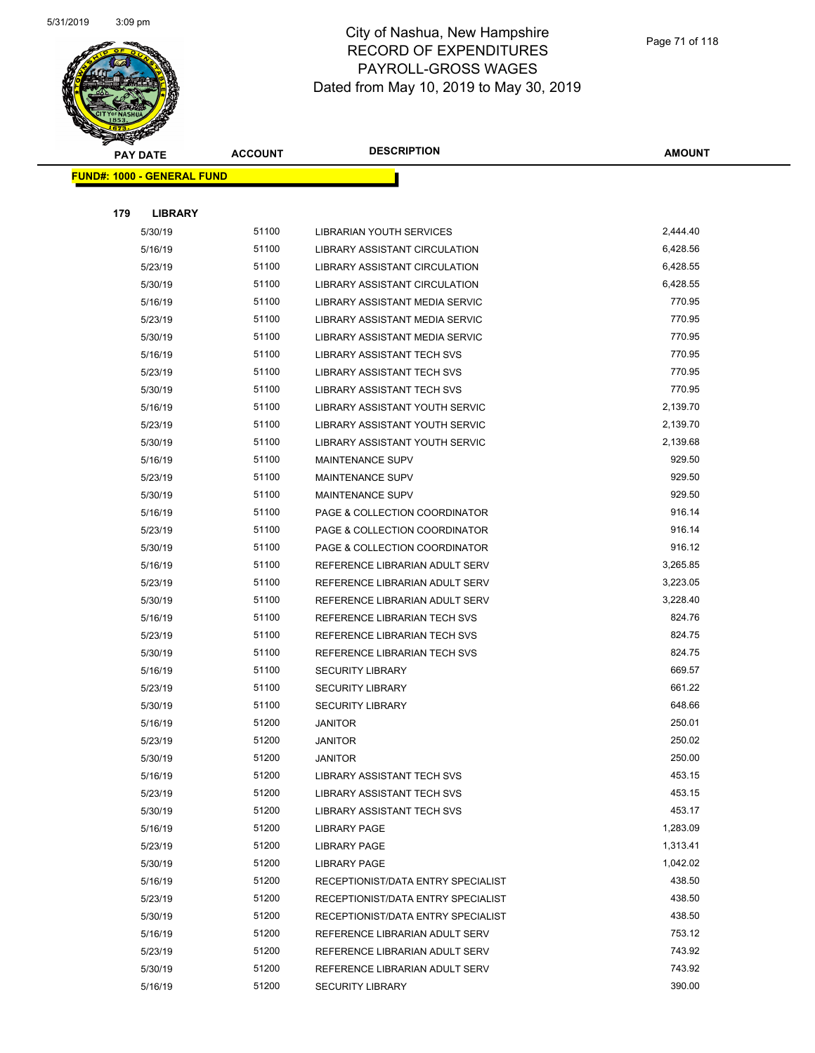

|     | <b>PAY DATE</b>                    | <b>ACCOUNT</b> | <b>DESCRIPTION</b>                    | <b>AMOUNT</b> |
|-----|------------------------------------|----------------|---------------------------------------|---------------|
|     | <u> FUND#: 1000 - GENERAL FUND</u> |                |                                       |               |
|     |                                    |                |                                       |               |
| 179 | <b>LIBRARY</b>                     |                |                                       |               |
|     | 5/30/19                            | 51100          | LIBRARIAN YOUTH SERVICES              | 2,444.40      |
|     | 5/16/19                            | 51100          | LIBRARY ASSISTANT CIRCULATION         | 6,428.56      |
|     | 5/23/19                            | 51100          | LIBRARY ASSISTANT CIRCULATION         | 6,428.55      |
|     | 5/30/19                            | 51100          | LIBRARY ASSISTANT CIRCULATION         | 6,428.55      |
|     | 5/16/19                            | 51100          | LIBRARY ASSISTANT MEDIA SERVIC        | 770.95        |
|     | 5/23/19                            | 51100          | <b>LIBRARY ASSISTANT MEDIA SERVIC</b> | 770.95        |
|     | 5/30/19                            | 51100          | <b>LIBRARY ASSISTANT MEDIA SERVIC</b> | 770.95        |
|     | 5/16/19                            | 51100          | <b>LIBRARY ASSISTANT TECH SVS</b>     | 770.95        |
|     | 5/23/19                            | 51100          | <b>LIBRARY ASSISTANT TECH SVS</b>     | 770.95        |
|     | 5/30/19                            | 51100          | <b>LIBRARY ASSISTANT TECH SVS</b>     | 770.95        |
|     | 5/16/19                            | 51100          | LIBRARY ASSISTANT YOUTH SERVIC        | 2,139.70      |
|     | 5/23/19                            | 51100          | LIBRARY ASSISTANT YOUTH SERVIC        | 2,139.70      |
|     | 5/30/19                            | 51100          | LIBRARY ASSISTANT YOUTH SERVIC        | 2,139.68      |
|     | 5/16/19                            | 51100          | MAINTENANCE SUPV                      | 929.50        |
|     | 5/23/19                            | 51100          | <b>MAINTENANCE SUPV</b>               | 929.50        |
|     | 5/30/19                            | 51100          | <b>MAINTENANCE SUPV</b>               | 929.50        |
|     | 5/16/19                            | 51100          | PAGE & COLLECTION COORDINATOR         | 916.14        |
|     | 5/23/19                            | 51100          | PAGE & COLLECTION COORDINATOR         | 916.14        |
|     | 5/30/19                            | 51100          | PAGE & COLLECTION COORDINATOR         | 916.12        |
|     | 5/16/19                            | 51100          | REFERENCE LIBRARIAN ADULT SERV        | 3,265.85      |
|     | 5/23/19                            | 51100          | REFERENCE LIBRARIAN ADULT SERV        | 3,223.05      |
|     | 5/30/19                            | 51100          | REFERENCE LIBRARIAN ADULT SERV        | 3,228.40      |
|     | 5/16/19                            | 51100          | REFERENCE LIBRARIAN TECH SVS          | 824.76        |
|     | 5/23/19                            | 51100          | REFERENCE LIBRARIAN TECH SVS          | 824.75        |
|     | 5/30/19                            | 51100          | REFERENCE LIBRARIAN TECH SVS          | 824.75        |
|     | 5/16/19                            | 51100          | <b>SECURITY LIBRARY</b>               | 669.57        |
|     | 5/23/19                            | 51100          | <b>SECURITY LIBRARY</b>               | 661.22        |
|     | 5/30/19                            | 51100          | <b>SECURITY LIBRARY</b>               | 648.66        |
|     | 5/16/19                            | 51200          | <b>JANITOR</b>                        | 250.01        |
|     | 5/23/19                            | 51200          | <b>JANITOR</b>                        | 250.02        |
|     | 5/30/19                            | 51200          | <b>JANITOR</b>                        | 250.00        |
|     | 5/16/19                            | 51200          | <b>LIBRARY ASSISTANT TECH SVS</b>     | 453.15        |
|     | 5/23/19                            | 51200          | LIBRARY ASSISTANT TECH SVS            | 453.15        |
|     | 5/30/19                            | 51200          | LIBRARY ASSISTANT TECH SVS            | 453.17        |
|     | 5/16/19                            | 51200          | <b>LIBRARY PAGE</b>                   | 1,283.09      |
|     | 5/23/19                            | 51200          | <b>LIBRARY PAGE</b>                   | 1,313.41      |
|     | 5/30/19                            | 51200          | <b>LIBRARY PAGE</b>                   | 1,042.02      |
|     | 5/16/19                            | 51200          | RECEPTIONIST/DATA ENTRY SPECIALIST    | 438.50        |
|     | 5/23/19                            | 51200          | RECEPTIONIST/DATA ENTRY SPECIALIST    | 438.50        |
|     | 5/30/19                            | 51200          | RECEPTIONIST/DATA ENTRY SPECIALIST    | 438.50        |
|     | 5/16/19                            | 51200          | REFERENCE LIBRARIAN ADULT SERV        | 753.12        |
|     | 5/23/19                            | 51200          | REFERENCE LIBRARIAN ADULT SERV        | 743.92        |
|     | 5/30/19                            | 51200          | REFERENCE LIBRARIAN ADULT SERV        | 743.92        |
|     | 5/16/19                            | 51200          | <b>SECURITY LIBRARY</b>               | 390.00        |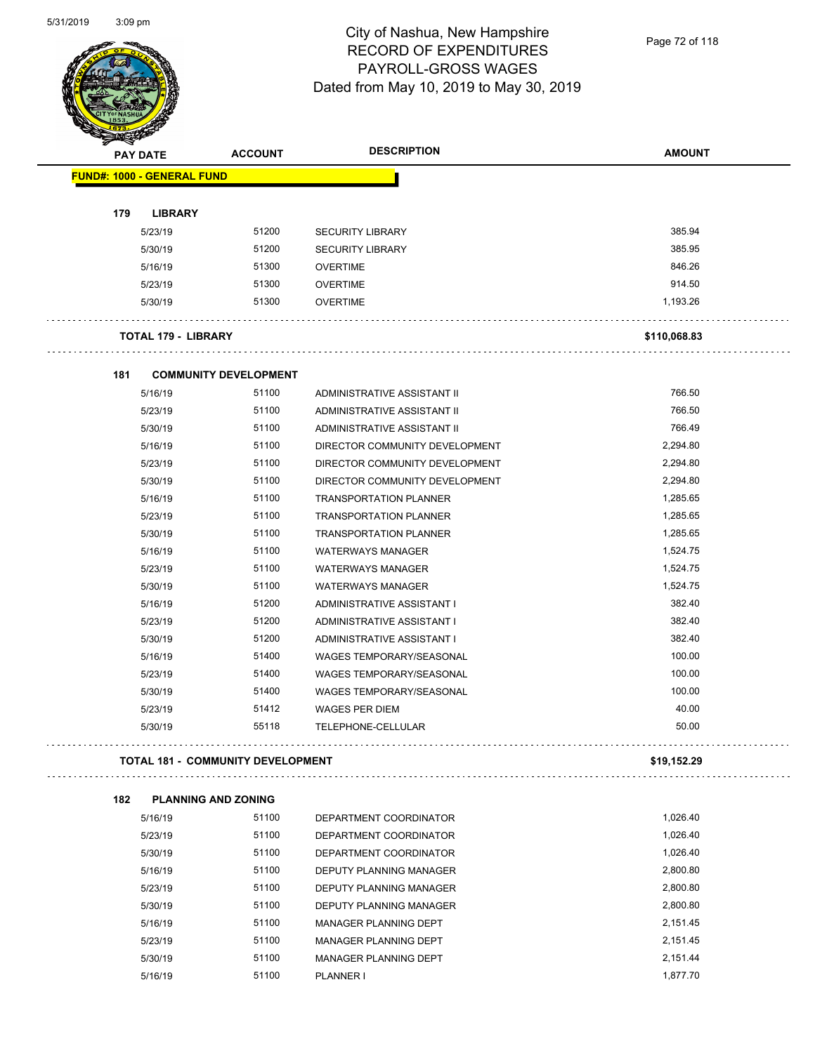$\overline{\phantom{0}}$ 



### City of Nashua, New Hampshire RECORD OF EXPENDITURES PAYROLL-GROSS WAGES Dated from May 10, 2019 to May 30, 2019

Page 72 of 118

| <b>PAY DATE</b>                   | <b>ACCOUNT</b>                           | <b>DESCRIPTION</b>              | <b>AMOUNT</b> |
|-----------------------------------|------------------------------------------|---------------------------------|---------------|
| <b>FUND#: 1000 - GENERAL FUND</b> |                                          |                                 |               |
| 179<br><b>LIBRARY</b>             |                                          |                                 |               |
| 5/23/19                           | 51200                                    | <b>SECURITY LIBRARY</b>         | 385.94        |
| 5/30/19                           | 51200                                    | <b>SECURITY LIBRARY</b>         | 385.95        |
| 5/16/19                           | 51300                                    | <b>OVERTIME</b>                 | 846.26        |
| 5/23/19                           | 51300                                    | <b>OVERTIME</b>                 | 914.50        |
| 5/30/19                           | 51300                                    | <b>OVERTIME</b>                 | 1,193.26      |
| <b>TOTAL 179 - LIBRARY</b>        |                                          |                                 | \$110,068.83  |
| 181                               | <b>COMMUNITY DEVELOPMENT</b>             |                                 |               |
| 5/16/19                           | 51100                                    | ADMINISTRATIVE ASSISTANT II     | 766.50        |
| 5/23/19                           | 51100                                    | ADMINISTRATIVE ASSISTANT II     | 766.50        |
| 5/30/19                           | 51100                                    | ADMINISTRATIVE ASSISTANT II     | 766.49        |
| 5/16/19                           | 51100                                    | DIRECTOR COMMUNITY DEVELOPMENT  | 2,294.80      |
| 5/23/19                           | 51100                                    | DIRECTOR COMMUNITY DEVELOPMENT  | 2,294.80      |
| 5/30/19                           | 51100                                    | DIRECTOR COMMUNITY DEVELOPMENT  | 2,294.80      |
| 5/16/19                           | 51100                                    | <b>TRANSPORTATION PLANNER</b>   | 1,285.65      |
| 5/23/19                           | 51100                                    | <b>TRANSPORTATION PLANNER</b>   | 1,285.65      |
| 5/30/19                           | 51100                                    | <b>TRANSPORTATION PLANNER</b>   | 1,285.65      |
| 5/16/19                           | 51100                                    | <b>WATERWAYS MANAGER</b>        | 1,524.75      |
| 5/23/19                           | 51100                                    | <b>WATERWAYS MANAGER</b>        | 1,524.75      |
| 5/30/19                           | 51100                                    | <b>WATERWAYS MANAGER</b>        | 1,524.75      |
| 5/16/19                           | 51200                                    | ADMINISTRATIVE ASSISTANT I      | 382.40        |
| 5/23/19                           | 51200                                    | ADMINISTRATIVE ASSISTANT I      | 382.40        |
| 5/30/19                           | 51200                                    | ADMINISTRATIVE ASSISTANT I      | 382.40        |
| 5/16/19                           | 51400                                    | <b>WAGES TEMPORARY/SEASONAL</b> | 100.00        |
| 5/23/19                           | 51400                                    | <b>WAGES TEMPORARY/SEASONAL</b> | 100.00        |
| 5/30/19                           | 51400                                    | WAGES TEMPORARY/SEASONAL        | 100.00        |
| 5/23/19                           | 51412                                    | <b>WAGES PER DIEM</b>           | 40.00         |
| 5/30/19                           | 55118                                    | TELEPHONE-CELLULAR              | 50.00         |
|                                   | <b>TOTAL 181 - COMMUNITY DEVELOPMENT</b> |                                 | \$19,152.29   |
| 182                               | <b>PLANNING AND ZONING</b>               |                                 |               |
| 5/16/19                           | 51100                                    | DEPARTMENT COORDINATOR          | 1,026.40      |
| 5/23/19                           | 51100                                    | DEPARTMENT COORDINATOR          | 1,026.40      |
| 5/30/19                           | 51100                                    | DEPARTMENT COORDINATOR          | 1,026.40      |
| 5/16/19                           | 51100                                    | DEPUTY PLANNING MANAGER         | 2,800.80      |
| 5/23/19                           | 51100                                    | DEPUTY PLANNING MANAGER         | 2,800.80      |
| 5/30/19                           | 51100                                    | DEPUTY PLANNING MANAGER         | 2,800.80      |
| 5/16/19                           | 51100                                    | MANAGER PLANNING DEPT           | 2,151.45      |
| 5/23/19                           | 51100                                    | MANAGER PLANNING DEPT           | 2,151.45      |
| 5/30/19                           | 51100                                    | MANAGER PLANNING DEPT           | 2,151.44      |
| 5/16/19                           | 51100                                    | PLANNER I                       | 1,877.70      |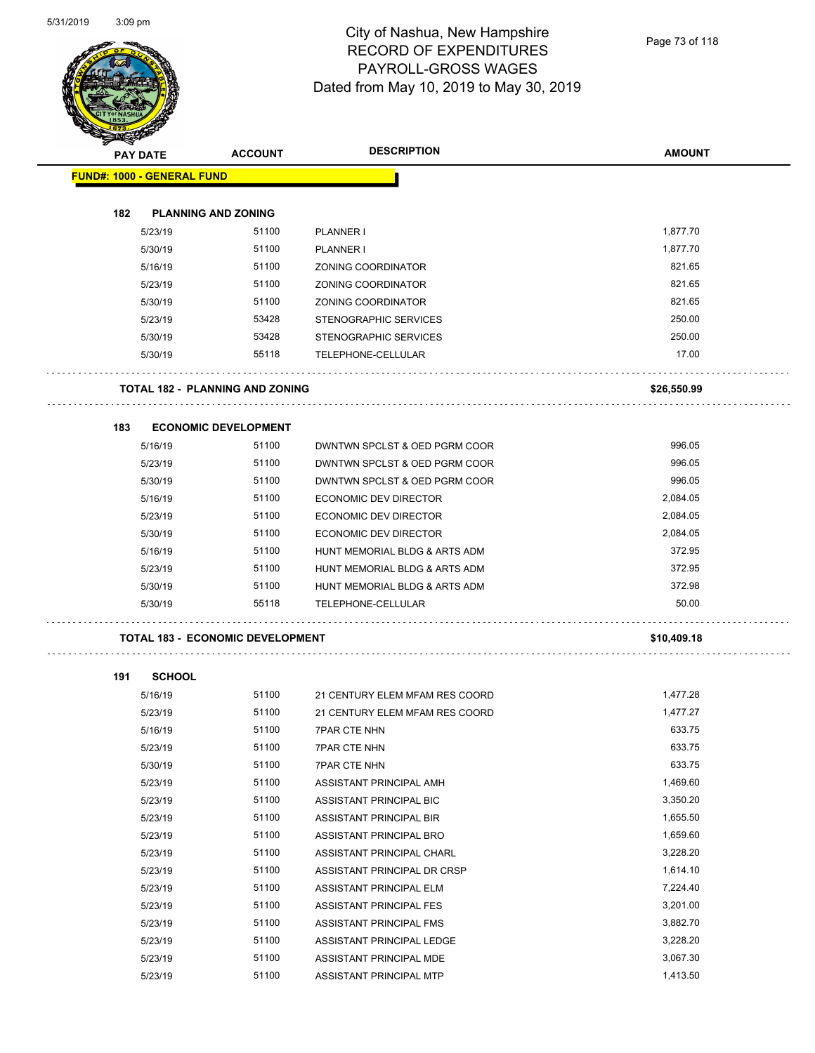

Page 73 of 118

| <b>STARTING CARD</b>              |                                         |                                |               |
|-----------------------------------|-----------------------------------------|--------------------------------|---------------|
| <b>PAY DATE</b>                   | <b>ACCOUNT</b>                          | <b>DESCRIPTION</b>             | <b>AMOUNT</b> |
| <b>FUND#: 1000 - GENERAL FUND</b> |                                         |                                |               |
|                                   |                                         |                                |               |
| 182                               | <b>PLANNING AND ZONING</b>              |                                |               |
| 5/23/19                           | 51100                                   | PLANNER I                      | 1,877.70      |
| 5/30/19                           | 51100                                   | PLANNER I                      | 1,877.70      |
| 5/16/19                           | 51100                                   | ZONING COORDINATOR             | 821.65        |
| 5/23/19                           | 51100                                   | <b>ZONING COORDINATOR</b>      | 821.65        |
| 5/30/19                           | 51100                                   | <b>ZONING COORDINATOR</b>      | 821.65        |
| 5/23/19                           | 53428                                   | STENOGRAPHIC SERVICES          | 250.00        |
| 5/30/19                           | 53428                                   | STENOGRAPHIC SERVICES          | 250.00        |
| 5/30/19                           | 55118                                   | TELEPHONE-CELLULAR             | 17.00         |
|                                   | TOTAL 182 - PLANNING AND ZONING         |                                | \$26,550.99   |
| 183                               | <b>ECONOMIC DEVELOPMENT</b>             |                                |               |
| 5/16/19                           | 51100                                   | DWNTWN SPCLST & OED PGRM COOR  | 996.05        |
| 5/23/19                           | 51100                                   | DWNTWN SPCLST & OED PGRM COOR  | 996.05        |
| 5/30/19                           | 51100                                   | DWNTWN SPCLST & OED PGRM COOR  | 996.05        |
| 5/16/19                           | 51100                                   | <b>ECONOMIC DEV DIRECTOR</b>   | 2,084.05      |
| 5/23/19                           | 51100                                   | <b>ECONOMIC DEV DIRECTOR</b>   | 2,084.05      |
| 5/30/19                           | 51100                                   | ECONOMIC DEV DIRECTOR          | 2,084.05      |
| 5/16/19                           | 51100                                   | HUNT MEMORIAL BLDG & ARTS ADM  | 372.95        |
| 5/23/19                           | 51100                                   | HUNT MEMORIAL BLDG & ARTS ADM  | 372.95        |
| 5/30/19                           | 51100                                   | HUNT MEMORIAL BLDG & ARTS ADM  | 372.98        |
| 5/30/19                           | 55118                                   | TELEPHONE-CELLULAR             | 50.00         |
|                                   | <b>TOTAL 183 - ECONOMIC DEVELOPMENT</b> |                                | \$10,409.18   |
| 191<br><b>SCHOOL</b>              |                                         |                                |               |
| 5/16/19                           | 51100                                   | 21 CENTURY ELEM MFAM RES COORD | 1,477.28      |
| 5/23/19                           | 51100                                   | 21 CENTURY ELEM MFAM RES COORD | 1,477.27      |
| 5/16/19                           | 51100                                   | 7PAR CTE NHN                   | 633.75        |
| 5/23/19                           | 51100                                   | <b>7PAR CTE NHN</b>            | 633.75        |
| 5/30/19                           | 51100                                   | <b>7PAR CTE NHN</b>            | 633.75        |
| 5/23/19                           | 51100                                   | ASSISTANT PRINCIPAL AMH        | 1,469.60      |
| 5/23/19                           | 51100                                   | ASSISTANT PRINCIPAL BIC        | 3,350.20      |
| 5/23/19                           | 51100                                   | ASSISTANT PRINCIPAL BIR        | 1,655.50      |
| 5/23/19                           | 51100                                   | ASSISTANT PRINCIPAL BRO        | 1,659.60      |
| 5/23/19                           | 51100                                   | ASSISTANT PRINCIPAL CHARL      | 3,228.20      |
| 5/23/19                           | 51100                                   | ASSISTANT PRINCIPAL DR CRSP    | 1,614.10      |
| 5/23/19                           | 51100                                   | ASSISTANT PRINCIPAL ELM        | 7,224.40      |
| 5/23/19                           | 51100                                   | ASSISTANT PRINCIPAL FES        | 3,201.00      |
| 5/23/19                           | 51100                                   | ASSISTANT PRINCIPAL FMS        | 3,882.70      |
| 5/23/19                           | 51100                                   | ASSISTANT PRINCIPAL LEDGE      | 3,228.20      |
| 5/23/19                           | 51100                                   | ASSISTANT PRINCIPAL MDE        | 3,067.30      |

5/23/19 51100 ASSISTANT PRINCIPAL MTP 1,413.50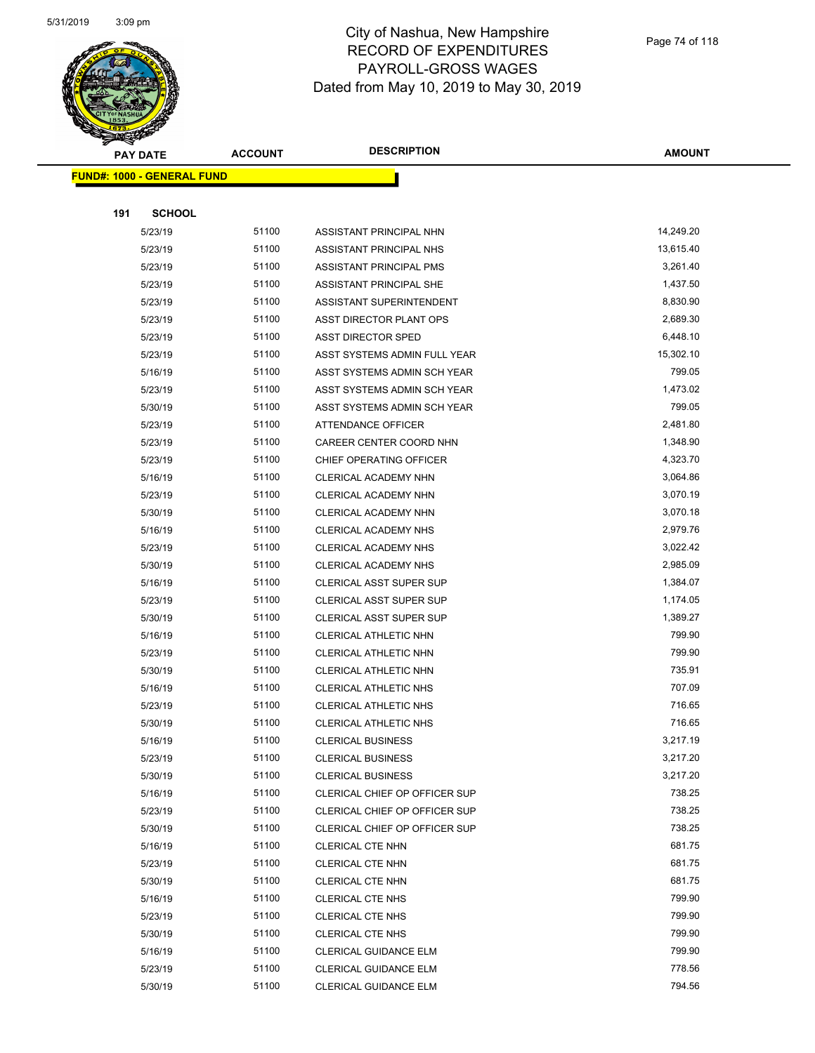

Page 74 of 118

|                                   | <b>PAY DATE</b> | <b>ACCOUNT</b> | <b>DESCRIPTION</b>             | <b>AMOUNT</b> |  |  |
|-----------------------------------|-----------------|----------------|--------------------------------|---------------|--|--|
| <b>FUND#: 1000 - GENERAL FUND</b> |                 |                |                                |               |  |  |
|                                   |                 |                |                                |               |  |  |
| 191                               | <b>SCHOOL</b>   |                |                                |               |  |  |
|                                   | 5/23/19         | 51100          | ASSISTANT PRINCIPAL NHN        | 14,249.20     |  |  |
|                                   | 5/23/19         | 51100          | ASSISTANT PRINCIPAL NHS        | 13,615.40     |  |  |
|                                   | 5/23/19         | 51100          | ASSISTANT PRINCIPAL PMS        | 3,261.40      |  |  |
|                                   | 5/23/19         | 51100          | ASSISTANT PRINCIPAL SHE        | 1,437.50      |  |  |
|                                   | 5/23/19         | 51100          | ASSISTANT SUPERINTENDENT       | 8,830.90      |  |  |
|                                   | 5/23/19         | 51100          | ASST DIRECTOR PLANT OPS        | 2,689.30      |  |  |
|                                   | 5/23/19         | 51100          | <b>ASST DIRECTOR SPED</b>      | 6,448.10      |  |  |
|                                   | 5/23/19         | 51100          | ASST SYSTEMS ADMIN FULL YEAR   | 15,302.10     |  |  |
|                                   | 5/16/19         | 51100          | ASST SYSTEMS ADMIN SCH YEAR    | 799.05        |  |  |
|                                   | 5/23/19         | 51100          | ASST SYSTEMS ADMIN SCH YEAR    | 1,473.02      |  |  |
|                                   | 5/30/19         | 51100          | ASST SYSTEMS ADMIN SCH YEAR    | 799.05        |  |  |
|                                   | 5/23/19         | 51100          | <b>ATTENDANCE OFFICER</b>      | 2,481.80      |  |  |
|                                   | 5/23/19         | 51100          | CAREER CENTER COORD NHN        | 1,348.90      |  |  |
|                                   | 5/23/19         | 51100          | CHIEF OPERATING OFFICER        | 4,323.70      |  |  |
|                                   | 5/16/19         | 51100          | CLERICAL ACADEMY NHN           | 3,064.86      |  |  |
|                                   | 5/23/19         | 51100          | CLERICAL ACADEMY NHN           | 3,070.19      |  |  |
|                                   | 5/30/19         | 51100          | CLERICAL ACADEMY NHN           | 3,070.18      |  |  |
|                                   | 5/16/19         | 51100          | CLERICAL ACADEMY NHS           | 2,979.76      |  |  |
|                                   | 5/23/19         | 51100          | CLERICAL ACADEMY NHS           | 3,022.42      |  |  |
|                                   | 5/30/19         | 51100          | CLERICAL ACADEMY NHS           | 2,985.09      |  |  |
|                                   | 5/16/19         | 51100          | <b>CLERICAL ASST SUPER SUP</b> | 1,384.07      |  |  |
|                                   | 5/23/19         | 51100          | <b>CLERICAL ASST SUPER SUP</b> | 1,174.05      |  |  |
|                                   | 5/30/19         | 51100          | CLERICAL ASST SUPER SUP        | 1,389.27      |  |  |
|                                   | 5/16/19         | 51100          | CLERICAL ATHLETIC NHN          | 799.90        |  |  |
|                                   | 5/23/19         | 51100          | CLERICAL ATHLETIC NHN          | 799.90        |  |  |
|                                   | 5/30/19         | 51100          | CLERICAL ATHLETIC NHN          | 735.91        |  |  |
|                                   | 5/16/19         | 51100          | <b>CLERICAL ATHLETIC NHS</b>   | 707.09        |  |  |
|                                   | 5/23/19         | 51100          | <b>CLERICAL ATHLETIC NHS</b>   | 716.65        |  |  |
|                                   | 5/30/19         | 51100          | CLERICAL ATHLETIC NHS          | 716.65        |  |  |
|                                   | 5/16/19         | 51100          | <b>CLERICAL BUSINESS</b>       | 3,217.19      |  |  |
|                                   | 5/23/19         | 51100          | <b>CLERICAL BUSINESS</b>       | 3,217.20      |  |  |
|                                   | 5/30/19         | 51100          | <b>CLERICAL BUSINESS</b>       | 3,217.20      |  |  |
|                                   | 5/16/19         | 51100          | CLERICAL CHIEF OP OFFICER SUP  | 738.25        |  |  |
|                                   | 5/23/19         | 51100          | CLERICAL CHIEF OP OFFICER SUP  | 738.25        |  |  |
|                                   | 5/30/19         | 51100          | CLERICAL CHIEF OP OFFICER SUP  | 738.25        |  |  |
|                                   | 5/16/19         | 51100          | <b>CLERICAL CTE NHN</b>        | 681.75        |  |  |
|                                   | 5/23/19         | 51100          | <b>CLERICAL CTE NHN</b>        | 681.75        |  |  |
|                                   | 5/30/19         | 51100          | CLERICAL CTE NHN               | 681.75        |  |  |
|                                   | 5/16/19         | 51100          | <b>CLERICAL CTE NHS</b>        | 799.90        |  |  |
|                                   | 5/23/19         | 51100          | <b>CLERICAL CTE NHS</b>        | 799.90        |  |  |
|                                   | 5/30/19         | 51100          | <b>CLERICAL CTE NHS</b>        | 799.90        |  |  |
|                                   | 5/16/19         | 51100          | <b>CLERICAL GUIDANCE ELM</b>   | 799.90        |  |  |
|                                   | 5/23/19         | 51100          | <b>CLERICAL GUIDANCE ELM</b>   | 778.56        |  |  |
|                                   | 5/30/19         | 51100          | <b>CLERICAL GUIDANCE ELM</b>   | 794.56        |  |  |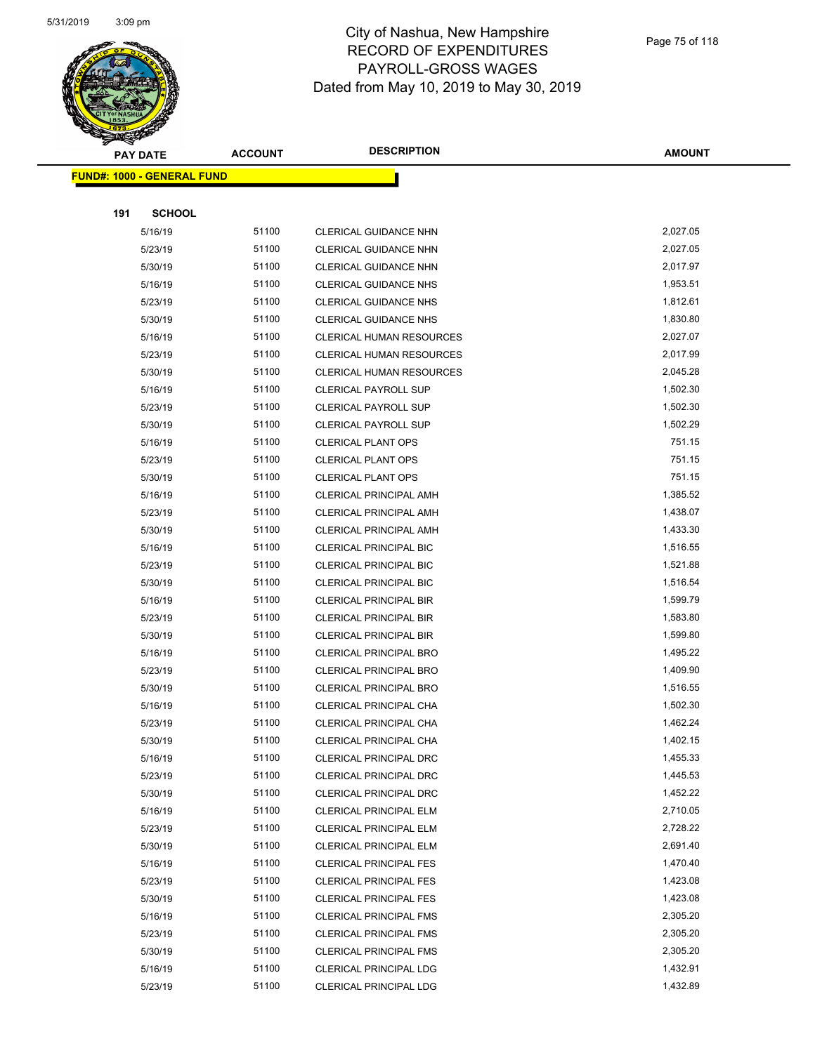

|     | <b>PAY DATE</b>                    | <b>ACCOUNT</b> | <b>DESCRIPTION</b>              | <b>AMOUNT</b> |
|-----|------------------------------------|----------------|---------------------------------|---------------|
|     | <u> FUND#: 1000 - GENERAL FUND</u> |                |                                 |               |
|     |                                    |                |                                 |               |
| 191 | <b>SCHOOL</b>                      |                |                                 |               |
|     | 5/16/19                            | 51100          | <b>CLERICAL GUIDANCE NHN</b>    | 2,027.05      |
|     | 5/23/19                            | 51100          | CLERICAL GUIDANCE NHN           | 2,027.05      |
|     | 5/30/19                            | 51100          | CLERICAL GUIDANCE NHN           | 2,017.97      |
|     | 5/16/19                            | 51100          | <b>CLERICAL GUIDANCE NHS</b>    | 1,953.51      |
|     | 5/23/19                            | 51100          | CLERICAL GUIDANCE NHS           | 1,812.61      |
|     | 5/30/19                            | 51100          | CLERICAL GUIDANCE NHS           | 1,830.80      |
|     | 5/16/19                            | 51100          | <b>CLERICAL HUMAN RESOURCES</b> | 2,027.07      |
|     | 5/23/19                            | 51100          | <b>CLERICAL HUMAN RESOURCES</b> | 2,017.99      |
|     | 5/30/19                            | 51100          | <b>CLERICAL HUMAN RESOURCES</b> | 2,045.28      |
|     | 5/16/19                            | 51100          | <b>CLERICAL PAYROLL SUP</b>     | 1,502.30      |
|     | 5/23/19                            | 51100          | CLERICAL PAYROLL SUP            | 1,502.30      |
|     | 5/30/19                            | 51100          | <b>CLERICAL PAYROLL SUP</b>     | 1,502.29      |
|     | 5/16/19                            | 51100          | <b>CLERICAL PLANT OPS</b>       | 751.15        |
|     | 5/23/19                            | 51100          | <b>CLERICAL PLANT OPS</b>       | 751.15        |
|     | 5/30/19                            | 51100          | <b>CLERICAL PLANT OPS</b>       | 751.15        |
|     | 5/16/19                            | 51100          | CLERICAL PRINCIPAL AMH          | 1,385.52      |
|     | 5/23/19                            | 51100          | CLERICAL PRINCIPAL AMH          | 1,438.07      |
|     | 5/30/19                            | 51100          | CLERICAL PRINCIPAL AMH          | 1,433.30      |
|     | 5/16/19                            | 51100          | <b>CLERICAL PRINCIPAL BIC</b>   | 1,516.55      |
|     | 5/23/19                            | 51100          | CLERICAL PRINCIPAL BIC          | 1,521.88      |
|     | 5/30/19                            | 51100          | CLERICAL PRINCIPAL BIC          | 1,516.54      |
|     | 5/16/19                            | 51100          | <b>CLERICAL PRINCIPAL BIR</b>   | 1,599.79      |
|     | 5/23/19                            | 51100          | <b>CLERICAL PRINCIPAL BIR</b>   | 1,583.80      |
|     | 5/30/19                            | 51100          | <b>CLERICAL PRINCIPAL BIR</b>   | 1,599.80      |
|     | 5/16/19                            | 51100          | CLERICAL PRINCIPAL BRO          | 1,495.22      |
|     | 5/23/19                            | 51100          | CLERICAL PRINCIPAL BRO          | 1,409.90      |
|     | 5/30/19                            | 51100          | <b>CLERICAL PRINCIPAL BRO</b>   | 1,516.55      |
|     | 5/16/19                            | 51100          | CLERICAL PRINCIPAL CHA          | 1,502.30      |
|     | 5/23/19                            | 51100          | CLERICAL PRINCIPAL CHA          | 1,462.24      |
|     | 5/30/19                            | 51100          | CLERICAL PRINCIPAL CHA          | 1,402.15      |
|     | 5/16/19                            | 51100          | CLERICAL PRINCIPAL DRC          | 1,455.33      |
|     | 5/23/19                            | 51100          | CLERICAL PRINCIPAL DRC          | 1,445.53      |
|     | 5/30/19                            | 51100          | CLERICAL PRINCIPAL DRC          | 1,452.22      |
|     | 5/16/19                            | 51100          | <b>CLERICAL PRINCIPAL ELM</b>   | 2,710.05      |
|     | 5/23/19                            | 51100          | CLERICAL PRINCIPAL ELM          | 2,728.22      |
|     | 5/30/19                            | 51100          | CLERICAL PRINCIPAL ELM          | 2,691.40      |
|     | 5/16/19                            | 51100          | <b>CLERICAL PRINCIPAL FES</b>   | 1,470.40      |
|     | 5/23/19                            | 51100          | <b>CLERICAL PRINCIPAL FES</b>   | 1,423.08      |
|     | 5/30/19                            | 51100          | <b>CLERICAL PRINCIPAL FES</b>   | 1,423.08      |
|     | 5/16/19                            | 51100          | <b>CLERICAL PRINCIPAL FMS</b>   | 2,305.20      |
|     | 5/23/19                            | 51100          | <b>CLERICAL PRINCIPAL FMS</b>   | 2,305.20      |
|     | 5/30/19                            | 51100          | <b>CLERICAL PRINCIPAL FMS</b>   | 2,305.20      |
|     | 5/16/19                            | 51100          | CLERICAL PRINCIPAL LDG          | 1,432.91      |
|     | 5/23/19                            | 51100          | CLERICAL PRINCIPAL LDG          | 1,432.89      |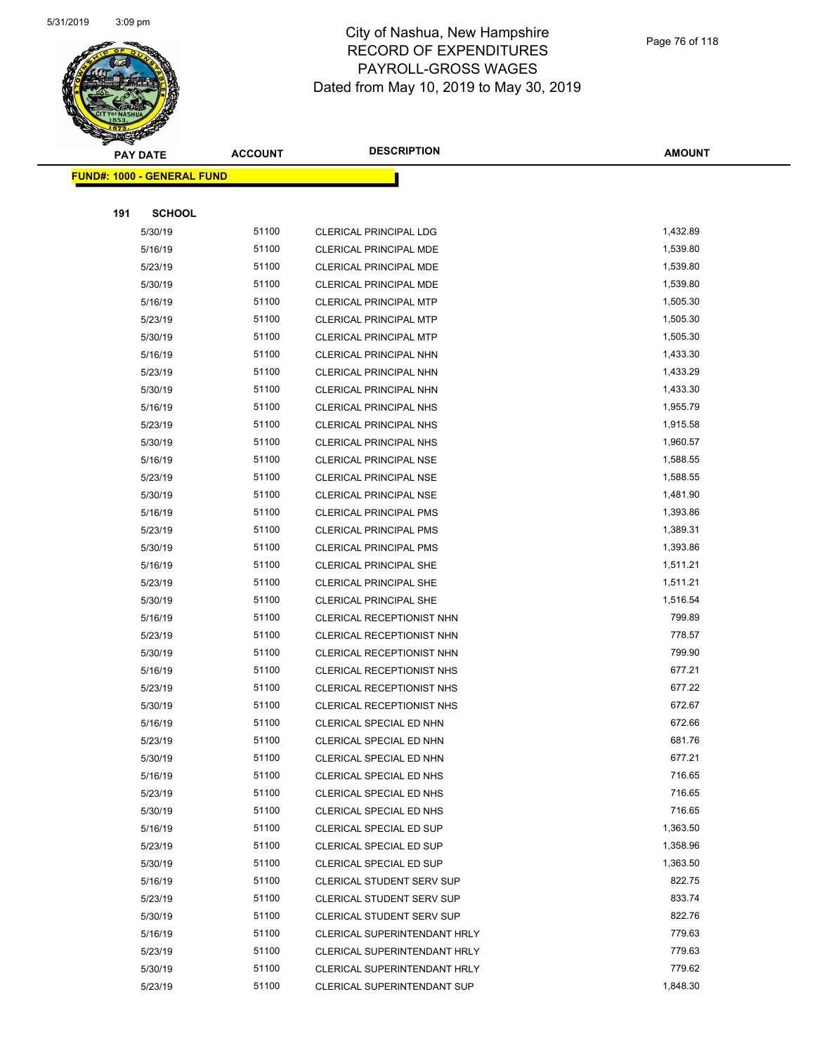

|     | <b>PAY DATE</b>                   | <b>ACCOUNT</b> | <b>DESCRIPTION</b>               | <b>AMOUNT</b>    |
|-----|-----------------------------------|----------------|----------------------------------|------------------|
|     | <b>FUND#: 1000 - GENERAL FUND</b> |                |                                  |                  |
|     |                                   |                |                                  |                  |
| 191 | <b>SCHOOL</b>                     |                |                                  |                  |
|     | 5/30/19                           | 51100          | <b>CLERICAL PRINCIPAL LDG</b>    | 1,432.89         |
|     | 5/16/19                           | 51100          | CLERICAL PRINCIPAL MDE           | 1,539.80         |
|     | 5/23/19                           | 51100          | CLERICAL PRINCIPAL MDE           | 1,539.80         |
|     | 5/30/19                           | 51100          | CLERICAL PRINCIPAL MDE           | 1,539.80         |
|     | 5/16/19                           | 51100          | <b>CLERICAL PRINCIPAL MTP</b>    | 1,505.30         |
|     | 5/23/19                           | 51100          | CLERICAL PRINCIPAL MTP           | 1,505.30         |
|     | 5/30/19                           | 51100          | <b>CLERICAL PRINCIPAL MTP</b>    | 1,505.30         |
|     | 5/16/19                           | 51100          | CLERICAL PRINCIPAL NHN           | 1,433.30         |
|     | 5/23/19                           | 51100          | CLERICAL PRINCIPAL NHN           | 1,433.29         |
|     | 5/30/19                           | 51100          | CLERICAL PRINCIPAL NHN           | 1,433.30         |
|     | 5/16/19                           | 51100          | <b>CLERICAL PRINCIPAL NHS</b>    | 1,955.79         |
|     | 5/23/19                           | 51100          | <b>CLERICAL PRINCIPAL NHS</b>    | 1,915.58         |
|     | 5/30/19                           | 51100          | <b>CLERICAL PRINCIPAL NHS</b>    | 1,960.57         |
|     | 5/16/19                           | 51100          | <b>CLERICAL PRINCIPAL NSE</b>    | 1,588.55         |
|     | 5/23/19                           | 51100          | <b>CLERICAL PRINCIPAL NSE</b>    | 1,588.55         |
|     | 5/30/19                           | 51100          | <b>CLERICAL PRINCIPAL NSE</b>    | 1,481.90         |
|     | 5/16/19                           | 51100          | CLERICAL PRINCIPAL PMS           | 1,393.86         |
|     | 5/23/19                           | 51100          | CLERICAL PRINCIPAL PMS           | 1,389.31         |
|     | 5/30/19                           | 51100          | <b>CLERICAL PRINCIPAL PMS</b>    | 1,393.86         |
|     | 5/16/19                           | 51100          | <b>CLERICAL PRINCIPAL SHE</b>    | 1,511.21         |
|     | 5/23/19                           | 51100          | <b>CLERICAL PRINCIPAL SHE</b>    | 1,511.21         |
|     | 5/30/19                           | 51100          | <b>CLERICAL PRINCIPAL SHE</b>    | 1,516.54         |
|     | 5/16/19                           | 51100          | CLERICAL RECEPTIONIST NHN        | 799.89           |
|     | 5/23/19                           | 51100          | CLERICAL RECEPTIONIST NHN        | 778.57           |
|     | 5/30/19                           | 51100          | CLERICAL RECEPTIONIST NHN        | 799.90           |
|     | 5/16/19                           | 51100          | CLERICAL RECEPTIONIST NHS        | 677.21           |
|     | 5/23/19                           | 51100          | CLERICAL RECEPTIONIST NHS        | 677.22           |
|     | 5/30/19                           | 51100          | CLERICAL RECEPTIONIST NHS        | 672.67           |
|     | 5/16/19                           | 51100          | CLERICAL SPECIAL ED NHN          | 672.66           |
|     | 5/23/19                           | 51100          | CLERICAL SPECIAL ED NHN          | 681.76           |
|     | 5/30/19                           | 51100          | CLERICAL SPECIAL ED NHN          | 677.21           |
|     | 5/16/19                           | 51100          | CLERICAL SPECIAL ED NHS          | 716.65           |
|     | 5/23/19                           | 51100          | CLERICAL SPECIAL ED NHS          | 716.65           |
|     | 5/30/19                           | 51100          | CLERICAL SPECIAL ED NHS          | 716.65           |
|     | 5/16/19                           | 51100          | CLERICAL SPECIAL ED SUP          | 1,363.50         |
|     | 5/23/19                           | 51100          | CLERICAL SPECIAL ED SUP          | 1,358.96         |
|     | 5/30/19                           | 51100          | CLERICAL SPECIAL ED SUP          | 1,363.50         |
|     | 5/16/19                           | 51100          | CLERICAL STUDENT SERV SUP        | 822.75<br>833.74 |
|     | 5/23/19                           | 51100          | <b>CLERICAL STUDENT SERV SUP</b> | 822.76           |
|     | 5/30/19                           | 51100<br>51100 | <b>CLERICAL STUDENT SERV SUP</b> | 779.63           |
|     | 5/16/19                           | 51100          | CLERICAL SUPERINTENDANT HRLY     | 779.63           |
|     | 5/23/19                           | 51100          | CLERICAL SUPERINTENDANT HRLY     | 779.62           |
|     | 5/30/19                           |                | CLERICAL SUPERINTENDANT HRLY     | 1,848.30         |
|     | 5/23/19                           | 51100          | CLERICAL SUPERINTENDANT SUP      |                  |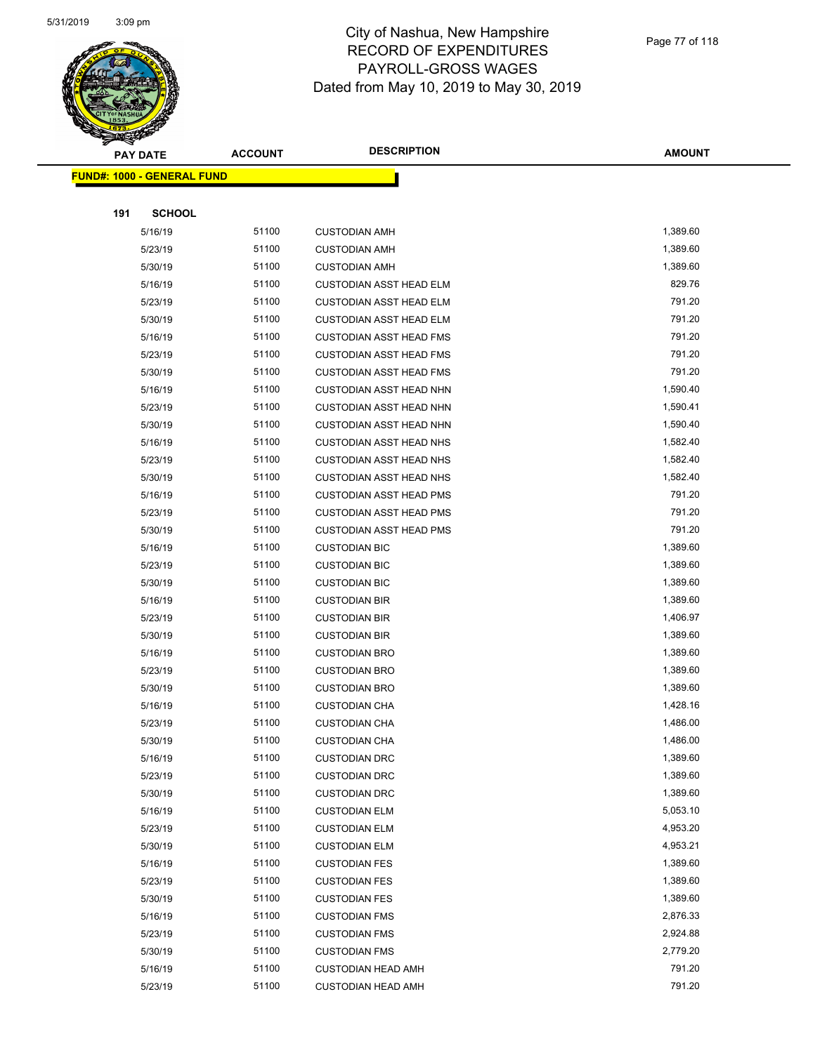

|     | <b>PAY DATE</b>                   | <b>ACCOUNT</b> | <b>DESCRIPTION</b>             | <b>AMOUNT</b> |
|-----|-----------------------------------|----------------|--------------------------------|---------------|
|     | <b>FUND#: 1000 - GENERAL FUND</b> |                |                                |               |
|     |                                   |                |                                |               |
| 191 | <b>SCHOOL</b>                     |                |                                |               |
|     | 5/16/19                           | 51100          | <b>CUSTODIAN AMH</b>           | 1,389.60      |
|     | 5/23/19                           | 51100          | <b>CUSTODIAN AMH</b>           | 1,389.60      |
|     | 5/30/19                           | 51100          | <b>CUSTODIAN AMH</b>           | 1,389.60      |
|     | 5/16/19                           | 51100          | <b>CUSTODIAN ASST HEAD ELM</b> | 829.76        |
|     | 5/23/19                           | 51100          | <b>CUSTODIAN ASST HEAD ELM</b> | 791.20        |
|     | 5/30/19                           | 51100          | <b>CUSTODIAN ASST HEAD ELM</b> | 791.20        |
|     | 5/16/19                           | 51100          | <b>CUSTODIAN ASST HEAD FMS</b> | 791.20        |
|     | 5/23/19                           | 51100          | <b>CUSTODIAN ASST HEAD FMS</b> | 791.20        |
|     | 5/30/19                           | 51100          | <b>CUSTODIAN ASST HEAD FMS</b> | 791.20        |
|     | 5/16/19                           | 51100          | <b>CUSTODIAN ASST HEAD NHN</b> | 1,590.40      |
|     | 5/23/19                           | 51100          | <b>CUSTODIAN ASST HEAD NHN</b> | 1,590.41      |
|     | 5/30/19                           | 51100          | <b>CUSTODIAN ASST HEAD NHN</b> | 1,590.40      |
|     | 5/16/19                           | 51100          | <b>CUSTODIAN ASST HEAD NHS</b> | 1,582.40      |
|     | 5/23/19                           | 51100          | <b>CUSTODIAN ASST HEAD NHS</b> | 1,582.40      |
|     | 5/30/19                           | 51100          | <b>CUSTODIAN ASST HEAD NHS</b> | 1,582.40      |
|     | 5/16/19                           | 51100          | <b>CUSTODIAN ASST HEAD PMS</b> | 791.20        |
|     | 5/23/19                           | 51100          | <b>CUSTODIAN ASST HEAD PMS</b> | 791.20        |
|     | 5/30/19                           | 51100          | <b>CUSTODIAN ASST HEAD PMS</b> | 791.20        |
|     | 5/16/19                           | 51100          | <b>CUSTODIAN BIC</b>           | 1,389.60      |
|     | 5/23/19                           | 51100          | <b>CUSTODIAN BIC</b>           | 1,389.60      |
|     | 5/30/19                           | 51100          | <b>CUSTODIAN BIC</b>           | 1,389.60      |
|     | 5/16/19                           | 51100          | <b>CUSTODIAN BIR</b>           | 1,389.60      |
|     | 5/23/19                           | 51100          | <b>CUSTODIAN BIR</b>           | 1,406.97      |
|     | 5/30/19                           | 51100          | <b>CUSTODIAN BIR</b>           | 1,389.60      |
|     | 5/16/19                           | 51100          | <b>CUSTODIAN BRO</b>           | 1,389.60      |
|     | 5/23/19                           | 51100          | <b>CUSTODIAN BRO</b>           | 1,389.60      |
|     | 5/30/19                           | 51100          | <b>CUSTODIAN BRO</b>           | 1,389.60      |
|     | 5/16/19                           | 51100          | <b>CUSTODIAN CHA</b>           | 1,428.16      |
|     | 5/23/19                           | 51100          | <b>CUSTODIAN CHA</b>           | 1,486.00      |
|     | 5/30/19                           | 51100          | <b>CUSTODIAN CHA</b>           | 1,486.00      |
|     | 5/16/19                           | 51100          | <b>CUSTODIAN DRC</b>           | 1,389.60      |
|     | 5/23/19                           | 51100          | <b>CUSTODIAN DRC</b>           | 1,389.60      |
|     | 5/30/19                           | 51100          | <b>CUSTODIAN DRC</b>           | 1,389.60      |
|     | 5/16/19                           | 51100          | <b>CUSTODIAN ELM</b>           | 5,053.10      |
|     | 5/23/19                           | 51100          | <b>CUSTODIAN ELM</b>           | 4,953.20      |
|     | 5/30/19                           | 51100          | <b>CUSTODIAN ELM</b>           | 4,953.21      |
|     | 5/16/19                           | 51100          | <b>CUSTODIAN FES</b>           | 1,389.60      |
|     | 5/23/19                           | 51100          | <b>CUSTODIAN FES</b>           | 1,389.60      |
|     | 5/30/19                           | 51100          | <b>CUSTODIAN FES</b>           | 1,389.60      |
|     | 5/16/19                           | 51100          | <b>CUSTODIAN FMS</b>           | 2,876.33      |
|     | 5/23/19                           | 51100          | <b>CUSTODIAN FMS</b>           | 2,924.88      |
|     | 5/30/19                           | 51100          | <b>CUSTODIAN FMS</b>           | 2,779.20      |
|     | 5/16/19                           | 51100          | <b>CUSTODIAN HEAD AMH</b>      | 791.20        |
|     | 5/23/19                           | 51100          | <b>CUSTODIAN HEAD AMH</b>      | 791.20        |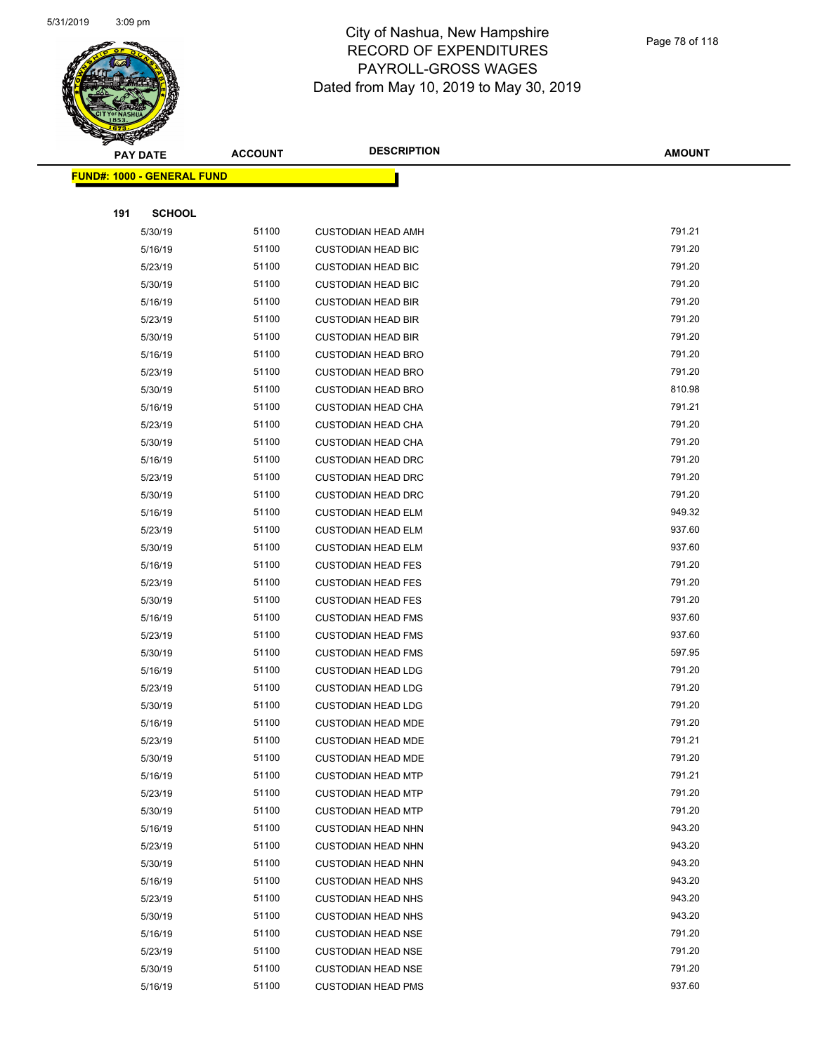

|     | <b>PAY DATE</b>                   | <b>ACCOUNT</b> | <b>DESCRIPTION</b>        | <b>AMOUNT</b> |
|-----|-----------------------------------|----------------|---------------------------|---------------|
|     | <b>FUND#: 1000 - GENERAL FUND</b> |                |                           |               |
|     |                                   |                |                           |               |
| 191 | <b>SCHOOL</b>                     |                |                           |               |
|     | 5/30/19                           | 51100          | <b>CUSTODIAN HEAD AMH</b> | 791.21        |
|     | 5/16/19                           | 51100          | <b>CUSTODIAN HEAD BIC</b> | 791.20        |
|     | 5/23/19                           | 51100          | <b>CUSTODIAN HEAD BIC</b> | 791.20        |
|     | 5/30/19                           | 51100          | <b>CUSTODIAN HEAD BIC</b> | 791.20        |
|     | 5/16/19                           | 51100          | <b>CUSTODIAN HEAD BIR</b> | 791.20        |
|     | 5/23/19                           | 51100          | <b>CUSTODIAN HEAD BIR</b> | 791.20        |
|     | 5/30/19                           | 51100          | <b>CUSTODIAN HEAD BIR</b> | 791.20        |
|     | 5/16/19                           | 51100          | <b>CUSTODIAN HEAD BRO</b> | 791.20        |
|     | 5/23/19                           | 51100          | <b>CUSTODIAN HEAD BRO</b> | 791.20        |
|     | 5/30/19                           | 51100          | <b>CUSTODIAN HEAD BRO</b> | 810.98        |
|     | 5/16/19                           | 51100          | <b>CUSTODIAN HEAD CHA</b> | 791.21        |
|     | 5/23/19                           | 51100          | <b>CUSTODIAN HEAD CHA</b> | 791.20        |
|     | 5/30/19                           | 51100          | <b>CUSTODIAN HEAD CHA</b> | 791.20        |
|     | 5/16/19                           | 51100          | <b>CUSTODIAN HEAD DRC</b> | 791.20        |
|     | 5/23/19                           | 51100          | <b>CUSTODIAN HEAD DRC</b> | 791.20        |
|     | 5/30/19                           | 51100          | <b>CUSTODIAN HEAD DRC</b> | 791.20        |
|     | 5/16/19                           | 51100          | <b>CUSTODIAN HEAD ELM</b> | 949.32        |
|     | 5/23/19                           | 51100          | <b>CUSTODIAN HEAD ELM</b> | 937.60        |
|     | 5/30/19                           | 51100          | <b>CUSTODIAN HEAD ELM</b> | 937.60        |
|     | 5/16/19                           | 51100          | <b>CUSTODIAN HEAD FES</b> | 791.20        |
|     | 5/23/19                           | 51100          | <b>CUSTODIAN HEAD FES</b> | 791.20        |
|     | 5/30/19                           | 51100          | <b>CUSTODIAN HEAD FES</b> | 791.20        |
|     | 5/16/19                           | 51100          | <b>CUSTODIAN HEAD FMS</b> | 937.60        |
|     | 5/23/19                           | 51100          | <b>CUSTODIAN HEAD FMS</b> | 937.60        |
|     | 5/30/19                           | 51100          | <b>CUSTODIAN HEAD FMS</b> | 597.95        |
|     | 5/16/19                           | 51100          | <b>CUSTODIAN HEAD LDG</b> | 791.20        |
|     | 5/23/19                           | 51100          | <b>CUSTODIAN HEAD LDG</b> | 791.20        |
|     | 5/30/19                           | 51100          | <b>CUSTODIAN HEAD LDG</b> | 791.20        |
|     | 5/16/19                           | 51100          | <b>CUSTODIAN HEAD MDE</b> | 791.20        |
|     | 5/23/19                           | 51100          | <b>CUSTODIAN HEAD MDE</b> | 791.21        |
|     | 5/30/19                           | 51100          | <b>CUSTODIAN HEAD MDE</b> | 791.20        |
|     | 5/16/19                           | 51100          | <b>CUSTODIAN HEAD MTP</b> | 791.21        |
|     | 5/23/19                           | 51100          | <b>CUSTODIAN HEAD MTP</b> | 791.20        |
|     | 5/30/19                           | 51100          | <b>CUSTODIAN HEAD MTP</b> | 791.20        |
|     | 5/16/19                           | 51100          | <b>CUSTODIAN HEAD NHN</b> | 943.20        |
|     | 5/23/19                           | 51100          | <b>CUSTODIAN HEAD NHN</b> | 943.20        |
|     | 5/30/19                           | 51100          | <b>CUSTODIAN HEAD NHN</b> | 943.20        |
|     | 5/16/19                           | 51100          | <b>CUSTODIAN HEAD NHS</b> | 943.20        |
|     | 5/23/19                           | 51100          | <b>CUSTODIAN HEAD NHS</b> | 943.20        |
|     | 5/30/19                           | 51100          | <b>CUSTODIAN HEAD NHS</b> | 943.20        |
|     | 5/16/19                           | 51100          | <b>CUSTODIAN HEAD NSE</b> | 791.20        |
|     | 5/23/19                           | 51100          | <b>CUSTODIAN HEAD NSE</b> | 791.20        |
|     | 5/30/19                           | 51100          | <b>CUSTODIAN HEAD NSE</b> | 791.20        |
|     | 5/16/19                           | 51100          | <b>CUSTODIAN HEAD PMS</b> | 937.60        |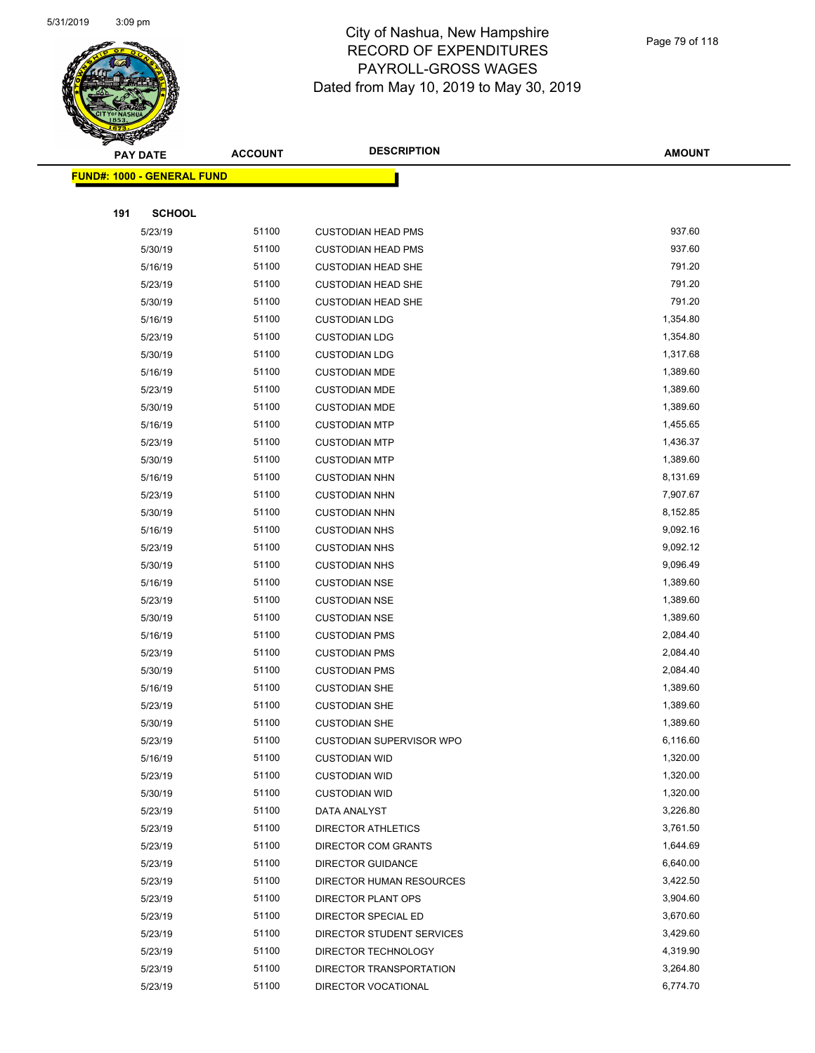

|     | <b>PAY DATE</b>                   | <b>ACCOUNT</b> | <b>DESCRIPTION</b>        | <b>AMOUNT</b> |
|-----|-----------------------------------|----------------|---------------------------|---------------|
|     | <b>FUND#: 1000 - GENERAL FUND</b> |                |                           |               |
|     |                                   |                |                           |               |
| 191 | <b>SCHOOL</b>                     |                |                           |               |
|     | 5/23/19                           | 51100          | <b>CUSTODIAN HEAD PMS</b> | 937.60        |
|     | 5/30/19                           | 51100          | <b>CUSTODIAN HEAD PMS</b> | 937.60        |
|     | 5/16/19                           | 51100          | <b>CUSTODIAN HEAD SHE</b> | 791.20        |
|     | 5/23/19                           | 51100          | <b>CUSTODIAN HEAD SHE</b> | 791.20        |
|     | 5/30/19                           | 51100          | <b>CUSTODIAN HEAD SHE</b> | 791.20        |
|     | 5/16/19                           | 51100          | <b>CUSTODIAN LDG</b>      | 1,354.80      |
|     | 5/23/19                           | 51100          | <b>CUSTODIAN LDG</b>      | 1,354.80      |
|     | 5/30/19                           | 51100          | <b>CUSTODIAN LDG</b>      | 1,317.68      |
|     | 5/16/19                           | 51100          | <b>CUSTODIAN MDE</b>      | 1,389.60      |
|     | 5/23/19                           | 51100          | <b>CUSTODIAN MDE</b>      | 1,389.60      |
|     | 5/30/19                           | 51100          | <b>CUSTODIAN MDE</b>      | 1,389.60      |
|     | 5/16/19                           | 51100          | <b>CUSTODIAN MTP</b>      | 1,455.65      |
|     | 5/23/19                           | 51100          | <b>CUSTODIAN MTP</b>      | 1,436.37      |
|     | 5/30/19                           | 51100          | <b>CUSTODIAN MTP</b>      | 1,389.60      |
|     | 5/16/19                           | 51100          | <b>CUSTODIAN NHN</b>      | 8,131.69      |
|     | 5/23/19                           | 51100          | <b>CUSTODIAN NHN</b>      | 7,907.67      |
|     | 5/30/19                           | 51100          | <b>CUSTODIAN NHN</b>      | 8,152.85      |
|     | 5/16/19                           | 51100          | <b>CUSTODIAN NHS</b>      | 9,092.16      |
|     | 5/23/19                           | 51100          | <b>CUSTODIAN NHS</b>      | 9,092.12      |
|     | 5/30/19                           | 51100          | <b>CUSTODIAN NHS</b>      | 9,096.49      |
|     | 5/16/19                           | 51100          | <b>CUSTODIAN NSE</b>      | 1,389.60      |
|     | 5/23/19                           | 51100          | <b>CUSTODIAN NSE</b>      | 1,389.60      |
|     | 5/30/19                           | 51100          | <b>CUSTODIAN NSE</b>      | 1,389.60      |
|     | 5/16/19                           | 51100          | <b>CUSTODIAN PMS</b>      | 2,084.40      |
|     | 5/23/19                           | 51100          | <b>CUSTODIAN PMS</b>      | 2,084.40      |
|     | 5/30/19                           | 51100          | <b>CUSTODIAN PMS</b>      | 2,084.40      |
|     | 5/16/19                           | 51100          | <b>CUSTODIAN SHE</b>      | 1,389.60      |
|     | 5/23/19                           | 51100          | <b>CUSTODIAN SHE</b>      | 1,389.60      |
|     | 5/30/19                           | 51100          | <b>CUSTODIAN SHE</b>      | 1,389.60      |
|     | 5/23/19                           | 51100          | CUSTODIAN SUPERVISOR WPO  | 6,116.60      |
|     | 5/16/19                           | 51100          | <b>CUSTODIAN WID</b>      | 1,320.00      |
|     | 5/23/19                           | 51100          | <b>CUSTODIAN WID</b>      | 1,320.00      |
|     | 5/30/19                           | 51100          | <b>CUSTODIAN WID</b>      | 1,320.00      |
|     | 5/23/19                           | 51100          | DATA ANALYST              | 3,226.80      |
|     | 5/23/19                           | 51100          | <b>DIRECTOR ATHLETICS</b> | 3,761.50      |
|     | 5/23/19                           | 51100          | DIRECTOR COM GRANTS       | 1,644.69      |
|     | 5/23/19                           | 51100          | DIRECTOR GUIDANCE         | 6,640.00      |
|     | 5/23/19                           | 51100          | DIRECTOR HUMAN RESOURCES  | 3,422.50      |
|     | 5/23/19                           | 51100          | DIRECTOR PLANT OPS        | 3,904.60      |
|     | 5/23/19                           | 51100          | DIRECTOR SPECIAL ED       | 3,670.60      |
|     | 5/23/19                           | 51100          | DIRECTOR STUDENT SERVICES | 3,429.60      |
|     | 5/23/19                           | 51100          | DIRECTOR TECHNOLOGY       | 4,319.90      |
|     | 5/23/19                           | 51100          | DIRECTOR TRANSPORTATION   | 3,264.80      |
|     | 5/23/19                           | 51100          | DIRECTOR VOCATIONAL       | 6,774.70      |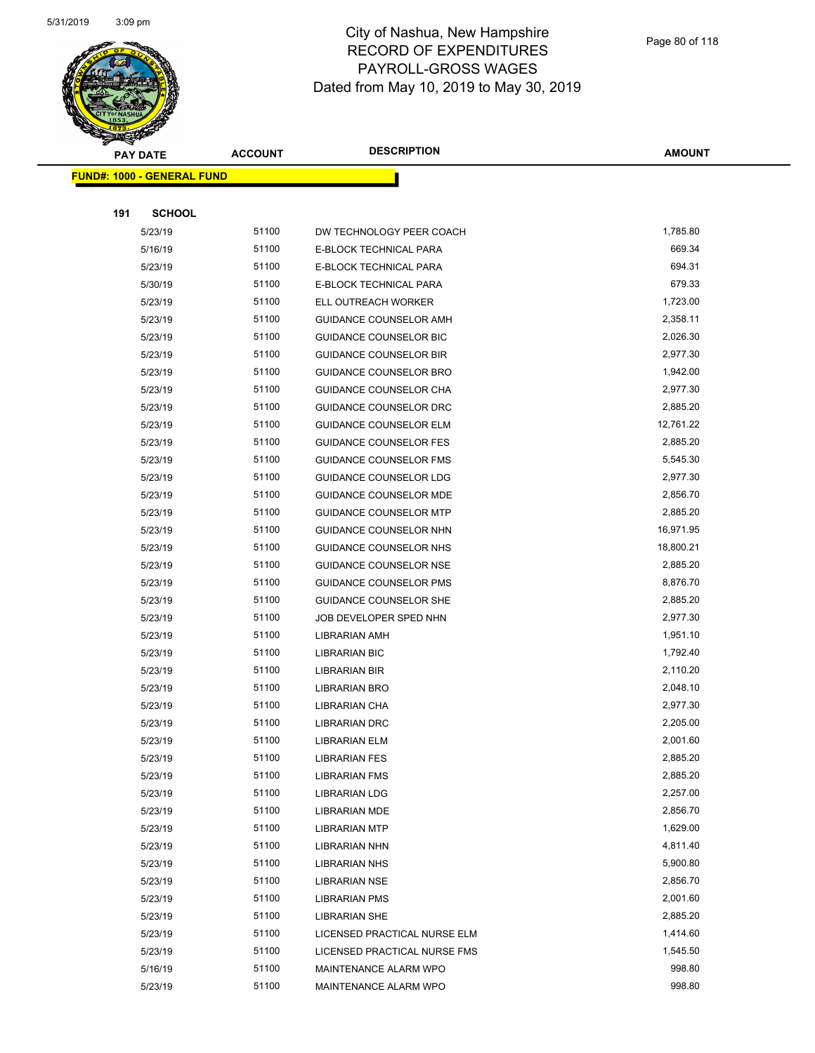

|     | <b>PAY DATE</b>                   | <b>ACCOUNT</b> | <b>DESCRIPTION</b>            | <b>AMOUNT</b> |
|-----|-----------------------------------|----------------|-------------------------------|---------------|
|     | <b>FUND#: 1000 - GENERAL FUND</b> |                |                               |               |
|     |                                   |                |                               |               |
| 191 | <b>SCHOOL</b>                     |                |                               |               |
|     | 5/23/19                           | 51100          | DW TECHNOLOGY PEER COACH      | 1,785.80      |
|     | 5/16/19                           | 51100          | E-BLOCK TECHNICAL PARA        | 669.34        |
|     | 5/23/19                           | 51100          | E-BLOCK TECHNICAL PARA        | 694.31        |
|     | 5/30/19                           | 51100          | E-BLOCK TECHNICAL PARA        | 679.33        |
|     | 5/23/19                           | 51100          | ELL OUTREACH WORKER           | 1,723.00      |
|     | 5/23/19                           | 51100          | GUIDANCE COUNSELOR AMH        | 2,358.11      |
|     | 5/23/19                           | 51100          | <b>GUIDANCE COUNSELOR BIC</b> | 2,026.30      |
|     | 5/23/19                           | 51100          | <b>GUIDANCE COUNSELOR BIR</b> | 2,977.30      |
|     | 5/23/19                           | 51100          | GUIDANCE COUNSELOR BRO        | 1,942.00      |
|     | 5/23/19                           | 51100          | GUIDANCE COUNSELOR CHA        | 2,977.30      |
|     | 5/23/19                           | 51100          | GUIDANCE COUNSELOR DRC        | 2,885.20      |
|     | 5/23/19                           | 51100          | <b>GUIDANCE COUNSELOR ELM</b> | 12,761.22     |
|     | 5/23/19                           | 51100          | <b>GUIDANCE COUNSELOR FES</b> | 2,885.20      |
|     | 5/23/19                           | 51100          | <b>GUIDANCE COUNSELOR FMS</b> | 5,545.30      |
|     | 5/23/19                           | 51100          | <b>GUIDANCE COUNSELOR LDG</b> | 2,977.30      |
|     | 5/23/19                           | 51100          | <b>GUIDANCE COUNSELOR MDE</b> | 2,856.70      |
|     | 5/23/19                           | 51100          | <b>GUIDANCE COUNSELOR MTP</b> | 2,885.20      |
|     | 5/23/19                           | 51100          | GUIDANCE COUNSELOR NHN        | 16,971.95     |
|     | 5/23/19                           | 51100          | GUIDANCE COUNSELOR NHS        | 18,800.21     |
|     | 5/23/19                           | 51100          | <b>GUIDANCE COUNSELOR NSE</b> | 2,885.20      |
|     | 5/23/19                           | 51100          | <b>GUIDANCE COUNSELOR PMS</b> | 8,876.70      |
|     | 5/23/19                           | 51100          | <b>GUIDANCE COUNSELOR SHE</b> | 2,885.20      |
|     | 5/23/19                           | 51100          | JOB DEVELOPER SPED NHN        | 2,977.30      |
|     | 5/23/19                           | 51100          | LIBRARIAN AMH                 | 1,951.10      |
|     | 5/23/19                           | 51100          | <b>LIBRARIAN BIC</b>          | 1,792.40      |
|     | 5/23/19                           | 51100          | <b>LIBRARIAN BIR</b>          | 2,110.20      |
|     | 5/23/19                           | 51100          | <b>LIBRARIAN BRO</b>          | 2,048.10      |
|     | 5/23/19                           | 51100          | <b>LIBRARIAN CHA</b>          | 2,977.30      |
|     | 5/23/19                           | 51100          | <b>LIBRARIAN DRC</b>          | 2,205.00      |
|     | 5/23/19                           | 51100          | LIBRARIAN ELM                 | 2,001.60      |
|     | 5/23/19                           | 51100          | <b>LIBRARIAN FES</b>          | 2,885.20      |
|     | 5/23/19                           | 51100          | <b>LIBRARIAN FMS</b>          | 2,885.20      |
|     | 5/23/19                           | 51100          | <b>LIBRARIAN LDG</b>          | 2,257.00      |
|     | 5/23/19                           | 51100          | <b>LIBRARIAN MDE</b>          | 2,856.70      |
|     | 5/23/19                           | 51100          | <b>LIBRARIAN MTP</b>          | 1,629.00      |
|     | 5/23/19                           | 51100          | LIBRARIAN NHN                 | 4,811.40      |
|     | 5/23/19                           | 51100          | <b>LIBRARIAN NHS</b>          | 5,900.80      |
|     | 5/23/19                           | 51100          | <b>LIBRARIAN NSE</b>          | 2,856.70      |
|     | 5/23/19                           | 51100          | <b>LIBRARIAN PMS</b>          | 2,001.60      |
|     | 5/23/19                           | 51100          | <b>LIBRARIAN SHE</b>          | 2,885.20      |
|     | 5/23/19                           | 51100          | LICENSED PRACTICAL NURSE ELM  | 1,414.60      |
|     | 5/23/19                           | 51100          | LICENSED PRACTICAL NURSE FMS  | 1,545.50      |
|     | 5/16/19                           | 51100          | MAINTENANCE ALARM WPO         | 998.80        |
|     | 5/23/19                           | 51100          | MAINTENANCE ALARM WPO         | 998.80        |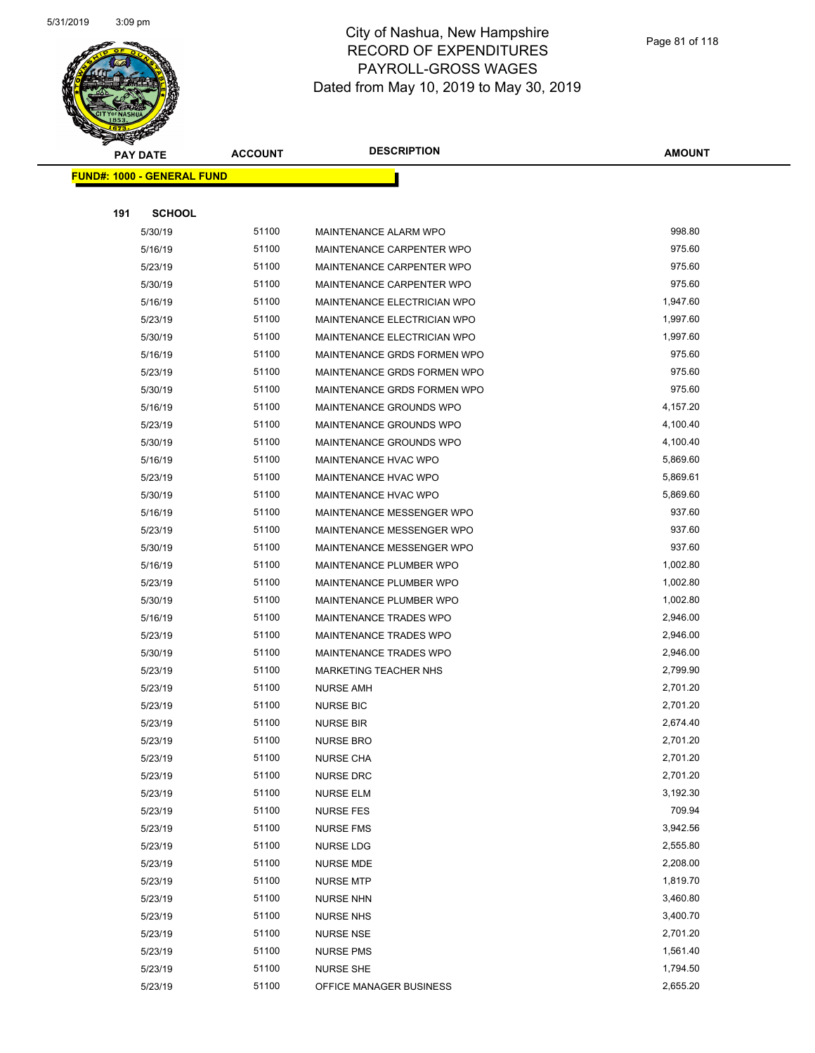

|                                   | <b>PAY DATE</b> | <b>ACCOUNT</b> | <b>DESCRIPTION</b>            | <b>AMOUNT</b> |
|-----------------------------------|-----------------|----------------|-------------------------------|---------------|
| <b>FUND#: 1000 - GENERAL FUND</b> |                 |                |                               |               |
|                                   |                 |                |                               |               |
| 191                               | <b>SCHOOL</b>   |                |                               |               |
|                                   | 5/30/19         | 51100          | MAINTENANCE ALARM WPO         | 998.80        |
|                                   | 5/16/19         | 51100          | MAINTENANCE CARPENTER WPO     | 975.60        |
|                                   | 5/23/19         | 51100          | MAINTENANCE CARPENTER WPO     | 975.60        |
|                                   | 5/30/19         | 51100          | MAINTENANCE CARPENTER WPO     | 975.60        |
|                                   | 5/16/19         | 51100          | MAINTENANCE ELECTRICIAN WPO   | 1,947.60      |
|                                   | 5/23/19         | 51100          | MAINTENANCE ELECTRICIAN WPO   | 1,997.60      |
|                                   | 5/30/19         | 51100          | MAINTENANCE ELECTRICIAN WPO   | 1,997.60      |
|                                   | 5/16/19         | 51100          | MAINTENANCE GRDS FORMEN WPO   | 975.60        |
|                                   | 5/23/19         | 51100          | MAINTENANCE GRDS FORMEN WPO   | 975.60        |
|                                   | 5/30/19         | 51100          | MAINTENANCE GRDS FORMEN WPO   | 975.60        |
|                                   | 5/16/19         | 51100          | MAINTENANCE GROUNDS WPO       | 4,157.20      |
|                                   | 5/23/19         | 51100          | MAINTENANCE GROUNDS WPO       | 4,100.40      |
|                                   | 5/30/19         | 51100          | MAINTENANCE GROUNDS WPO       | 4,100.40      |
|                                   | 5/16/19         | 51100          | <b>MAINTENANCE HVAC WPO</b>   | 5,869.60      |
|                                   | 5/23/19         | 51100          | MAINTENANCE HVAC WPO          | 5,869.61      |
|                                   | 5/30/19         | 51100          | MAINTENANCE HVAC WPO          | 5,869.60      |
|                                   | 5/16/19         | 51100          | MAINTENANCE MESSENGER WPO     | 937.60        |
|                                   | 5/23/19         | 51100          | MAINTENANCE MESSENGER WPO     | 937.60        |
|                                   | 5/30/19         | 51100          | MAINTENANCE MESSENGER WPO     | 937.60        |
|                                   | 5/16/19         | 51100          | MAINTENANCE PLUMBER WPO       | 1,002.80      |
|                                   | 5/23/19         | 51100          | MAINTENANCE PLUMBER WPO       | 1,002.80      |
|                                   | 5/30/19         | 51100          | MAINTENANCE PLUMBER WPO       | 1,002.80      |
|                                   | 5/16/19         | 51100          | <b>MAINTENANCE TRADES WPO</b> | 2,946.00      |
|                                   | 5/23/19         | 51100          | MAINTENANCE TRADES WPO        | 2,946.00      |
|                                   | 5/30/19         | 51100          | MAINTENANCE TRADES WPO        | 2,946.00      |
|                                   | 5/23/19         | 51100          | <b>MARKETING TEACHER NHS</b>  | 2,799.90      |
|                                   | 5/23/19         | 51100          | <b>NURSE AMH</b>              | 2,701.20      |
|                                   | 5/23/19         | 51100          | <b>NURSE BIC</b>              | 2,701.20      |
|                                   | 5/23/19         | 51100          | <b>NURSE BIR</b>              | 2,674.40      |
|                                   | 5/23/19         | 51100          | NURSE BRO                     | 2,701.20      |
|                                   | 5/23/19         | 51100          | <b>NURSE CHA</b>              | 2,701.20      |
|                                   | 5/23/19         | 51100          | <b>NURSE DRC</b>              | 2,701.20      |
|                                   | 5/23/19         | 51100          | <b>NURSE ELM</b>              | 3,192.30      |
|                                   | 5/23/19         | 51100          | <b>NURSE FES</b>              | 709.94        |
|                                   | 5/23/19         | 51100          | <b>NURSE FMS</b>              | 3,942.56      |
|                                   | 5/23/19         | 51100          | NURSE LDG                     | 2,555.80      |
|                                   | 5/23/19         | 51100          | <b>NURSE MDE</b>              | 2,208.00      |
|                                   | 5/23/19         | 51100          | <b>NURSE MTP</b>              | 1,819.70      |
|                                   | 5/23/19         | 51100          | <b>NURSE NHN</b>              | 3,460.80      |
|                                   | 5/23/19         | 51100          | <b>NURSE NHS</b>              | 3,400.70      |
|                                   | 5/23/19         | 51100          | <b>NURSE NSE</b>              | 2,701.20      |
|                                   | 5/23/19         | 51100          | <b>NURSE PMS</b>              | 1,561.40      |
|                                   | 5/23/19         | 51100          | NURSE SHE                     | 1,794.50      |
|                                   | 5/23/19         | 51100          | OFFICE MANAGER BUSINESS       | 2,655.20      |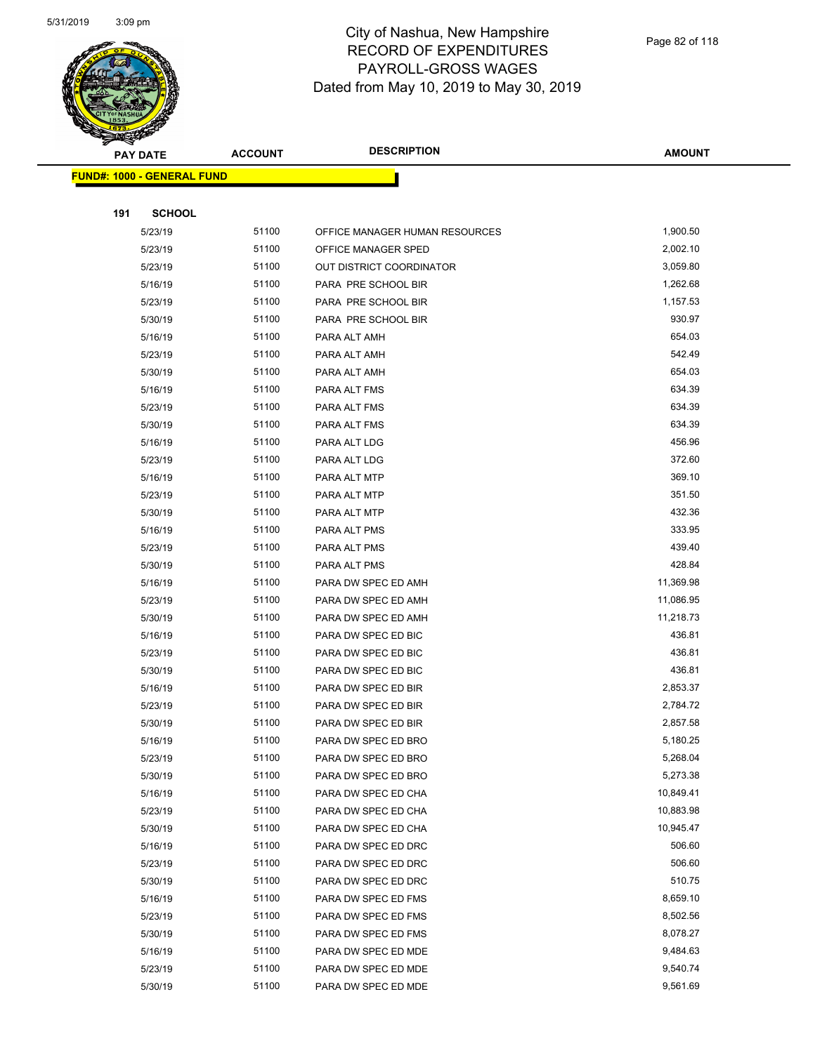

| <b>STATERS</b> |                                   |                |                                 |               |
|----------------|-----------------------------------|----------------|---------------------------------|---------------|
|                | <b>PAY DATE</b>                   | <b>ACCOUNT</b> | <b>DESCRIPTION</b>              | <b>AMOUNT</b> |
|                | <b>FUND#: 1000 - GENERAL FUND</b> |                |                                 |               |
|                |                                   |                |                                 |               |
| 191            | <b>SCHOOL</b>                     |                |                                 |               |
|                | 5/23/19                           | 51100          | OFFICE MANAGER HUMAN RESOURCES  | 1,900.50      |
|                | 5/23/19                           | 51100          | OFFICE MANAGER SPED             | 2,002.10      |
|                | 5/23/19                           | 51100          | <b>OUT DISTRICT COORDINATOR</b> | 3,059.80      |
|                | 5/16/19                           | 51100          | PARA PRE SCHOOL BIR             | 1,262.68      |
|                | 5/23/19                           | 51100          | PARA PRE SCHOOL BIR             | 1,157.53      |
|                | 5/30/19                           | 51100          | PARA PRE SCHOOL BIR             | 930.97        |
|                | 5/16/19                           | 51100          | PARA ALT AMH                    | 654.03        |
|                | 5/23/19                           | 51100          | PARA ALT AMH                    | 542.49        |
|                | 5/30/19                           | 51100          | PARA ALT AMH                    | 654.03        |
|                | 5/16/19                           | 51100          | PARA ALT FMS                    | 634.39        |
|                | 5/23/19                           | 51100          | PARA ALT FMS                    | 634.39        |
|                | 5/30/19                           | 51100          | PARA ALT FMS                    | 634.39        |
|                | 5/16/19                           | 51100          | PARA ALT LDG                    | 456.96        |
|                | 5/23/19                           | 51100          | PARA ALT LDG                    | 372.60        |
|                | 5/16/19                           | 51100          | PARA ALT MTP                    | 369.10        |
|                | 5/23/19                           | 51100          | PARA ALT MTP                    | 351.50        |
|                | 5/30/19                           | 51100          | PARA ALT MTP                    | 432.36        |
|                | 5/16/19                           | 51100          | PARA ALT PMS                    | 333.95        |
|                | 5/23/19                           | 51100          | PARA ALT PMS                    | 439.40        |
|                | 5/30/19                           | 51100          | PARA ALT PMS                    | 428.84        |
|                | 5/16/19                           | 51100          | PARA DW SPEC ED AMH             | 11,369.98     |
|                | 5/23/19                           | 51100          | PARA DW SPEC ED AMH             | 11,086.95     |
|                | 5/30/19                           | 51100          | PARA DW SPEC ED AMH             | 11,218.73     |
|                | 5/16/19                           | 51100          | PARA DW SPEC ED BIC             | 436.81        |
|                | 5/23/19                           | 51100          | PARA DW SPEC ED BIC             | 436.81        |
|                | 5/30/19                           | 51100          | PARA DW SPEC ED BIC             | 436.81        |
|                | 5/16/19                           | 51100          | PARA DW SPEC ED BIR             | 2,853.37      |
|                | 5/23/19                           | 51100          | PARA DW SPEC ED BIR             | 2,784.72      |
|                | 5/30/19                           | 51100          | PARA DW SPEC ED BIR             | 2,857.58      |
|                | 5/16/19                           | 51100          | PARA DW SPEC ED BRO             | 5,180.25      |
|                | 5/23/19                           | 51100          | PARA DW SPEC ED BRO             | 5,268.04      |
|                | 5/30/19                           | 51100          | PARA DW SPEC ED BRO             | 5,273.38      |
|                | 5/16/19                           | 51100          | PARA DW SPEC ED CHA             | 10,849.41     |
|                | 5/23/19                           | 51100          | PARA DW SPEC ED CHA             | 10,883.98     |
|                | 5/30/19                           | 51100          | PARA DW SPEC ED CHA             | 10,945.47     |
|                | 5/16/19                           | 51100          | PARA DW SPEC ED DRC             | 506.60        |
|                | 5/23/19                           | 51100          | PARA DW SPEC ED DRC             | 506.60        |
|                | 5/30/19                           | 51100          | PARA DW SPEC ED DRC             | 510.75        |
|                | 5/16/19                           | 51100          | PARA DW SPEC ED FMS             | 8,659.10      |
|                | 5/23/19                           | 51100          | PARA DW SPEC ED FMS             | 8,502.56      |
|                | 5/30/19                           | 51100          | PARA DW SPEC ED FMS             | 8,078.27      |
|                | 5/16/19                           | 51100          | PARA DW SPEC ED MDE             | 9,484.63      |
|                | 5/23/19                           | 51100          | PARA DW SPEC ED MDE             | 9,540.74      |
|                | 5/30/19                           | 51100          | PARA DW SPEC ED MDE             | 9,561.69      |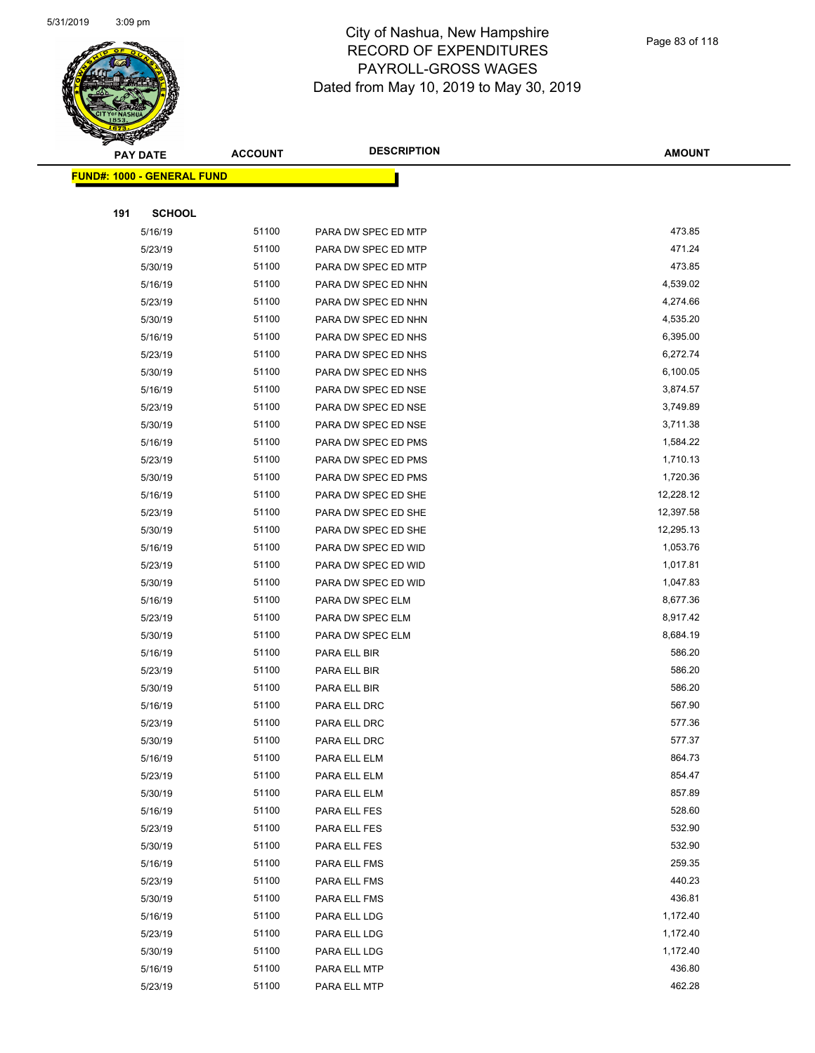

|     | ॼ<br><b>PAY DATE</b>               | <b>ACCOUNT</b> | <b>DESCRIPTION</b>  | <b>AMOUNT</b> |
|-----|------------------------------------|----------------|---------------------|---------------|
|     | <u> FUND#: 1000 - GENERAL FUND</u> |                |                     |               |
|     |                                    |                |                     |               |
| 191 | <b>SCHOOL</b>                      |                |                     |               |
|     | 5/16/19                            | 51100          | PARA DW SPEC ED MTP | 473.85        |
|     | 5/23/19                            | 51100          | PARA DW SPEC ED MTP | 471.24        |
|     | 5/30/19                            | 51100          | PARA DW SPEC ED MTP | 473.85        |
|     | 5/16/19                            | 51100          | PARA DW SPEC ED NHN | 4,539.02      |
|     | 5/23/19                            | 51100          | PARA DW SPEC ED NHN | 4,274.66      |
|     | 5/30/19                            | 51100          | PARA DW SPEC ED NHN | 4,535.20      |
|     | 5/16/19                            | 51100          | PARA DW SPEC ED NHS | 6,395.00      |
|     | 5/23/19                            | 51100          | PARA DW SPEC ED NHS | 6,272.74      |
|     | 5/30/19                            | 51100          | PARA DW SPEC ED NHS | 6,100.05      |
|     | 5/16/19                            | 51100          | PARA DW SPEC ED NSE | 3,874.57      |
|     | 5/23/19                            | 51100          | PARA DW SPEC ED NSE | 3,749.89      |
|     | 5/30/19                            | 51100          | PARA DW SPEC ED NSE | 3,711.38      |
|     | 5/16/19                            | 51100          | PARA DW SPEC ED PMS | 1,584.22      |
|     | 5/23/19                            | 51100          | PARA DW SPEC ED PMS | 1,710.13      |
|     | 5/30/19                            | 51100          | PARA DW SPEC ED PMS | 1,720.36      |
|     | 5/16/19                            | 51100          | PARA DW SPEC ED SHE | 12,228.12     |
|     | 5/23/19                            | 51100          | PARA DW SPEC ED SHE | 12,397.58     |
|     | 5/30/19                            | 51100          | PARA DW SPEC ED SHE | 12,295.13     |
|     | 5/16/19                            | 51100          | PARA DW SPEC ED WID | 1,053.76      |
|     | 5/23/19                            | 51100          | PARA DW SPEC ED WID | 1,017.81      |
|     | 5/30/19                            | 51100          | PARA DW SPEC ED WID | 1,047.83      |
|     | 5/16/19                            | 51100          | PARA DW SPEC ELM    | 8,677.36      |
|     | 5/23/19                            | 51100          | PARA DW SPEC ELM    | 8,917.42      |
|     | 5/30/19                            | 51100          | PARA DW SPEC ELM    | 8,684.19      |
|     | 5/16/19                            | 51100          | PARA ELL BIR        | 586.20        |
|     | 5/23/19                            | 51100          | PARA ELL BIR        | 586.20        |
|     | 5/30/19                            | 51100          | PARA ELL BIR        | 586.20        |
|     | 5/16/19                            | 51100          | PARA ELL DRC        | 567.90        |
|     | 5/23/19                            | 51100          | PARA ELL DRC        | 577.36        |
|     | 5/30/19                            | 51100          | PARA ELL DRC        | 577.37        |
|     | 5/16/19                            | 51100          | PARA ELL ELM        | 864.73        |
|     | 5/23/19                            | 51100          | PARA ELL ELM        | 854.47        |
|     | 5/30/19                            | 51100          | PARA ELL ELM        | 857.89        |
|     | 5/16/19                            | 51100          | PARA ELL FES        | 528.60        |
|     | 5/23/19                            | 51100          | PARA ELL FES        | 532.90        |
|     | 5/30/19                            | 51100          | PARA ELL FES        | 532.90        |
|     | 5/16/19                            | 51100          | PARA ELL FMS        | 259.35        |
|     | 5/23/19                            | 51100          | PARA ELL FMS        | 440.23        |
|     | 5/30/19                            | 51100          | PARA ELL FMS        | 436.81        |
|     | 5/16/19                            | 51100          | PARA ELL LDG        | 1,172.40      |
|     | 5/23/19                            | 51100          | PARA ELL LDG        | 1,172.40      |
|     | 5/30/19                            | 51100          | PARA ELL LDG        | 1,172.40      |
|     | 5/16/19                            | 51100          | PARA ELL MTP        | 436.80        |
|     | 5/23/19                            | 51100          | PARA ELL MTP        | 462.28        |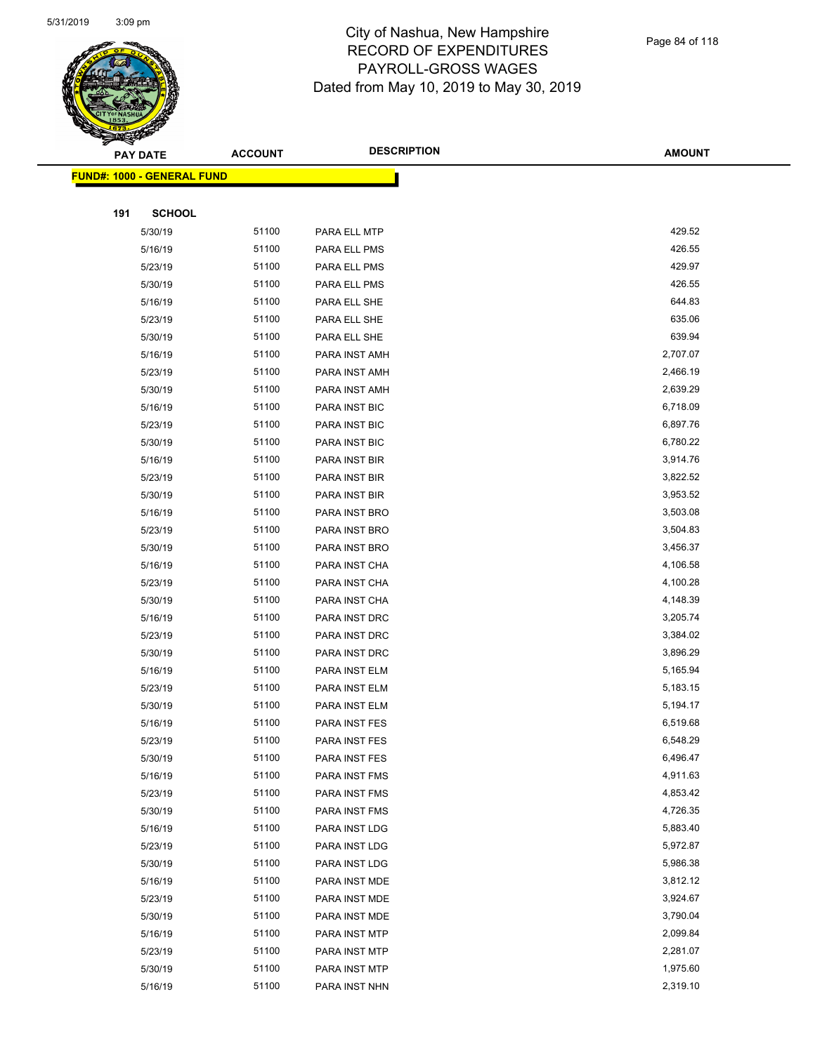

|     | <b>PAY DATE</b>                   | <b>ACCOUNT</b> | <b>DESCRIPTION</b> | <b>AMOUNT</b> |
|-----|-----------------------------------|----------------|--------------------|---------------|
|     | <b>FUND#: 1000 - GENERAL FUND</b> |                |                    |               |
|     |                                   |                |                    |               |
| 191 | <b>SCHOOL</b>                     |                |                    |               |
|     | 5/30/19                           | 51100          | PARA ELL MTP       | 429.52        |
|     | 5/16/19                           | 51100          | PARA ELL PMS       | 426.55        |
|     | 5/23/19                           | 51100          | PARA ELL PMS       | 429.97        |
|     | 5/30/19                           | 51100          | PARA ELL PMS       | 426.55        |
|     | 5/16/19                           | 51100          | PARA ELL SHE       | 644.83        |
|     | 5/23/19                           | 51100          | PARA ELL SHE       | 635.06        |
|     | 5/30/19                           | 51100          | PARA ELL SHE       | 639.94        |
|     | 5/16/19                           | 51100          | PARA INST AMH      | 2,707.07      |
|     | 5/23/19                           | 51100          | PARA INST AMH      | 2,466.19      |
|     | 5/30/19                           | 51100          | PARA INST AMH      | 2,639.29      |
|     | 5/16/19                           | 51100          | PARA INST BIC      | 6,718.09      |
|     | 5/23/19                           | 51100          | PARA INST BIC      | 6,897.76      |
|     | 5/30/19                           | 51100          | PARA INST BIC      | 6,780.22      |
|     | 5/16/19                           | 51100          | PARA INST BIR      | 3,914.76      |
|     | 5/23/19                           | 51100          | PARA INST BIR      | 3,822.52      |
|     | 5/30/19                           | 51100          | PARA INST BIR      | 3,953.52      |
|     | 5/16/19                           | 51100          | PARA INST BRO      | 3,503.08      |
|     | 5/23/19                           | 51100          | PARA INST BRO      | 3,504.83      |
|     | 5/30/19                           | 51100          | PARA INST BRO      | 3,456.37      |
|     | 5/16/19                           | 51100          | PARA INST CHA      | 4,106.58      |
|     | 5/23/19                           | 51100          | PARA INST CHA      | 4,100.28      |
|     | 5/30/19                           | 51100          | PARA INST CHA      | 4,148.39      |
|     | 5/16/19                           | 51100          | PARA INST DRC      | 3,205.74      |
|     | 5/23/19                           | 51100          | PARA INST DRC      | 3,384.02      |
|     | 5/30/19                           | 51100          | PARA INST DRC      | 3,896.29      |
|     | 5/16/19                           | 51100          | PARA INST ELM      | 5,165.94      |
|     | 5/23/19                           | 51100          | PARA INST ELM      | 5,183.15      |
|     | 5/30/19                           | 51100          | PARA INST ELM      | 5,194.17      |
|     | 5/16/19                           | 51100          | PARA INST FES      | 6,519.68      |
|     | 5/23/19                           | 51100          | PARA INST FES      | 6,548.29      |
|     | 5/30/19                           | 51100          | PARA INST FES      | 6,496.47      |
|     | 5/16/19                           | 51100          | PARA INST FMS      | 4,911.63      |
|     | 5/23/19                           | 51100          | PARA INST FMS      | 4,853.42      |
|     | 5/30/19                           | 51100          | PARA INST FMS      | 4,726.35      |
|     | 5/16/19                           | 51100          | PARA INST LDG      | 5,883.40      |
|     | 5/23/19                           | 51100          | PARA INST LDG      | 5,972.87      |
|     | 5/30/19                           | 51100          | PARA INST LDG      | 5,986.38      |
|     | 5/16/19                           | 51100          | PARA INST MDE      | 3,812.12      |
|     | 5/23/19                           | 51100          | PARA INST MDE      | 3,924.67      |
|     | 5/30/19                           | 51100          | PARA INST MDE      | 3,790.04      |
|     | 5/16/19                           | 51100          | PARA INST MTP      | 2,099.84      |
|     | 5/23/19                           | 51100          | PARA INST MTP      | 2,281.07      |
|     | 5/30/19                           | 51100          | PARA INST MTP      | 1,975.60      |
|     | 5/16/19                           | 51100          | PARA INST NHN      | 2,319.10      |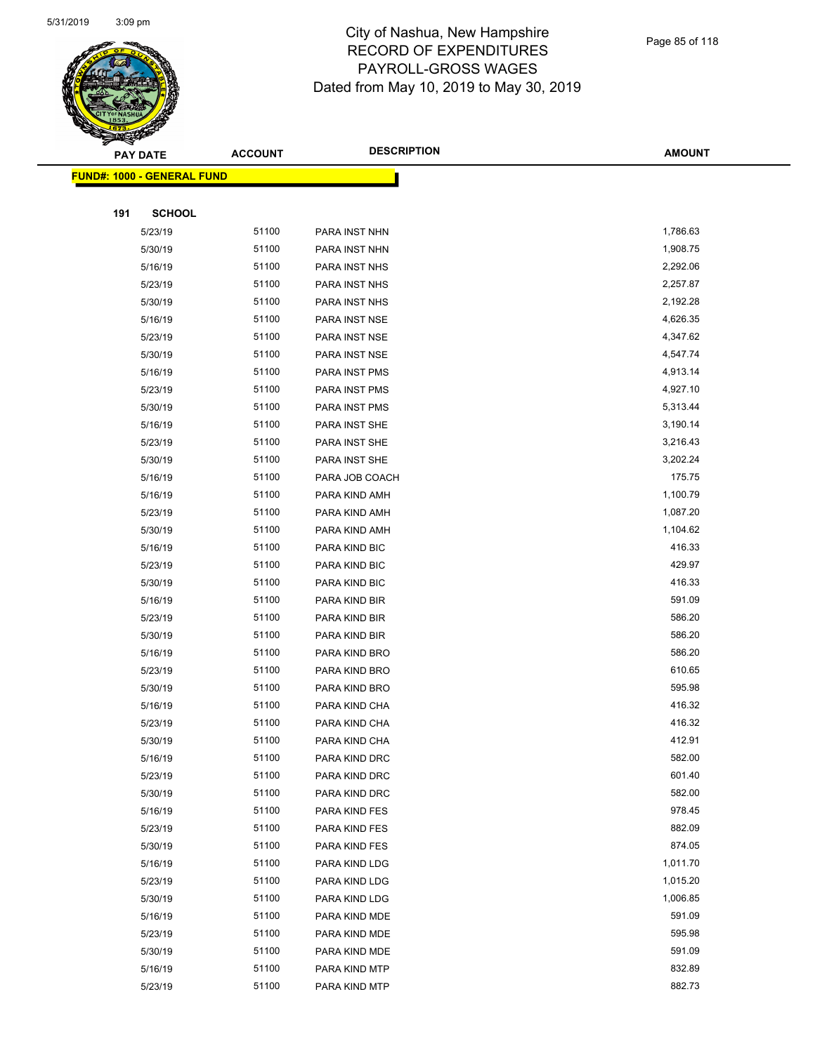

|     | <b>PAY DATE</b>                    | <b>ACCOUNT</b> | <b>DESCRIPTION</b> | <b>AMOUNT</b> |  |
|-----|------------------------------------|----------------|--------------------|---------------|--|
|     | <u> FUND#: 1000 - GENERAL FUND</u> |                |                    |               |  |
|     |                                    |                |                    |               |  |
| 191 | <b>SCHOOL</b>                      |                |                    |               |  |
|     | 5/23/19                            | 51100          | PARA INST NHN      | 1,786.63      |  |
|     | 5/30/19                            | 51100          | PARA INST NHN      | 1,908.75      |  |
|     | 5/16/19                            | 51100          | PARA INST NHS      | 2,292.06      |  |
|     | 5/23/19                            | 51100          | PARA INST NHS      | 2,257.87      |  |
|     | 5/30/19                            | 51100          | PARA INST NHS      | 2,192.28      |  |
|     | 5/16/19                            | 51100          | PARA INST NSE      | 4,626.35      |  |
|     | 5/23/19                            | 51100          | PARA INST NSE      | 4,347.62      |  |
|     | 5/30/19                            | 51100          | PARA INST NSE      | 4,547.74      |  |
|     | 5/16/19                            | 51100          | PARA INST PMS      | 4,913.14      |  |
|     | 5/23/19                            | 51100          | PARA INST PMS      | 4,927.10      |  |
|     | 5/30/19                            | 51100          | PARA INST PMS      | 5,313.44      |  |
|     | 5/16/19                            | 51100          | PARA INST SHE      | 3,190.14      |  |
|     | 5/23/19                            | 51100          | PARA INST SHE      | 3,216.43      |  |
|     | 5/30/19                            | 51100          | PARA INST SHE      | 3,202.24      |  |
|     | 5/16/19                            | 51100          | PARA JOB COACH     | 175.75        |  |
|     | 5/16/19                            | 51100          | PARA KIND AMH      | 1,100.79      |  |
|     | 5/23/19                            | 51100          | PARA KIND AMH      | 1,087.20      |  |
|     | 5/30/19                            | 51100          | PARA KIND AMH      | 1,104.62      |  |
|     | 5/16/19                            | 51100          | PARA KIND BIC      | 416.33        |  |
|     | 5/23/19                            | 51100          | PARA KIND BIC      | 429.97        |  |
|     | 5/30/19                            | 51100          | PARA KIND BIC      | 416.33        |  |
|     | 5/16/19                            | 51100          | PARA KIND BIR      | 591.09        |  |
|     | 5/23/19                            | 51100          | PARA KIND BIR      | 586.20        |  |
|     | 5/30/19                            | 51100          | PARA KIND BIR      | 586.20        |  |
|     | 5/16/19                            | 51100          | PARA KIND BRO      | 586.20        |  |
|     | 5/23/19                            | 51100          | PARA KIND BRO      | 610.65        |  |
|     | 5/30/19                            | 51100          | PARA KIND BRO      | 595.98        |  |
|     | 5/16/19                            | 51100          | PARA KIND CHA      | 416.32        |  |
|     | 5/23/19                            | 51100          | PARA KIND CHA      | 416.32        |  |
|     | 5/30/19                            | 51100          | PARA KIND CHA      | 412.91        |  |
|     | 5/16/19                            | 51100          | PARA KIND DRC      | 582.00        |  |
|     | 5/23/19                            | 51100          | PARA KIND DRC      | 601.40        |  |
|     | 5/30/19                            | 51100          | PARA KIND DRC      | 582.00        |  |
|     | 5/16/19                            | 51100          | PARA KIND FES      | 978.45        |  |
|     | 5/23/19                            | 51100          | PARA KIND FES      | 882.09        |  |
|     | 5/30/19                            | 51100          | PARA KIND FES      | 874.05        |  |
|     | 5/16/19                            | 51100          | PARA KIND LDG      | 1,011.70      |  |
|     | 5/23/19                            | 51100          | PARA KIND LDG      | 1,015.20      |  |
|     | 5/30/19                            | 51100          | PARA KIND LDG      | 1,006.85      |  |
|     | 5/16/19                            | 51100          | PARA KIND MDE      | 591.09        |  |
|     | 5/23/19                            | 51100          | PARA KIND MDE      | 595.98        |  |
|     | 5/30/19                            | 51100          | PARA KIND MDE      | 591.09        |  |
|     | 5/16/19                            | 51100          | PARA KIND MTP      | 832.89        |  |
|     | 5/23/19                            | 51100          | PARA KIND MTP      | 882.73        |  |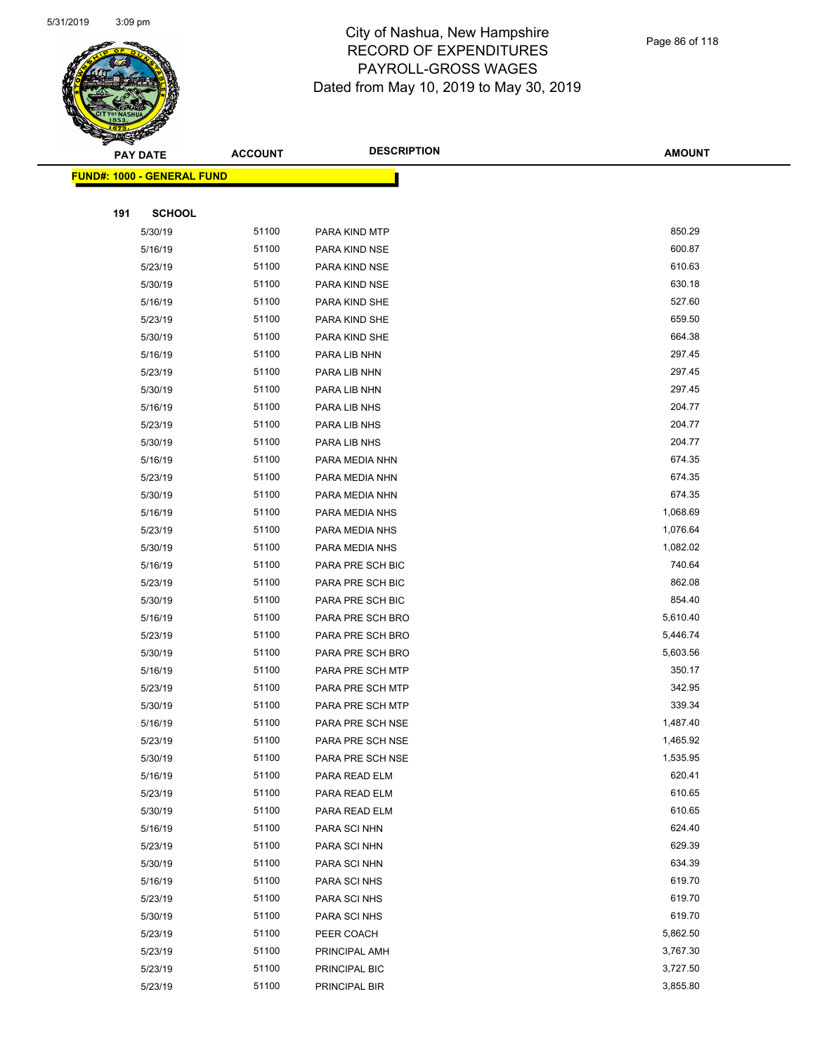

|     | <b>PAY DATE</b>                    | <b>ACCOUNT</b> | <b>DESCRIPTION</b> | <b>AMOUNT</b> |  |
|-----|------------------------------------|----------------|--------------------|---------------|--|
|     | <u> FUND#: 1000 - GENERAL FUND</u> |                |                    |               |  |
|     |                                    |                |                    |               |  |
| 191 | <b>SCHOOL</b>                      |                |                    |               |  |
|     | 5/30/19                            | 51100          | PARA KIND MTP      | 850.29        |  |
|     | 5/16/19                            | 51100          | PARA KIND NSE      | 600.87        |  |
|     | 5/23/19                            | 51100          | PARA KIND NSE      | 610.63        |  |
|     | 5/30/19                            | 51100          | PARA KIND NSE      | 630.18        |  |
|     | 5/16/19                            | 51100          | PARA KIND SHE      | 527.60        |  |
|     | 5/23/19                            | 51100          | PARA KIND SHE      | 659.50        |  |
|     | 5/30/19                            | 51100          | PARA KIND SHE      | 664.38        |  |
|     | 5/16/19                            | 51100          | PARA LIB NHN       | 297.45        |  |
|     | 5/23/19                            | 51100          | PARA LIB NHN       | 297.45        |  |
|     | 5/30/19                            | 51100          | PARA LIB NHN       | 297.45        |  |
|     | 5/16/19                            | 51100          | PARA LIB NHS       | 204.77        |  |
|     | 5/23/19                            | 51100          | PARA LIB NHS       | 204.77        |  |
|     | 5/30/19                            | 51100          | PARA LIB NHS       | 204.77        |  |
|     | 5/16/19                            | 51100          | PARA MEDIA NHN     | 674.35        |  |
|     | 5/23/19                            | 51100          | PARA MEDIA NHN     | 674.35        |  |
|     | 5/30/19                            | 51100          | PARA MEDIA NHN     | 674.35        |  |
|     | 5/16/19                            | 51100          | PARA MEDIA NHS     | 1,068.69      |  |
|     | 5/23/19                            | 51100          | PARA MEDIA NHS     | 1,076.64      |  |
|     | 5/30/19                            | 51100          | PARA MEDIA NHS     | 1,082.02      |  |
|     | 5/16/19                            | 51100          | PARA PRE SCH BIC   | 740.64        |  |
|     | 5/23/19                            | 51100          | PARA PRE SCH BIC   | 862.08        |  |
|     | 5/30/19                            | 51100          | PARA PRE SCH BIC   | 854.40        |  |
|     | 5/16/19                            | 51100          | PARA PRE SCH BRO   | 5,610.40      |  |
|     | 5/23/19                            | 51100          | PARA PRE SCH BRO   | 5,446.74      |  |
|     | 5/30/19                            | 51100          | PARA PRE SCH BRO   | 5,603.56      |  |
|     | 5/16/19                            | 51100          | PARA PRE SCH MTP   | 350.17        |  |
|     | 5/23/19                            | 51100          | PARA PRE SCH MTP   | 342.95        |  |
|     | 5/30/19                            | 51100          | PARA PRE SCH MTP   | 339.34        |  |
|     | 5/16/19                            | 51100          | PARA PRE SCH NSE   | 1,487.40      |  |
|     | 5/23/19                            | 51100          | PARA PRE SCH NSE   | 1,465.92      |  |
|     | 5/30/19                            | 51100          | PARA PRE SCH NSE   | 1,535.95      |  |
|     | 5/16/19                            | 51100          | PARA READ ELM      | 620.41        |  |
|     | 5/23/19                            | 51100          | PARA READ ELM      | 610.65        |  |
|     | 5/30/19                            | 51100          | PARA READ ELM      | 610.65        |  |
|     | 5/16/19                            | 51100          | PARA SCI NHN       | 624.40        |  |
|     | 5/23/19                            | 51100          | PARA SCI NHN       | 629.39        |  |
|     | 5/30/19                            | 51100          | PARA SCI NHN       | 634.39        |  |
|     | 5/16/19                            | 51100          | PARA SCI NHS       | 619.70        |  |
|     | 5/23/19                            | 51100          | PARA SCI NHS       | 619.70        |  |
|     | 5/30/19                            | 51100          | PARA SCI NHS       | 619.70        |  |
|     | 5/23/19                            | 51100          | PEER COACH         | 5,862.50      |  |
|     | 5/23/19                            | 51100          | PRINCIPAL AMH      | 3,767.30      |  |
|     | 5/23/19                            | 51100          | PRINCIPAL BIC      | 3,727.50      |  |
|     | 5/23/19                            | 51100          | PRINCIPAL BIR      | 3,855.80      |  |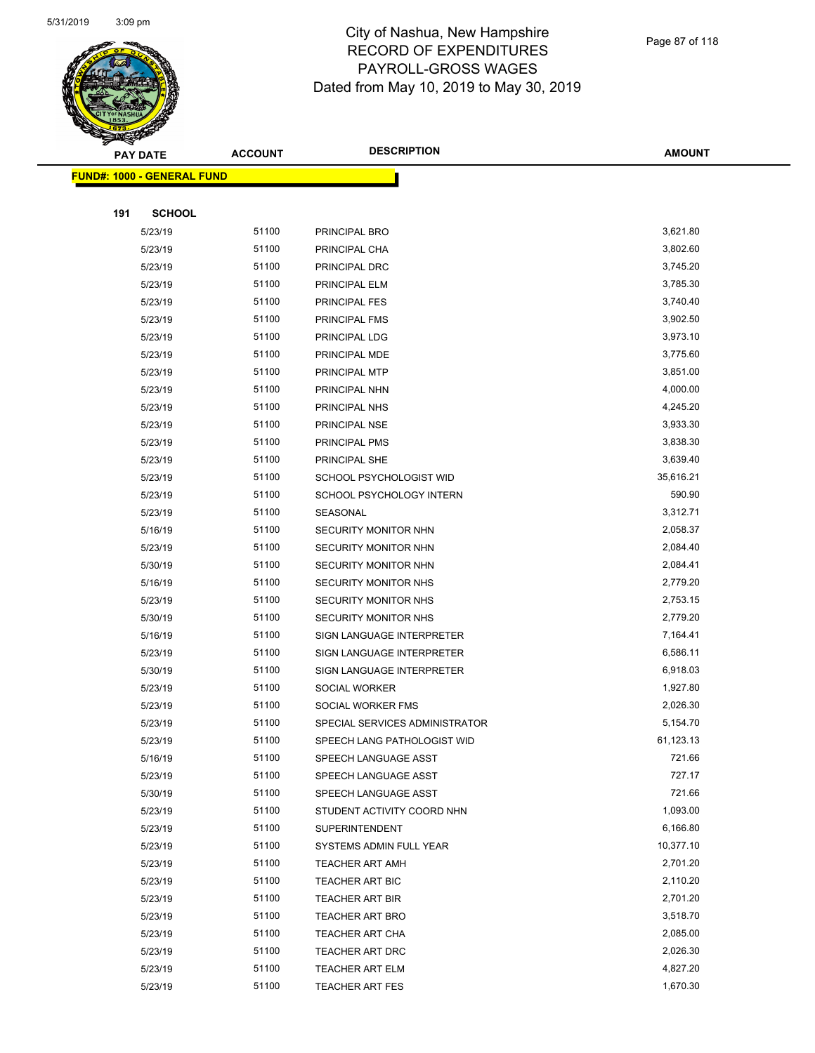

|     | <b>PAY DATE</b>                   | <b>ACCOUNT</b> | <b>DESCRIPTION</b>             | <b>AMOUNT</b>        |
|-----|-----------------------------------|----------------|--------------------------------|----------------------|
|     | <b>FUND#: 1000 - GENERAL FUND</b> |                |                                |                      |
|     |                                   |                |                                |                      |
| 191 | <b>SCHOOL</b>                     |                |                                |                      |
|     | 5/23/19                           | 51100          | PRINCIPAL BRO                  | 3,621.80             |
|     | 5/23/19                           | 51100          | PRINCIPAL CHA                  | 3,802.60             |
|     | 5/23/19                           | 51100          | PRINCIPAL DRC                  | 3,745.20             |
|     | 5/23/19                           | 51100          | PRINCIPAL ELM                  | 3,785.30             |
|     | 5/23/19                           | 51100          | PRINCIPAL FES                  | 3,740.40             |
|     | 5/23/19                           | 51100          | <b>PRINCIPAL FMS</b>           | 3,902.50             |
|     | 5/23/19                           | 51100          | PRINCIPAL LDG                  | 3,973.10             |
|     | 5/23/19                           | 51100          | PRINCIPAL MDE                  | 3,775.60             |
|     | 5/23/19                           | 51100          | PRINCIPAL MTP                  | 3,851.00             |
|     | 5/23/19                           | 51100          | PRINCIPAL NHN                  | 4,000.00             |
|     | 5/23/19                           | 51100          | PRINCIPAL NHS                  | 4,245.20             |
|     | 5/23/19                           | 51100          | PRINCIPAL NSE                  | 3,933.30             |
|     | 5/23/19                           | 51100          | PRINCIPAL PMS                  | 3,838.30             |
|     | 5/23/19                           | 51100          | PRINCIPAL SHE                  | 3,639.40             |
|     | 5/23/19                           | 51100          | SCHOOL PSYCHOLOGIST WID        | 35,616.21            |
|     | 5/23/19                           | 51100          | SCHOOL PSYCHOLOGY INTERN       | 590.90               |
|     | 5/23/19                           | 51100          | SEASONAL                       | 3,312.71             |
|     | 5/16/19                           | 51100          | SECURITY MONITOR NHN           | 2,058.37             |
|     | 5/23/19                           | 51100          | SECURITY MONITOR NHN           | 2,084.40             |
|     | 5/30/19                           | 51100          | SECURITY MONITOR NHN           | 2,084.41             |
|     | 5/16/19                           | 51100          | <b>SECURITY MONITOR NHS</b>    | 2,779.20             |
|     | 5/23/19                           | 51100          | SECURITY MONITOR NHS           | 2,753.15             |
|     | 5/30/19                           | 51100          | SECURITY MONITOR NHS           | 2,779.20             |
|     | 5/16/19                           | 51100          | SIGN LANGUAGE INTERPRETER      | 7,164.41             |
|     | 5/23/19                           | 51100          | SIGN LANGUAGE INTERPRETER      | 6,586.11             |
|     | 5/30/19                           | 51100          | SIGN LANGUAGE INTERPRETER      | 6,918.03             |
|     | 5/23/19                           | 51100          | SOCIAL WORKER                  | 1,927.80             |
|     | 5/23/19                           | 51100          | SOCIAL WORKER FMS              | 2,026.30             |
|     | 5/23/19                           | 51100          | SPECIAL SERVICES ADMINISTRATOR | 5,154.70             |
|     | 5/23/19                           | 51100          | SPEECH LANG PATHOLOGIST WID    | 61,123.13            |
|     | 5/16/19                           | 51100          | SPEECH LANGUAGE ASST           | 721.66               |
|     | 5/23/19                           | 51100          | SPEECH LANGUAGE ASST           | 727.17               |
|     | 5/30/19                           | 51100          | SPEECH LANGUAGE ASST           | 721.66               |
|     | 5/23/19                           | 51100          | STUDENT ACTIVITY COORD NHN     | 1,093.00             |
|     | 5/23/19                           | 51100          | SUPERINTENDENT                 | 6,166.80             |
|     | 5/23/19                           | 51100          | SYSTEMS ADMIN FULL YEAR        | 10,377.10            |
|     | 5/23/19                           | 51100          | <b>TEACHER ART AMH</b>         | 2,701.20             |
|     | 5/23/19                           | 51100          | TEACHER ART BIC                | 2,110.20             |
|     | 5/23/19                           | 51100          | TEACHER ART BIR                | 2,701.20             |
|     | 5/23/19                           | 51100          | TEACHER ART BRO                | 3,518.70<br>2,085.00 |
|     | 5/23/19                           | 51100          | <b>TEACHER ART CHA</b>         |                      |
|     | 5/23/19                           | 51100          | TEACHER ART DRC                | 2,026.30<br>4,827.20 |
|     | 5/23/19                           | 51100          | TEACHER ART ELM                |                      |
|     | 5/23/19                           | 51100          | <b>TEACHER ART FES</b>         | 1,670.30             |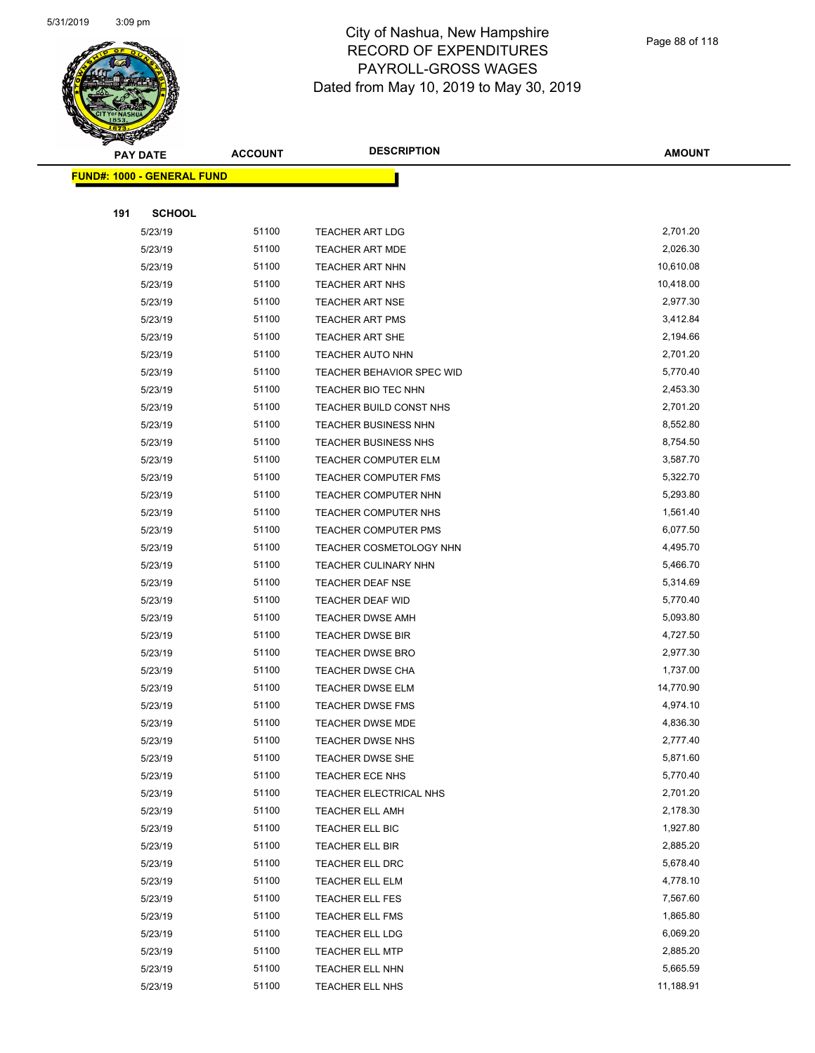

|     | <b>PAY DATE</b>                    | <b>ACCOUNT</b> | <b>DESCRIPTION</b>               | <b>AMOUNT</b> |
|-----|------------------------------------|----------------|----------------------------------|---------------|
|     | <u> FUND#: 1000 - GENERAL FUND</u> |                |                                  |               |
|     |                                    |                |                                  |               |
| 191 | <b>SCHOOL</b>                      |                |                                  |               |
|     | 5/23/19                            | 51100          | <b>TEACHER ART LDG</b>           | 2,701.20      |
|     | 5/23/19                            | 51100          | <b>TEACHER ART MDE</b>           | 2,026.30      |
|     | 5/23/19                            | 51100          | <b>TEACHER ART NHN</b>           | 10,610.08     |
|     | 5/23/19                            | 51100          | <b>TEACHER ART NHS</b>           | 10,418.00     |
|     | 5/23/19                            | 51100          | <b>TEACHER ART NSE</b>           | 2,977.30      |
|     | 5/23/19                            | 51100          | TEACHER ART PMS                  | 3,412.84      |
|     | 5/23/19                            | 51100          | <b>TEACHER ART SHE</b>           | 2,194.66      |
|     | 5/23/19                            | 51100          | <b>TEACHER AUTO NHN</b>          | 2,701.20      |
|     | 5/23/19                            | 51100          | <b>TEACHER BEHAVIOR SPEC WID</b> | 5,770.40      |
|     | 5/23/19                            | 51100          | TEACHER BIO TEC NHN              | 2,453.30      |
|     | 5/23/19                            | 51100          | TEACHER BUILD CONST NHS          | 2,701.20      |
|     | 5/23/19                            | 51100          | TEACHER BUSINESS NHN             | 8,552.80      |
|     | 5/23/19                            | 51100          | <b>TEACHER BUSINESS NHS</b>      | 8,754.50      |
|     | 5/23/19                            | 51100          | <b>TEACHER COMPUTER ELM</b>      | 3,587.70      |
|     | 5/23/19                            | 51100          | TEACHER COMPUTER FMS             | 5,322.70      |
|     | 5/23/19                            | 51100          | TEACHER COMPUTER NHN             | 5,293.80      |
|     | 5/23/19                            | 51100          | TEACHER COMPUTER NHS             | 1,561.40      |
|     | 5/23/19                            | 51100          | TEACHER COMPUTER PMS             | 6,077.50      |
|     | 5/23/19                            | 51100          | TEACHER COSMETOLOGY NHN          | 4,495.70      |
|     | 5/23/19                            | 51100          | <b>TEACHER CULINARY NHN</b>      | 5,466.70      |
|     | 5/23/19                            | 51100          | <b>TEACHER DEAF NSE</b>          | 5,314.69      |
|     | 5/23/19                            | 51100          | TEACHER DEAF WID                 | 5,770.40      |
|     | 5/23/19                            | 51100          | <b>TEACHER DWSE AMH</b>          | 5,093.80      |
|     | 5/23/19                            | 51100          | <b>TEACHER DWSE BIR</b>          | 4,727.50      |
|     | 5/23/19                            | 51100          | TEACHER DWSE BRO                 | 2,977.30      |
|     | 5/23/19                            | 51100          | TEACHER DWSE CHA                 | 1,737.00      |
|     | 5/23/19                            | 51100          | <b>TEACHER DWSE ELM</b>          | 14,770.90     |
|     | 5/23/19                            | 51100          | TEACHER DWSE FMS                 | 4,974.10      |
|     | 5/23/19                            | 51100          | <b>TEACHER DWSE MDE</b>          | 4,836.30      |
|     | 5/23/19                            | 51100          | TEACHER DWSE NHS                 | 2,777.40      |
|     | 5/23/19                            | 51100          | <b>TEACHER DWSE SHE</b>          | 5,871.60      |
|     | 5/23/19                            | 51100          | TEACHER ECE NHS                  | 5,770.40      |
|     | 5/23/19                            | 51100          | TEACHER ELECTRICAL NHS           | 2,701.20      |
|     | 5/23/19                            | 51100          | <b>TEACHER ELL AMH</b>           | 2,178.30      |
|     | 5/23/19                            | 51100          | TEACHER ELL BIC                  | 1,927.80      |
|     | 5/23/19                            | 51100          | TEACHER ELL BIR                  | 2,885.20      |
|     | 5/23/19                            | 51100          | <b>TEACHER ELL DRC</b>           | 5,678.40      |
|     | 5/23/19                            | 51100          | TEACHER ELL ELM                  | 4,778.10      |
|     | 5/23/19                            | 51100          | TEACHER ELL FES                  | 7,567.60      |
|     | 5/23/19                            | 51100          | TEACHER ELL FMS                  | 1,865.80      |
|     | 5/23/19                            | 51100          | <b>TEACHER ELL LDG</b>           | 6,069.20      |
|     | 5/23/19                            | 51100          | <b>TEACHER ELL MTP</b>           | 2,885.20      |
|     | 5/23/19                            | 51100          | TEACHER ELL NHN                  | 5,665.59      |
|     | 5/23/19                            | 51100          | TEACHER ELL NHS                  | 11,188.91     |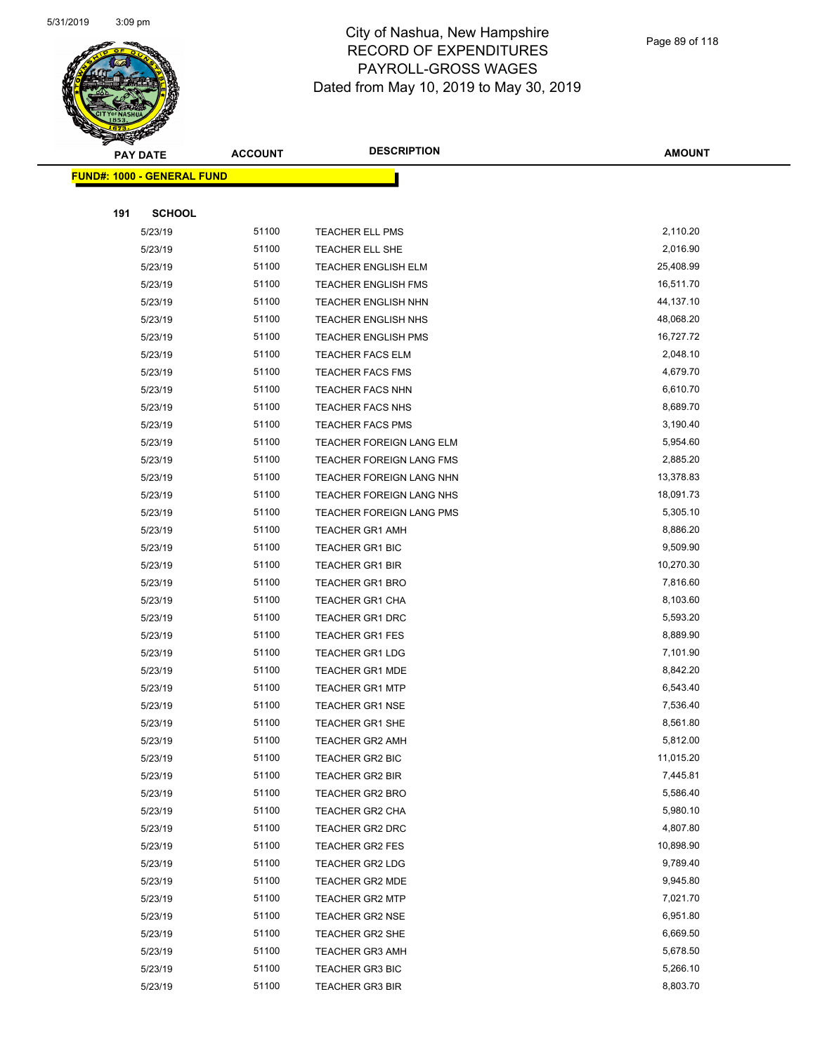

|     | <b>PAY DATE</b>                   | <b>ACCOUNT</b> | <b>DESCRIPTION</b>              | <b>AMOUNT</b> |
|-----|-----------------------------------|----------------|---------------------------------|---------------|
|     | <b>FUND#: 1000 - GENERAL FUND</b> |                |                                 |               |
|     |                                   |                |                                 |               |
| 191 | <b>SCHOOL</b>                     |                |                                 |               |
|     | 5/23/19                           | 51100          | <b>TEACHER ELL PMS</b>          | 2,110.20      |
|     | 5/23/19                           | 51100          | TEACHER ELL SHE                 | 2,016.90      |
|     | 5/23/19                           | 51100          | <b>TEACHER ENGLISH ELM</b>      | 25,408.99     |
|     | 5/23/19                           | 51100          | <b>TEACHER ENGLISH FMS</b>      | 16,511.70     |
|     | 5/23/19                           | 51100          | TEACHER ENGLISH NHN             | 44,137.10     |
|     | 5/23/19                           | 51100          | <b>TEACHER ENGLISH NHS</b>      | 48,068.20     |
|     | 5/23/19                           | 51100          | <b>TEACHER ENGLISH PMS</b>      | 16,727.72     |
|     | 5/23/19                           | 51100          | <b>TEACHER FACS ELM</b>         | 2,048.10      |
|     | 5/23/19                           | 51100          | <b>TEACHER FACS FMS</b>         | 4,679.70      |
|     | 5/23/19                           | 51100          | <b>TEACHER FACS NHN</b>         | 6,610.70      |
|     | 5/23/19                           | 51100          | TEACHER FACS NHS                | 8,689.70      |
|     | 5/23/19                           | 51100          | <b>TEACHER FACS PMS</b>         | 3,190.40      |
|     | 5/23/19                           | 51100          | <b>TEACHER FOREIGN LANG ELM</b> | 5,954.60      |
|     | 5/23/19                           | 51100          | TEACHER FOREIGN LANG FMS        | 2,885.20      |
|     | 5/23/19                           | 51100          | TEACHER FOREIGN LANG NHN        | 13,378.83     |
|     | 5/23/19                           | 51100          | TEACHER FOREIGN LANG NHS        | 18,091.73     |
|     | 5/23/19                           | 51100          | <b>TEACHER FOREIGN LANG PMS</b> | 5,305.10      |
|     | 5/23/19                           | 51100          | <b>TEACHER GR1 AMH</b>          | 8,886.20      |
|     | 5/23/19                           | 51100          | <b>TEACHER GR1 BIC</b>          | 9,509.90      |
|     | 5/23/19                           | 51100          | <b>TEACHER GR1 BIR</b>          | 10,270.30     |
|     | 5/23/19                           | 51100          | <b>TEACHER GR1 BRO</b>          | 7,816.60      |
|     | 5/23/19                           | 51100          | <b>TEACHER GR1 CHA</b>          | 8,103.60      |
|     | 5/23/19                           | 51100          | <b>TEACHER GR1 DRC</b>          | 5,593.20      |
|     | 5/23/19                           | 51100          | <b>TEACHER GR1 FES</b>          | 8,889.90      |
|     | 5/23/19                           | 51100          | <b>TEACHER GR1 LDG</b>          | 7,101.90      |
|     | 5/23/19                           | 51100          | TEACHER GR1 MDE                 | 8,842.20      |
|     | 5/23/19                           | 51100          | <b>TEACHER GR1 MTP</b>          | 6,543.40      |
|     | 5/23/19                           | 51100          | <b>TEACHER GR1 NSE</b>          | 7,536.40      |
|     | 5/23/19                           | 51100          | <b>TEACHER GR1 SHE</b>          | 8,561.80      |
|     | 5/23/19                           | 51100          | TEACHER GR2 AMH                 | 5,812.00      |
|     | 5/23/19                           | 51100          | TEACHER GR2 BIC                 | 11,015.20     |
|     | 5/23/19                           | 51100          | <b>TEACHER GR2 BIR</b>          | 7,445.81      |
|     | 5/23/19                           | 51100          | <b>TEACHER GR2 BRO</b>          | 5,586.40      |
|     | 5/23/19                           | 51100          | TEACHER GR2 CHA                 | 5,980.10      |
|     | 5/23/19                           | 51100          | TEACHER GR2 DRC                 | 4,807.80      |
|     | 5/23/19                           | 51100          | TEACHER GR2 FES                 | 10,898.90     |
|     | 5/23/19                           | 51100          | <b>TEACHER GR2 LDG</b>          | 9,789.40      |
|     | 5/23/19                           | 51100          | TEACHER GR2 MDE                 | 9,945.80      |
|     | 5/23/19                           | 51100          | <b>TEACHER GR2 MTP</b>          | 7,021.70      |
|     | 5/23/19                           | 51100          | <b>TEACHER GR2 NSE</b>          | 6,951.80      |
|     | 5/23/19                           | 51100          | TEACHER GR2 SHE                 | 6,669.50      |
|     | 5/23/19                           | 51100          | <b>TEACHER GR3 AMH</b>          | 5,678.50      |
|     | 5/23/19                           | 51100          | TEACHER GR3 BIC                 | 5,266.10      |
|     | 5/23/19                           | 51100          | <b>TEACHER GR3 BIR</b>          | 8,803.70      |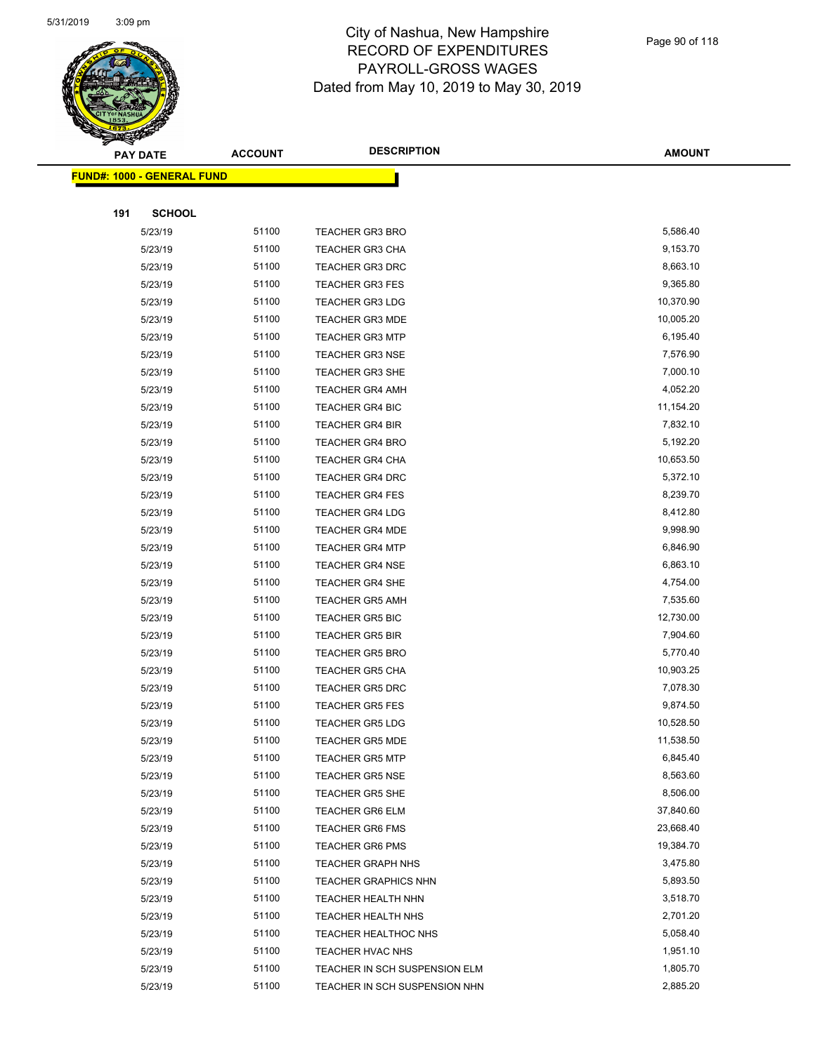

|     | <b>PAY DATE</b>                   | <b>ACCOUNT</b> | <b>DESCRIPTION</b>            | <b>AMOUNT</b> |
|-----|-----------------------------------|----------------|-------------------------------|---------------|
|     | <b>FUND#: 1000 - GENERAL FUND</b> |                |                               |               |
|     |                                   |                |                               |               |
| 191 | <b>SCHOOL</b>                     |                |                               |               |
|     | 5/23/19                           | 51100          | TEACHER GR3 BRO               | 5,586.40      |
|     | 5/23/19                           | 51100          | <b>TEACHER GR3 CHA</b>        | 9,153.70      |
|     | 5/23/19                           | 51100          | <b>TEACHER GR3 DRC</b>        | 8,663.10      |
|     | 5/23/19                           | 51100          | <b>TEACHER GR3 FES</b>        | 9,365.80      |
|     | 5/23/19                           | 51100          | <b>TEACHER GR3 LDG</b>        | 10,370.90     |
|     | 5/23/19                           | 51100          | <b>TEACHER GR3 MDE</b>        | 10,005.20     |
|     | 5/23/19                           | 51100          | <b>TEACHER GR3 MTP</b>        | 6,195.40      |
|     | 5/23/19                           | 51100          | <b>TEACHER GR3 NSE</b>        | 7,576.90      |
|     | 5/23/19                           | 51100          | <b>TEACHER GR3 SHE</b>        | 7,000.10      |
|     | 5/23/19                           | 51100          | <b>TEACHER GR4 AMH</b>        | 4,052.20      |
|     | 5/23/19                           | 51100          | <b>TEACHER GR4 BIC</b>        | 11,154.20     |
|     | 5/23/19                           | 51100          | <b>TEACHER GR4 BIR</b>        | 7,832.10      |
|     | 5/23/19                           | 51100          | <b>TEACHER GR4 BRO</b>        | 5,192.20      |
|     | 5/23/19                           | 51100          | <b>TEACHER GR4 CHA</b>        | 10,653.50     |
|     | 5/23/19                           | 51100          | <b>TEACHER GR4 DRC</b>        | 5,372.10      |
|     | 5/23/19                           | 51100          | <b>TEACHER GR4 FES</b>        | 8,239.70      |
|     | 5/23/19                           | 51100          | <b>TEACHER GR4 LDG</b>        | 8,412.80      |
|     | 5/23/19                           | 51100          | <b>TEACHER GR4 MDE</b>        | 9,998.90      |
|     | 5/23/19                           | 51100          | <b>TEACHER GR4 MTP</b>        | 6,846.90      |
|     | 5/23/19                           | 51100          | <b>TEACHER GR4 NSE</b>        | 6,863.10      |
|     | 5/23/19                           | 51100          | TEACHER GR4 SHE               | 4,754.00      |
|     | 5/23/19                           | 51100          | <b>TEACHER GR5 AMH</b>        | 7,535.60      |
|     | 5/23/19                           | 51100          | <b>TEACHER GR5 BIC</b>        | 12,730.00     |
|     | 5/23/19                           | 51100          | <b>TEACHER GR5 BIR</b>        | 7,904.60      |
|     | 5/23/19                           | 51100          | <b>TEACHER GR5 BRO</b>        | 5,770.40      |
|     | 5/23/19                           | 51100          | <b>TEACHER GR5 CHA</b>        | 10,903.25     |
|     | 5/23/19                           | 51100          | <b>TEACHER GR5 DRC</b>        | 7,078.30      |
|     | 5/23/19                           | 51100          | <b>TEACHER GR5 FES</b>        | 9,874.50      |
|     | 5/23/19                           | 51100          | <b>TEACHER GR5 LDG</b>        | 10,528.50     |
|     | 5/23/19                           | 51100          | TEACHER GR5 MDE               | 11,538.50     |
|     | 5/23/19                           | 51100          | <b>TEACHER GR5 MTP</b>        | 6,845.40      |
|     | 5/23/19                           | 51100          | <b>TEACHER GR5 NSE</b>        | 8,563.60      |
|     | 5/23/19                           | 51100          | <b>TEACHER GR5 SHE</b>        | 8,506.00      |
|     | 5/23/19                           | 51100          | <b>TEACHER GR6 ELM</b>        | 37,840.60     |
|     | 5/23/19                           | 51100          | <b>TEACHER GR6 FMS</b>        | 23,668.40     |
|     | 5/23/19                           | 51100          | <b>TEACHER GR6 PMS</b>        | 19,384.70     |
|     | 5/23/19                           | 51100          | <b>TEACHER GRAPH NHS</b>      | 3,475.80      |
|     | 5/23/19                           | 51100          | <b>TEACHER GRAPHICS NHN</b>   | 5,893.50      |
|     | 5/23/19                           | 51100          | TEACHER HEALTH NHN            | 3,518.70      |
|     | 5/23/19                           | 51100          | <b>TEACHER HEALTH NHS</b>     | 2,701.20      |
|     | 5/23/19                           | 51100          | TEACHER HEALTHOC NHS          | 5,058.40      |
|     | 5/23/19                           | 51100          | TEACHER HVAC NHS              | 1,951.10      |
|     | 5/23/19                           | 51100          | TEACHER IN SCH SUSPENSION ELM | 1,805.70      |
|     | 5/23/19                           | 51100          | TEACHER IN SCH SUSPENSION NHN | 2,885.20      |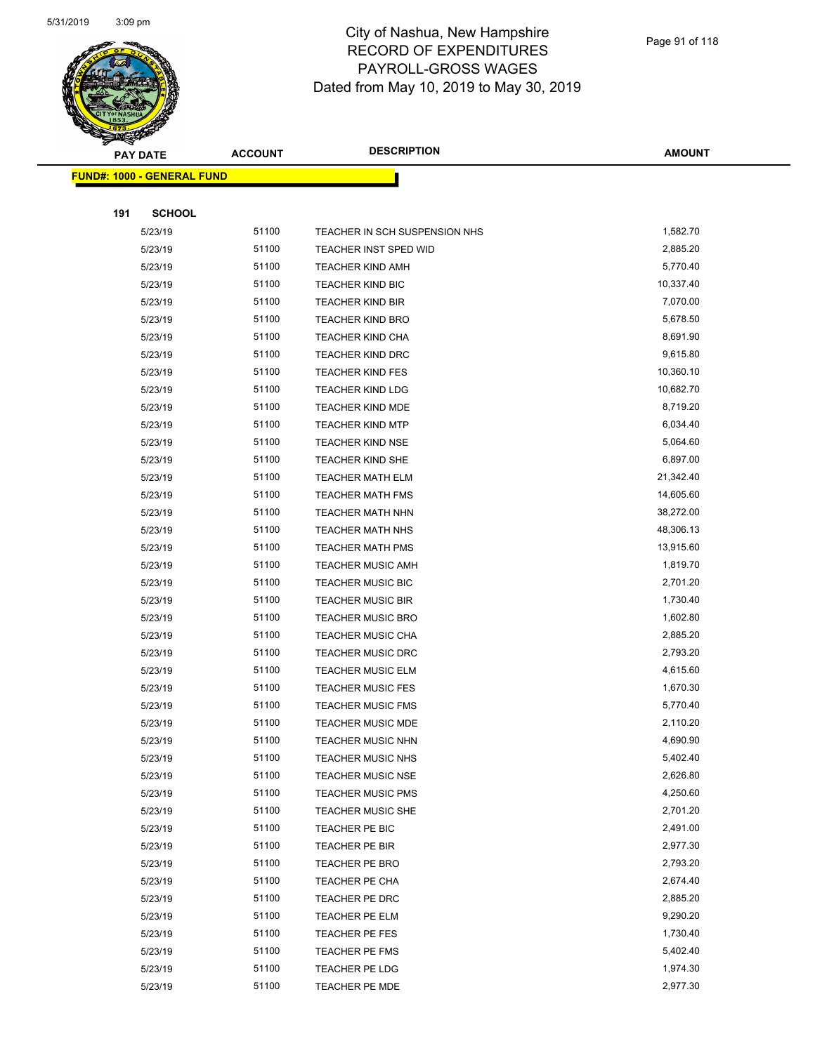

| $\tilde{\phantom{a}}$ | <b>PAY DATE</b>                   | <b>ACCOUNT</b> | <b>DESCRIPTION</b>            | <b>AMOUNT</b> |
|-----------------------|-----------------------------------|----------------|-------------------------------|---------------|
|                       | <b>FUND#: 1000 - GENERAL FUND</b> |                |                               |               |
|                       |                                   |                |                               |               |
| 191                   | <b>SCHOOL</b>                     |                |                               |               |
|                       | 5/23/19                           | 51100          | TEACHER IN SCH SUSPENSION NHS | 1,582.70      |
|                       | 5/23/19                           | 51100          | TEACHER INST SPED WID         | 2,885.20      |
|                       | 5/23/19                           | 51100          | <b>TEACHER KIND AMH</b>       | 5,770.40      |
|                       | 5/23/19                           | 51100          | <b>TEACHER KIND BIC</b>       | 10,337.40     |
|                       | 5/23/19                           | 51100          | <b>TEACHER KIND BIR</b>       | 7,070.00      |
|                       | 5/23/19                           | 51100          | <b>TEACHER KIND BRO</b>       | 5,678.50      |
|                       | 5/23/19                           | 51100          | <b>TEACHER KIND CHA</b>       | 8,691.90      |
|                       | 5/23/19                           | 51100          | <b>TEACHER KIND DRC</b>       | 9,615.80      |
|                       | 5/23/19                           | 51100          | <b>TEACHER KIND FES</b>       | 10,360.10     |
|                       | 5/23/19                           | 51100          | <b>TEACHER KIND LDG</b>       | 10,682.70     |
|                       | 5/23/19                           | 51100          | <b>TEACHER KIND MDE</b>       | 8,719.20      |
|                       | 5/23/19                           | 51100          | <b>TEACHER KIND MTP</b>       | 6,034.40      |
|                       | 5/23/19                           | 51100          | <b>TEACHER KIND NSE</b>       | 5,064.60      |
|                       | 5/23/19                           | 51100          | <b>TEACHER KIND SHE</b>       | 6,897.00      |
|                       | 5/23/19                           | 51100          | <b>TEACHER MATH ELM</b>       | 21,342.40     |
|                       | 5/23/19                           | 51100          | <b>TEACHER MATH FMS</b>       | 14,605.60     |
|                       | 5/23/19                           | 51100          | <b>TEACHER MATH NHN</b>       | 38,272.00     |
|                       | 5/23/19                           | 51100          | <b>TEACHER MATH NHS</b>       | 48,306.13     |
|                       | 5/23/19                           | 51100          | <b>TEACHER MATH PMS</b>       | 13,915.60     |
|                       | 5/23/19                           | 51100          | <b>TEACHER MUSIC AMH</b>      | 1,819.70      |
|                       | 5/23/19                           | 51100          | <b>TEACHER MUSIC BIC</b>      | 2,701.20      |
|                       | 5/23/19                           | 51100          | <b>TEACHER MUSIC BIR</b>      | 1,730.40      |
|                       | 5/23/19                           | 51100          | <b>TEACHER MUSIC BRO</b>      | 1,602.80      |
|                       | 5/23/19                           | 51100          | <b>TEACHER MUSIC CHA</b>      | 2,885.20      |
|                       | 5/23/19                           | 51100          | <b>TEACHER MUSIC DRC</b>      | 2,793.20      |
|                       | 5/23/19                           | 51100          | <b>TEACHER MUSIC ELM</b>      | 4,615.60      |
|                       | 5/23/19                           | 51100          | <b>TEACHER MUSIC FES</b>      | 1,670.30      |
|                       | 5/23/19                           | 51100          | <b>TEACHER MUSIC FMS</b>      | 5,770.40      |
|                       | 5/23/19                           | 51100          | <b>TEACHER MUSIC MDE</b>      | 2,110.20      |
|                       | 5/23/19                           | 51100          | TEACHER MUSIC NHN             | 4,690.90      |
|                       | 5/23/19                           | 51100          | <b>TEACHER MUSIC NHS</b>      | 5,402.40      |
|                       | 5/23/19                           | 51100          | <b>TEACHER MUSIC NSE</b>      | 2,626.80      |
|                       | 5/23/19                           | 51100          | <b>TEACHER MUSIC PMS</b>      | 4,250.60      |
|                       | 5/23/19                           | 51100          | <b>TEACHER MUSIC SHE</b>      | 2,701.20      |
|                       | 5/23/19                           | 51100          | TEACHER PE BIC                | 2,491.00      |
|                       | 5/23/19                           | 51100          | TEACHER PE BIR                | 2,977.30      |
|                       | 5/23/19                           | 51100          | TEACHER PE BRO                | 2,793.20      |
|                       | 5/23/19                           | 51100          | TEACHER PE CHA                | 2,674.40      |
|                       | 5/23/19                           | 51100          | TEACHER PE DRC                | 2,885.20      |
|                       | 5/23/19                           | 51100          | TEACHER PE ELM                | 9,290.20      |
|                       | 5/23/19                           | 51100          | TEACHER PE FES                | 1,730.40      |
|                       | 5/23/19                           | 51100          | TEACHER PE FMS                | 5,402.40      |
|                       | 5/23/19                           | 51100          | TEACHER PE LDG                | 1,974.30      |
|                       | 5/23/19                           | 51100          | <b>TEACHER PE MDE</b>         | 2,977.30      |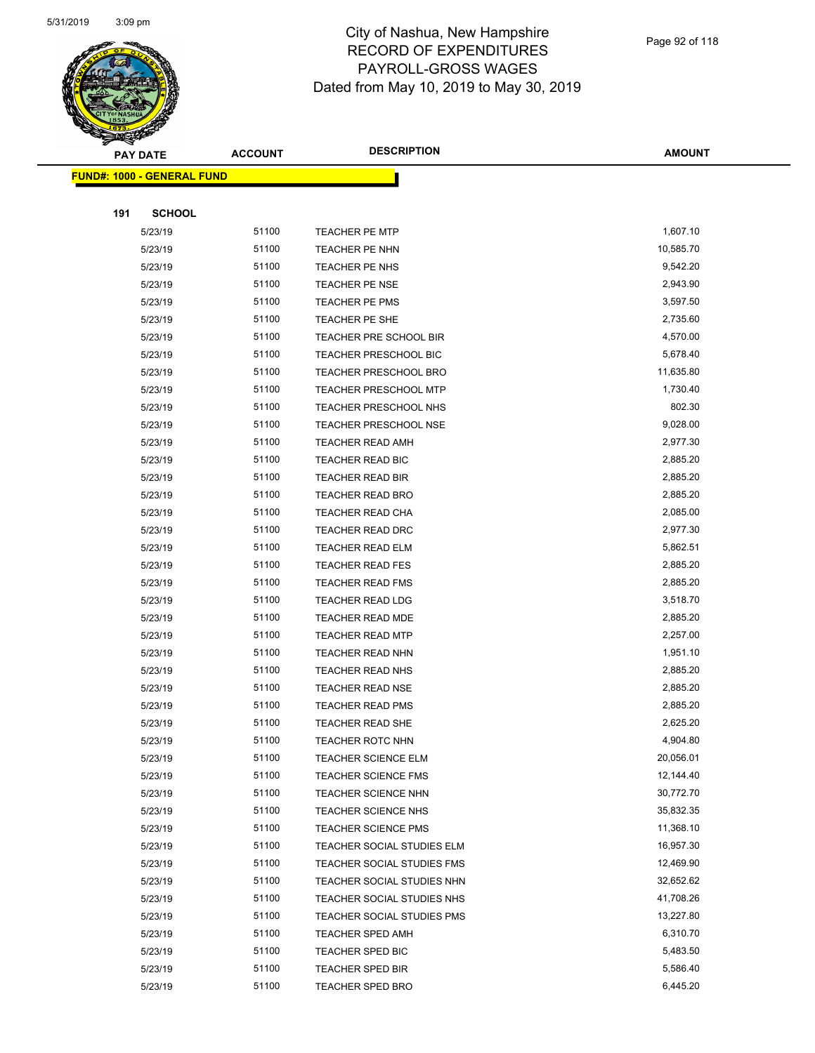

|     | <b>PAY DATE</b>                    | <b>ACCOUNT</b> | <b>DESCRIPTION</b>           | <b>AMOUNT</b> |
|-----|------------------------------------|----------------|------------------------------|---------------|
|     | <u> FUND#: 1000 - GENERAL FUND</u> |                |                              |               |
|     |                                    |                |                              |               |
| 191 | <b>SCHOOL</b>                      |                |                              |               |
|     | 5/23/19                            | 51100          | TEACHER PE MTP               | 1,607.10      |
|     | 5/23/19                            | 51100          | TEACHER PE NHN               | 10,585.70     |
|     | 5/23/19                            | 51100          | TEACHER PE NHS               | 9,542.20      |
|     | 5/23/19                            | 51100          | <b>TEACHER PE NSE</b>        | 2,943.90      |
|     | 5/23/19                            | 51100          | TEACHER PE PMS               | 3,597.50      |
|     | 5/23/19                            | 51100          | TEACHER PE SHE               | 2,735.60      |
|     | 5/23/19                            | 51100          | TEACHER PRE SCHOOL BIR       | 4,570.00      |
|     | 5/23/19                            | 51100          | <b>TEACHER PRESCHOOL BIC</b> | 5,678.40      |
|     | 5/23/19                            | 51100          | <b>TEACHER PRESCHOOL BRO</b> | 11,635.80     |
|     | 5/23/19                            | 51100          | TEACHER PRESCHOOL MTP        | 1,730.40      |
|     | 5/23/19                            | 51100          | TEACHER PRESCHOOL NHS        | 802.30        |
|     | 5/23/19                            | 51100          | <b>TEACHER PRESCHOOL NSE</b> | 9,028.00      |
|     | 5/23/19                            | 51100          | <b>TEACHER READ AMH</b>      | 2,977.30      |
|     | 5/23/19                            | 51100          | TEACHER READ BIC             | 2,885.20      |
|     | 5/23/19                            | 51100          | <b>TEACHER READ BIR</b>      | 2,885.20      |
|     | 5/23/19                            | 51100          | TEACHER READ BRO             | 2,885.20      |
|     | 5/23/19                            | 51100          | <b>TEACHER READ CHA</b>      | 2,085.00      |
|     | 5/23/19                            | 51100          | <b>TEACHER READ DRC</b>      | 2,977.30      |
|     | 5/23/19                            | 51100          | <b>TEACHER READ ELM</b>      | 5,862.51      |
|     | 5/23/19                            | 51100          | <b>TEACHER READ FES</b>      | 2,885.20      |
|     | 5/23/19                            | 51100          | <b>TEACHER READ FMS</b>      | 2,885.20      |
|     | 5/23/19                            | 51100          | <b>TEACHER READ LDG</b>      | 3,518.70      |
|     | 5/23/19                            | 51100          | <b>TEACHER READ MDE</b>      | 2,885.20      |
|     | 5/23/19                            | 51100          | <b>TEACHER READ MTP</b>      | 2,257.00      |
|     | 5/23/19                            | 51100          | TEACHER READ NHN             | 1,951.10      |
|     | 5/23/19                            | 51100          | TEACHER READ NHS             | 2,885.20      |
|     | 5/23/19                            | 51100          | <b>TEACHER READ NSE</b>      | 2,885.20      |
|     | 5/23/19                            | 51100          | <b>TEACHER READ PMS</b>      | 2,885.20      |
|     | 5/23/19                            | 51100          | TEACHER READ SHE             | 2,625.20      |
|     | 5/23/19                            | 51100          | <b>TEACHER ROTC NHN</b>      | 4,904.80      |
|     | 5/23/19                            | 51100          | <b>TEACHER SCIENCE ELM</b>   | 20,056.01     |
|     | 5/23/19                            | 51100          | <b>TEACHER SCIENCE FMS</b>   | 12,144.40     |
|     | 5/23/19                            | 51100          | <b>TEACHER SCIENCE NHN</b>   | 30,772.70     |
|     | 5/23/19                            | 51100          | <b>TEACHER SCIENCE NHS</b>   | 35,832.35     |
|     | 5/23/19                            | 51100          | <b>TEACHER SCIENCE PMS</b>   | 11,368.10     |
|     | 5/23/19                            | 51100          | TEACHER SOCIAL STUDIES ELM   | 16,957.30     |
|     | 5/23/19                            | 51100          | TEACHER SOCIAL STUDIES FMS   | 12,469.90     |
|     | 5/23/19                            | 51100          | TEACHER SOCIAL STUDIES NHN   | 32,652.62     |
|     | 5/23/19                            | 51100          | TEACHER SOCIAL STUDIES NHS   | 41,708.26     |
|     | 5/23/19                            | 51100          | TEACHER SOCIAL STUDIES PMS   | 13,227.80     |
|     | 5/23/19                            | 51100          | <b>TEACHER SPED AMH</b>      | 6,310.70      |
|     | 5/23/19                            | 51100          | <b>TEACHER SPED BIC</b>      | 5,483.50      |
|     | 5/23/19                            | 51100          | <b>TEACHER SPED BIR</b>      | 5,586.40      |
|     | 5/23/19                            | 51100          | <b>TEACHER SPED BRO</b>      | 6,445.20      |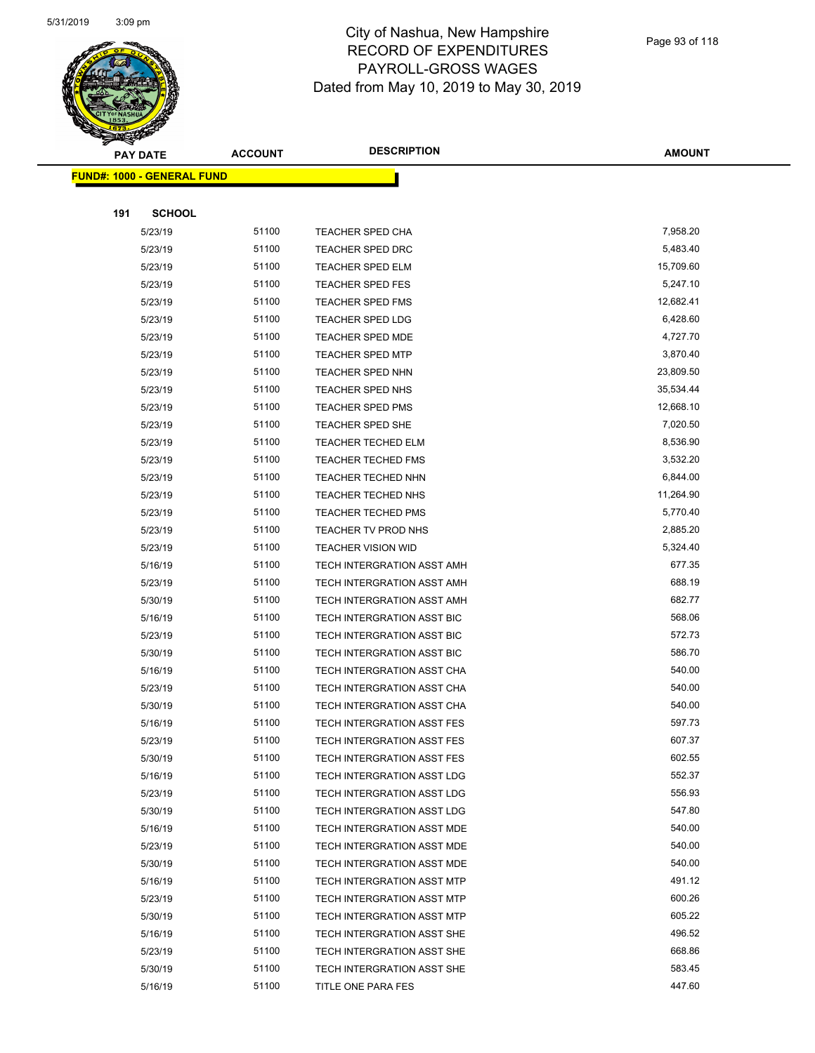

Page 93 of 118

|     | <b>PAY DATE</b>                    | <b>ACCOUNT</b> | <b>DESCRIPTION</b>                | <b>AMOUNT</b> |
|-----|------------------------------------|----------------|-----------------------------------|---------------|
|     | <u> FUND#: 1000 - GENERAL FUND</u> |                |                                   |               |
|     |                                    |                |                                   |               |
| 191 | <b>SCHOOL</b>                      |                |                                   |               |
|     | 5/23/19                            | 51100          | <b>TEACHER SPED CHA</b>           | 7,958.20      |
|     | 5/23/19                            | 51100          | <b>TEACHER SPED DRC</b>           | 5,483.40      |
|     | 5/23/19                            | 51100          | <b>TEACHER SPED ELM</b>           | 15,709.60     |
|     | 5/23/19                            | 51100          | <b>TEACHER SPED FES</b>           | 5,247.10      |
|     | 5/23/19                            | 51100          | <b>TEACHER SPED FMS</b>           | 12,682.41     |
|     | 5/23/19                            | 51100          | <b>TEACHER SPED LDG</b>           | 6,428.60      |
|     | 5/23/19                            | 51100          | <b>TEACHER SPED MDE</b>           | 4,727.70      |
|     | 5/23/19                            | 51100          | <b>TEACHER SPED MTP</b>           | 3,870.40      |
|     | 5/23/19                            | 51100          | <b>TEACHER SPED NHN</b>           | 23,809.50     |
|     | 5/23/19                            | 51100          | <b>TEACHER SPED NHS</b>           | 35,534.44     |
|     | 5/23/19                            | 51100          | <b>TEACHER SPED PMS</b>           | 12,668.10     |
|     | 5/23/19                            | 51100          | <b>TEACHER SPED SHE</b>           | 7,020.50      |
|     | 5/23/19                            | 51100          | <b>TEACHER TECHED ELM</b>         | 8,536.90      |
|     | 5/23/19                            | 51100          | <b>TEACHER TECHED FMS</b>         | 3,532.20      |
|     | 5/23/19                            | 51100          | TEACHER TECHED NHN                | 6,844.00      |
|     | 5/23/19                            | 51100          | TEACHER TECHED NHS                | 11,264.90     |
|     | 5/23/19                            | 51100          | <b>TEACHER TECHED PMS</b>         | 5,770.40      |
|     | 5/23/19                            | 51100          | TEACHER TV PROD NHS               | 2,885.20      |
|     | 5/23/19                            | 51100          | <b>TEACHER VISION WID</b>         | 5,324.40      |
|     | 5/16/19                            | 51100          | TECH INTERGRATION ASST AMH        | 677.35        |
|     | 5/23/19                            | 51100          | TECH INTERGRATION ASST AMH        | 688.19        |
|     | 5/30/19                            | 51100          | TECH INTERGRATION ASST AMH        | 682.77        |
|     | 5/16/19                            | 51100          | TECH INTERGRATION ASST BIC        | 568.06        |
|     | 5/23/19                            | 51100          | TECH INTERGRATION ASST BIC        | 572.73        |
|     | 5/30/19                            | 51100          | TECH INTERGRATION ASST BIC        | 586.70        |
|     | 5/16/19                            | 51100          | TECH INTERGRATION ASST CHA        | 540.00        |
|     | 5/23/19                            | 51100          | TECH INTERGRATION ASST CHA        | 540.00        |
|     | 5/30/19                            | 51100          | TECH INTERGRATION ASST CHA        | 540.00        |
|     | 5/16/19                            | 51100          | TECH INTERGRATION ASST FES        | 597.73        |
|     | 5/23/19                            | 51100          | TECH INTERGRATION ASST FES        | 607.37        |
|     | 5/30/19                            | 51100          | TECH INTERGRATION ASST FES        | 602.55        |
|     | 5/16/19                            | 51100          | <b>TECH INTERGRATION ASST LDG</b> | 552.37        |
|     | 5/23/19                            | 51100          | TECH INTERGRATION ASST LDG        | 556.93        |
|     | 5/30/19                            | 51100          | TECH INTERGRATION ASST LDG        | 547.80        |
|     | 5/16/19                            | 51100          | TECH INTERGRATION ASST MDE        | 540.00        |
|     | 5/23/19                            | 51100          | TECH INTERGRATION ASST MDE        | 540.00        |
|     | 5/30/19                            | 51100          | TECH INTERGRATION ASST MDE        | 540.00        |
|     | 5/16/19                            | 51100          | TECH INTERGRATION ASST MTP        | 491.12        |
|     | 5/23/19                            | 51100          | TECH INTERGRATION ASST MTP        | 600.26        |
|     | 5/30/19                            | 51100          | <b>TECH INTERGRATION ASST MTP</b> | 605.22        |
|     | 5/16/19                            | 51100          | TECH INTERGRATION ASST SHE        | 496.52        |
|     | 5/23/19                            | 51100          | TECH INTERGRATION ASST SHE        | 668.86        |
|     | 5/30/19                            | 51100          | TECH INTERGRATION ASST SHE        | 583.45        |
|     | 5/16/19                            | 51100          | TITLE ONE PARA FES                | 447.60        |
|     |                                    |                |                                   |               |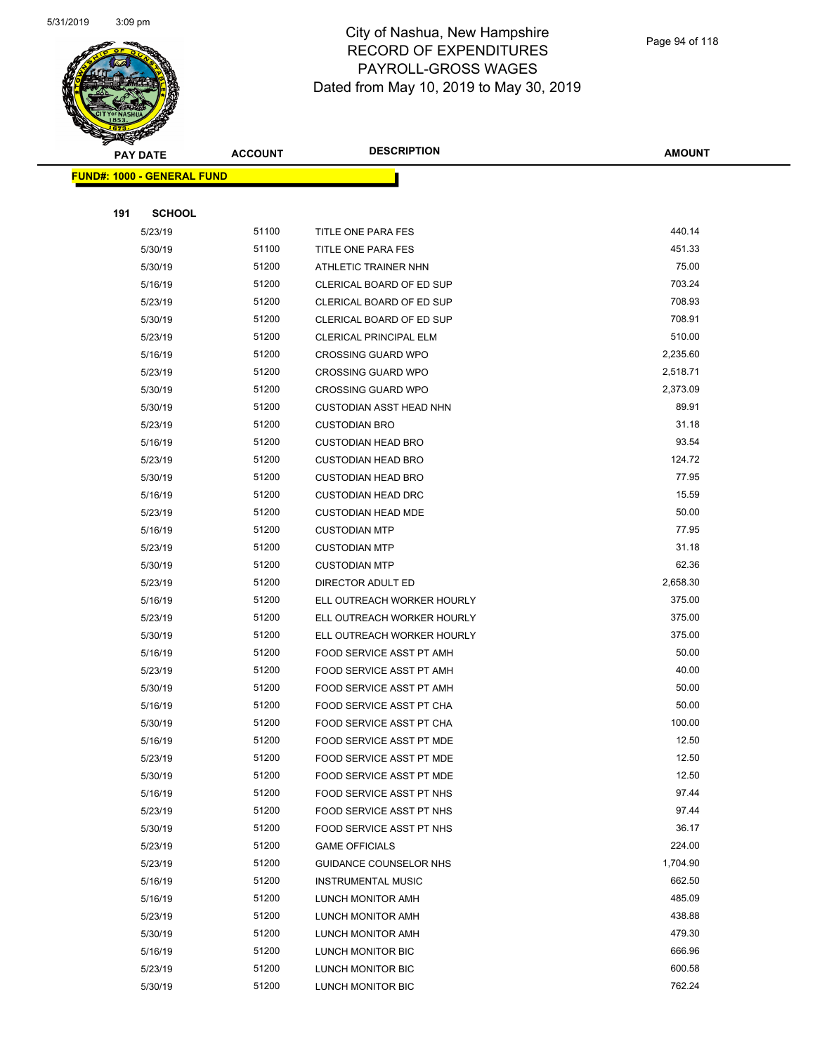

|     | <b>PAY DATE</b>                    | <b>ACCOUNT</b> | <b>DESCRIPTION</b>                     | <b>AMOUNT</b>   |
|-----|------------------------------------|----------------|----------------------------------------|-----------------|
|     | <u> FUND#: 1000 - GENERAL FUND</u> |                |                                        |                 |
|     |                                    |                |                                        |                 |
| 191 | <b>SCHOOL</b>                      |                |                                        |                 |
|     | 5/23/19                            | 51100          | TITLE ONE PARA FES                     | 440.14          |
|     | 5/30/19                            | 51100          | TITLE ONE PARA FES                     | 451.33          |
|     | 5/30/19                            | 51200          | ATHLETIC TRAINER NHN                   | 75.00           |
|     | 5/16/19                            | 51200          | CLERICAL BOARD OF ED SUP               | 703.24          |
|     | 5/23/19                            | 51200          | CLERICAL BOARD OF ED SUP               | 708.93          |
|     | 5/30/19                            | 51200          | CLERICAL BOARD OF ED SUP               | 708.91          |
|     | 5/23/19                            | 51200          | <b>CLERICAL PRINCIPAL ELM</b>          | 510.00          |
|     | 5/16/19                            | 51200          | <b>CROSSING GUARD WPO</b>              | 2,235.60        |
|     | 5/23/19                            | 51200          | <b>CROSSING GUARD WPO</b>              | 2,518.71        |
|     | 5/30/19                            | 51200          | <b>CROSSING GUARD WPO</b>              | 2,373.09        |
|     | 5/30/19                            | 51200          | <b>CUSTODIAN ASST HEAD NHN</b>         | 89.91           |
|     | 5/23/19                            | 51200          | <b>CUSTODIAN BRO</b>                   | 31.18           |
|     | 5/16/19                            | 51200          | <b>CUSTODIAN HEAD BRO</b>              | 93.54           |
|     | 5/23/19                            | 51200          | <b>CUSTODIAN HEAD BRO</b>              | 124.72          |
|     | 5/30/19                            | 51200          | <b>CUSTODIAN HEAD BRO</b>              | 77.95           |
|     | 5/16/19                            | 51200          | <b>CUSTODIAN HEAD DRC</b>              | 15.59           |
|     | 5/23/19                            | 51200          | <b>CUSTODIAN HEAD MDE</b>              | 50.00           |
|     | 5/16/19                            | 51200          | <b>CUSTODIAN MTP</b>                   | 77.95           |
|     | 5/23/19                            | 51200          | <b>CUSTODIAN MTP</b>                   | 31.18           |
|     | 5/30/19                            | 51200          | <b>CUSTODIAN MTP</b>                   | 62.36           |
|     | 5/23/19                            | 51200          | DIRECTOR ADULT ED                      | 2,658.30        |
|     | 5/16/19                            | 51200          | ELL OUTREACH WORKER HOURLY             | 375.00          |
|     | 5/23/19                            | 51200          | ELL OUTREACH WORKER HOURLY             | 375.00          |
|     | 5/30/19                            | 51200          | ELL OUTREACH WORKER HOURLY             | 375.00          |
|     | 5/16/19                            | 51200          | FOOD SERVICE ASST PT AMH               | 50.00           |
|     | 5/23/19                            | 51200          | FOOD SERVICE ASST PT AMH               | 40.00           |
|     | 5/30/19                            | 51200          | FOOD SERVICE ASST PT AMH               | 50.00           |
|     | 5/16/19                            | 51200          | FOOD SERVICE ASST PT CHA               | 50.00           |
|     | 5/30/19                            | 51200          | FOOD SERVICE ASST PT CHA               | 100.00          |
|     | 5/16/19                            | 51200          | FOOD SERVICE ASST PT MDE               | 12.50           |
|     | 5/23/19                            | 51200          | FOOD SERVICE ASST PT MDE               | 12.50           |
|     | 5/30/19                            | 51200          | FOOD SERVICE ASST PT MDE               | 12.50           |
|     | 5/16/19                            | 51200          | FOOD SERVICE ASST PT NHS               | 97.44           |
|     | 5/23/19                            | 51200          | FOOD SERVICE ASST PT NHS               | 97.44           |
|     | 5/30/19                            | 51200<br>51200 | FOOD SERVICE ASST PT NHS               | 36.17<br>224.00 |
|     | 5/23/19                            | 51200          | <b>GAME OFFICIALS</b>                  | 1,704.90        |
|     | 5/23/19                            | 51200          | GUIDANCE COUNSELOR NHS                 | 662.50          |
|     | 5/16/19                            | 51200          | <b>INSTRUMENTAL MUSIC</b>              | 485.09          |
|     | 5/16/19<br>5/23/19                 | 51200          | LUNCH MONITOR AMH<br>LUNCH MONITOR AMH | 438.88          |
|     | 5/30/19                            | 51200          | LUNCH MONITOR AMH                      | 479.30          |
|     | 5/16/19                            | 51200          | LUNCH MONITOR BIC                      | 666.96          |
|     | 5/23/19                            | 51200          | LUNCH MONITOR BIC                      | 600.58          |
|     | 5/30/19                            | 51200          | LUNCH MONITOR BIC                      | 762.24          |
|     |                                    |                |                                        |                 |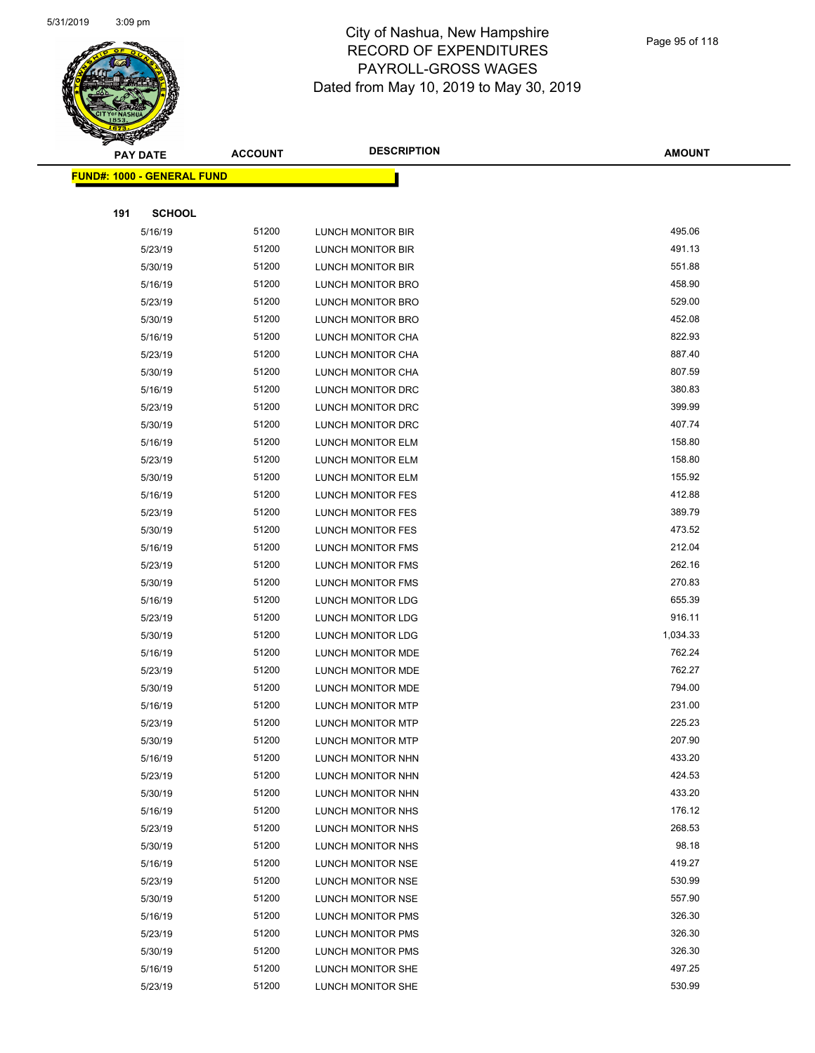

|     | <b>PAY DATE</b>                    | <b>ACCOUNT</b> | <b>DESCRIPTION</b>       | <b>AMOUNT</b> |
|-----|------------------------------------|----------------|--------------------------|---------------|
|     | <u> FUND#: 1000 - GENERAL FUND</u> |                |                          |               |
|     |                                    |                |                          |               |
| 191 | <b>SCHOOL</b>                      |                |                          |               |
|     | 5/16/19                            | 51200          | LUNCH MONITOR BIR        | 495.06        |
|     | 5/23/19                            | 51200          | LUNCH MONITOR BIR        | 491.13        |
|     | 5/30/19                            | 51200          | LUNCH MONITOR BIR        | 551.88        |
|     | 5/16/19                            | 51200          | LUNCH MONITOR BRO        | 458.90        |
|     | 5/23/19                            | 51200          | LUNCH MONITOR BRO        | 529.00        |
|     | 5/30/19                            | 51200          | LUNCH MONITOR BRO        | 452.08        |
|     | 5/16/19                            | 51200          | LUNCH MONITOR CHA        | 822.93        |
|     | 5/23/19                            | 51200          | LUNCH MONITOR CHA        | 887.40        |
|     | 5/30/19                            | 51200          | LUNCH MONITOR CHA        | 807.59        |
|     | 5/16/19                            | 51200          | LUNCH MONITOR DRC        | 380.83        |
|     | 5/23/19                            | 51200          | LUNCH MONITOR DRC        | 399.99        |
|     | 5/30/19                            | 51200          | LUNCH MONITOR DRC        | 407.74        |
|     | 5/16/19                            | 51200          | LUNCH MONITOR ELM        | 158.80        |
|     | 5/23/19                            | 51200          | LUNCH MONITOR ELM        | 158.80        |
|     | 5/30/19                            | 51200          | LUNCH MONITOR ELM        | 155.92        |
|     | 5/16/19                            | 51200          | LUNCH MONITOR FES        | 412.88        |
|     | 5/23/19                            | 51200          | LUNCH MONITOR FES        | 389.79        |
|     | 5/30/19                            | 51200          | LUNCH MONITOR FES        | 473.52        |
|     | 5/16/19                            | 51200          | LUNCH MONITOR FMS        | 212.04        |
|     | 5/23/19                            | 51200          | LUNCH MONITOR FMS        | 262.16        |
|     | 5/30/19                            | 51200          | LUNCH MONITOR FMS        | 270.83        |
|     | 5/16/19                            | 51200          | LUNCH MONITOR LDG        | 655.39        |
|     | 5/23/19                            | 51200          | <b>LUNCH MONITOR LDG</b> | 916.11        |
|     | 5/30/19                            | 51200          | LUNCH MONITOR LDG        | 1,034.33      |
|     | 5/16/19                            | 51200          | LUNCH MONITOR MDE        | 762.24        |
|     | 5/23/19                            | 51200          | LUNCH MONITOR MDE        | 762.27        |
|     | 5/30/19                            | 51200          | LUNCH MONITOR MDE        | 794.00        |
|     | 5/16/19                            | 51200          | <b>LUNCH MONITOR MTP</b> | 231.00        |
|     | 5/23/19                            | 51200          | <b>LUNCH MONITOR MTP</b> | 225.23        |
|     | 5/30/19                            | 51200          | LUNCH MONITOR MTP        | 207.90        |
|     | 5/16/19                            | 51200          | LUNCH MONITOR NHN        | 433.20        |
|     | 5/23/19                            | 51200          | LUNCH MONITOR NHN        | 424.53        |
|     | 5/30/19                            | 51200          | LUNCH MONITOR NHN        | 433.20        |
|     | 5/16/19                            | 51200          | LUNCH MONITOR NHS        | 176.12        |
|     | 5/23/19                            | 51200          | LUNCH MONITOR NHS        | 268.53        |
|     | 5/30/19                            | 51200          | LUNCH MONITOR NHS        | 98.18         |
|     | 5/16/19                            | 51200          | LUNCH MONITOR NSE        | 419.27        |
|     | 5/23/19                            | 51200          | LUNCH MONITOR NSE        | 530.99        |
|     | 5/30/19                            | 51200          | LUNCH MONITOR NSE        | 557.90        |
|     | 5/16/19                            | 51200          | LUNCH MONITOR PMS        | 326.30        |
|     | 5/23/19                            | 51200          | LUNCH MONITOR PMS        | 326.30        |
|     | 5/30/19                            | 51200          | LUNCH MONITOR PMS        | 326.30        |
|     | 5/16/19                            | 51200          | LUNCH MONITOR SHE        | 497.25        |
|     | 5/23/19                            | 51200          | LUNCH MONITOR SHE        | 530.99        |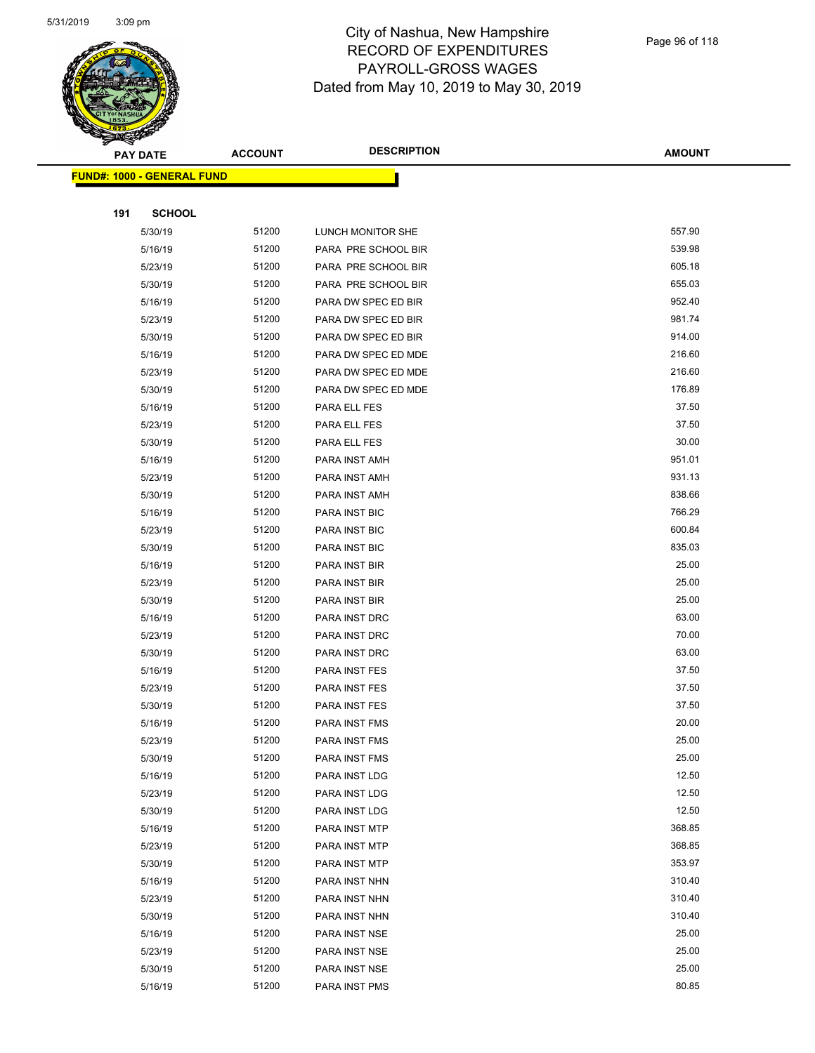

|     | <b>PAY DATE</b>                    | <b>ACCOUNT</b> | <b>DESCRIPTION</b>   | <b>AMOUNT</b> |
|-----|------------------------------------|----------------|----------------------|---------------|
|     | <u> FUND#: 1000 - GENERAL FUND</u> |                |                      |               |
|     |                                    |                |                      |               |
| 191 | <b>SCHOOL</b>                      |                |                      |               |
|     | 5/30/19                            | 51200          | LUNCH MONITOR SHE    | 557.90        |
|     | 5/16/19                            | 51200          | PARA PRE SCHOOL BIR  | 539.98        |
|     | 5/23/19                            | 51200          | PARA PRE SCHOOL BIR  | 605.18        |
|     | 5/30/19                            | 51200          | PARA PRE SCHOOL BIR  | 655.03        |
|     | 5/16/19                            | 51200          | PARA DW SPEC ED BIR  | 952.40        |
|     | 5/23/19                            | 51200          | PARA DW SPEC ED BIR  | 981.74        |
|     | 5/30/19                            | 51200          | PARA DW SPEC ED BIR  | 914.00        |
|     | 5/16/19                            | 51200          | PARA DW SPEC ED MDE  | 216.60        |
|     | 5/23/19                            | 51200          | PARA DW SPEC ED MDE  | 216.60        |
|     | 5/30/19                            | 51200          | PARA DW SPEC ED MDE  | 176.89        |
|     | 5/16/19                            | 51200          | PARA ELL FES         | 37.50         |
|     | 5/23/19                            | 51200          | PARA ELL FES         | 37.50         |
|     | 5/30/19                            | 51200          | PARA ELL FES         | 30.00         |
|     | 5/16/19                            | 51200          | PARA INST AMH        | 951.01        |
|     | 5/23/19                            | 51200          | PARA INST AMH        | 931.13        |
|     | 5/30/19                            | 51200          | PARA INST AMH        | 838.66        |
|     | 5/16/19                            | 51200          | PARA INST BIC        | 766.29        |
|     | 5/23/19                            | 51200          | PARA INST BIC        | 600.84        |
|     | 5/30/19                            | 51200          | PARA INST BIC        | 835.03        |
|     | 5/16/19                            | 51200          | PARA INST BIR        | 25.00         |
|     | 5/23/19                            | 51200          | PARA INST BIR        | 25.00         |
|     | 5/30/19                            | 51200          | PARA INST BIR        | 25.00         |
|     | 5/16/19                            | 51200          | PARA INST DRC        | 63.00         |
|     | 5/23/19                            | 51200          | PARA INST DRC        | 70.00         |
|     | 5/30/19                            | 51200          | PARA INST DRC        | 63.00         |
|     | 5/16/19                            | 51200          | PARA INST FES        | 37.50         |
|     | 5/23/19                            | 51200          | PARA INST FES        | 37.50         |
|     | 5/30/19                            | 51200          | PARA INST FES        | 37.50         |
|     | 5/16/19                            | 51200          | <b>PARA INST FMS</b> | 20.00         |
|     | 5/23/19                            | 51200          | PARA INST FMS        | 25.00         |
|     | 5/30/19                            | 51200          | PARA INST FMS        | 25.00         |
|     | 5/16/19                            | 51200          | PARA INST LDG        | 12.50         |
|     | 5/23/19                            | 51200          | PARA INST LDG        | 12.50         |
|     | 5/30/19                            | 51200          | PARA INST LDG        | 12.50         |
|     | 5/16/19                            | 51200          | PARA INST MTP        | 368.85        |
|     | 5/23/19                            | 51200          | PARA INST MTP        | 368.85        |
|     | 5/30/19                            | 51200          | PARA INST MTP        | 353.97        |
|     | 5/16/19                            | 51200          | PARA INST NHN        | 310.40        |
|     | 5/23/19                            | 51200          | PARA INST NHN        | 310.40        |
|     | 5/30/19                            | 51200          | PARA INST NHN        | 310.40        |
|     | 5/16/19                            | 51200          | PARA INST NSE        | 25.00         |
|     | 5/23/19                            | 51200          | PARA INST NSE        | 25.00         |
|     | 5/30/19                            | 51200          | PARA INST NSE        | 25.00         |
|     | 5/16/19                            | 51200          | PARA INST PMS        | 80.85         |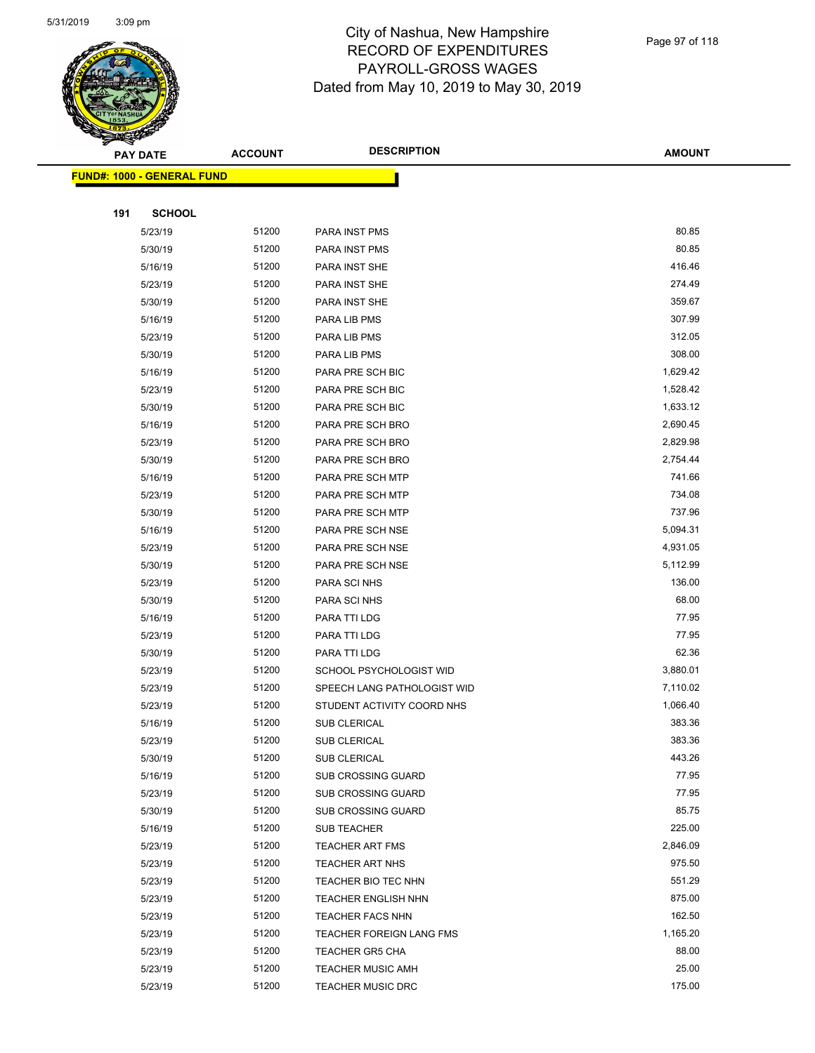

|     | <b>PAY DATE</b>                    | <b>ACCOUNT</b> | <b>DESCRIPTION</b>              | <b>AMOUNT</b>      |
|-----|------------------------------------|----------------|---------------------------------|--------------------|
|     | <u> FUND#: 1000 - GENERAL FUND</u> |                |                                 |                    |
|     |                                    |                |                                 |                    |
| 191 | <b>SCHOOL</b>                      |                |                                 |                    |
|     | 5/23/19                            | 51200          | PARA INST PMS                   | 80.85              |
|     | 5/30/19                            | 51200          | PARA INST PMS                   | 80.85              |
|     | 5/16/19                            | 51200          | PARA INST SHE                   | 416.46             |
|     | 5/23/19                            | 51200          | PARA INST SHE                   | 274.49             |
|     | 5/30/19                            | 51200          | PARA INST SHE                   | 359.67             |
|     | 5/16/19                            | 51200          | PARA LIB PMS                    | 307.99             |
|     | 5/23/19                            | 51200          | PARA LIB PMS                    | 312.05             |
|     | 5/30/19                            | 51200          | PARA LIB PMS                    | 308.00             |
|     | 5/16/19                            | 51200          | PARA PRE SCH BIC                | 1,629.42           |
|     | 5/23/19                            | 51200          | PARA PRE SCH BIC                | 1,528.42           |
|     | 5/30/19                            | 51200          | PARA PRE SCH BIC                | 1,633.12           |
|     | 5/16/19                            | 51200          | PARA PRE SCH BRO                | 2,690.45           |
|     | 5/23/19                            | 51200          | PARA PRE SCH BRO                | 2,829.98           |
|     | 5/30/19                            | 51200          | PARA PRE SCH BRO                | 2,754.44           |
|     | 5/16/19                            | 51200          | PARA PRE SCH MTP                | 741.66             |
|     | 5/23/19                            | 51200          | PARA PRE SCH MTP                | 734.08             |
|     | 5/30/19                            | 51200          | PARA PRE SCH MTP                | 737.96             |
|     | 5/16/19                            | 51200          | PARA PRE SCH NSE                | 5,094.31           |
|     | 5/23/19                            | 51200          | PARA PRE SCH NSE                | 4,931.05           |
|     | 5/30/19                            | 51200          | PARA PRE SCH NSE                | 5,112.99           |
|     | 5/23/19                            | 51200          | PARA SCI NHS                    | 136.00             |
|     | 5/30/19                            | 51200          | PARA SCI NHS                    | 68.00              |
|     | 5/16/19                            | 51200          | PARA TTI LDG                    | 77.95              |
|     | 5/23/19                            | 51200          | PARA TTI LDG                    | 77.95              |
|     | 5/30/19                            | 51200          | PARA TTI LDG                    | 62.36              |
|     | 5/23/19                            | 51200          | SCHOOL PSYCHOLOGIST WID         | 3,880.01           |
|     | 5/23/19                            | 51200          | SPEECH LANG PATHOLOGIST WID     | 7,110.02           |
|     | 5/23/19                            | 51200          | STUDENT ACTIVITY COORD NHS      | 1,066.40           |
|     | 5/16/19                            | 51200          | <b>SUB CLERICAL</b>             | 383.36             |
|     | 5/23/19                            | 51200          | SUB CLERICAL                    | 383.36             |
|     | 5/30/19                            | 51200          | <b>SUB CLERICAL</b>             | 443.26             |
|     | 5/16/19                            | 51200          | <b>SUB CROSSING GUARD</b>       | 77.95              |
|     | 5/23/19                            | 51200          | <b>SUB CROSSING GUARD</b>       | 77.95              |
|     | 5/30/19                            | 51200          | SUB CROSSING GUARD              | 85.75              |
|     | 5/16/19                            | 51200          | <b>SUB TEACHER</b>              | 225.00             |
|     | 5/23/19                            | 51200          | <b>TEACHER ART FMS</b>          | 2,846.09           |
|     | 5/23/19                            | 51200          | <b>TEACHER ART NHS</b>          | 975.50             |
|     | 5/23/19                            | 51200          | TEACHER BIO TEC NHN             | 551.29             |
|     | 5/23/19                            | 51200          | <b>TEACHER ENGLISH NHN</b>      | 875.00             |
|     | 5/23/19                            | 51200          | <b>TEACHER FACS NHN</b>         | 162.50<br>1,165.20 |
|     | 5/23/19                            | 51200<br>51200 | <b>TEACHER FOREIGN LANG FMS</b> | 88.00              |
|     | 5/23/19                            | 51200          | <b>TEACHER GR5 CHA</b>          | 25.00              |
|     | 5/23/19                            | 51200          | <b>TEACHER MUSIC AMH</b>        | 175.00             |
|     | 5/23/19                            |                | TEACHER MUSIC DRC               |                    |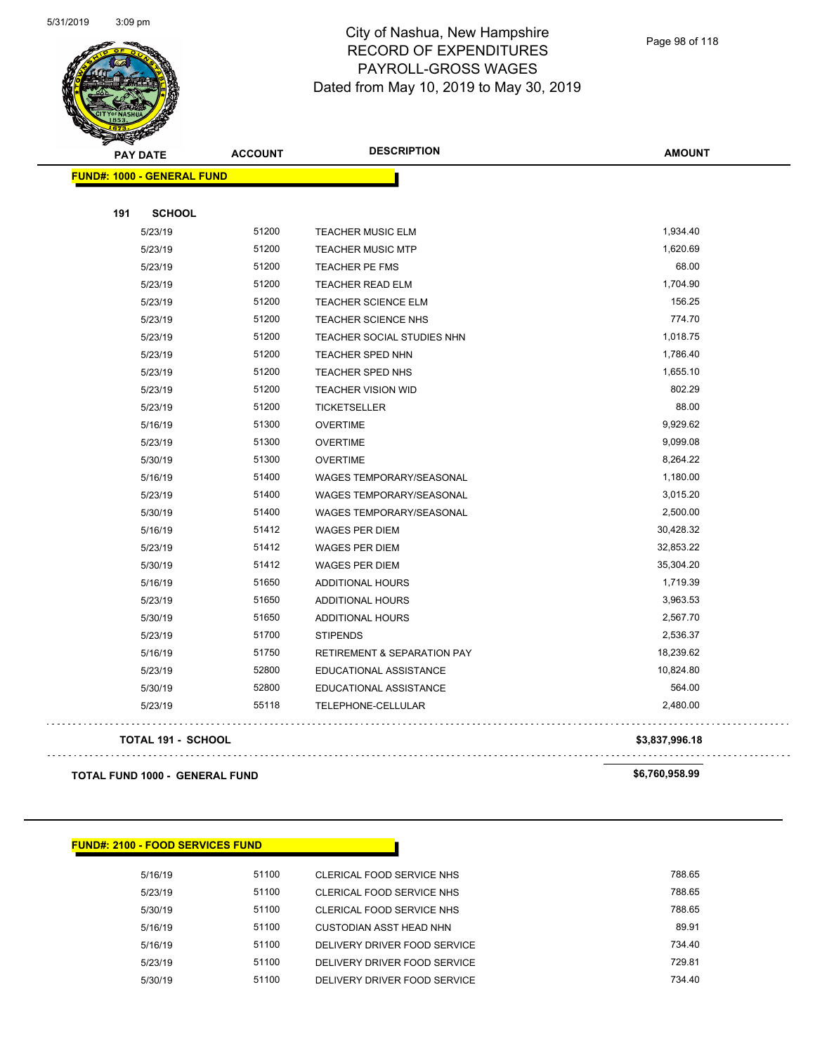

Page 98 of 118

|     | <b>PAY DATE</b>                   | <b>ACCOUNT</b> | <b>DESCRIPTION</b>                     | <b>AMOUNT</b>  |
|-----|-----------------------------------|----------------|----------------------------------------|----------------|
|     | <b>FUND#: 1000 - GENERAL FUND</b> |                |                                        |                |
|     |                                   |                |                                        |                |
| 191 | <b>SCHOOL</b>                     |                |                                        |                |
|     | 5/23/19                           | 51200          | <b>TEACHER MUSIC ELM</b>               | 1,934.40       |
|     | 5/23/19                           | 51200          | <b>TEACHER MUSIC MTP</b>               | 1,620.69       |
|     | 5/23/19                           | 51200          | TEACHER PE FMS                         | 68.00          |
|     | 5/23/19                           | 51200          | <b>TEACHER READ ELM</b>                | 1,704.90       |
|     | 5/23/19                           | 51200          | <b>TEACHER SCIENCE ELM</b>             | 156.25         |
|     | 5/23/19                           | 51200          | <b>TEACHER SCIENCE NHS</b>             | 774.70         |
|     | 5/23/19                           | 51200          | TEACHER SOCIAL STUDIES NHN             | 1,018.75       |
|     | 5/23/19                           | 51200          | <b>TEACHER SPED NHN</b>                | 1,786.40       |
|     | 5/23/19                           | 51200          | TEACHER SPED NHS                       | 1,655.10       |
|     | 5/23/19                           | 51200          | <b>TEACHER VISION WID</b>              | 802.29         |
|     | 5/23/19                           | 51200          | <b>TICKETSELLER</b>                    | 88.00          |
|     | 5/16/19                           | 51300          | <b>OVERTIME</b>                        | 9,929.62       |
|     | 5/23/19                           | 51300          | <b>OVERTIME</b>                        | 9,099.08       |
|     | 5/30/19                           | 51300          | <b>OVERTIME</b>                        | 8,264.22       |
|     | 5/16/19                           | 51400          | <b>WAGES TEMPORARY/SEASONAL</b>        | 1,180.00       |
|     | 5/23/19                           | 51400          | <b>WAGES TEMPORARY/SEASONAL</b>        | 3,015.20       |
|     | 5/30/19                           | 51400          | <b>WAGES TEMPORARY/SEASONAL</b>        | 2,500.00       |
|     | 5/16/19                           | 51412          | <b>WAGES PER DIEM</b>                  | 30,428.32      |
|     | 5/23/19                           | 51412          | <b>WAGES PER DIEM</b>                  | 32,853.22      |
|     | 5/30/19                           | 51412          | <b>WAGES PER DIEM</b>                  | 35,304.20      |
|     | 5/16/19                           | 51650          | ADDITIONAL HOURS                       | 1,719.39       |
|     | 5/23/19                           | 51650          | ADDITIONAL HOURS                       | 3,963.53       |
|     | 5/30/19                           | 51650          | ADDITIONAL HOURS                       | 2,567.70       |
|     | 5/23/19                           | 51700          | <b>STIPENDS</b>                        | 2,536.37       |
|     | 5/16/19                           | 51750          | <b>RETIREMENT &amp; SEPARATION PAY</b> | 18,239.62      |
|     | 5/23/19                           | 52800          | EDUCATIONAL ASSISTANCE                 | 10,824.80      |
|     | 5/30/19                           | 52800          | EDUCATIONAL ASSISTANCE                 | 564.00         |
|     | 5/23/19                           | 55118          | TELEPHONE-CELLULAR                     | 2,480.00       |
|     | TOTAL 191 - SCHOOL                |                |                                        | \$3,837,996.18 |
|     |                                   |                |                                        |                |

**TOTAL FUND 1000 - GENERAL FUND \$6,760,958.99** 

v.

 $\sim$   $\sim$ 

#### **FUND#: 2100 - FOOD SERVICES FUND**

| 5/16/19 | 51100 | CLERICAL FOOD SERVICE NHS    | 788.65 |
|---------|-------|------------------------------|--------|
| 5/23/19 | 51100 | CLERICAL FOOD SERVICE NHS    | 788.65 |
| 5/30/19 | 51100 | CLERICAL FOOD SERVICE NHS    | 788.65 |
| 5/16/19 | 51100 | CUSTODIAN ASST HEAD NHN      | 89.91  |
| 5/16/19 | 51100 | DELIVERY DRIVER FOOD SERVICE | 734.40 |
| 5/23/19 | 51100 | DELIVERY DRIVER FOOD SERVICE | 729.81 |
| 5/30/19 | 51100 | DELIVERY DRIVER FOOD SERVICE | 734.40 |
|         |       |                              |        |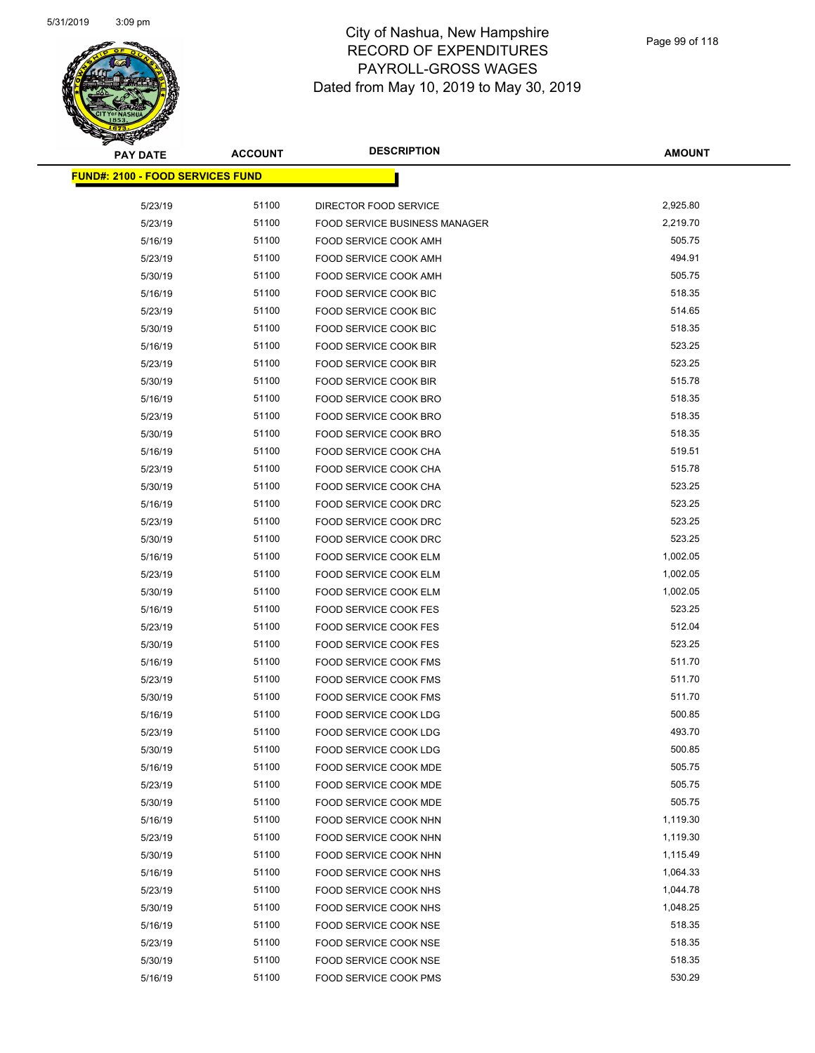

| <b>PAY DATE</b>                          | <b>ACCOUNT</b> | <b>DESCRIPTION</b>                                            | <b>AMOUNT</b> |
|------------------------------------------|----------------|---------------------------------------------------------------|---------------|
| <u> FUND#: 2100 - FOOD SERVICES FUND</u> |                |                                                               |               |
|                                          | 51100          |                                                               | 2,925.80      |
| 5/23/19<br>5/23/19                       | 51100          | DIRECTOR FOOD SERVICE<br><b>FOOD SERVICE BUSINESS MANAGER</b> | 2,219.70      |
|                                          | 51100          | FOOD SERVICE COOK AMH                                         | 505.75        |
| 5/16/19                                  | 51100          | FOOD SERVICE COOK AMH                                         | 494.91        |
| 5/23/19                                  | 51100          |                                                               | 505.75        |
| 5/30/19                                  |                | FOOD SERVICE COOK AMH                                         |               |
| 5/16/19                                  | 51100          | FOOD SERVICE COOK BIC<br><b>FOOD SERVICE COOK BIC</b>         | 518.35        |
| 5/23/19                                  | 51100          |                                                               | 514.65        |
| 5/30/19                                  | 51100          | FOOD SERVICE COOK BIC                                         | 518.35        |
| 5/16/19                                  | 51100          | FOOD SERVICE COOK BIR                                         | 523.25        |
| 5/23/19                                  | 51100          | FOOD SERVICE COOK BIR                                         | 523.25        |
| 5/30/19                                  | 51100          | FOOD SERVICE COOK BIR                                         | 515.78        |
| 5/16/19                                  | 51100          | FOOD SERVICE COOK BRO                                         | 518.35        |
| 5/23/19                                  | 51100          | FOOD SERVICE COOK BRO                                         | 518.35        |
| 5/30/19                                  | 51100          | FOOD SERVICE COOK BRO                                         | 518.35        |
| 5/16/19                                  | 51100          | FOOD SERVICE COOK CHA                                         | 519.51        |
| 5/23/19                                  | 51100          | FOOD SERVICE COOK CHA                                         | 515.78        |
| 5/30/19                                  | 51100          | FOOD SERVICE COOK CHA                                         | 523.25        |
| 5/16/19                                  | 51100          | <b>FOOD SERVICE COOK DRC</b>                                  | 523.25        |
| 5/23/19                                  | 51100          | FOOD SERVICE COOK DRC                                         | 523.25        |
| 5/30/19                                  | 51100          | FOOD SERVICE COOK DRC                                         | 523.25        |
| 5/16/19                                  | 51100          | FOOD SERVICE COOK ELM                                         | 1,002.05      |
| 5/23/19                                  | 51100          | FOOD SERVICE COOK ELM                                         | 1,002.05      |
| 5/30/19                                  | 51100          | FOOD SERVICE COOK ELM                                         | 1,002.05      |
| 5/16/19                                  | 51100          | FOOD SERVICE COOK FES                                         | 523.25        |
| 5/23/19                                  | 51100          | FOOD SERVICE COOK FES                                         | 512.04        |
| 5/30/19                                  | 51100          | FOOD SERVICE COOK FES                                         | 523.25        |
| 5/16/19                                  | 51100          | <b>FOOD SERVICE COOK FMS</b>                                  | 511.70        |
| 5/23/19                                  | 51100          | <b>FOOD SERVICE COOK FMS</b>                                  | 511.70        |
| 5/30/19                                  | 51100          | FOOD SERVICE COOK FMS                                         | 511.70        |
| 5/16/19                                  | 51100          | FOOD SERVICE COOK LDG                                         | 500.85        |
| 5/23/19                                  | 51100          | FOOD SERVICE COOK LDG                                         | 493.70        |
| 5/30/19                                  | 51100          | FOOD SERVICE COOK LDG                                         | 500.85        |
| 5/16/19                                  | 51100          | <b>FOOD SERVICE COOK MDE</b>                                  | 505.75        |
| 5/23/19                                  | 51100          | FOOD SERVICE COOK MDE                                         | 505.75        |
| 5/30/19                                  | 51100          | FOOD SERVICE COOK MDE                                         | 505.75        |
| 5/16/19                                  | 51100          | FOOD SERVICE COOK NHN                                         | 1,119.30      |
| 5/23/19                                  | 51100          | FOOD SERVICE COOK NHN                                         | 1,119.30      |
| 5/30/19                                  | 51100          | FOOD SERVICE COOK NHN                                         | 1,115.49      |
| 5/16/19                                  | 51100          | FOOD SERVICE COOK NHS                                         | 1,064.33      |
| 5/23/19                                  | 51100          | FOOD SERVICE COOK NHS                                         | 1,044.78      |
| 5/30/19                                  | 51100          | FOOD SERVICE COOK NHS                                         | 1,048.25      |
| 5/16/19                                  | 51100          | FOOD SERVICE COOK NSE                                         | 518.35        |
| 5/23/19                                  | 51100          | FOOD SERVICE COOK NSE                                         | 518.35        |
| 5/30/19                                  | 51100          | FOOD SERVICE COOK NSE                                         | 518.35        |
| 5/16/19                                  | 51100          | FOOD SERVICE COOK PMS                                         | 530.29        |
|                                          |                |                                                               |               |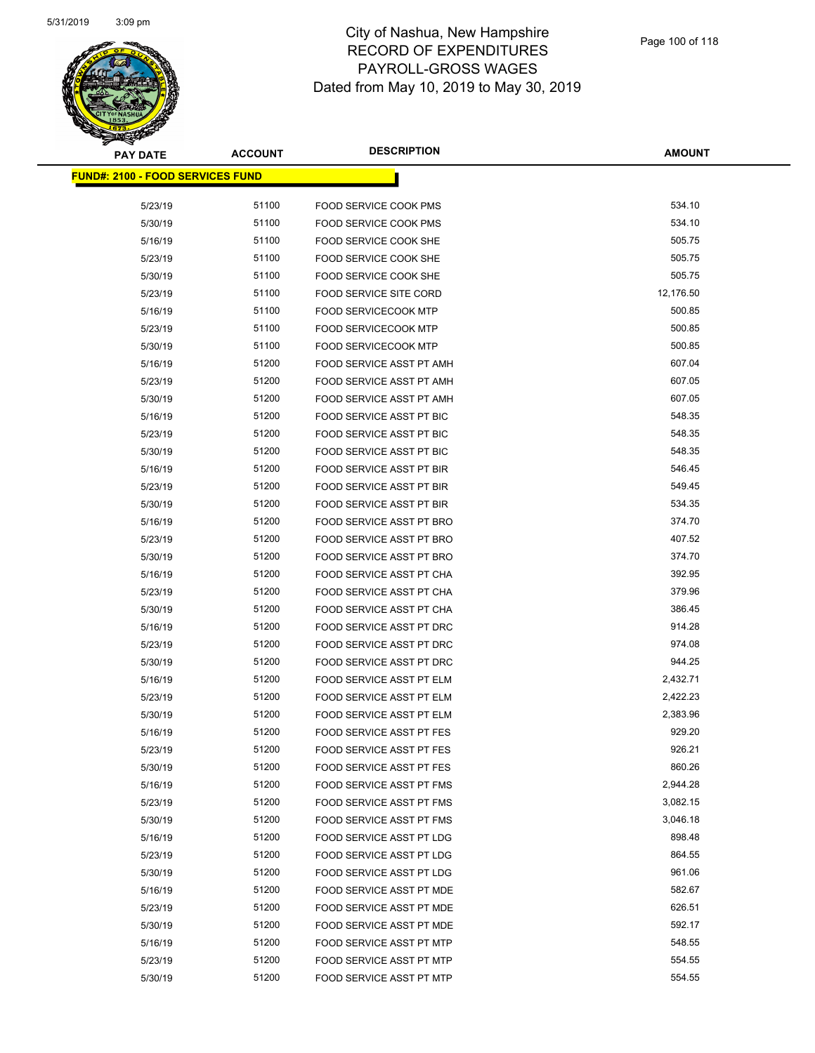

| <b>PAY DATE</b>                          | <b>ACCOUNT</b> | <b>DESCRIPTION</b>              | <b>AMOUNT</b> |
|------------------------------------------|----------------|---------------------------------|---------------|
| <u> FUND#: 2100 - FOOD SERVICES FUND</u> |                |                                 |               |
|                                          |                |                                 |               |
| 5/23/19                                  | 51100          | <b>FOOD SERVICE COOK PMS</b>    | 534.10        |
| 5/30/19                                  | 51100          | <b>FOOD SERVICE COOK PMS</b>    | 534.10        |
| 5/16/19                                  | 51100          | FOOD SERVICE COOK SHE           | 505.75        |
| 5/23/19                                  | 51100          | FOOD SERVICE COOK SHE           | 505.75        |
| 5/30/19                                  | 51100          | FOOD SERVICE COOK SHE           | 505.75        |
| 5/23/19                                  | 51100          | <b>FOOD SERVICE SITE CORD</b>   | 12,176.50     |
| 5/16/19                                  | 51100          | <b>FOOD SERVICECOOK MTP</b>     | 500.85        |
| 5/23/19                                  | 51100          | FOOD SERVICECOOK MTP            | 500.85        |
| 5/30/19                                  | 51100          | <b>FOOD SERVICECOOK MTP</b>     | 500.85        |
| 5/16/19                                  | 51200          | FOOD SERVICE ASST PT AMH        | 607.04        |
| 5/23/19                                  | 51200          | FOOD SERVICE ASST PT AMH        | 607.05        |
| 5/30/19                                  | 51200          | FOOD SERVICE ASST PT AMH        | 607.05        |
| 5/16/19                                  | 51200          | FOOD SERVICE ASST PT BIC        | 548.35        |
| 5/23/19                                  | 51200          | <b>FOOD SERVICE ASST PT BIC</b> | 548.35        |
| 5/30/19                                  | 51200          | <b>FOOD SERVICE ASST PT BIC</b> | 548.35        |
| 5/16/19                                  | 51200          | <b>FOOD SERVICE ASST PT BIR</b> | 546.45        |
| 5/23/19                                  | 51200          | FOOD SERVICE ASST PT BIR        | 549.45        |
| 5/30/19                                  | 51200          | <b>FOOD SERVICE ASST PT BIR</b> | 534.35        |
| 5/16/19                                  | 51200          | FOOD SERVICE ASST PT BRO        | 374.70        |
| 5/23/19                                  | 51200          | FOOD SERVICE ASST PT BRO        | 407.52        |
| 5/30/19                                  | 51200          | FOOD SERVICE ASST PT BRO        | 374.70        |
| 5/16/19                                  | 51200          | FOOD SERVICE ASST PT CHA        | 392.95        |
| 5/23/19                                  | 51200          | FOOD SERVICE ASST PT CHA        | 379.96        |
| 5/30/19                                  | 51200          | FOOD SERVICE ASST PT CHA        | 386.45        |
| 5/16/19                                  | 51200          | FOOD SERVICE ASST PT DRC        | 914.28        |
| 5/23/19                                  | 51200          | FOOD SERVICE ASST PT DRC        | 974.08        |
| 5/30/19                                  | 51200          | FOOD SERVICE ASST PT DRC        | 944.25        |
| 5/16/19                                  | 51200          | FOOD SERVICE ASST PT ELM        | 2,432.71      |
| 5/23/19                                  | 51200          | <b>FOOD SERVICE ASST PT ELM</b> | 2,422.23      |
| 5/30/19                                  | 51200          | <b>FOOD SERVICE ASST PT ELM</b> | 2,383.96      |
| 5/16/19                                  | 51200          | <b>FOOD SERVICE ASST PT FES</b> | 929.20        |
| 5/23/19                                  | 51200          | <b>FOOD SERVICE ASST PT FES</b> | 926.21        |
| 5/30/19                                  | 51200          | <b>FOOD SERVICE ASST PT FES</b> | 860.26        |
| 5/16/19                                  | 51200          | FOOD SERVICE ASST PT FMS        | 2,944.28      |
| 5/23/19                                  | 51200          | FOOD SERVICE ASST PT FMS        | 3,082.15      |
| 5/30/19                                  | 51200          | FOOD SERVICE ASST PT FMS        | 3,046.18      |
| 5/16/19                                  | 51200          | FOOD SERVICE ASST PT LDG        | 898.48        |
| 5/23/19                                  | 51200          | FOOD SERVICE ASST PT LDG        | 864.55        |
| 5/30/19                                  | 51200          | FOOD SERVICE ASST PT LDG        | 961.06        |
| 5/16/19                                  | 51200          | FOOD SERVICE ASST PT MDE        | 582.67        |
| 5/23/19                                  | 51200          | FOOD SERVICE ASST PT MDE        | 626.51        |
| 5/30/19                                  | 51200          | FOOD SERVICE ASST PT MDE        | 592.17        |
| 5/16/19                                  | 51200          | FOOD SERVICE ASST PT MTP        | 548.55        |
| 5/23/19                                  | 51200          | FOOD SERVICE ASST PT MTP        | 554.55        |
| 5/30/19                                  | 51200          | FOOD SERVICE ASST PT MTP        | 554.55        |
|                                          |                |                                 |               |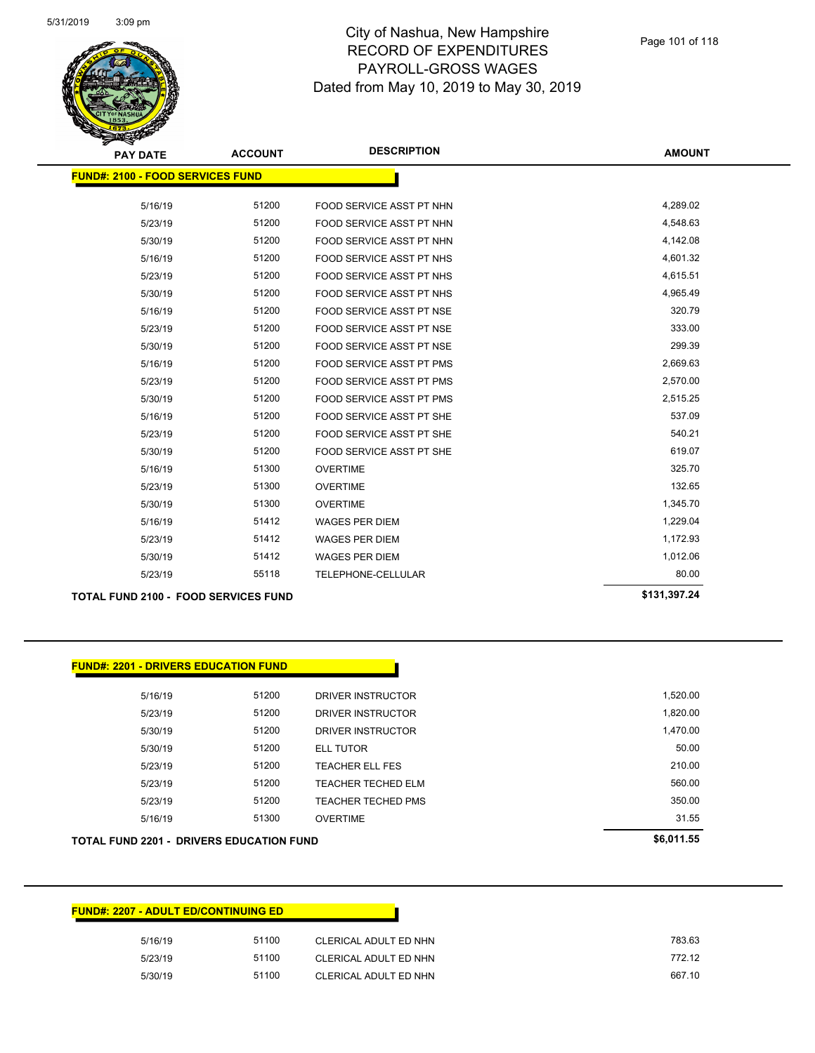

| <b>PAY DATE</b>                             | <b>ACCOUNT</b> | <b>DESCRIPTION</b>              | <b>AMOUNT</b> |
|---------------------------------------------|----------------|---------------------------------|---------------|
| <b>FUND#: 2100 - FOOD SERVICES FUND</b>     |                |                                 |               |
| 5/16/19                                     | 51200          | FOOD SERVICE ASST PT NHN        | 4,289.02      |
| 5/23/19                                     | 51200          | FOOD SERVICE ASST PT NHN        | 4,548.63      |
| 5/30/19                                     | 51200          | FOOD SERVICE ASST PT NHN        | 4,142.08      |
| 5/16/19                                     | 51200          | <b>FOOD SERVICE ASST PT NHS</b> | 4,601.32      |
| 5/23/19                                     | 51200          | <b>FOOD SERVICE ASST PT NHS</b> | 4,615.51      |
| 5/30/19                                     | 51200          | <b>FOOD SERVICE ASST PT NHS</b> | 4,965.49      |
| 5/16/19                                     | 51200          | FOOD SERVICE ASST PT NSE        | 320.79        |
| 5/23/19                                     | 51200          | FOOD SERVICE ASST PT NSE        | 333.00        |
| 5/30/19                                     | 51200          | FOOD SERVICE ASST PT NSE        | 299.39        |
| 5/16/19                                     | 51200          | <b>FOOD SERVICE ASST PT PMS</b> | 2,669.63      |
| 5/23/19                                     | 51200          | FOOD SERVICE ASST PT PMS        | 2,570.00      |
| 5/30/19                                     | 51200          | <b>FOOD SERVICE ASST PT PMS</b> | 2,515.25      |
| 5/16/19                                     | 51200          | FOOD SERVICE ASST PT SHE        | 537.09        |
| 5/23/19                                     | 51200          | FOOD SERVICE ASST PT SHE        | 540.21        |
| 5/30/19                                     | 51200          | FOOD SERVICE ASST PT SHE        | 619.07        |
| 5/16/19                                     | 51300          | <b>OVERTIME</b>                 | 325.70        |
| 5/23/19                                     | 51300          | <b>OVERTIME</b>                 | 132.65        |
| 5/30/19                                     | 51300          | <b>OVERTIME</b>                 | 1,345.70      |
| 5/16/19                                     | 51412          | <b>WAGES PER DIEM</b>           | 1,229.04      |
| 5/23/19                                     | 51412          | <b>WAGES PER DIEM</b>           | 1,172.93      |
| 5/30/19                                     | 51412          | <b>WAGES PER DIEM</b>           | 1,012.06      |
| 5/23/19                                     | 55118          | TELEPHONE-CELLULAR              | 80.00         |
| <b>TOTAL FUND 2100 - FOOD SERVICES FUND</b> | \$131,397.24   |                                 |               |

| <b>FUND#: 2201 - DRIVERS EDUCATION FUND</b>     |            |                           |          |
|-------------------------------------------------|------------|---------------------------|----------|
|                                                 |            |                           |          |
| 5/16/19                                         | 51200      | <b>DRIVER INSTRUCTOR</b>  | 1,520.00 |
| 5/23/19                                         | 51200      | DRIVER INSTRUCTOR         | 1,820.00 |
| 5/30/19                                         | 51200      | DRIVER INSTRUCTOR         | 1,470.00 |
| 5/30/19                                         | 51200      | <b>ELL TUTOR</b>          | 50.00    |
| 5/23/19                                         | 51200      | <b>TEACHER ELL FES</b>    | 210.00   |
| 5/23/19                                         | 51200      | <b>TEACHER TECHED ELM</b> | 560.00   |
| 5/23/19                                         | 51200      | <b>TEACHER TECHED PMS</b> | 350.00   |
| 5/16/19                                         | 51300      | <b>OVERTIME</b>           | 31.55    |
| <b>TOTAL FUND 2201 - DRIVERS EDUCATION FUND</b> | \$6,011.55 |                           |          |

| <b>FUND#: 2207 - ADULT ED/CONTINUING ED</b> |       |                       |        |
|---------------------------------------------|-------|-----------------------|--------|
| 5/16/19                                     | 51100 | CLERICAL ADULT ED NHN | 783.63 |
| 5/23/19                                     | 51100 | CLERICAL ADULT ED NHN | 772.12 |
| 5/30/19                                     | 51100 | CLERICAL ADULT ED NHN | 667.10 |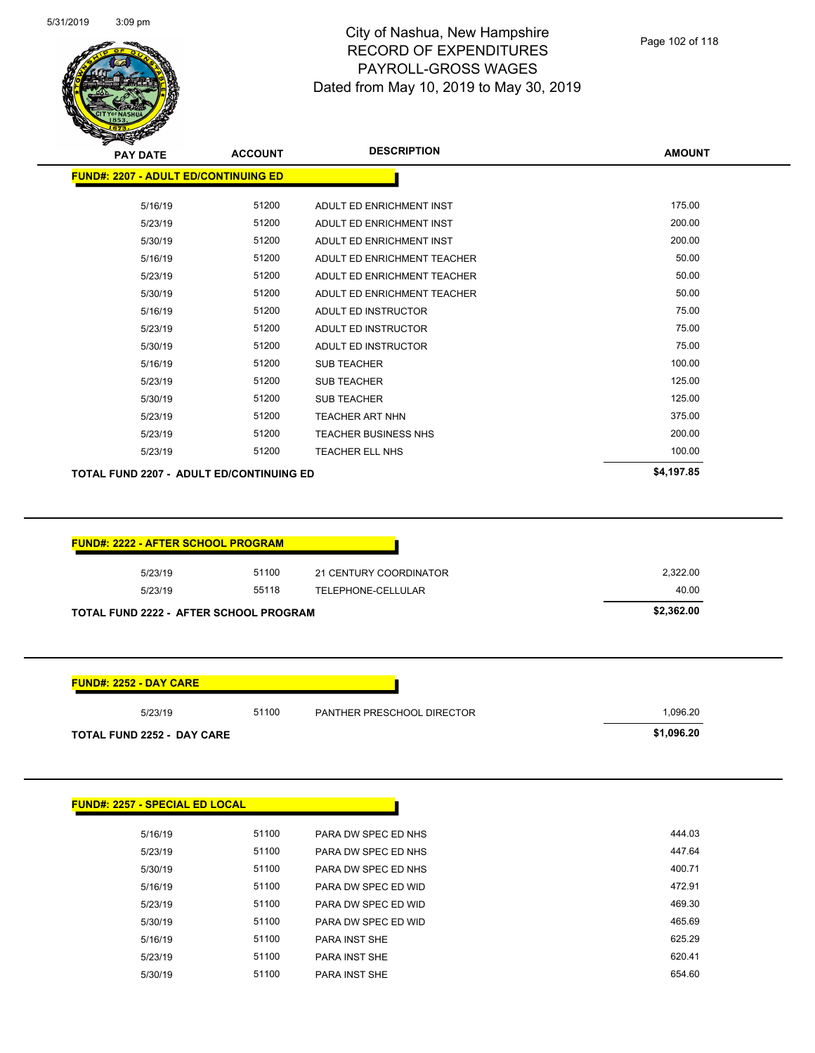

| $\mathcal{F}$ $\mathcal{F}$<br><b>PAY DATE</b> | <b>ACCOUNT</b> | <b>DESCRIPTION</b>          | <b>AMOUNT</b> |
|------------------------------------------------|----------------|-----------------------------|---------------|
| <b>FUND#: 2207 - ADULT ED/CONTINUING ED</b>    |                |                             |               |
| 5/16/19                                        | 51200          | ADULT ED ENRICHMENT INST    | 175.00        |
| 5/23/19                                        | 51200          | ADULT ED ENRICHMENT INST    | 200.00        |
| 5/30/19                                        | 51200          | ADULT ED ENRICHMENT INST    | 200.00        |
| 5/16/19                                        | 51200          | ADULT ED ENRICHMENT TEACHER | 50.00         |
| 5/23/19                                        | 51200          | ADULT ED ENRICHMENT TEACHER | 50.00         |
| 5/30/19                                        | 51200          | ADULT ED ENRICHMENT TEACHER | 50.00         |
| 5/16/19                                        | 51200          | ADULT ED INSTRUCTOR         | 75.00         |
| 5/23/19                                        | 51200          | ADULT ED INSTRUCTOR         | 75.00         |
| 5/30/19                                        | 51200          | ADULT ED INSTRUCTOR         | 75.00         |
| 5/16/19                                        | 51200          | <b>SUB TEACHER</b>          | 100.00        |
| 5/23/19                                        | 51200          | <b>SUB TEACHER</b>          | 125.00        |
| 5/30/19                                        | 51200          | <b>SUB TEACHER</b>          | 125.00        |
| 5/23/19                                        | 51200          | <b>TEACHER ART NHN</b>      | 375.00        |
| 5/23/19                                        | 51200          | <b>TEACHER BUSINESS NHS</b> | 200.00        |
| 5/23/19                                        | 51200          | <b>TEACHER ELL NHS</b>      | 100.00        |
| TOTAL FUND 2207 - ADULT ED/CONTINUING ED       |                |                             | \$4,197.85    |

| 5/23/19 | 51100 | 21 CENTURY COORDINATOR | 2,322.00 |
|---------|-------|------------------------|----------|
| 5/23/19 | 55118 | TELEPHONE-CELLULAR     | 40.00    |

| <b>FUND#: 2252 - DAY CARE</b>     |       |                            |            |
|-----------------------------------|-------|----------------------------|------------|
| 5/23/19                           | 51100 | PANTHER PRESCHOOL DIRECTOR | 1,096.20   |
| <b>TOTAL FUND 2252 - DAY CARE</b> |       |                            | \$1,096.20 |

| <b>FUND#: 2257 - SPECIAL ED LOCAL</b> |       |                      |        |
|---------------------------------------|-------|----------------------|--------|
| 5/16/19                               | 51100 | PARA DW SPEC ED NHS  | 444.03 |
| 5/23/19                               | 51100 | PARA DW SPEC ED NHS  | 447.64 |
| 5/30/19                               | 51100 | PARA DW SPEC ED NHS  | 400.71 |
| 5/16/19                               | 51100 | PARA DW SPEC ED WID  | 472.91 |
| 5/23/19                               | 51100 | PARA DW SPEC ED WID  | 469.30 |
| 5/30/19                               | 51100 | PARA DW SPEC ED WID  | 465.69 |
| 5/16/19                               | 51100 | PARA INST SHE        | 625.29 |
| 5/23/19                               | 51100 | PARA INST SHE        | 620.41 |
| 5/30/19                               | 51100 | <b>PARA INST SHE</b> | 654.60 |
|                                       |       |                      |        |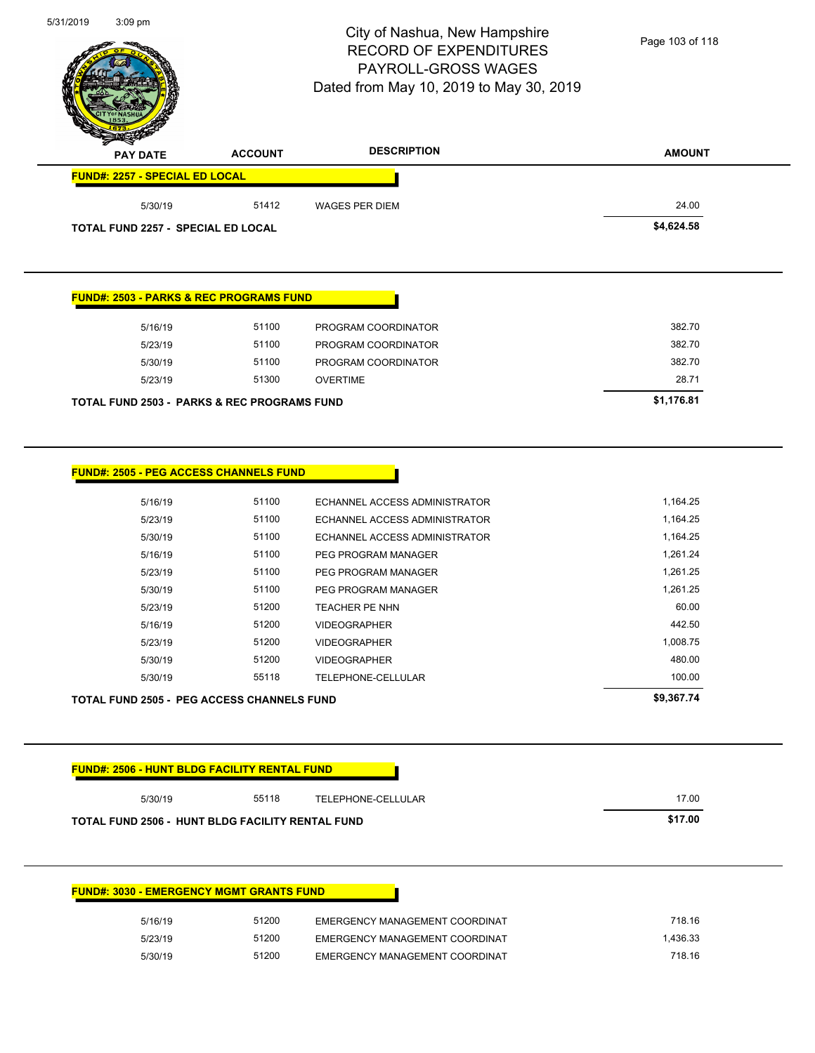$\overline{\phantom{a}}$ 



# City of Nashua, New Hampshire RECORD OF EXPENDITURES PAYROLL-GROSS WAGES Dated from May 10, 2019 to May 30, 2019

Page 103 of 118

| <b>FUND#: 2257 - SPECIAL ED LOCAL</b>     |       |                       |            |
|-------------------------------------------|-------|-----------------------|------------|
| 5/30/19                                   | 51412 | <b>WAGES PER DIEM</b> | 24.00      |
| <b>TOTAL FUND 2257 - SPECIAL ED LOCAL</b> |       |                       | \$4,624.58 |

#### **FUND#: 2503 - PARKS & REC PROGRAMS FUND**

| TOTAL FUND 2503 - PARKS & REC PROGRAMS FUND |       |                     | \$1,176.81 |
|---------------------------------------------|-------|---------------------|------------|
| 5/23/19                                     | 51300 | OVERTIME            | 28.71      |
| 5/30/19                                     | 51100 | PROGRAM COORDINATOR | 382.70     |
| 5/23/19                                     | 51100 | PROGRAM COORDINATOR | 382.70     |
| 5/16/19                                     | 51100 | PROGRAM COORDINATOR | 382.70     |
|                                             |       |                     |            |

 $\blacksquare$ 

| <b>FUND#: 2505 - PEG ACCESS CHANNELS FUND</b> |
|-----------------------------------------------|
|                                               |

|         | <b>TOTAL FUND 2505 - PEG ACCESS CHANNELS FUND</b> |                               | \$9,367.74 |
|---------|---------------------------------------------------|-------------------------------|------------|
| 5/30/19 | 55118                                             | TELEPHONE-CELLULAR            | 100.00     |
| 5/30/19 | 51200                                             | <b>VIDEOGRAPHER</b>           | 480.00     |
| 5/23/19 | 51200                                             | <b>VIDEOGRAPHER</b>           | 1,008.75   |
| 5/16/19 | 51200                                             | <b>VIDEOGRAPHER</b>           | 442.50     |
| 5/23/19 | 51200                                             | <b>TEACHER PE NHN</b>         | 60.00      |
| 5/30/19 | 51100                                             | PEG PROGRAM MANAGER           | 1,261.25   |
| 5/23/19 | 51100                                             | PEG PROGRAM MANAGER           | 1,261.25   |
| 5/16/19 | 51100                                             | PEG PROGRAM MANAGER           | 1,261.24   |
| 5/30/19 | 51100                                             | ECHANNEL ACCESS ADMINISTRATOR | 1,164.25   |
| 5/23/19 | 51100                                             | ECHANNEL ACCESS ADMINISTRATOR | 1,164.25   |
| 5/16/19 | 51100                                             | ECHANNEL ACCESS ADMINISTRATOR | 1,164.25   |
|         |                                                   |                               |            |

| 5/30/19 | 55118 | TELEPHONE-CELLULAR | 17.00 |
|---------|-------|--------------------|-------|
|---------|-------|--------------------|-------|

| <b>FUND#: 3030 - EMERGENCY MGMT GRANTS FUND</b> |       |                                |
|-------------------------------------------------|-------|--------------------------------|
| 5/16/19                                         | 51200 | EMERGENCY MANAGEMENT COORDINAT |
| 5/23/19                                         | 51200 | EMERGENCY MANAGEMENT COORDINAT |
| 5/30/19                                         | 51200 | EMERGENCY MANAGEMENT COORDINAT |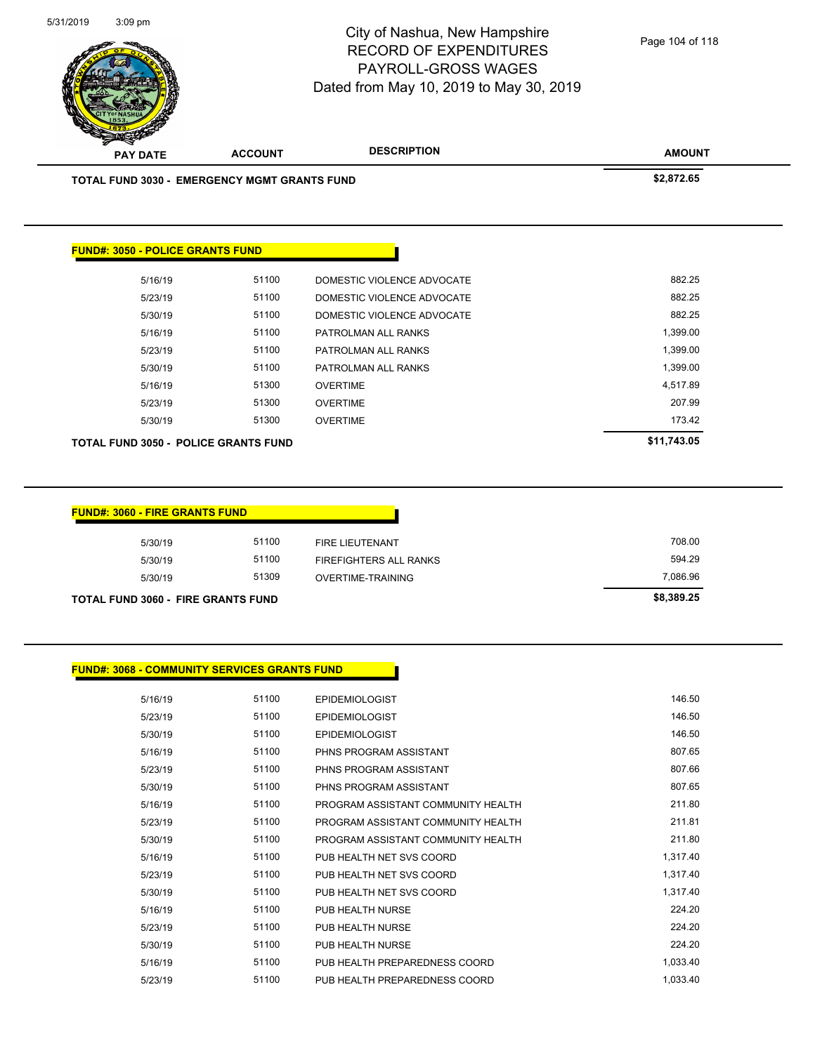| <b>PAY DATE</b>                                     | <b>ACCOUNT</b> | <b>DESCRIPTION</b>         | <b>AMOUNT</b> |
|-----------------------------------------------------|----------------|----------------------------|---------------|
| <b>TOTAL FUND 3030 - EMERGENCY MGMT GRANTS FUND</b> |                |                            | \$2,872.65    |
|                                                     |                |                            |               |
|                                                     |                |                            |               |
| <b>FUND#: 3050 - POLICE GRANTS FUND</b>             |                |                            |               |
| 5/16/19                                             | 51100          | DOMESTIC VIOLENCE ADVOCATE | 882.25        |
| 5/23/19                                             | 51100          | DOMESTIC VIOLENCE ADVOCATE | 882.25        |
| 5/30/19                                             | 51100          | DOMESTIC VIOLENCE ADVOCATE | 882.25        |
| 5/16/19                                             | 51100          | PATROLMAN ALL RANKS        | 1,399.00      |
| 5/23/19                                             | 51100          | PATROLMAN ALL RANKS        | 1,399.00      |
| 5/30/19                                             | 51100          | PATROLMAN ALL RANKS        | 1,399.00      |
| 5/16/19                                             | 51300          | <b>OVERTIME</b>            | 4,517.89      |
| 5/23/19                                             | 51300          | <b>OVERTIME</b>            | 207.99        |
| 5/30/19                                             | 51300          | <b>OVERTIME</b>            | 173.42        |
|                                                     |                |                            |               |

| <b>FUND#: 3060 - FIRE GRANTS FUND</b>     |       |                               |            |
|-------------------------------------------|-------|-------------------------------|------------|
| 5/30/19                                   | 51100 | <b>FIRE LIEUTENANT</b>        | 708.00     |
| 5/30/19                                   | 51100 | <b>FIREFIGHTERS ALL RANKS</b> | 594.29     |
| 5/30/19                                   | 51309 | OVERTIME-TRAINING             | 7,086.96   |
| <b>TOTAL FUND 3060 - FIRE GRANTS FUND</b> |       |                               | \$8,389.25 |

#### **FUND#: 3068 - COMMUNITY SERVICES GRANTS FUND**

| 5/16/19 | 51100 | <b>EPIDEMIOLOGIST</b>              | 146.50   |
|---------|-------|------------------------------------|----------|
| 5/23/19 | 51100 | <b>EPIDEMIOLOGIST</b>              | 146.50   |
| 5/30/19 | 51100 | <b>EPIDEMIOLOGIST</b>              | 146.50   |
| 5/16/19 | 51100 | PHNS PROGRAM ASSISTANT             | 807.65   |
| 5/23/19 | 51100 | PHNS PROGRAM ASSISTANT             | 807.66   |
| 5/30/19 | 51100 | PHNS PROGRAM ASSISTANT             | 807.65   |
| 5/16/19 | 51100 | PROGRAM ASSISTANT COMMUNITY HEALTH | 211.80   |
| 5/23/19 | 51100 | PROGRAM ASSISTANT COMMUNITY HEALTH | 211.81   |
| 5/30/19 | 51100 | PROGRAM ASSISTANT COMMUNITY HEALTH | 211.80   |
| 5/16/19 | 51100 | PUB HEALTH NET SVS COORD           | 1,317.40 |
| 5/23/19 | 51100 | PUB HEALTH NET SVS COORD           | 1,317.40 |
| 5/30/19 | 51100 | PUB HEALTH NET SVS COORD           | 1,317.40 |
| 5/16/19 | 51100 | PUB HEALTH NURSE                   | 224.20   |
| 5/23/19 | 51100 | PUB HEALTH NURSE                   | 224.20   |
| 5/30/19 | 51100 | PUB HEALTH NURSE                   | 224.20   |
| 5/16/19 | 51100 | PUB HEALTH PREPAREDNESS COORD      | 1,033.40 |
| 5/23/19 | 51100 | PUB HEALTH PREPAREDNESS COORD      | 1,033.40 |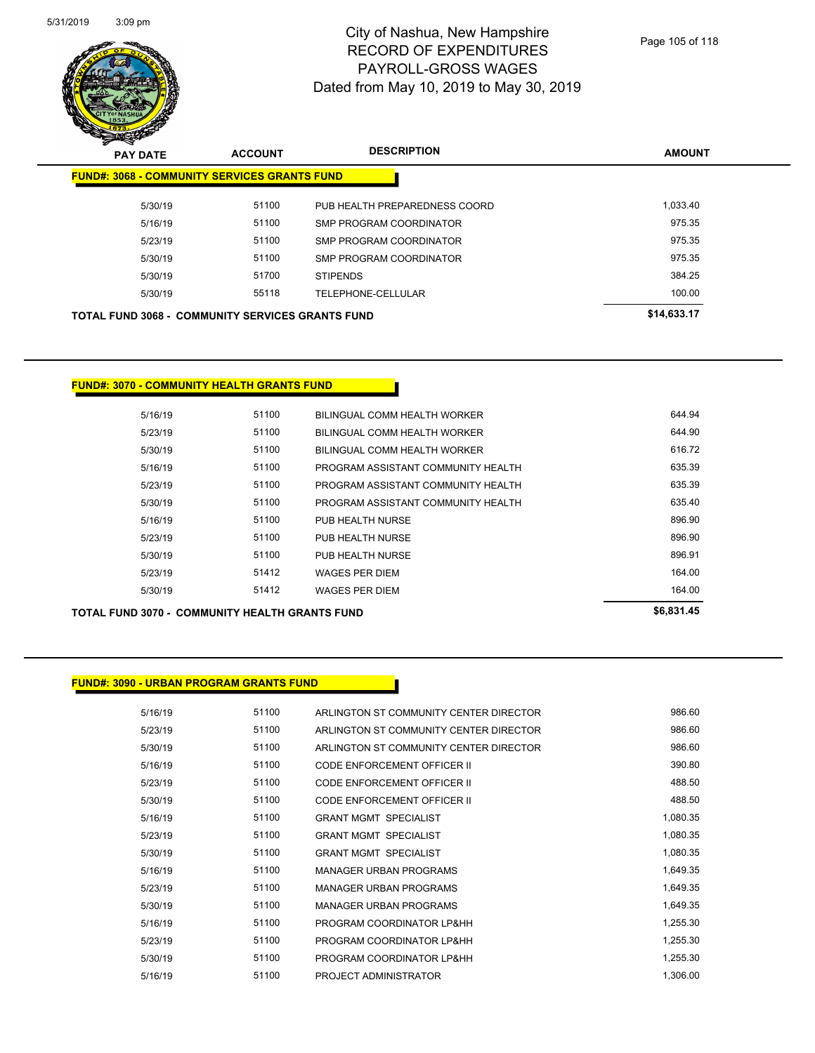

| $\boldsymbol{z}$<br>◅<br><b>PAY DATE</b>                | <b>ACCOUNT</b> | <b>DESCRIPTION</b>            | <b>AMOUNT</b> |
|---------------------------------------------------------|----------------|-------------------------------|---------------|
| <b>FUND#: 3068 - COMMUNITY SERVICES GRANTS FUND</b>     |                |                               |               |
| 5/30/19                                                 | 51100          | PUB HEALTH PREPAREDNESS COORD | 1.033.40      |
| 5/16/19                                                 | 51100          | SMP PROGRAM COORDINATOR       | 975.35        |
| 5/23/19                                                 | 51100          | SMP PROGRAM COORDINATOR       | 975.35        |
| 5/30/19                                                 | 51100          | SMP PROGRAM COORDINATOR       | 975.35        |
| 5/30/19                                                 | 51700          | <b>STIPENDS</b>               | 384.25        |
| 5/30/19                                                 | 55118          | TELEPHONE-CELLULAR            | 100.00        |
| <b>TOTAL FUND 3068 - COMMUNITY SERVICES GRANTS FUND</b> |                |                               | \$14,633.17   |

#### **FUND#: 3070 - COMMUNITY HEALTH GRANTS FUND**

**TOTAL FUND 3070 - COMMUNITY HEALTH GRANTS FUND \$6,831.45** 

#### **FUND#: 3090 - URBAN PROGRAM GRANTS FUND**

| 5/16/19 | 51100 | ARLINGTON ST COMMUNITY CENTER DIRECTOR | 986.60   |
|---------|-------|----------------------------------------|----------|
| 5/23/19 | 51100 | ARLINGTON ST COMMUNITY CENTER DIRECTOR | 986.60   |
| 5/30/19 | 51100 | ARLINGTON ST COMMUNITY CENTER DIRECTOR | 986.60   |
| 5/16/19 | 51100 | CODE ENFORCEMENT OFFICER II            | 390.80   |
| 5/23/19 | 51100 | CODE ENFORCEMENT OFFICER II            | 488.50   |
| 5/30/19 | 51100 | <b>CODE ENFORCEMENT OFFICER II</b>     | 488.50   |
| 5/16/19 | 51100 | <b>GRANT MGMT SPECIALIST</b>           | 1,080.35 |
| 5/23/19 | 51100 | <b>GRANT MGMT SPECIALIST</b>           | 1,080.35 |
| 5/30/19 | 51100 | <b>GRANT MGMT SPECIALIST</b>           | 1,080.35 |
| 5/16/19 | 51100 | <b>MANAGER URBAN PROGRAMS</b>          | 1,649.35 |
| 5/23/19 | 51100 | <b>MANAGER URBAN PROGRAMS</b>          | 1,649.35 |
| 5/30/19 | 51100 | <b>MANAGER URBAN PROGRAMS</b>          | 1,649.35 |
| 5/16/19 | 51100 | PROGRAM COORDINATOR LP&HH              | 1.255.30 |
| 5/23/19 | 51100 | PROGRAM COORDINATOR LP&HH              | 1,255.30 |
| 5/30/19 | 51100 | PROGRAM COORDINATOR LP&HH              | 1,255.30 |
| 5/16/19 | 51100 | PROJECT ADMINISTRATOR                  | 1,306.00 |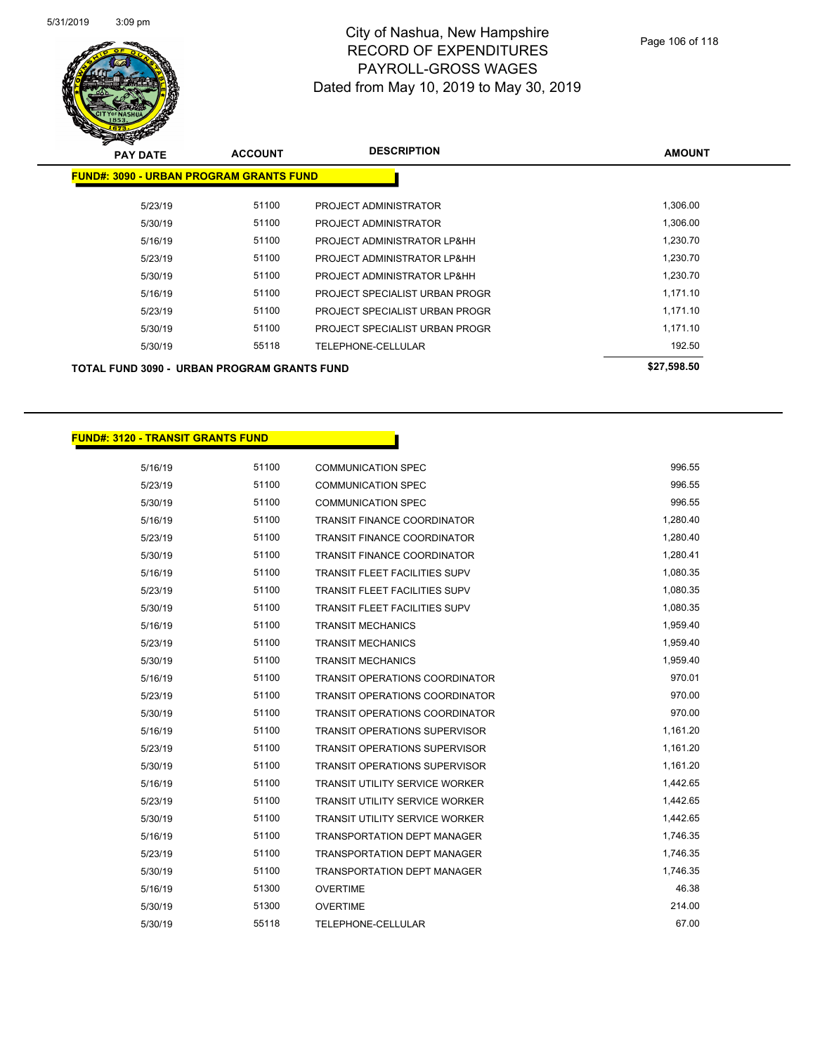

| <b>PAY DATE</b>                                | <b>ACCOUNT</b> | <b>DESCRIPTION</b>             | <b>AMOUNT</b> |  |  |  |
|------------------------------------------------|----------------|--------------------------------|---------------|--|--|--|
| <b>FUND#: 3090 - URBAN PROGRAM GRANTS FUND</b> |                |                                |               |  |  |  |
| 5/23/19                                        | 51100          | PROJECT ADMINISTRATOR          | 1,306.00      |  |  |  |
| 5/30/19                                        | 51100          | PROJECT ADMINISTRATOR          | 1,306.00      |  |  |  |
| 5/16/19                                        | 51100          | PROJECT ADMINISTRATOR LP&HH    | 1,230.70      |  |  |  |
| 5/23/19                                        | 51100          | PROJECT ADMINISTRATOR LP&HH    | 1,230.70      |  |  |  |
| 5/30/19                                        | 51100          | PROJECT ADMINISTRATOR LP&HH    | 1,230.70      |  |  |  |
| 5/16/19                                        | 51100          | PROJECT SPECIALIST URBAN PROGR | 1,171.10      |  |  |  |
| 5/23/19                                        | 51100          | PROJECT SPECIALIST URBAN PROGR | 1,171.10      |  |  |  |
| 5/30/19                                        | 51100          | PROJECT SPECIALIST URBAN PROGR | 1,171.10      |  |  |  |
| 5/30/19                                        | 55118          | <b>TELEPHONE-CELLULAR</b>      | 192.50        |  |  |  |
| TOTAL FUND 3090 - URBAN PROGRAM GRANTS FUND    | \$27,598.50    |                                |               |  |  |  |

#### **FUND#: 3120 - TRANSIT GRANTS FUND**

| 5/16/19 | 51100 | <b>COMMUNICATION SPEC</b>             | 996.55   |
|---------|-------|---------------------------------------|----------|
| 5/23/19 | 51100 | COMMUNICATION SPEC                    | 996.55   |
| 5/30/19 | 51100 | <b>COMMUNICATION SPEC</b>             | 996.55   |
| 5/16/19 | 51100 | <b>TRANSIT FINANCE COORDINATOR</b>    | 1,280.40 |
| 5/23/19 | 51100 | <b>TRANSIT FINANCE COORDINATOR</b>    | 1,280.40 |
| 5/30/19 | 51100 | <b>TRANSIT FINANCE COORDINATOR</b>    | 1,280.41 |
| 5/16/19 | 51100 | <b>TRANSIT FLEET FACILITIES SUPV</b>  | 1,080.35 |
| 5/23/19 | 51100 | <b>TRANSIT FLEET FACILITIES SUPV</b>  | 1,080.35 |
| 5/30/19 | 51100 | <b>TRANSIT FLEET FACILITIES SUPV</b>  | 1,080.35 |
| 5/16/19 | 51100 | <b>TRANSIT MECHANICS</b>              | 1,959.40 |
| 5/23/19 | 51100 | <b>TRANSIT MECHANICS</b>              | 1,959.40 |
| 5/30/19 | 51100 | <b>TRANSIT MECHANICS</b>              | 1,959.40 |
| 5/16/19 | 51100 | <b>TRANSIT OPERATIONS COORDINATOR</b> | 970.01   |
| 5/23/19 | 51100 | <b>TRANSIT OPERATIONS COORDINATOR</b> | 970.00   |
| 5/30/19 | 51100 | <b>TRANSIT OPERATIONS COORDINATOR</b> | 970.00   |
| 5/16/19 | 51100 | <b>TRANSIT OPERATIONS SUPERVISOR</b>  | 1,161.20 |
| 5/23/19 | 51100 | <b>TRANSIT OPERATIONS SUPERVISOR</b>  | 1,161.20 |
| 5/30/19 | 51100 | <b>TRANSIT OPERATIONS SUPERVISOR</b>  | 1,161.20 |
| 5/16/19 | 51100 | <b>TRANSIT UTILITY SERVICE WORKER</b> | 1,442.65 |
| 5/23/19 | 51100 | <b>TRANSIT UTILITY SERVICE WORKER</b> | 1,442.65 |
| 5/30/19 | 51100 | <b>TRANSIT UTILITY SERVICE WORKER</b> | 1,442.65 |
| 5/16/19 | 51100 | <b>TRANSPORTATION DEPT MANAGER</b>    | 1,746.35 |
| 5/23/19 | 51100 | <b>TRANSPORTATION DEPT MANAGER</b>    | 1,746.35 |
| 5/30/19 | 51100 | <b>TRANSPORTATION DEPT MANAGER</b>    | 1,746.35 |
| 5/16/19 | 51300 | <b>OVERTIME</b>                       | 46.38    |
| 5/30/19 | 51300 | <b>OVERTIME</b>                       | 214.00   |
| 5/30/19 | 55118 | <b>TELEPHONE-CELLULAR</b>             | 67.00    |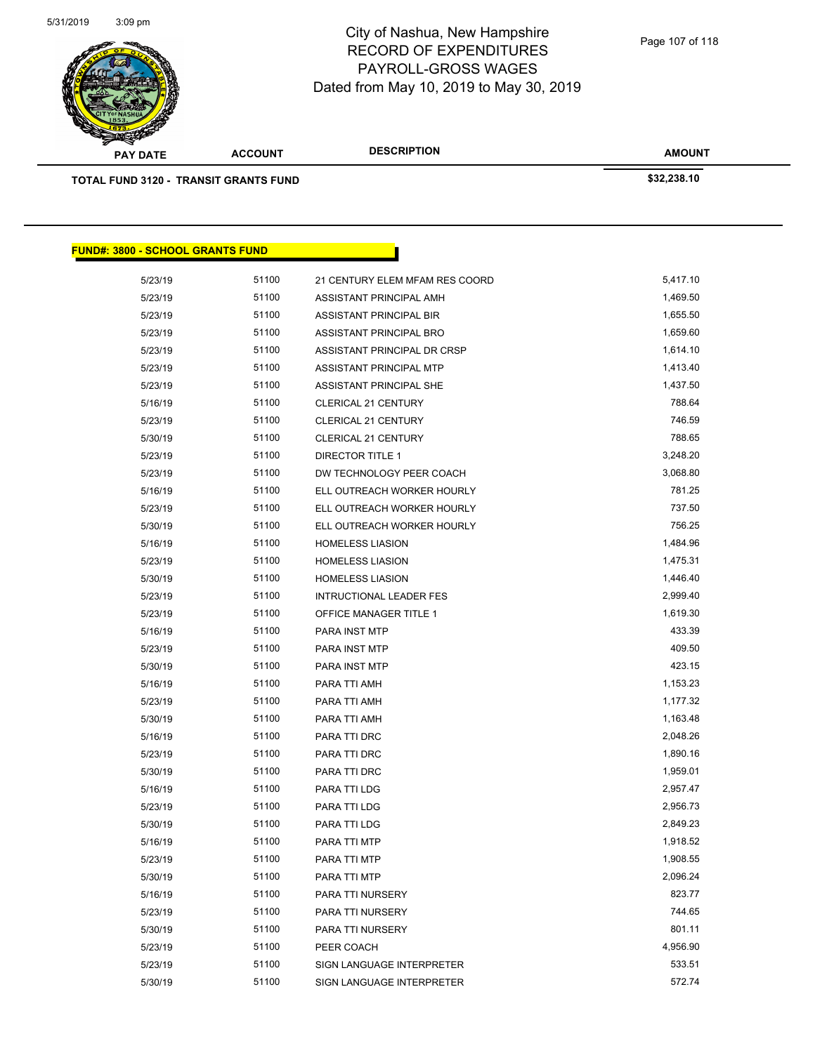

| <b>PAY DATE</b>                              | <b>ACCOUNT</b> | <b>DESCRIPTION</b>             | <b>AMOUNT</b> |
|----------------------------------------------|----------------|--------------------------------|---------------|
| <b>TOTAL FUND 3120 - TRANSIT GRANTS FUND</b> |                |                                | \$32,238.10   |
|                                              |                |                                |               |
|                                              |                |                                |               |
| <b>FUND#: 3800 - SCHOOL GRANTS FUND</b>      |                |                                |               |
| 5/23/19                                      | 51100          | 21 CENTURY ELEM MFAM RES COORD | 5,417.10      |
| 5/23/19                                      | 51100          | ASSISTANT PRINCIPAL AMH        | 1,469.50      |

| 0.20110 |       |                                |          |
|---------|-------|--------------------------------|----------|
| 5/23/19 | 51100 | ASSISTANT PRINCIPAL BRO        | 1,659.60 |
| 5/23/19 | 51100 | ASSISTANT PRINCIPAL DR CRSP    | 1,614.10 |
| 5/23/19 | 51100 | ASSISTANT PRINCIPAL MTP        | 1,413.40 |
| 5/23/19 | 51100 | ASSISTANT PRINCIPAL SHE        | 1,437.50 |
| 5/16/19 | 51100 | CLERICAL 21 CENTURY            | 788.64   |
| 5/23/19 | 51100 | CLERICAL 21 CENTURY            | 746.59   |
| 5/30/19 | 51100 | CLERICAL 21 CENTURY            | 788.65   |
| 5/23/19 | 51100 | <b>DIRECTOR TITLE 1</b>        | 3,248.20 |
| 5/23/19 | 51100 | DW TECHNOLOGY PEER COACH       | 3,068.80 |
| 5/16/19 | 51100 | ELL OUTREACH WORKER HOURLY     | 781.25   |
| 5/23/19 | 51100 | ELL OUTREACH WORKER HOURLY     | 737.50   |
| 5/30/19 | 51100 | ELL OUTREACH WORKER HOURLY     | 756.25   |
| 5/16/19 | 51100 | <b>HOMELESS LIASION</b>        | 1,484.96 |
| 5/23/19 | 51100 | <b>HOMELESS LIASION</b>        | 1,475.31 |
| 5/30/19 | 51100 | <b>HOMELESS LIASION</b>        | 1,446.40 |
| 5/23/19 | 51100 | <b>INTRUCTIONAL LEADER FES</b> | 2,999.40 |
| 5/23/19 | 51100 | OFFICE MANAGER TITLE 1         | 1,619.30 |
| 5/16/19 | 51100 | PARA INST MTP                  | 433.39   |
| 5/23/19 | 51100 | PARA INST MTP                  | 409.50   |
| 5/30/19 | 51100 | PARA INST MTP                  | 423.15   |
| 5/16/19 | 51100 | PARA TTI AMH                   | 1,153.23 |
| 5/23/19 | 51100 | PARA TTI AMH                   | 1,177.32 |
| 5/30/19 | 51100 | PARA TTI AMH                   | 1,163.48 |
| 5/16/19 | 51100 | PARA TTI DRC                   | 2,048.26 |
| 5/23/19 | 51100 | PARA TTI DRC                   | 1,890.16 |
| 5/30/19 | 51100 | PARA TTI DRC                   | 1,959.01 |
| 5/16/19 | 51100 | PARA TTI LDG                   | 2,957.47 |
| 5/23/19 | 51100 | PARA TTI LDG                   | 2,956.73 |
| 5/30/19 | 51100 | PARA TTI LDG                   | 2,849.23 |
| 5/16/19 | 51100 | PARA TTI MTP                   | 1,918.52 |
| 5/23/19 | 51100 | PARA TTI MTP                   | 1,908.55 |
| 5/30/19 | 51100 | PARA TTI MTP                   | 2,096.24 |
| 5/16/19 | 51100 | PARA TTI NURSERY               | 823.77   |
| 5/23/19 | 51100 | PARA TTI NURSERY               | 744.65   |
| 5/30/19 | 51100 | PARA TTI NURSERY               | 801.11   |
| 5/23/19 | 51100 | PEER COACH                     | 4,956.90 |
| 5/23/19 | 51100 | SIGN LANGUAGE INTERPRETER      | 533.51   |
| 5/30/19 | 51100 | SIGN LANGUAGE INTERPRETER      | 572.74   |
|         |       |                                |          |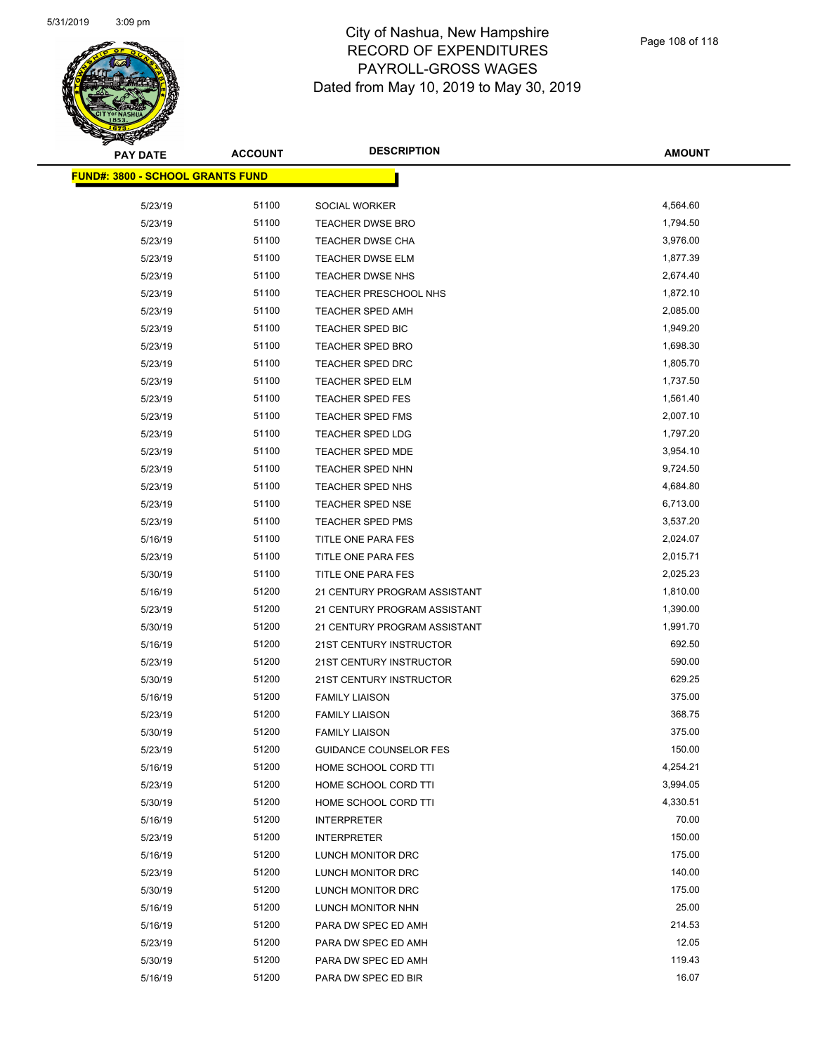

| <b>PAY DATE</b>                          | <b>ACCOUNT</b> | <b>DESCRIPTION</b>            | AMOUNT   |
|------------------------------------------|----------------|-------------------------------|----------|
| <u> FUND#: 3800 - SCHOOL GRANTS FUND</u> |                |                               |          |
|                                          |                |                               |          |
| 5/23/19                                  | 51100          | SOCIAL WORKER                 | 4,564.60 |
| 5/23/19                                  | 51100          | <b>TEACHER DWSE BRO</b>       | 1,794.50 |
| 5/23/19                                  | 51100          | <b>TEACHER DWSE CHA</b>       | 3,976.00 |
| 5/23/19                                  | 51100          | <b>TEACHER DWSE ELM</b>       | 1,877.39 |
| 5/23/19                                  | 51100          | TEACHER DWSE NHS              | 2,674.40 |
| 5/23/19                                  | 51100          | TEACHER PRESCHOOL NHS         | 1,872.10 |
| 5/23/19                                  | 51100          | <b>TEACHER SPED AMH</b>       | 2,085.00 |
| 5/23/19                                  | 51100          | TEACHER SPED BIC              | 1,949.20 |
| 5/23/19                                  | 51100          | <b>TEACHER SPED BRO</b>       | 1,698.30 |
| 5/23/19                                  | 51100          | <b>TEACHER SPED DRC</b>       | 1,805.70 |
| 5/23/19                                  | 51100          | TEACHER SPED ELM              | 1,737.50 |
| 5/23/19                                  | 51100          | <b>TEACHER SPED FES</b>       | 1,561.40 |
| 5/23/19                                  | 51100          | <b>TEACHER SPED FMS</b>       | 2,007.10 |
| 5/23/19                                  | 51100          | <b>TEACHER SPED LDG</b>       | 1,797.20 |
| 5/23/19                                  | 51100          | TEACHER SPED MDE              | 3,954.10 |
| 5/23/19                                  | 51100          | TEACHER SPED NHN              | 9,724.50 |
| 5/23/19                                  | 51100          | TEACHER SPED NHS              | 4,684.80 |
| 5/23/19                                  | 51100          | <b>TEACHER SPED NSE</b>       | 6,713.00 |
| 5/23/19                                  | 51100          | <b>TEACHER SPED PMS</b>       | 3,537.20 |
| 5/16/19                                  | 51100          | TITLE ONE PARA FES            | 2,024.07 |
| 5/23/19                                  | 51100          | TITLE ONE PARA FES            | 2,015.71 |
| 5/30/19                                  | 51100          | TITLE ONE PARA FES            | 2,025.23 |
| 5/16/19                                  | 51200          | 21 CENTURY PROGRAM ASSISTANT  | 1,810.00 |
| 5/23/19                                  | 51200          | 21 CENTURY PROGRAM ASSISTANT  | 1,390.00 |
| 5/30/19                                  | 51200          | 21 CENTURY PROGRAM ASSISTANT  | 1,991.70 |
| 5/16/19                                  | 51200          | 21ST CENTURY INSTRUCTOR       | 692.50   |
| 5/23/19                                  | 51200          | 21ST CENTURY INSTRUCTOR       | 590.00   |
| 5/30/19                                  | 51200          | 21ST CENTURY INSTRUCTOR       | 629.25   |
| 5/16/19                                  | 51200          | <b>FAMILY LIAISON</b>         | 375.00   |
| 5/23/19                                  | 51200          | <b>FAMILY LIAISON</b>         | 368.75   |
| 5/30/19                                  | 51200          | <b>FAMILY LIAISON</b>         | 375.00   |
| 5/23/19                                  | 51200          | <b>GUIDANCE COUNSELOR FES</b> | 150.00   |
| 5/16/19                                  | 51200          | HOME SCHOOL CORD TTI          | 4,254.21 |
| 5/23/19                                  | 51200          | HOME SCHOOL CORD TTI          | 3,994.05 |
| 5/30/19                                  | 51200          | HOME SCHOOL CORD TTI          | 4,330.51 |
| 5/16/19                                  | 51200          | <b>INTERPRETER</b>            | 70.00    |
| 5/23/19                                  | 51200          | <b>INTERPRETER</b>            | 150.00   |
| 5/16/19                                  | 51200          | LUNCH MONITOR DRC             | 175.00   |
| 5/23/19                                  | 51200          | LUNCH MONITOR DRC             | 140.00   |
| 5/30/19                                  | 51200          | LUNCH MONITOR DRC             | 175.00   |
| 5/16/19                                  | 51200          | LUNCH MONITOR NHN             | 25.00    |
| 5/16/19                                  | 51200          | PARA DW SPEC ED AMH           | 214.53   |
| 5/23/19                                  | 51200          | PARA DW SPEC ED AMH           | 12.05    |
| 5/30/19                                  | 51200          | PARA DW SPEC ED AMH           | 119.43   |
| 5/16/19                                  | 51200          | PARA DW SPEC ED BIR           | 16.07    |
|                                          |                |                               |          |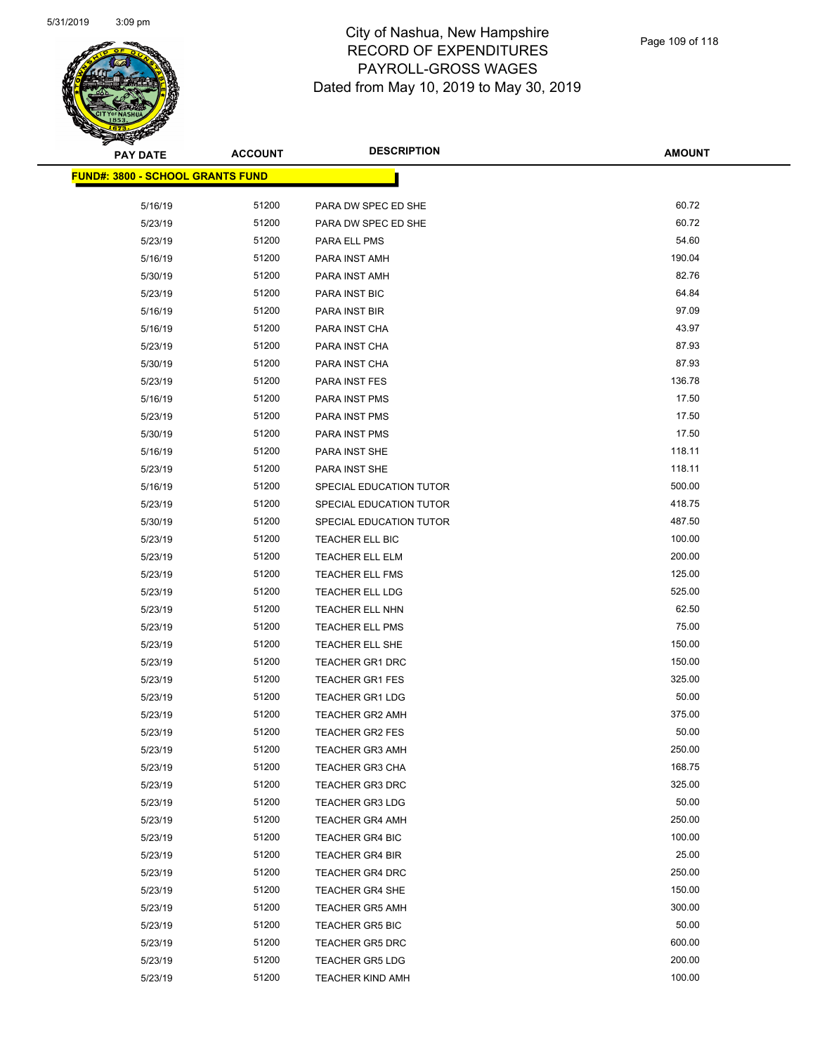

 $\overline{\phantom{0}}$ 

| <b>PAY DATE</b>                          | <b>ACCOUNT</b> | <b>DESCRIPTION</b>      | <b>AMOUNT</b> |
|------------------------------------------|----------------|-------------------------|---------------|
| <u> FUND#: 3800 - SCHOOL GRANTS FUND</u> |                |                         |               |
|                                          |                |                         |               |
| 5/16/19                                  | 51200          | PARA DW SPEC ED SHE     | 60.72         |
| 5/23/19                                  | 51200          | PARA DW SPEC ED SHE     | 60.72         |
| 5/23/19                                  | 51200          | PARA ELL PMS            | 54.60         |
| 5/16/19                                  | 51200          | PARA INST AMH           | 190.04        |
| 5/30/19                                  | 51200          | PARA INST AMH           | 82.76         |
| 5/23/19                                  | 51200          | PARA INST BIC           | 64.84         |
| 5/16/19                                  | 51200          | PARA INST BIR           | 97.09         |
| 5/16/19                                  | 51200          | PARA INST CHA           | 43.97         |
| 5/23/19                                  | 51200          | PARA INST CHA           | 87.93         |
| 5/30/19                                  | 51200          | PARA INST CHA           | 87.93         |
| 5/23/19                                  | 51200          | PARA INST FES           | 136.78        |
| 5/16/19                                  | 51200          | PARA INST PMS           | 17.50         |
| 5/23/19                                  | 51200          | PARA INST PMS           | 17.50         |
| 5/30/19                                  | 51200          | PARA INST PMS           | 17.50         |
| 5/16/19                                  | 51200          | PARA INST SHE           | 118.11        |
| 5/23/19                                  | 51200          | PARA INST SHE           | 118.11        |
| 5/16/19                                  | 51200          | SPECIAL EDUCATION TUTOR | 500.00        |
| 5/23/19                                  | 51200          | SPECIAL EDUCATION TUTOR | 418.75        |
| 5/30/19                                  | 51200          | SPECIAL EDUCATION TUTOR | 487.50        |
| 5/23/19                                  | 51200          | TEACHER ELL BIC         | 100.00        |
| 5/23/19                                  | 51200          | <b>TEACHER ELL ELM</b>  | 200.00        |
| 5/23/19                                  | 51200          | <b>TEACHER ELL FMS</b>  | 125.00        |
| 5/23/19                                  | 51200          | TEACHER ELL LDG         | 525.00        |
| 5/23/19                                  | 51200          | TEACHER ELL NHN         | 62.50         |
| 5/23/19                                  | 51200          | TEACHER ELL PMS         | 75.00         |
| 5/23/19                                  | 51200          | TEACHER ELL SHE         | 150.00        |
| 5/23/19                                  | 51200          | <b>TEACHER GR1 DRC</b>  | 150.00        |
| 5/23/19                                  | 51200          | <b>TEACHER GR1 FES</b>  | 325.00        |
| 5/23/19                                  | 51200          | <b>TEACHER GR1 LDG</b>  | 50.00         |
| 5/23/19                                  | 51200          | <b>TEACHER GR2 AMH</b>  | 375.00        |
| 5/23/19                                  | 51200          | <b>TEACHER GR2 FES</b>  | 50.00         |
| 5/23/19                                  | 51200          | <b>TEACHER GR3 AMH</b>  | 250.00        |
| 5/23/19                                  | 51200          | <b>TEACHER GR3 CHA</b>  | 168.75        |
| 5/23/19                                  | 51200          | <b>TEACHER GR3 DRC</b>  | 325.00        |
| 5/23/19                                  | 51200          | <b>TEACHER GR3 LDG</b>  | 50.00         |
| 5/23/19                                  | 51200          | <b>TEACHER GR4 AMH</b>  | 250.00        |
| 5/23/19                                  | 51200          | <b>TEACHER GR4 BIC</b>  | 100.00        |
| 5/23/19                                  | 51200          | <b>TEACHER GR4 BIR</b>  | 25.00         |
| 5/23/19                                  | 51200          | <b>TEACHER GR4 DRC</b>  | 250.00        |
| 5/23/19                                  | 51200          | <b>TEACHER GR4 SHE</b>  | 150.00        |
| 5/23/19                                  | 51200          | <b>TEACHER GR5 AMH</b>  | 300.00        |
| 5/23/19                                  | 51200          | <b>TEACHER GR5 BIC</b>  | 50.00         |
| 5/23/19                                  | 51200          | <b>TEACHER GR5 DRC</b>  | 600.00        |
| 5/23/19                                  | 51200          | <b>TEACHER GR5 LDG</b>  | 200.00        |
| 5/23/19                                  | 51200          | TEACHER KIND AMH        | 100.00        |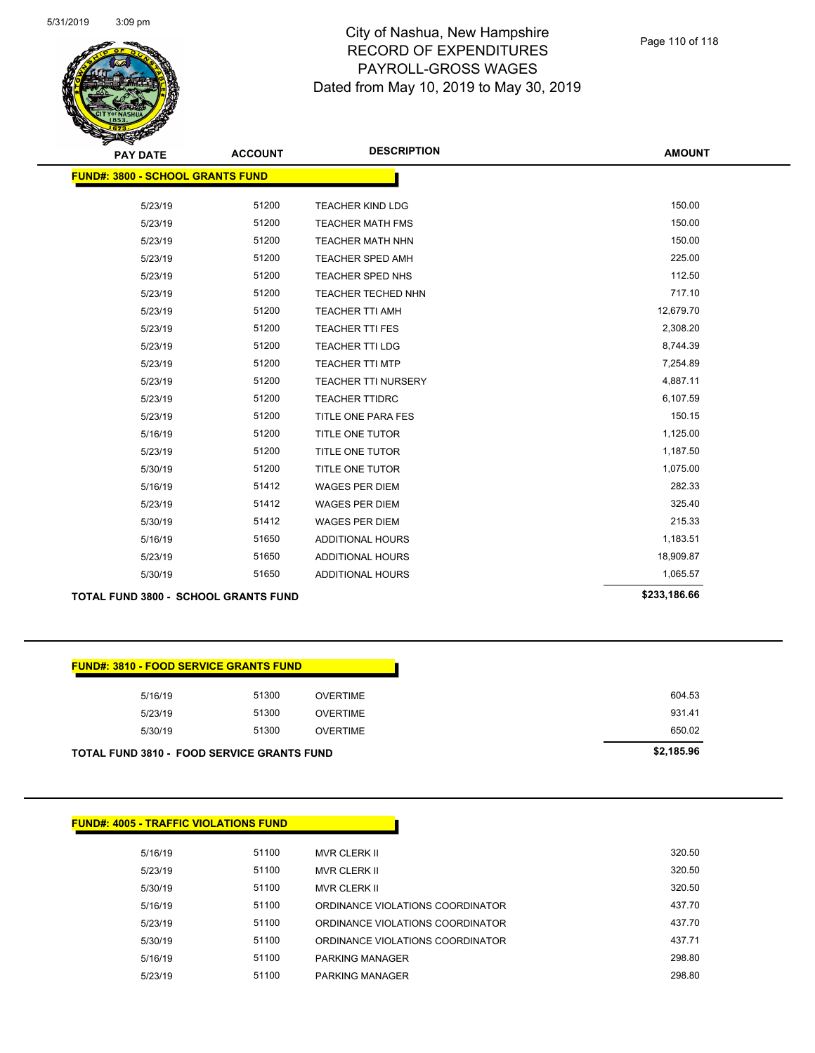

| <b>PAY DATE</b>                         | <b>ACCOUNT</b> | <b>DESCRIPTION</b>         | <b>AMOUNT</b> |
|-----------------------------------------|----------------|----------------------------|---------------|
| <b>FUND#: 3800 - SCHOOL GRANTS FUND</b> |                |                            |               |
| 5/23/19                                 | 51200          | <b>TEACHER KIND LDG</b>    | 150.00        |
| 5/23/19                                 | 51200          | <b>TEACHER MATH FMS</b>    | 150.00        |
| 5/23/19                                 | 51200          | <b>TEACHER MATH NHN</b>    | 150.00        |
| 5/23/19                                 | 51200          | TEACHER SPED AMH           | 225.00        |
| 5/23/19                                 | 51200          | TEACHER SPED NHS           | 112.50        |
| 5/23/19                                 | 51200          | TEACHER TECHED NHN         | 717.10        |
| 5/23/19                                 | 51200          | TEACHER TTI AMH            | 12,679.70     |
| 5/23/19                                 | 51200          | <b>TEACHER TTI FES</b>     | 2,308.20      |
| 5/23/19                                 | 51200          | <b>TEACHER TTI LDG</b>     | 8,744.39      |
| 5/23/19                                 | 51200          | <b>TEACHER TTI MTP</b>     | 7,254.89      |
| 5/23/19                                 | 51200          | <b>TEACHER TTI NURSERY</b> | 4,887.11      |
| 5/23/19                                 | 51200          | <b>TEACHER TTIDRC</b>      | 6,107.59      |
| 5/23/19                                 | 51200          | TITLE ONE PARA FES         | 150.15        |
| 5/16/19                                 | 51200          | TITLE ONE TUTOR            | 1,125.00      |
| 5/23/19                                 | 51200          | TITLE ONE TUTOR            | 1,187.50      |
| 5/30/19                                 | 51200          | TITLE ONE TUTOR            | 1,075.00      |
| 5/16/19                                 | 51412          | <b>WAGES PER DIEM</b>      | 282.33        |
| 5/23/19                                 | 51412          | <b>WAGES PER DIEM</b>      | 325.40        |
| 5/30/19                                 | 51412          | <b>WAGES PER DIEM</b>      | 215.33        |
| 5/16/19                                 | 51650          | ADDITIONAL HOURS           | 1,183.51      |
| 5/23/19                                 | 51650          | ADDITIONAL HOURS           | 18,909.87     |
| 5/30/19                                 | 51650          | <b>ADDITIONAL HOURS</b>    | 1,065.57      |
|                                         |                |                            |               |

**TOTAL FUND 3800 - SCHOOL GRANTS FUND \$233,186.66** 

|  |  | <b>FUND#: 3810 - FOOD SERVICE GRANTS FUND</b> |  |
|--|--|-----------------------------------------------|--|
|  |  |                                               |  |

| TOTAL FUND 3810 - FOOD SERVICE GRANTS FUND |       |                 | \$2,185.96 |
|--------------------------------------------|-------|-----------------|------------|
| 5/30/19                                    | 51300 | OVERTIME        | 650.02     |
| 5/23/19                                    | 51300 | <b>OVERTIME</b> | 931.41     |
| 5/16/19                                    | 51300 | <b>OVERTIME</b> | 604.53     |
|                                            |       |                 |            |

| <b>FUND#: 4005 - TRAFFIC VIOLATIONS FUND</b> |       |                                  |        |  |  |
|----------------------------------------------|-------|----------------------------------|--------|--|--|
| 5/16/19                                      | 51100 | <b>MVR CLERK II</b>              | 320.50 |  |  |
| 5/23/19                                      | 51100 | <b>MVR CLERK II</b>              | 320.50 |  |  |
| 5/30/19                                      | 51100 | <b>MVR CLERK II</b>              | 320.50 |  |  |
| 5/16/19                                      | 51100 | ORDINANCE VIOLATIONS COORDINATOR | 437.70 |  |  |
| 5/23/19                                      | 51100 | ORDINANCE VIOLATIONS COORDINATOR | 437.70 |  |  |
| 5/30/19                                      | 51100 | ORDINANCE VIOLATIONS COORDINATOR | 437.71 |  |  |
| 5/16/19                                      | 51100 | <b>PARKING MANAGER</b>           | 298.80 |  |  |
| 5/23/19                                      | 51100 | <b>PARKING MANAGER</b>           | 298.80 |  |  |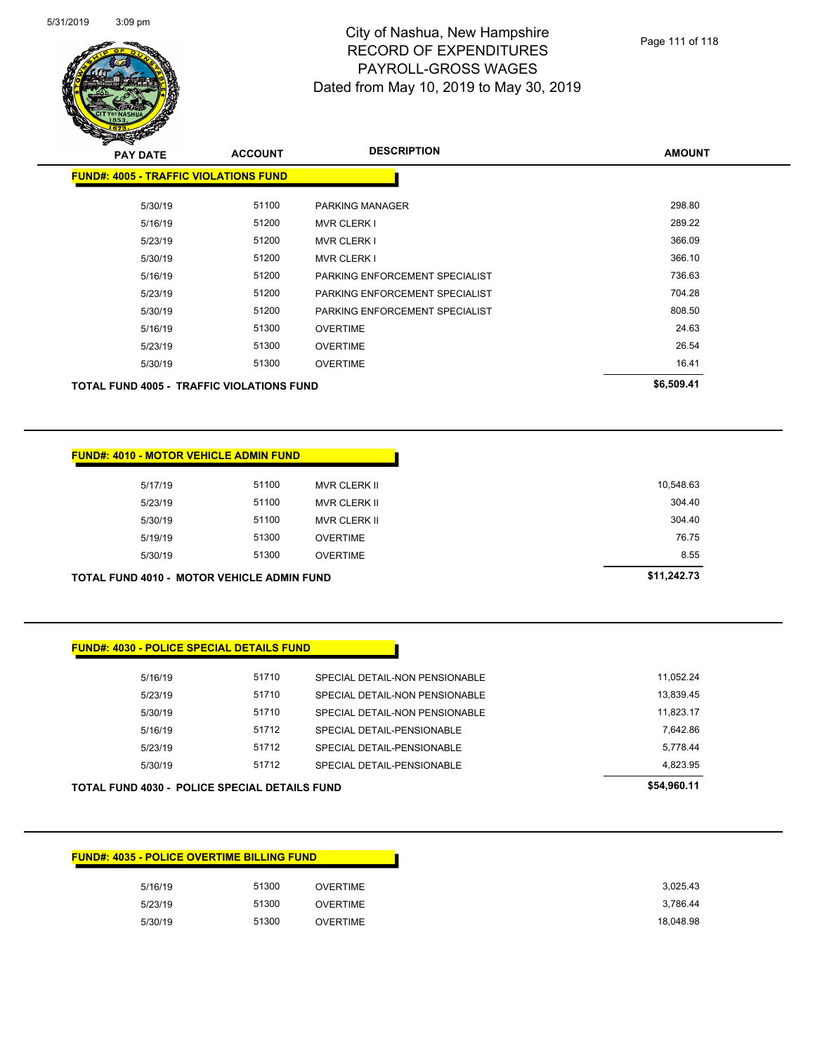

| <b>PAY DATE</b>                                  | <b>ACCOUNT</b> | <b>DESCRIPTION</b>             | <b>AMOUNT</b> |
|--------------------------------------------------|----------------|--------------------------------|---------------|
| <b>FUND#: 4005 - TRAFFIC VIOLATIONS FUND</b>     |                |                                |               |
| 5/30/19                                          | 51100          | <b>PARKING MANAGER</b>         | 298.80        |
| 5/16/19                                          | 51200          | <b>MVR CLERK I</b>             | 289.22        |
| 5/23/19                                          | 51200          | <b>MVR CLERK I</b>             | 366.09        |
| 5/30/19                                          | 51200          | <b>MVR CLERK I</b>             | 366.10        |
| 5/16/19                                          | 51200          | PARKING ENFORCEMENT SPECIALIST | 736.63        |
| 5/23/19                                          | 51200          | PARKING ENFORCEMENT SPECIALIST | 704.28        |
| 5/30/19                                          | 51200          | PARKING ENFORCEMENT SPECIALIST | 808.50        |
| 5/16/19                                          | 51300          | <b>OVERTIME</b>                | 24.63         |
| 5/23/19                                          | 51300          | <b>OVERTIME</b>                | 26.54         |
| 5/30/19                                          | 51300          | <b>OVERTIME</b>                | 16.41         |
| <b>TOTAL FUND 4005 - TRAFFIC VIOLATIONS FUND</b> |                |                                | \$6,509.41    |

#### **FUND#: 4010 - MOTOR VEHICLE ADMIN FUND**

| <b>TOTAL FUND 4010 - MOTOR VEHICLE ADMIN FUND</b> |       |                     | \$11,242.73 |
|---------------------------------------------------|-------|---------------------|-------------|
| 5/30/19                                           | 51300 | <b>OVERTIME</b>     | 8.55        |
| 5/19/19                                           | 51300 | <b>OVERTIME</b>     | 76.75       |
| 5/30/19                                           | 51100 | <b>MVR CLERK II</b> | 304.40      |
| 5/23/19                                           | 51100 | <b>MVR CLERK II</b> | 304.40      |
| 5/17/19                                           | 51100 | <b>MVR CLERK II</b> | 10,548.63   |
|                                                   |       |                     |             |

### **FUND#: 4030 - POLICE SPECIAL DETAILS FUND**

|         | <b>TOTAL FUND 4030 - POLICE SPECIAL DETAILS FUND</b> |                                | \$54.960.11 |
|---------|------------------------------------------------------|--------------------------------|-------------|
| 5/30/19 | 51712                                                | SPECIAL DETAIL-PENSIONABLE     | 4.823.95    |
| 5/23/19 | 51712                                                | SPECIAL DETAIL-PENSIONABLE     | 5.778.44    |
| 5/16/19 | 51712                                                | SPECIAL DETAIL-PENSIONABLE     | 7.642.86    |
| 5/30/19 | 51710                                                | SPECIAL DETAIL-NON PENSIONABLE | 11.823.17   |
| 5/23/19 | 51710                                                | SPECIAL DETAIL-NON PENSIONABLE | 13.839.45   |
| 5/16/19 | 51710                                                | SPECIAL DETAIL-NON PENSIONABLE | 11.052.24   |
|         |                                                      |                                |             |

### **FUND#: 4035 - POLICE OVERTIME BILLING FUND**

| 5/16/19 | 51300<br><b>OVERTIME</b> |
|---------|--------------------------|
| 5/23/19 | 51300<br>OVERTIME        |
| 5/30/19 | 51300<br>OVERTIME        |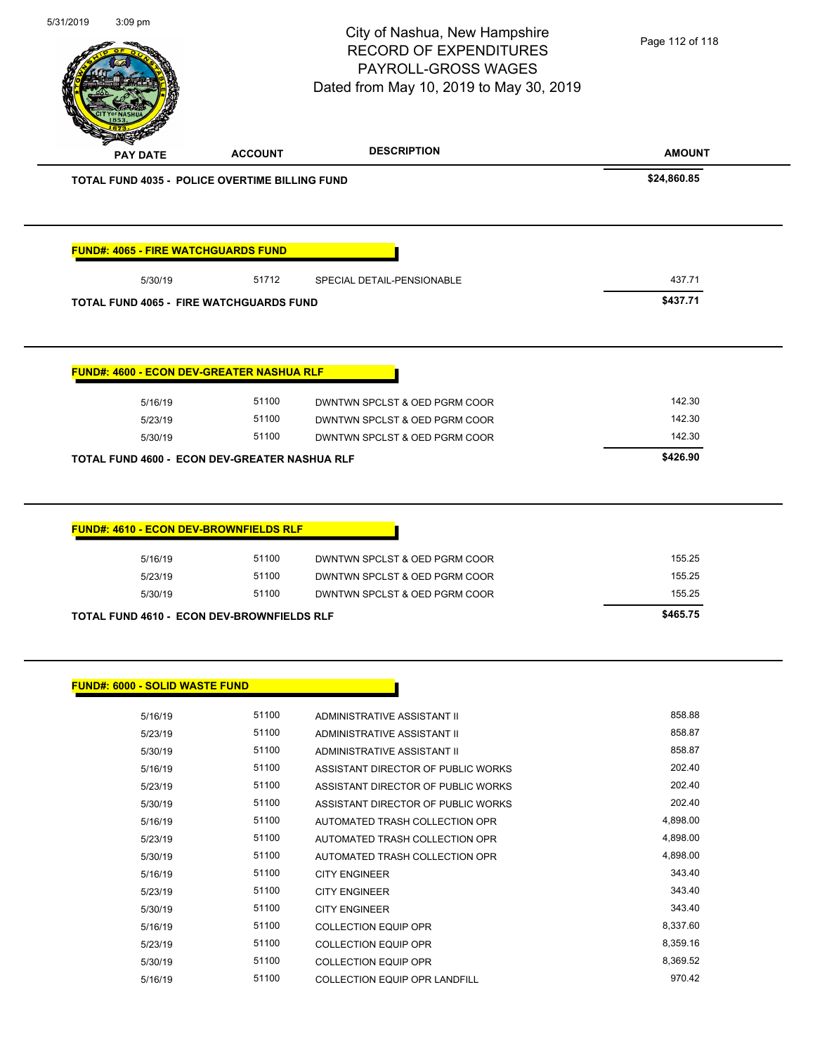| 5/31/2019<br>$3:09$ pm                                       |                | City of Nashua, New Hampshire<br><b>RECORD OF EXPENDITURES</b><br>PAYROLL-GROSS WAGES<br>Dated from May 10, 2019 to May 30, 2019 | Page 112 of 118    |
|--------------------------------------------------------------|----------------|----------------------------------------------------------------------------------------------------------------------------------|--------------------|
| <b>PAY DATE</b>                                              | <b>ACCOUNT</b> | <b>DESCRIPTION</b>                                                                                                               | <b>AMOUNT</b>      |
| <b>TOTAL FUND 4035 - POLICE OVERTIME BILLING FUND</b>        |                |                                                                                                                                  | \$24,860.85        |
| <b>FUND#: 4065 - FIRE WATCHGUARDS FUND</b>                   |                |                                                                                                                                  |                    |
| 5/30/19                                                      | 51712          | SPECIAL DETAIL-PENSIONABLE                                                                                                       | 437.71             |
| <b>TOTAL FUND 4065 - FIRE WATCHGUARDS FUND</b>               |                |                                                                                                                                  | \$437.71           |
| FUND#: 4600 - ECON DEV-GREATER NASHUA RLF                    |                |                                                                                                                                  |                    |
| 5/16/19                                                      | 51100          | DWNTWN SPCLST & OED PGRM COOR                                                                                                    | 142.30             |
| 5/23/19                                                      | 51100          | DWNTWN SPCLST & OED PGRM COOR                                                                                                    | 142.30             |
| 5/30/19                                                      | 51100          | DWNTWN SPCLST & OED PGRM COOR                                                                                                    | 142.30             |
|                                                              |                |                                                                                                                                  |                    |
| TOTAL FUND 4600 - ECON DEV-GREATER NASHUA RLF                |                |                                                                                                                                  | \$426.90           |
| FUND#: 4610 - ECON DEV-BROWNFIELDS RLF<br>5/16/19<br>5/23/19 | 51100<br>51100 | DWNTWN SPCLST & OED PGRM COOR<br>DWNTWN SPCLST & OED PGRM COOR                                                                   | 155.25<br>155.25   |
| 5/30/19                                                      | 51100          | DWNTWN SPCLST & OED PGRM COOR                                                                                                    | 155.25             |
| TOTAL FUND 4610 - ECON DEV-BROWNFIELDS RLF                   |                |                                                                                                                                  | \$465.75           |
| <b>FUND#: 6000 - SOLID WASTE FUND</b><br>5/16/19             | 51100          | ADMINISTRATIVE ASSISTANT II                                                                                                      | 858.88             |
| 5/23/19                                                      | 51100          | ADMINISTRATIVE ASSISTANT II                                                                                                      | 858.87             |
| 5/30/19                                                      | 51100          | ADMINISTRATIVE ASSISTANT II                                                                                                      | 858.87             |
| 5/16/19                                                      | 51100          | ASSISTANT DIRECTOR OF PUBLIC WORKS                                                                                               | 202.40             |
| 5/23/19                                                      | 51100          | ASSISTANT DIRECTOR OF PUBLIC WORKS                                                                                               | 202.40             |
| 5/30/19                                                      | 51100          | ASSISTANT DIRECTOR OF PUBLIC WORKS                                                                                               | 202.40             |
| 5/16/19                                                      | 51100          | AUTOMATED TRASH COLLECTION OPR                                                                                                   | 4,898.00           |
| 5/23/19                                                      | 51100          | AUTOMATED TRASH COLLECTION OPR                                                                                                   | 4,898.00           |
| 5/30/19                                                      | 51100          | AUTOMATED TRASH COLLECTION OPR                                                                                                   | 4,898.00           |
| 5/16/19                                                      | 51100          | <b>CITY ENGINEER</b>                                                                                                             | 343.40             |
| 5/23/19                                                      | 51100          | <b>CITY ENGINEER</b>                                                                                                             | 343.40             |
| 5/30/19                                                      | 51100          | <b>CITY ENGINEER</b>                                                                                                             | 343.40             |
| 5/16/19                                                      | 51100          | <b>COLLECTION EQUIP OPR</b>                                                                                                      | 8,337.60           |
| 5/23/19                                                      | 51100          | <b>COLLECTION EQUIP OPR</b>                                                                                                      | 8,359.16           |
| 5/30/19                                                      | 51100          | <b>COLLECTION EQUIP OPR</b>                                                                                                      | 8,369.52<br>970.42 |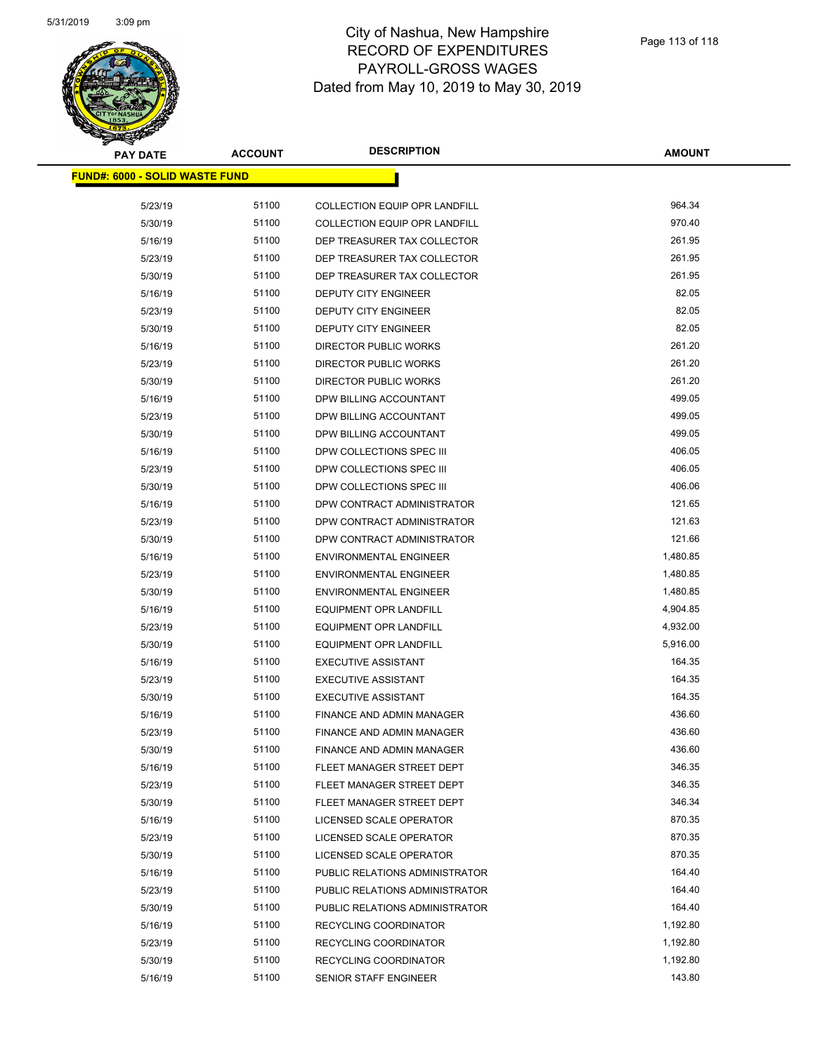

| PAY DATE                               | <b>ACCOUNT</b> | <b>DESCRIPTION</b>                   | <b>AMOUNT</b> |
|----------------------------------------|----------------|--------------------------------------|---------------|
| <u> FUND#: 6000 - SOLID WASTE FUND</u> |                |                                      |               |
|                                        |                |                                      |               |
| 5/23/19                                | 51100          | <b>COLLECTION EQUIP OPR LANDFILL</b> | 964.34        |
| 5/30/19                                | 51100          | <b>COLLECTION EQUIP OPR LANDFILL</b> | 970.40        |
| 5/16/19                                | 51100          | DEP TREASURER TAX COLLECTOR          | 261.95        |
| 5/23/19                                | 51100          | DEP TREASURER TAX COLLECTOR          | 261.95        |
| 5/30/19                                | 51100          | DEP TREASURER TAX COLLECTOR          | 261.95        |
| 5/16/19                                | 51100          | DEPUTY CITY ENGINEER                 | 82.05         |
| 5/23/19                                | 51100          | <b>DEPUTY CITY ENGINEER</b>          | 82.05         |
| 5/30/19                                | 51100          | DEPUTY CITY ENGINEER                 | 82.05         |
| 5/16/19                                | 51100          | DIRECTOR PUBLIC WORKS                | 261.20        |
| 5/23/19                                | 51100          | <b>DIRECTOR PUBLIC WORKS</b>         | 261.20        |
| 5/30/19                                | 51100          | <b>DIRECTOR PUBLIC WORKS</b>         | 261.20        |
| 5/16/19                                | 51100          | DPW BILLING ACCOUNTANT               | 499.05        |
| 5/23/19                                | 51100          | DPW BILLING ACCOUNTANT               | 499.05        |
| 5/30/19                                | 51100          | DPW BILLING ACCOUNTANT               | 499.05        |
| 5/16/19                                | 51100          | DPW COLLECTIONS SPEC III             | 406.05        |
| 5/23/19                                | 51100          | DPW COLLECTIONS SPEC III             | 406.05        |
| 5/30/19                                | 51100          | DPW COLLECTIONS SPEC III             | 406.06        |
| 5/16/19                                | 51100          | DPW CONTRACT ADMINISTRATOR           | 121.65        |
| 5/23/19                                | 51100          | DPW CONTRACT ADMINISTRATOR           | 121.63        |
| 5/30/19                                | 51100          | DPW CONTRACT ADMINISTRATOR           | 121.66        |
| 5/16/19                                | 51100          | <b>ENVIRONMENTAL ENGINEER</b>        | 1,480.85      |
| 5/23/19                                | 51100          | <b>ENVIRONMENTAL ENGINEER</b>        | 1,480.85      |
| 5/30/19                                | 51100          | <b>ENVIRONMENTAL ENGINEER</b>        | 1,480.85      |
| 5/16/19                                | 51100          | EQUIPMENT OPR LANDFILL               | 4,904.85      |
| 5/23/19                                | 51100          | <b>EQUIPMENT OPR LANDFILL</b>        | 4,932.00      |
| 5/30/19                                | 51100          | <b>EQUIPMENT OPR LANDFILL</b>        | 5,916.00      |
| 5/16/19                                | 51100          | <b>EXECUTIVE ASSISTANT</b>           | 164.35        |
| 5/23/19                                | 51100          | <b>EXECUTIVE ASSISTANT</b>           | 164.35        |
| 5/30/19                                | 51100          | <b>EXECUTIVE ASSISTANT</b>           | 164.35        |
| 5/16/19                                | 51100          | <b>FINANCE AND ADMIN MANAGER</b>     | 436.60        |
| 5/23/19                                | 51100          | <b>FINANCE AND ADMIN MANAGER</b>     | 436.60        |
| 5/30/19                                | 51100          | FINANCE AND ADMIN MANAGER            | 436.60        |
| 5/16/19                                | 51100          | FLEET MANAGER STREET DEPT            | 346.35        |
| 5/23/19                                | 51100          | FLEET MANAGER STREET DEPT            | 346.35        |
| 5/30/19                                | 51100          | FLEET MANAGER STREET DEPT            | 346.34        |
| 5/16/19                                | 51100          | LICENSED SCALE OPERATOR              | 870.35        |
| 5/23/19                                | 51100          | LICENSED SCALE OPERATOR              | 870.35        |
| 5/30/19                                | 51100          | LICENSED SCALE OPERATOR              | 870.35        |
| 5/16/19                                | 51100          | PUBLIC RELATIONS ADMINISTRATOR       | 164.40        |
| 5/23/19                                | 51100          | PUBLIC RELATIONS ADMINISTRATOR       | 164.40        |
| 5/30/19                                | 51100          | PUBLIC RELATIONS ADMINISTRATOR       | 164.40        |
| 5/16/19                                | 51100          | RECYCLING COORDINATOR                | 1,192.80      |
| 5/23/19                                | 51100          | RECYCLING COORDINATOR                | 1,192.80      |
| 5/30/19                                | 51100          | RECYCLING COORDINATOR                | 1,192.80      |
| 5/16/19                                | 51100          | SENIOR STAFF ENGINEER                | 143.80        |
|                                        |                |                                      |               |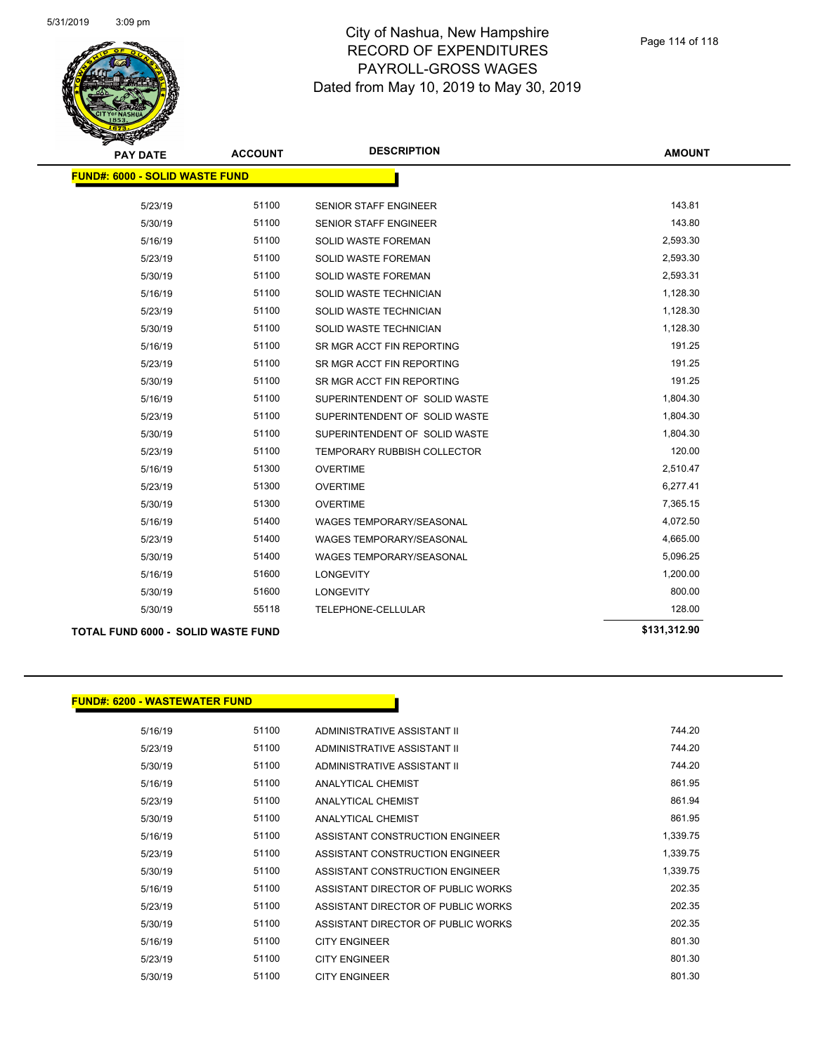

| <b>PAY DATE</b>                       | <b>ACCOUNT</b> | <b>DESCRIPTION</b>                 | <b>AMOUNT</b> |
|---------------------------------------|----------------|------------------------------------|---------------|
| <b>FUND#: 6000 - SOLID WASTE FUND</b> |                |                                    |               |
| 5/23/19                               | 51100          | SENIOR STAFF ENGINEER              | 143.81        |
| 5/30/19                               | 51100          | <b>SENIOR STAFF ENGINEER</b>       | 143.80        |
| 5/16/19                               | 51100          | SOLID WASTE FOREMAN                | 2,593.30      |
| 5/23/19                               | 51100          | <b>SOLID WASTE FOREMAN</b>         | 2,593.30      |
| 5/30/19                               | 51100          | <b>SOLID WASTE FOREMAN</b>         | 2,593.31      |
| 5/16/19                               | 51100          | SOLID WASTE TECHNICIAN             | 1,128.30      |
| 5/23/19                               | 51100          | SOLID WASTE TECHNICIAN             | 1,128.30      |
| 5/30/19                               | 51100          | SOLID WASTE TECHNICIAN             | 1,128.30      |
| 5/16/19                               | 51100          | SR MGR ACCT FIN REPORTING          | 191.25        |
| 5/23/19                               | 51100          | SR MGR ACCT FIN REPORTING          | 191.25        |
| 5/30/19                               | 51100          | SR MGR ACCT FIN REPORTING          | 191.25        |
| 5/16/19                               | 51100          | SUPERINTENDENT OF SOLID WASTE      | 1,804.30      |
| 5/23/19                               | 51100          | SUPERINTENDENT OF SOLID WASTE      | 1,804.30      |
| 5/30/19                               | 51100          | SUPERINTENDENT OF SOLID WASTE      | 1,804.30      |
| 5/23/19                               | 51100          | <b>TEMPORARY RUBBISH COLLECTOR</b> | 120.00        |
| 5/16/19                               | 51300          | <b>OVERTIME</b>                    | 2,510.47      |
| 5/23/19                               | 51300          | <b>OVERTIME</b>                    | 6,277.41      |
| 5/30/19                               | 51300          | <b>OVERTIME</b>                    | 7,365.15      |
| 5/16/19                               | 51400          | WAGES TEMPORARY/SEASONAL           | 4,072.50      |
| 5/23/19                               | 51400          | <b>WAGES TEMPORARY/SEASONAL</b>    | 4,665.00      |
| 5/30/19                               | 51400          | WAGES TEMPORARY/SEASONAL           | 5,096.25      |
| 5/16/19                               | 51600          | <b>LONGEVITY</b>                   | 1,200.00      |
| 5/30/19                               | 51600          | <b>LONGEVITY</b>                   | 800.00        |
| 5/30/19                               | 55118          | TELEPHONE-CELLULAR                 | 128.00        |

**TOTAL FUND 6000 - SOLID WASTE FUND \$131,312.90** 

#### **FUND#: 6200 - WASTEWATER FUND**

| 5/16/19 | 51100 | ADMINISTRATIVE ASSISTANT II        | 744.20   |
|---------|-------|------------------------------------|----------|
| 5/23/19 | 51100 | ADMINISTRATIVE ASSISTANT II        | 744.20   |
| 5/30/19 | 51100 | ADMINISTRATIVE ASSISTANT II        | 744.20   |
| 5/16/19 | 51100 | ANALYTICAL CHEMIST                 | 861.95   |
| 5/23/19 | 51100 | ANALYTICAL CHEMIST                 | 861.94   |
| 5/30/19 | 51100 | ANALYTICAL CHEMIST                 | 861.95   |
| 5/16/19 | 51100 | ASSISTANT CONSTRUCTION ENGINEER    | 1,339.75 |
| 5/23/19 | 51100 | ASSISTANT CONSTRUCTION ENGINEER    | 1,339.75 |
| 5/30/19 | 51100 | ASSISTANT CONSTRUCTION ENGINEER    | 1,339.75 |
| 5/16/19 | 51100 | ASSISTANT DIRECTOR OF PUBLIC WORKS | 202.35   |
| 5/23/19 | 51100 | ASSISTANT DIRECTOR OF PUBLIC WORKS | 202.35   |
| 5/30/19 | 51100 | ASSISTANT DIRECTOR OF PUBLIC WORKS | 202.35   |
| 5/16/19 | 51100 | <b>CITY ENGINEER</b>               | 801.30   |
| 5/23/19 | 51100 | <b>CITY ENGINEER</b>               | 801.30   |
| 5/30/19 | 51100 | <b>CITY ENGINEER</b>               | 801.30   |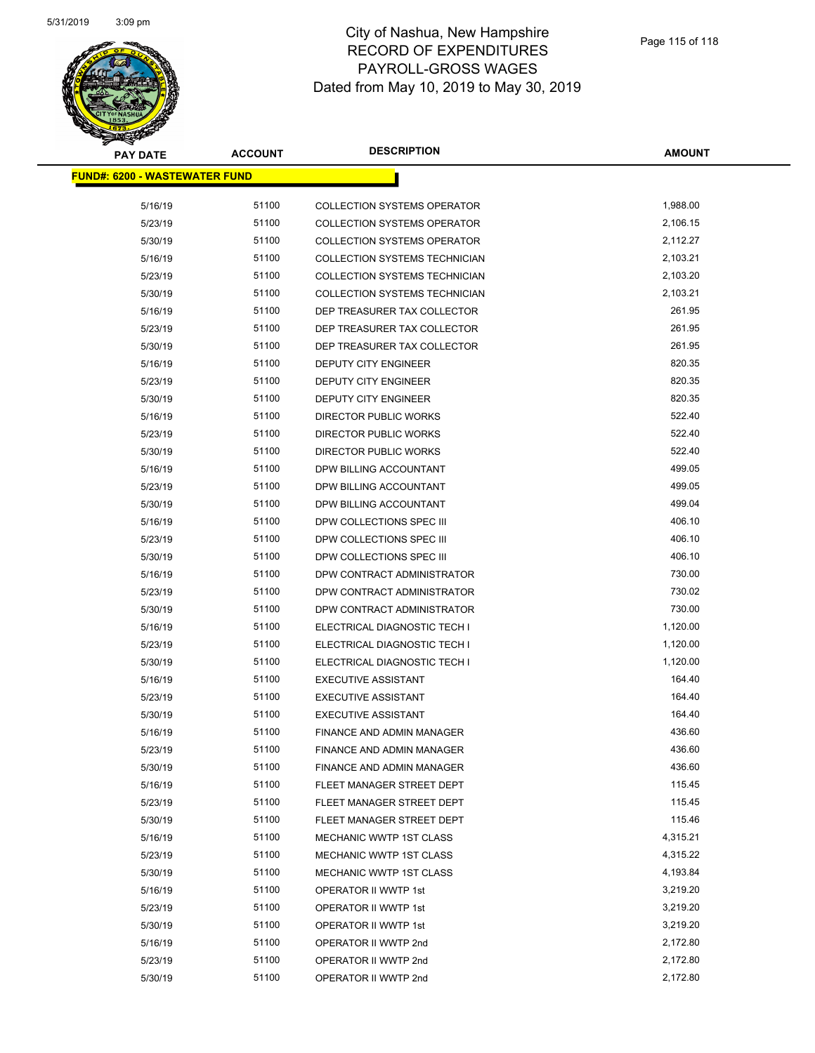

| PAY DATE                              | <b>ACCOUNT</b> | <b>DESCRIPTION</b>                   | <b>AMOUNT</b> |
|---------------------------------------|----------------|--------------------------------------|---------------|
| <u> FUND#: 6200 - WASTEWATER FUND</u> |                |                                      |               |
|                                       |                |                                      |               |
| 5/16/19                               | 51100          | <b>COLLECTION SYSTEMS OPERATOR</b>   | 1,988.00      |
| 5/23/19                               | 51100          | <b>COLLECTION SYSTEMS OPERATOR</b>   | 2,106.15      |
| 5/30/19                               | 51100          | <b>COLLECTION SYSTEMS OPERATOR</b>   | 2,112.27      |
| 5/16/19                               | 51100          | COLLECTION SYSTEMS TECHNICIAN        | 2,103.21      |
| 5/23/19                               | 51100          | COLLECTION SYSTEMS TECHNICIAN        | 2,103.20      |
| 5/30/19                               | 51100          | <b>COLLECTION SYSTEMS TECHNICIAN</b> | 2,103.21      |
| 5/16/19                               | 51100          | DEP TREASURER TAX COLLECTOR          | 261.95        |
| 5/23/19                               | 51100          | DEP TREASURER TAX COLLECTOR          | 261.95        |
| 5/30/19                               | 51100          | DEP TREASURER TAX COLLECTOR          | 261.95        |
| 5/16/19                               | 51100          | DEPUTY CITY ENGINEER                 | 820.35        |
| 5/23/19                               | 51100          | <b>DEPUTY CITY ENGINEER</b>          | 820.35        |
| 5/30/19                               | 51100          | DEPUTY CITY ENGINEER                 | 820.35        |
| 5/16/19                               | 51100          | <b>DIRECTOR PUBLIC WORKS</b>         | 522.40        |
| 5/23/19                               | 51100          | DIRECTOR PUBLIC WORKS                | 522.40        |
| 5/30/19                               | 51100          | DIRECTOR PUBLIC WORKS                | 522.40        |
| 5/16/19                               | 51100          | DPW BILLING ACCOUNTANT               | 499.05        |
| 5/23/19                               | 51100          | DPW BILLING ACCOUNTANT               | 499.05        |
| 5/30/19                               | 51100          | DPW BILLING ACCOUNTANT               | 499.04        |
| 5/16/19                               | 51100          | DPW COLLECTIONS SPEC III             | 406.10        |
| 5/23/19                               | 51100          | DPW COLLECTIONS SPEC III             | 406.10        |
| 5/30/19                               | 51100          | DPW COLLECTIONS SPEC III             | 406.10        |
| 5/16/19                               | 51100          | DPW CONTRACT ADMINISTRATOR           | 730.00        |
| 5/23/19                               | 51100          | DPW CONTRACT ADMINISTRATOR           | 730.02        |
| 5/30/19                               | 51100          | DPW CONTRACT ADMINISTRATOR           | 730.00        |
| 5/16/19                               | 51100          | ELECTRICAL DIAGNOSTIC TECH I         | 1,120.00      |
| 5/23/19                               | 51100          | ELECTRICAL DIAGNOSTIC TECH I         | 1,120.00      |
| 5/30/19                               | 51100          | ELECTRICAL DIAGNOSTIC TECH I         | 1,120.00      |
| 5/16/19                               | 51100          | <b>EXECUTIVE ASSISTANT</b>           | 164.40        |
| 5/23/19                               | 51100          | <b>EXECUTIVE ASSISTANT</b>           | 164.40        |
| 5/30/19                               | 51100          | <b>EXECUTIVE ASSISTANT</b>           | 164.40        |
| 5/16/19                               | 51100          | <b>FINANCE AND ADMIN MANAGER</b>     | 436.60        |
| 5/23/19                               | 51100          | FINANCE AND ADMIN MANAGER            | 436.60        |
| 5/30/19                               | 51100          | FINANCE AND ADMIN MANAGER            | 436.60        |
| 5/16/19                               | 51100          | FLEET MANAGER STREET DEPT            | 115.45        |
| 5/23/19                               | 51100          | FLEET MANAGER STREET DEPT            | 115.45        |
| 5/30/19                               | 51100          | FLEET MANAGER STREET DEPT            | 115.46        |
| 5/16/19                               | 51100          | MECHANIC WWTP 1ST CLASS              | 4,315.21      |
| 5/23/19                               | 51100          | MECHANIC WWTP 1ST CLASS              | 4,315.22      |
| 5/30/19                               | 51100          | MECHANIC WWTP 1ST CLASS              | 4,193.84      |
| 5/16/19                               | 51100          | OPERATOR II WWTP 1st                 | 3,219.20      |
| 5/23/19                               | 51100          | OPERATOR II WWTP 1st                 | 3,219.20      |
| 5/30/19                               | 51100          | OPERATOR II WWTP 1st                 | 3,219.20      |
| 5/16/19                               | 51100          | OPERATOR II WWTP 2nd                 | 2,172.80      |
| 5/23/19                               | 51100          | OPERATOR II WWTP 2nd                 | 2,172.80      |
| 5/30/19                               | 51100          | OPERATOR II WWTP 2nd                 | 2,172.80      |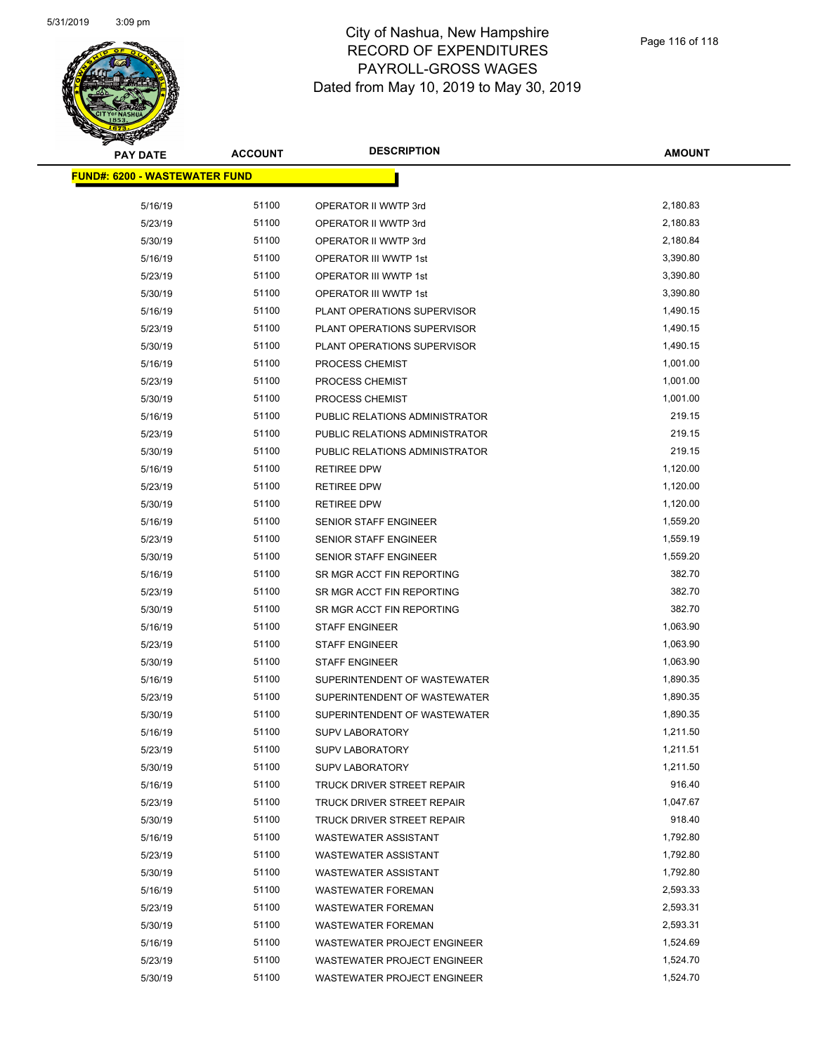

| <b>PAY DATE</b>                       | <b>ACCOUNT</b> | <b>DESCRIPTION</b>                | <b>AMOUNT</b> |
|---------------------------------------|----------------|-----------------------------------|---------------|
| <u> FUND#: 6200 - WASTEWATER FUND</u> |                |                                   |               |
|                                       |                |                                   |               |
| 5/16/19                               | 51100          | OPERATOR II WWTP 3rd              | 2,180.83      |
| 5/23/19                               | 51100          | OPERATOR II WWTP 3rd              | 2,180.83      |
| 5/30/19                               | 51100          | OPERATOR II WWTP 3rd              | 2,180.84      |
| 5/16/19                               | 51100          | OPERATOR III WWTP 1st             | 3,390.80      |
| 5/23/19                               | 51100          | OPERATOR III WWTP 1st             | 3,390.80      |
| 5/30/19                               | 51100          | <b>OPERATOR III WWTP 1st</b>      | 3,390.80      |
| 5/16/19                               | 51100          | PLANT OPERATIONS SUPERVISOR       | 1,490.15      |
| 5/23/19                               | 51100          | PLANT OPERATIONS SUPERVISOR       | 1,490.15      |
| 5/30/19                               | 51100          | PLANT OPERATIONS SUPERVISOR       | 1,490.15      |
| 5/16/19                               | 51100          | PROCESS CHEMIST                   | 1,001.00      |
| 5/23/19                               | 51100          | PROCESS CHEMIST                   | 1,001.00      |
| 5/30/19                               | 51100          | PROCESS CHEMIST                   | 1,001.00      |
| 5/16/19                               | 51100          | PUBLIC RELATIONS ADMINISTRATOR    | 219.15        |
| 5/23/19                               | 51100          | PUBLIC RELATIONS ADMINISTRATOR    | 219.15        |
| 5/30/19                               | 51100          | PUBLIC RELATIONS ADMINISTRATOR    | 219.15        |
| 5/16/19                               | 51100          | <b>RETIREE DPW</b>                | 1,120.00      |
| 5/23/19                               | 51100          | <b>RETIREE DPW</b>                | 1,120.00      |
| 5/30/19                               | 51100          | <b>RETIREE DPW</b>                | 1,120.00      |
| 5/16/19                               | 51100          | SENIOR STAFF ENGINEER             | 1,559.20      |
| 5/23/19                               | 51100          | <b>SENIOR STAFF ENGINEER</b>      | 1,559.19      |
| 5/30/19                               | 51100          | SENIOR STAFF ENGINEER             | 1,559.20      |
| 5/16/19                               | 51100          | SR MGR ACCT FIN REPORTING         | 382.70        |
| 5/23/19                               | 51100          | SR MGR ACCT FIN REPORTING         | 382.70        |
| 5/30/19                               | 51100          | SR MGR ACCT FIN REPORTING         | 382.70        |
| 5/16/19                               | 51100          | <b>STAFF ENGINEER</b>             | 1,063.90      |
| 5/23/19                               | 51100          | <b>STAFF ENGINEER</b>             | 1,063.90      |
| 5/30/19                               | 51100          | <b>STAFF ENGINEER</b>             | 1,063.90      |
| 5/16/19                               | 51100          | SUPERINTENDENT OF WASTEWATER      | 1,890.35      |
| 5/23/19                               | 51100          | SUPERINTENDENT OF WASTEWATER      | 1,890.35      |
| 5/30/19                               | 51100          | SUPERINTENDENT OF WASTEWATER      | 1,890.35      |
| 5/16/19                               | 51100          | <b>SUPV LABORATORY</b>            | 1,211.50      |
| 5/23/19                               | 51100          | <b>SUPV LABORATORY</b>            | 1,211.51      |
| 5/30/19                               | 51100          | <b>SUPV LABORATORY</b>            | 1,211.50      |
| 5/16/19                               | 51100          | <b>TRUCK DRIVER STREET REPAIR</b> | 916.40        |
| 5/23/19                               | 51100          | TRUCK DRIVER STREET REPAIR        | 1,047.67      |
| 5/30/19                               | 51100          | <b>TRUCK DRIVER STREET REPAIR</b> | 918.40        |
| 5/16/19                               | 51100          | <b>WASTEWATER ASSISTANT</b>       | 1,792.80      |
| 5/23/19                               | 51100          | <b>WASTEWATER ASSISTANT</b>       | 1,792.80      |
| 5/30/19                               | 51100          | <b>WASTEWATER ASSISTANT</b>       | 1,792.80      |
| 5/16/19                               | 51100          | <b>WASTEWATER FOREMAN</b>         | 2,593.33      |
| 5/23/19                               | 51100          | <b>WASTEWATER FOREMAN</b>         | 2,593.31      |
| 5/30/19                               | 51100          | <b>WASTEWATER FOREMAN</b>         | 2,593.31      |
| 5/16/19                               | 51100          | WASTEWATER PROJECT ENGINEER       | 1,524.69      |
| 5/23/19                               | 51100          | WASTEWATER PROJECT ENGINEER       | 1,524.70      |
| 5/30/19                               | 51100          | WASTEWATER PROJECT ENGINEER       | 1,524.70      |
|                                       |                |                                   |               |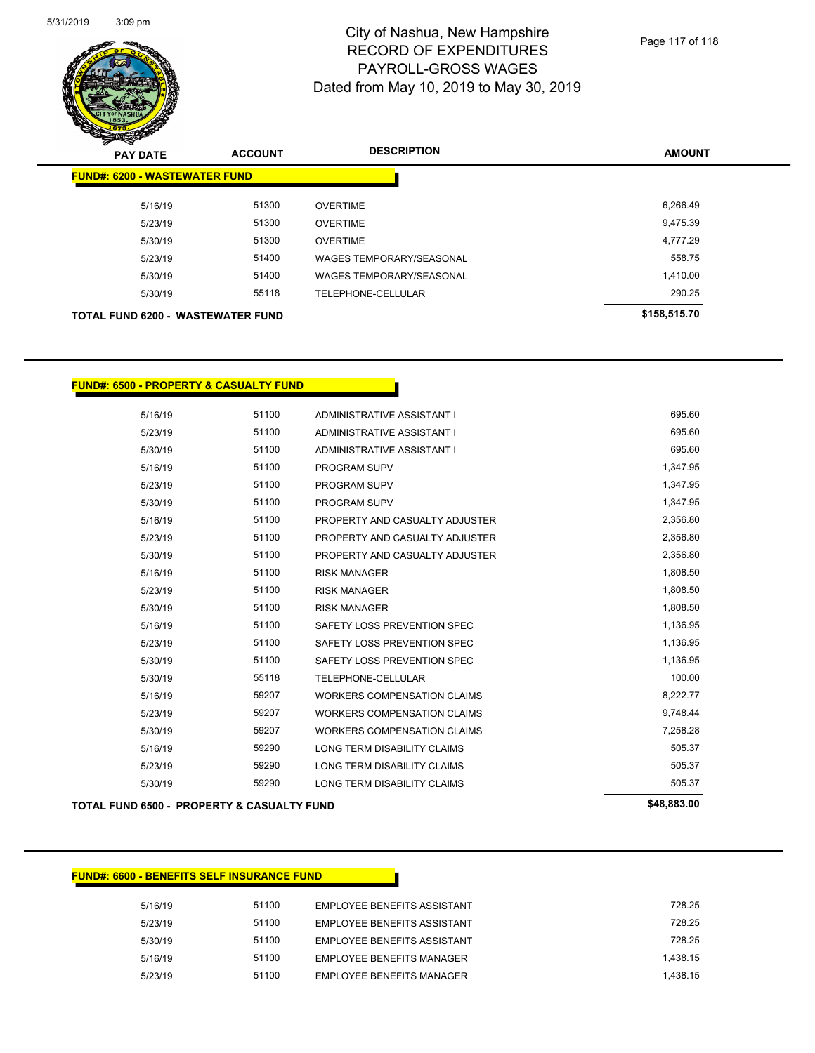

| z.<br>$\tilde{\phantom{a}}$<br><b>PAY DATE</b> | <b>ACCOUNT</b> | <b>DESCRIPTION</b>              | <b>AMOUNT</b> |
|------------------------------------------------|----------------|---------------------------------|---------------|
| <b>FUND#: 6200 - WASTEWATER FUND</b>           |                |                                 |               |
| 5/16/19                                        | 51300          | <b>OVERTIME</b>                 | 6,266.49      |
| 5/23/19                                        | 51300          | <b>OVERTIME</b>                 | 9,475.39      |
| 5/30/19                                        | 51300          | <b>OVERTIME</b>                 | 4,777.29      |
| 5/23/19                                        | 51400          | <b>WAGES TEMPORARY/SEASONAL</b> | 558.75        |
| 5/30/19                                        | 51400          | <b>WAGES TEMPORARY/SEASONAL</b> | 1,410.00      |
| 5/30/19                                        | 55118          | TELEPHONE-CELLULAR              | 290.25        |
| TOTAL FUND 6200 - WASTEWATER FUND              |                |                                 | \$158,515.70  |

### **FUND#: 6500 - PROPERTY & CASUALTY FUND**

|         | <b>TOTAL FUND 6500 - PROPERTY &amp; CASUALTY FUND</b> |                                    | \$48,883.00 |
|---------|-------------------------------------------------------|------------------------------------|-------------|
| 5/30/19 | 59290                                                 | LONG TERM DISABILITY CLAIMS        | 505.37      |
| 5/23/19 | 59290                                                 | LONG TERM DISABILITY CLAIMS        | 505.37      |
| 5/16/19 | 59290                                                 | LONG TERM DISABILITY CLAIMS        | 505.37      |
| 5/30/19 | 59207                                                 | <b>WORKERS COMPENSATION CLAIMS</b> | 7,258.28    |
| 5/23/19 | 59207                                                 | <b>WORKERS COMPENSATION CLAIMS</b> | 9,748.44    |
| 5/16/19 | 59207                                                 | <b>WORKERS COMPENSATION CLAIMS</b> | 8,222.77    |
| 5/30/19 | 55118                                                 | TELEPHONE-CELLULAR                 | 100.00      |
| 5/30/19 | 51100                                                 | SAFETY LOSS PREVENTION SPEC        | 1,136.95    |
| 5/23/19 | 51100                                                 | SAFETY LOSS PREVENTION SPEC        | 1,136.95    |
| 5/16/19 | 51100                                                 | SAFETY LOSS PREVENTION SPEC        | 1,136.95    |
| 5/30/19 | 51100                                                 | <b>RISK MANAGER</b>                | 1,808.50    |
| 5/23/19 | 51100                                                 | <b>RISK MANAGER</b>                | 1,808.50    |
| 5/16/19 | 51100                                                 | <b>RISK MANAGER</b>                | 1,808.50    |
| 5/30/19 | 51100                                                 | PROPERTY AND CASUALTY ADJUSTER     | 2,356.80    |
| 5/23/19 | 51100                                                 | PROPERTY AND CASUALTY ADJUSTER     | 2,356.80    |
| 5/16/19 | 51100                                                 | PROPERTY AND CASUALTY ADJUSTER     | 2,356.80    |
| 5/30/19 | 51100                                                 | <b>PROGRAM SUPV</b>                | 1,347.95    |
| 5/23/19 | 51100                                                 | <b>PROGRAM SUPV</b>                | 1,347.95    |
| 5/16/19 | 51100                                                 | <b>PROGRAM SUPV</b>                | 1,347.95    |
| 5/30/19 | 51100                                                 | ADMINISTRATIVE ASSISTANT I         | 695.60      |
| 5/23/19 | 51100                                                 | ADMINISTRATIVE ASSISTANT I         | 695.60      |
| 5/16/19 | 51100                                                 | ADMINISTRATIVE ASSISTANT I         | 695.60      |

### **FUND#: 6600 - BENEFITS SELF INSURANCE FUND**

| 5/16/19 | 51100 | <b>EMPLOYEE BENEEITS ASSISTANT</b> | 728.25   |
|---------|-------|------------------------------------|----------|
| 5/23/19 | 51100 | EMPLOYEE BENEFITS ASSISTANT        | 728.25   |
| 5/30/19 | 51100 | <b>EMPLOYEE BENEFITS ASSISTANT</b> | 728 25   |
| 5/16/19 | 51100 | <b>EMPLOYEE BENEEITS MANAGER</b>   | 1.438.15 |
| 5/23/19 | 51100 | <b>EMPLOYEE BENEEITS MANAGER</b>   | 1.438.15 |